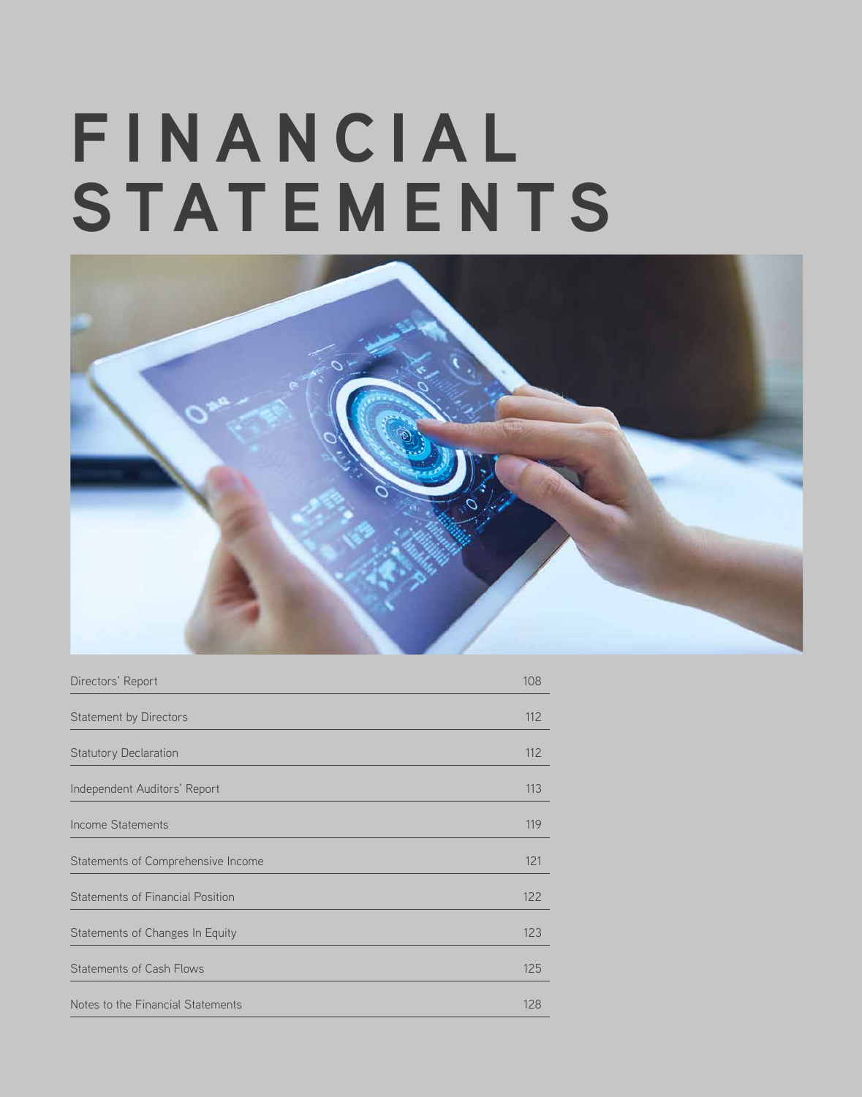# **F I N A N C I A L STATEMENTS**



| Directors' Report                       | 108 |
|-----------------------------------------|-----|
| Statement by Directors                  | 112 |
| <b>Statutory Declaration</b>            | 112 |
| Independent Auditors' Report            | 113 |
| <b>Income Statements</b>                | 119 |
| Statements of Comprehensive Income      | 121 |
| <b>Statements of Financial Position</b> | 122 |
| Statements of Changes In Equity         | 123 |
| <b>Statements of Cash Flows</b>         | 125 |
| Notes to the Financial Statements       | 128 |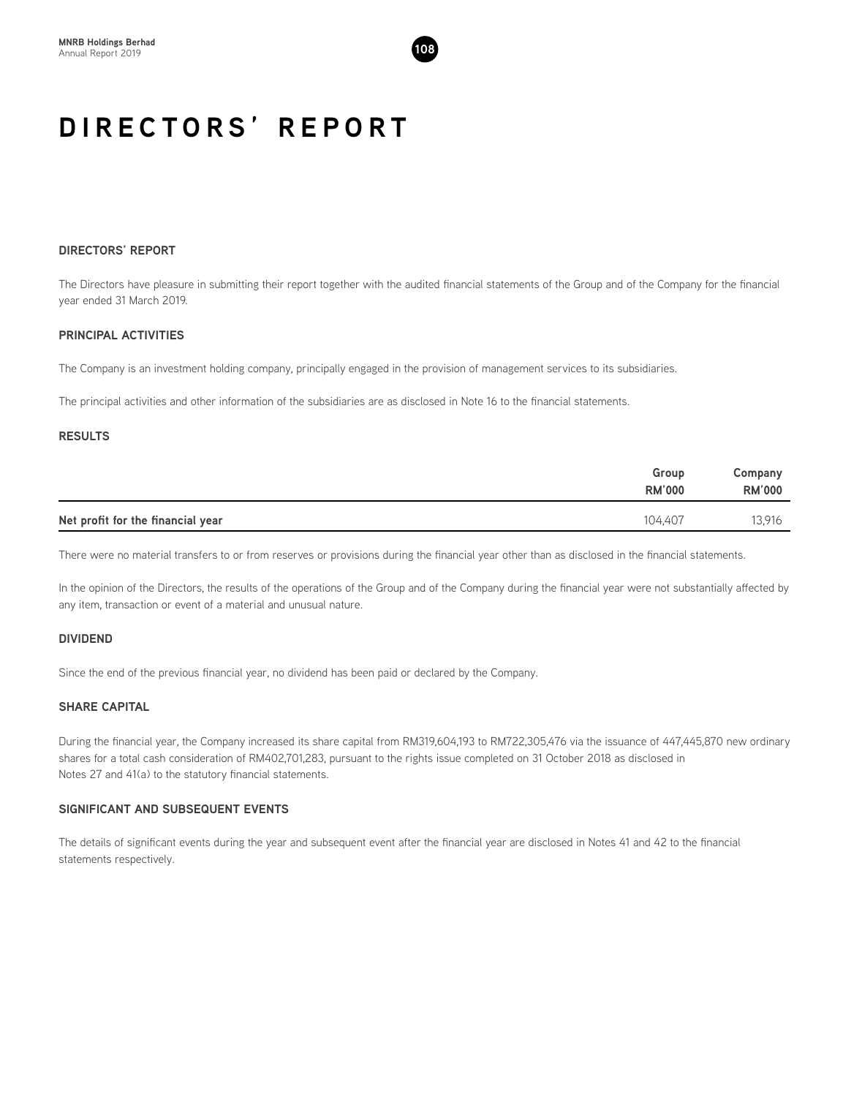

# **DIRECTORS' REPORT**

The Directors have pleasure in submitting their report together with the audited financial statements of the Group and of the Company for the financial year ended 31 March 2019.

# **PRINCIPAL ACTIVITIES**

The Company is an investment holding company, principally engaged in the provision of management services to its subsidiaries.

The principal activities and other information of the subsidiaries are as disclosed in Note 16 to the financial statements.

# **RESULTS**

|                                   | Group<br><b>RM'000</b> | Company<br><b>RM'000</b> |
|-----------------------------------|------------------------|--------------------------|
| Net profit for the financial year | 104.407                | 13,916                   |

There were no material transfers to or from reserves or provisions during the financial year other than as disclosed in the financial statements.

In the opinion of the Directors, the results of the operations of the Group and of the Company during the financial year were not substantially affected by any item, transaction or event of a material and unusual nature.

# **DIVIDEND**

Since the end of the previous financial year, no dividend has been paid or declared by the Company.

# **SHARE CAPITAL**

During the financial year, the Company increased its share capital from RM319,604,193 to RM722,305,476 via the issuance of 447,445,870 new ordinary shares for a total cash consideration of RM402,701,283, pursuant to the rights issue completed on 31 October 2018 as disclosed in Notes 27 and 41(a) to the statutory financial statements.

# **SIGNIFICANT AND SUBSEQUENT EVENTS**

The details of significant events during the year and subsequent event after the financial year are disclosed in Notes 41 and 42 to the financial statements respectively.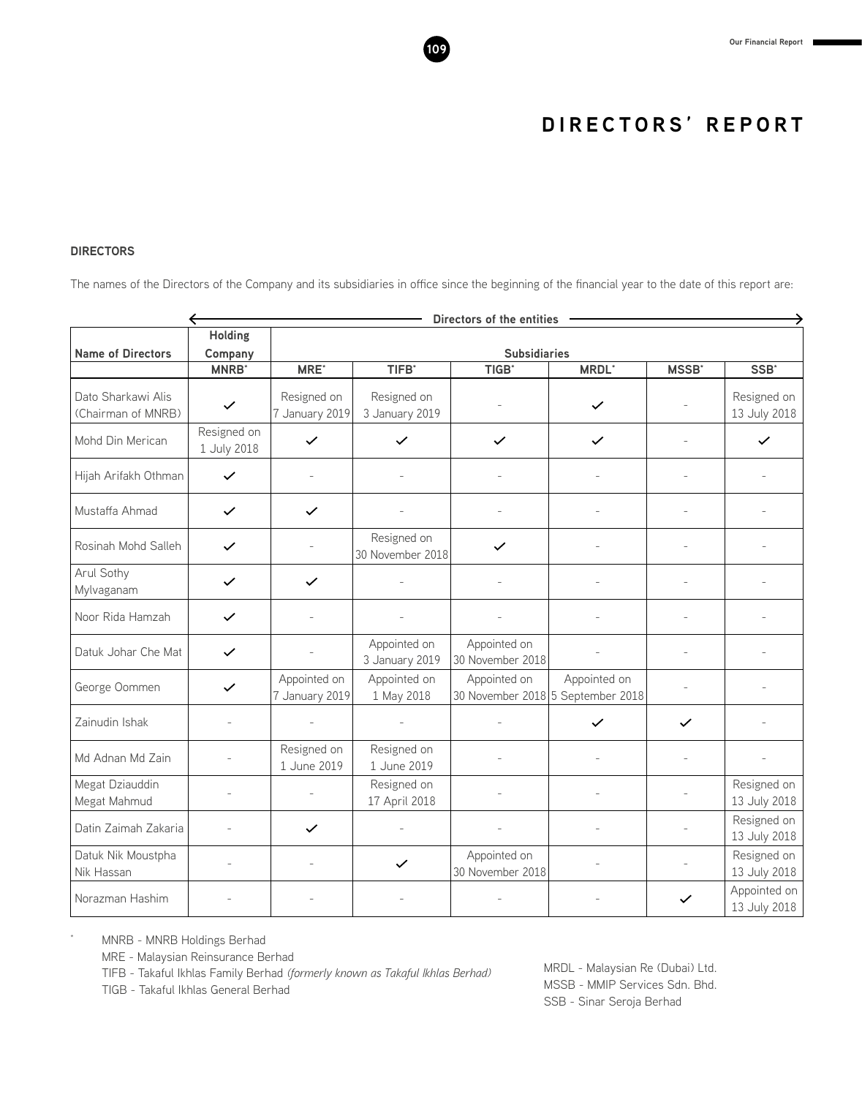# **DIRECTORS**

The names of the Directors of the Company and its subsidiaries in office since the beginning of the financial year to the date of this report are:

| Directors of the entities                |                            |                                |                                 |                                  |                                                   |               |                              |
|------------------------------------------|----------------------------|--------------------------------|---------------------------------|----------------------------------|---------------------------------------------------|---------------|------------------------------|
| <b>Name of Directors</b>                 | <b>Holding</b><br>Company  |                                |                                 | <b>Subsidiaries</b>              |                                                   |               |                              |
|                                          | <b>MNRB</b> *              | <b>MRE</b> *                   | TIFB <sup>*</sup>               | TIGB <sup>*</sup>                | <b>MRDL</b> *                                     | <b>MSSB</b> * | SSB*                         |
| Dato Sharkawi Alis<br>(Chairman of MNRB) | $\checkmark$               | Resigned on<br>7 January 2019  | Resigned on<br>3 January 2019   |                                  | $\checkmark$                                      |               | Resigned on<br>13 July 2018  |
| Mohd Din Merican                         | Resigned on<br>1 July 2018 | $\checkmark$                   | $\checkmark$                    | $\checkmark$                     | $\checkmark$                                      |               | $\checkmark$                 |
| Hijah Arifakh Othman                     | $\checkmark$               |                                |                                 |                                  |                                                   |               |                              |
| Mustaffa Ahmad                           | $\checkmark$               | $\checkmark$                   |                                 |                                  |                                                   |               |                              |
| Rosinah Mohd Salleh                      | $\checkmark$               |                                | Resigned on<br>30 November 2018 | ✓                                |                                                   |               |                              |
| Arul Sothy<br>Mylvaganam                 | $\checkmark$               | $\checkmark$                   |                                 |                                  |                                                   |               |                              |
| Noor Rida Hamzah                         | $\checkmark$               |                                |                                 |                                  |                                                   |               |                              |
| Datuk Johar Che Mat                      | $\checkmark$               |                                | Appointed on<br>3 January 2019  | Appointed on<br>30 November 2018 |                                                   |               |                              |
| George Oommen                            | $\checkmark$               | Appointed on<br>7 January 2019 | Appointed on<br>1 May 2018      | Appointed on                     | Appointed on<br>30 November 2018 5 September 2018 |               |                              |
| Zainudin Ishak                           |                            |                                |                                 |                                  | $\checkmark$                                      | $\checkmark$  |                              |
| Md Adnan Md Zain                         |                            | Resigned on<br>1 June 2019     | Resigned on<br>1 June 2019      |                                  |                                                   |               |                              |
| Megat Dziauddin<br>Megat Mahmud          |                            |                                | Resigned on<br>17 April 2018    |                                  |                                                   |               | Resigned on<br>13 July 2018  |
| Datin Zaimah Zakaria                     |                            | $\checkmark$                   |                                 |                                  |                                                   |               | Resigned on<br>13 July 2018  |
| Datuk Nik Moustpha<br>Nik Hassan         |                            |                                | $\checkmark$                    | Appointed on<br>30 November 2018 |                                                   |               | Resigned on<br>13 July 2018  |
| Norazman Hashim                          |                            |                                |                                 |                                  |                                                   | $\checkmark$  | Appointed on<br>13 July 2018 |

MNRB - MNRB Holdings Berhad

MRE - Malaysian Reinsurance Berhad

TIFB - Takaful Ikhlas Family Berhad *(formerly known as Takaful Ikhlas Berhad)*

TIGB - Takaful Ikhlas General Berhad

MRDL - Malaysian Re (Dubai) Ltd. MSSB - MMIP Services Sdn. Bhd. SSB - Sinar Seroja Berhad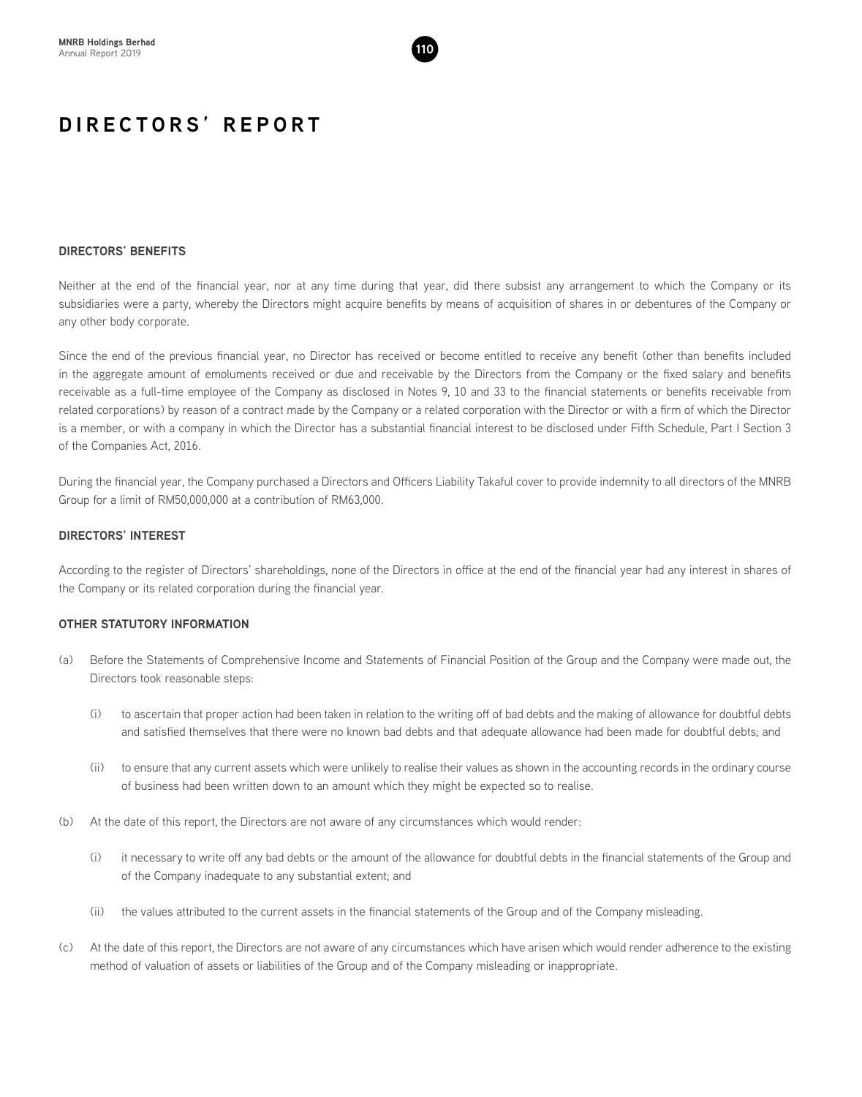

# **DIRECTORS' BENEFITS**

Neither at the end of the financial year, nor at any time during that year, did there subsist any arrangement to which the Company or its subsidiaries were a party, whereby the Directors might acquire benefits by means of acquisition of shares in or debentures of the Company or any other body corporate.

Since the end of the previous financial year, no Director has received or become entitled to receive any benefit (other than benefits included in the aggregate amount of emoluments received or due and receivable by the Directors from the Company or the fixed salary and benefits receivable as a full-time employee of the Company as disclosed in Notes 9, 10 and 33 to the financial statements or benefits receivable from related corporations) by reason of a contract made by the Company or a related corporation with the Director or with a firm of which the Director is a member, or with a company in which the Director has a substantial financial interest to be disclosed under Fifth Schedule, Part I Section 3 of the Companies Act, 2016.

During the financial year, the Company purchased a Directors and Officers Liability Takaful cover to provide indemnity to all directors of the MNRB Group for a limit of RM50,000,000 at a contribution of RM63,000.

# **DIRECTORS' INTEREST**

According to the register of Directors' shareholdings, none of the Directors in office at the end of the financial year had any interest in shares of the Company or its related corporation during the financial year.

# **OTHER STATUTORY INFORMATION**

- (a) Before the Statements of Comprehensive Income and Statements of Financial Position of the Group and the Company were made out, the Directors took reasonable steps:
	- (i) to ascertain that proper action had been taken in relation to the writing off of bad debts and the making of allowance for doubtful debts and satisfied themselves that there were no known bad debts and that adequate allowance had been made for doubtful debts; and
	- (ii) to ensure that any current assets which were unlikely to realise their values as shown in the accounting records in the ordinary course of business had been written down to an amount which they might be expected so to realise.
- (b) At the date of this report, the Directors are not aware of any circumstances which would render:
	- (i) it necessary to write off any bad debts or the amount of the allowance for doubtful debts in the financial statements of the Group and of the Company inadequate to any substantial extent; and
	- (ii) the values attributed to the current assets in the financial statements of the Group and of the Company misleading.
- (c) At the date of this report, the Directors are not aware of any circumstances which have arisen which would render adherence to the existing method of valuation of assets or liabilities of the Group and of the Company misleading or inappropriate.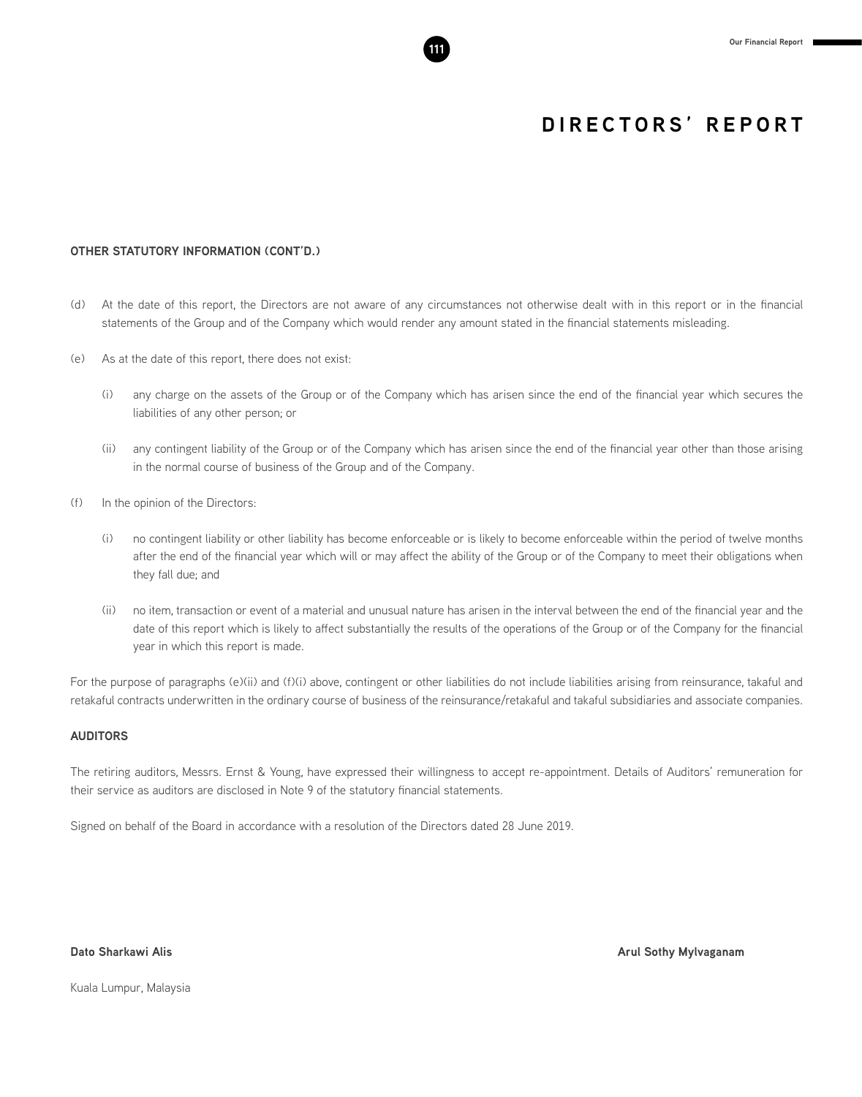# **OTHER STATUTORY INFORMATION (CONT'D.)**

- (d) At the date of this report, the Directors are not aware of any circumstances not otherwise dealt with in this report or in the financial statements of the Group and of the Company which would render any amount stated in the financial statements misleading.
- (e) As at the date of this report, there does not exist:
	- (i) any charge on the assets of the Group or of the Company which has arisen since the end of the financial year which secures the liabilities of any other person; or
	- (ii) any contingent liability of the Group or of the Company which has arisen since the end of the financial year other than those arising in the normal course of business of the Group and of the Company.
- (f) In the opinion of the Directors:
	- (i) no contingent liability or other liability has become enforceable or is likely to become enforceable within the period of twelve months after the end of the financial year which will or may affect the ability of the Group or of the Company to meet their obligations when they fall due; and
	- (ii) no item, transaction or event of a material and unusual nature has arisen in the interval between the end of the financial year and the date of this report which is likely to affect substantially the results of the operations of the Group or of the Company for the financial year in which this report is made.

For the purpose of paragraphs (e)(ii) and (f)(i) above, contingent or other liabilities do not include liabilities arising from reinsurance, takaful and retakaful contracts underwritten in the ordinary course of business of the reinsurance/retakaful and takaful subsidiaries and associate companies.

# **AUDITORS**

The retiring auditors, Messrs. Ernst & Young, have expressed their willingness to accept re-appointment. Details of Auditors' remuneration for their service as auditors are disclosed in Note 9 of the statutory financial statements.

Signed on behalf of the Board in accordance with a resolution of the Directors dated 28 June 2019.

**Dato Sharkawi Alis Arul Sothy Mylvaganam**

Kuala Lumpur, Malaysia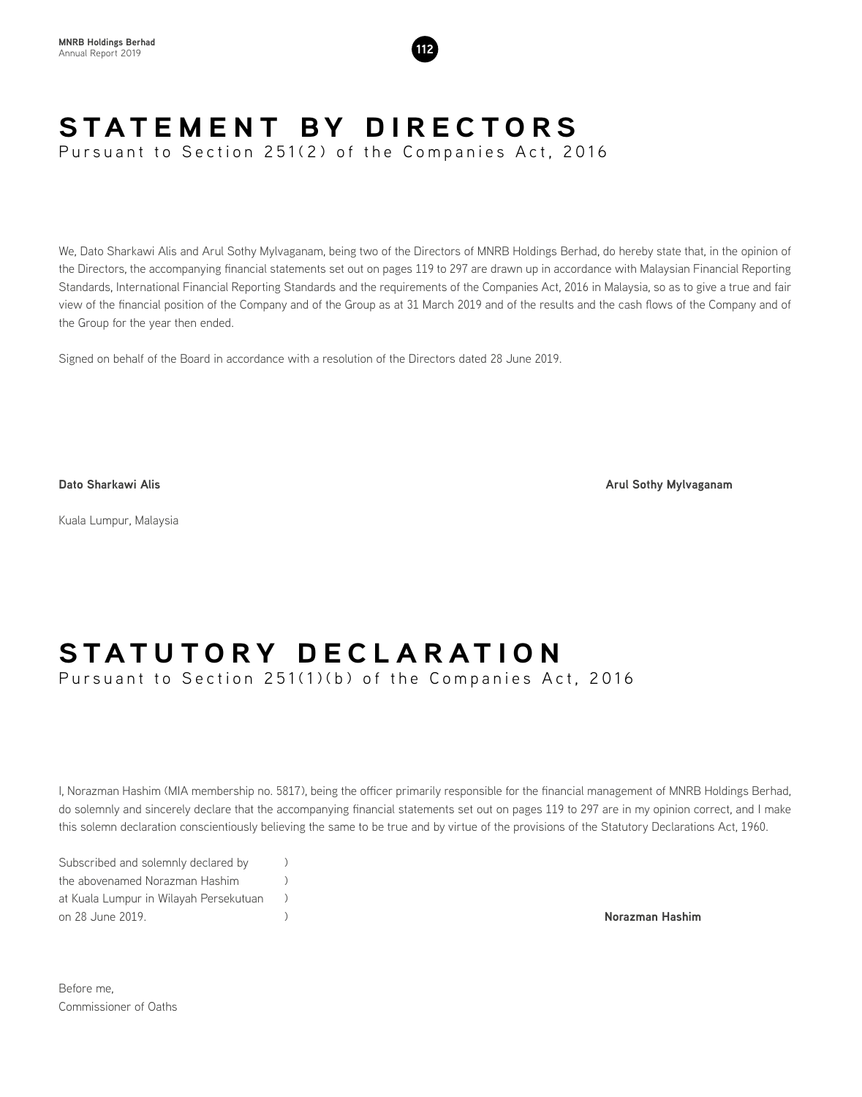

# **STATEMENT BY DIRECTORS**

Pursuant to Section 251(2) of the Companies Act, 2016

We, Dato Sharkawi Alis and Arul Sothy Mylvaganam, being two of the Directors of MNRB Holdings Berhad, do hereby state that, in the opinion of the Directors, the accompanying financial statements set out on pages 119 to 297 are drawn up in accordance with Malaysian Financial Reporting Standards, International Financial Reporting Standards and the requirements of the Companies Act, 2016 in Malaysia, so as to give a true and fair view of the financial position of the Company and of the Group as at 31 March 2019 and of the results and the cash flows of the Company and of the Group for the year then ended.

Signed on behalf of the Board in accordance with a resolution of the Directors dated 28 June 2019.

**Dato Sharkawi Alis Arul Sothy Mylvaganam**

Kuala Lumpur, Malaysia

# **STATUTORY DECLARATION**

Pursuant to Section 251(1)(b) of the Companies Act, 2016

I, Norazman Hashim (MIA membership no. 5817), being the officer primarily responsible for the financial management of MNRB Holdings Berhad, do solemnly and sincerely declare that the accompanying financial statements set out on pages 119 to 297 are in my opinion correct, and I make this solemn declaration conscientiously believing the same to be true and by virtue of the provisions of the Statutory Declarations Act, 1960.

Subscribed and solemnly declared by  $\qquad)$ the abovenamed Norazman Hashim (a) at Kuala Lumpur in Wilayah Persekutuan ) on 28 June 2019. ) **Norazman Hashim**

Before me, Commissioner of Oaths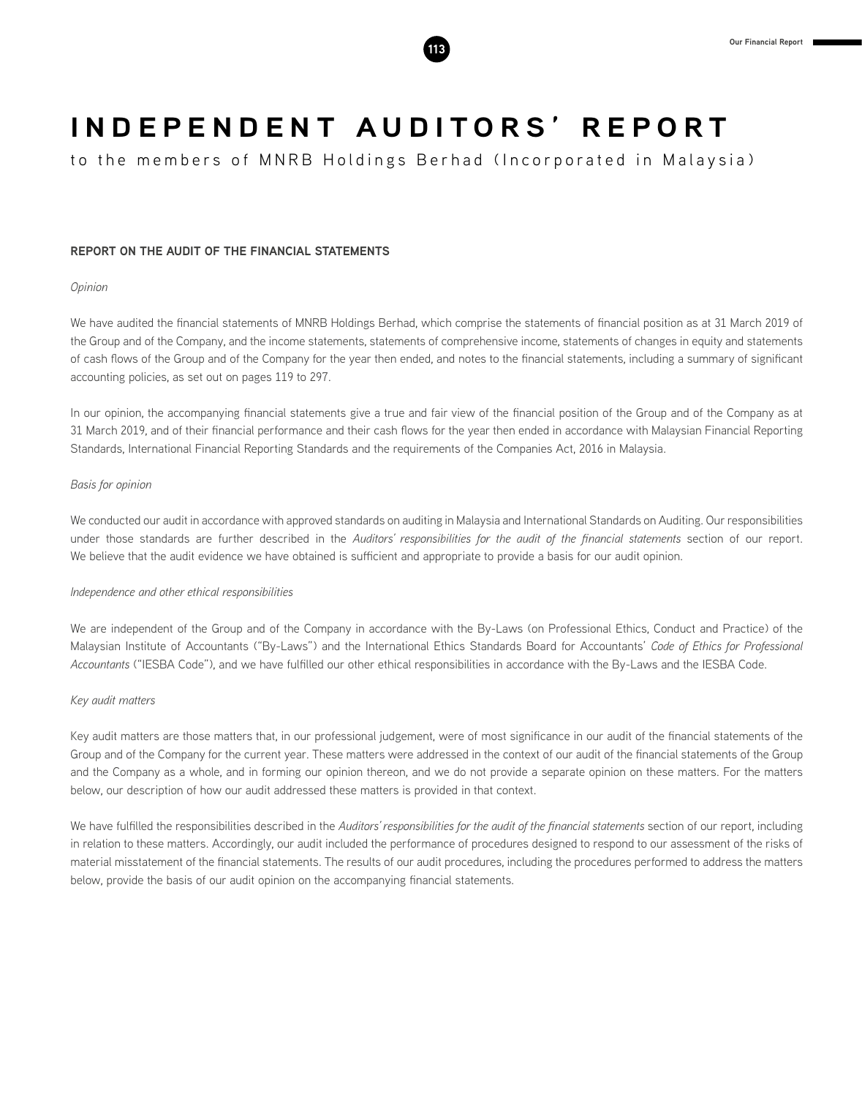

to the members of MNRB Holdings Berhad (Incorporated in Malaysia)

# **REPORT ON THE AUDIT OF THE FINANCIAL STATEMENTS**

# *Opinion*

We have audited the financial statements of MNRB Holdings Berhad, which comprise the statements of financial position as at 31 March 2019 of the Group and of the Company, and the income statements, statements of comprehensive income, statements of changes in equity and statements of cash flows of the Group and of the Company for the year then ended, and notes to the financial statements, including a summary of significant accounting policies, as set out on pages 119 to 297.

In our opinion, the accompanying financial statements give a true and fair view of the financial position of the Group and of the Company as at 31 March 2019, and of their financial performance and their cash flows for the year then ended in accordance with Malaysian Financial Reporting Standards, International Financial Reporting Standards and the requirements of the Companies Act, 2016 in Malaysia.

# *Basis for opinion*

We conducted our audit in accordance with approved standards on auditing in Malaysia and International Standards on Auditing. Our responsibilities under those standards are further described in the *Auditors' responsibilities for the audit of the financial statements* section of our report. We believe that the audit evidence we have obtained is sufficient and appropriate to provide a basis for our audit opinion.

# *Independence and other ethical responsibilities*

We are independent of the Group and of the Company in accordance with the By-Laws (on Professional Ethics, Conduct and Practice) of the Malaysian Institute of Accountants ("By-Laws") and the International Ethics Standards Board for Accountants' *Code of Ethics for Professional Accountants* ("IESBA Code"), and we have fulfilled our other ethical responsibilities in accordance with the By-Laws and the IESBA Code.

### *Key audit matters*

Key audit matters are those matters that, in our professional judgement, were of most significance in our audit of the financial statements of the Group and of the Company for the current year. These matters were addressed in the context of our audit of the financial statements of the Group and the Company as a whole, and in forming our opinion thereon, and we do not provide a separate opinion on these matters. For the matters below, our description of how our audit addressed these matters is provided in that context.

We have fulfilled the responsibilities described in the *Auditors' responsibilities for the audit of the financial statements* section of our report, including in relation to these matters. Accordingly, our audit included the performance of procedures designed to respond to our assessment of the risks of material misstatement of the financial statements. The results of our audit procedures, including the procedures performed to address the matters below, provide the basis of our audit opinion on the accompanying financial statements.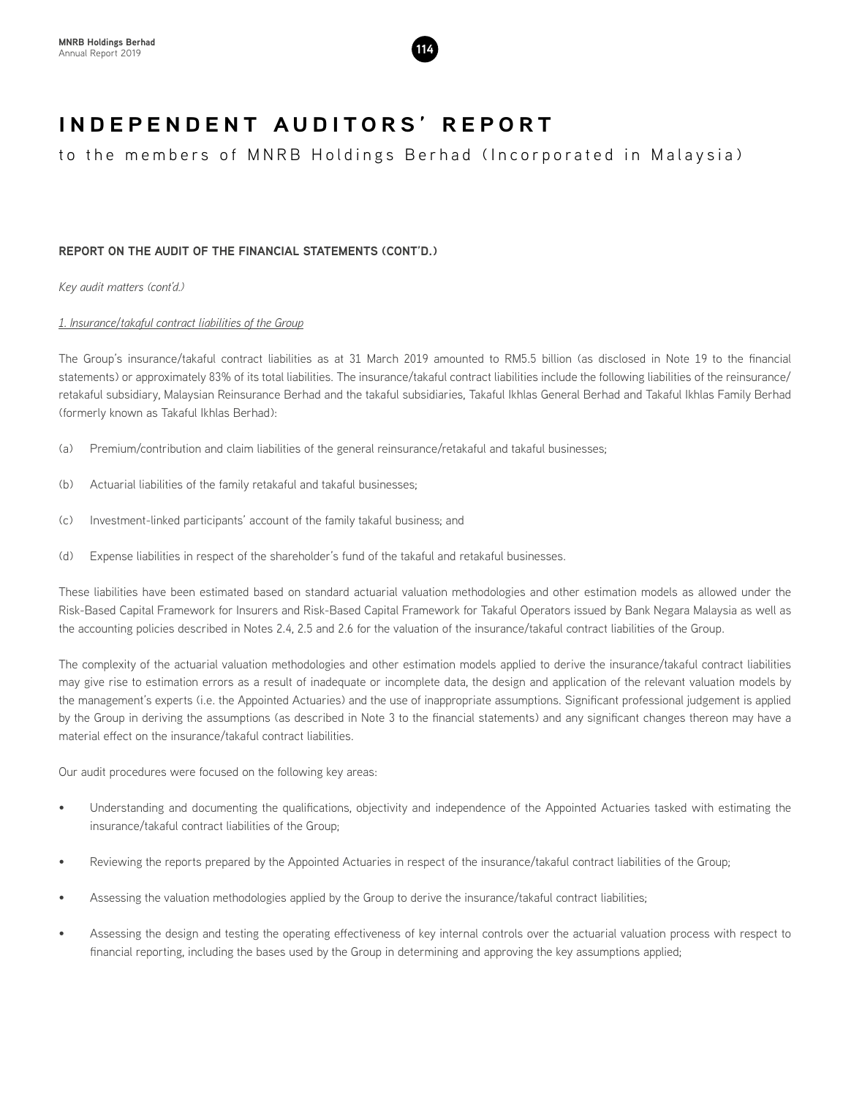

to the members of MNRB Holdings Berhad (Incorporated in Malaysia)

# **REPORT ON THE AUDIT OF THE FINANCIAL STATEMENTS (CONT'D.)**

*Key audit matters (cont'd.)*

# *1. Insurance/takaful contract liabilities of the Group*

The Group's insurance/takaful contract liabilities as at 31 March 2019 amounted to RM5.5 billion (as disclosed in Note 19 to the financial statements) or approximately 83% of its total liabilities. The insurance/takaful contract liabilities include the following liabilities of the reinsurance/ retakaful subsidiary, Malaysian Reinsurance Berhad and the takaful subsidiaries, Takaful Ikhlas General Berhad and Takaful Ikhlas Family Berhad (formerly known as Takaful Ikhlas Berhad):

- (a) Premium/contribution and claim liabilities of the general reinsurance/retakaful and takaful businesses;
- (b) Actuarial liabilities of the family retakaful and takaful businesses;
- (c) Investment-linked participants' account of the family takaful business; and
- (d) Expense liabilities in respect of the shareholder's fund of the takaful and retakaful businesses.

These liabilities have been estimated based on standard actuarial valuation methodologies and other estimation models as allowed under the Risk-Based Capital Framework for Insurers and Risk-Based Capital Framework for Takaful Operators issued by Bank Negara Malaysia as well as the accounting policies described in Notes 2.4, 2.5 and 2.6 for the valuation of the insurance/takaful contract liabilities of the Group.

The complexity of the actuarial valuation methodologies and other estimation models applied to derive the insurance/takaful contract liabilities may give rise to estimation errors as a result of inadequate or incomplete data, the design and application of the relevant valuation models by the management's experts (i.e. the Appointed Actuaries) and the use of inappropriate assumptions. Significant professional judgement is applied by the Group in deriving the assumptions (as described in Note 3 to the financial statements) and any significant changes thereon may have a material effect on the insurance/takaful contract liabilities.

Our audit procedures were focused on the following key areas:

- Understanding and documenting the qualifications, objectivity and independence of the Appointed Actuaries tasked with estimating the insurance/takaful contract liabilities of the Group;
- Reviewing the reports prepared by the Appointed Actuaries in respect of the insurance/takaful contract liabilities of the Group;
- Assessing the valuation methodologies applied by the Group to derive the insurance/takaful contract liabilities;
- Assessing the design and testing the operating effectiveness of key internal controls over the actuarial valuation process with respect to financial reporting, including the bases used by the Group in determining and approving the key assumptions applied;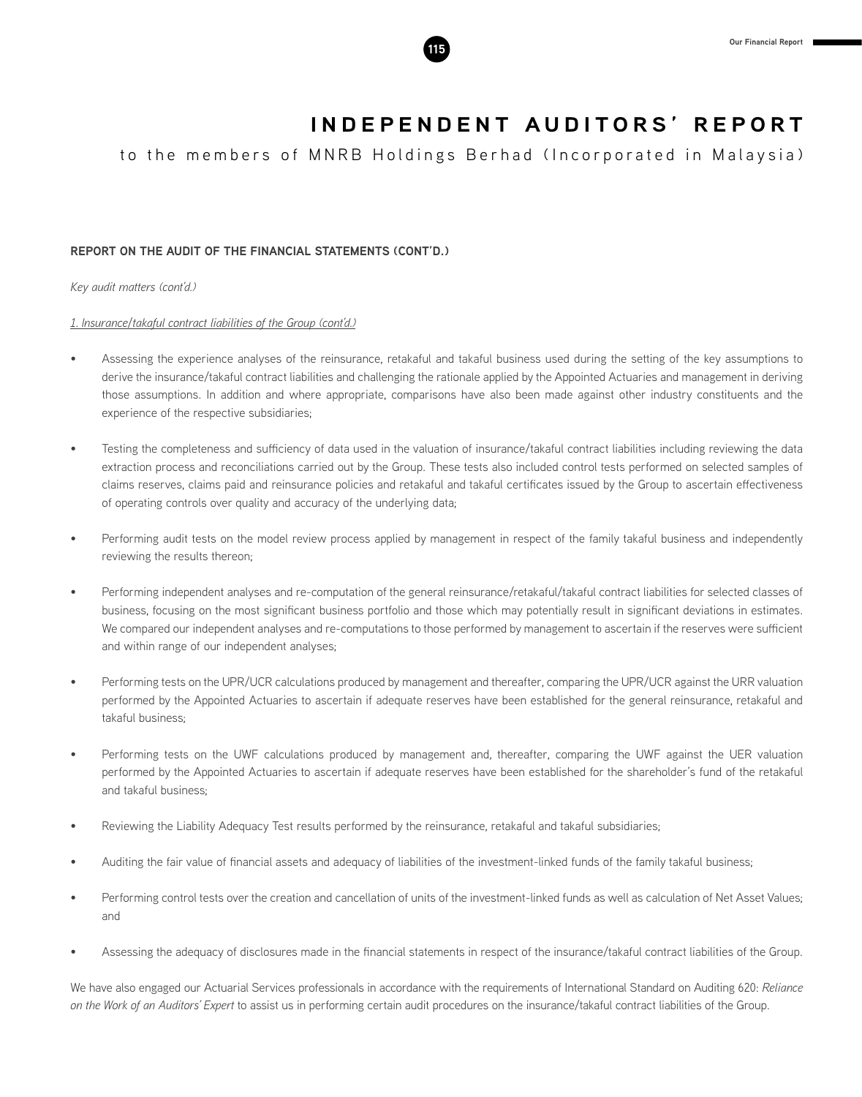

to the members of MNRB Holdings Berhad (Incorporated in Malaysia)

# **REPORT ON THE AUDIT OF THE FINANCIAL STATEMENTS (CONT'D.)**

*Key audit matters (cont'd.)*

# *1. Insurance/takaful contract liabilities of the Group (cont'd.)*

- Assessing the experience analyses of the reinsurance, retakaful and takaful business used during the setting of the key assumptions to derive the insurance/takaful contract liabilities and challenging the rationale applied by the Appointed Actuaries and management in deriving those assumptions. In addition and where appropriate, comparisons have also been made against other industry constituents and the experience of the respective subsidiaries;
- Testing the completeness and sufficiency of data used in the valuation of insurance/takaful contract liabilities including reviewing the data extraction process and reconciliations carried out by the Group. These tests also included control tests performed on selected samples of claims reserves, claims paid and reinsurance policies and retakaful and takaful certificates issued by the Group to ascertain effectiveness of operating controls over quality and accuracy of the underlying data;
- Performing audit tests on the model review process applied by management in respect of the family takaful business and independently reviewing the results thereon;
- Performing independent analyses and re-computation of the general reinsurance/retakaful/takaful contract liabilities for selected classes of business, focusing on the most significant business portfolio and those which may potentially result in significant deviations in estimates. We compared our independent analyses and re-computations to those performed by management to ascertain if the reserves were sufficient and within range of our independent analyses;
- Performing tests on the UPR/UCR calculations produced by management and thereafter, comparing the UPR/UCR against the URR valuation performed by the Appointed Actuaries to ascertain if adequate reserves have been established for the general reinsurance, retakaful and takaful business;
- Performing tests on the UWF calculations produced by management and, thereafter, comparing the UWF against the UER valuation performed by the Appointed Actuaries to ascertain if adequate reserves have been established for the shareholder's fund of the retakaful and takaful business;
- Reviewing the Liability Adequacy Test results performed by the reinsurance, retakaful and takaful subsidiaries;
- Auditing the fair value of financial assets and adequacy of liabilities of the investment-linked funds of the family takaful business;
- Performing control tests over the creation and cancellation of units of the investment-linked funds as well as calculation of Net Asset Values; and
- Assessing the adequacy of disclosures made in the financial statements in respect of the insurance/takaful contract liabilities of the Group.

We have also engaged our Actuarial Services professionals in accordance with the requirements of International Standard on Auditing 620: *Reliance on the Work of an Auditors' Expert* to assist us in performing certain audit procedures on the insurance/takaful contract liabilities of the Group.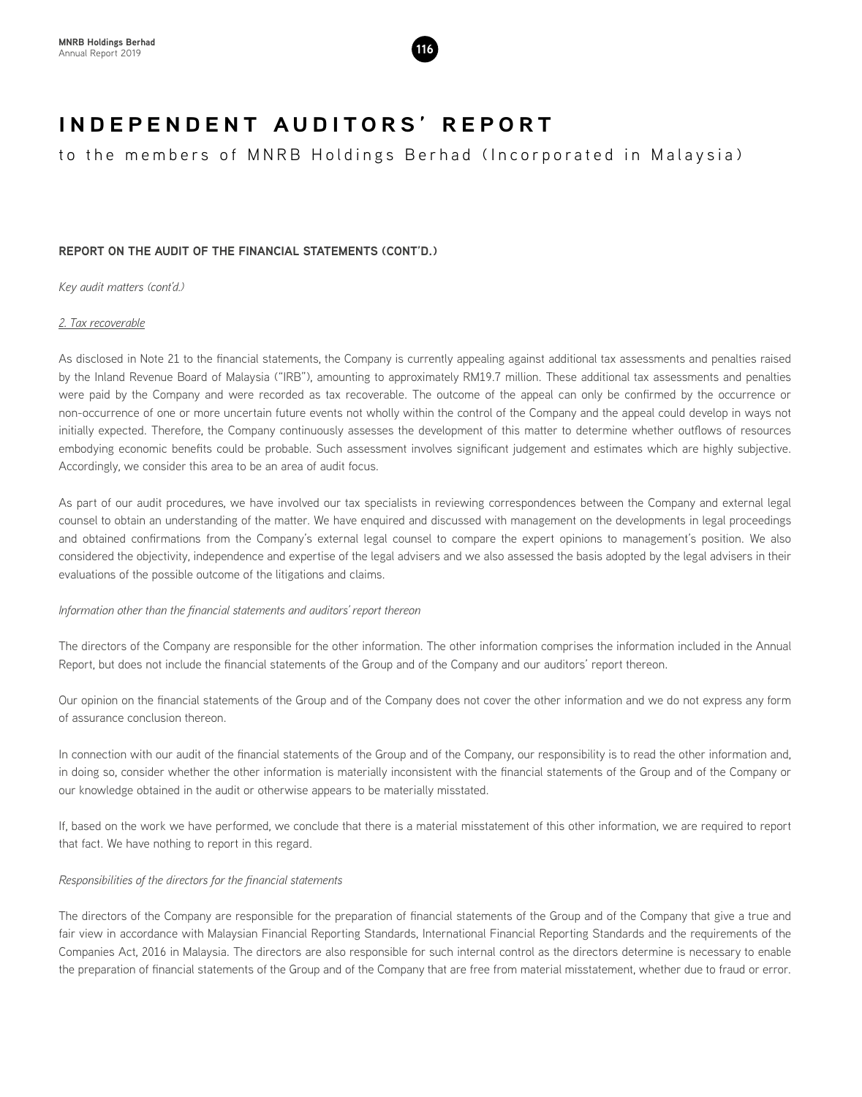

to the members of MNRB Holdings Berhad (Incorporated in Malaysia)

# **REPORT ON THE AUDIT OF THE FINANCIAL STATEMENTS (CONT'D.)**

*Key audit matters (cont'd.)*

# *2. Tax recoverable*

As disclosed in Note 21 to the financial statements, the Company is currently appealing against additional tax assessments and penalties raised by the Inland Revenue Board of Malaysia ("IRB"), amounting to approximately RM19.7 million. These additional tax assessments and penalties were paid by the Company and were recorded as tax recoverable. The outcome of the appeal can only be confirmed by the occurrence or non-occurrence of one or more uncertain future events not wholly within the control of the Company and the appeal could develop in ways not initially expected. Therefore, the Company continuously assesses the development of this matter to determine whether outflows of resources embodying economic benefits could be probable. Such assessment involves significant judgement and estimates which are highly subjective. Accordingly, we consider this area to be an area of audit focus.

As part of our audit procedures, we have involved our tax specialists in reviewing correspondences between the Company and external legal counsel to obtain an understanding of the matter. We have enquired and discussed with management on the developments in legal proceedings and obtained confirmations from the Company's external legal counsel to compare the expert opinions to management's position. We also considered the objectivity, independence and expertise of the legal advisers and we also assessed the basis adopted by the legal advisers in their evaluations of the possible outcome of the litigations and claims.

# *Information other than the financial statements and auditors' report thereon*

The directors of the Company are responsible for the other information. The other information comprises the information included in the Annual Report, but does not include the financial statements of the Group and of the Company and our auditors' report thereon.

Our opinion on the financial statements of the Group and of the Company does not cover the other information and we do not express any form of assurance conclusion thereon.

In connection with our audit of the financial statements of the Group and of the Company, our responsibility is to read the other information and, in doing so, consider whether the other information is materially inconsistent with the financial statements of the Group and of the Company or our knowledge obtained in the audit or otherwise appears to be materially misstated.

If, based on the work we have performed, we conclude that there is a material misstatement of this other information, we are required to report that fact. We have nothing to report in this regard.

# *Responsibilities of the directors for the financial statements*

The directors of the Company are responsible for the preparation of financial statements of the Group and of the Company that give a true and fair view in accordance with Malaysian Financial Reporting Standards, International Financial Reporting Standards and the requirements of the Companies Act, 2016 in Malaysia. The directors are also responsible for such internal control as the directors determine is necessary to enable the preparation of financial statements of the Group and of the Company that are free from material misstatement, whether due to fraud or error.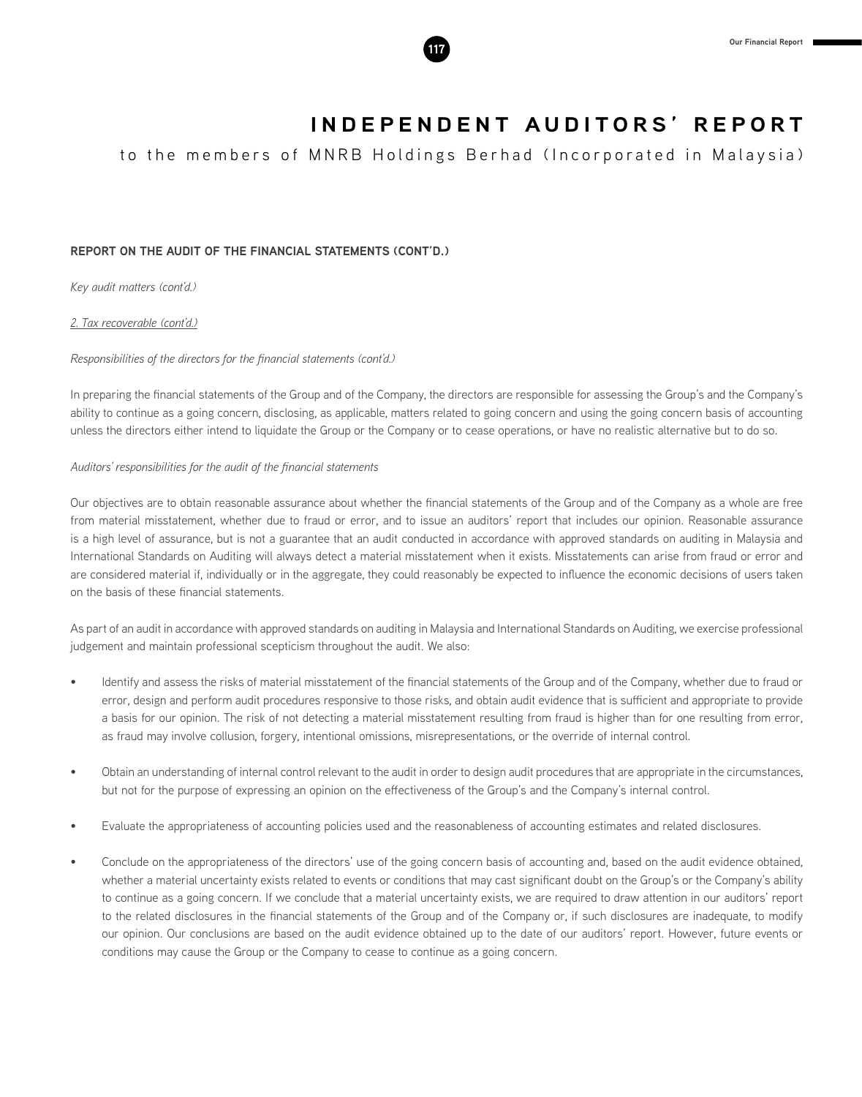

to the members of MNRB Holdings Berhad (Incorporated in Malaysia)

# **REPORT ON THE AUDIT OF THE FINANCIAL STATEMENTS (CONT'D.)**

*Key audit matters (cont'd.)*

*2. Tax recoverable (cont'd.)*

# *Responsibilities of the directors for the financial statements (cont'd.)*

In preparing the financial statements of the Group and of the Company, the directors are responsible for assessing the Group's and the Company's ability to continue as a going concern, disclosing, as applicable, matters related to going concern and using the going concern basis of accounting unless the directors either intend to liquidate the Group or the Company or to cease operations, or have no realistic alternative but to do so.

# *Auditors' responsibilities for the audit of the financial statements*

Our objectives are to obtain reasonable assurance about whether the financial statements of the Group and of the Company as a whole are free from material misstatement, whether due to fraud or error, and to issue an auditors' report that includes our opinion. Reasonable assurance is a high level of assurance, but is not a guarantee that an audit conducted in accordance with approved standards on auditing in Malaysia and International Standards on Auditing will always detect a material misstatement when it exists. Misstatements can arise from fraud or error and are considered material if, individually or in the aggregate, they could reasonably be expected to influence the economic decisions of users taken on the basis of these financial statements.

As part of an audit in accordance with approved standards on auditing in Malaysia and International Standards on Auditing, we exercise professional judgement and maintain professional scepticism throughout the audit. We also:

- Identify and assess the risks of material misstatement of the financial statements of the Group and of the Company, whether due to fraud or error, design and perform audit procedures responsive to those risks, and obtain audit evidence that is sufficient and appropriate to provide a basis for our opinion. The risk of not detecting a material misstatement resulting from fraud is higher than for one resulting from error, as fraud may involve collusion, forgery, intentional omissions, misrepresentations, or the override of internal control.
- Obtain an understanding of internal control relevant to the audit in order to design audit procedures that are appropriate in the circumstances, but not for the purpose of expressing an opinion on the effectiveness of the Group's and the Company's internal control.
- Evaluate the appropriateness of accounting policies used and the reasonableness of accounting estimates and related disclosures.
- Conclude on the appropriateness of the directors' use of the going concern basis of accounting and, based on the audit evidence obtained, whether a material uncertainty exists related to events or conditions that may cast significant doubt on the Group's or the Company's ability to continue as a going concern. If we conclude that a material uncertainty exists, we are required to draw attention in our auditors' report to the related disclosures in the financial statements of the Group and of the Company or, if such disclosures are inadequate, to modify our opinion. Our conclusions are based on the audit evidence obtained up to the date of our auditors' report. However, future events or conditions may cause the Group or the Company to cease to continue as a going concern.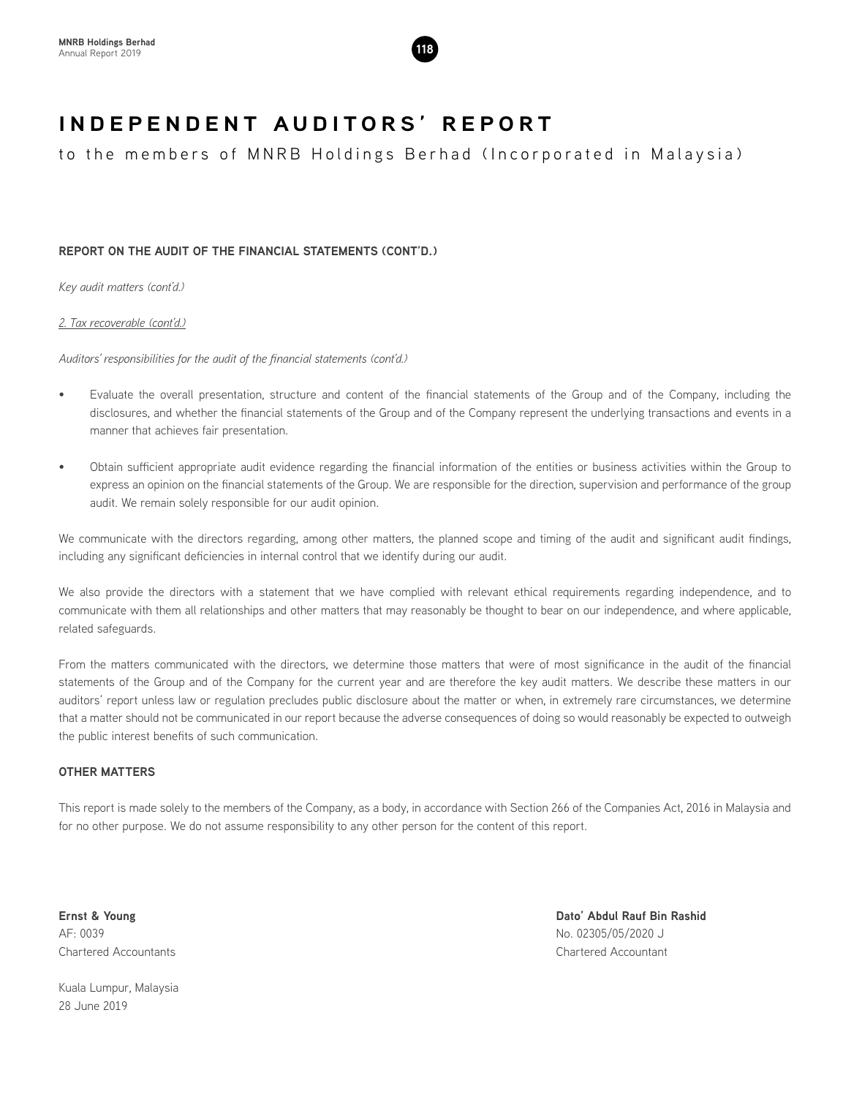

to the members of MNRB Holdings Berhad (Incorporated in Malaysia)

# **REPORT ON THE AUDIT OF THE FINANCIAL STATEMENTS (CONT'D.)**

*Key audit matters (cont'd.)*

*2. Tax recoverable (cont'd.)*

*Auditors' responsibilities for the audit of the financial statements (cont'd.)*

- Evaluate the overall presentation, structure and content of the financial statements of the Group and of the Company, including the disclosures, and whether the financial statements of the Group and of the Company represent the underlying transactions and events in a manner that achieves fair presentation.
- Obtain sufficient appropriate audit evidence regarding the financial information of the entities or business activities within the Group to express an opinion on the financial statements of the Group. We are responsible for the direction, supervision and performance of the group audit. We remain solely responsible for our audit opinion.

We communicate with the directors regarding, among other matters, the planned scope and timing of the audit and significant audit findings, including any significant deficiencies in internal control that we identify during our audit.

We also provide the directors with a statement that we have complied with relevant ethical requirements regarding independence, and to communicate with them all relationships and other matters that may reasonably be thought to bear on our independence, and where applicable, related safeguards.

From the matters communicated with the directors, we determine those matters that were of most significance in the audit of the financial statements of the Group and of the Company for the current year and are therefore the key audit matters. We describe these matters in our auditors' report unless law or regulation precludes public disclosure about the matter or when, in extremely rare circumstances, we determine that a matter should not be communicated in our report because the adverse consequences of doing so would reasonably be expected to outweigh the public interest benefits of such communication.

# **OTHER MATTERS**

This report is made solely to the members of the Company, as a body, in accordance with Section 266 of the Companies Act, 2016 in Malaysia and for no other purpose. We do not assume responsibility to any other person for the content of this report.

AF: 0039 No. 02305/05/2020 J Chartered Accountants Chartered Accountant

**Ernst & Young Dato' Abdul Rauf Bin Rashid**

Kuala Lumpur, Malaysia 28 June 2019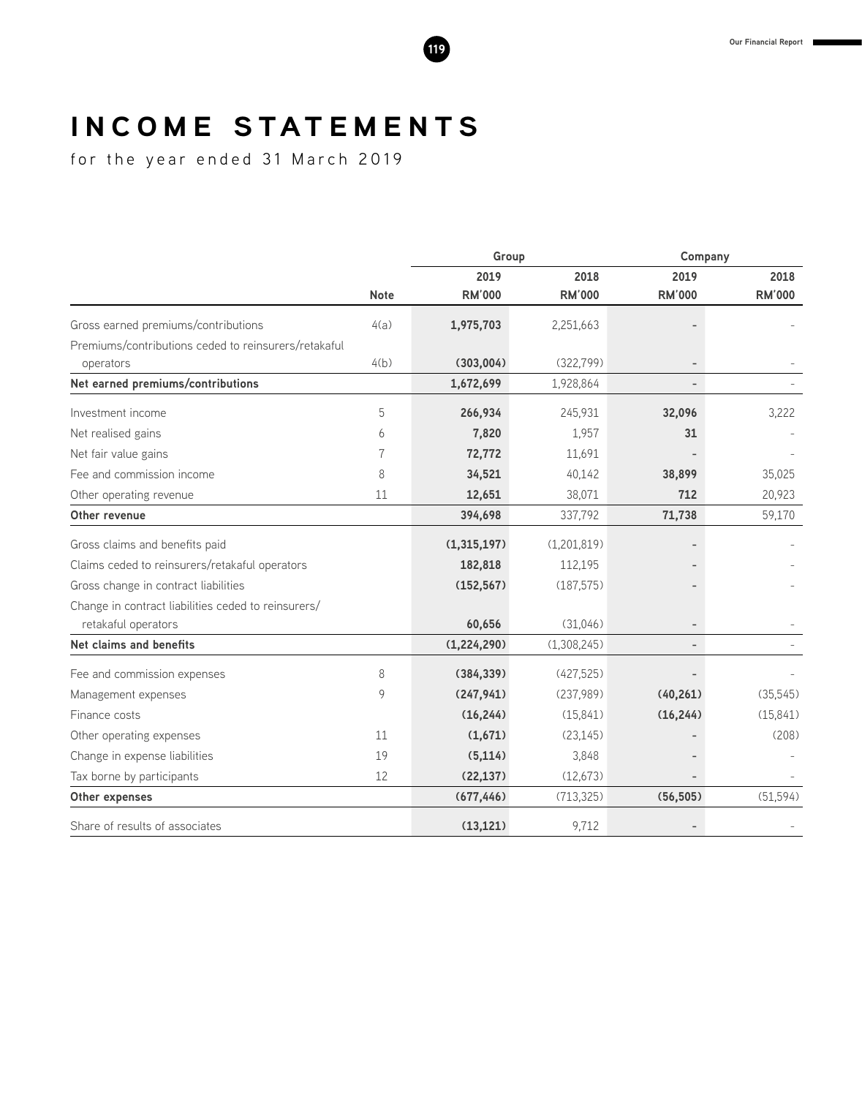# **I N C O M E S TAT E M E N T S**

for the year ended 31 March 2019

|                                                      |             | Group         |               | Company                  |               |
|------------------------------------------------------|-------------|---------------|---------------|--------------------------|---------------|
|                                                      |             | 2019          | 2018          | 2019                     | 2018          |
|                                                      | <b>Note</b> | <b>RM'000</b> | <b>RM'000</b> | <b>RM'000</b>            | <b>RM'000</b> |
| Gross earned premiums/contributions                  | 4(a)        | 1,975,703     | 2,251,663     |                          |               |
| Premiums/contributions ceded to reinsurers/retakaful |             |               |               |                          |               |
| operators                                            | 4(b)        | (303,004)     | (322, 799)    |                          |               |
| Net earned premiums/contributions                    |             | 1,672,699     | 1,928,864     |                          |               |
| Investment income                                    | 5           | 266,934       | 245,931       | 32,096                   | 3,222         |
| Net realised gains                                   | 6           | 7,820         | 1,957         | 31                       |               |
| Net fair value gains                                 | 7           | 72,772        | 11,691        |                          |               |
| Fee and commission income                            | 8           | 34,521        | 40,142        | 38,899                   | 35,025        |
| Other operating revenue                              | 11          | 12,651        | 38,071        | 712                      | 20,923        |
| Other revenue                                        |             | 394,698       | 337,792       | 71,738                   | 59,170        |
| Gross claims and benefits paid                       |             | (1,315,197)   | (1,201,819)   |                          |               |
| Claims ceded to reinsurers/retakaful operators       |             | 182,818       | 112,195       |                          |               |
| Gross change in contract liabilities                 |             | (152, 567)    | (187, 575)    |                          |               |
| Change in contract liabilities ceded to reinsurers/  |             |               |               |                          |               |
| retakaful operators                                  |             | 60,656        | (31,046)      |                          |               |
| Net claims and benefits                              |             | (1,224,290)   | (1,308,245)   | $\overline{\phantom{0}}$ |               |
| Fee and commission expenses                          | 8           | (384, 339)    | (427, 525)    |                          |               |
| Management expenses                                  | 9           | (247, 941)    | (237,989)     | (40, 261)                | (35, 545)     |
| Finance costs                                        |             | (16, 244)     | (15, 841)     | (16, 244)                | (15, 841)     |
| Other operating expenses                             | 11          | (1,671)       | (23, 145)     |                          | (208)         |
| Change in expense liabilities                        | 19          | (5, 114)      | 3,848         |                          |               |
| Tax borne by participants                            | 12          | (22, 137)     | (12,673)      |                          |               |
| Other expenses                                       |             | (677, 446)    | (713, 325)    | (56, 505)                | (51, 594)     |
| Share of results of associates                       |             | (13, 121)     | 9,712         |                          |               |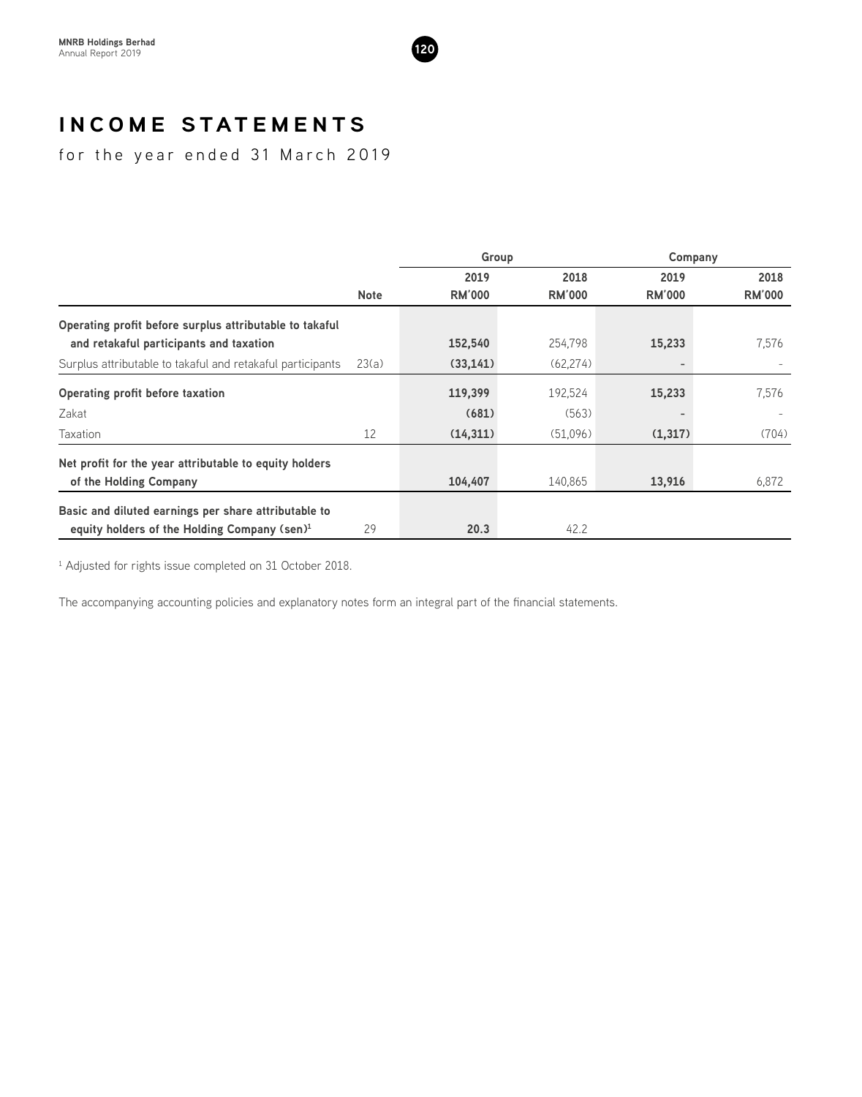

# **I N C O M E S TAT E M E N T S**

for the year ended 31 March 2019

|                                                            |             | Group         |               | Company       |               |
|------------------------------------------------------------|-------------|---------------|---------------|---------------|---------------|
|                                                            |             | 2019          | 2018          | 2019          | 2018          |
|                                                            | <b>Note</b> | <b>RM'000</b> | <b>RM'000</b> | <b>RM'000</b> | <b>RM'000</b> |
| Operating profit before surplus attributable to takaful    |             |               |               |               |               |
| and retakaful participants and taxation                    |             | 152,540       | 254.798       | 15,233        | 7,576         |
| Surplus attributable to takaful and retakaful participants | 23(a)       | (33, 141)     | (62, 274)     |               |               |
| Operating profit before taxation                           |             | 119,399       | 192,524       | 15,233        | 7,576         |
| Zakat                                                      |             | (681)         | (563)         |               |               |
| Taxation                                                   | 12          | (14,311)      | (51,096)      | (1,317)       | (704)         |
| Net profit for the year attributable to equity holders     |             |               |               |               |               |
| of the Holding Company                                     |             | 104,407       | 140,865       | 13,916        | 6,872         |
| Basic and diluted earnings per share attributable to       |             |               |               |               |               |
| equity holders of the Holding Company (sen) <sup>1</sup>   | 29          | 20.3          | 42.2          |               |               |

<sup>1</sup> Adjusted for rights issue completed on 31 October 2018.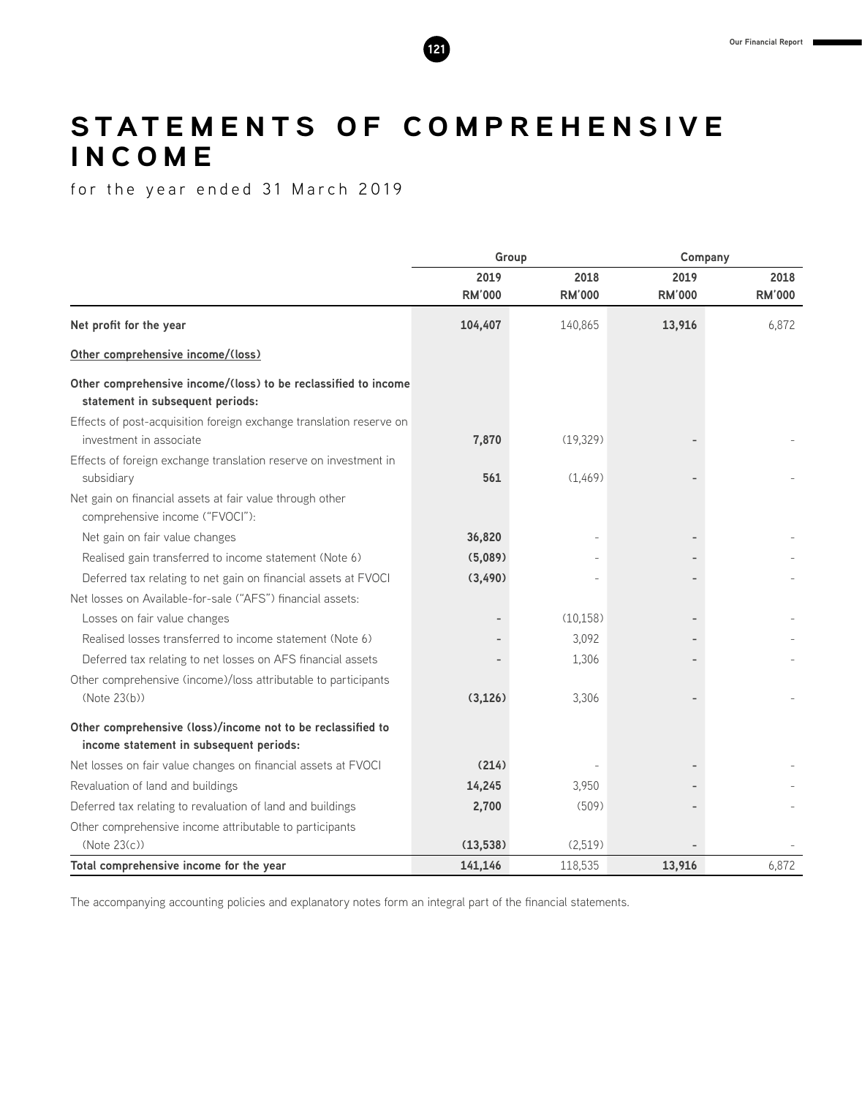# STATEMENTS OF COMPREHENSIVE **I N C O M E**

for the year ended 31 March 2019

|                                                                                                        | Group                 |                       |                       | Company               |  |
|--------------------------------------------------------------------------------------------------------|-----------------------|-----------------------|-----------------------|-----------------------|--|
|                                                                                                        | 2019<br><b>RM'000</b> | 2018<br><b>RM'000</b> | 2019<br><b>RM'000</b> | 2018<br><b>RM'000</b> |  |
| Net profit for the year                                                                                | 104,407               | 140,865               | 13,916                | 6,872                 |  |
| Other comprehensive income/(loss)                                                                      |                       |                       |                       |                       |  |
| Other comprehensive income/(loss) to be reclassified to income<br>statement in subsequent periods:     |                       |                       |                       |                       |  |
| Effects of post-acquisition foreign exchange translation reserve on<br>investment in associate         | 7,870                 | (19, 329)             |                       |                       |  |
| Effects of foreign exchange translation reserve on investment in<br>subsidiary                         | 561                   | (1,469)               |                       |                       |  |
| Net gain on financial assets at fair value through other<br>comprehensive income ("FVOCI"):            |                       |                       |                       |                       |  |
| Net gain on fair value changes                                                                         | 36,820                |                       |                       |                       |  |
| Realised gain transferred to income statement (Note 6)                                                 | (5,089)               |                       |                       |                       |  |
| Deferred tax relating to net gain on financial assets at FVOCI                                         | (3,490)               |                       |                       |                       |  |
| Net losses on Available-for-sale ("AFS") financial assets:                                             |                       |                       |                       |                       |  |
| Losses on fair value changes                                                                           |                       | (10, 158)             |                       |                       |  |
| Realised losses transferred to income statement (Note 6)                                               |                       | 3,092                 |                       |                       |  |
| Deferred tax relating to net losses on AFS financial assets                                            |                       | 1,306                 |                       |                       |  |
| Other comprehensive (income)/loss attributable to participants<br>(Note 23(b))                         | (3, 126)              | 3,306                 |                       |                       |  |
| Other comprehensive (loss)/income not to be reclassified to<br>income statement in subsequent periods: |                       |                       |                       |                       |  |
| Net losses on fair value changes on financial assets at FVOCI                                          | (214)                 |                       |                       |                       |  |
| Revaluation of land and buildings                                                                      | 14,245                | 3,950                 |                       |                       |  |
| Deferred tax relating to revaluation of land and buildings                                             | 2,700                 | (509)                 |                       |                       |  |
| Other comprehensive income attributable to participants                                                |                       |                       |                       |                       |  |
| (Note 23(c))                                                                                           | (13,538)              | (2,519)               |                       |                       |  |
| Total comprehensive income for the year                                                                | 141,146               | 118,535               | 13,916                | 6,872                 |  |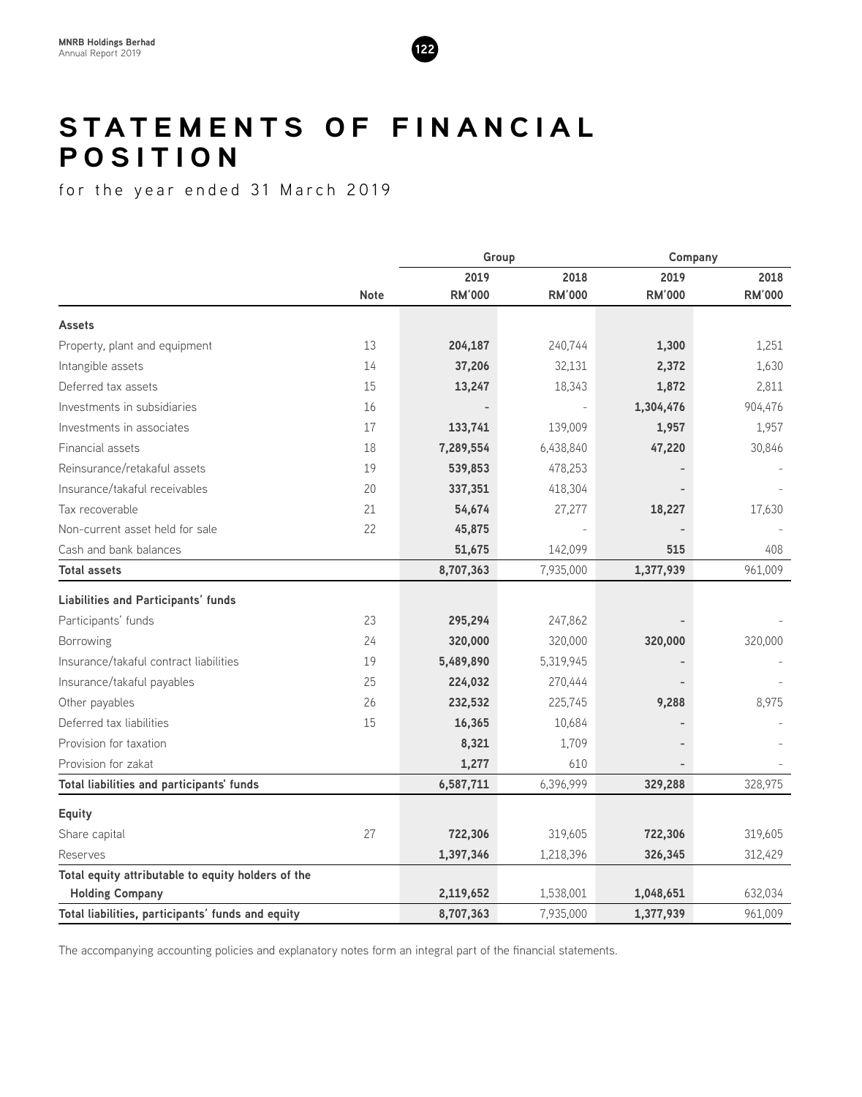

# **STATEMENTS OF FINANCIAL P O S I T I O N**

for the year ended 31 March 2019

|                                                    |             | Group         |               | Company       |               |
|----------------------------------------------------|-------------|---------------|---------------|---------------|---------------|
|                                                    |             | 2019          | 2018          | 2019          | 2018          |
|                                                    | <b>Note</b> | <b>RM'000</b> | <b>RM'000</b> | <b>RM'000</b> | <b>RM'000</b> |
| <b>Assets</b>                                      |             |               |               |               |               |
| Property, plant and equipment                      | 13          | 204,187       | 240,744       | 1,300         | 1,251         |
| Intangible assets                                  | 14          | 37,206        | 32,131        | 2,372         | 1,630         |
| Deferred tax assets                                | 15          | 13,247        | 18,343        | 1,872         | 2,811         |
| Investments in subsidiaries                        | 16          |               |               | 1,304,476     | 904,476       |
| Investments in associates                          | 17          | 133,741       | 139,009       | 1,957         | 1,957         |
| <b>Financial assets</b>                            | 18          | 7,289,554     | 6,438,840     | 47,220        | 30,846        |
| Reinsurance/retakaful assets                       | 19          | 539,853       | 478,253       |               |               |
| Insurance/takaful receivables                      | 20          | 337,351       | 418,304       |               |               |
| Tax recoverable                                    | 21          | 54,674        | 27,277        | 18,227        | 17,630        |
| Non-current asset held for sale                    | 22          | 45,875        |               |               |               |
| Cash and bank balances                             |             | 51,675        | 142,099       | 515           | 408           |
| <b>Total assets</b>                                |             | 8,707,363     | 7,935,000     | 1,377,939     | 961,009       |
| <b>Liabilities and Participants' funds</b>         |             |               |               |               |               |
| Participants' funds                                | 23          | 295,294       | 247,862       |               |               |
| Borrowing                                          | 24          | 320,000       | 320,000       | 320,000       | 320,000       |
| Insurance/takaful contract liabilities             | 19          | 5,489,890     | 5,319,945     |               |               |
| Insurance/takaful payables                         | 25          | 224,032       | 270,444       |               |               |
| Other payables                                     | 26          | 232,532       | 225,745       | 9,288         | 8,975         |
| Deferred tax liabilities                           | 15          | 16,365        | 10,684        |               |               |
| Provision for taxation                             |             | 8,321         | 1,709         |               |               |
| Provision for zakat                                |             | 1,277         | 610           |               |               |
| Total liabilities and participants' funds          |             | 6,587,711     | 6,396,999     | 329,288       | 328,975       |
| <b>Equity</b>                                      |             |               |               |               |               |
| Share capital                                      | 27          | 722,306       | 319,605       | 722,306       | 319,605       |
| Reserves                                           |             | 1,397,346     | 1,218,396     | 326,345       | 312,429       |
| Total equity attributable to equity holders of the |             |               |               |               |               |
| <b>Holding Company</b>                             |             | 2,119,652     | 1,538,001     | 1,048,651     | 632,034       |
| Total liabilities, participants' funds and equity  |             | 8,707,363     | 7,935,000     | 1,377,939     | 961,009       |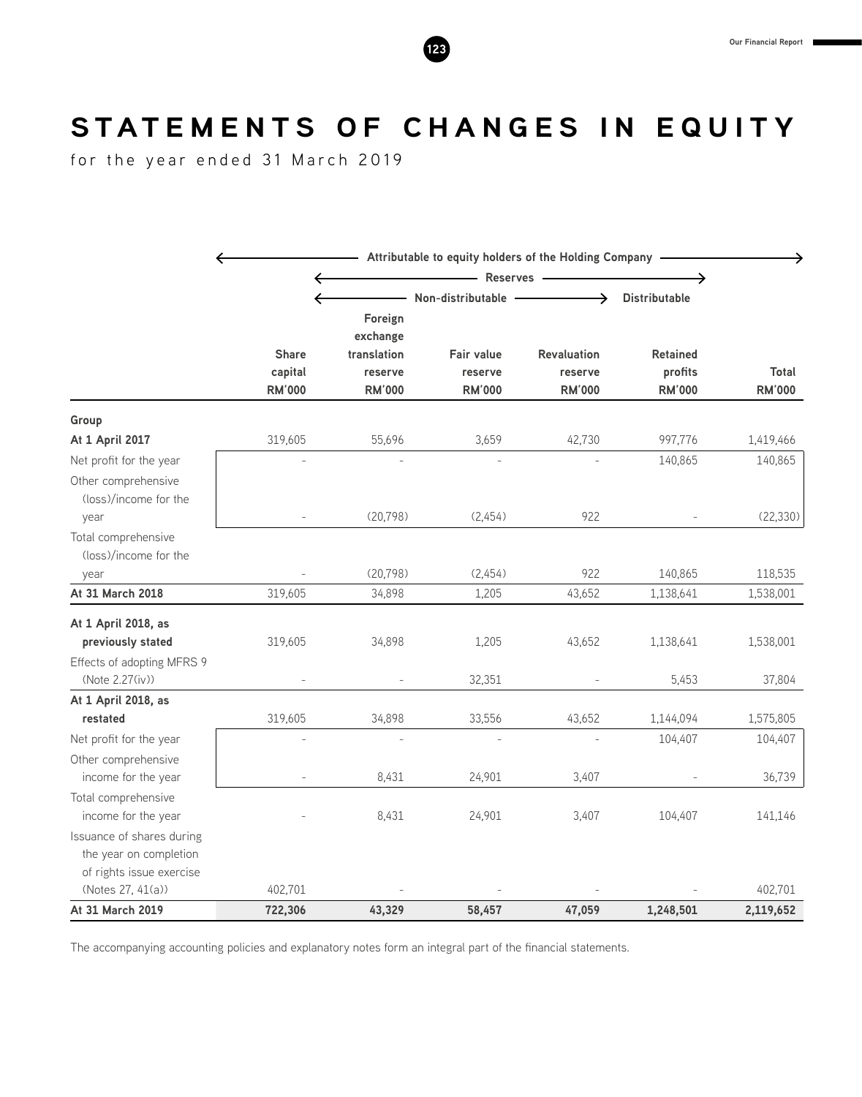# STATEMENTS OF CHANGES IN EQUITY

for the year ended 31 March 2019

|                            | Attributable to equity holders of the Holding Company - |                          |                           |                          |                          |                               |  |
|----------------------------|---------------------------------------------------------|--------------------------|---------------------------|--------------------------|--------------------------|-------------------------------|--|
|                            | ←                                                       |                          | - Reserves -              |                          |                          |                               |  |
|                            | ←                                                       |                          | $-$ Non-distributable $-$ |                          | <b>Distributable</b>     |                               |  |
|                            |                                                         | Foreign                  |                           |                          |                          |                               |  |
|                            |                                                         | exchange                 |                           |                          |                          |                               |  |
|                            | <b>Share</b>                                            | translation              | <b>Fair value</b>         | Revaluation              | <b>Retained</b>          |                               |  |
|                            | capital<br><b>RM'000</b>                                | reserve<br><b>RM'000</b> | reserve<br><b>RM'000</b>  | reserve<br><b>RM'000</b> | profits<br><b>RM'000</b> | <b>Total</b><br><b>RM'000</b> |  |
|                            |                                                         |                          |                           |                          |                          |                               |  |
| Group                      |                                                         |                          |                           |                          |                          |                               |  |
| At 1 April 2017            | 319,605                                                 | 55,696                   | 3,659                     | 42,730                   | 997,776                  | 1,419,466                     |  |
| Net profit for the year    |                                                         |                          |                           |                          | 140,865                  | 140,865                       |  |
| Other comprehensive        |                                                         |                          |                           |                          |                          |                               |  |
| (loss)/income for the      |                                                         |                          |                           |                          |                          |                               |  |
| year                       |                                                         | (20, 798)                | (2,454)                   | 922                      |                          | (22, 330)                     |  |
| Total comprehensive        |                                                         |                          |                           |                          |                          |                               |  |
| (loss)/income for the      |                                                         |                          |                           |                          |                          |                               |  |
| year                       |                                                         | (20, 798)                | (2,454)                   | 922                      | 140,865                  | 118,535                       |  |
| At 31 March 2018           | 319,605                                                 | 34,898                   | 1,205                     | 43,652                   | 1,138,641                | 1,538,001                     |  |
| At 1 April 2018, as        |                                                         |                          |                           |                          |                          |                               |  |
| previously stated          | 319,605                                                 | 34,898                   | 1,205                     | 43,652                   | 1,138,641                | 1,538,001                     |  |
| Effects of adopting MFRS 9 |                                                         |                          |                           |                          |                          |                               |  |
| (Note 2.27(iv))            |                                                         |                          | 32,351                    |                          | 5,453                    | 37,804                        |  |
| At 1 April 2018, as        |                                                         |                          |                           |                          |                          |                               |  |
| restated                   | 319,605                                                 | 34,898                   | 33,556                    | 43,652                   | 1,144,094                | 1,575,805                     |  |
| Net profit for the year    |                                                         |                          |                           |                          | 104,407                  | 104,407                       |  |
| Other comprehensive        |                                                         |                          |                           |                          |                          |                               |  |
| income for the year        |                                                         | 8,431                    | 24,901                    | 3,407                    |                          | 36,739                        |  |
| Total comprehensive        |                                                         |                          |                           |                          |                          |                               |  |
| income for the year        |                                                         | 8,431                    | 24,901                    | 3,407                    | 104,407                  | 141,146                       |  |
| Issuance of shares during  |                                                         |                          |                           |                          |                          |                               |  |
| the year on completion     |                                                         |                          |                           |                          |                          |                               |  |
| of rights issue exercise   |                                                         |                          |                           |                          |                          |                               |  |
| (Notes 27, 41(a))          | 402,701                                                 |                          |                           |                          |                          | 402,701                       |  |
| At 31 March 2019           | 722,306                                                 | 43,329                   | 58,457                    | 47,059                   | 1,248,501                | 2,119,652                     |  |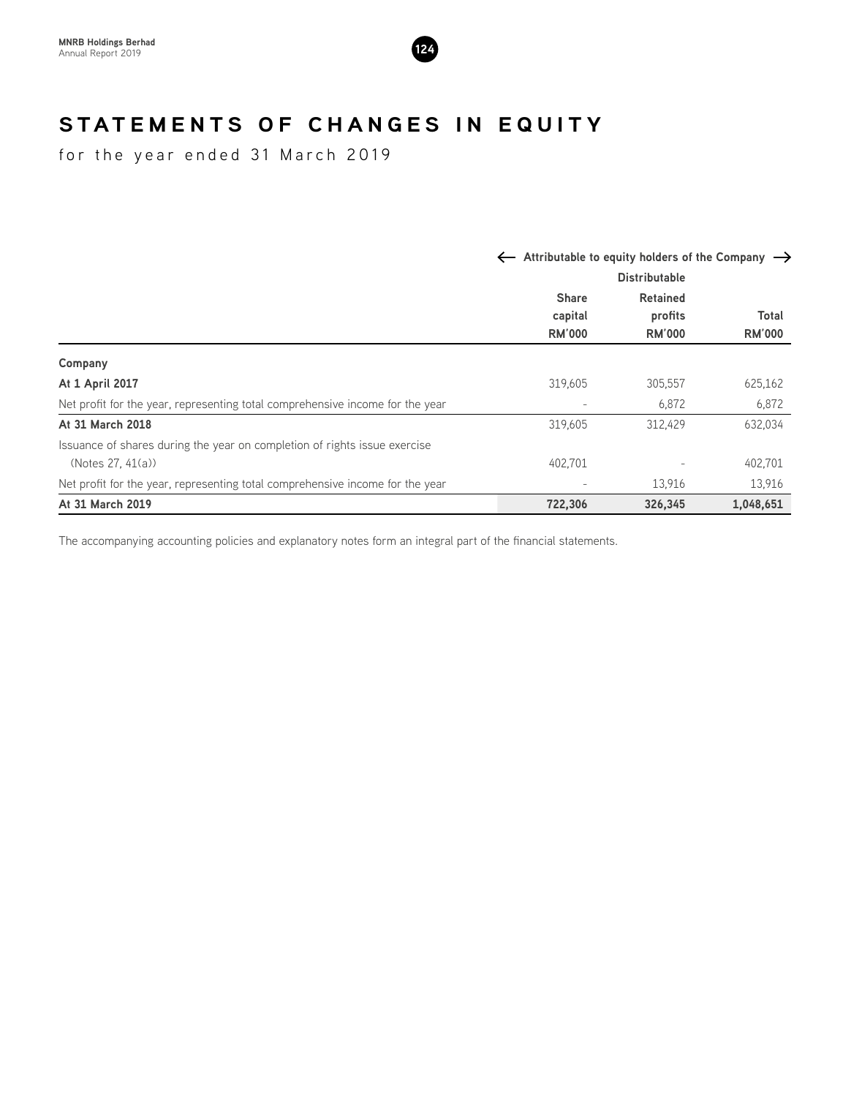

# STATEMENTS OF CHANGES IN EQUITY

for the year ended 31 March 2019

|                                                                               |               | $\leftarrow$ Attributable to equity holders of the Company $\rightarrow$ |                        |  |  |
|-------------------------------------------------------------------------------|---------------|--------------------------------------------------------------------------|------------------------|--|--|
|                                                                               |               | <b>Distributable</b>                                                     |                        |  |  |
|                                                                               | <b>Share</b>  | <b>Retained</b>                                                          |                        |  |  |
|                                                                               | capital       | profits                                                                  | Total<br><b>RM'000</b> |  |  |
|                                                                               | <b>RM'000</b> | <b>RM'000</b>                                                            |                        |  |  |
| Company                                                                       |               |                                                                          |                        |  |  |
| At 1 April 2017                                                               | 319,605       | 305,557                                                                  | 625,162                |  |  |
| Net profit for the year, representing total comprehensive income for the year |               | 6,872                                                                    | 6,872                  |  |  |
| At 31 March 2018                                                              | 319,605       | 312.429                                                                  | 632,034                |  |  |
| Issuance of shares during the year on completion of rights issue exercise     |               |                                                                          |                        |  |  |
| (Notes 27, 41(a))                                                             | 402.701       |                                                                          | 402,701                |  |  |
| Net profit for the year, representing total comprehensive income for the year |               | 13,916                                                                   | 13,916                 |  |  |
| At 31 March 2019                                                              | 722,306       | 326,345                                                                  | 1,048,651              |  |  |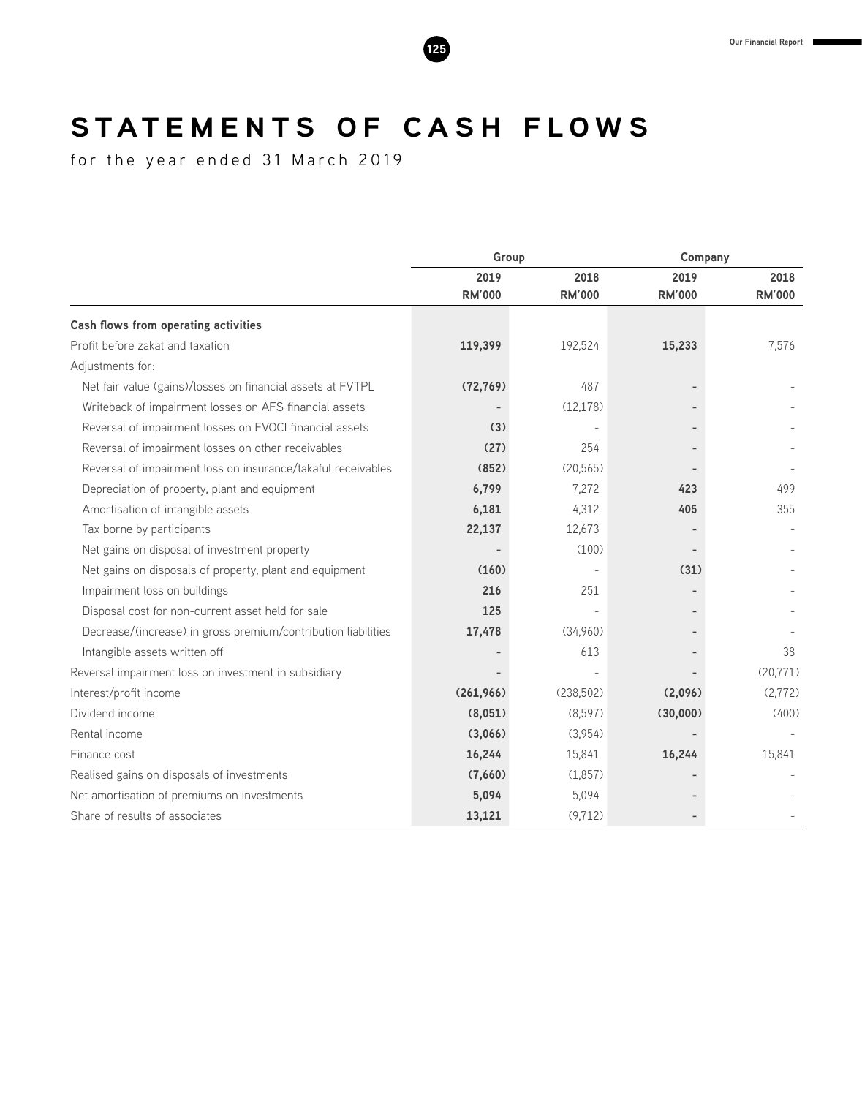# STATEMENTS OF CASH FLOWS

for the year ended 31 March 2019

|                                                               | Group         |               | Company       |               |  |
|---------------------------------------------------------------|---------------|---------------|---------------|---------------|--|
|                                                               | 2019          | 2018          | 2019          | 2018          |  |
|                                                               | <b>RM'000</b> | <b>RM'000</b> | <b>RM'000</b> | <b>RM'000</b> |  |
| Cash flows from operating activities                          |               |               |               |               |  |
| Profit before zakat and taxation                              | 119,399       | 192,524       | 15,233        | 7,576         |  |
| Adjustments for:                                              |               |               |               |               |  |
| Net fair value (gains)/losses on financial assets at FVTPL    | (72, 769)     | 487           |               |               |  |
| Writeback of impairment losses on AFS financial assets        |               | (12, 178)     |               |               |  |
| Reversal of impairment losses on FVOCI financial assets       | (3)           |               |               |               |  |
| Reversal of impairment losses on other receivables            | (27)          | 254           |               |               |  |
| Reversal of impairment loss on insurance/takaful receivables  | (852)         | (20.565)      |               |               |  |
| Depreciation of property, plant and equipment                 | 6,799         | 7,272         | 423           | 499           |  |
| Amortisation of intangible assets                             | 6,181         | 4,312         | 405           | 355           |  |
| Tax borne by participants                                     | 22,137        | 12,673        |               |               |  |
| Net gains on disposal of investment property                  |               | (100)         |               |               |  |
| Net gains on disposals of property, plant and equipment       | (160)         |               | (31)          |               |  |
| Impairment loss on buildings                                  | 216           | 251           |               |               |  |
| Disposal cost for non-current asset held for sale             | 125           |               |               |               |  |
| Decrease/(increase) in gross premium/contribution liabilities | 17,478        | (34,960)      |               |               |  |
| Intangible assets written off                                 |               | 613           |               | 38            |  |
| Reversal impairment loss on investment in subsidiary          |               |               |               | (20, 771)     |  |
| Interest/profit income                                        | (261, 966)    | (238,502)     | (2,096)       | (2,772)       |  |
| Dividend income                                               | (8,051)       | (8,597)       | (30,000)      | (400)         |  |
| Rental income                                                 | (3,066)       | (3,954)       |               |               |  |
| Finance cost                                                  | 16,244        | 15,841        | 16,244        | 15,841        |  |
| Realised gains on disposals of investments                    | (7,660)       | (1,857)       |               |               |  |
| Net amortisation of premiums on investments                   | 5,094         | 5,094         |               |               |  |
| Share of results of associates                                | 13,121        | (9, 712)      |               |               |  |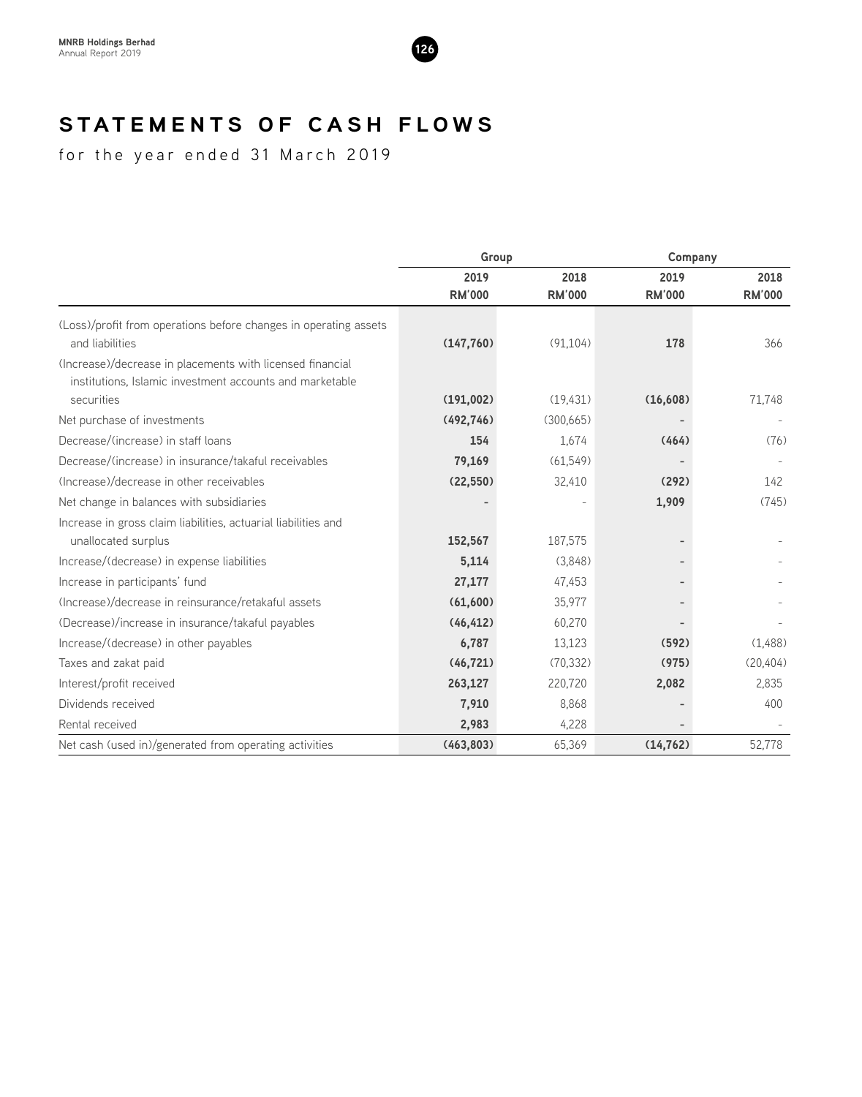

# **STATEMENTS OF CASH FLOWS**

for the year ended 31 March 2019

|                                                                                                                                     | Group         |               | Company       |               |  |
|-------------------------------------------------------------------------------------------------------------------------------------|---------------|---------------|---------------|---------------|--|
|                                                                                                                                     | 2019          | 2018          | 2019          | 2018          |  |
|                                                                                                                                     | <b>RM'000</b> | <b>RM'000</b> | <b>RM'000</b> | <b>RM'000</b> |  |
| (Loss)/profit from operations before changes in operating assets<br>and liabilities                                                 | (147, 760)    | (91, 104)     | 178           | 366           |  |
| (Increase)/decrease in placements with licensed financial<br>institutions, Islamic investment accounts and marketable<br>securities | (191,002)     | (19, 431)     | (16,608)      | 71,748        |  |
| Net purchase of investments                                                                                                         | (492, 746)    | (300,665)     |               |               |  |
| Decrease/(increase) in staff loans                                                                                                  | 154           | 1,674         | (464)         | (76)          |  |
| Decrease/(increase) in insurance/takaful receivables                                                                                | 79,169        | (61, 549)     |               |               |  |
| (Increase)/decrease in other receivables                                                                                            | (22, 550)     | 32,410        | (292)         | 142           |  |
| Net change in balances with subsidiaries                                                                                            |               |               | 1,909         | (745)         |  |
| Increase in gross claim liabilities, actuarial liabilities and                                                                      |               |               |               |               |  |
| unallocated surplus                                                                                                                 | 152,567       | 187,575       |               |               |  |
| Increase/(decrease) in expense liabilities                                                                                          | 5,114         | (3,848)       |               |               |  |
| Increase in participants' fund                                                                                                      | 27,177        | 47,453        |               |               |  |
| (Increase)/decrease in reinsurance/retakaful assets                                                                                 | (61,600)      | 35,977        |               |               |  |
| (Decrease)/increase in insurance/takaful payables                                                                                   | (46, 412)     | 60,270        |               |               |  |
| Increase/(decrease) in other payables                                                                                               | 6,787         | 13,123        | (592)         | (1,488)       |  |
| Taxes and zakat paid                                                                                                                | (46, 721)     | (70, 332)     | (975)         | (20, 404)     |  |
| Interest/profit received                                                                                                            | 263,127       | 220,720       | 2,082         | 2,835         |  |
| Dividends received                                                                                                                  | 7,910         | 8,868         |               | 400           |  |
| Rental received                                                                                                                     | 2,983         | 4,228         |               |               |  |
| Net cash (used in)/generated from operating activities                                                                              | (463, 803)    | 65,369        | (14, 762)     | 52,778        |  |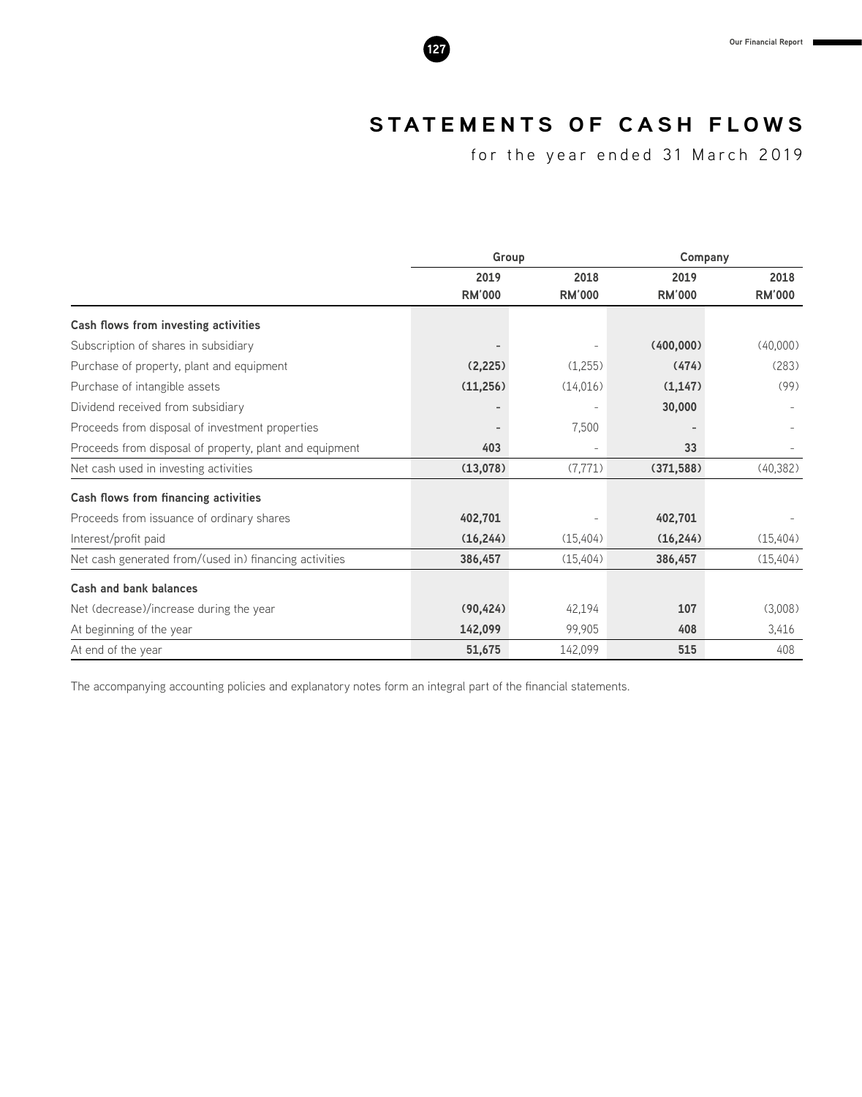# **STATEMENTS OF CASH FLOWS**

for the year ended 31 March 2019

|                                                         | Group         |               | Company       |               |
|---------------------------------------------------------|---------------|---------------|---------------|---------------|
|                                                         | 2019          | 2018          | 2019          | 2018          |
|                                                         | <b>RM'000</b> | <b>RM'000</b> | <b>RM'000</b> | <b>RM'000</b> |
| Cash flows from investing activities                    |               |               |               |               |
| Subscription of shares in subsidiary                    |               |               | (400,000)     | (40,000)      |
| Purchase of property, plant and equipment               | (2,225)       | (1,255)       | (474)         | (283)         |
| Purchase of intangible assets                           | (11,256)      | (14,016)      | (1, 147)      | (99)          |
| Dividend received from subsidiary                       |               |               | 30,000        |               |
| Proceeds from disposal of investment properties         |               | 7,500         |               |               |
| Proceeds from disposal of property, plant and equipment | 403           |               | 33            |               |
| Net cash used in investing activities                   | (13,078)      | (7, 771)      | (371, 588)    | (40, 382)     |
| Cash flows from financing activities                    |               |               |               |               |
| Proceeds from issuance of ordinary shares               | 402,701       |               | 402,701       |               |
| Interest/profit paid                                    | (16, 244)     | (15, 404)     | (16, 244)     | (15, 404)     |
| Net cash generated from/(used in) financing activities  | 386,457       | (15,404)      | 386,457       | (15, 404)     |
| Cash and bank balances                                  |               |               |               |               |
| Net (decrease)/increase during the year                 | (90, 424)     | 42,194        | 107           | (3,008)       |
| At beginning of the year                                | 142,099       | 99,905        | 408           | 3,416         |
| At end of the year                                      | 51,675        | 142,099       | 515           | 408           |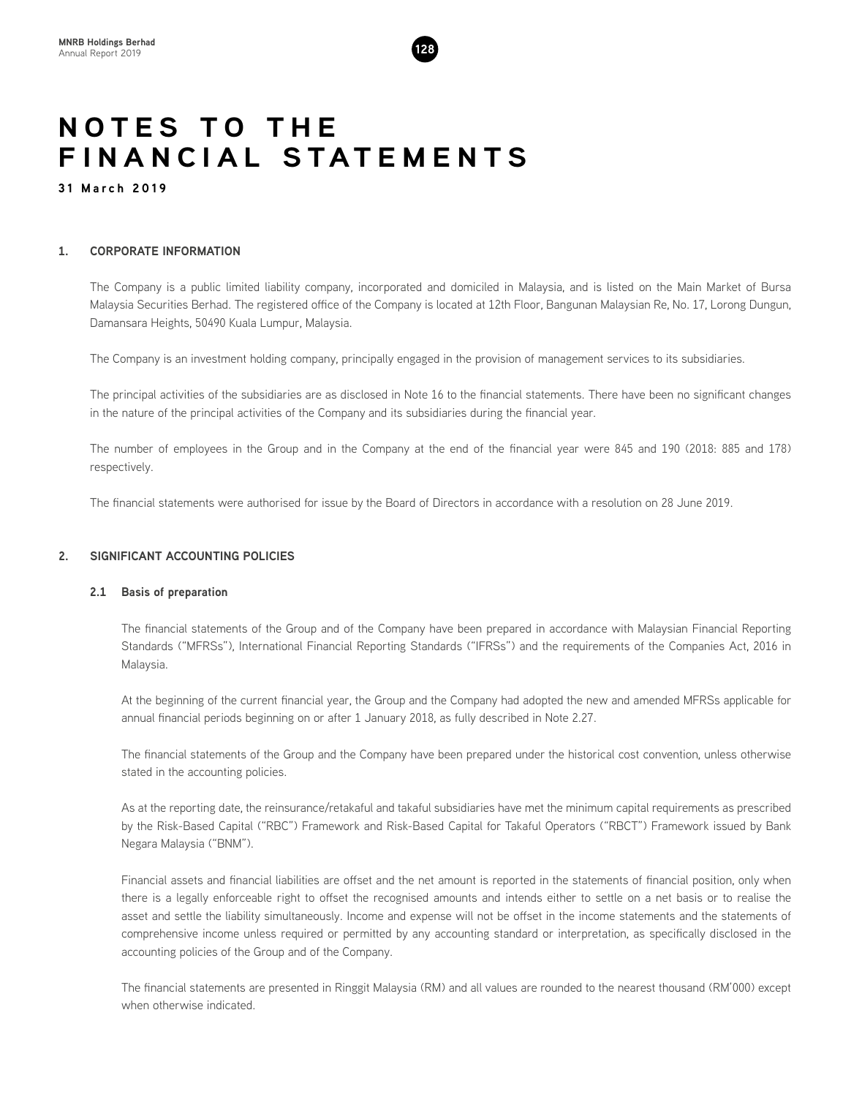# **NOTES TO THE FINANCIAL STATEMENTS**

**31 March 2019**

# **1. CORPORATE INFORMATION**

The Company is a public limited liability company, incorporated and domiciled in Malaysia, and is listed on the Main Market of Bursa Malaysia Securities Berhad. The registered office of the Company is located at 12th Floor, Bangunan Malaysian Re, No. 17, Lorong Dungun, Damansara Heights, 50490 Kuala Lumpur, Malaysia.

The Company is an investment holding company, principally engaged in the provision of management services to its subsidiaries.

The principal activities of the subsidiaries are as disclosed in Note 16 to the financial statements. There have been no significant changes in the nature of the principal activities of the Company and its subsidiaries during the financial year.

The number of employees in the Group and in the Company at the end of the financial year were 845 and 190 (2018: 885 and 178) respectively.

The financial statements were authorised for issue by the Board of Directors in accordance with a resolution on 28 June 2019.

# **2. SIGNIFICANT ACCOUNTING POLICIES**

# **2.1 Basis of preparation**

The financial statements of the Group and of the Company have been prepared in accordance with Malaysian Financial Reporting Standards ("MFRSs"), International Financial Reporting Standards ("IFRSs") and the requirements of the Companies Act, 2016 in Malaysia.

At the beginning of the current financial year, the Group and the Company had adopted the new and amended MFRSs applicable for annual financial periods beginning on or after 1 January 2018, as fully described in Note 2.27.

The financial statements of the Group and the Company have been prepared under the historical cost convention, unless otherwise stated in the accounting policies.

As at the reporting date, the reinsurance/retakaful and takaful subsidiaries have met the minimum capital requirements as prescribed by the Risk-Based Capital ("RBC") Framework and Risk-Based Capital for Takaful Operators ("RBCT") Framework issued by Bank Negara Malaysia ("BNM").

Financial assets and financial liabilities are offset and the net amount is reported in the statements of financial position, only when there is a legally enforceable right to offset the recognised amounts and intends either to settle on a net basis or to realise the asset and settle the liability simultaneously. Income and expense will not be offset in the income statements and the statements of comprehensive income unless required or permitted by any accounting standard or interpretation, as specifically disclosed in the accounting policies of the Group and of the Company.

The financial statements are presented in Ringgit Malaysia (RM) and all values are rounded to the nearest thousand (RM'000) except when otherwise indicated.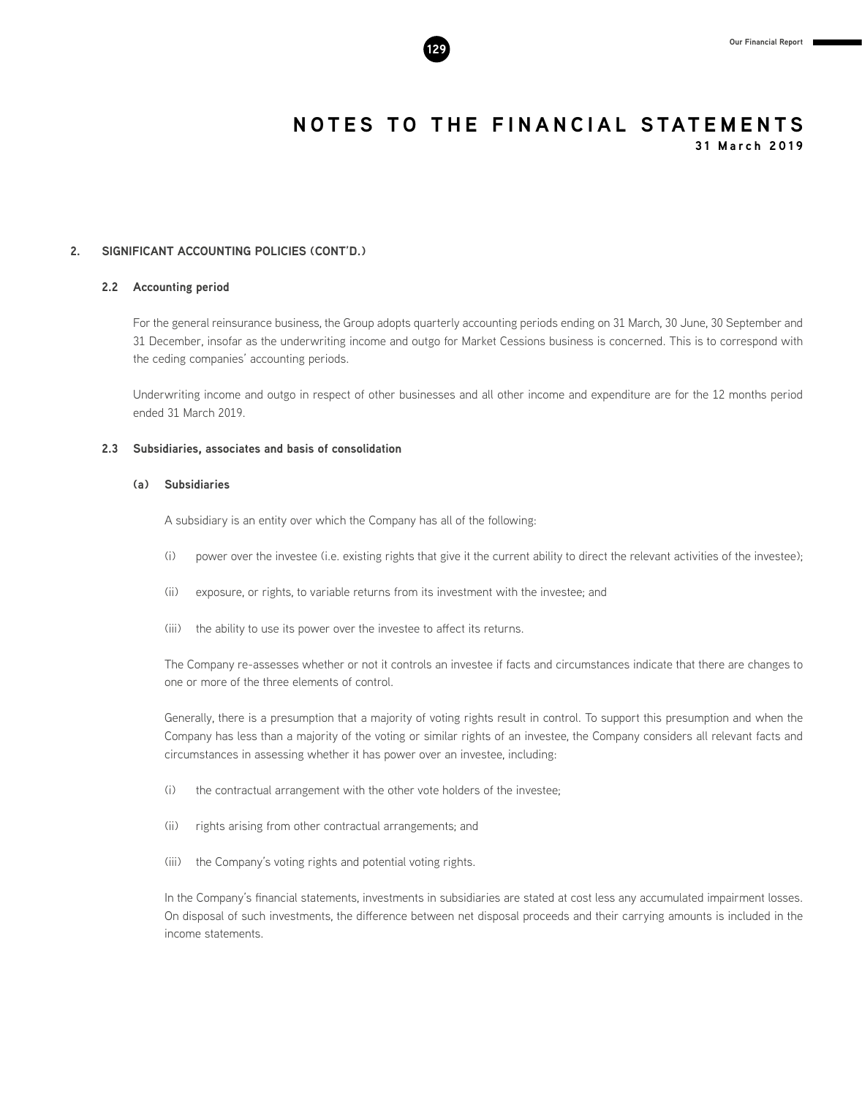

**2. SIGNIFICANT ACCOUNTING POLICIES (CONT'D.)**

# **2.2 Accounting period**

For the general reinsurance business, the Group adopts quarterly accounting periods ending on 31 March, 30 June, 30 September and 31 December, insofar as the underwriting income and outgo for Market Cessions business is concerned. This is to correspond with the ceding companies' accounting periods.

Underwriting income and outgo in respect of other businesses and all other income and expenditure are for the 12 months period ended 31 March 2019.

### **2.3 Subsidiaries, associates and basis of consolidation**

# **(a) Subsidiaries**

A subsidiary is an entity over which the Company has all of the following:

- (i) power over the investee (i.e. existing rights that give it the current ability to direct the relevant activities of the investee);
- (ii) exposure, or rights, to variable returns from its investment with the investee; and
- (iii) the ability to use its power over the investee to affect its returns.

The Company re-assesses whether or not it controls an investee if facts and circumstances indicate that there are changes to one or more of the three elements of control.

Generally, there is a presumption that a majority of voting rights result in control. To support this presumption and when the Company has less than a majority of the voting or similar rights of an investee, the Company considers all relevant facts and circumstances in assessing whether it has power over an investee, including:

- (i) the contractual arrangement with the other vote holders of the investee;
- (ii) rights arising from other contractual arrangements; and
- (iii) the Company's voting rights and potential voting rights.

In the Company's financial statements, investments in subsidiaries are stated at cost less any accumulated impairment losses. On disposal of such investments, the difference between net disposal proceeds and their carrying amounts is included in the income statements.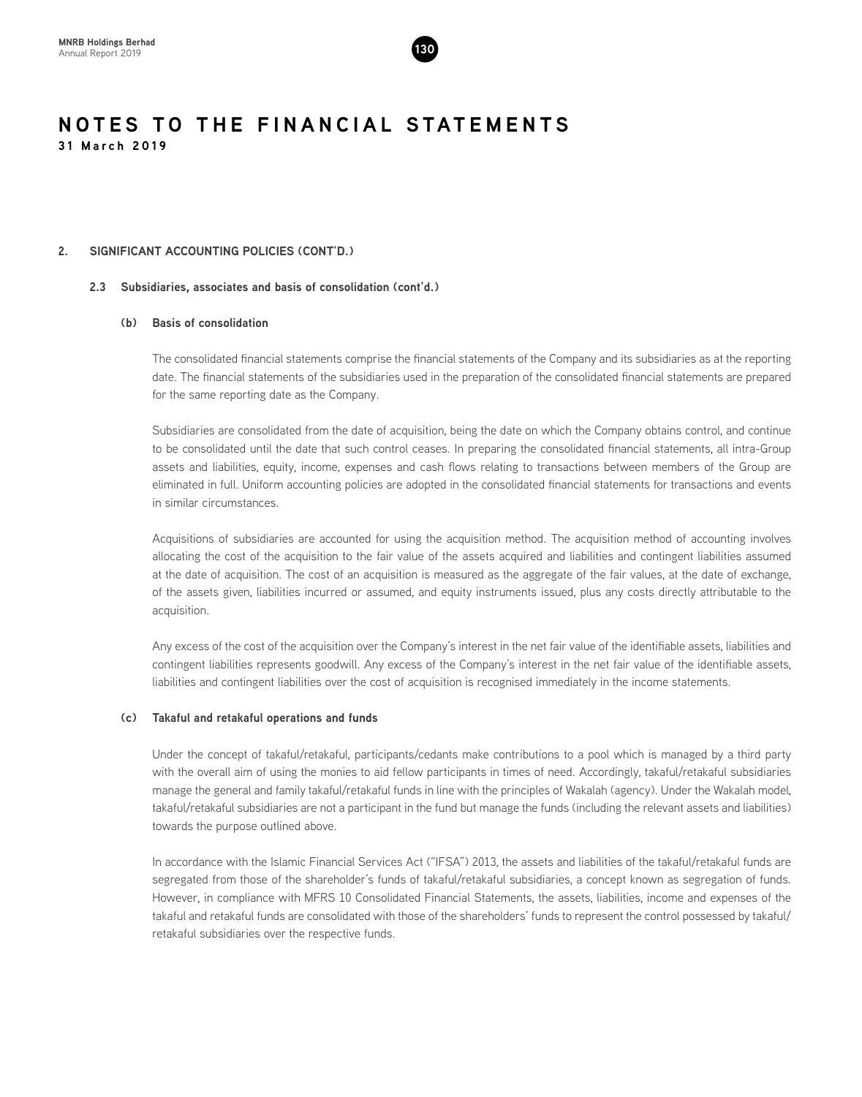

# **2. SIGNIFICANT ACCOUNTING POLICIES (CONT'D.)**

# **2.3 Subsidiaries, associates and basis of consolidation (cont'd.)**

# **(b) Basis of consolidation**

The consolidated financial statements comprise the financial statements of the Company and its subsidiaries as at the reporting date. The financial statements of the subsidiaries used in the preparation of the consolidated financial statements are prepared for the same reporting date as the Company.

Subsidiaries are consolidated from the date of acquisition, being the date on which the Company obtains control, and continue to be consolidated until the date that such control ceases. In preparing the consolidated financial statements, all intra-Group assets and liabilities, equity, income, expenses and cash flows relating to transactions between members of the Group are eliminated in full. Uniform accounting policies are adopted in the consolidated financial statements for transactions and events in similar circumstances.

Acquisitions of subsidiaries are accounted for using the acquisition method. The acquisition method of accounting involves allocating the cost of the acquisition to the fair value of the assets acquired and liabilities and contingent liabilities assumed at the date of acquisition. The cost of an acquisition is measured as the aggregate of the fair values, at the date of exchange, of the assets given, liabilities incurred or assumed, and equity instruments issued, plus any costs directly attributable to the acquisition.

Any excess of the cost of the acquisition over the Company's interest in the net fair value of the identifiable assets, liabilities and contingent liabilities represents goodwill. Any excess of the Company's interest in the net fair value of the identifiable assets, liabilities and contingent liabilities over the cost of acquisition is recognised immediately in the income statements.

# **(c) Takaful and retakaful operations and funds**

Under the concept of takaful/retakaful, participants/cedants make contributions to a pool which is managed by a third party with the overall aim of using the monies to aid fellow participants in times of need. Accordingly, takaful/retakaful subsidiaries manage the general and family takaful/retakaful funds in line with the principles of Wakalah (agency). Under the Wakalah model, takaful/retakaful subsidiaries are not a participant in the fund but manage the funds (including the relevant assets and liabilities) towards the purpose outlined above.

In accordance with the Islamic Financial Services Act ("IFSA") 2013, the assets and liabilities of the takaful/retakaful funds are segregated from those of the shareholder's funds of takaful/retakaful subsidiaries, a concept known as segregation of funds. However, in compliance with MFRS 10 Consolidated Financial Statements, the assets, liabilities, income and expenses of the takaful and retakaful funds are consolidated with those of the shareholders' funds to represent the control possessed by takaful/ retakaful subsidiaries over the respective funds.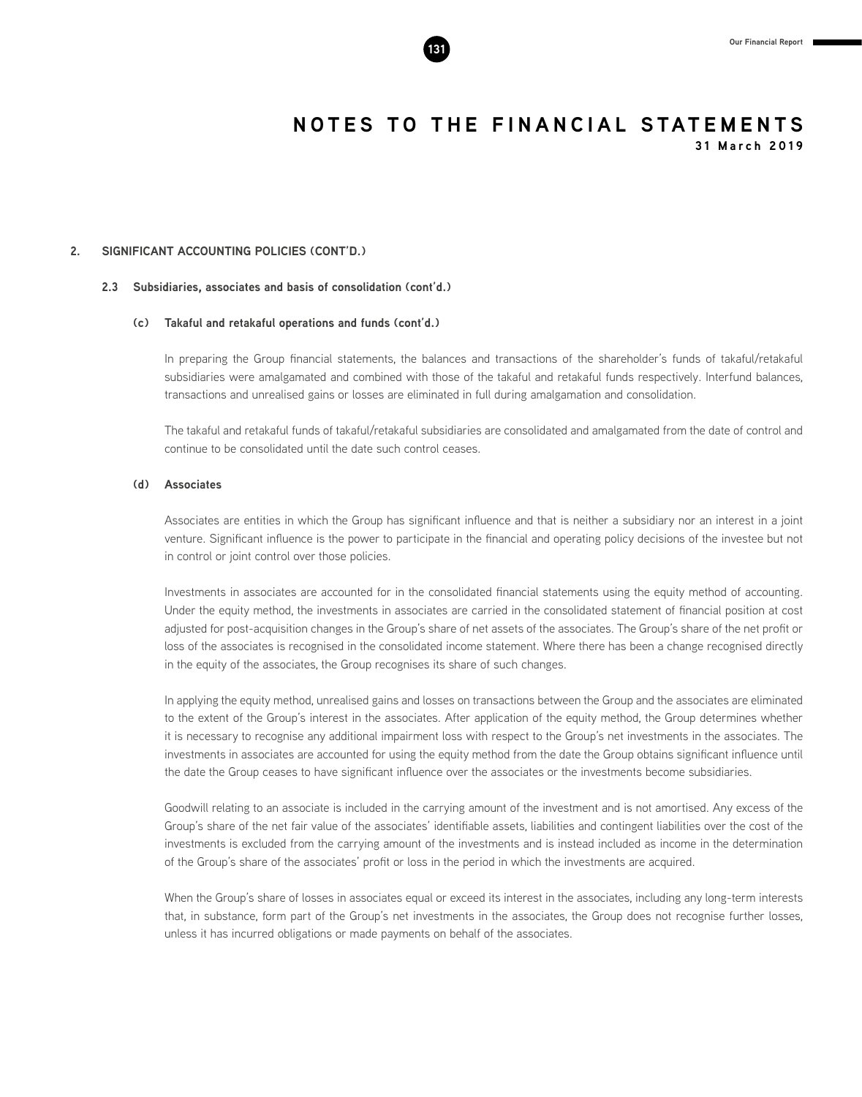

# **2. SIGNIFICANT ACCOUNTING POLICIES (CONT'D.)**

# **2.3 Subsidiaries, associates and basis of consolidation (cont'd.)**

### **(c) Takaful and retakaful operations and funds (cont'd.)**

In preparing the Group financial statements, the balances and transactions of the shareholder's funds of takaful/retakaful subsidiaries were amalgamated and combined with those of the takaful and retakaful funds respectively. Interfund balances, transactions and unrealised gains or losses are eliminated in full during amalgamation and consolidation.

The takaful and retakaful funds of takaful/retakaful subsidiaries are consolidated and amalgamated from the date of control and continue to be consolidated until the date such control ceases.

# **(d) Associates**

Associates are entities in which the Group has significant influence and that is neither a subsidiary nor an interest in a joint venture. Significant influence is the power to participate in the financial and operating policy decisions of the investee but not in control or joint control over those policies.

Investments in associates are accounted for in the consolidated financial statements using the equity method of accounting. Under the equity method, the investments in associates are carried in the consolidated statement of financial position at cost adjusted for post-acquisition changes in the Group's share of net assets of the associates. The Group's share of the net profit or loss of the associates is recognised in the consolidated income statement. Where there has been a change recognised directly in the equity of the associates, the Group recognises its share of such changes.

In applying the equity method, unrealised gains and losses on transactions between the Group and the associates are eliminated to the extent of the Group's interest in the associates. After application of the equity method, the Group determines whether it is necessary to recognise any additional impairment loss with respect to the Group's net investments in the associates. The investments in associates are accounted for using the equity method from the date the Group obtains significant influence until the date the Group ceases to have significant influence over the associates or the investments become subsidiaries.

Goodwill relating to an associate is included in the carrying amount of the investment and is not amortised. Any excess of the Group's share of the net fair value of the associates' identifiable assets, liabilities and contingent liabilities over the cost of the investments is excluded from the carrying amount of the investments and is instead included as income in the determination of the Group's share of the associates' profit or loss in the period in which the investments are acquired.

When the Group's share of losses in associates equal or exceed its interest in the associates, including any long-term interests that, in substance, form part of the Group's net investments in the associates, the Group does not recognise further losses, unless it has incurred obligations or made payments on behalf of the associates.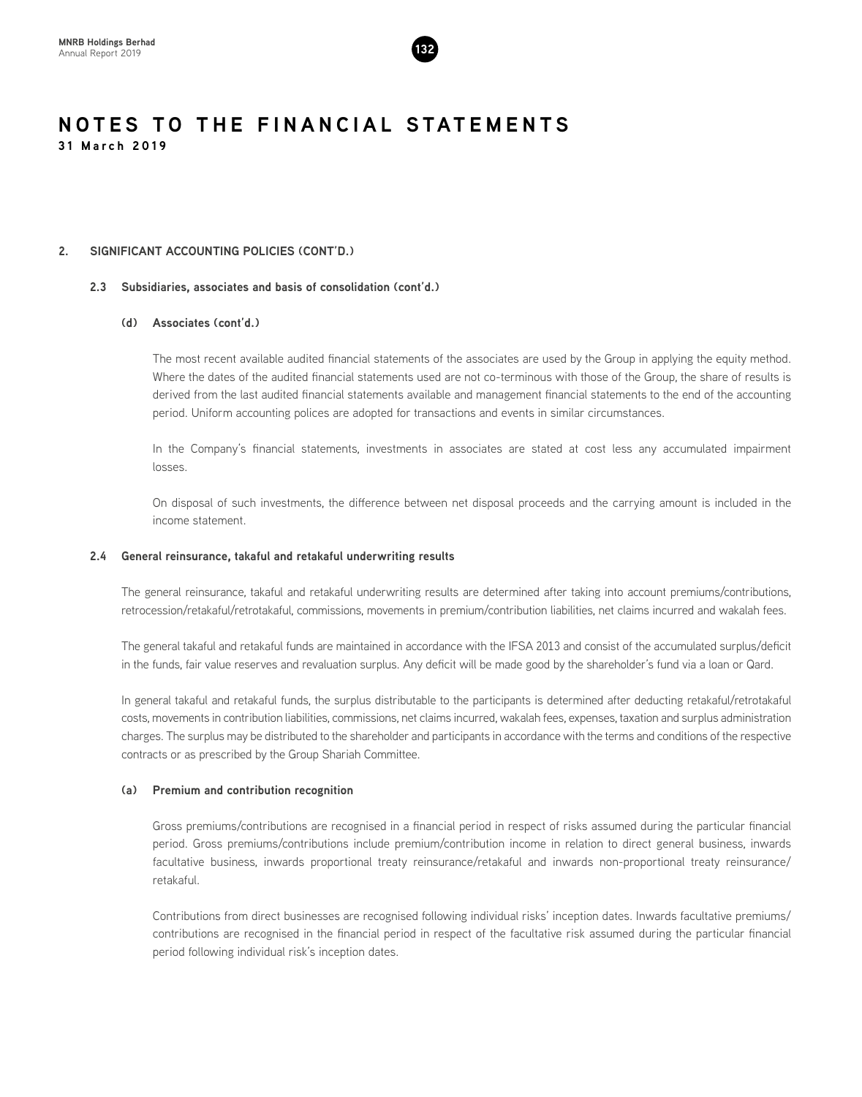

# **2. SIGNIFICANT ACCOUNTING POLICIES (CONT'D.)**

# **2.3 Subsidiaries, associates and basis of consolidation (cont'd.)**

# **(d) Associates (cont'd.)**

The most recent available audited financial statements of the associates are used by the Group in applying the equity method. Where the dates of the audited financial statements used are not co-terminous with those of the Group, the share of results is derived from the last audited financial statements available and management financial statements to the end of the accounting period. Uniform accounting polices are adopted for transactions and events in similar circumstances.

In the Company's financial statements, investments in associates are stated at cost less any accumulated impairment losses.

On disposal of such investments, the difference between net disposal proceeds and the carrying amount is included in the income statement.

# **2.4 General reinsurance, takaful and retakaful underwriting results**

The general reinsurance, takaful and retakaful underwriting results are determined after taking into account premiums/contributions, retrocession/retakaful/retrotakaful, commissions, movements in premium/contribution liabilities, net claims incurred and wakalah fees.

The general takaful and retakaful funds are maintained in accordance with the IFSA 2013 and consist of the accumulated surplus/deficit in the funds, fair value reserves and revaluation surplus. Any deficit will be made good by the shareholder's fund via a loan or Qard.

In general takaful and retakaful funds, the surplus distributable to the participants is determined after deducting retakaful/retrotakaful costs, movements in contribution liabilities, commissions, net claims incurred, wakalah fees, expenses, taxation and surplus administration charges. The surplus may be distributed to the shareholder and participants in accordance with the terms and conditions of the respective contracts or as prescribed by the Group Shariah Committee.

# **(a) Premium and contribution recognition**

Gross premiums/contributions are recognised in a financial period in respect of risks assumed during the particular financial period. Gross premiums/contributions include premium/contribution income in relation to direct general business, inwards facultative business, inwards proportional treaty reinsurance/retakaful and inwards non-proportional treaty reinsurance/ retakaful.

Contributions from direct businesses are recognised following individual risks' inception dates. Inwards facultative premiums/ contributions are recognised in the financial period in respect of the facultative risk assumed during the particular financial period following individual risk's inception dates.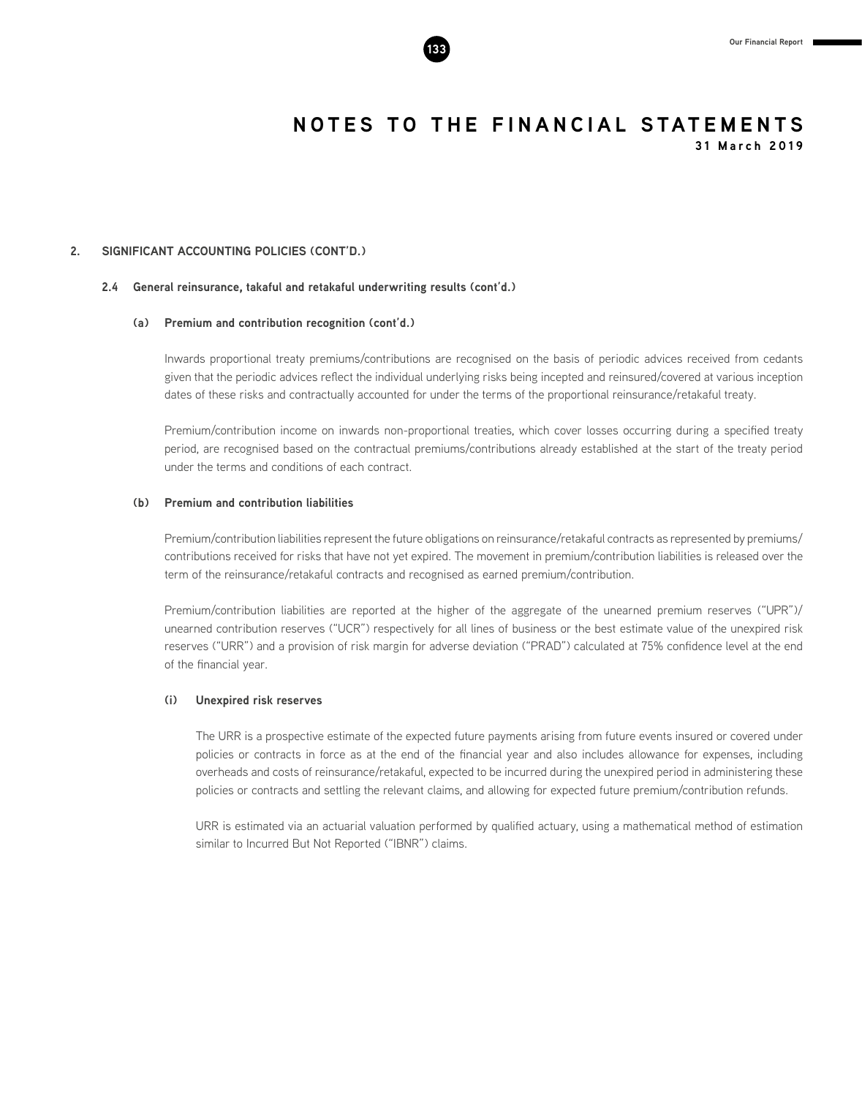# **2. SIGNIFICANT ACCOUNTING POLICIES (CONT'D.)**

## **2.4 General reinsurance, takaful and retakaful underwriting results (cont'd.)**

# **(a) Premium and contribution recognition (cont'd.)**

Inwards proportional treaty premiums/contributions are recognised on the basis of periodic advices received from cedants given that the periodic advices reflect the individual underlying risks being incepted and reinsured/covered at various inception dates of these risks and contractually accounted for under the terms of the proportional reinsurance/retakaful treaty.

Premium/contribution income on inwards non-proportional treaties, which cover losses occurring during a specified treaty period, are recognised based on the contractual premiums/contributions already established at the start of the treaty period under the terms and conditions of each contract.

# **(b) Premium and contribution liabilities**

Premium/contribution liabilities represent the future obligations on reinsurance/retakaful contracts as represented by premiums/ contributions received for risks that have not yet expired. The movement in premium/contribution liabilities is released over the term of the reinsurance/retakaful contracts and recognised as earned premium/contribution.

Premium/contribution liabilities are reported at the higher of the aggregate of the unearned premium reserves ("UPR")/ unearned contribution reserves ("UCR") respectively for all lines of business or the best estimate value of the unexpired risk reserves ("URR") and a provision of risk margin for adverse deviation ("PRAD") calculated at 75% confidence level at the end of the financial year.

# **(i) Unexpired risk reserves**

The URR is a prospective estimate of the expected future payments arising from future events insured or covered under policies or contracts in force as at the end of the financial year and also includes allowance for expenses, including overheads and costs of reinsurance/retakaful, expected to be incurred during the unexpired period in administering these policies or contracts and settling the relevant claims, and allowing for expected future premium/contribution refunds.

URR is estimated via an actuarial valuation performed by qualified actuary, using a mathematical method of estimation similar to Incurred But Not Reported ("IBNR") claims.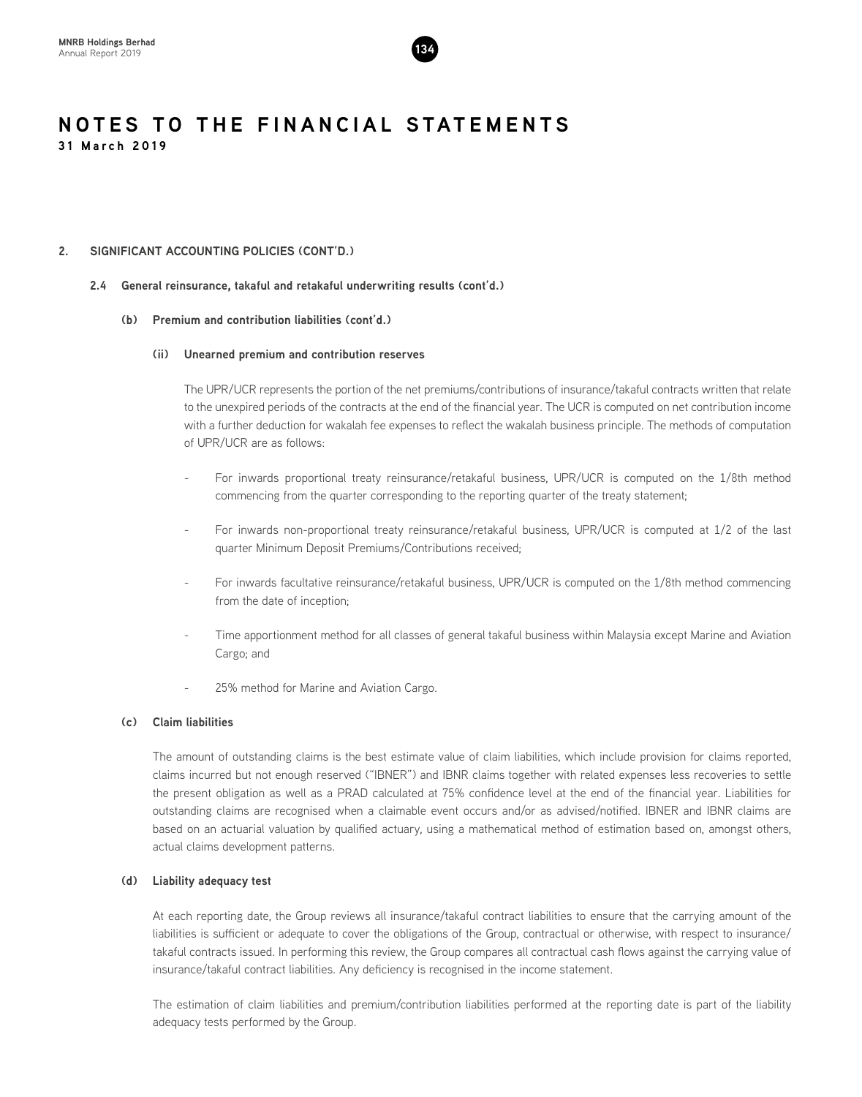

# **2. SIGNIFICANT ACCOUNTING POLICIES (CONT'D.)**

# **2.4 General reinsurance, takaful and retakaful underwriting results (cont'd.)**

# **(b) Premium and contribution liabilities (cont'd.)**

# **(ii) Unearned premium and contribution reserves**

The UPR/UCR represents the portion of the net premiums/contributions of insurance/takaful contracts written that relate to the unexpired periods of the contracts at the end of the financial year. The UCR is computed on net contribution income with a further deduction for wakalah fee expenses to reflect the wakalah business principle. The methods of computation of UPR/UCR are as follows:

- For inwards proportional treaty reinsurance/retakaful business, UPR/UCR is computed on the 1/8th method commencing from the quarter corresponding to the reporting quarter of the treaty statement;
- For inwards non-proportional treaty reinsurance/retakaful business, UPR/UCR is computed at 1/2 of the last quarter Minimum Deposit Premiums/Contributions received;
- For inwards facultative reinsurance/retakaful business, UPR/UCR is computed on the 1/8th method commencing from the date of inception;
- Time apportionment method for all classes of general takaful business within Malaysia except Marine and Aviation Cargo; and
- 25% method for Marine and Aviation Cargo.

# **(c) Claim liabilities**

The amount of outstanding claims is the best estimate value of claim liabilities, which include provision for claims reported, claims incurred but not enough reserved ("IBNER") and IBNR claims together with related expenses less recoveries to settle the present obligation as well as a PRAD calculated at 75% confidence level at the end of the financial year. Liabilities for outstanding claims are recognised when a claimable event occurs and/or as advised/notified. IBNER and IBNR claims are based on an actuarial valuation by qualified actuary, using a mathematical method of estimation based on, amongst others, actual claims development patterns.

# **(d) Liability adequacy test**

At each reporting date, the Group reviews all insurance/takaful contract liabilities to ensure that the carrying amount of the liabilities is sufficient or adequate to cover the obligations of the Group, contractual or otherwise, with respect to insurance/ takaful contracts issued. In performing this review, the Group compares all contractual cash flows against the carrying value of insurance/takaful contract liabilities. Any deficiency is recognised in the income statement.

The estimation of claim liabilities and premium/contribution liabilities performed at the reporting date is part of the liability adequacy tests performed by the Group.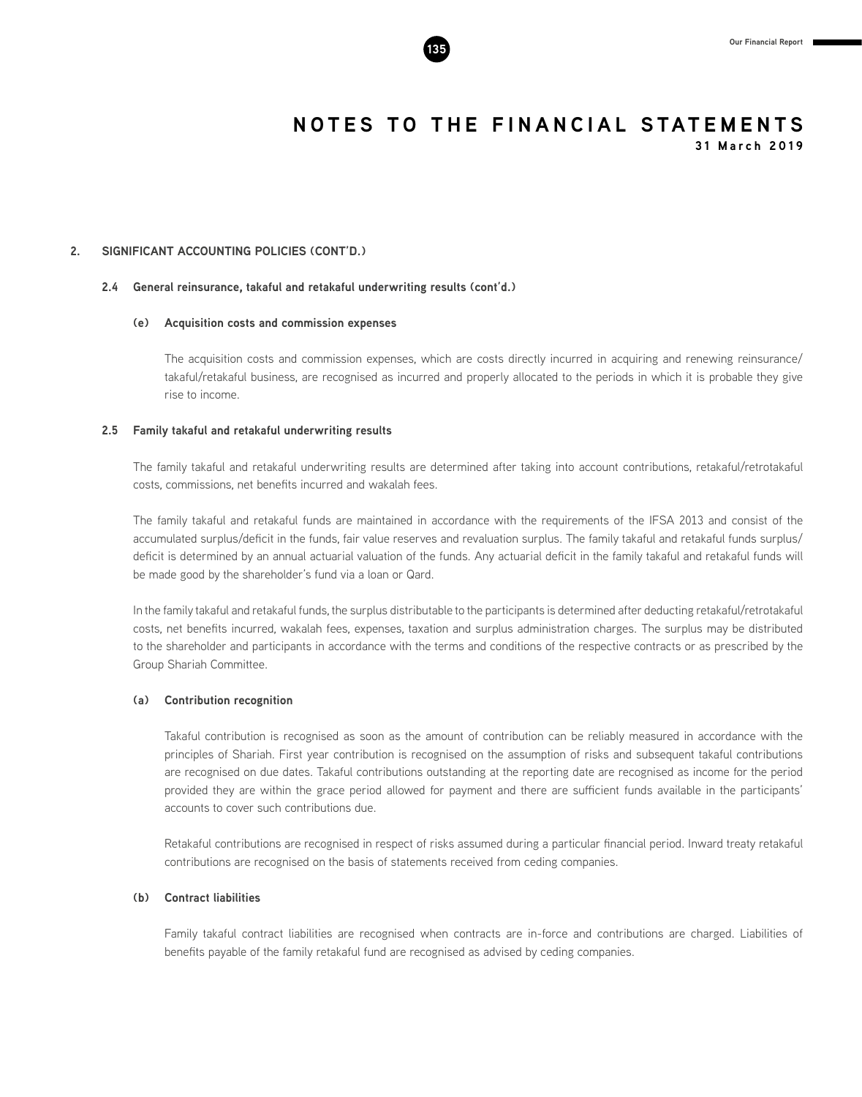

**2. SIGNIFICANT ACCOUNTING POLICIES (CONT'D.)**

## **2.4 General reinsurance, takaful and retakaful underwriting results (cont'd.)**

### **(e) Acquisition costs and commission expenses**

The acquisition costs and commission expenses, which are costs directly incurred in acquiring and renewing reinsurance/ takaful/retakaful business, are recognised as incurred and properly allocated to the periods in which it is probable they give rise to income.

# **2.5 Family takaful and retakaful underwriting results**

The family takaful and retakaful underwriting results are determined after taking into account contributions, retakaful/retrotakaful costs, commissions, net benefits incurred and wakalah fees.

The family takaful and retakaful funds are maintained in accordance with the requirements of the IFSA 2013 and consist of the accumulated surplus/deficit in the funds, fair value reserves and revaluation surplus. The family takaful and retakaful funds surplus/ deficit is determined by an annual actuarial valuation of the funds. Any actuarial deficit in the family takaful and retakaful funds will be made good by the shareholder's fund via a loan or Qard.

In the family takaful and retakaful funds, the surplus distributable to the participants is determined after deducting retakaful/retrotakaful costs, net benefits incurred, wakalah fees, expenses, taxation and surplus administration charges. The surplus may be distributed to the shareholder and participants in accordance with the terms and conditions of the respective contracts or as prescribed by the Group Shariah Committee.

# **(a) Contribution recognition**

Takaful contribution is recognised as soon as the amount of contribution can be reliably measured in accordance with the principles of Shariah. First year contribution is recognised on the assumption of risks and subsequent takaful contributions are recognised on due dates. Takaful contributions outstanding at the reporting date are recognised as income for the period provided they are within the grace period allowed for payment and there are sufficient funds available in the participants' accounts to cover such contributions due.

Retakaful contributions are recognised in respect of risks assumed during a particular financial period. Inward treaty retakaful contributions are recognised on the basis of statements received from ceding companies.

# **(b) Contract liabilities**

Family takaful contract liabilities are recognised when contracts are in-force and contributions are charged. Liabilities of benefits payable of the family retakaful fund are recognised as advised by ceding companies.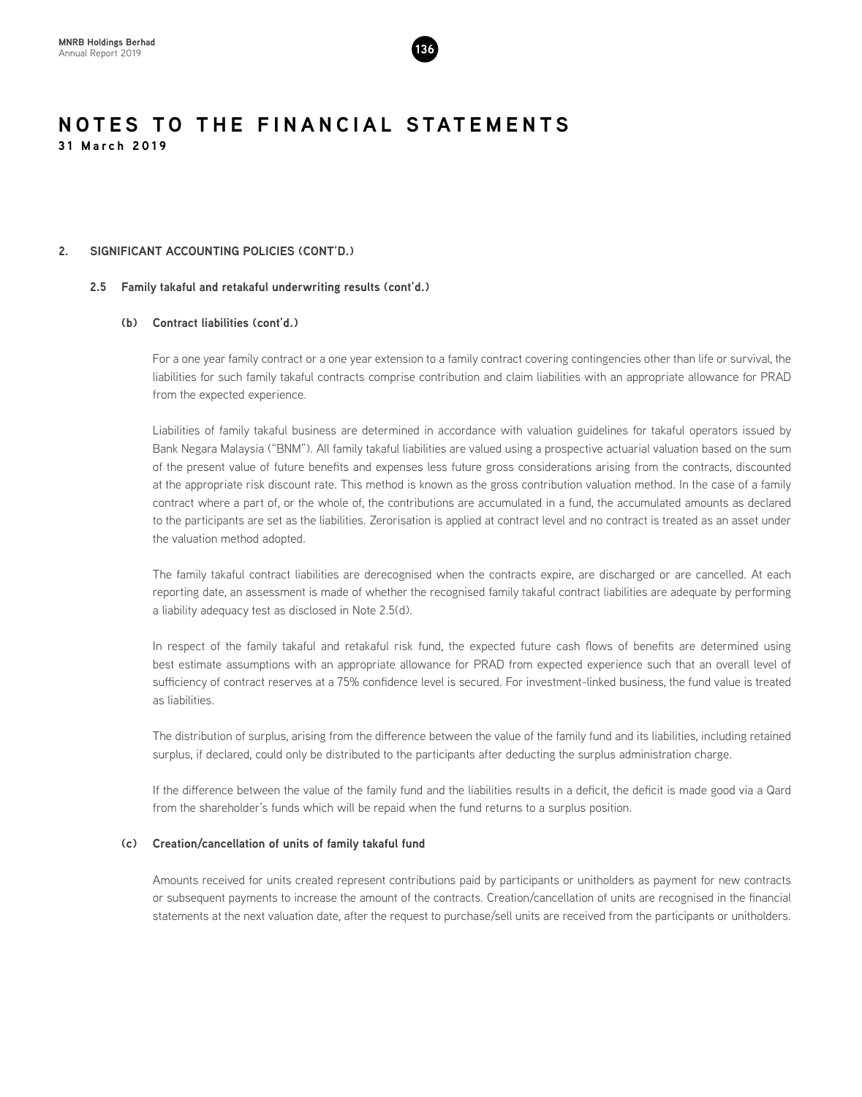

# **2. SIGNIFICANT ACCOUNTING POLICIES (CONT'D.)**

# **2.5 Family takaful and retakaful underwriting results (cont'd.)**

# **(b) Contract liabilities (cont'd.)**

For a one year family contract or a one year extension to a family contract covering contingencies other than life or survival, the liabilities for such family takaful contracts comprise contribution and claim liabilities with an appropriate allowance for PRAD from the expected experience.

Liabilities of family takaful business are determined in accordance with valuation guidelines for takaful operators issued by Bank Negara Malaysia ("BNM"). All family takaful liabilities are valued using a prospective actuarial valuation based on the sum of the present value of future benefits and expenses less future gross considerations arising from the contracts, discounted at the appropriate risk discount rate. This method is known as the gross contribution valuation method. In the case of a family contract where a part of, or the whole of, the contributions are accumulated in a fund, the accumulated amounts as declared to the participants are set as the liabilities. Zerorisation is applied at contract level and no contract is treated as an asset under the valuation method adopted.

The family takaful contract liabilities are derecognised when the contracts expire, are discharged or are cancelled. At each reporting date, an assessment is made of whether the recognised family takaful contract liabilities are adequate by performing a liability adequacy test as disclosed in Note 2.5(d).

In respect of the family takaful and retakaful risk fund, the expected future cash flows of benefits are determined using best estimate assumptions with an appropriate allowance for PRAD from expected experience such that an overall level of sufficiency of contract reserves at a 75% confidence level is secured. For investment-linked business, the fund value is treated as liabilities.

The distribution of surplus, arising from the difference between the value of the family fund and its liabilities, including retained surplus, if declared, could only be distributed to the participants after deducting the surplus administration charge.

If the difference between the value of the family fund and the liabilities results in a deficit, the deficit is made good via a Qard from the shareholder's funds which will be repaid when the fund returns to a surplus position.

# **(c) Creation/cancellation of units of family takaful fund**

Amounts received for units created represent contributions paid by participants or unitholders as payment for new contracts or subsequent payments to increase the amount of the contracts. Creation/cancellation of units are recognised in the financial statements at the next valuation date, after the request to purchase/sell units are received from the participants or unitholders.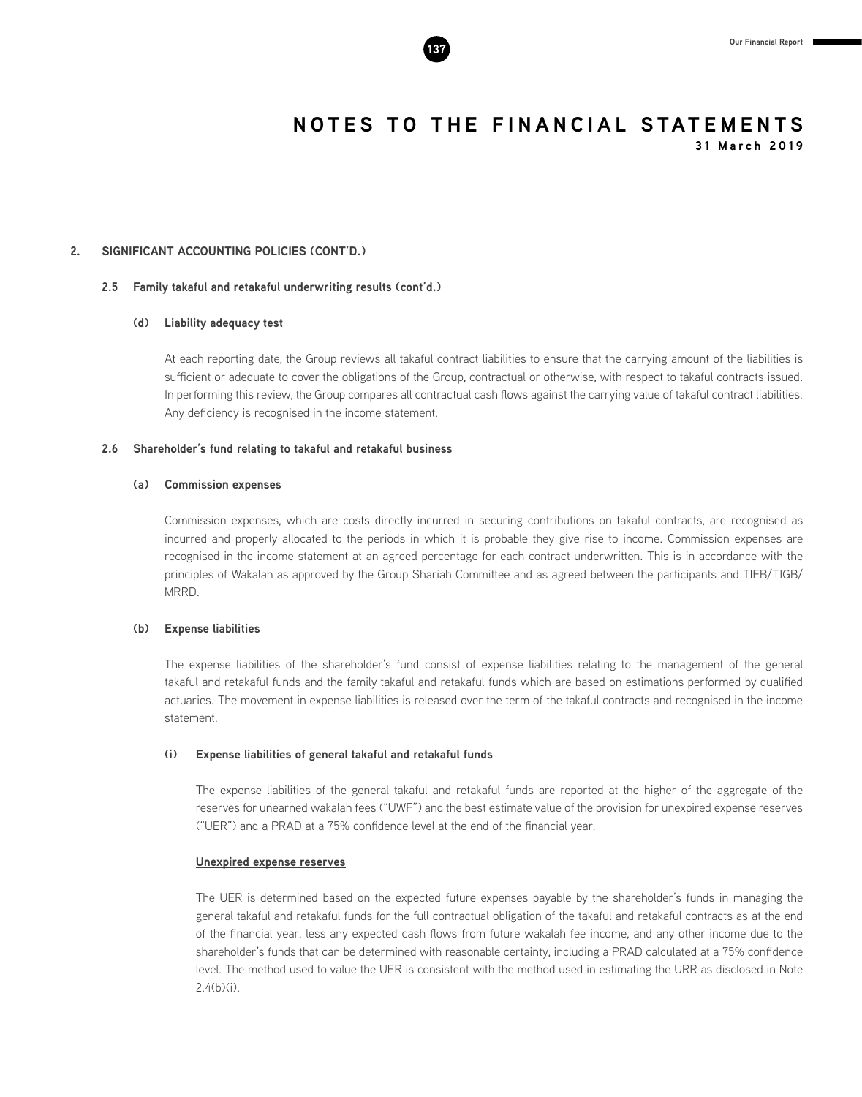

# **2. SIGNIFICANT ACCOUNTING POLICIES (CONT'D.)**

## **2.5 Family takaful and retakaful underwriting results (cont'd.)**

# **(d) Liability adequacy test**

At each reporting date, the Group reviews all takaful contract liabilities to ensure that the carrying amount of the liabilities is sufficient or adequate to cover the obligations of the Group, contractual or otherwise, with respect to takaful contracts issued. In performing this review, the Group compares all contractual cash flows against the carrying value of takaful contract liabilities. Any deficiency is recognised in the income statement.

### **2.6 Shareholder's fund relating to takaful and retakaful business**

### **(a) Commission expenses**

Commission expenses, which are costs directly incurred in securing contributions on takaful contracts, are recognised as incurred and properly allocated to the periods in which it is probable they give rise to income. Commission expenses are recognised in the income statement at an agreed percentage for each contract underwritten. This is in accordance with the principles of Wakalah as approved by the Group Shariah Committee and as agreed between the participants and TIFB/TIGB/ MRRD.

### **(b) Expense liabilities**

The expense liabilities of the shareholder's fund consist of expense liabilities relating to the management of the general takaful and retakaful funds and the family takaful and retakaful funds which are based on estimations performed by qualified actuaries. The movement in expense liabilities is released over the term of the takaful contracts and recognised in the income statement.

# **(i) Expense liabilities of general takaful and retakaful funds**

The expense liabilities of the general takaful and retakaful funds are reported at the higher of the aggregate of the reserves for unearned wakalah fees ("UWF") and the best estimate value of the provision for unexpired expense reserves ("UER") and a PRAD at a 75% confidence level at the end of the financial year.

# **Unexpired expense reserves**

The UER is determined based on the expected future expenses payable by the shareholder's funds in managing the general takaful and retakaful funds for the full contractual obligation of the takaful and retakaful contracts as at the end of the financial year, less any expected cash flows from future wakalah fee income, and any other income due to the shareholder's funds that can be determined with reasonable certainty, including a PRAD calculated at a 75% confidence level. The method used to value the UER is consistent with the method used in estimating the URR as disclosed in Note 2.4(b)(i).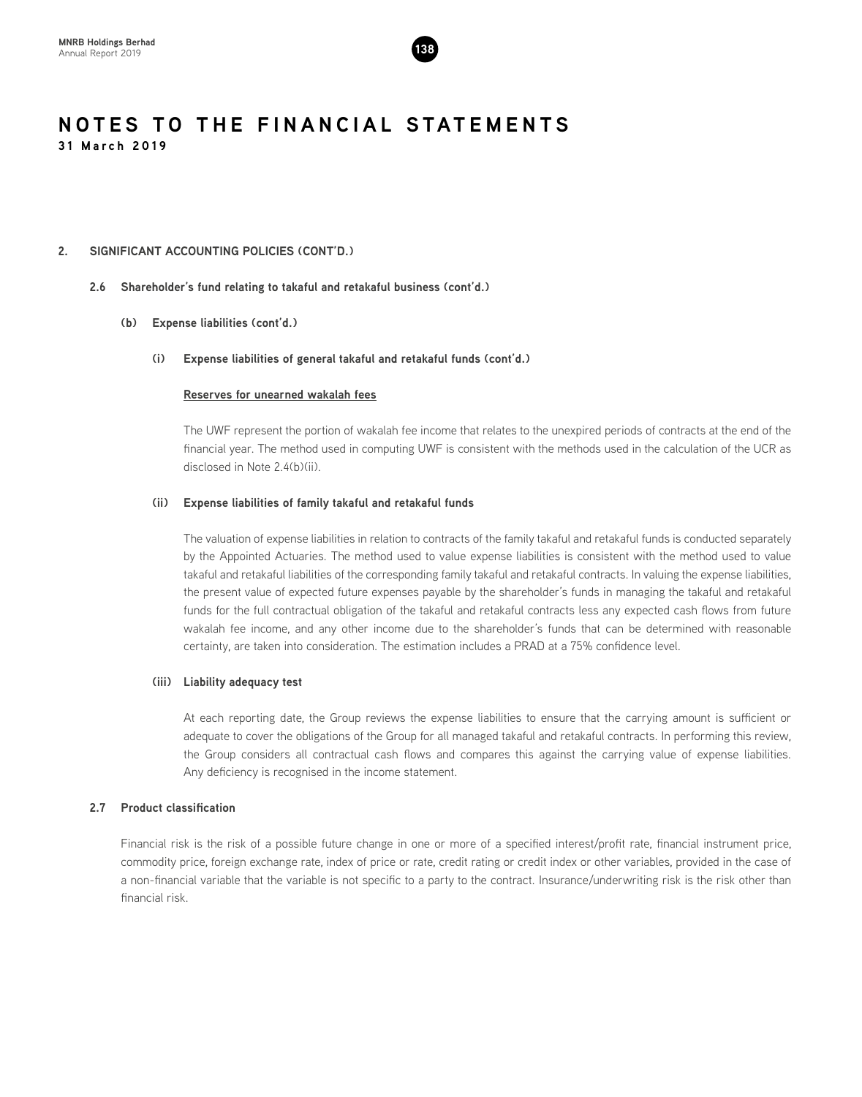

# **2. SIGNIFICANT ACCOUNTING POLICIES (CONT'D.)**

# **2.6 Shareholder's fund relating to takaful and retakaful business (cont'd.)**

# **(b) Expense liabilities (cont'd.)**

# **(i) Expense liabilities of general takaful and retakaful funds (cont'd.)**

# **Reserves for unearned wakalah fees**

The UWF represent the portion of wakalah fee income that relates to the unexpired periods of contracts at the end of the financial year. The method used in computing UWF is consistent with the methods used in the calculation of the UCR as disclosed in Note 2.4(b)(ii).

# **(ii) Expense liabilities of family takaful and retakaful funds**

The valuation of expense liabilities in relation to contracts of the family takaful and retakaful funds is conducted separately by the Appointed Actuaries. The method used to value expense liabilities is consistent with the method used to value takaful and retakaful liabilities of the corresponding family takaful and retakaful contracts. In valuing the expense liabilities, the present value of expected future expenses payable by the shareholder's funds in managing the takaful and retakaful funds for the full contractual obligation of the takaful and retakaful contracts less any expected cash flows from future wakalah fee income, and any other income due to the shareholder's funds that can be determined with reasonable certainty, are taken into consideration. The estimation includes a PRAD at a 75% confidence level.

# **(iii) Liability adequacy test**

At each reporting date, the Group reviews the expense liabilities to ensure that the carrying amount is sufficient or adequate to cover the obligations of the Group for all managed takaful and retakaful contracts. In performing this review, the Group considers all contractual cash flows and compares this against the carrying value of expense liabilities. Any deficiency is recognised in the income statement.

# **2.7 Product classification**

Financial risk is the risk of a possible future change in one or more of a specified interest/profit rate, financial instrument price, commodity price, foreign exchange rate, index of price or rate, credit rating or credit index or other variables, provided in the case of a non-financial variable that the variable is not specific to a party to the contract. Insurance/underwriting risk is the risk other than financial risk.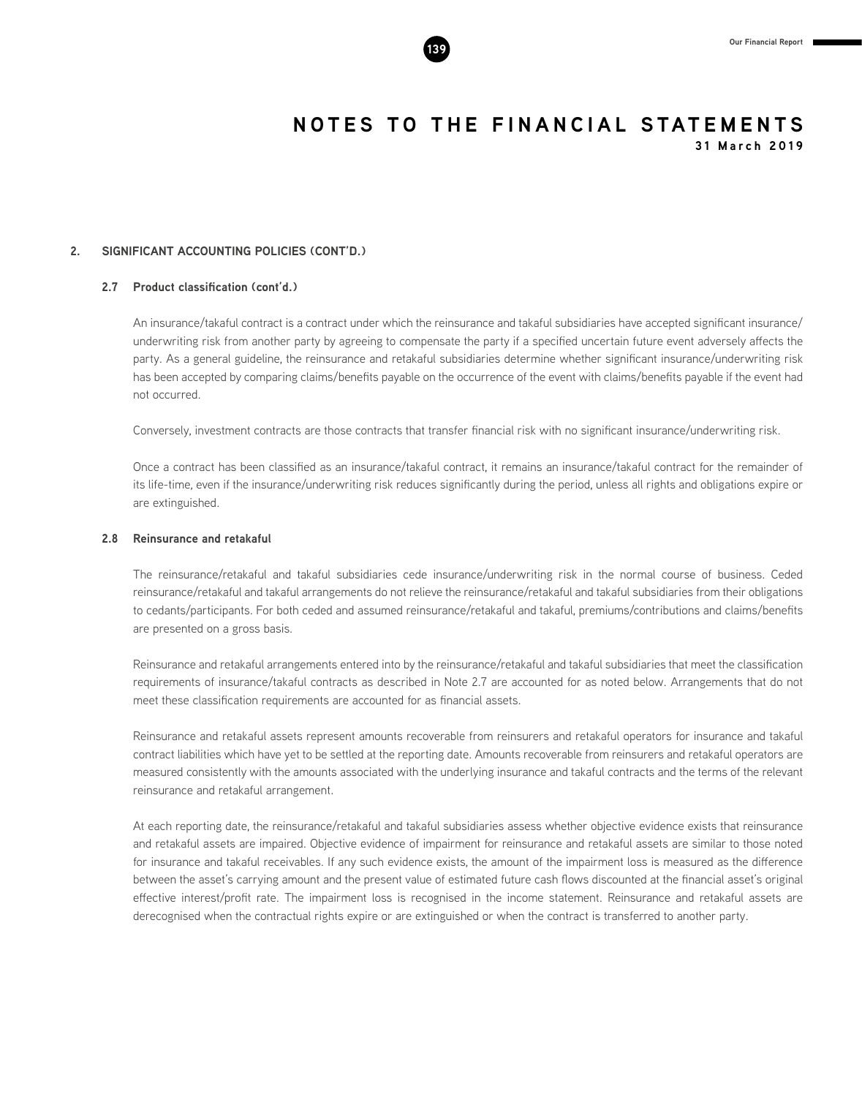

# **2. SIGNIFICANT ACCOUNTING POLICIES (CONT'D.)**

# **2.7 Product classification (cont'd.)**

An insurance/takaful contract is a contract under which the reinsurance and takaful subsidiaries have accepted significant insurance/ underwriting risk from another party by agreeing to compensate the party if a specified uncertain future event adversely affects the party. As a general guideline, the reinsurance and retakaful subsidiaries determine whether significant insurance/underwriting risk has been accepted by comparing claims/benefits payable on the occurrence of the event with claims/benefits payable if the event had not occurred.

Conversely, investment contracts are those contracts that transfer financial risk with no significant insurance/underwriting risk.

Once a contract has been classified as an insurance/takaful contract, it remains an insurance/takaful contract for the remainder of its life-time, even if the insurance/underwriting risk reduces significantly during the period, unless all rights and obligations expire or are extinguished.

# **2.8 Reinsurance and retakaful**

The reinsurance/retakaful and takaful subsidiaries cede insurance/underwriting risk in the normal course of business. Ceded reinsurance/retakaful and takaful arrangements do not relieve the reinsurance/retakaful and takaful subsidiaries from their obligations to cedants/participants. For both ceded and assumed reinsurance/retakaful and takaful, premiums/contributions and claims/benefits are presented on a gross basis.

Reinsurance and retakaful arrangements entered into by the reinsurance/retakaful and takaful subsidiaries that meet the classification requirements of insurance/takaful contracts as described in Note 2.7 are accounted for as noted below. Arrangements that do not meet these classification requirements are accounted for as financial assets.

Reinsurance and retakaful assets represent amounts recoverable from reinsurers and retakaful operators for insurance and takaful contract liabilities which have yet to be settled at the reporting date. Amounts recoverable from reinsurers and retakaful operators are measured consistently with the amounts associated with the underlying insurance and takaful contracts and the terms of the relevant reinsurance and retakaful arrangement.

At each reporting date, the reinsurance/retakaful and takaful subsidiaries assess whether objective evidence exists that reinsurance and retakaful assets are impaired. Objective evidence of impairment for reinsurance and retakaful assets are similar to those noted for insurance and takaful receivables. If any such evidence exists, the amount of the impairment loss is measured as the difference between the asset's carrying amount and the present value of estimated future cash flows discounted at the financial asset's original effective interest/profit rate. The impairment loss is recognised in the income statement. Reinsurance and retakaful assets are derecognised when the contractual rights expire or are extinguished or when the contract is transferred to another party.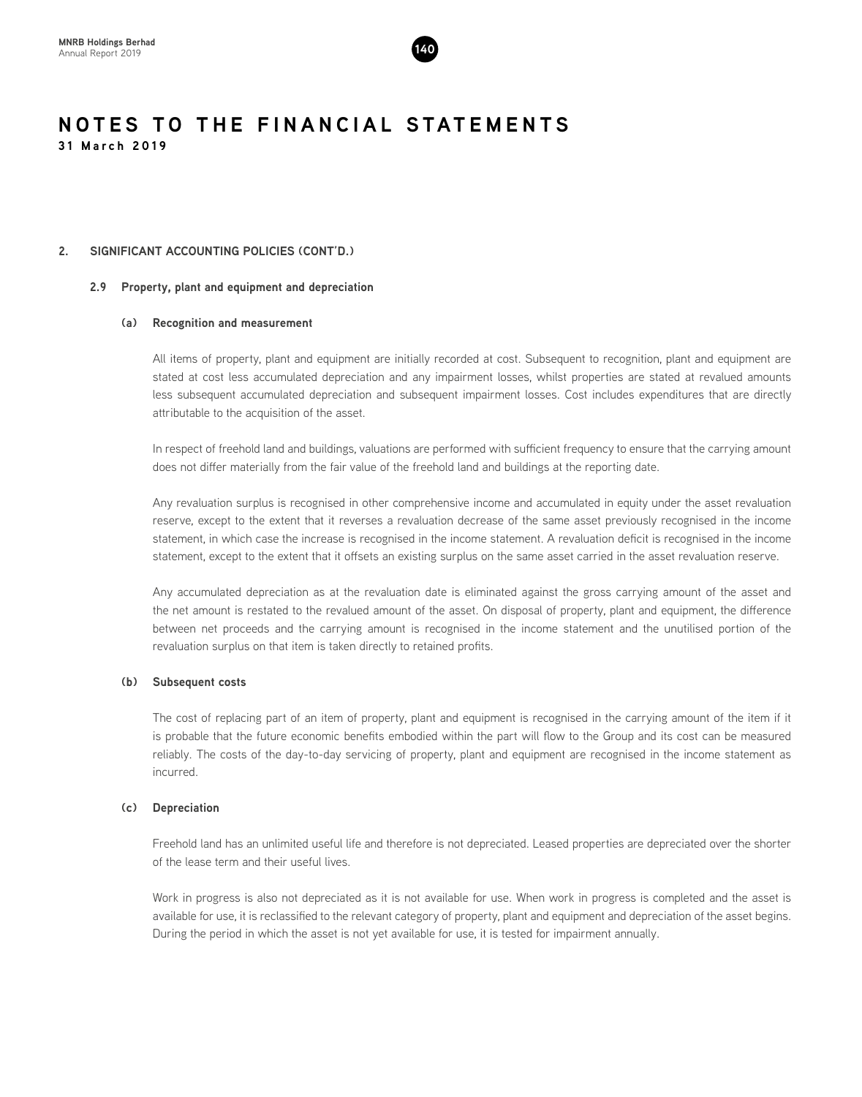

# **2. SIGNIFICANT ACCOUNTING POLICIES (CONT'D.)**

# **2.9 Property, plant and equipment and depreciation**

# **(a) Recognition and measurement**

All items of property, plant and equipment are initially recorded at cost. Subsequent to recognition, plant and equipment are stated at cost less accumulated depreciation and any impairment losses, whilst properties are stated at revalued amounts less subsequent accumulated depreciation and subsequent impairment losses. Cost includes expenditures that are directly attributable to the acquisition of the asset.

In respect of freehold land and buildings, valuations are performed with sufficient frequency to ensure that the carrying amount does not differ materially from the fair value of the freehold land and buildings at the reporting date.

Any revaluation surplus is recognised in other comprehensive income and accumulated in equity under the asset revaluation reserve, except to the extent that it reverses a revaluation decrease of the same asset previously recognised in the income statement, in which case the increase is recognised in the income statement. A revaluation deficit is recognised in the income statement, except to the extent that it offsets an existing surplus on the same asset carried in the asset revaluation reserve.

Any accumulated depreciation as at the revaluation date is eliminated against the gross carrying amount of the asset and the net amount is restated to the revalued amount of the asset. On disposal of property, plant and equipment, the difference between net proceeds and the carrying amount is recognised in the income statement and the unutilised portion of the revaluation surplus on that item is taken directly to retained profits.

# **(b) Subsequent costs**

The cost of replacing part of an item of property, plant and equipment is recognised in the carrying amount of the item if it is probable that the future economic benefits embodied within the part will flow to the Group and its cost can be measured reliably. The costs of the day-to-day servicing of property, plant and equipment are recognised in the income statement as incurred.

# **(c) Depreciation**

Freehold land has an unlimited useful life and therefore is not depreciated. Leased properties are depreciated over the shorter of the lease term and their useful lives.

Work in progress is also not depreciated as it is not available for use. When work in progress is completed and the asset is available for use, it is reclassified to the relevant category of property, plant and equipment and depreciation of the asset begins. During the period in which the asset is not yet available for use, it is tested for impairment annually.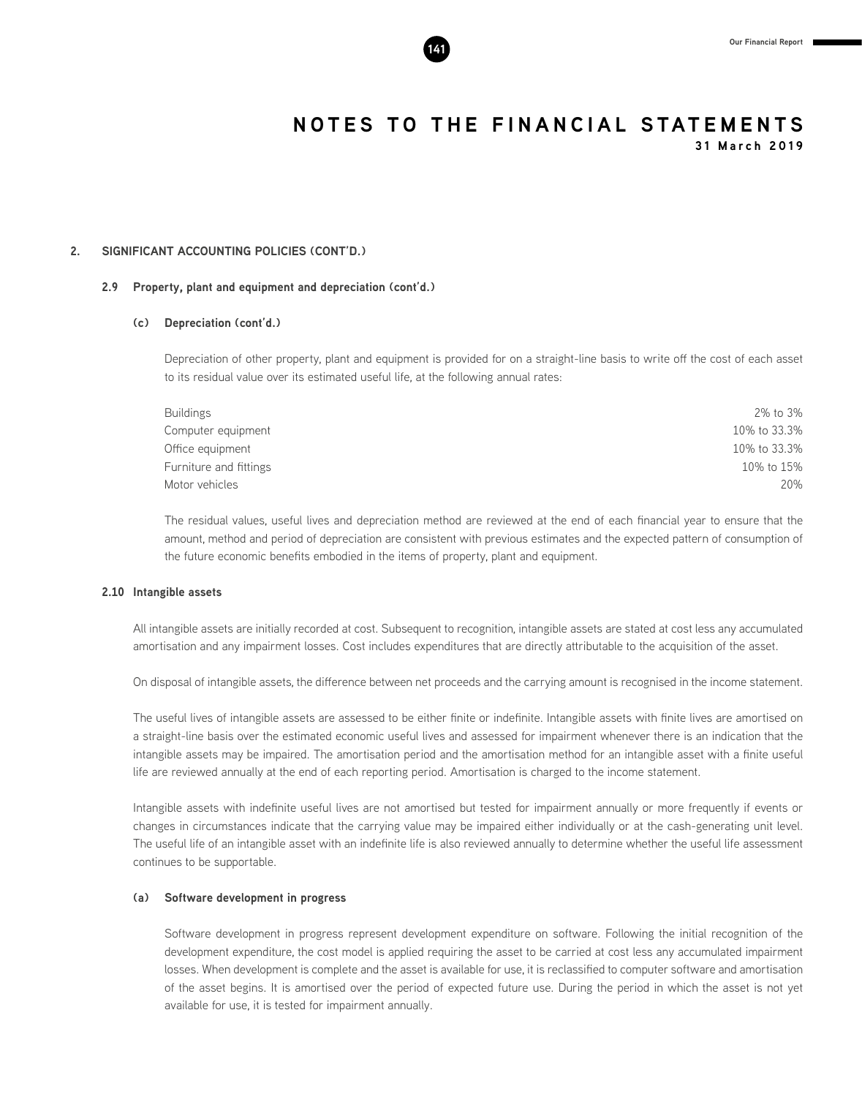

**2. SIGNIFICANT ACCOUNTING POLICIES (CONT'D.)**

# **2.9 Property, plant and equipment and depreciation (cont'd.)**

# **(c) Depreciation (cont'd.)**

Depreciation of other property, plant and equipment is provided for on a straight-line basis to write off the cost of each asset to its residual value over its estimated useful life, at the following annual rates:

| Buildings              | 2% to 3%     |
|------------------------|--------------|
| Computer equipment     | 10% to 33.3% |
| Office equipment       | 10% to 33.3% |
| Furniture and fittings | 10% to 15%   |
| Motor vehicles         | 20%          |

The residual values, useful lives and depreciation method are reviewed at the end of each financial year to ensure that the amount, method and period of depreciation are consistent with previous estimates and the expected pattern of consumption of the future economic benefits embodied in the items of property, plant and equipment.

# **2.10 Intangible assets**

All intangible assets are initially recorded at cost. Subsequent to recognition, intangible assets are stated at cost less any accumulated amortisation and any impairment losses. Cost includes expenditures that are directly attributable to the acquisition of the asset.

On disposal of intangible assets, the difference between net proceeds and the carrying amount is recognised in the income statement.

The useful lives of intangible assets are assessed to be either finite or indefinite. Intangible assets with finite lives are amortised on a straight-line basis over the estimated economic useful lives and assessed for impairment whenever there is an indication that the intangible assets may be impaired. The amortisation period and the amortisation method for an intangible asset with a finite useful life are reviewed annually at the end of each reporting period. Amortisation is charged to the income statement.

Intangible assets with indefinite useful lives are not amortised but tested for impairment annually or more frequently if events or changes in circumstances indicate that the carrying value may be impaired either individually or at the cash-generating unit level. The useful life of an intangible asset with an indefinite life is also reviewed annually to determine whether the useful life assessment continues to be supportable.

### **(a) Software development in progress**

Software development in progress represent development expenditure on software. Following the initial recognition of the development expenditure, the cost model is applied requiring the asset to be carried at cost less any accumulated impairment losses. When development is complete and the asset is available for use, it is reclassified to computer software and amortisation of the asset begins. It is amortised over the period of expected future use. During the period in which the asset is not yet available for use, it is tested for impairment annually.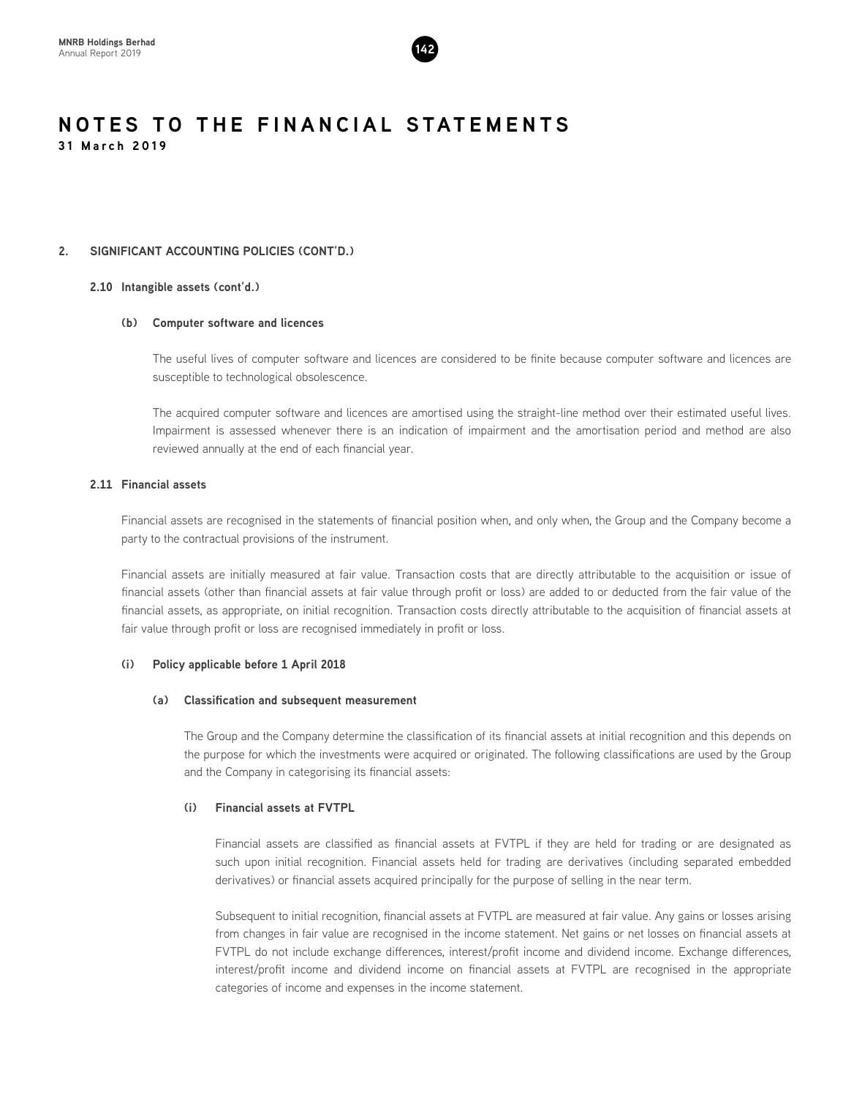

# **2. SIGNIFICANT ACCOUNTING POLICIES (CONT'D.)**

# **2.10 Intangible assets (cont'd.)**

# **(b) Computer software and licences**

The useful lives of computer software and licences are considered to be finite because computer software and licences are susceptible to technological obsolescence.

The acquired computer software and licences are amortised using the straight-line method over their estimated useful lives. Impairment is assessed whenever there is an indication of impairment and the amortisation period and method are also reviewed annually at the end of each financial year.

# **2.11 Financial assets**

Financial assets are recognised in the statements of financial position when, and only when, the Group and the Company become a party to the contractual provisions of the instrument.

Financial assets are initially measured at fair value. Transaction costs that are directly attributable to the acquisition or issue of financial assets (other than financial assets at fair value through profit or loss) are added to or deducted from the fair value of the financial assets, as appropriate, on initial recognition. Transaction costs directly attributable to the acquisition of financial assets at fair value through profit or loss are recognised immediately in profit or loss.

# **(i) Policy applicable before 1 April 2018**

# **(a) Classification and subsequent measurement**

The Group and the Company determine the classification of its financial assets at initial recognition and this depends on the purpose for which the investments were acquired or originated. The following classifications are used by the Group and the Company in categorising its financial assets:

# **(i) Financial assets at FVTPL**

Financial assets are classified as financial assets at FVTPL if they are held for trading or are designated as such upon initial recognition. Financial assets held for trading are derivatives (including separated embedded derivatives) or financial assets acquired principally for the purpose of selling in the near term.

Subsequent to initial recognition, financial assets at FVTPL are measured at fair value. Any gains or losses arising from changes in fair value are recognised in the income statement. Net gains or net losses on financial assets at FVTPL do not include exchange differences, interest/profit income and dividend income. Exchange differences, interest/profit income and dividend income on financial assets at FVTPL are recognised in the appropriate categories of income and expenses in the income statement.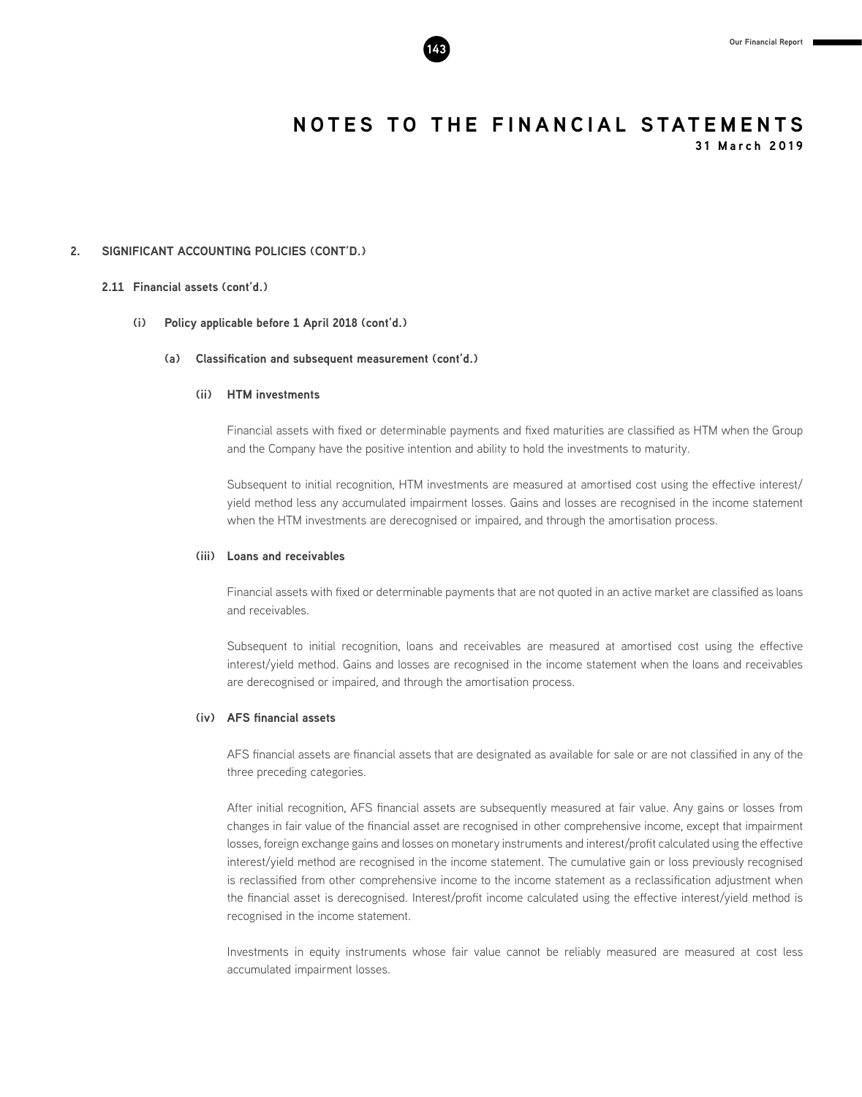

**31 March 2019**

#### **2. SIGNIFICANT ACCOUNTING POLICIES (CONT'D.)**

#### **2.11 Financial assets (cont'd.)**

#### **(i) Policy applicable before 1 April 2018 (cont'd.)**

#### **(a) Classification and subsequent measurement (cont'd.)**

#### **(ii) HTM investments**

Financial assets with fixed or determinable payments and fixed maturities are classified as HTM when the Group and the Company have the positive intention and ability to hold the investments to maturity.

Subsequent to initial recognition, HTM investments are measured at amortised cost using the effective interest/ yield method less any accumulated impairment losses. Gains and losses are recognised in the income statement when the HTM investments are derecognised or impaired, and through the amortisation process.

#### **(iii) Loans and receivables**

Financial assets with fixed or determinable payments that are not quoted in an active market are classified as loans and receivables.

Subsequent to initial recognition, loans and receivables are measured at amortised cost using the effective interest/yield method. Gains and losses are recognised in the income statement when the loans and receivables are derecognised or impaired, and through the amortisation process.

#### **(iv) AFS financial assets**

AFS financial assets are financial assets that are designated as available for sale or are not classified in any of the three preceding categories.

After initial recognition, AFS financial assets are subsequently measured at fair value. Any gains or losses from changes in fair value of the financial asset are recognised in other comprehensive income, except that impairment losses, foreign exchange gains and losses on monetary instruments and interest/profit calculated using the effective interest/yield method are recognised in the income statement. The cumulative gain or loss previously recognised is reclassified from other comprehensive income to the income statement as a reclassification adjustment when the financial asset is derecognised. Interest/profit income calculated using the effective interest/yield method is recognised in the income statement.

Investments in equity instruments whose fair value cannot be reliably measured are measured at cost less accumulated impairment losses.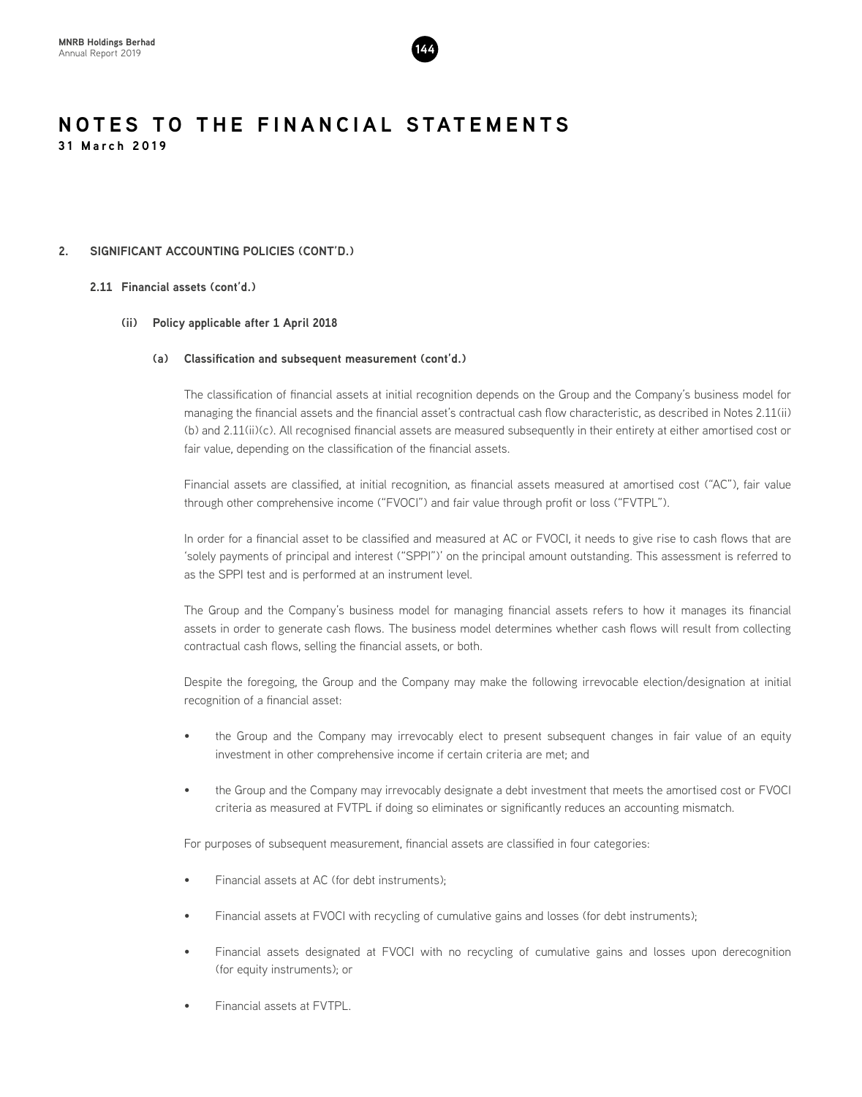

#### **2. SIGNIFICANT ACCOUNTING POLICIES (CONT'D.)**

#### **2.11 Financial assets (cont'd.)**

#### **(ii) Policy applicable after 1 April 2018**

#### **(a) Classification and subsequent measurement (cont'd.)**

The classification of financial assets at initial recognition depends on the Group and the Company's business model for managing the financial assets and the financial asset's contractual cash flow characteristic, as described in Notes 2.11(ii) (b) and 2.11(ii)(c). All recognised financial assets are measured subsequently in their entirety at either amortised cost or fair value, depending on the classification of the financial assets.

Financial assets are classified, at initial recognition, as financial assets measured at amortised cost ("AC"), fair value through other comprehensive income ("FVOCI") and fair value through profit or loss ("FVTPL").

In order for a financial asset to be classified and measured at AC or FVOCI, it needs to give rise to cash flows that are 'solely payments of principal and interest ("SPPI")' on the principal amount outstanding. This assessment is referred to as the SPPI test and is performed at an instrument level.

The Group and the Company's business model for managing financial assets refers to how it manages its financial assets in order to generate cash flows. The business model determines whether cash flows will result from collecting contractual cash flows, selling the financial assets, or both.

Despite the foregoing, the Group and the Company may make the following irrevocable election/designation at initial recognition of a financial asset:

- the Group and the Company may irrevocably elect to present subsequent changes in fair value of an equity investment in other comprehensive income if certain criteria are met; and
- the Group and the Company may irrevocably designate a debt investment that meets the amortised cost or FVOCI criteria as measured at FVTPL if doing so eliminates or significantly reduces an accounting mismatch.

For purposes of subsequent measurement, financial assets are classified in four categories:

- Financial assets at AC (for debt instruments);
- Financial assets at FVOCI with recycling of cumulative gains and losses (for debt instruments);
- Financial assets designated at FVOCI with no recycling of cumulative gains and losses upon derecognition (for equity instruments); or
- Financial assets at FVTPL.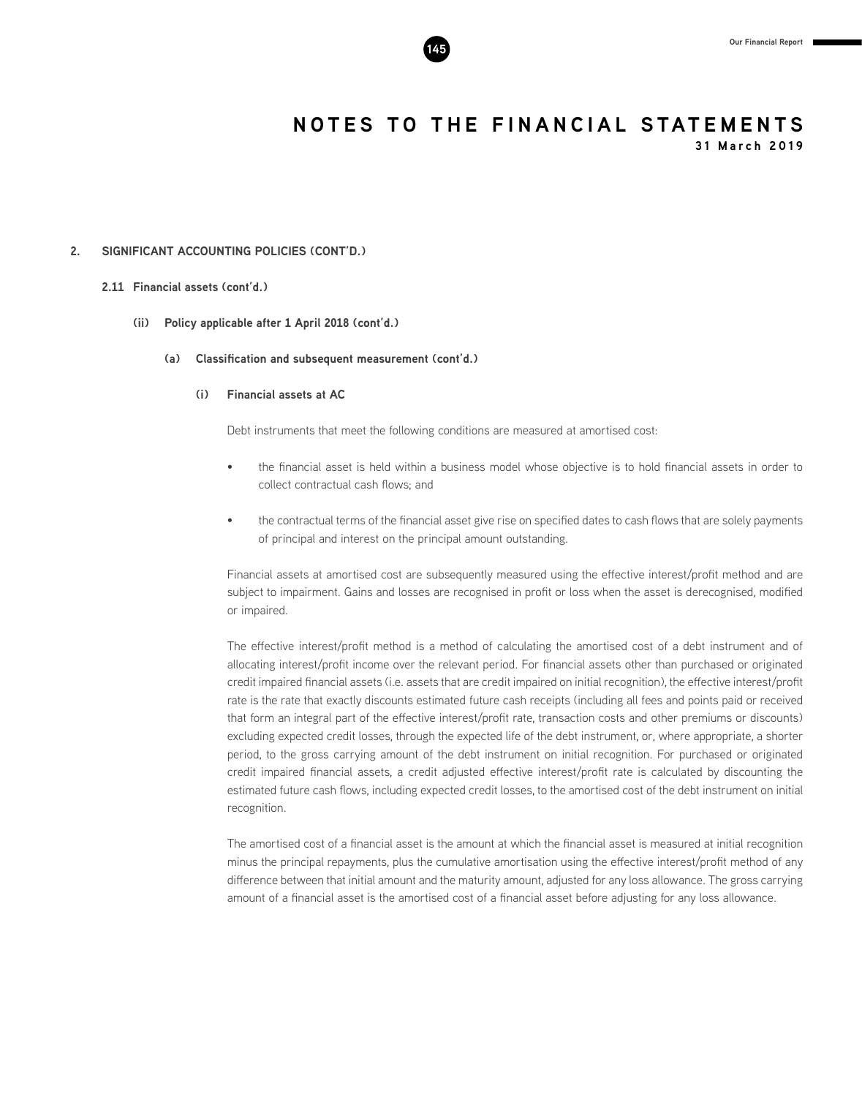

**31 March 2019**

#### **2. SIGNIFICANT ACCOUNTING POLICIES (CONT'D.)**

#### **2.11 Financial assets (cont'd.)**

- **(ii) Policy applicable after 1 April 2018 (cont'd.)**
	- **(a) Classification and subsequent measurement (cont'd.)**

#### **(i) Financial assets at AC**

Debt instruments that meet the following conditions are measured at amortised cost:

- the financial asset is held within a business model whose objective is to hold financial assets in order to collect contractual cash flows; and
- the contractual terms of the financial asset give rise on specified dates to cash flows that are solely payments of principal and interest on the principal amount outstanding.

Financial assets at amortised cost are subsequently measured using the effective interest/profit method and are subject to impairment. Gains and losses are recognised in profit or loss when the asset is derecognised, modified or impaired.

The effective interest/profit method is a method of calculating the amortised cost of a debt instrument and of allocating interest/profit income over the relevant period. For financial assets other than purchased or originated credit impaired financial assets (i.e. assets that are credit impaired on initial recognition), the effective interest/profit rate is the rate that exactly discounts estimated future cash receipts (including all fees and points paid or received that form an integral part of the effective interest/profit rate, transaction costs and other premiums or discounts) excluding expected credit losses, through the expected life of the debt instrument, or, where appropriate, a shorter period, to the gross carrying amount of the debt instrument on initial recognition. For purchased or originated credit impaired financial assets, a credit adjusted effective interest/profit rate is calculated by discounting the estimated future cash flows, including expected credit losses, to the amortised cost of the debt instrument on initial recognition.

The amortised cost of a financial asset is the amount at which the financial asset is measured at initial recognition minus the principal repayments, plus the cumulative amortisation using the effective interest/profit method of any difference between that initial amount and the maturity amount, adjusted for any loss allowance. The gross carrying amount of a financial asset is the amortised cost of a financial asset before adjusting for any loss allowance.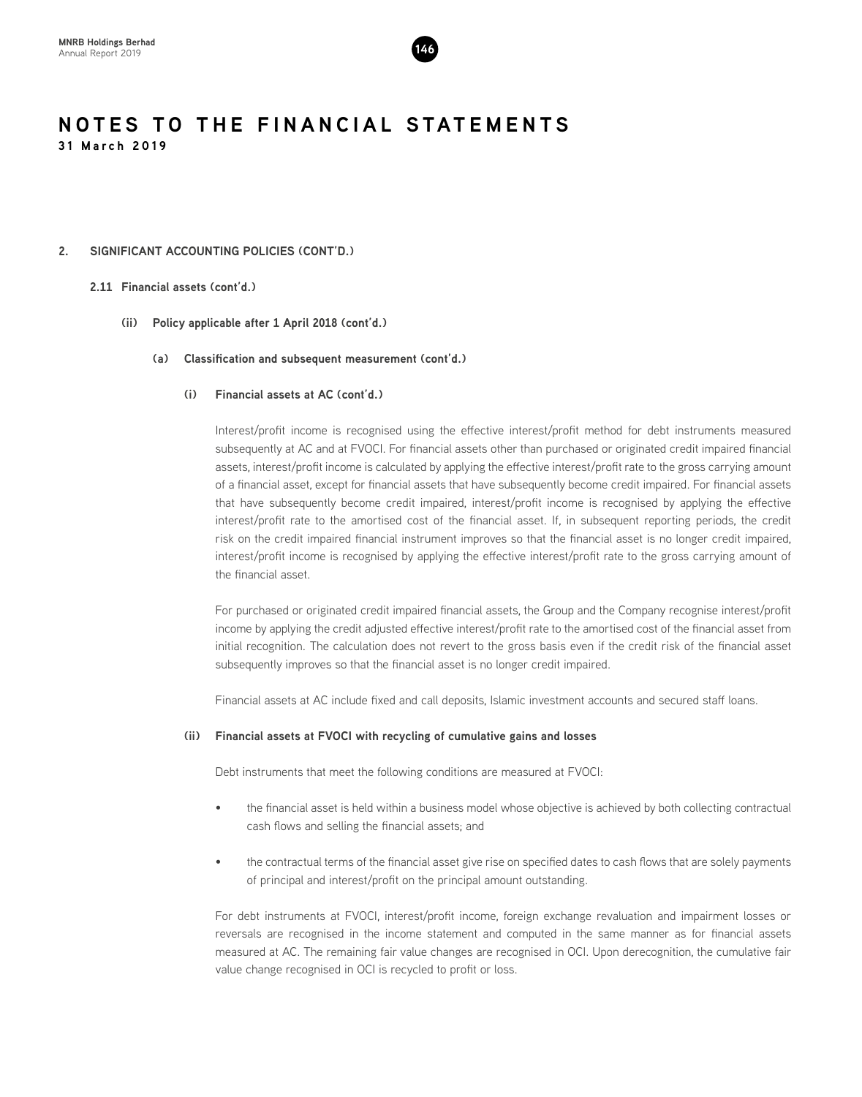

#### **2. SIGNIFICANT ACCOUNTING POLICIES (CONT'D.)**

#### **2.11 Financial assets (cont'd.)**

#### **(ii) Policy applicable after 1 April 2018 (cont'd.)**

#### **(a) Classification and subsequent measurement (cont'd.)**

#### **(i) Financial assets at AC (cont'd.)**

Interest/profit income is recognised using the effective interest/profit method for debt instruments measured subsequently at AC and at FVOCI. For financial assets other than purchased or originated credit impaired financial assets, interest/profit income is calculated by applying the effective interest/profit rate to the gross carrying amount of a financial asset, except for financial assets that have subsequently become credit impaired. For financial assets that have subsequently become credit impaired, interest/profit income is recognised by applying the effective interest/profit rate to the amortised cost of the financial asset. If, in subsequent reporting periods, the credit risk on the credit impaired financial instrument improves so that the financial asset is no longer credit impaired, interest/profit income is recognised by applying the effective interest/profit rate to the gross carrying amount of the financial asset.

For purchased or originated credit impaired financial assets, the Group and the Company recognise interest/profit income by applying the credit adjusted effective interest/profit rate to the amortised cost of the financial asset from initial recognition. The calculation does not revert to the gross basis even if the credit risk of the financial asset subsequently improves so that the financial asset is no longer credit impaired.

Financial assets at AC include fixed and call deposits, Islamic investment accounts and secured staff loans.

#### **(ii) Financial assets at FVOCI with recycling of cumulative gains and losses**

Debt instruments that meet the following conditions are measured at FVOCI:

- the financial asset is held within a business model whose objective is achieved by both collecting contractual cash flows and selling the financial assets; and
- the contractual terms of the financial asset give rise on specified dates to cash flows that are solely payments of principal and interest/profit on the principal amount outstanding.

For debt instruments at FVOCI, interest/profit income, foreign exchange revaluation and impairment losses or reversals are recognised in the income statement and computed in the same manner as for financial assets measured at AC. The remaining fair value changes are recognised in OCI. Upon derecognition, the cumulative fair value change recognised in OCI is recycled to profit or loss.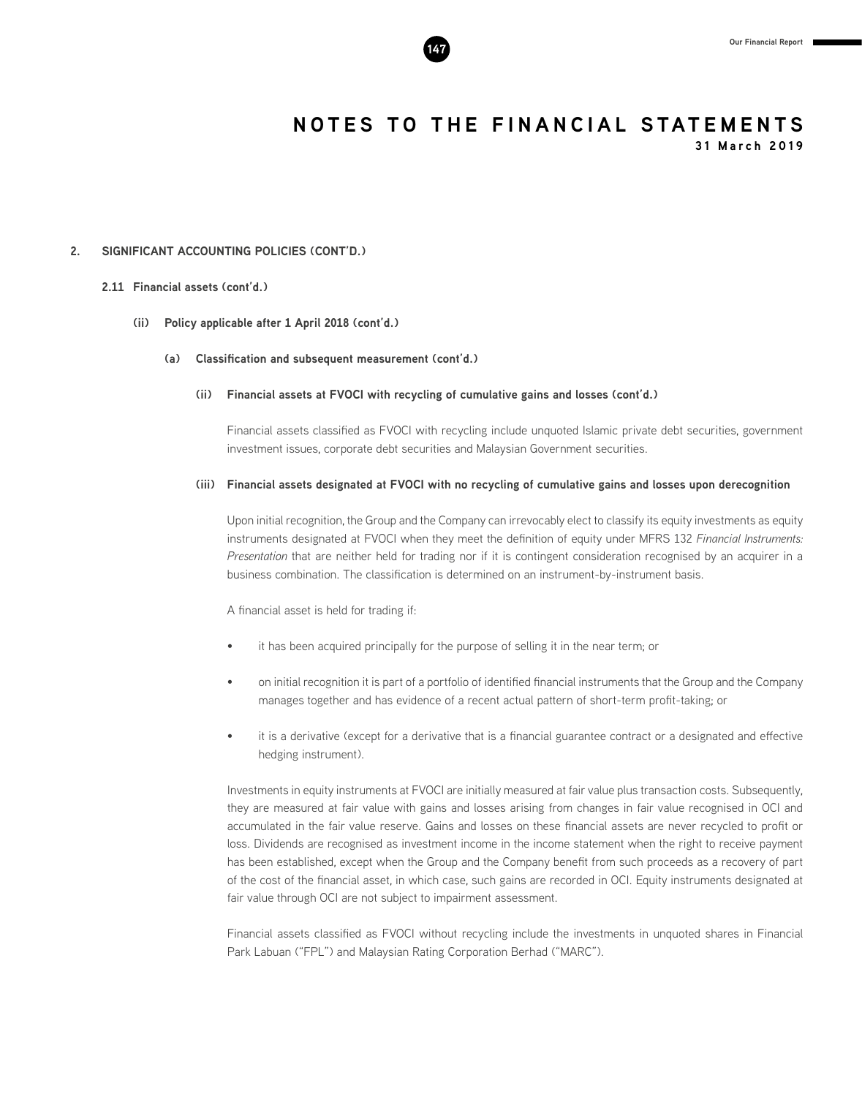

**31 March 2019**

#### **2. SIGNIFICANT ACCOUNTING POLICIES (CONT'D.)**

#### **2.11 Financial assets (cont'd.)**

#### **(ii) Policy applicable after 1 April 2018 (cont'd.)**

#### **(a) Classification and subsequent measurement (cont'd.)**

#### **(ii) Financial assets at FVOCI with recycling of cumulative gains and losses (cont'd.)**

Financial assets classified as FVOCI with recycling include unquoted Islamic private debt securities, government investment issues, corporate debt securities and Malaysian Government securities.

#### **(iii) Financial assets designated at FVOCI with no recycling of cumulative gains and losses upon derecognition**

Upon initial recognition, the Group and the Company can irrevocably elect to classify its equity investments as equity instruments designated at FVOCI when they meet the definition of equity under MFRS 132 *Financial Instruments: Presentation* that are neither held for trading nor if it is contingent consideration recognised by an acquirer in a business combination. The classification is determined on an instrument-by-instrument basis.

A financial asset is held for trading if:

- it has been acquired principally for the purpose of selling it in the near term; or
- on initial recognition it is part of a portfolio of identified financial instruments that the Group and the Company manages together and has evidence of a recent actual pattern of short-term profit-taking; or
- it is a derivative (except for a derivative that is a financial guarantee contract or a designated and effective hedging instrument).

Investments in equity instruments at FVOCI are initially measured at fair value plus transaction costs. Subsequently, they are measured at fair value with gains and losses arising from changes in fair value recognised in OCI and accumulated in the fair value reserve. Gains and losses on these financial assets are never recycled to profit or loss. Dividends are recognised as investment income in the income statement when the right to receive payment has been established, except when the Group and the Company benefit from such proceeds as a recovery of part of the cost of the financial asset, in which case, such gains are recorded in OCI. Equity instruments designated at fair value through OCI are not subject to impairment assessment.

Financial assets classified as FVOCI without recycling include the investments in unquoted shares in Financial Park Labuan ("FPL") and Malaysian Rating Corporation Berhad ("MARC").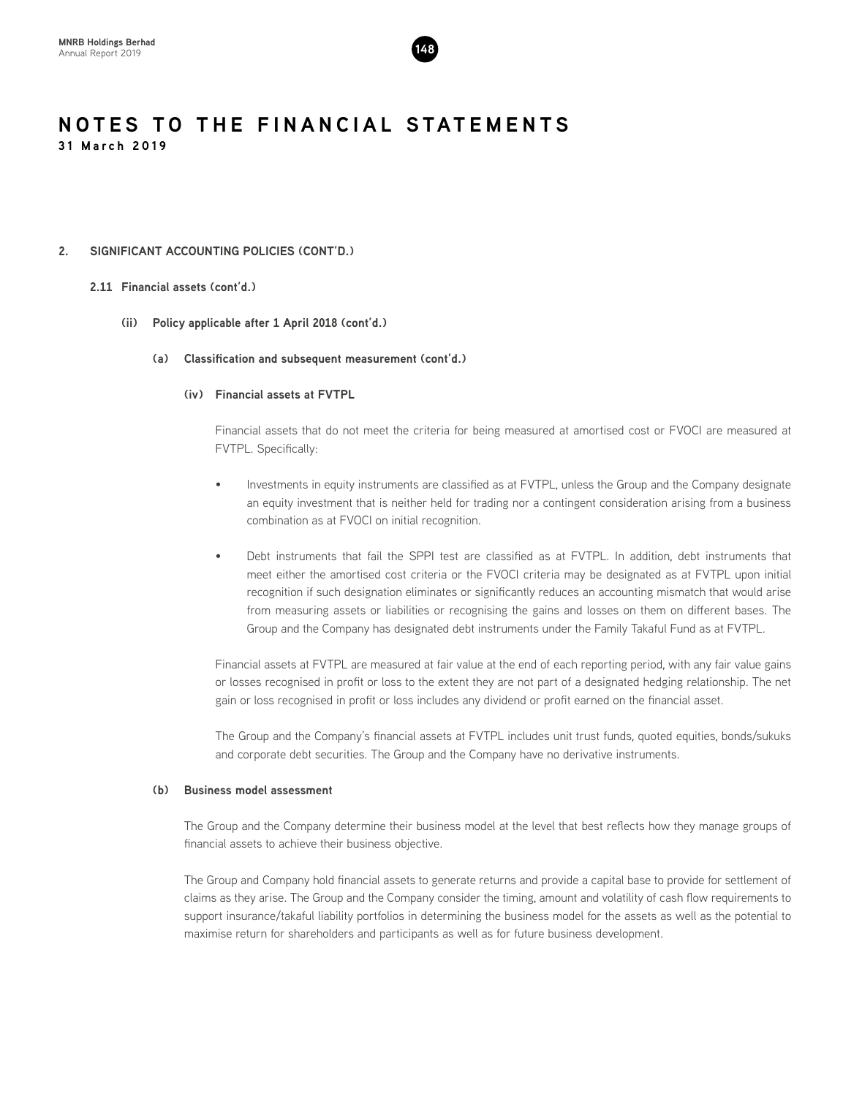

#### **2. SIGNIFICANT ACCOUNTING POLICIES (CONT'D.)**

#### **2.11 Financial assets (cont'd.)**

- **(ii) Policy applicable after 1 April 2018 (cont'd.)**
	- **(a) Classification and subsequent measurement (cont'd.)**

#### **(iv) Financial assets at FVTPL**

Financial assets that do not meet the criteria for being measured at amortised cost or FVOCI are measured at FVTPL. Specifically:

- Investments in equity instruments are classified as at FVTPL, unless the Group and the Company designate an equity investment that is neither held for trading nor a contingent consideration arising from a business combination as at FVOCI on initial recognition.
- Debt instruments that fail the SPPI test are classified as at FVTPL. In addition, debt instruments that meet either the amortised cost criteria or the FVOCI criteria may be designated as at FVTPL upon initial recognition if such designation eliminates or significantly reduces an accounting mismatch that would arise from measuring assets or liabilities or recognising the gains and losses on them on different bases. The Group and the Company has designated debt instruments under the Family Takaful Fund as at FVTPL.

Financial assets at FVTPL are measured at fair value at the end of each reporting period, with any fair value gains or losses recognised in profit or loss to the extent they are not part of a designated hedging relationship. The net gain or loss recognised in profit or loss includes any dividend or profit earned on the financial asset.

The Group and the Company's financial assets at FVTPL includes unit trust funds, quoted equities, bonds/sukuks and corporate debt securities. The Group and the Company have no derivative instruments.

#### **(b) Business model assessment**

The Group and the Company determine their business model at the level that best reflects how they manage groups of financial assets to achieve their business objective.

The Group and Company hold financial assets to generate returns and provide a capital base to provide for settlement of claims as they arise. The Group and the Company consider the timing, amount and volatility of cash flow requirements to support insurance/takaful liability portfolios in determining the business model for the assets as well as the potential to maximise return for shareholders and participants as well as for future business development.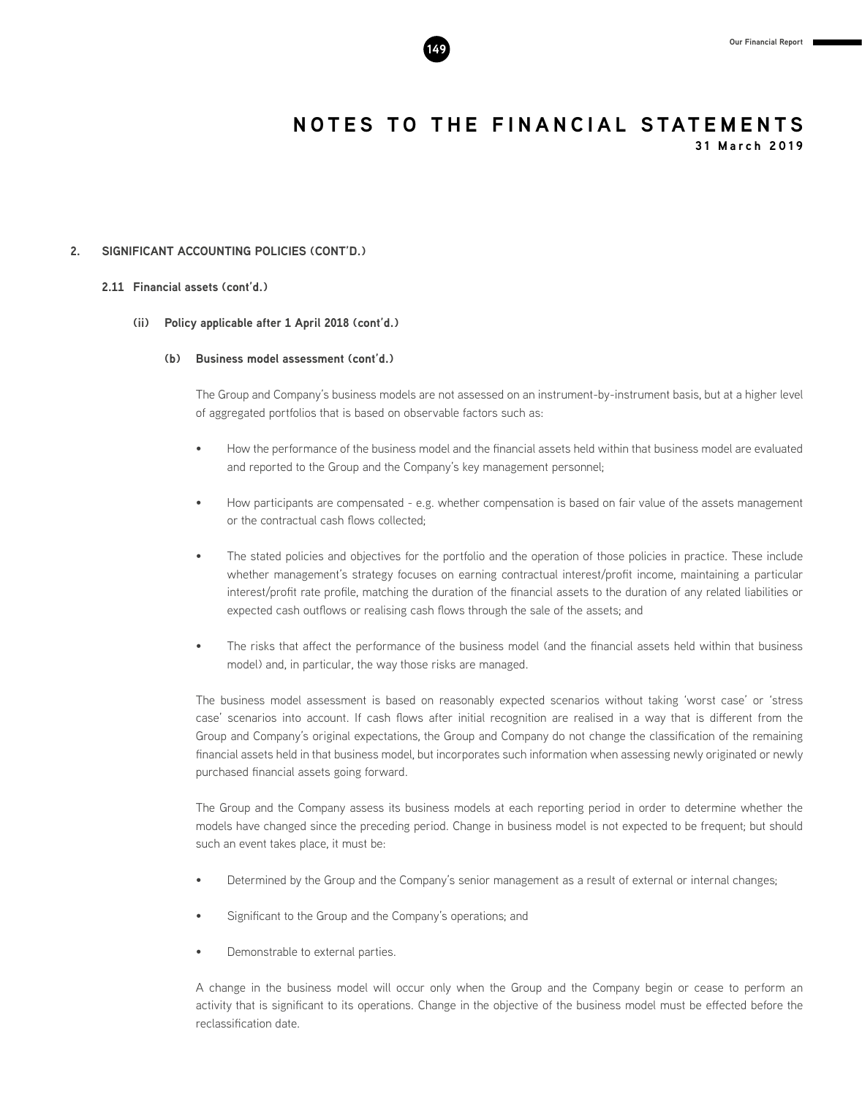

**31 March 2019**

#### **2. SIGNIFICANT ACCOUNTING POLICIES (CONT'D.)**

#### **2.11 Financial assets (cont'd.)**

#### **(ii) Policy applicable after 1 April 2018 (cont'd.)**

#### **(b) Business model assessment (cont'd.)**

The Group and Company's business models are not assessed on an instrument-by-instrument basis, but at a higher level of aggregated portfolios that is based on observable factors such as:

- How the performance of the business model and the financial assets held within that business model are evaluated and reported to the Group and the Company's key management personnel;
- How participants are compensated e.g. whether compensation is based on fair value of the assets management or the contractual cash flows collected;
- The stated policies and objectives for the portfolio and the operation of those policies in practice. These include whether management's strategy focuses on earning contractual interest/profit income, maintaining a particular interest/profit rate profile, matching the duration of the financial assets to the duration of any related liabilities or expected cash outflows or realising cash flows through the sale of the assets; and
- The risks that affect the performance of the business model (and the financial assets held within that business model) and, in particular, the way those risks are managed.

The business model assessment is based on reasonably expected scenarios without taking 'worst case' or 'stress case' scenarios into account. If cash flows after initial recognition are realised in a way that is different from the Group and Company's original expectations, the Group and Company do not change the classification of the remaining financial assets held in that business model, but incorporates such information when assessing newly originated or newly purchased financial assets going forward.

The Group and the Company assess its business models at each reporting period in order to determine whether the models have changed since the preceding period. Change in business model is not expected to be frequent; but should such an event takes place, it must be:

- Determined by the Group and the Company's senior management as a result of external or internal changes;
- Significant to the Group and the Company's operations; and
- Demonstrable to external parties.

A change in the business model will occur only when the Group and the Company begin or cease to perform an activity that is significant to its operations. Change in the objective of the business model must be effected before the reclassification date.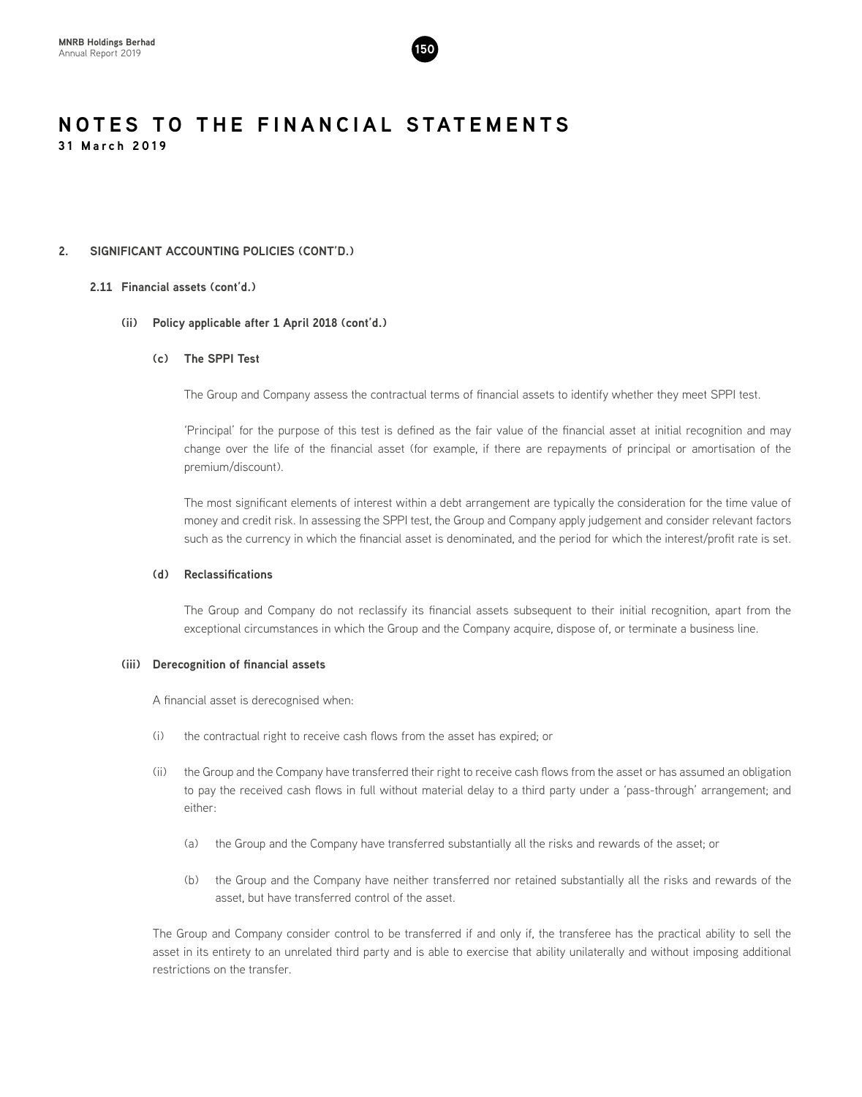

#### **2. SIGNIFICANT ACCOUNTING POLICIES (CONT'D.)**

#### **2.11 Financial assets (cont'd.)**

#### **(ii) Policy applicable after 1 April 2018 (cont'd.)**

#### **(c) The SPPI Test**

The Group and Company assess the contractual terms of financial assets to identify whether they meet SPPI test.

'Principal' for the purpose of this test is defined as the fair value of the financial asset at initial recognition and may change over the life of the financial asset (for example, if there are repayments of principal or amortisation of the premium/discount).

The most significant elements of interest within a debt arrangement are typically the consideration for the time value of money and credit risk. In assessing the SPPI test, the Group and Company apply judgement and consider relevant factors such as the currency in which the financial asset is denominated, and the period for which the interest/profit rate is set.

#### **(d) Reclassifications**

The Group and Company do not reclassify its financial assets subsequent to their initial recognition, apart from the exceptional circumstances in which the Group and the Company acquire, dispose of, or terminate a business line.

#### **(iii) Derecognition of financial assets**

A financial asset is derecognised when:

- (i) the contractual right to receive cash flows from the asset has expired; or
- (ii) the Group and the Company have transferred their right to receive cash flows from the asset or has assumed an obligation to pay the received cash flows in full without material delay to a third party under a 'pass-through' arrangement; and either:
	- (a) the Group and the Company have transferred substantially all the risks and rewards of the asset; or
	- (b) the Group and the Company have neither transferred nor retained substantially all the risks and rewards of the asset, but have transferred control of the asset.

The Group and Company consider control to be transferred if and only if, the transferee has the practical ability to sell the asset in its entirety to an unrelated third party and is able to exercise that ability unilaterally and without imposing additional restrictions on the transfer.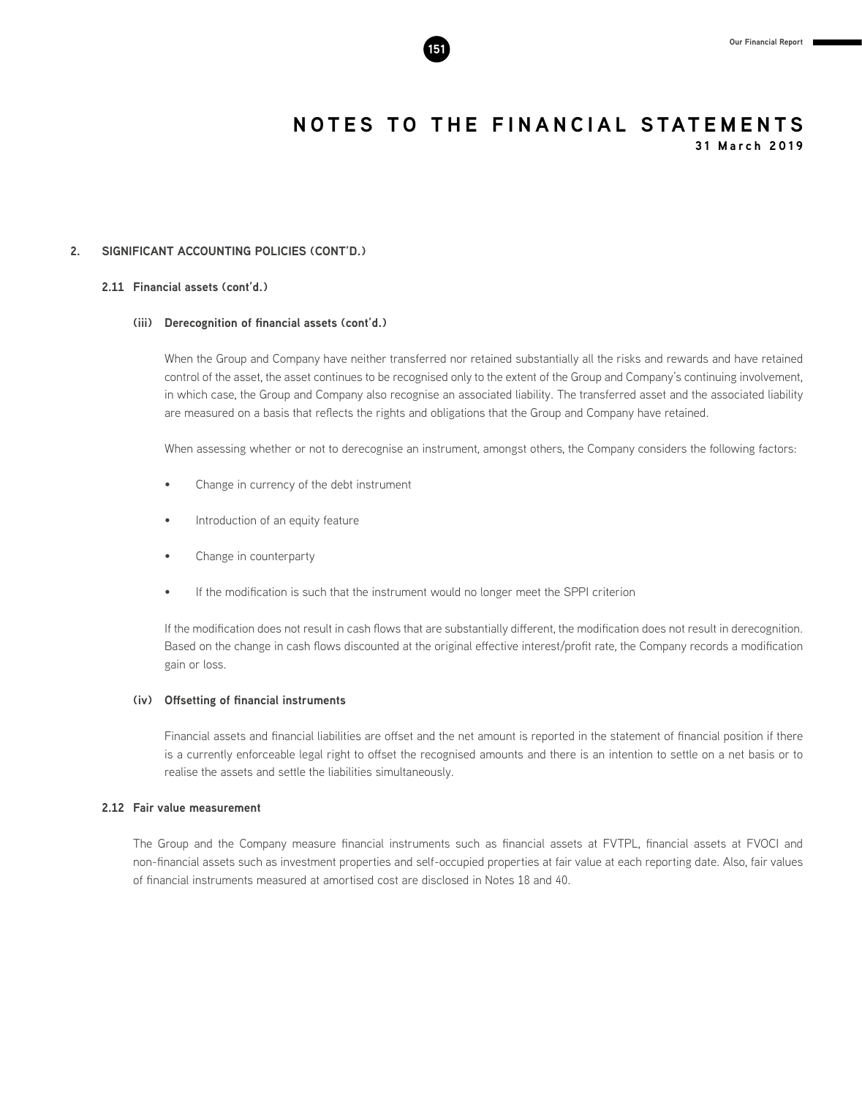**31 March 2019**

#### **2. SIGNIFICANT ACCOUNTING POLICIES (CONT'D.)**

#### **2.11 Financial assets (cont'd.)**

#### **(iii) Derecognition of financial assets (cont'd.)**

When the Group and Company have neither transferred nor retained substantially all the risks and rewards and have retained control of the asset, the asset continues to be recognised only to the extent of the Group and Company's continuing involvement, in which case, the Group and Company also recognise an associated liability. The transferred asset and the associated liability are measured on a basis that reflects the rights and obligations that the Group and Company have retained.

When assessing whether or not to derecognise an instrument, amongst others, the Company considers the following factors:

- Change in currency of the debt instrument
- Introduction of an equity feature
- Change in counterparty
- If the modification is such that the instrument would no longer meet the SPPI criterion

If the modification does not result in cash flows that are substantially different, the modification does not result in derecognition. Based on the change in cash flows discounted at the original effective interest/profit rate, the Company records a modification gain or loss.

#### **(iv) Offsetting of financial instruments**

Financial assets and financial liabilities are offset and the net amount is reported in the statement of financial position if there is a currently enforceable legal right to offset the recognised amounts and there is an intention to settle on a net basis or to realise the assets and settle the liabilities simultaneously.

#### **2.12 Fair value measurement**

The Group and the Company measure financial instruments such as financial assets at FVTPL, financial assets at FVOCI and non-financial assets such as investment properties and self-occupied properties at fair value at each reporting date. Also, fair values of financial instruments measured at amortised cost are disclosed in Notes 18 and 40.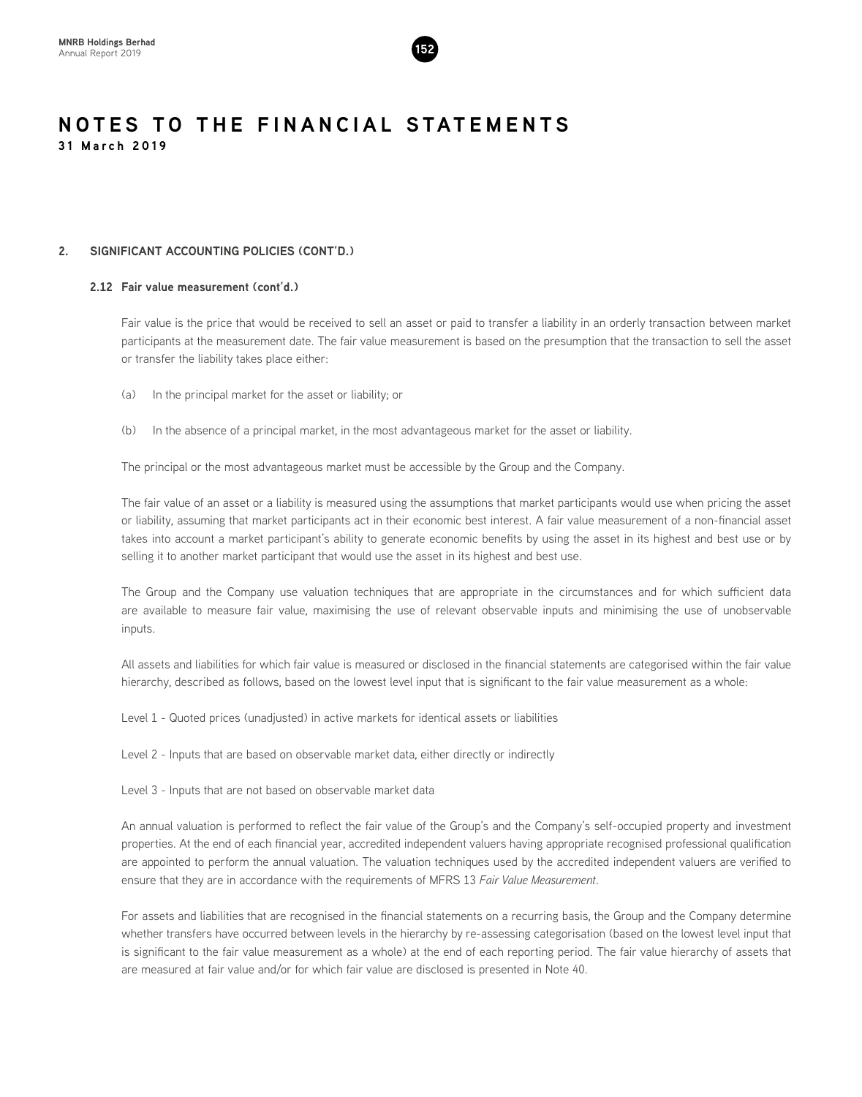

#### **2. SIGNIFICANT ACCOUNTING POLICIES (CONT'D.)**

#### **2.12 Fair value measurement (cont'd.)**

Fair value is the price that would be received to sell an asset or paid to transfer a liability in an orderly transaction between market participants at the measurement date. The fair value measurement is based on the presumption that the transaction to sell the asset or transfer the liability takes place either:

- (a) In the principal market for the asset or liability; or
- (b) In the absence of a principal market, in the most advantageous market for the asset or liability.

The principal or the most advantageous market must be accessible by the Group and the Company.

The fair value of an asset or a liability is measured using the assumptions that market participants would use when pricing the asset or liability, assuming that market participants act in their economic best interest. A fair value measurement of a non-financial asset takes into account a market participant's ability to generate economic benefits by using the asset in its highest and best use or by selling it to another market participant that would use the asset in its highest and best use.

The Group and the Company use valuation techniques that are appropriate in the circumstances and for which sufficient data are available to measure fair value, maximising the use of relevant observable inputs and minimising the use of unobservable inputs.

All assets and liabilities for which fair value is measured or disclosed in the financial statements are categorised within the fair value hierarchy, described as follows, based on the lowest level input that is significant to the fair value measurement as a whole:

Level 1 - Quoted prices (unadjusted) in active markets for identical assets or liabilities

Level 2 - Inputs that are based on observable market data, either directly or indirectly

Level 3 - Inputs that are not based on observable market data

An annual valuation is performed to reflect the fair value of the Group's and the Company's self-occupied property and investment properties. At the end of each financial year, accredited independent valuers having appropriate recognised professional qualification are appointed to perform the annual valuation. The valuation techniques used by the accredited independent valuers are verified to ensure that they are in accordance with the requirements of MFRS 13 *Fair Value Measurement*.

For assets and liabilities that are recognised in the financial statements on a recurring basis, the Group and the Company determine whether transfers have occurred between levels in the hierarchy by re-assessing categorisation (based on the lowest level input that is significant to the fair value measurement as a whole) at the end of each reporting period. The fair value hierarchy of assets that are measured at fair value and/or for which fair value are disclosed is presented in Note 40.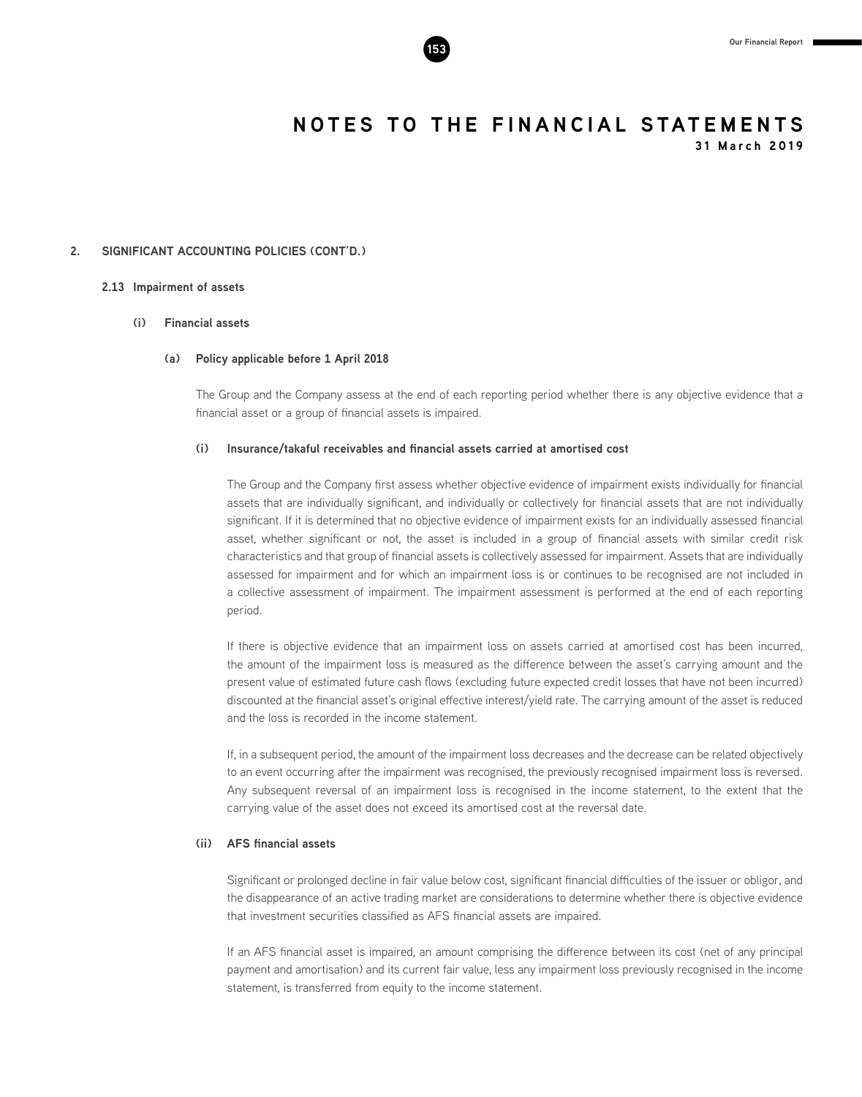

**31 March 2019**

#### **2. SIGNIFICANT ACCOUNTING POLICIES (CONT'D.)**

#### **2.13 Impairment of assets**

#### **(i) Financial assets**

#### **(a) Policy applicable before 1 April 2018**

The Group and the Company assess at the end of each reporting period whether there is any objective evidence that a financial asset or a group of financial assets is impaired.

#### **(i) Insurance/takaful receivables and financial assets carried at amortised cost**

The Group and the Company first assess whether objective evidence of impairment exists individually for financial assets that are individually significant, and individually or collectively for financial assets that are not individually significant. If it is determined that no objective evidence of impairment exists for an individually assessed financial asset, whether significant or not, the asset is included in a group of financial assets with similar credit risk characteristics and that group of financial assets is collectively assessed for impairment. Assets that are individually assessed for impairment and for which an impairment loss is or continues to be recognised are not included in a collective assessment of impairment. The impairment assessment is performed at the end of each reporting period.

If there is objective evidence that an impairment loss on assets carried at amortised cost has been incurred, the amount of the impairment loss is measured as the difference between the asset's carrying amount and the present value of estimated future cash flows (excluding future expected credit losses that have not been incurred) discounted at the financial asset's original effective interest/yield rate. The carrying amount of the asset is reduced and the loss is recorded in the income statement.

If, in a subsequent period, the amount of the impairment loss decreases and the decrease can be related objectively to an event occurring after the impairment was recognised, the previously recognised impairment loss is reversed. Any subsequent reversal of an impairment loss is recognised in the income statement, to the extent that the carrying value of the asset does not exceed its amortised cost at the reversal date.

#### **(ii) AFS financial assets**

Significant or prolonged decline in fair value below cost, significant financial difficulties of the issuer or obligor, and the disappearance of an active trading market are considerations to determine whether there is objective evidence that investment securities classified as AFS financial assets are impaired.

If an AFS financial asset is impaired, an amount comprising the difference between its cost (net of any principal payment and amortisation) and its current fair value, less any impairment loss previously recognised in the income statement, is transferred from equity to the income statement.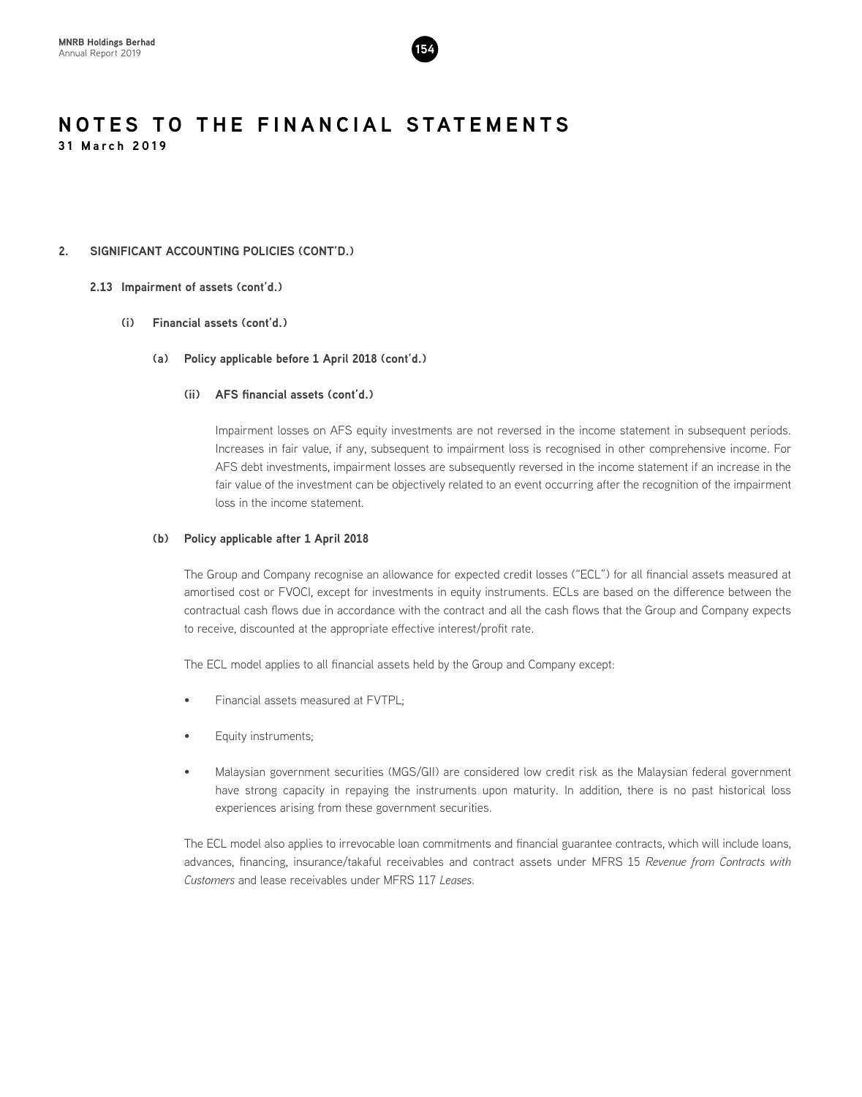

#### **2. SIGNIFICANT ACCOUNTING POLICIES (CONT'D.)**

#### **2.13 Impairment of assets (cont'd.)**

#### **(i) Financial assets (cont'd.)**

**(a) Policy applicable before 1 April 2018 (cont'd.)**

#### **(ii) AFS financial assets (cont'd.)**

Impairment losses on AFS equity investments are not reversed in the income statement in subsequent periods. Increases in fair value, if any, subsequent to impairment loss is recognised in other comprehensive income. For AFS debt investments, impairment losses are subsequently reversed in the income statement if an increase in the fair value of the investment can be objectively related to an event occurring after the recognition of the impairment loss in the income statement.

#### **(b) Policy applicable after 1 April 2018**

The Group and Company recognise an allowance for expected credit losses ("ECL") for all financial assets measured at amortised cost or FVOCI, except for investments in equity instruments. ECLs are based on the difference between the contractual cash flows due in accordance with the contract and all the cash flows that the Group and Company expects to receive, discounted at the appropriate effective interest/profit rate.

The ECL model applies to all financial assets held by the Group and Company except:

- Financial assets measured at FVTPL;
- Equity instruments;
- Malaysian government securities (MGS/GII) are considered low credit risk as the Malaysian federal government have strong capacity in repaying the instruments upon maturity. In addition, there is no past historical loss experiences arising from these government securities.

The ECL model also applies to irrevocable loan commitments and financial guarantee contracts, which will include loans, advances, financing, insurance/takaful receivables and contract assets under MFRS 15 *Revenue from Contracts with Customers* and lease receivables under MFRS 117 *Leases*.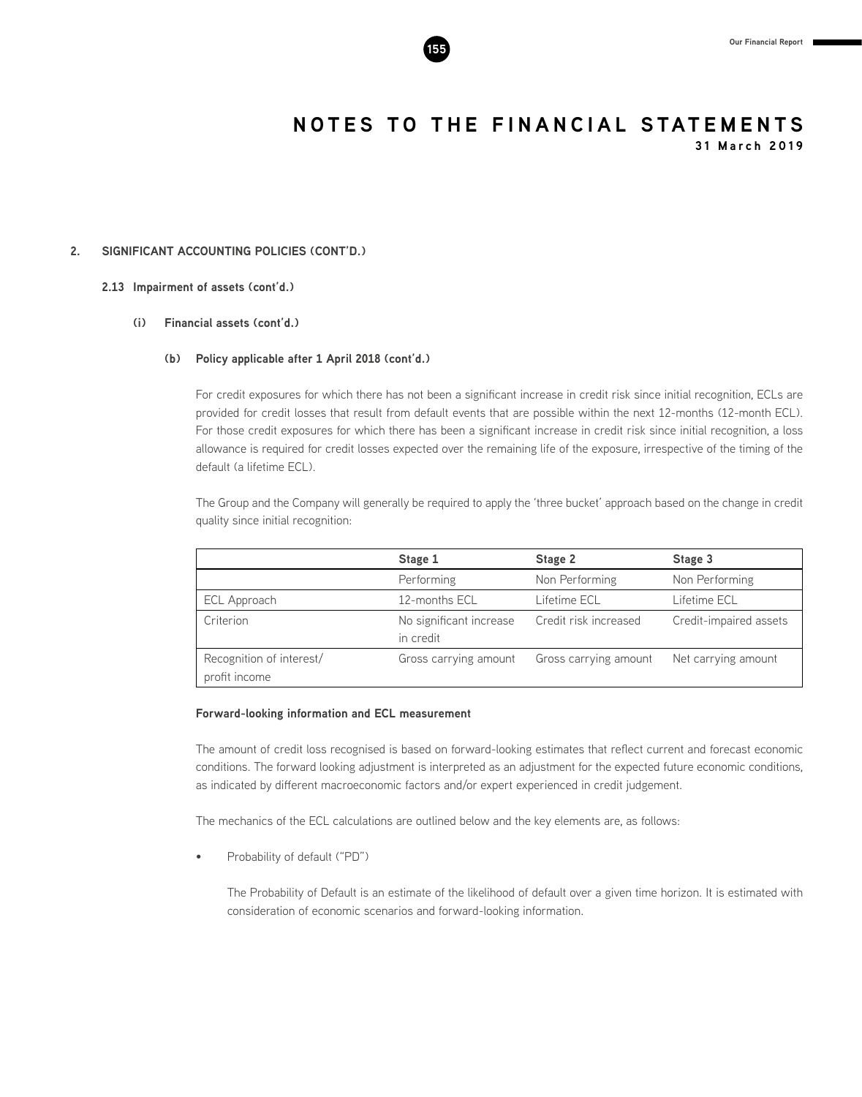

**31 March 2019**

#### **2. SIGNIFICANT ACCOUNTING POLICIES (CONT'D.)**

#### **2.13 Impairment of assets (cont'd.)**

#### **(i) Financial assets (cont'd.)**

#### **(b) Policy applicable after 1 April 2018 (cont'd.)**

For credit exposures for which there has not been a significant increase in credit risk since initial recognition, ECLs are provided for credit losses that result from default events that are possible within the next 12-months (12-month ECL). For those credit exposures for which there has been a significant increase in credit risk since initial recognition, a loss allowance is required for credit losses expected over the remaining life of the exposure, irrespective of the timing of the default (a lifetime ECL).

The Group and the Company will generally be required to apply the 'three bucket' approach based on the change in credit quality since initial recognition:

|                                           | Stage 1                              | Stage 2               | Stage 3                |
|-------------------------------------------|--------------------------------------|-----------------------|------------------------|
|                                           | Performing                           | Non Performing        | Non Performing         |
| ECL Approach                              | 12-months ECL                        | Lifetime ECL          | Lifetime ECL           |
| Criterion                                 | No significant increase<br>in credit | Credit risk increased | Credit-impaired assets |
| Recognition of interest/<br>profit income | Gross carrying amount                | Gross carrying amount | Net carrying amount    |

#### **Forward-looking information and ECL measurement**

The amount of credit loss recognised is based on forward-looking estimates that reflect current and forecast economic conditions. The forward looking adjustment is interpreted as an adjustment for the expected future economic conditions, as indicated by different macroeconomic factors and/or expert experienced in credit judgement.

The mechanics of the ECL calculations are outlined below and the key elements are, as follows:

Probability of default ("PD")

The Probability of Default is an estimate of the likelihood of default over a given time horizon. It is estimated with consideration of economic scenarios and forward-looking information.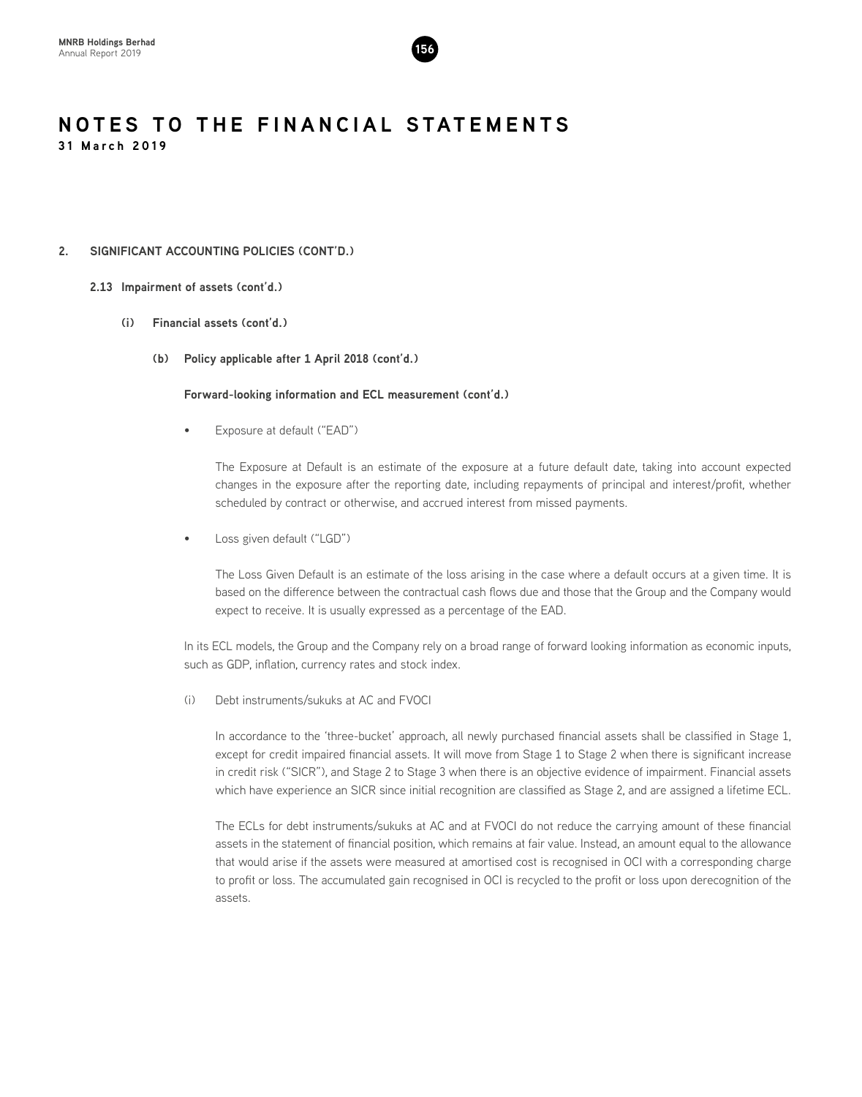

#### **2. SIGNIFICANT ACCOUNTING POLICIES (CONT'D.)**

#### **2.13 Impairment of assets (cont'd.)**

- **(i) Financial assets (cont'd.)**
	- **(b) Policy applicable after 1 April 2018 (cont'd.)**

#### **Forward-looking information and ECL measurement (cont'd.)**

Exposure at default ("EAD")

The Exposure at Default is an estimate of the exposure at a future default date, taking into account expected changes in the exposure after the reporting date, including repayments of principal and interest/profit, whether scheduled by contract or otherwise, and accrued interest from missed payments.

Loss given default ("LGD")

The Loss Given Default is an estimate of the loss arising in the case where a default occurs at a given time. It is based on the difference between the contractual cash flows due and those that the Group and the Company would expect to receive. It is usually expressed as a percentage of the EAD.

In its ECL models, the Group and the Company rely on a broad range of forward looking information as economic inputs, such as GDP, inflation, currency rates and stock index.

(i) Debt instruments/sukuks at AC and FVOCI

In accordance to the 'three-bucket' approach, all newly purchased financial assets shall be classified in Stage 1, except for credit impaired financial assets. It will move from Stage 1 to Stage 2 when there is significant increase in credit risk ("SICR"), and Stage 2 to Stage 3 when there is an objective evidence of impairment. Financial assets which have experience an SICR since initial recognition are classified as Stage 2, and are assigned a lifetime ECL.

The ECLs for debt instruments/sukuks at AC and at FVOCI do not reduce the carrying amount of these financial assets in the statement of financial position, which remains at fair value. Instead, an amount equal to the allowance that would arise if the assets were measured at amortised cost is recognised in OCI with a corresponding charge to profit or loss. The accumulated gain recognised in OCI is recycled to the profit or loss upon derecognition of the assets.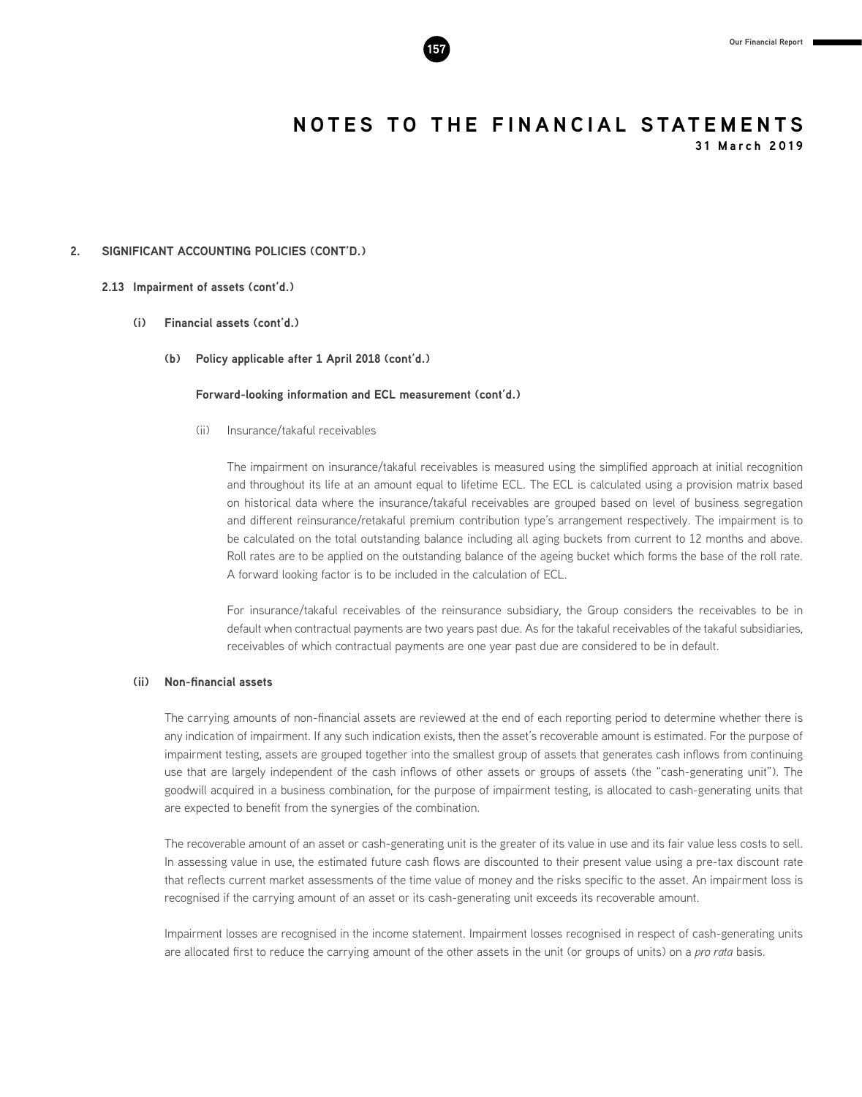

**31 March 2019**

#### **2. SIGNIFICANT ACCOUNTING POLICIES (CONT'D.)**

#### **2.13 Impairment of assets (cont'd.)**

- **(i) Financial assets (cont'd.)**
	- **(b) Policy applicable after 1 April 2018 (cont'd.)**

#### **Forward-looking information and ECL measurement (cont'd.)**

(ii) Insurance/takaful receivables

The impairment on insurance/takaful receivables is measured using the simplified approach at initial recognition and throughout its life at an amount equal to lifetime ECL. The ECL is calculated using a provision matrix based on historical data where the insurance/takaful receivables are grouped based on level of business segregation and different reinsurance/retakaful premium contribution type's arrangement respectively. The impairment is to be calculated on the total outstanding balance including all aging buckets from current to 12 months and above. Roll rates are to be applied on the outstanding balance of the ageing bucket which forms the base of the roll rate. A forward looking factor is to be included in the calculation of ECL.

For insurance/takaful receivables of the reinsurance subsidiary, the Group considers the receivables to be in default when contractual payments are two years past due. As for the takaful receivables of the takaful subsidiaries, receivables of which contractual payments are one year past due are considered to be in default.

#### **(ii) Non-financial assets**

The carrying amounts of non-financial assets are reviewed at the end of each reporting period to determine whether there is any indication of impairment. If any such indication exists, then the asset's recoverable amount is estimated. For the purpose of impairment testing, assets are grouped together into the smallest group of assets that generates cash inflows from continuing use that are largely independent of the cash inflows of other assets or groups of assets (the "cash-generating unit"). The goodwill acquired in a business combination, for the purpose of impairment testing, is allocated to cash-generating units that are expected to benefit from the synergies of the combination.

The recoverable amount of an asset or cash-generating unit is the greater of its value in use and its fair value less costs to sell. In assessing value in use, the estimated future cash flows are discounted to their present value using a pre-tax discount rate that reflects current market assessments of the time value of money and the risks specific to the asset. An impairment loss is recognised if the carrying amount of an asset or its cash-generating unit exceeds its recoverable amount.

Impairment losses are recognised in the income statement. Impairment losses recognised in respect of cash-generating units are allocated first to reduce the carrying amount of the other assets in the unit (or groups of units) on a *pro rata* basis.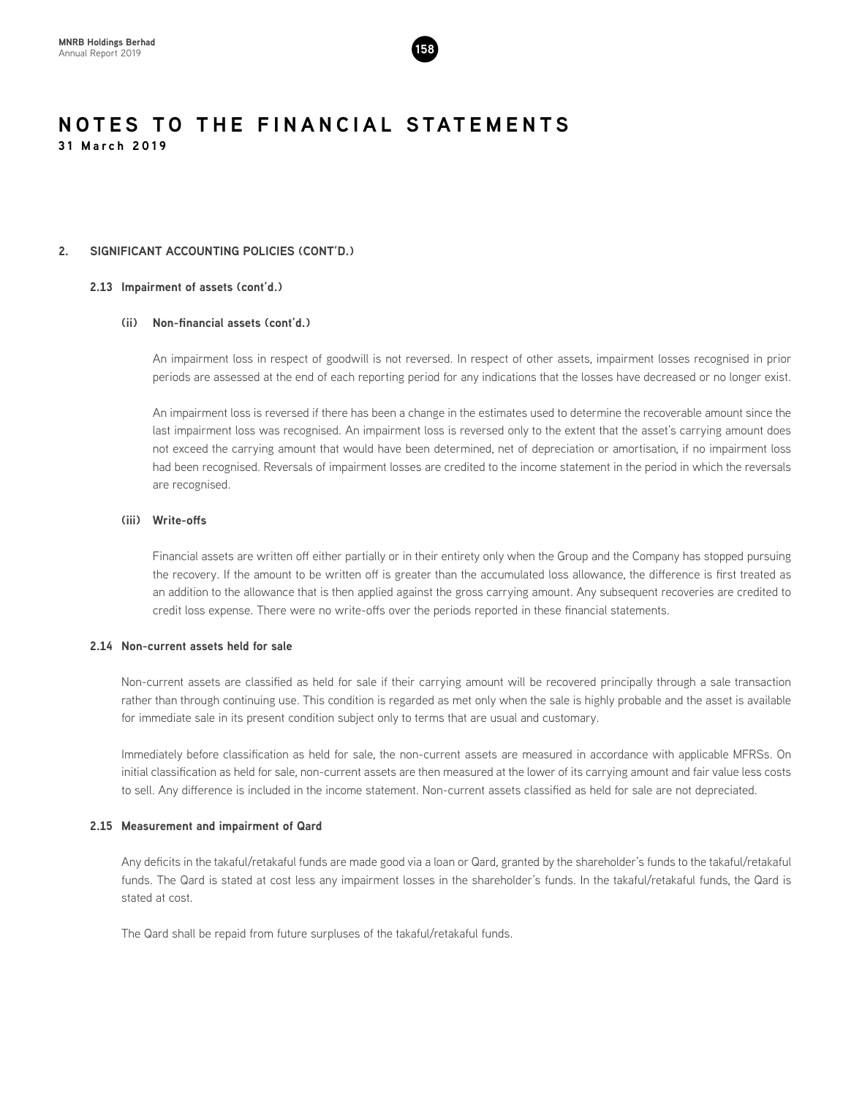

#### **2. SIGNIFICANT ACCOUNTING POLICIES (CONT'D.)**

#### **2.13 Impairment of assets (cont'd.)**

#### **(ii) Non-financial assets (cont'd.)**

An impairment loss in respect of goodwill is not reversed. In respect of other assets, impairment losses recognised in prior periods are assessed at the end of each reporting period for any indications that the losses have decreased or no longer exist.

An impairment loss is reversed if there has been a change in the estimates used to determine the recoverable amount since the last impairment loss was recognised. An impairment loss is reversed only to the extent that the asset's carrying amount does not exceed the carrying amount that would have been determined, net of depreciation or amortisation, if no impairment loss had been recognised. Reversals of impairment losses are credited to the income statement in the period in which the reversals are recognised.

#### **(iii) Write-offs**

Financial assets are written off either partially or in their entirety only when the Group and the Company has stopped pursuing the recovery. If the amount to be written off is greater than the accumulated loss allowance, the difference is first treated as an addition to the allowance that is then applied against the gross carrying amount. Any subsequent recoveries are credited to credit loss expense. There were no write-offs over the periods reported in these financial statements.

#### **2.14 Non-current assets held for sale**

Non-current assets are classified as held for sale if their carrying amount will be recovered principally through a sale transaction rather than through continuing use. This condition is regarded as met only when the sale is highly probable and the asset is available for immediate sale in its present condition subject only to terms that are usual and customary.

Immediately before classification as held for sale, the non-current assets are measured in accordance with applicable MFRSs. On initial classification as held for sale, non-current assets are then measured at the lower of its carrying amount and fair value less costs to sell. Any difference is included in the income statement. Non-current assets classified as held for sale are not depreciated.

#### **2.15 Measurement and impairment of Qard**

Any deficits in the takaful/retakaful funds are made good via a loan or Qard, granted by the shareholder's funds to the takaful/retakaful funds. The Qard is stated at cost less any impairment losses in the shareholder's funds. In the takaful/retakaful funds, the Qard is stated at cost.

The Qard shall be repaid from future surpluses of the takaful/retakaful funds.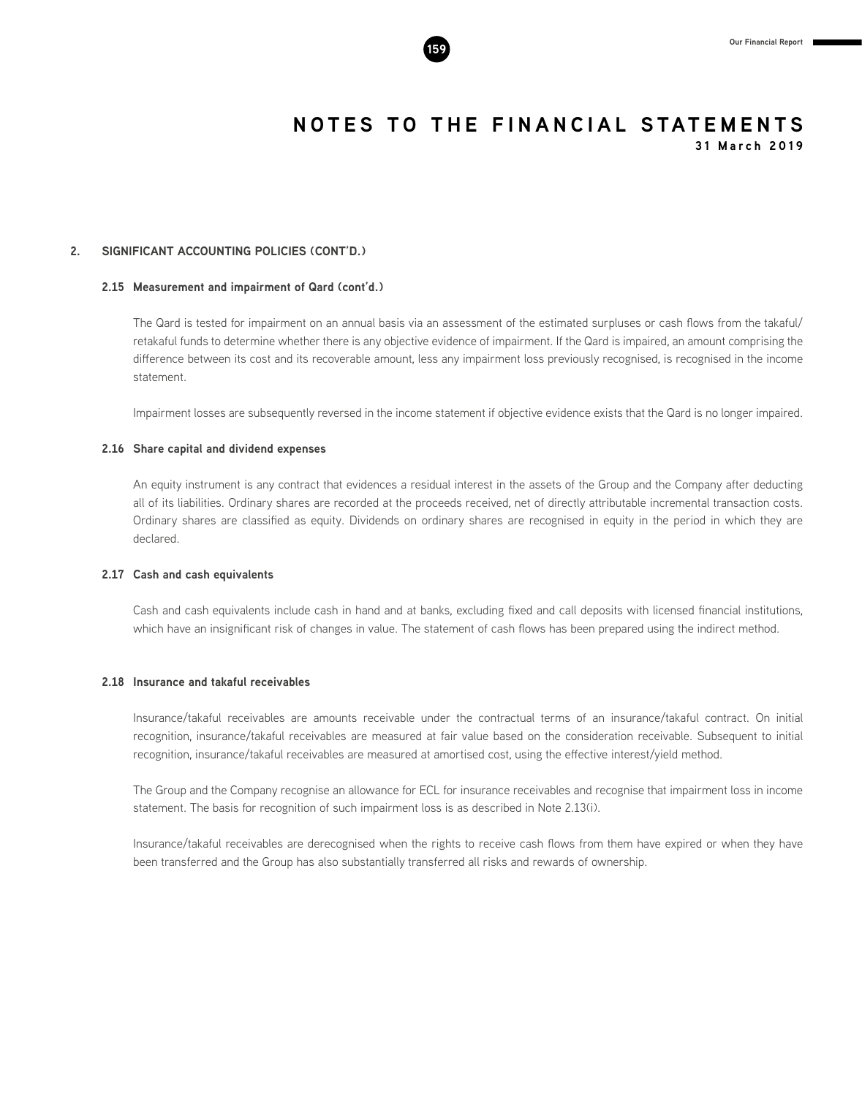#### **2. SIGNIFICANT ACCOUNTING POLICIES (CONT'D.)**

#### **2.15 Measurement and impairment of Qard (cont'd.)**

The Qard is tested for impairment on an annual basis via an assessment of the estimated surpluses or cash flows from the takaful/ retakaful funds to determine whether there is any objective evidence of impairment. If the Qard is impaired, an amount comprising the difference between its cost and its recoverable amount, less any impairment loss previously recognised, is recognised in the income statement.

Impairment losses are subsequently reversed in the income statement if objective evidence exists that the Qard is no longer impaired.

#### **2.16 Share capital and dividend expenses**

An equity instrument is any contract that evidences a residual interest in the assets of the Group and the Company after deducting all of its liabilities. Ordinary shares are recorded at the proceeds received, net of directly attributable incremental transaction costs. Ordinary shares are classified as equity. Dividends on ordinary shares are recognised in equity in the period in which they are declared.

#### **2.17 Cash and cash equivalents**

Cash and cash equivalents include cash in hand and at banks, excluding fixed and call deposits with licensed financial institutions, which have an insignificant risk of changes in value. The statement of cash flows has been prepared using the indirect method.

#### **2.18 Insurance and takaful receivables**

Insurance/takaful receivables are amounts receivable under the contractual terms of an insurance/takaful contract. On initial recognition, insurance/takaful receivables are measured at fair value based on the consideration receivable. Subsequent to initial recognition, insurance/takaful receivables are measured at amortised cost, using the effective interest/yield method.

The Group and the Company recognise an allowance for ECL for insurance receivables and recognise that impairment loss in income statement. The basis for recognition of such impairment loss is as described in Note 2.13(i).

Insurance/takaful receivables are derecognised when the rights to receive cash flows from them have expired or when they have been transferred and the Group has also substantially transferred all risks and rewards of ownership.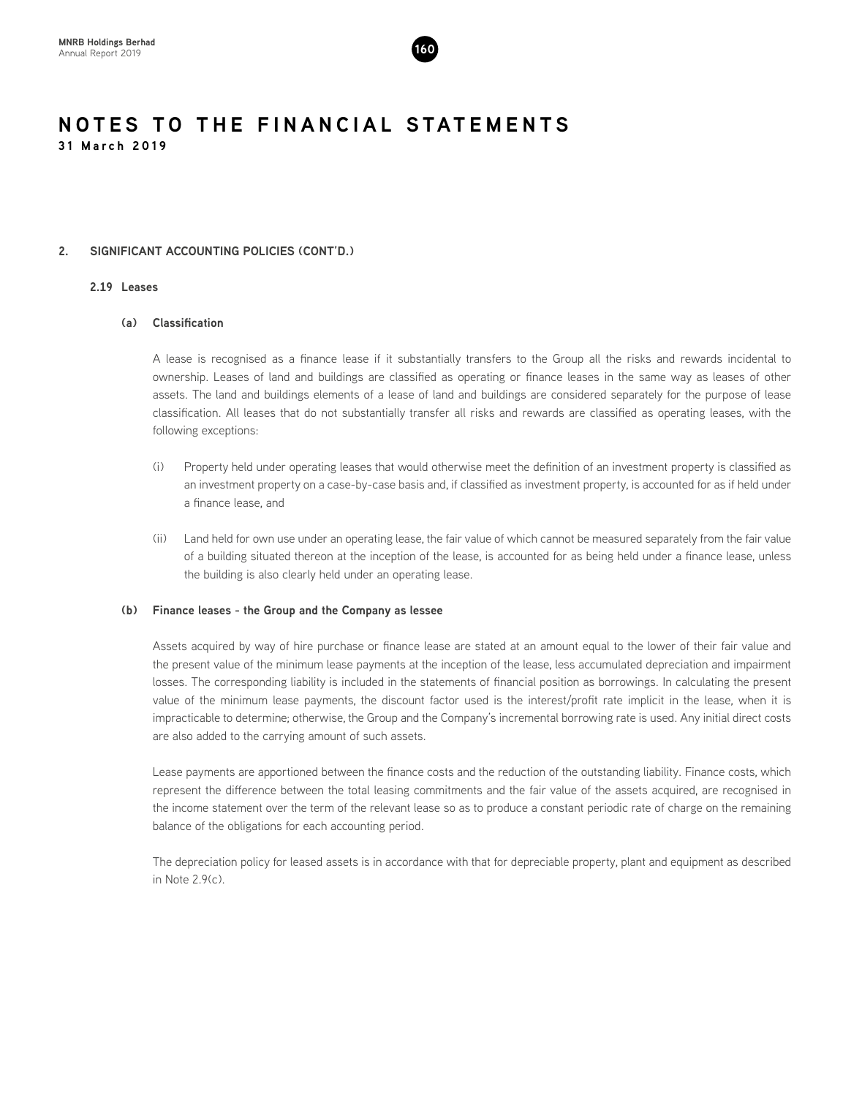

#### **2. SIGNIFICANT ACCOUNTING POLICIES (CONT'D.)**

#### **2.19 Leases**

#### **(a) Classification**

A lease is recognised as a finance lease if it substantially transfers to the Group all the risks and rewards incidental to ownership. Leases of land and buildings are classified as operating or finance leases in the same way as leases of other assets. The land and buildings elements of a lease of land and buildings are considered separately for the purpose of lease classification. All leases that do not substantially transfer all risks and rewards are classified as operating leases, with the following exceptions:

- (i) Property held under operating leases that would otherwise meet the definition of an investment property is classified as an investment property on a case-by-case basis and, if classified as investment property, is accounted for as if held under a finance lease, and
- (ii) Land held for own use under an operating lease, the fair value of which cannot be measured separately from the fair value of a building situated thereon at the inception of the lease, is accounted for as being held under a finance lease, unless the building is also clearly held under an operating lease.

#### **(b) Finance leases - the Group and the Company as lessee**

Assets acquired by way of hire purchase or finance lease are stated at an amount equal to the lower of their fair value and the present value of the minimum lease payments at the inception of the lease, less accumulated depreciation and impairment losses. The corresponding liability is included in the statements of financial position as borrowings. In calculating the present value of the minimum lease payments, the discount factor used is the interest/profit rate implicit in the lease, when it is impracticable to determine; otherwise, the Group and the Company's incremental borrowing rate is used. Any initial direct costs are also added to the carrying amount of such assets.

Lease payments are apportioned between the finance costs and the reduction of the outstanding liability. Finance costs, which represent the difference between the total leasing commitments and the fair value of the assets acquired, are recognised in the income statement over the term of the relevant lease so as to produce a constant periodic rate of charge on the remaining balance of the obligations for each accounting period.

The depreciation policy for leased assets is in accordance with that for depreciable property, plant and equipment as described in Note 2.9(c).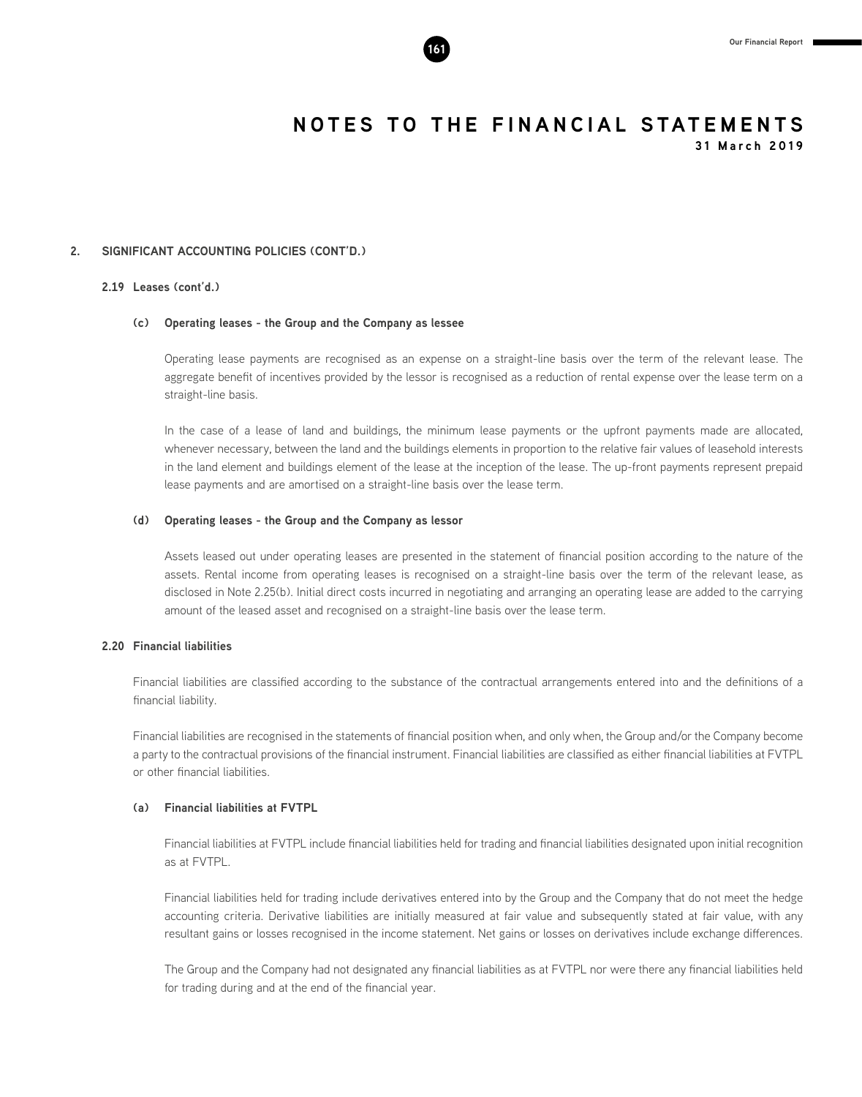#### **2. SIGNIFICANT ACCOUNTING POLICIES (CONT'D.)**

#### **2.19 Leases (cont'd.)**

#### **(c) Operating leases - the Group and the Company as lessee**

Operating lease payments are recognised as an expense on a straight-line basis over the term of the relevant lease. The aggregate benefit of incentives provided by the lessor is recognised as a reduction of rental expense over the lease term on a straight-line basis.

In the case of a lease of land and buildings, the minimum lease payments or the upfront payments made are allocated, whenever necessary, between the land and the buildings elements in proportion to the relative fair values of leasehold interests in the land element and buildings element of the lease at the inception of the lease. The up-front payments represent prepaid lease payments and are amortised on a straight-line basis over the lease term.

#### **(d) Operating leases - the Group and the Company as lessor**

Assets leased out under operating leases are presented in the statement of financial position according to the nature of the assets. Rental income from operating leases is recognised on a straight-line basis over the term of the relevant lease, as disclosed in Note 2.25(b). Initial direct costs incurred in negotiating and arranging an operating lease are added to the carrying amount of the leased asset and recognised on a straight-line basis over the lease term.

#### **2.20 Financial liabilities**

Financial liabilities are classified according to the substance of the contractual arrangements entered into and the definitions of a financial liability.

Financial liabilities are recognised in the statements of financial position when, and only when, the Group and/or the Company become a party to the contractual provisions of the financial instrument. Financial liabilities are classified as either financial liabilities at FVTPL or other financial liabilities.

#### **(a) Financial liabilities at FVTPL**

Financial liabilities at FVTPL include financial liabilities held for trading and financial liabilities designated upon initial recognition as at FVTPL.

Financial liabilities held for trading include derivatives entered into by the Group and the Company that do not meet the hedge accounting criteria. Derivative liabilities are initially measured at fair value and subsequently stated at fair value, with any resultant gains or losses recognised in the income statement. Net gains or losses on derivatives include exchange differences.

The Group and the Company had not designated any financial liabilities as at FVTPL nor were there any financial liabilities held for trading during and at the end of the financial year.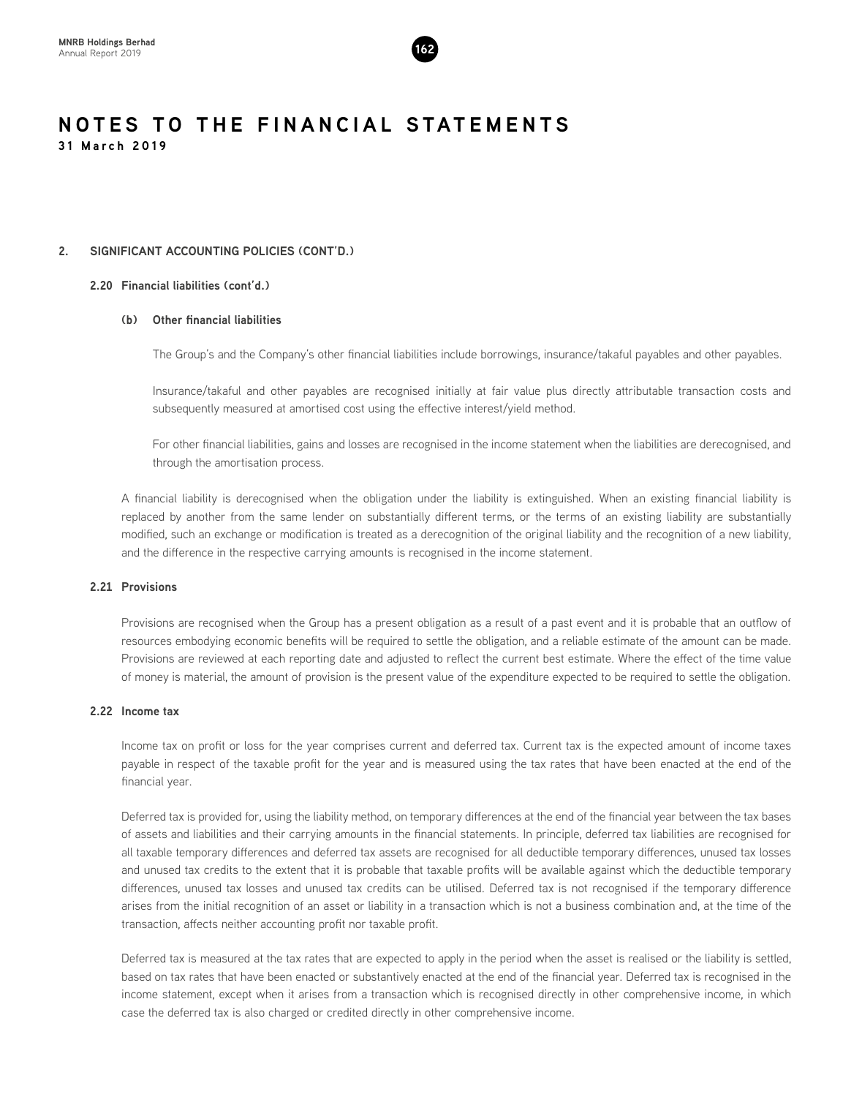

#### **2. SIGNIFICANT ACCOUNTING POLICIES (CONT'D.)**

#### **2.20 Financial liabilities (cont'd.)**

#### **(b) Other financial liabilities**

The Group's and the Company's other financial liabilities include borrowings, insurance/takaful payables and other payables.

Insurance/takaful and other payables are recognised initially at fair value plus directly attributable transaction costs and subsequently measured at amortised cost using the effective interest/yield method.

For other financial liabilities, gains and losses are recognised in the income statement when the liabilities are derecognised, and through the amortisation process.

A financial liability is derecognised when the obligation under the liability is extinguished. When an existing financial liability is replaced by another from the same lender on substantially different terms, or the terms of an existing liability are substantially modified, such an exchange or modification is treated as a derecognition of the original liability and the recognition of a new liability, and the difference in the respective carrying amounts is recognised in the income statement.

#### **2.21 Provisions**

Provisions are recognised when the Group has a present obligation as a result of a past event and it is probable that an outflow of resources embodying economic benefits will be required to settle the obligation, and a reliable estimate of the amount can be made. Provisions are reviewed at each reporting date and adjusted to reflect the current best estimate. Where the effect of the time value of money is material, the amount of provision is the present value of the expenditure expected to be required to settle the obligation.

### **2.22 Income tax**

Income tax on profit or loss for the year comprises current and deferred tax. Current tax is the expected amount of income taxes payable in respect of the taxable profit for the year and is measured using the tax rates that have been enacted at the end of the financial year.

Deferred tax is provided for, using the liability method, on temporary differences at the end of the financial year between the tax bases of assets and liabilities and their carrying amounts in the financial statements. In principle, deferred tax liabilities are recognised for all taxable temporary differences and deferred tax assets are recognised for all deductible temporary differences, unused tax losses and unused tax credits to the extent that it is probable that taxable profits will be available against which the deductible temporary differences, unused tax losses and unused tax credits can be utilised. Deferred tax is not recognised if the temporary difference arises from the initial recognition of an asset or liability in a transaction which is not a business combination and, at the time of the transaction, affects neither accounting profit nor taxable profit.

Deferred tax is measured at the tax rates that are expected to apply in the period when the asset is realised or the liability is settled, based on tax rates that have been enacted or substantively enacted at the end of the financial year. Deferred tax is recognised in the income statement, except when it arises from a transaction which is recognised directly in other comprehensive income, in which case the deferred tax is also charged or credited directly in other comprehensive income.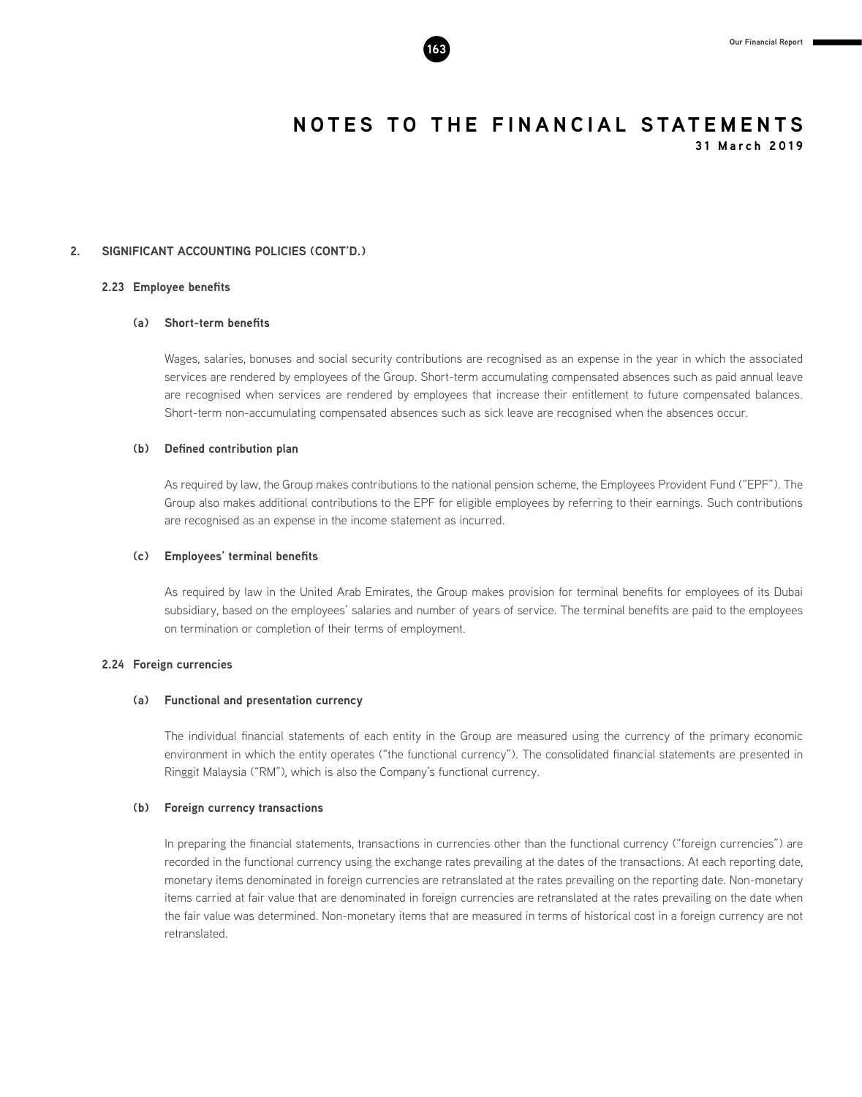#### **2. SIGNIFICANT ACCOUNTING POLICIES (CONT'D.)**

#### **2.23 Employee benefits**

#### **(a) Short-term benefits**

Wages, salaries, bonuses and social security contributions are recognised as an expense in the year in which the associated services are rendered by employees of the Group. Short-term accumulating compensated absences such as paid annual leave are recognised when services are rendered by employees that increase their entitlement to future compensated balances. Short-term non-accumulating compensated absences such as sick leave are recognised when the absences occur.

#### **(b) Defined contribution plan**

As required by law, the Group makes contributions to the national pension scheme, the Employees Provident Fund ("EPF"). The Group also makes additional contributions to the EPF for eligible employees by referring to their earnings. Such contributions are recognised as an expense in the income statement as incurred.

#### **(c) Employees' terminal benefits**

As required by law in the United Arab Emirates, the Group makes provision for terminal benefits for employees of its Dubai subsidiary, based on the employees' salaries and number of years of service. The terminal benefits are paid to the employees on termination or completion of their terms of employment.

#### **2.24 Foreign currencies**

#### **(a) Functional and presentation currency**

The individual financial statements of each entity in the Group are measured using the currency of the primary economic environment in which the entity operates ("the functional currency"). The consolidated financial statements are presented in Ringgit Malaysia ("RM"), which is also the Company's functional currency.

#### **(b) Foreign currency transactions**

In preparing the financial statements, transactions in currencies other than the functional currency ("foreign currencies") are recorded in the functional currency using the exchange rates prevailing at the dates of the transactions. At each reporting date, monetary items denominated in foreign currencies are retranslated at the rates prevailing on the reporting date. Non-monetary items carried at fair value that are denominated in foreign currencies are retranslated at the rates prevailing on the date when the fair value was determined. Non-monetary items that are measured in terms of historical cost in a foreign currency are not retranslated.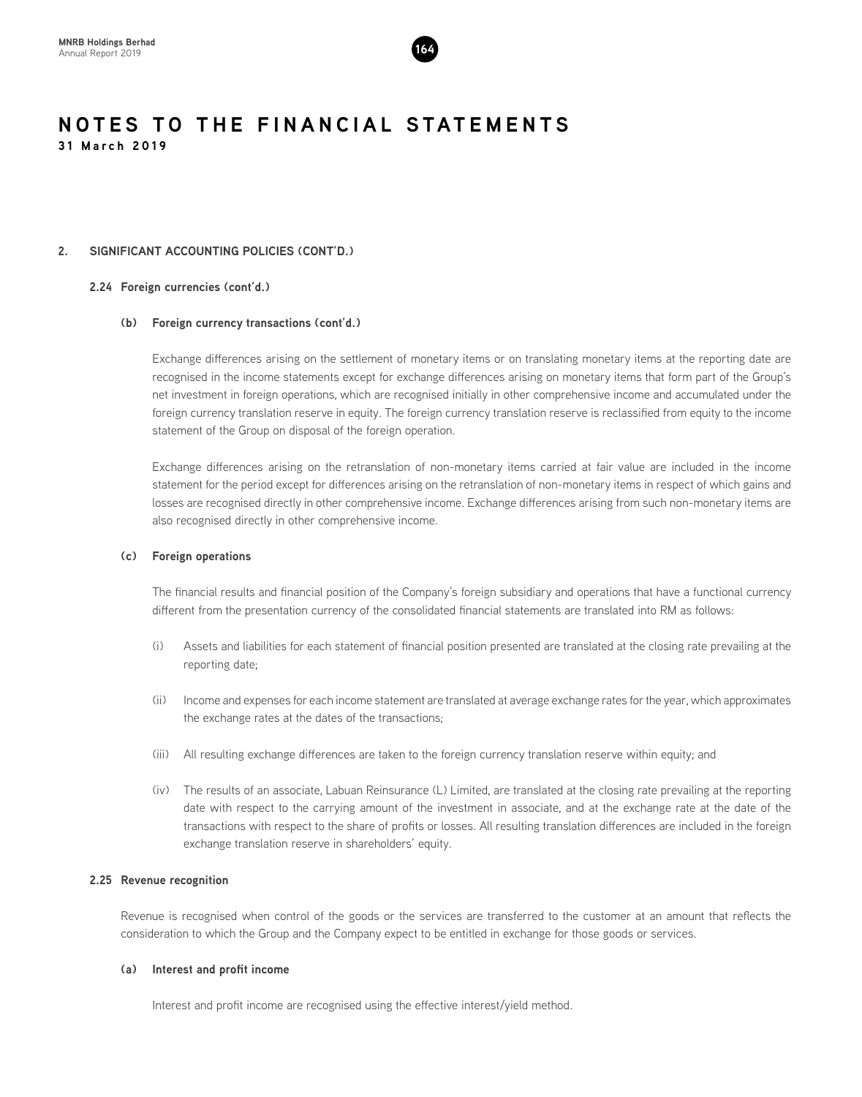

#### **2. SIGNIFICANT ACCOUNTING POLICIES (CONT'D.)**

#### **2.24 Foreign currencies (cont'd.)**

#### **(b) Foreign currency transactions (cont'd.)**

Exchange differences arising on the settlement of monetary items or on translating monetary items at the reporting date are recognised in the income statements except for exchange differences arising on monetary items that form part of the Group's net investment in foreign operations, which are recognised initially in other comprehensive income and accumulated under the foreign currency translation reserve in equity. The foreign currency translation reserve is reclassified from equity to the income statement of the Group on disposal of the foreign operation.

Exchange differences arising on the retranslation of non-monetary items carried at fair value are included in the income statement for the period except for differences arising on the retranslation of non-monetary items in respect of which gains and losses are recognised directly in other comprehensive income. Exchange differences arising from such non-monetary items are also recognised directly in other comprehensive income.

#### **(c) Foreign operations**

The financial results and financial position of the Company's foreign subsidiary and operations that have a functional currency different from the presentation currency of the consolidated financial statements are translated into RM as follows:

- (i) Assets and liabilities for each statement of financial position presented are translated at the closing rate prevailing at the reporting date;
- (ii) Income and expenses for each income statement are translated at average exchange rates for the year, which approximates the exchange rates at the dates of the transactions;
- (iii) All resulting exchange differences are taken to the foreign currency translation reserve within equity; and
- (iv) The results of an associate, Labuan Reinsurance (L) Limited, are translated at the closing rate prevailing at the reporting date with respect to the carrying amount of the investment in associate, and at the exchange rate at the date of the transactions with respect to the share of profits or losses. All resulting translation differences are included in the foreign exchange translation reserve in shareholders' equity.

#### **2.25 Revenue recognition**

Revenue is recognised when control of the goods or the services are transferred to the customer at an amount that reflects the consideration to which the Group and the Company expect to be entitled in exchange for those goods or services.

#### **(a) Interest and profit income**

Interest and profit income are recognised using the effective interest/yield method.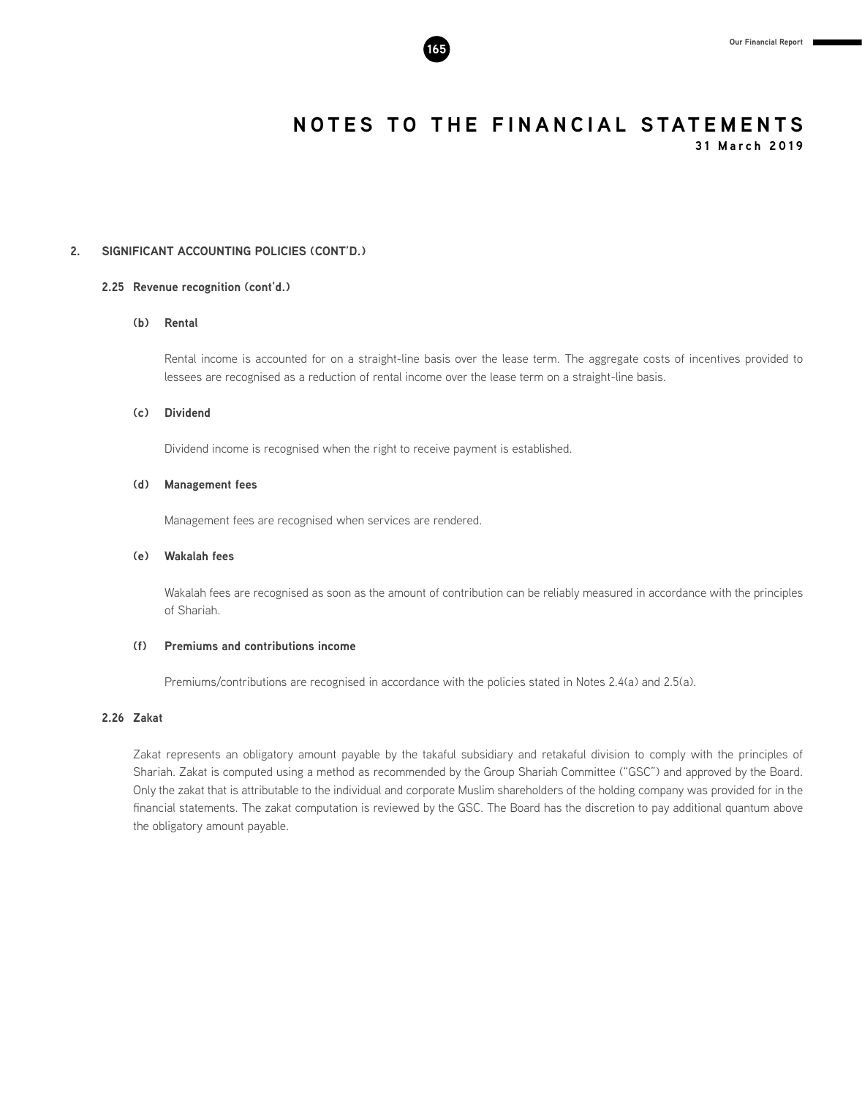

**31 March 2019**

### **2. SIGNIFICANT ACCOUNTING POLICIES (CONT'D.)**

#### **2.25 Revenue recognition (cont'd.)**

#### **(b) Rental**

Rental income is accounted for on a straight-line basis over the lease term. The aggregate costs of incentives provided to lessees are recognised as a reduction of rental income over the lease term on a straight-line basis.

#### **(c) Dividend**

Dividend income is recognised when the right to receive payment is established.

#### **(d) Management fees**

Management fees are recognised when services are rendered.

#### **(e) Wakalah fees**

Wakalah fees are recognised as soon as the amount of contribution can be reliably measured in accordance with the principles of Shariah.

#### **(f) Premiums and contributions income**

Premiums/contributions are recognised in accordance with the policies stated in Notes 2.4(a) and 2.5(a).

#### **2.26 Zakat**

Zakat represents an obligatory amount payable by the takaful subsidiary and retakaful division to comply with the principles of Shariah. Zakat is computed using a method as recommended by the Group Shariah Committee ("GSC") and approved by the Board. Only the zakat that is attributable to the individual and corporate Muslim shareholders of the holding company was provided for in the financial statements. The zakat computation is reviewed by the GSC. The Board has the discretion to pay additional quantum above the obligatory amount payable.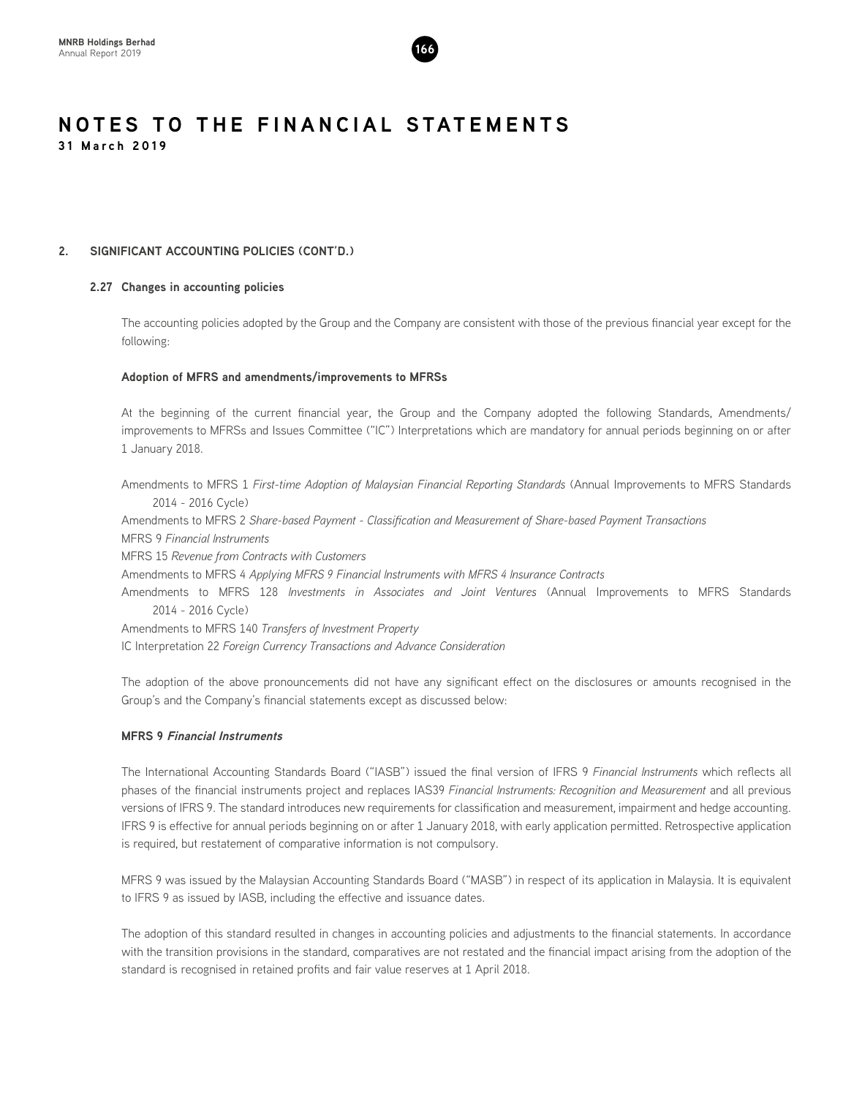

#### **2. SIGNIFICANT ACCOUNTING POLICIES (CONT'D.)**

#### **2.27 Changes in accounting policies**

The accounting policies adopted by the Group and the Company are consistent with those of the previous financial year except for the following:

#### **Adoption of MFRS and amendments/improvements to MFRSs**

At the beginning of the current financial year, the Group and the Company adopted the following Standards, Amendments/ improvements to MFRSs and Issues Committee ("IC") Interpretations which are mandatory for annual periods beginning on or after 1 January 2018.

Amendments to MFRS 1 *First-time Adoption of Malaysian Financial Reporting Standards* (Annual Improvements to MFRS Standards 2014 - 2016 Cycle)

Amendments to MFRS 2 *Share-based Payment - Classification and Measurement of Share-based Payment Transactions* MFRS 9 *Financial Instruments*

MFRS 15 *Revenue from Contracts with Customers*

Amendments to MFRS 4 *Applying MFRS 9 Financial Instruments with MFRS 4 Insurance Contracts*

Amendments to MFRS 128 *Investments in Associates and Joint Ventures* (Annual Improvements to MFRS Standards 2014 - 2016 Cycle)

Amendments to MFRS 140 *Transfers of Investment Property* IC Interpretation 22 *Foreign Currency Transactions and Advance Consideration*

The adoption of the above pronouncements did not have any significant effect on the disclosures or amounts recognised in the Group's and the Company's financial statements except as discussed below:

#### **MFRS 9 Financial Instruments**

The International Accounting Standards Board ("IASB") issued the final version of IFRS 9 *Financial Instruments* which reflects all phases of the financial instruments project and replaces IAS39 *Financial Instruments: Recognition and Measurement* and all previous versions of IFRS 9. The standard introduces new requirements for classification and measurement, impairment and hedge accounting. IFRS 9 is effective for annual periods beginning on or after 1 January 2018, with early application permitted. Retrospective application is required, but restatement of comparative information is not compulsory.

MFRS 9 was issued by the Malaysian Accounting Standards Board ("MASB") in respect of its application in Malaysia. It is equivalent to IFRS 9 as issued by IASB, including the effective and issuance dates.

The adoption of this standard resulted in changes in accounting policies and adjustments to the financial statements. In accordance with the transition provisions in the standard, comparatives are not restated and the financial impact arising from the adoption of the standard is recognised in retained profits and fair value reserves at 1 April 2018.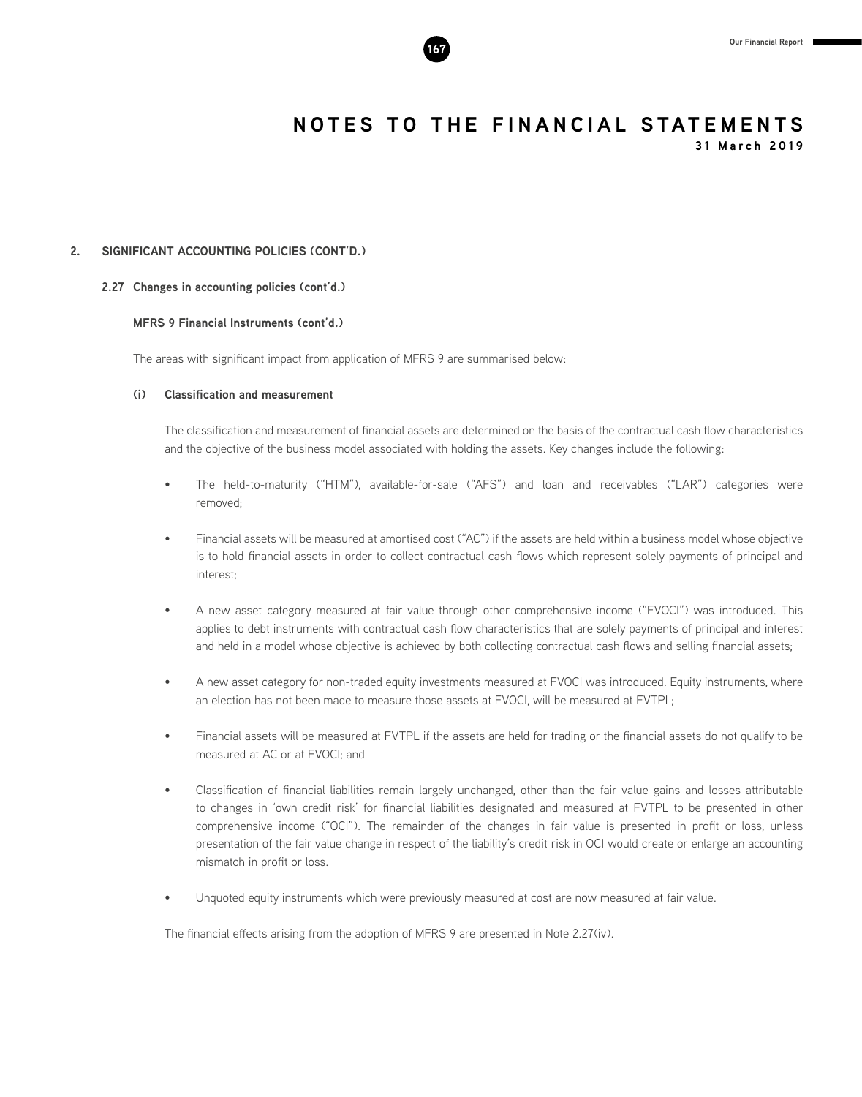

**31 March 2019**

#### **2. SIGNIFICANT ACCOUNTING POLICIES (CONT'D.)**

#### **2.27 Changes in accounting policies (cont'd.)**

#### **MFRS 9 Financial Instruments (cont'd.)**

The areas with significant impact from application of MFRS 9 are summarised below:

#### **(i) Classification and measurement**

The classification and measurement of financial assets are determined on the basis of the contractual cash flow characteristics and the objective of the business model associated with holding the assets. Key changes include the following:

- The held-to-maturity ("HTM"), available-for-sale ("AFS") and loan and receivables ("LAR") categories were removed;
- Financial assets will be measured at amortised cost ("AC") if the assets are held within a business model whose objective is to hold financial assets in order to collect contractual cash flows which represent solely payments of principal and interest;
- A new asset category measured at fair value through other comprehensive income ("FVOCI") was introduced. This applies to debt instruments with contractual cash flow characteristics that are solely payments of principal and interest and held in a model whose objective is achieved by both collecting contractual cash flows and selling financial assets;
- A new asset category for non-traded equity investments measured at FVOCI was introduced. Equity instruments, where an election has not been made to measure those assets at FVOCI, will be measured at FVTPL;
- Financial assets will be measured at FVTPL if the assets are held for trading or the financial assets do not qualify to be measured at AC or at FVOCI; and
- Classification of financial liabilities remain largely unchanged, other than the fair value gains and losses attributable to changes in 'own credit risk' for financial liabilities designated and measured at FVTPL to be presented in other comprehensive income ("OCI"). The remainder of the changes in fair value is presented in profit or loss, unless presentation of the fair value change in respect of the liability's credit risk in OCI would create or enlarge an accounting mismatch in profit or loss.
- Unquoted equity instruments which were previously measured at cost are now measured at fair value.

The financial effects arising from the adoption of MFRS 9 are presented in Note 2.27(iv).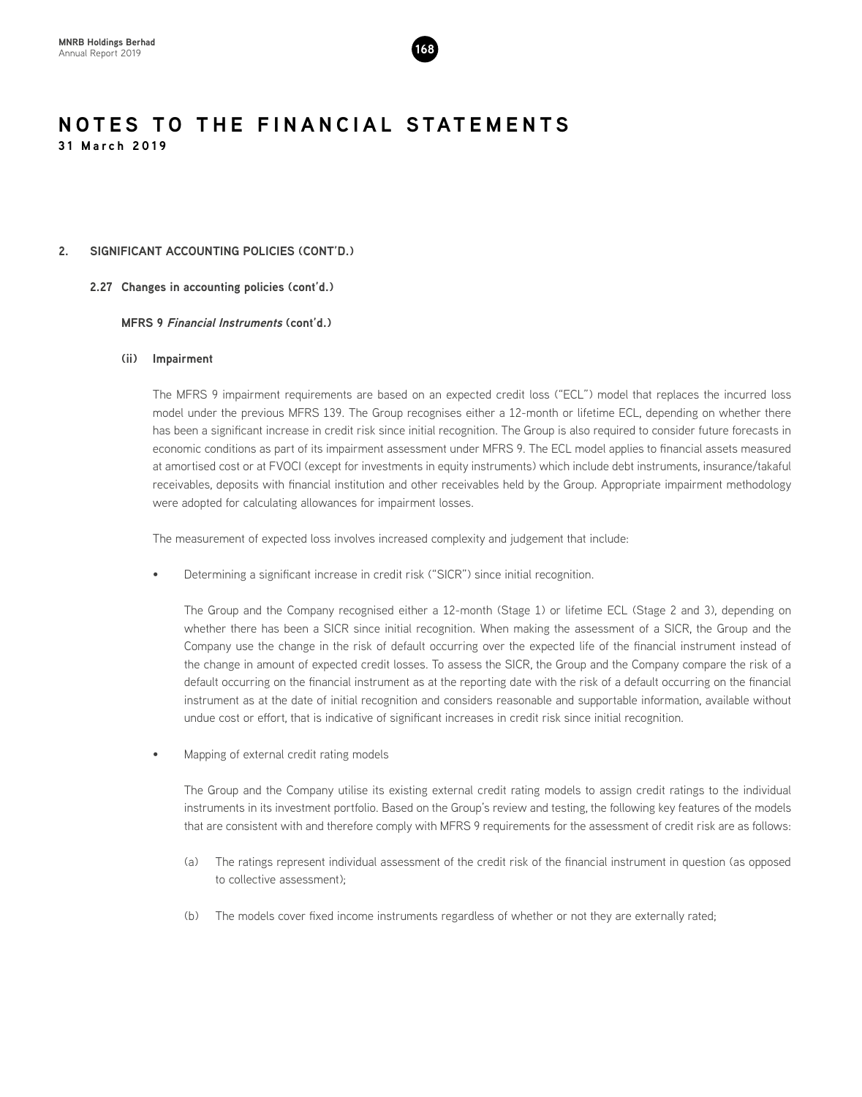

#### **2. SIGNIFICANT ACCOUNTING POLICIES (CONT'D.)**

**2.27 Changes in accounting policies (cont'd.)**

#### **MFRS 9 Financial Instruments (cont'd.)**

#### **(ii) Impairment**

The MFRS 9 impairment requirements are based on an expected credit loss ("ECL") model that replaces the incurred loss model under the previous MFRS 139. The Group recognises either a 12-month or lifetime ECL, depending on whether there has been a significant increase in credit risk since initial recognition. The Group is also required to consider future forecasts in economic conditions as part of its impairment assessment under MFRS 9. The ECL model applies to financial assets measured at amortised cost or at FVOCI (except for investments in equity instruments) which include debt instruments, insurance/takaful receivables, deposits with financial institution and other receivables held by the Group. Appropriate impairment methodology were adopted for calculating allowances for impairment losses.

The measurement of expected loss involves increased complexity and judgement that include:

• Determining a significant increase in credit risk ("SICR") since initial recognition.

The Group and the Company recognised either a 12-month (Stage 1) or lifetime ECL (Stage 2 and 3), depending on whether there has been a SICR since initial recognition. When making the assessment of a SICR, the Group and the Company use the change in the risk of default occurring over the expected life of the financial instrument instead of the change in amount of expected credit losses. To assess the SICR, the Group and the Company compare the risk of a default occurring on the financial instrument as at the reporting date with the risk of a default occurring on the financial instrument as at the date of initial recognition and considers reasonable and supportable information, available without undue cost or effort, that is indicative of significant increases in credit risk since initial recognition.

• Mapping of external credit rating models

The Group and the Company utilise its existing external credit rating models to assign credit ratings to the individual instruments in its investment portfolio. Based on the Group's review and testing, the following key features of the models that are consistent with and therefore comply with MFRS 9 requirements for the assessment of credit risk are as follows:

- (a) The ratings represent individual assessment of the credit risk of the financial instrument in question (as opposed to collective assessment);
- (b) The models cover fixed income instruments regardless of whether or not they are externally rated;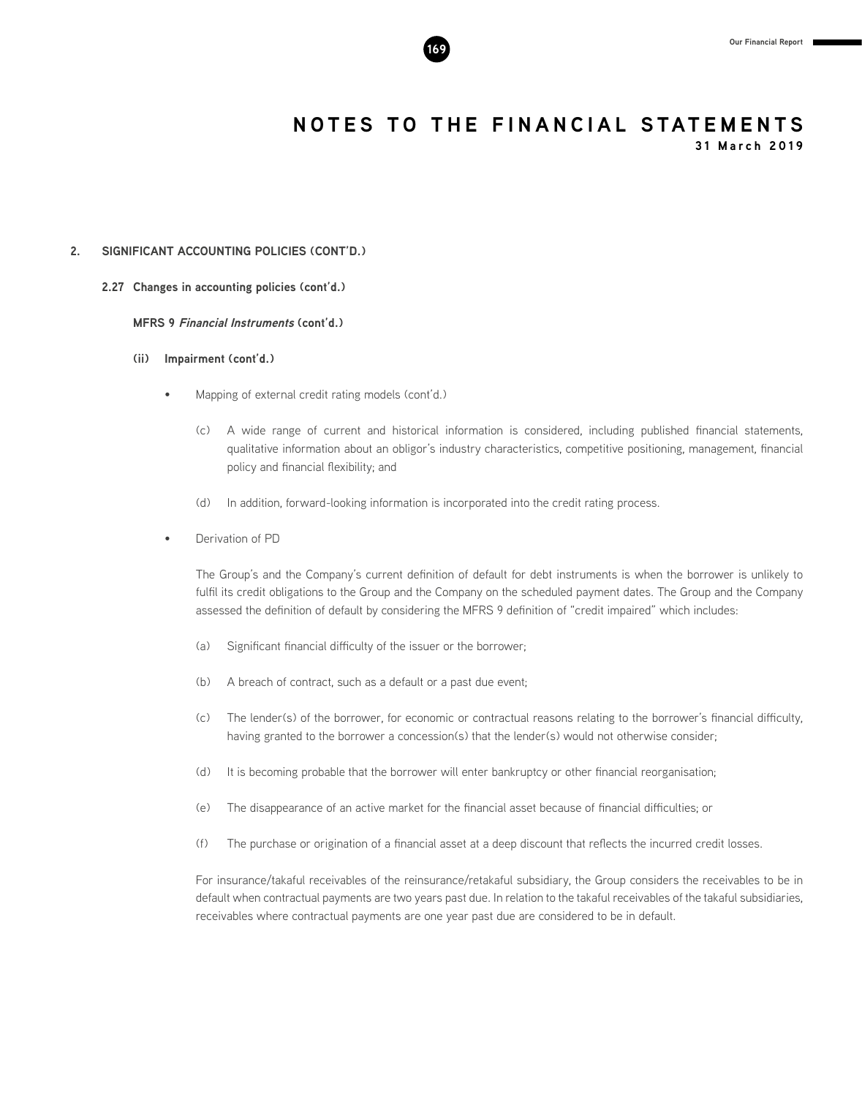

**31 March 2019**

#### **2. SIGNIFICANT ACCOUNTING POLICIES (CONT'D.)**

**2.27 Changes in accounting policies (cont'd.)**

**MFRS 9 Financial Instruments (cont'd.)**

- **(ii) Impairment (cont'd.)**
	- Mapping of external credit rating models (cont'd.)
		- (c) A wide range of current and historical information is considered, including published financial statements, qualitative information about an obligor's industry characteristics, competitive positioning, management, financial policy and financial flexibility; and
		- (d) In addition, forward-looking information is incorporated into the credit rating process.
	- Derivation of PD

The Group's and the Company's current definition of default for debt instruments is when the borrower is unlikely to fulfil its credit obligations to the Group and the Company on the scheduled payment dates. The Group and the Company assessed the definition of default by considering the MFRS 9 definition of "credit impaired" which includes:

- (a) Significant financial difficulty of the issuer or the borrower;
- (b) A breach of contract, such as a default or a past due event;
- (c) The lender(s) of the borrower, for economic or contractual reasons relating to the borrower's financial difficulty, having granted to the borrower a concession(s) that the lender(s) would not otherwise consider;
- (d) It is becoming probable that the borrower will enter bankruptcy or other financial reorganisation;
- (e) The disappearance of an active market for the financial asset because of financial difficulties; or
- (f) The purchase or origination of a financial asset at a deep discount that reflects the incurred credit losses.

For insurance/takaful receivables of the reinsurance/retakaful subsidiary, the Group considers the receivables to be in default when contractual payments are two years past due. In relation to the takaful receivables of the takaful subsidiaries, receivables where contractual payments are one year past due are considered to be in default.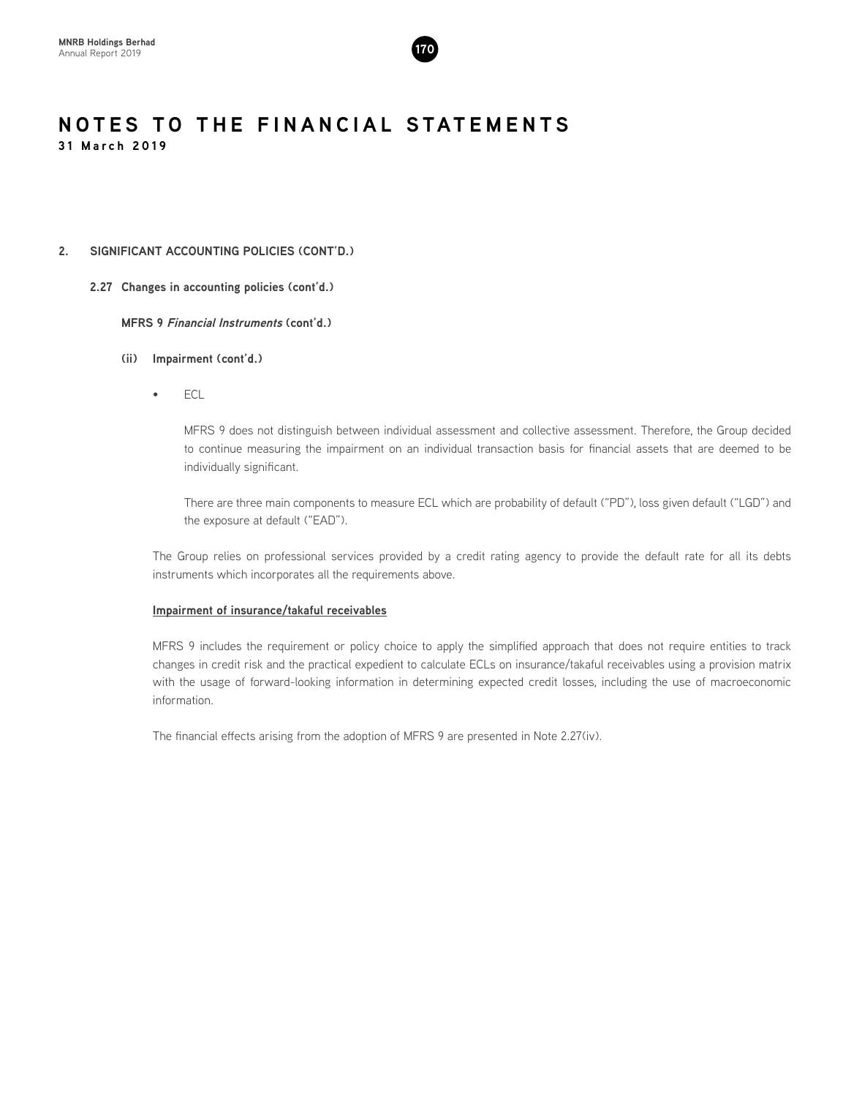

#### **2. SIGNIFICANT ACCOUNTING POLICIES (CONT'D.)**

#### **2.27 Changes in accounting policies (cont'd.)**

**MFRS 9 Financial Instruments (cont'd.)**

- **(ii) Impairment (cont'd.)**
	- ECL

MFRS 9 does not distinguish between individual assessment and collective assessment. Therefore, the Group decided to continue measuring the impairment on an individual transaction basis for financial assets that are deemed to be individually significant.

There are three main components to measure ECL which are probability of default ("PD"), loss given default ("LGD") and the exposure at default ("EAD").

The Group relies on professional services provided by a credit rating agency to provide the default rate for all its debts instruments which incorporates all the requirements above.

#### **Impairment of insurance/takaful receivables**

MFRS 9 includes the requirement or policy choice to apply the simplified approach that does not require entities to track changes in credit risk and the practical expedient to calculate ECLs on insurance/takaful receivables using a provision matrix with the usage of forward-looking information in determining expected credit losses, including the use of macroeconomic information.

The financial effects arising from the adoption of MFRS 9 are presented in Note 2.27(iv).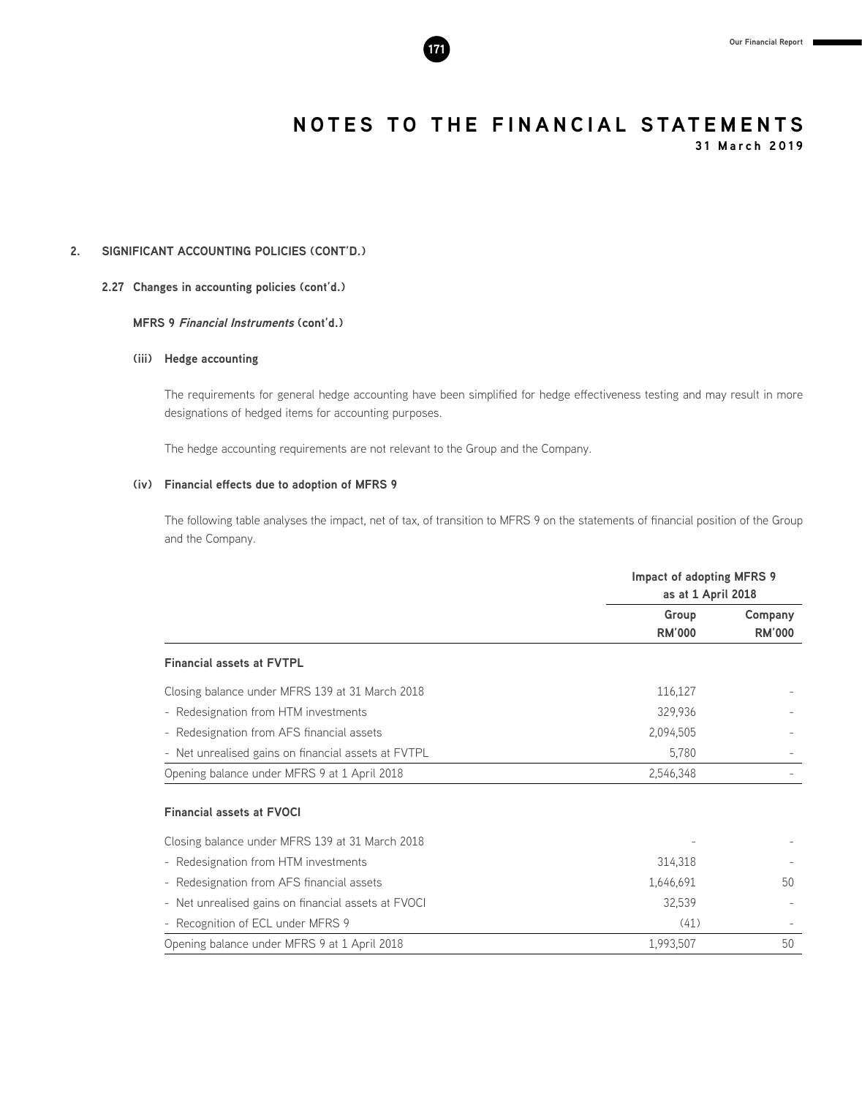**31 March 2019**

### **2. SIGNIFICANT ACCOUNTING POLICIES (CONT'D.)**

#### **2.27 Changes in accounting policies (cont'd.)**

#### **MFRS 9 Financial Instruments (cont'd.)**

#### **(iii) Hedge accounting**

The requirements for general hedge accounting have been simplified for hedge effectiveness testing and may result in more designations of hedged items for accounting purposes.

The hedge accounting requirements are not relevant to the Group and the Company.

#### **(iv) Financial effects due to adoption of MFRS 9**

The following table analyses the impact, net of tax, of transition to MFRS 9 on the statements of financial position of the Group and the Company.

|                                                     | Impact of adopting MFRS 9<br>as at 1 April 2018 |                          |  |
|-----------------------------------------------------|-------------------------------------------------|--------------------------|--|
|                                                     | Group<br><b>RM'000</b>                          | Company<br><b>RM'000</b> |  |
| <b>Financial assets at FVTPL</b>                    |                                                 |                          |  |
| Closing balance under MFRS 139 at 31 March 2018     | 116,127                                         |                          |  |
| - Redesignation from HTM investments                | 329,936                                         |                          |  |
| - Redesignation from AFS financial assets           | 2,094,505                                       |                          |  |
| - Net unrealised gains on financial assets at FVTPL | 5,780                                           |                          |  |
| Opening balance under MFRS 9 at 1 April 2018        | 2,546,348                                       |                          |  |
| <b>Financial assets at FVOCI</b>                    |                                                 |                          |  |
| Closing balance under MFRS 139 at 31 March 2018     |                                                 |                          |  |
| - Redesignation from HTM investments                | 314,318                                         |                          |  |
| - Redesignation from AFS financial assets           | 1,646,691                                       | 50                       |  |
| - Net unrealised gains on financial assets at FVOCI | 32,539                                          |                          |  |
| - Recognition of ECL under MFRS 9                   | (41)                                            |                          |  |
| Opening balance under MFRS 9 at 1 April 2018        | 1,993,507                                       | 50                       |  |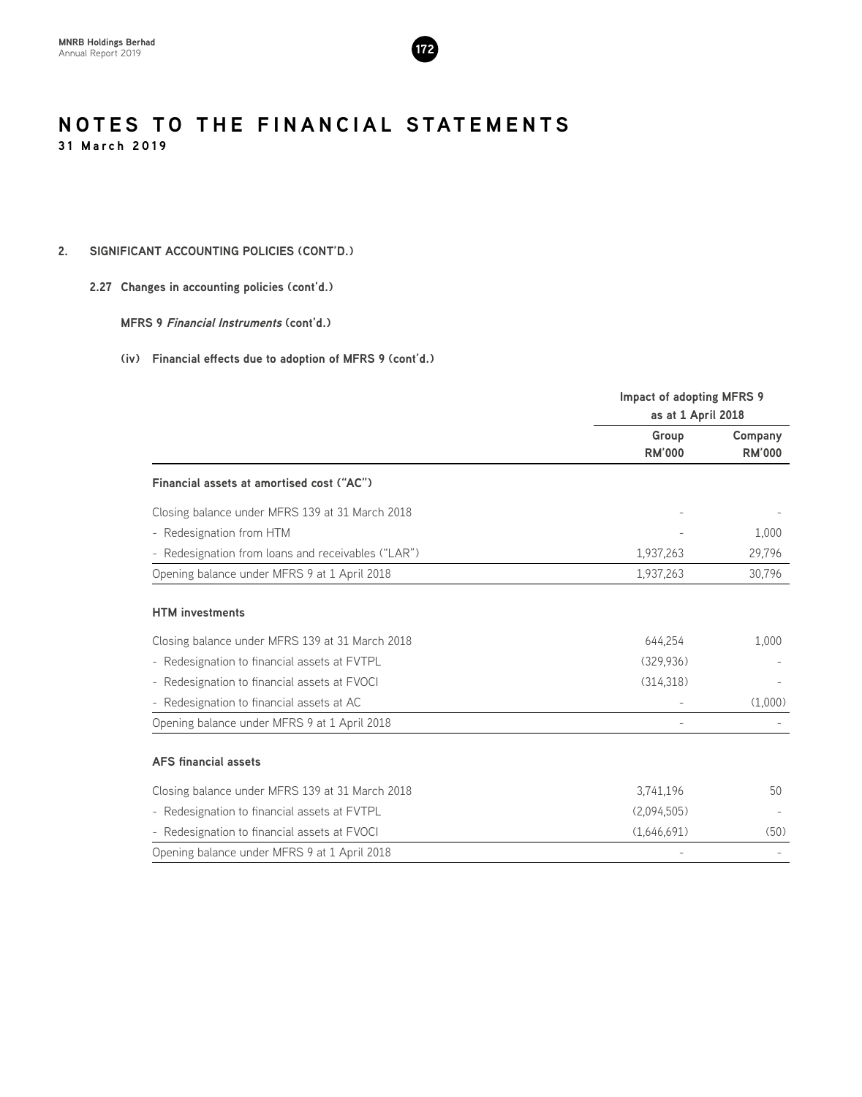

#### **2. SIGNIFICANT ACCOUNTING POLICIES (CONT'D.)**

#### **2.27 Changes in accounting policies (cont'd.)**

**MFRS 9 Financial Instruments (cont'd.)**

|                                                    | Impact of adopting MFRS 9<br>as at 1 April 2018 |                          |
|----------------------------------------------------|-------------------------------------------------|--------------------------|
|                                                    | Group<br><b>RM'000</b>                          | Company<br><b>RM'000</b> |
| Financial assets at amortised cost ("AC")          |                                                 |                          |
| Closing balance under MFRS 139 at 31 March 2018    |                                                 |                          |
| - Redesignation from HTM                           |                                                 | 1,000                    |
| - Redesignation from loans and receivables ("LAR") | 1,937,263                                       | 29,796                   |
| Opening balance under MFRS 9 at 1 April 2018       | 1,937,263                                       | 30,796                   |
| <b>HTM</b> investments                             |                                                 |                          |
| Closing balance under MFRS 139 at 31 March 2018    | 644,254                                         | 1,000                    |
| - Redesignation to financial assets at FVTPL       | (329.936)                                       |                          |
| - Redesignation to financial assets at FVOCI       | (314, 318)                                      |                          |
| - Redesignation to financial assets at AC          |                                                 | (1,000)                  |
| Opening balance under MFRS 9 at 1 April 2018       |                                                 |                          |
| <b>AFS</b> financial assets                        |                                                 |                          |
| Closing balance under MFRS 139 at 31 March 2018    | 3,741,196                                       | 50                       |
| - Redesignation to financial assets at FVTPL       | (2,094,505)                                     |                          |
| - Redesignation to financial assets at FVOCI       | (1,646,691)                                     | (50)                     |
| Opening balance under MFRS 9 at 1 April 2018       |                                                 |                          |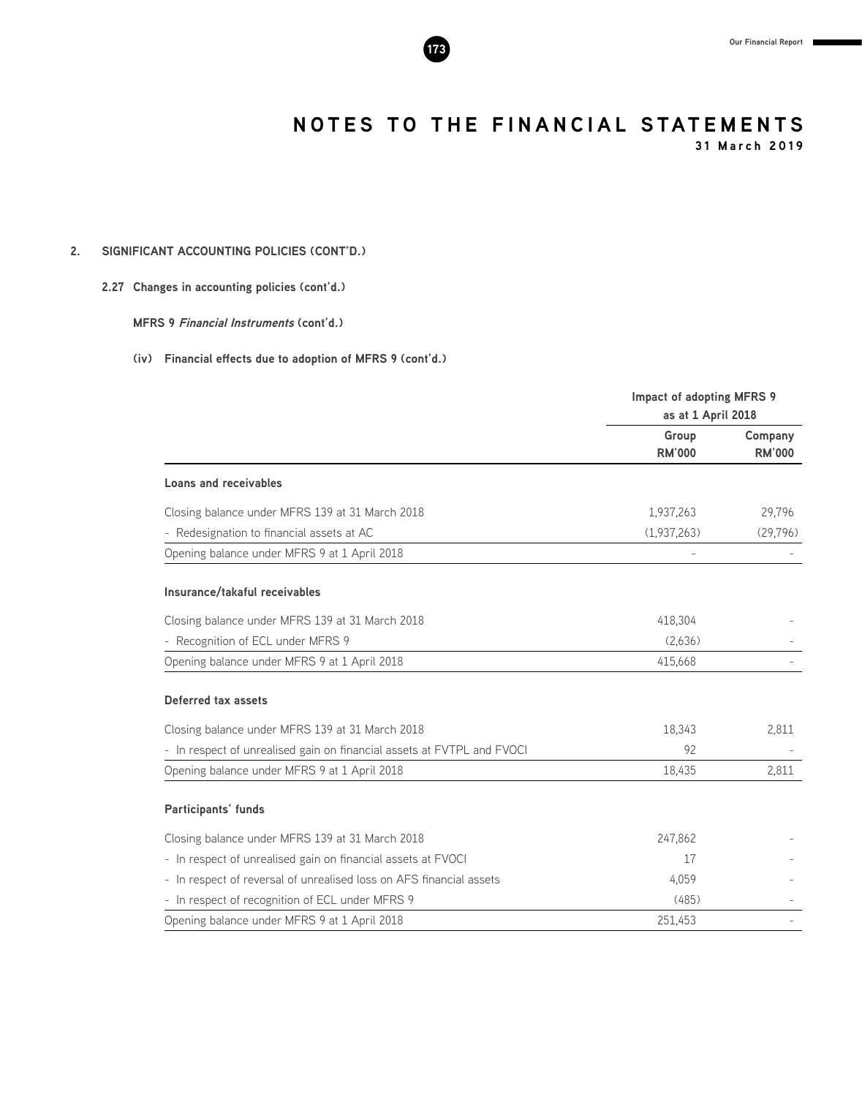

**31 March 2019**

### **2. SIGNIFICANT ACCOUNTING POLICIES (CONT'D.)**

#### **2.27 Changes in accounting policies (cont'd.)**

**MFRS 9 Financial Instruments (cont'd.)**

|                                                                        | Impact of adopting MFRS 9 |               |
|------------------------------------------------------------------------|---------------------------|---------------|
|                                                                        | as at 1 April 2018        |               |
|                                                                        | Group                     | Company       |
|                                                                        | <b>RM'000</b>             | <b>RM'000</b> |
| <b>Loans and receivables</b>                                           |                           |               |
| Closing balance under MFRS 139 at 31 March 2018                        | 1,937,263                 | 29,796        |
| - Redesignation to financial assets at AC                              | (1,937,263)               | (29, 796)     |
| Opening balance under MFRS 9 at 1 April 2018                           |                           |               |
| Insurance/takaful receivables                                          |                           |               |
| Closing balance under MFRS 139 at 31 March 2018                        | 418,304                   |               |
| - Recognition of ECL under MFRS 9                                      | (2,636)                   |               |
| Opening balance under MFRS 9 at 1 April 2018                           | 415,668                   |               |
| Deferred tax assets                                                    |                           |               |
| Closing balance under MFRS 139 at 31 March 2018                        | 18,343                    | 2.811         |
| - In respect of unrealised gain on financial assets at FVTPL and FVOCI | 92                        |               |
| Opening balance under MFRS 9 at 1 April 2018                           | 18,435                    | 2,811         |
| Participants' funds                                                    |                           |               |
| Closing balance under MFRS 139 at 31 March 2018                        | 247,862                   |               |
| - In respect of unrealised gain on financial assets at FVOCI           | 17                        |               |
| - In respect of reversal of unrealised loss on AFS financial assets    | 4,059                     |               |
| - In respect of recognition of ECL under MFRS 9                        | (485)                     |               |
| Opening balance under MFRS 9 at 1 April 2018                           | 251,453                   |               |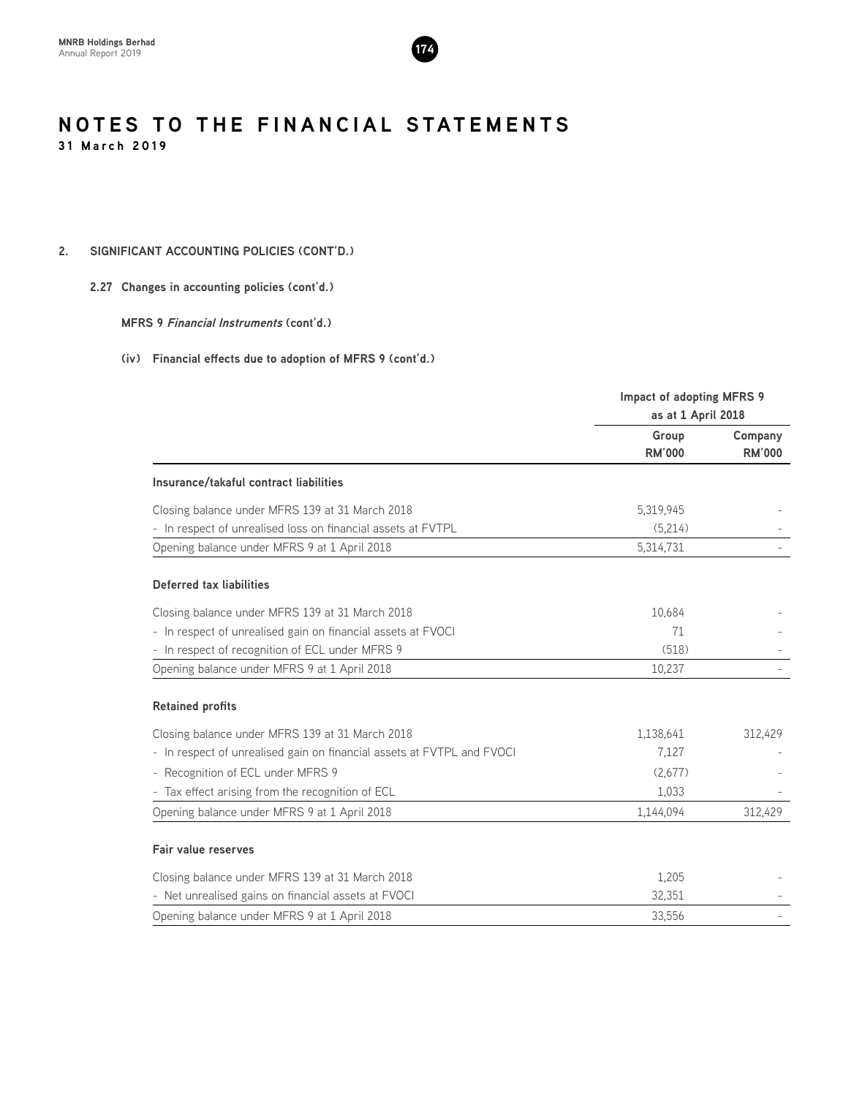

### **2. SIGNIFICANT ACCOUNTING POLICIES (CONT'D.)**

#### **2.27 Changes in accounting policies (cont'd.)**

#### **MFRS 9 Financial Instruments (cont'd.)**

|                                                                        | Impact of adopting MFRS 9 |               |
|------------------------------------------------------------------------|---------------------------|---------------|
|                                                                        | as at 1 April 2018        |               |
|                                                                        | Group                     | Company       |
|                                                                        | <b>RM'000</b>             | <b>RM'000</b> |
| Insurance/takaful contract liabilities                                 |                           |               |
| Closing balance under MFRS 139 at 31 March 2018                        | 5,319,945                 |               |
| - In respect of unrealised loss on financial assets at FVTPL           | (5,214)                   |               |
| Opening balance under MFRS 9 at 1 April 2018                           | 5,314,731                 |               |
| Deferred tax liabilities                                               |                           |               |
| Closing balance under MFRS 139 at 31 March 2018                        | 10,684                    |               |
| - In respect of unrealised gain on financial assets at FVOCI           | 71                        |               |
| - In respect of recognition of ECL under MFRS 9                        | (518)                     |               |
| Opening balance under MFRS 9 at 1 April 2018                           | 10,237                    |               |
| <b>Retained profits</b>                                                |                           |               |
| Closing balance under MFRS 139 at 31 March 2018                        | 1,138,641                 | 312,429       |
| - In respect of unrealised gain on financial assets at FVTPL and FVOCI | 7.127                     |               |
| - Recognition of ECL under MFRS 9                                      | (2,677)                   |               |
| - Tax effect arising from the recognition of ECL                       | 1,033                     |               |
| Opening balance under MFRS 9 at 1 April 2018                           | 1,144,094                 | 312,429       |
| <b>Fair value reserves</b>                                             |                           |               |
| Closing balance under MFRS 139 at 31 March 2018                        | 1,205                     |               |
| - Net unrealised gains on financial assets at FVOCI                    | 32,351                    |               |
| Opening balance under MFRS 9 at 1 April 2018                           | 33,556                    |               |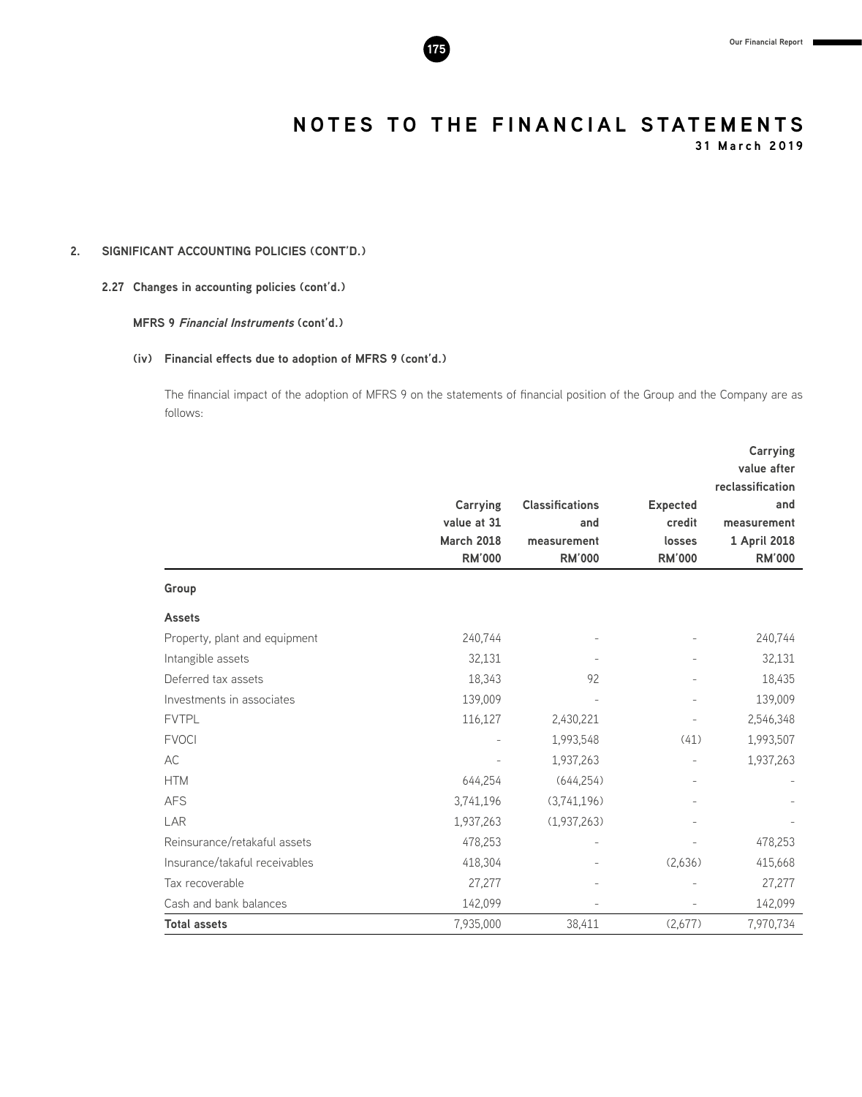

**31 March 2019**

### **2. SIGNIFICANT ACCOUNTING POLICIES (CONT'D.)**

#### **2.27 Changes in accounting policies (cont'd.)**

#### **MFRS 9 Financial Instruments (cont'd.)**

#### **(iv) Financial effects due to adoption of MFRS 9 (cont'd.)**

The financial impact of the adoption of MFRS 9 on the statements of financial position of the Group and the Company are as follows:

|                               |                   |                        |                 | Carrying         |
|-------------------------------|-------------------|------------------------|-----------------|------------------|
|                               |                   |                        |                 | value after      |
|                               |                   |                        |                 | reclassification |
|                               | Carrying          | <b>Classifications</b> | <b>Expected</b> | and              |
|                               | value at 31       | and                    | credit          | measurement      |
|                               | <b>March 2018</b> | measurement            | losses          | 1 April 2018     |
|                               | <b>RM'000</b>     | <b>RM'000</b>          | <b>RM'000</b>   | <b>RM'000</b>    |
| Group                         |                   |                        |                 |                  |
| <b>Assets</b>                 |                   |                        |                 |                  |
| Property, plant and equipment | 240,744           |                        |                 | 240,744          |
| Intangible assets             | 32,131            |                        |                 | 32,131           |
| Deferred tax assets           | 18,343            | 92                     |                 | 18,435           |
| Investments in associates     | 139,009           |                        |                 | 139,009          |
| <b>FVTPL</b>                  | 116,127           | 2,430,221              |                 | 2,546,348        |
| <b>FVOCI</b>                  |                   | 1,993,548              | (41)            | 1,993,507        |
| AC                            |                   | 1,937,263              |                 | 1,937,263        |
| <b>HTM</b>                    | 644,254           | (644, 254)             | $\overline{a}$  |                  |
| <b>AFS</b>                    | 3,741,196         | (3,741,196)            |                 |                  |
| LAR                           | 1,937,263         | (1,937,263)            |                 |                  |
| Reinsurance/retakaful assets  | 478,253           |                        |                 | 478,253          |
| Insurance/takaful receivables | 418,304           |                        | (2,636)         | 415,668          |
| Tax recoverable               | 27,277            |                        |                 | 27,277           |
| Cash and bank balances        | 142,099           |                        |                 | 142,099          |
| <b>Total assets</b>           | 7,935,000         | 38,411                 | (2,677)         | 7,970,734        |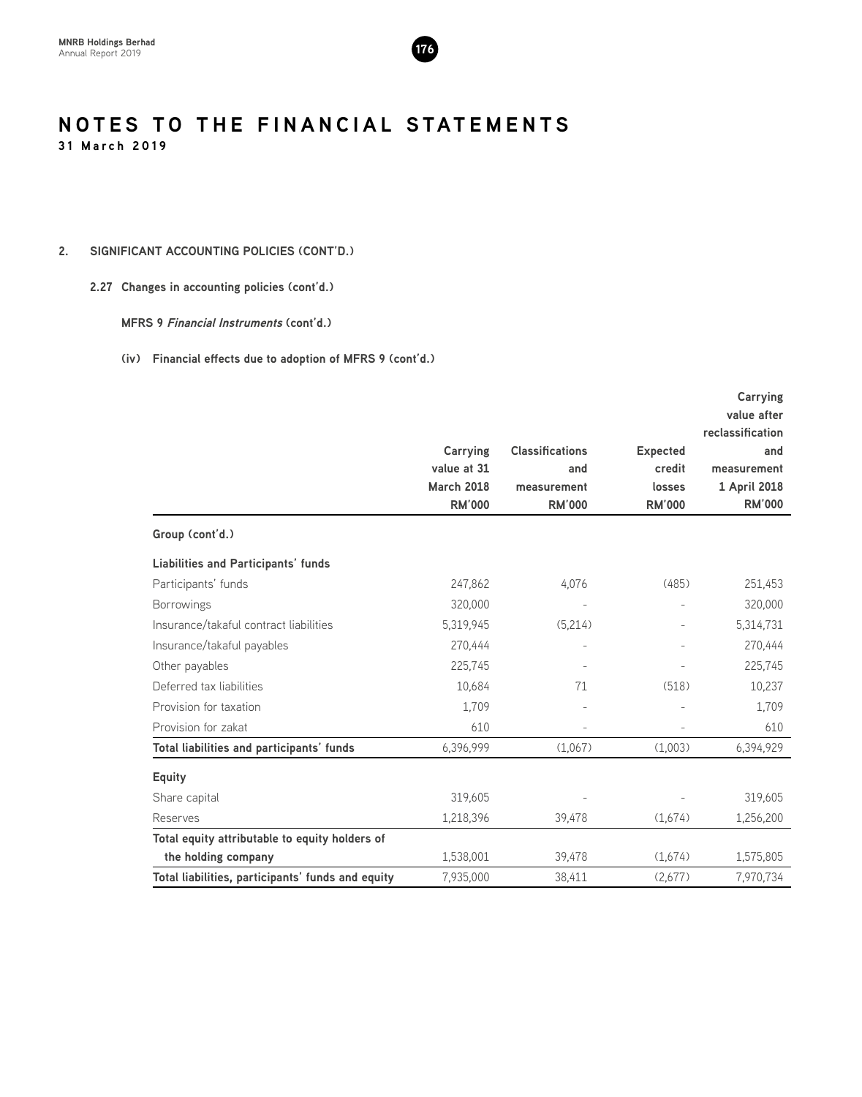

### **2. SIGNIFICANT ACCOUNTING POLICIES (CONT'D.)**

#### **2.27 Changes in accounting policies (cont'd.)**

#### **MFRS 9 Financial Instruments (cont'd.)**

|                                                   |                                  |                                              |                                     | Carrying<br>value after                                |
|---------------------------------------------------|----------------------------------|----------------------------------------------|-------------------------------------|--------------------------------------------------------|
|                                                   |                                  | <b>Classifications</b><br>and<br>measurement | <b>Expected</b><br>credit<br>losses | reclassification<br>and<br>measurement<br>1 April 2018 |
|                                                   | Carrying                         |                                              |                                     |                                                        |
|                                                   | value at 31<br><b>March 2018</b> |                                              |                                     |                                                        |
|                                                   | <b>RM'000</b>                    | <b>RM'000</b>                                | <b>RM'000</b>                       | <b>RM'000</b>                                          |
| Group (cont'd.)                                   |                                  |                                              |                                     |                                                        |
| <b>Liabilities and Participants' funds</b>        |                                  |                                              |                                     |                                                        |
| Participants' funds                               | 247,862                          | 4,076                                        | (485)                               | 251,453                                                |
| <b>Borrowings</b>                                 | 320,000                          |                                              |                                     | 320,000                                                |
| Insurance/takaful contract liabilities            | 5,319,945                        | (5,214)                                      |                                     | 5,314,731                                              |
| Insurance/takaful payables                        | 270,444                          |                                              |                                     | 270,444                                                |
| Other payables                                    | 225,745                          |                                              |                                     | 225,745                                                |
| Deferred tax liabilities                          | 10,684                           | 71                                           | (518)                               | 10,237                                                 |
| Provision for taxation                            | 1,709                            |                                              |                                     | 1,709                                                  |
| Provision for zakat                               | 610                              |                                              |                                     | 610                                                    |
| Total liabilities and participants' funds         | 6,396,999                        | (1,067)                                      | (1,003)                             | 6,394,929                                              |
| <b>Equity</b>                                     |                                  |                                              |                                     |                                                        |
| Share capital                                     | 319,605                          |                                              |                                     | 319,605                                                |
| Reserves                                          | 1,218,396                        | 39,478                                       | (1,674)                             | 1,256,200                                              |
| Total equity attributable to equity holders of    |                                  |                                              |                                     |                                                        |
| the holding company                               | 1,538,001                        | 39,478                                       | (1,674)                             | 1,575,805                                              |
| Total liabilities, participants' funds and equity | 7,935,000                        | 38,411                                       | (2,677)                             | 7,970,734                                              |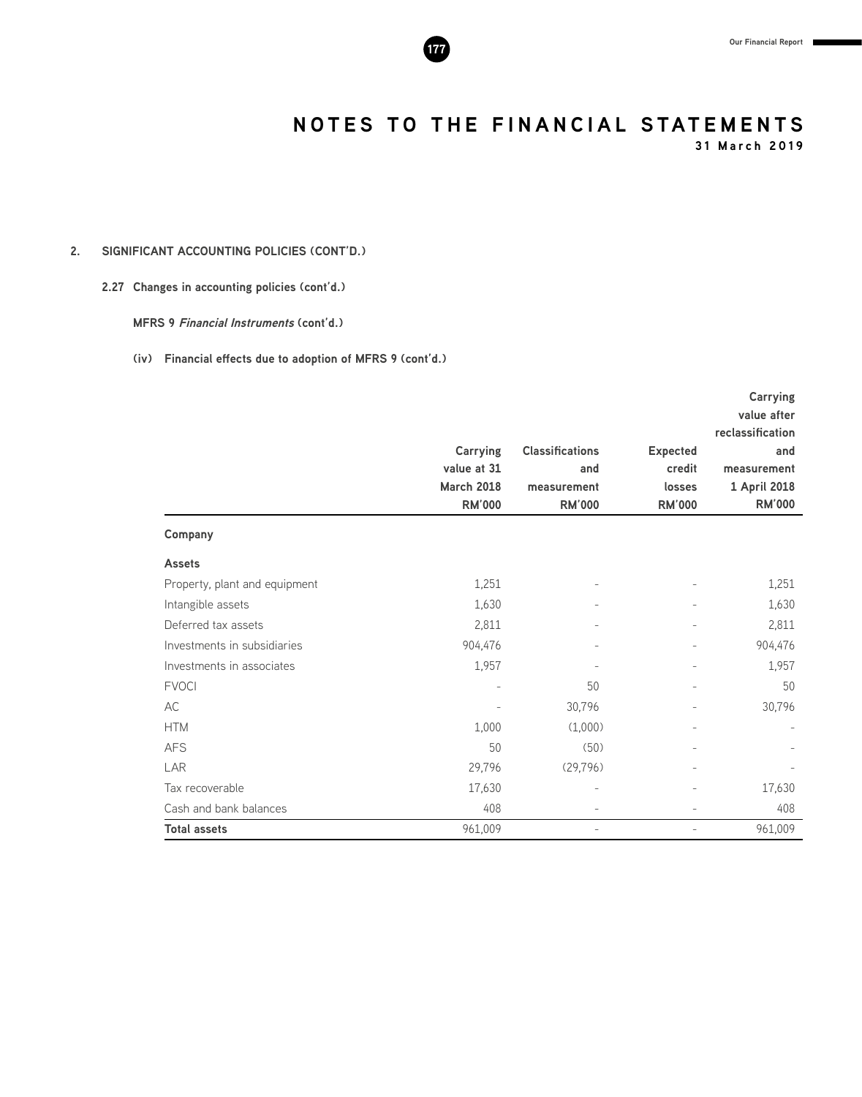**31 March 2019**

### **2. SIGNIFICANT ACCOUNTING POLICIES (CONT'D.)**

#### **2.27 Changes in accounting policies (cont'd.)**

**MFRS 9 Financial Instruments (cont'd.)**

|                               |                   |                          |                          | Carrying         |
|-------------------------------|-------------------|--------------------------|--------------------------|------------------|
|                               |                   |                          |                          | value after      |
|                               |                   |                          |                          | reclassification |
|                               | Carrying          | <b>Classifications</b>   | <b>Expected</b>          | and              |
|                               | value at 31       | and                      | credit                   | measurement      |
|                               | <b>March 2018</b> | measurement              | losses                   | 1 April 2018     |
|                               | <b>RM'000</b>     | <b>RM'000</b>            | <b>RM'000</b>            | <b>RM'000</b>    |
| Company                       |                   |                          |                          |                  |
| <b>Assets</b>                 |                   |                          |                          |                  |
| Property, plant and equipment | 1,251             |                          |                          | 1,251            |
| Intangible assets             | 1,630             |                          |                          | 1,630            |
| Deferred tax assets           | 2,811             |                          |                          | 2,811            |
| Investments in subsidiaries   | 904,476           |                          |                          | 904,476          |
| Investments in associates     | 1,957             |                          | $\overline{\phantom{a}}$ | 1,957            |
| <b>FVOCI</b>                  |                   | 50                       | $\overline{\phantom{a}}$ | 50               |
| AC                            |                   | 30,796                   |                          | 30,796           |
| <b>HTM</b>                    | 1,000             | (1,000)                  | $\overline{\phantom{a}}$ |                  |
| <b>AFS</b>                    | 50                | (50)                     | $\overline{a}$           |                  |
| LAR                           | 29,796            | (29,796)                 | $\overline{\phantom{a}}$ |                  |
| Tax recoverable               | 17,630            | $\qquad \qquad -$        | $\overline{\phantom{a}}$ | 17,630           |
| Cash and bank balances        | 408               |                          |                          | 408              |
| <b>Total assets</b>           | 961,009           | $\overline{\phantom{0}}$ | $\qquad \qquad -$        | 961,009          |

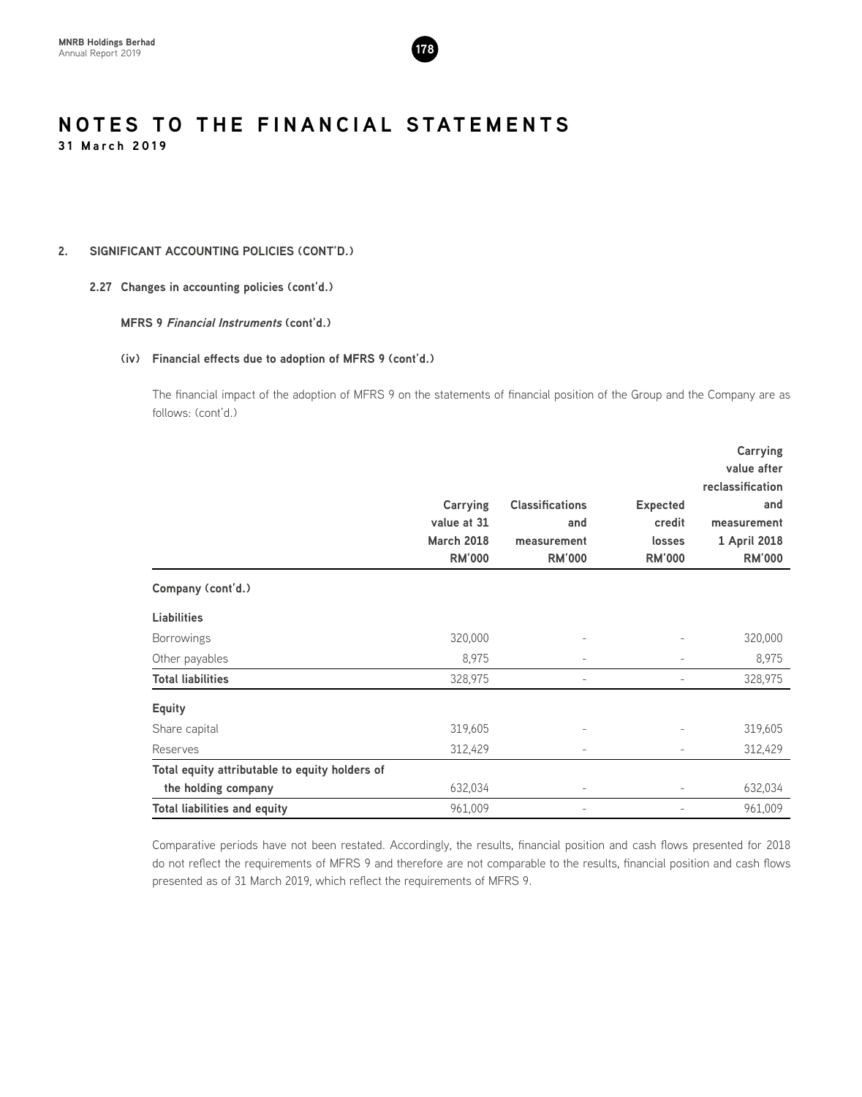

#### **2. SIGNIFICANT ACCOUNTING POLICIES (CONT'D.)**

#### **2.27 Changes in accounting policies (cont'd.)**

#### **MFRS 9 Financial Instruments (cont'd.)**

#### **(iv) Financial effects due to adoption of MFRS 9 (cont'd.)**

The financial impact of the adoption of MFRS 9 on the statements of financial position of the Group and the Company are as follows: (cont'd.)

|                                                |                   |                        |                          | <b>Carrying</b>  |
|------------------------------------------------|-------------------|------------------------|--------------------------|------------------|
|                                                |                   |                        |                          | value after      |
|                                                |                   |                        |                          | reclassification |
|                                                | Carrying          | <b>Classifications</b> | <b>Expected</b>          | and              |
|                                                | value at 31       | and                    | credit                   | measurement      |
|                                                | <b>March 2018</b> | measurement            | losses                   | 1 April 2018     |
|                                                | <b>RM'000</b>     | <b>RM'000</b>          | <b>RM'000</b>            | <b>RM'000</b>    |
| Company (cont'd.)                              |                   |                        |                          |                  |
| <b>Liabilities</b>                             |                   |                        |                          |                  |
| <b>Borrowings</b>                              | 320,000           |                        |                          | 320,000          |
| Other payables                                 | 8,975             |                        |                          | 8,975            |
| <b>Total liabilities</b>                       | 328,975           |                        |                          | 328,975          |
| <b>Equity</b>                                  |                   |                        |                          |                  |
| Share capital                                  | 319,605           |                        |                          | 319,605          |
| Reserves                                       | 312,429           | $\overline{a}$         | $\overline{\phantom{a}}$ | 312,429          |
| Total equity attributable to equity holders of |                   |                        |                          |                  |
| the holding company                            | 632,034           |                        |                          | 632,034          |
| <b>Total liabilities and equity</b>            | 961,009           |                        |                          | 961,009          |

Comparative periods have not been restated. Accordingly, the results, financial position and cash flows presented for 2018 do not reflect the requirements of MFRS 9 and therefore are not comparable to the results, financial position and cash flows presented as of 31 March 2019, which reflect the requirements of MFRS 9.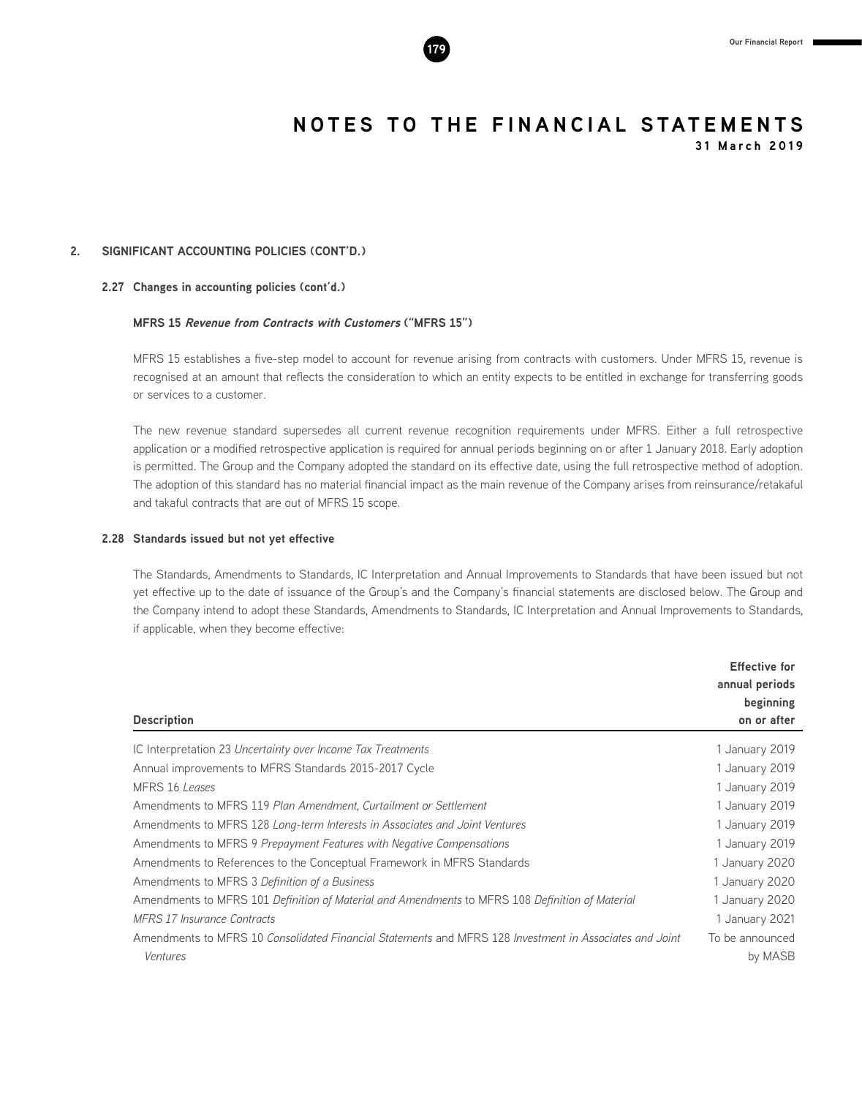

#### **2. SIGNIFICANT ACCOUNTING POLICIES (CONT'D.)**

#### **2.27 Changes in accounting policies (cont'd.)**

#### **MFRS 15 Revenue from Contracts with Customers ("MFRS 15")**

MFRS 15 establishes a five-step model to account for revenue arising from contracts with customers. Under MFRS 15, revenue is recognised at an amount that reflects the consideration to which an entity expects to be entitled in exchange for transferring goods or services to a customer.

The new revenue standard supersedes all current revenue recognition requirements under MFRS. Either a full retrospective application or a modified retrospective application is required for annual periods beginning on or after 1 January 2018. Early adoption is permitted. The Group and the Company adopted the standard on its effective date, using the full retrospective method of adoption. The adoption of this standard has no material financial impact as the main revenue of the Company arises from reinsurance/retakaful and takaful contracts that are out of MFRS 15 scope.

#### **2.28 Standards issued but not yet effective**

The Standards, Amendments to Standards, IC Interpretation and Annual Improvements to Standards that have been issued but not yet effective up to the date of issuance of the Group's and the Company's financial statements are disclosed below. The Group and the Company intend to adopt these Standards, Amendments to Standards, IC Interpretation and Annual Improvements to Standards, if applicable, when they become effective:

| <b>Description</b>                                                                                                  | <b>Effective for</b><br>annual periods<br>beginning<br>on or after |
|---------------------------------------------------------------------------------------------------------------------|--------------------------------------------------------------------|
| IC Interpretation 23 Uncertainty over Income Tax Treatments                                                         | 1 January 2019                                                     |
| Annual improvements to MFRS Standards 2015-2017 Cycle                                                               | 1 January 2019                                                     |
| MFRS 16 Leases                                                                                                      | 1 January 2019                                                     |
| Amendments to MFRS 119 Plan Amendment, Curtailment or Settlement                                                    | 1 January 2019                                                     |
| Amendments to MFRS 128 Long-term Interests in Associates and Joint Ventures                                         | 1 January 2019                                                     |
| Amendments to MFRS 9 Prepayment Features with Negative Compensations                                                | 1 January 2019                                                     |
| Amendments to References to the Conceptual Framework in MFRS Standards                                              | 1 January 2020                                                     |
| Amendments to MFRS 3 Definition of a Business                                                                       | 1 January 2020                                                     |
| Amendments to MFRS 101 Definition of Material and Amendments to MFRS 108 Definition of Material                     | 1 January 2020                                                     |
| <b>MFRS 17 Insurance Contracts</b>                                                                                  | 1 January 2021                                                     |
| Amendments to MFRS 10 Consolidated Financial Statements and MFRS 128 Investment in Associates and Joint<br>Ventures | To be announced<br>by MASB                                         |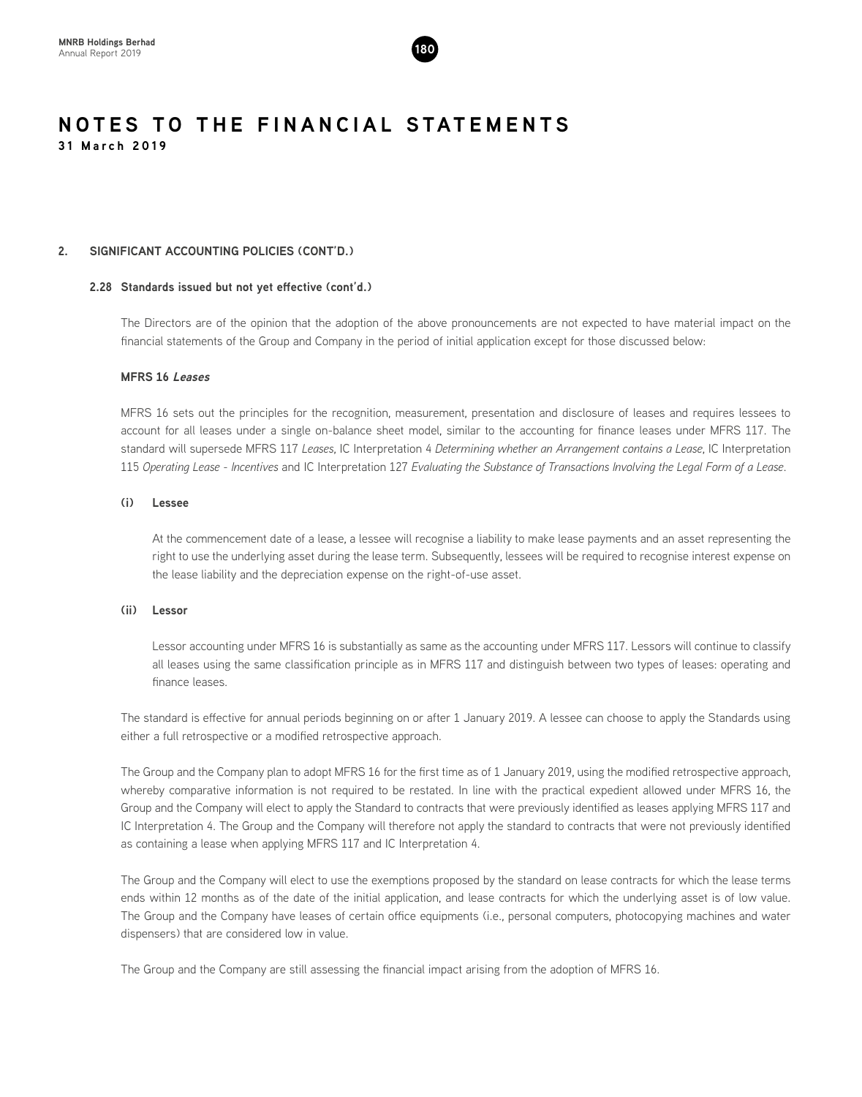

#### **2. SIGNIFICANT ACCOUNTING POLICIES (CONT'D.)**

#### **2.28 Standards issued but not yet effective (cont'd.)**

The Directors are of the opinion that the adoption of the above pronouncements are not expected to have material impact on the financial statements of the Group and Company in the period of initial application except for those discussed below:

#### **MFRS 16 Leases**

MFRS 16 sets out the principles for the recognition, measurement, presentation and disclosure of leases and requires lessees to account for all leases under a single on-balance sheet model, similar to the accounting for finance leases under MFRS 117. The standard will supersede MFRS 117 *Leases*, IC Interpretation 4 *Determining whether an Arrangement contains a Lease*, IC Interpretation 115 *Operating Lease - Incentives* and IC Interpretation 127 *Evaluating the Substance of Transactions Involving the Legal Form of a Lease*.

#### **(i) Lessee**

At the commencement date of a lease, a lessee will recognise a liability to make lease payments and an asset representing the right to use the underlying asset during the lease term. Subsequently, lessees will be required to recognise interest expense on the lease liability and the depreciation expense on the right-of-use asset.

#### **(ii) Lessor**

Lessor accounting under MFRS 16 is substantially as same as the accounting under MFRS 117. Lessors will continue to classify all leases using the same classification principle as in MFRS 117 and distinguish between two types of leases: operating and finance leases.

The standard is effective for annual periods beginning on or after 1 January 2019. A lessee can choose to apply the Standards using either a full retrospective or a modified retrospective approach.

The Group and the Company plan to adopt MFRS 16 for the first time as of 1 January 2019, using the modified retrospective approach, whereby comparative information is not required to be restated. In line with the practical expedient allowed under MFRS 16, the Group and the Company will elect to apply the Standard to contracts that were previously identified as leases applying MFRS 117 and IC Interpretation 4. The Group and the Company will therefore not apply the standard to contracts that were not previously identified as containing a lease when applying MFRS 117 and IC Interpretation 4.

The Group and the Company will elect to use the exemptions proposed by the standard on lease contracts for which the lease terms ends within 12 months as of the date of the initial application, and lease contracts for which the underlying asset is of low value. The Group and the Company have leases of certain office equipments (i.e., personal computers, photocopying machines and water dispensers) that are considered low in value.

The Group and the Company are still assessing the financial impact arising from the adoption of MFRS 16.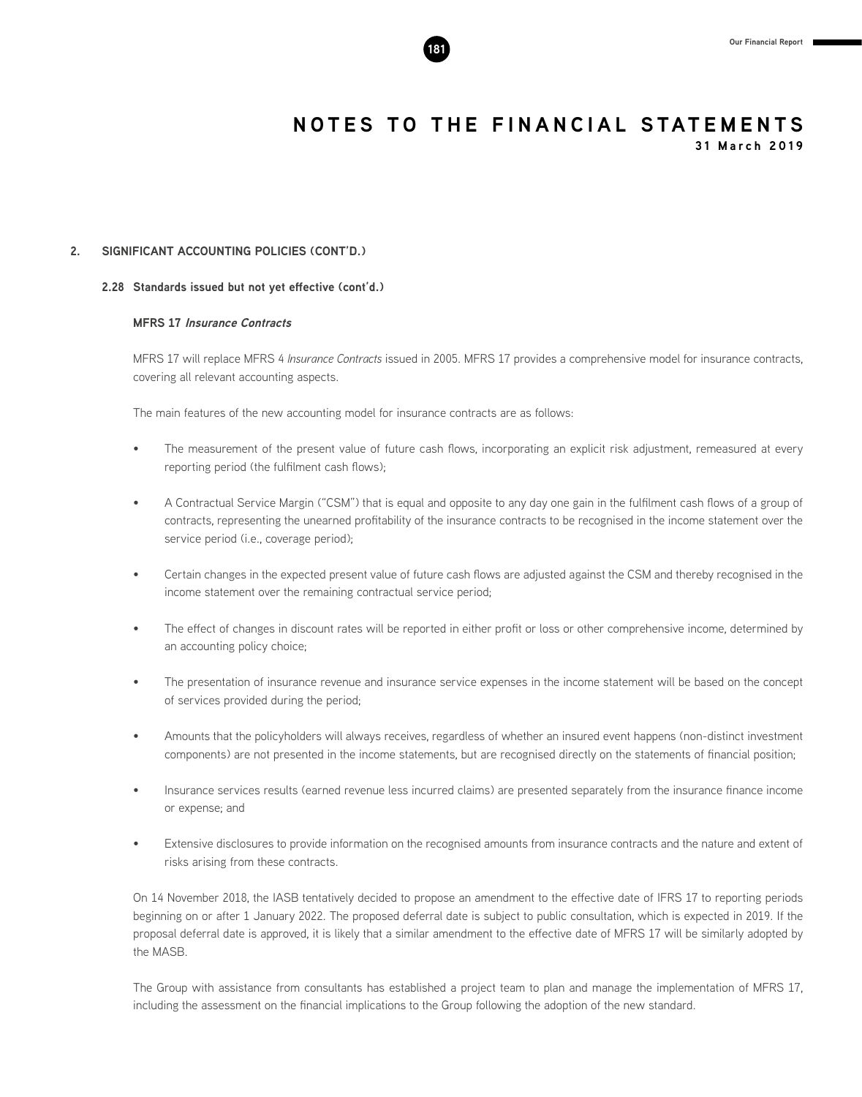**31 March 2019**

#### **2. SIGNIFICANT ACCOUNTING POLICIES (CONT'D.)**

#### **2.28 Standards issued but not yet effective (cont'd.)**

#### **MFRS 17 Insurance Contracts**

MFRS 17 will replace MFRS 4 *Insurance Contracts* issued in 2005. MFRS 17 provides a comprehensive model for insurance contracts, covering all relevant accounting aspects.

The main features of the new accounting model for insurance contracts are as follows:

- The measurement of the present value of future cash flows, incorporating an explicit risk adjustment, remeasured at every reporting period (the fulfilment cash flows);
- A Contractual Service Margin ("CSM") that is equal and opposite to any day one gain in the fulfilment cash flows of a group of contracts, representing the unearned profitability of the insurance contracts to be recognised in the income statement over the service period (i.e., coverage period);
- Certain changes in the expected present value of future cash flows are adjusted against the CSM and thereby recognised in the income statement over the remaining contractual service period;
- The effect of changes in discount rates will be reported in either profit or loss or other comprehensive income, determined by an accounting policy choice;
- The presentation of insurance revenue and insurance service expenses in the income statement will be based on the concept of services provided during the period;
- Amounts that the policyholders will always receives, regardless of whether an insured event happens (non-distinct investment components) are not presented in the income statements, but are recognised directly on the statements of financial position;
- Insurance services results (earned revenue less incurred claims) are presented separately from the insurance finance income or expense; and
- Extensive disclosures to provide information on the recognised amounts from insurance contracts and the nature and extent of risks arising from these contracts.

On 14 November 2018, the IASB tentatively decided to propose an amendment to the effective date of IFRS 17 to reporting periods beginning on or after 1 January 2022. The proposed deferral date is subject to public consultation, which is expected in 2019. If the proposal deferral date is approved, it is likely that a similar amendment to the effective date of MFRS 17 will be similarly adopted by the MASB.

The Group with assistance from consultants has established a project team to plan and manage the implementation of MFRS 17, including the assessment on the financial implications to the Group following the adoption of the new standard.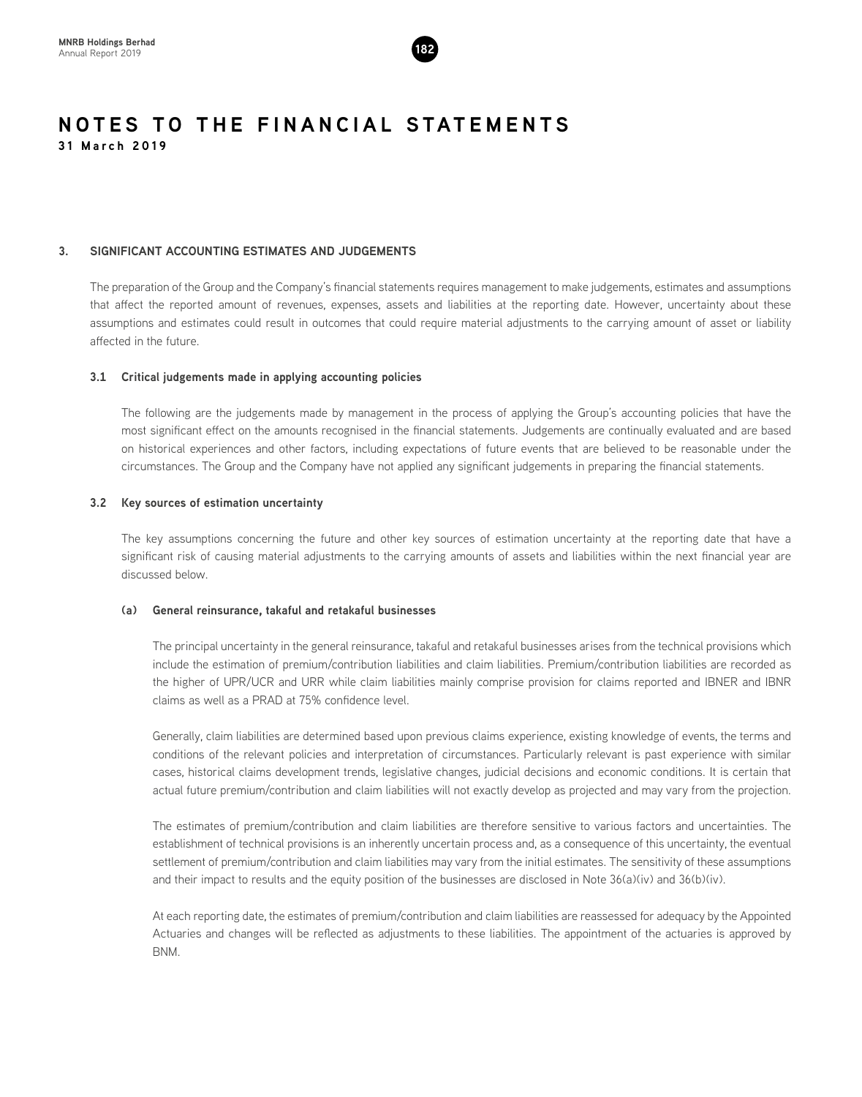

#### **3. SIGNIFICANT ACCOUNTING ESTIMATES AND JUDGEMENTS**

The preparation of the Group and the Company's financial statements requires management to make judgements, estimates and assumptions that affect the reported amount of revenues, expenses, assets and liabilities at the reporting date. However, uncertainty about these assumptions and estimates could result in outcomes that could require material adjustments to the carrying amount of asset or liability affected in the future.

#### **3.1 Critical judgements made in applying accounting policies**

The following are the judgements made by management in the process of applying the Group's accounting policies that have the most significant effect on the amounts recognised in the financial statements. Judgements are continually evaluated and are based on historical experiences and other factors, including expectations of future events that are believed to be reasonable under the circumstances. The Group and the Company have not applied any significant judgements in preparing the financial statements.

#### **3.2 Key sources of estimation uncertainty**

The key assumptions concerning the future and other key sources of estimation uncertainty at the reporting date that have a significant risk of causing material adjustments to the carrying amounts of assets and liabilities within the next financial year are discussed below.

#### **(a) General reinsurance, takaful and retakaful businesses**

The principal uncertainty in the general reinsurance, takaful and retakaful businesses arises from the technical provisions which include the estimation of premium/contribution liabilities and claim liabilities. Premium/contribution liabilities are recorded as the higher of UPR/UCR and URR while claim liabilities mainly comprise provision for claims reported and IBNER and IBNR claims as well as a PRAD at 75% confidence level.

Generally, claim liabilities are determined based upon previous claims experience, existing knowledge of events, the terms and conditions of the relevant policies and interpretation of circumstances. Particularly relevant is past experience with similar cases, historical claims development trends, legislative changes, judicial decisions and economic conditions. It is certain that actual future premium/contribution and claim liabilities will not exactly develop as projected and may vary from the projection.

The estimates of premium/contribution and claim liabilities are therefore sensitive to various factors and uncertainties. The establishment of technical provisions is an inherently uncertain process and, as a consequence of this uncertainty, the eventual settlement of premium/contribution and claim liabilities may vary from the initial estimates. The sensitivity of these assumptions and their impact to results and the equity position of the businesses are disclosed in Note 36(a)(iv) and 36(b)(iv).

At each reporting date, the estimates of premium/contribution and claim liabilities are reassessed for adequacy by the Appointed Actuaries and changes will be reflected as adjustments to these liabilities. The appointment of the actuaries is approved by BNM.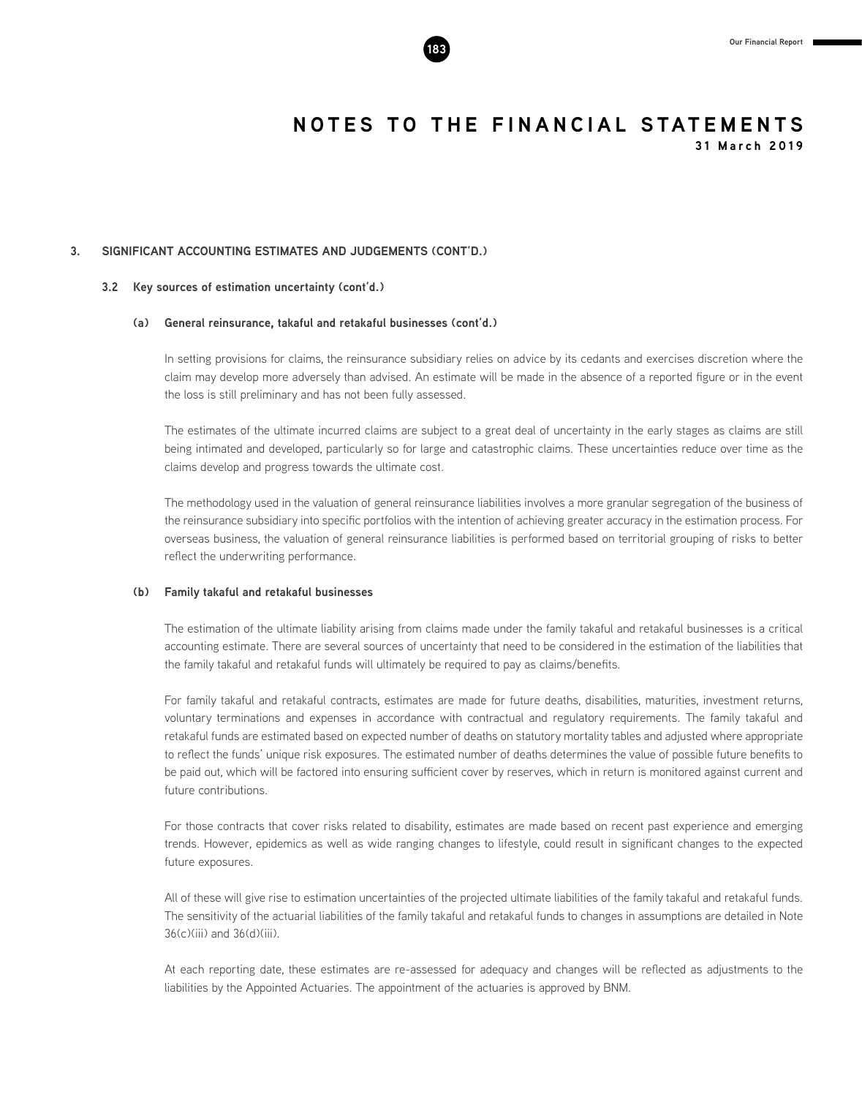#### **3. SIGNIFICANT ACCOUNTING ESTIMATES AND JUDGEMENTS (CONT'D.)**

#### **3.2 Key sources of estimation uncertainty (cont'd.)**

#### **(a) General reinsurance, takaful and retakaful businesses (cont'd.)**

In setting provisions for claims, the reinsurance subsidiary relies on advice by its cedants and exercises discretion where the claim may develop more adversely than advised. An estimate will be made in the absence of a reported figure or in the event the loss is still preliminary and has not been fully assessed.

The estimates of the ultimate incurred claims are subject to a great deal of uncertainty in the early stages as claims are still being intimated and developed, particularly so for large and catastrophic claims. These uncertainties reduce over time as the claims develop and progress towards the ultimate cost.

The methodology used in the valuation of general reinsurance liabilities involves a more granular segregation of the business of the reinsurance subsidiary into specific portfolios with the intention of achieving greater accuracy in the estimation process. For overseas business, the valuation of general reinsurance liabilities is performed based on territorial grouping of risks to better reflect the underwriting performance.

#### **(b) Family takaful and retakaful businesses**

The estimation of the ultimate liability arising from claims made under the family takaful and retakaful businesses is a critical accounting estimate. There are several sources of uncertainty that need to be considered in the estimation of the liabilities that the family takaful and retakaful funds will ultimately be required to pay as claims/benefits.

For family takaful and retakaful contracts, estimates are made for future deaths, disabilities, maturities, investment returns, voluntary terminations and expenses in accordance with contractual and regulatory requirements. The family takaful and retakaful funds are estimated based on expected number of deaths on statutory mortality tables and adjusted where appropriate to reflect the funds' unique risk exposures. The estimated number of deaths determines the value of possible future benefits to be paid out, which will be factored into ensuring sufficient cover by reserves, which in return is monitored against current and future contributions.

For those contracts that cover risks related to disability, estimates are made based on recent past experience and emerging trends. However, epidemics as well as wide ranging changes to lifestyle, could result in significant changes to the expected future exposures.

All of these will give rise to estimation uncertainties of the projected ultimate liabilities of the family takaful and retakaful funds. The sensitivity of the actuarial liabilities of the family takaful and retakaful funds to changes in assumptions are detailed in Note 36(c)(iii) and 36(d)(iii).

At each reporting date, these estimates are re-assessed for adequacy and changes will be reflected as adjustments to the liabilities by the Appointed Actuaries. The appointment of the actuaries is approved by BNM.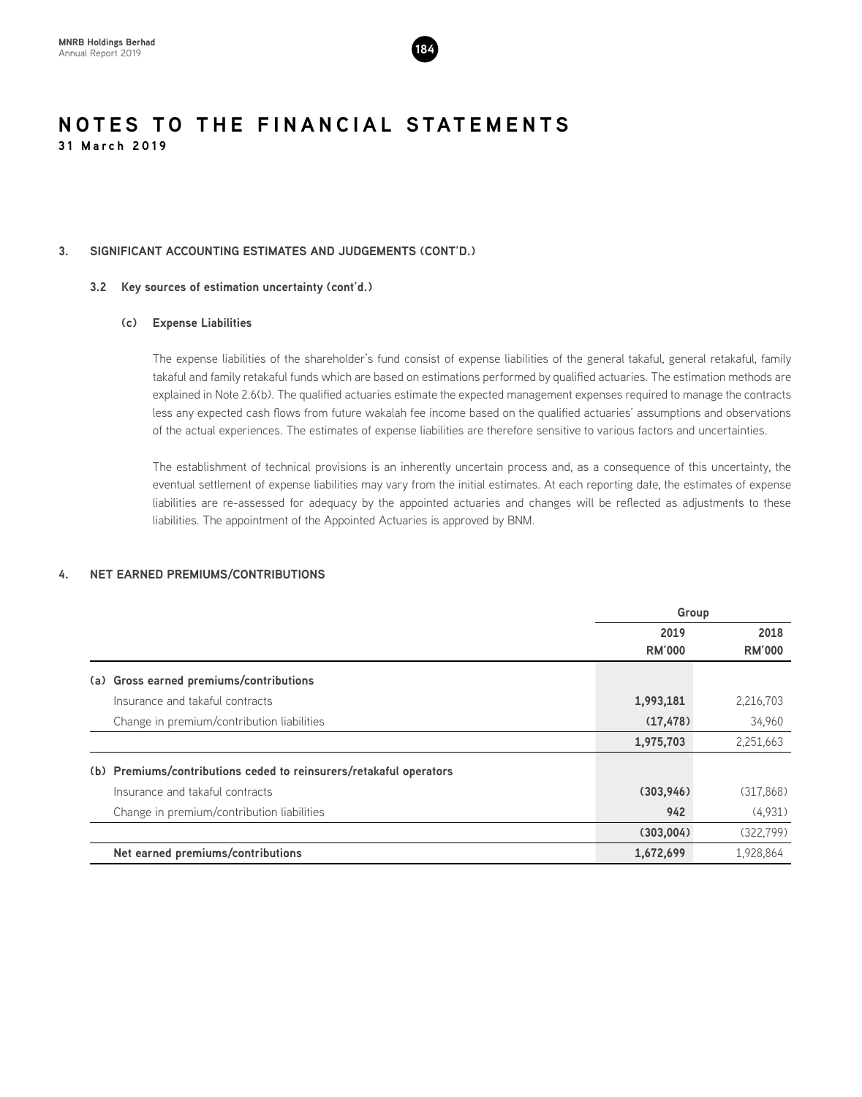

#### **3. SIGNIFICANT ACCOUNTING ESTIMATES AND JUDGEMENTS (CONT'D.)**

#### **3.2 Key sources of estimation uncertainty (cont'd.)**

#### **(c) Expense Liabilities**

The expense liabilities of the shareholder's fund consist of expense liabilities of the general takaful, general retakaful, family takaful and family retakaful funds which are based on estimations performed by qualified actuaries. The estimation methods are explained in Note 2.6(b). The qualified actuaries estimate the expected management expenses required to manage the contracts less any expected cash flows from future wakalah fee income based on the qualified actuaries' assumptions and observations of the actual experiences. The estimates of expense liabilities are therefore sensitive to various factors and uncertainties.

The establishment of technical provisions is an inherently uncertain process and, as a consequence of this uncertainty, the eventual settlement of expense liabilities may vary from the initial estimates. At each reporting date, the estimates of expense liabilities are re-assessed for adequacy by the appointed actuaries and changes will be reflected as adjustments to these liabilities. The appointment of the Appointed Actuaries is approved by BNM.

#### **4. NET EARNED PREMIUMS/CONTRIBUTIONS**

|     |                                                                    | Group         |               |
|-----|--------------------------------------------------------------------|---------------|---------------|
|     |                                                                    | 2019          | 2018          |
|     |                                                                    | <b>RM'000</b> | <b>RM'000</b> |
| (a) | Gross earned premiums/contributions                                |               |               |
|     | Insurance and takaful contracts                                    | 1,993,181     | 2,216,703     |
|     | Change in premium/contribution liabilities                         | (17, 478)     | 34,960        |
|     |                                                                    | 1,975,703     | 2,251,663     |
|     | (b) Premiums/contributions ceded to reinsurers/retakaful operators |               |               |
|     | Insurance and takaful contracts                                    | (303, 946)    | (317,868)     |
|     | Change in premium/contribution liabilities                         | 942           | (4,931)       |
|     |                                                                    | (303,004)     | (322, 799)    |
|     | Net earned premiums/contributions                                  | 1,672,699     | 1,928,864     |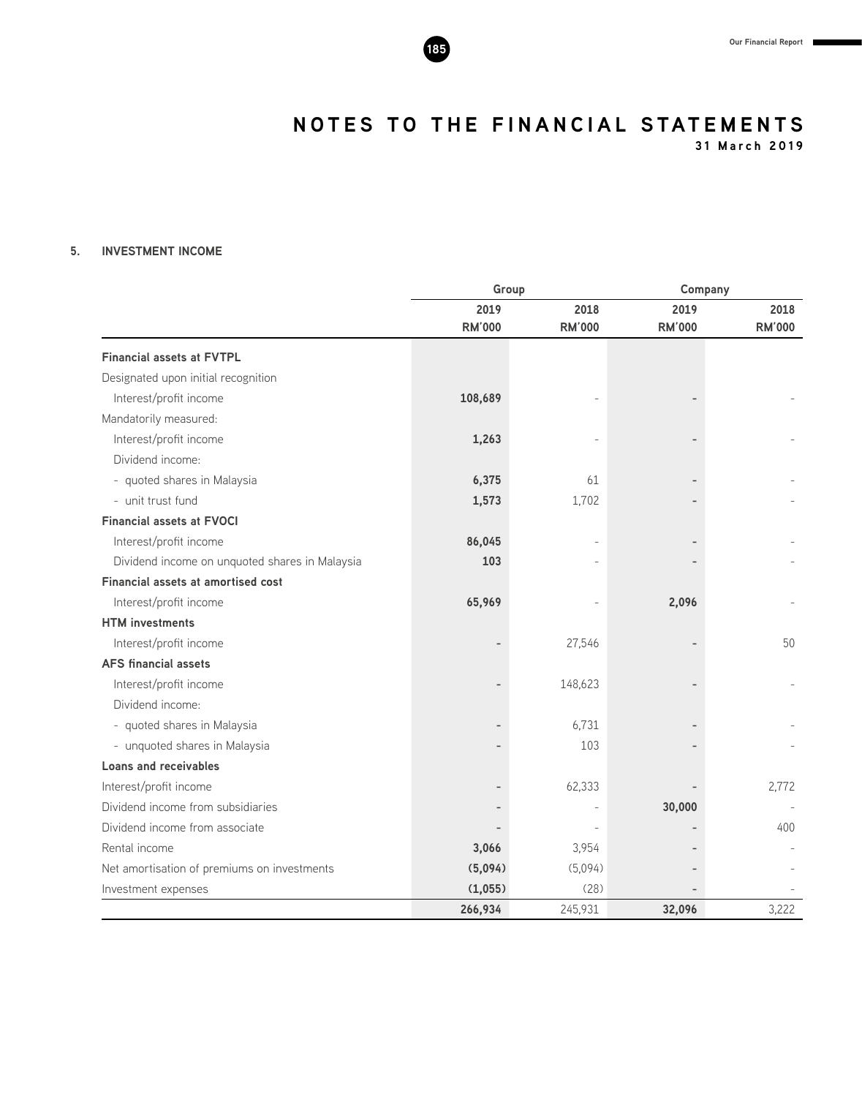**31 March 2019**

#### **5. INVESTMENT INCOME**

|                                                |               | Group         |               | Company       |
|------------------------------------------------|---------------|---------------|---------------|---------------|
|                                                | 2019          | 2018          | 2019          | 2018          |
|                                                | <b>RM'000</b> | <b>RM'000</b> | <b>RM'000</b> | <b>RM'000</b> |
| <b>Financial assets at FVTPL</b>               |               |               |               |               |
| Designated upon initial recognition            |               |               |               |               |
| Interest/profit income                         | 108,689       |               |               |               |
| Mandatorily measured:                          |               |               |               |               |
| Interest/profit income                         | 1,263         |               |               |               |
| Dividend income:                               |               |               |               |               |
| - quoted shares in Malaysia                    | 6,375         | 61            |               |               |
| - unit trust fund                              | 1,573         | 1,702         |               |               |
| <b>Financial assets at FVOCI</b>               |               |               |               |               |
| Interest/profit income                         | 86,045        |               |               |               |
| Dividend income on unquoted shares in Malaysia | 103           |               |               |               |
| Financial assets at amortised cost             |               |               |               |               |
| Interest/profit income                         | 65,969        |               | 2,096         |               |
| <b>HTM</b> investments                         |               |               |               |               |
| Interest/profit income                         |               | 27,546        |               | 50            |
| <b>AFS financial assets</b>                    |               |               |               |               |
| Interest/profit income                         |               | 148,623       |               |               |
| Dividend income:                               |               |               |               |               |
| - quoted shares in Malaysia                    |               | 6,731         |               |               |
| - unquoted shares in Malaysia                  |               | 103           |               |               |
| Loans and receivables                          |               |               |               |               |
| Interest/profit income                         |               | 62,333        |               | 2,772         |
| Dividend income from subsidiaries              |               |               | 30,000        |               |
| Dividend income from associate                 |               |               |               | 400           |
| Rental income                                  | 3,066         | 3,954         |               |               |
| Net amortisation of premiums on investments    | (5,094)       | (5,094)       |               |               |
| Investment expenses                            | (1,055)       | (28)          |               |               |
|                                                | 266,934       | 245,931       | 32,096        | 3,222         |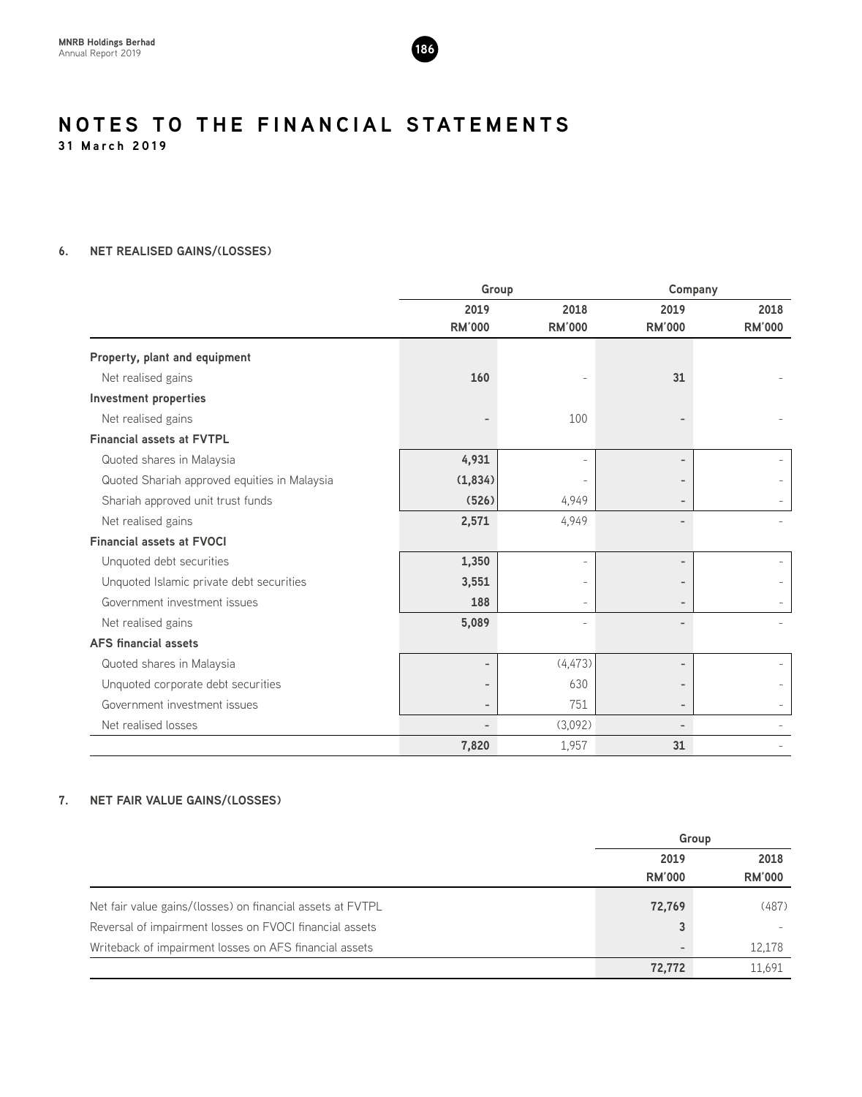

**31 March 2019**

### **6. NET REALISED GAINS/(LOSSES)**

|                                              | Group                    |                          |                          | Company                  |
|----------------------------------------------|--------------------------|--------------------------|--------------------------|--------------------------|
|                                              | 2019                     | 2018                     | 2019                     | 2018                     |
|                                              | <b>RM'000</b>            | <b>RM'000</b>            | <b>RM'000</b>            | <b>RM'000</b>            |
| Property, plant and equipment                |                          |                          |                          |                          |
| Net realised gains                           | 160                      |                          | 31                       |                          |
| Investment properties                        |                          |                          |                          |                          |
| Net realised gains                           |                          | 100                      |                          |                          |
| <b>Financial assets at FVTPL</b>             |                          |                          |                          |                          |
| Quoted shares in Malaysia                    | 4,931                    |                          |                          |                          |
| Quoted Shariah approved equities in Malaysia | (1,834)                  |                          |                          |                          |
| Shariah approved unit trust funds            | (526)                    | 4,949                    |                          |                          |
| Net realised gains                           | 2,571                    | 4,949                    |                          |                          |
| <b>Financial assets at FVOCI</b>             |                          |                          |                          |                          |
| Unquoted debt securities                     | 1,350                    | $\overline{\phantom{a}}$ |                          | $\overline{\phantom{a}}$ |
| Unquoted Islamic private debt securities     | 3,551                    |                          |                          |                          |
| Government investment issues                 | 188                      |                          |                          |                          |
| Net realised gains                           | 5,089                    |                          |                          |                          |
| <b>AFS</b> financial assets                  |                          |                          |                          |                          |
| Quoted shares in Malaysia                    | $\overline{\phantom{a}}$ | (4, 473)                 |                          |                          |
| Unquoted corporate debt securities           | $\overline{\phantom{a}}$ | 630                      |                          |                          |
| Government investment issues                 | $\overline{\phantom{a}}$ | 751                      | $\qquad \qquad$          |                          |
| Net realised losses                          | $\overline{\phantom{0}}$ | (3,092)                  | $\overline{\phantom{0}}$ |                          |
|                                              | 7,820                    | 1,957                    | 31                       |                          |

#### **7. NET FAIR VALUE GAINS/(LOSSES)**

|                                                            |                          | Group         |
|------------------------------------------------------------|--------------------------|---------------|
|                                                            | 2019                     | 2018          |
|                                                            | <b>RM'000</b>            | <b>RM'000</b> |
| Net fair value gains/(losses) on financial assets at FVTPL | 72,769                   | (487)         |
| Reversal of impairment losses on FVOCI financial assets    | 3                        |               |
| Writeback of impairment losses on AFS financial assets     | $\overline{\phantom{0}}$ | 12,178        |
|                                                            | 72,772                   | 11,691        |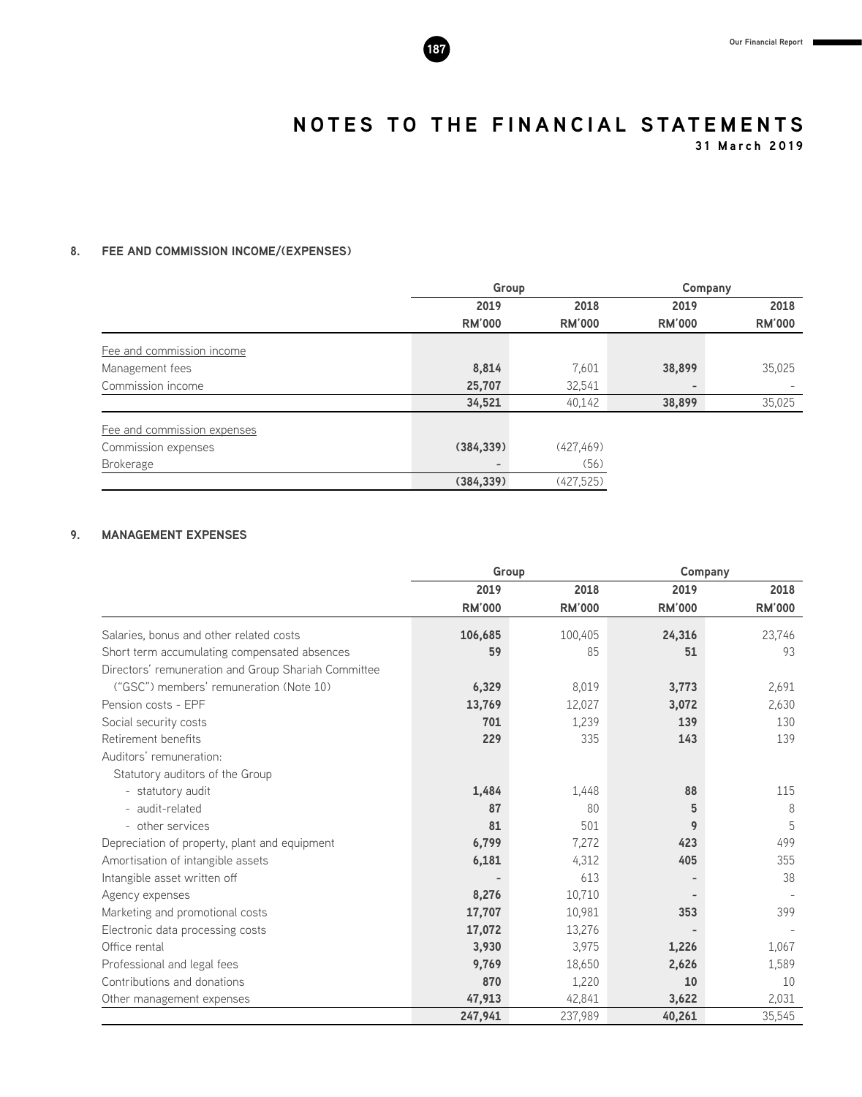**31 March 2019**

#### **8. FEE AND COMMISSION INCOME/(EXPENSES)**

|                             | Group             |               | Company                  |               |
|-----------------------------|-------------------|---------------|--------------------------|---------------|
|                             | 2019              | 2018          | 2019                     | 2018          |
|                             | <b>RM'000</b>     | <b>RM'000</b> | <b>RM'000</b>            | <b>RM'000</b> |
| Fee and commission income   |                   |               |                          |               |
| Management fees             | 8,814             | 7,601         | 38,899                   | 35,025        |
| Commission income           | 25,707            | 32,541        | $\overline{\phantom{a}}$ |               |
|                             | 34,521            | 40,142        | 38,899                   | 35,025        |
| Fee and commission expenses |                   |               |                          |               |
| Commission expenses         | (384, 339)        | (427, 469)    |                          |               |
| <b>Brokerage</b>            | $\qquad \qquad -$ | (56)          |                          |               |
|                             | (384, 339)        | (427,525)     |                          |               |

#### **9. MANAGEMENT EXPENSES**

|                                                     | Group         |               |               | Company       |
|-----------------------------------------------------|---------------|---------------|---------------|---------------|
|                                                     | 2019          | 2018          | 2019          | 2018          |
|                                                     | <b>RM'000</b> | <b>RM'000</b> | <b>RM'000</b> | <b>RM'000</b> |
| Salaries, bonus and other related costs             | 106,685       | 100,405       | 24,316        | 23,746        |
| Short term accumulating compensated absences        | 59            | 85            | 51            | 93            |
| Directors' remuneration and Group Shariah Committee |               |               |               |               |
| ("GSC") members' remuneration (Note 10)             | 6,329         | 8,019         | 3,773         | 2,691         |
| Pension costs - EPF                                 | 13,769        | 12,027        | 3,072         | 2,630         |
| Social security costs                               | 701           | 1,239         | 139           | 130           |
| Retirement benefits                                 | 229           | 335           | 143           | 139           |
| Auditors' remuneration:                             |               |               |               |               |
| Statutory auditors of the Group                     |               |               |               |               |
| - statutory audit                                   | 1,484         | 1,448         | 88            | 115           |
| - audit-related                                     | 87            | 80            | 5             | 8             |
| - other services                                    | 81            | 501           | 9             | 5             |
| Depreciation of property, plant and equipment       | 6,799         | 7,272         | 423           | 499           |
| Amortisation of intangible assets                   | 6,181         | 4,312         | 405           | 355           |
| Intangible asset written off                        |               | 613           |               | 38            |
| Agency expenses                                     | 8,276         | 10,710        |               |               |
| Marketing and promotional costs                     | 17,707        | 10,981        | 353           | 399           |
| Electronic data processing costs                    | 17,072        | 13,276        |               |               |
| Office rental                                       | 3,930         | 3,975         | 1,226         | 1,067         |
| Professional and legal fees                         | 9,769         | 18,650        | 2,626         | 1,589         |
| Contributions and donations                         | 870           | 1,220         | 10            | 10            |
| Other management expenses                           | 47,913        | 42,841        | 3,622         | 2,031         |
|                                                     | 247,941       | 237,989       | 40,261        | 35,545        |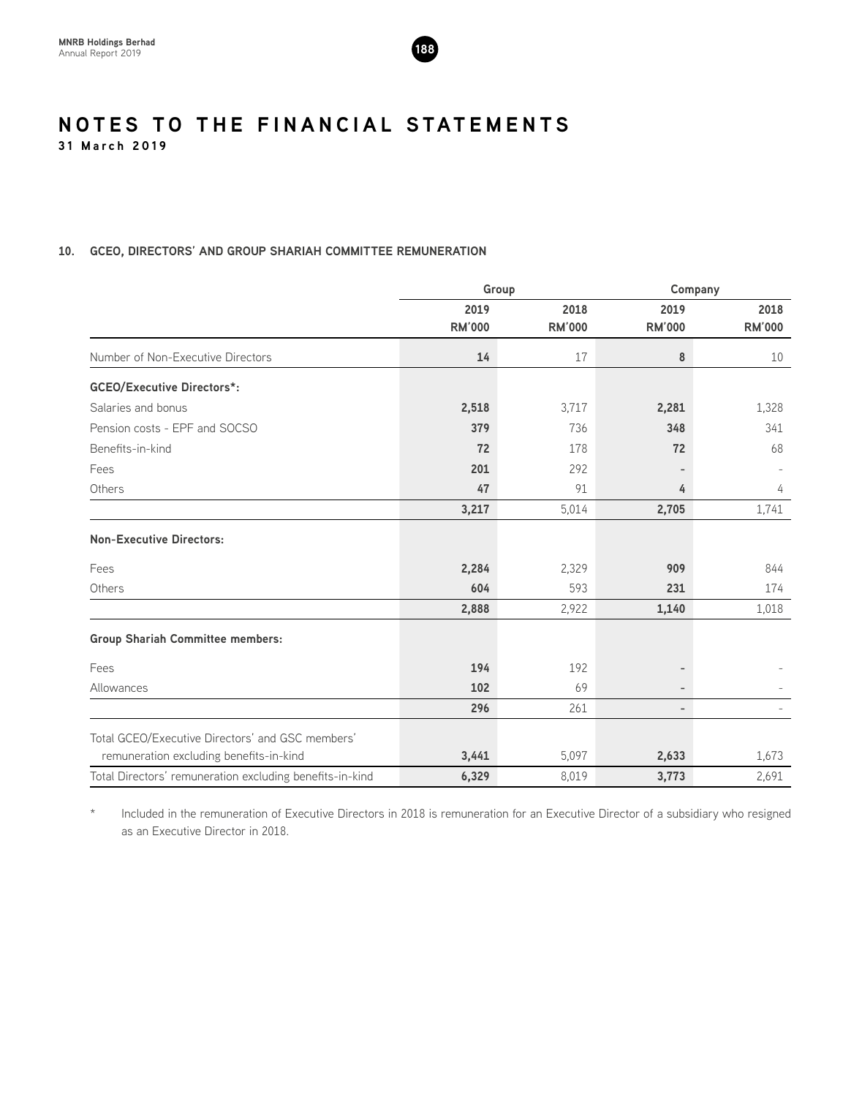

#### **10. GCEO, DIRECTORS' AND GROUP SHARIAH COMMITTEE REMUNERATION**

|                                                          | Group         |               |                          | Company       |
|----------------------------------------------------------|---------------|---------------|--------------------------|---------------|
|                                                          | 2019          | 2018          | 2019                     | 2018          |
|                                                          | <b>RM'000</b> | <b>RM'000</b> | <b>RM'000</b>            | <b>RM'000</b> |
| Number of Non-Executive Directors                        | 14            | 17            | 8                        | 10            |
| <b>GCEO/Executive Directors*:</b>                        |               |               |                          |               |
| Salaries and bonus                                       | 2,518         | 3,717         | 2,281                    | 1,328         |
| Pension costs - EPF and SOCSO                            | 379           | 736           | 348                      | 341           |
| Benefits-in-kind                                         | 72            | 178           | 72                       | 68            |
| Fees                                                     | 201           | 292           |                          |               |
| Others                                                   | 47            | 91            | 4                        | 4             |
|                                                          | 3,217         | 5,014         | 2,705                    | 1,741         |
| <b>Non-Executive Directors:</b>                          |               |               |                          |               |
| Fees                                                     | 2,284         | 2,329         | 909                      | 844           |
| Others                                                   | 604           | 593           | 231                      | 174           |
|                                                          | 2,888         | 2,922         | 1,140                    | 1,018         |
| <b>Group Shariah Committee members:</b>                  |               |               |                          |               |
| Fees                                                     | 194           | 192           |                          |               |
| Allowances                                               | 102           | 69            | $\overline{\phantom{0}}$ |               |
|                                                          | 296           | 261           | $\overline{\phantom{0}}$ |               |
| Total GCEO/Executive Directors' and GSC members'         |               |               |                          |               |
| remuneration excluding benefits-in-kind                  | 3,441         | 5,097         | 2,633                    | 1,673         |
| Total Directors' remuneration excluding benefits-in-kind | 6,329         | 8,019         | 3,773                    | 2,691         |

\* Included in the remuneration of Executive Directors in 2018 is remuneration for an Executive Director of a subsidiary who resigned as an Executive Director in 2018.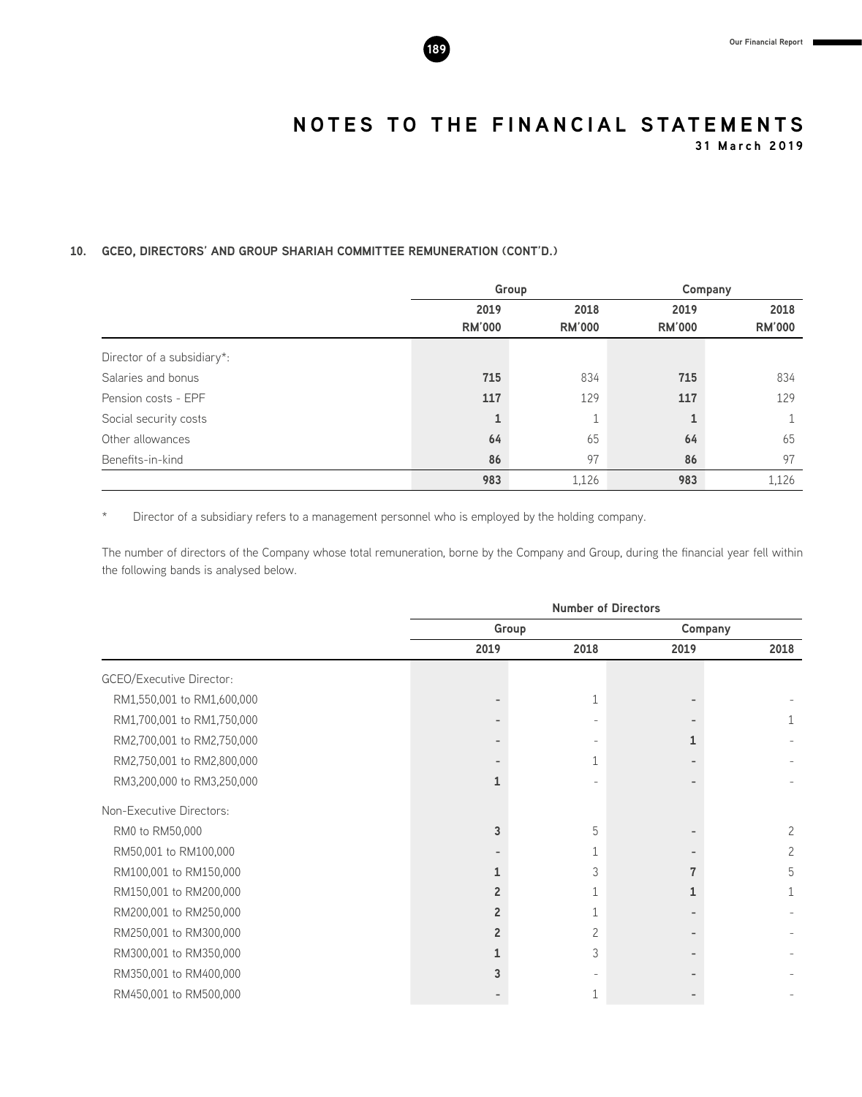**31 March 2019**

#### **10. GCEO, DIRECTORS' AND GROUP SHARIAH COMMITTEE REMUNERATION (CONT'D.)**

|                            |               | Group         |               | Company       |  |
|----------------------------|---------------|---------------|---------------|---------------|--|
|                            | 2019          | 2018          | 2019          | 2018          |  |
|                            | <b>RM'000</b> | <b>RM'000</b> | <b>RM'000</b> | <b>RM'000</b> |  |
| Director of a subsidiary*: |               |               |               |               |  |
| Salaries and bonus         | 715           | 834           | 715           | 834           |  |
| Pension costs - EPF        | 117           | 129           | 117           | 129           |  |
| Social security costs      | 1             |               |               |               |  |
| Other allowances           | 64            | 65            | 64            | 65            |  |
| Benefits-in-kind           | 86            | 97            | 86            | 97            |  |
|                            | 983           | 1,126         | 983           | 1,126         |  |

\* Director of a subsidiary refers to a management personnel who is employed by the holding company.

The number of directors of the Company whose total remuneration, borne by the Company and Group, during the financial year fell within the following bands is analysed below.

|                                 | <b>Number of Directors</b> |              |      |         |  |
|---------------------------------|----------------------------|--------------|------|---------|--|
|                                 | Group                      |              |      | Company |  |
|                                 | 2019                       | 2018         | 2019 | 2018    |  |
| <b>GCEO/Executive Director:</b> |                            |              |      |         |  |
| RM1,550,001 to RM1,600,000      |                            | $\mathbf{1}$ |      |         |  |
| RM1,700,001 to RM1,750,000      |                            |              |      |         |  |
| RM2,700,001 to RM2,750,000      |                            |              |      |         |  |
| RM2,750,001 to RM2,800,000      |                            |              |      |         |  |
| RM3,200,000 to RM3,250,000      | $\mathbf{1}$               |              |      |         |  |
| Non-Executive Directors:        |                            |              |      |         |  |
| RM0 to RM50,000                 | 3                          | 5            |      | 2       |  |
| RM50,001 to RM100,000           |                            |              |      | 2       |  |
| RM100,001 to RM150,000          | 1                          | 3            |      | 5       |  |
| RM150,001 to RM200,000          | $\overline{2}$             |              |      |         |  |
| RM200,001 to RM250,000          | $\overline{2}$             |              |      |         |  |
| RM250,001 to RM300,000          | $\overline{2}$             | 2            |      |         |  |
| RM300,001 to RM350,000          | 1                          | 3            |      |         |  |
| RM350,001 to RM400,000          | 3                          |              |      |         |  |
| RM450,001 to RM500,000          |                            |              |      |         |  |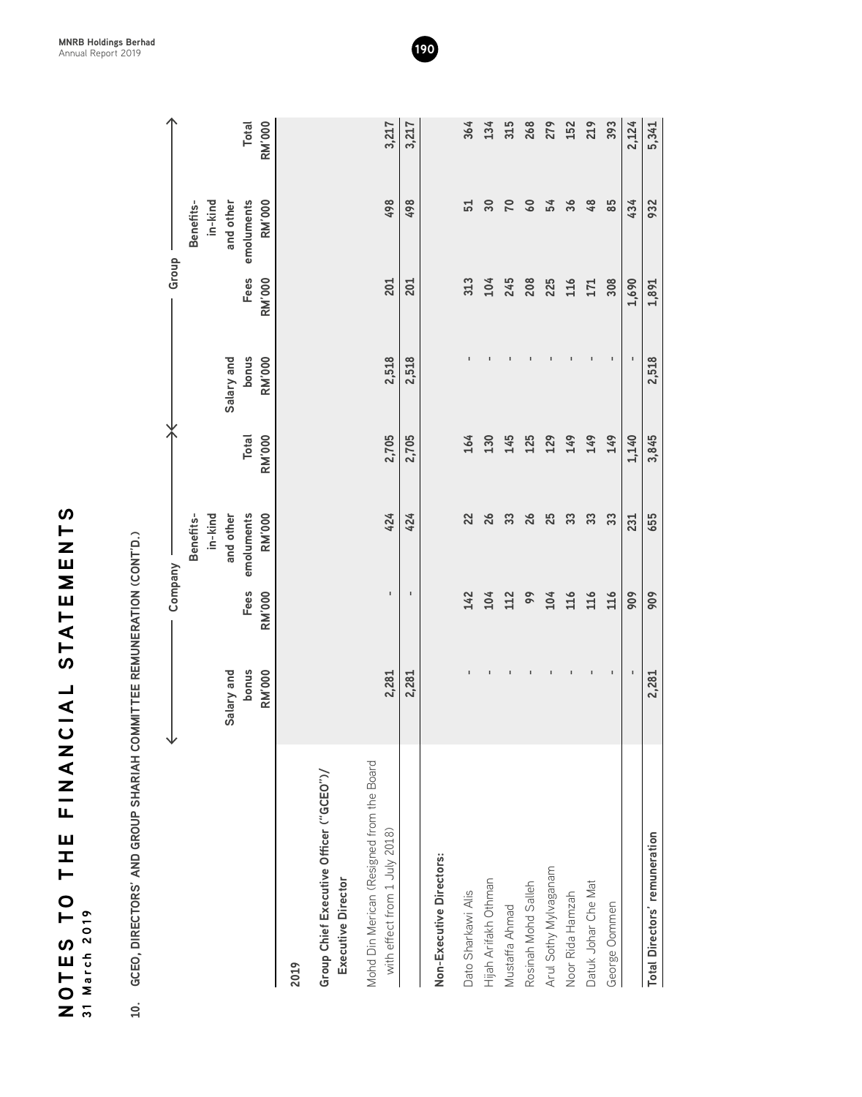| <b>UNANIL WIL OL SWLON</b><br>31 March 2019                                | ー<br>ヘー                       | STATEMENTS            |                                   |                        |                        |                       |                                   |                        |
|----------------------------------------------------------------------------|-------------------------------|-----------------------|-----------------------------------|------------------------|------------------------|-----------------------|-----------------------------------|------------------------|
| GCEO, DIRECTORS' AND GROUP SHARIAH COMMITTEE REMUNERATION (CONT'D.)<br>10. |                               |                       |                                   |                        |                        |                       |                                   |                        |
|                                                                            |                               | Company               |                                   |                        |                        | Group                 |                                   |                        |
|                                                                            | Salary and                    |                       | Benefits-<br>in-kind<br>and other |                        | Salary and             |                       | in-kind<br>and other<br>Benefits- |                        |
|                                                                            | <b>bonus</b><br><b>RM'000</b> | Fees<br><b>RM'000</b> | emoluments<br><b>RM'000</b>       | Total<br><b>RM'000</b> | bonus<br><b>RM'000</b> | Fees<br><b>RM'000</b> | emoluments<br><b>RM'000</b>       | <b>RM'000</b><br>Total |
| 2019                                                                       |                               |                       |                                   |                        |                        |                       |                                   |                        |
| Group Chief Executive Officer ("GCEO")/<br><b>Executive Director</b>       |                               |                       |                                   |                        |                        |                       |                                   |                        |
| Mohd Din Merican (Resigned from the Board<br>with effect from 1 July 2018) | 2,281                         | $\blacksquare$        | 424                               | 2,705                  | 2,518                  | 201                   | 498                               | 3,217                  |
|                                                                            | 2,281                         | ٠                     | 424                               | 2,705                  | 2,518                  | 201                   | 498                               | 3,217                  |
| Non-Executive Directors:                                                   |                               |                       |                                   |                        |                        |                       |                                   |                        |
| Dato Sharkawi Alis                                                         |                               | 142                   | 22                                | 164                    |                        | 313                   | 51                                | 364                    |
| Hijah Arifakh Othman                                                       |                               | 104                   | 26                                | 130                    |                        | 104                   | 30                                | 134                    |
| Mustaffa Ahmad                                                             | $\blacksquare$                | 112                   | 33                                | 145                    |                        | 245                   | 70                                | 315                    |
| Rosinah Mohd Salleh                                                        | $\,$ I                        | $\overline{9}$        | 26                                | 125                    |                        | 208                   | 60                                | 268                    |
| Arul Sothy Mylvaganam                                                      | $\mathbf{I}$                  | 104                   | 25                                | 129                    |                        | 225                   | 54                                | 279                    |
| Noor Rida Hamzah                                                           | $\mathbf{I}$                  | 116                   | 33                                | 149                    |                        | 116                   | 36                                | 152                    |
| Datuk Johar Che Mat                                                        | $\mathsf I$                   | 116                   | 33                                | 149                    | $\mathsf I$            | 171                   | 48                                | 219                    |
| George Oommen                                                              | $\,$ I                        | 116                   | 33                                | 149                    | $\blacksquare$         | 308                   | 85                                | 393                    |
|                                                                            |                               | 909                   | 231                               | 1,140                  |                        | 1,690                 | 434                               | 2,124                  |
| Total Directors' remuneration                                              | 2,281                         | 909                   | 655                               | 3,845                  | 2,518                  | 1,891                 | 932                               | 5,341                  |

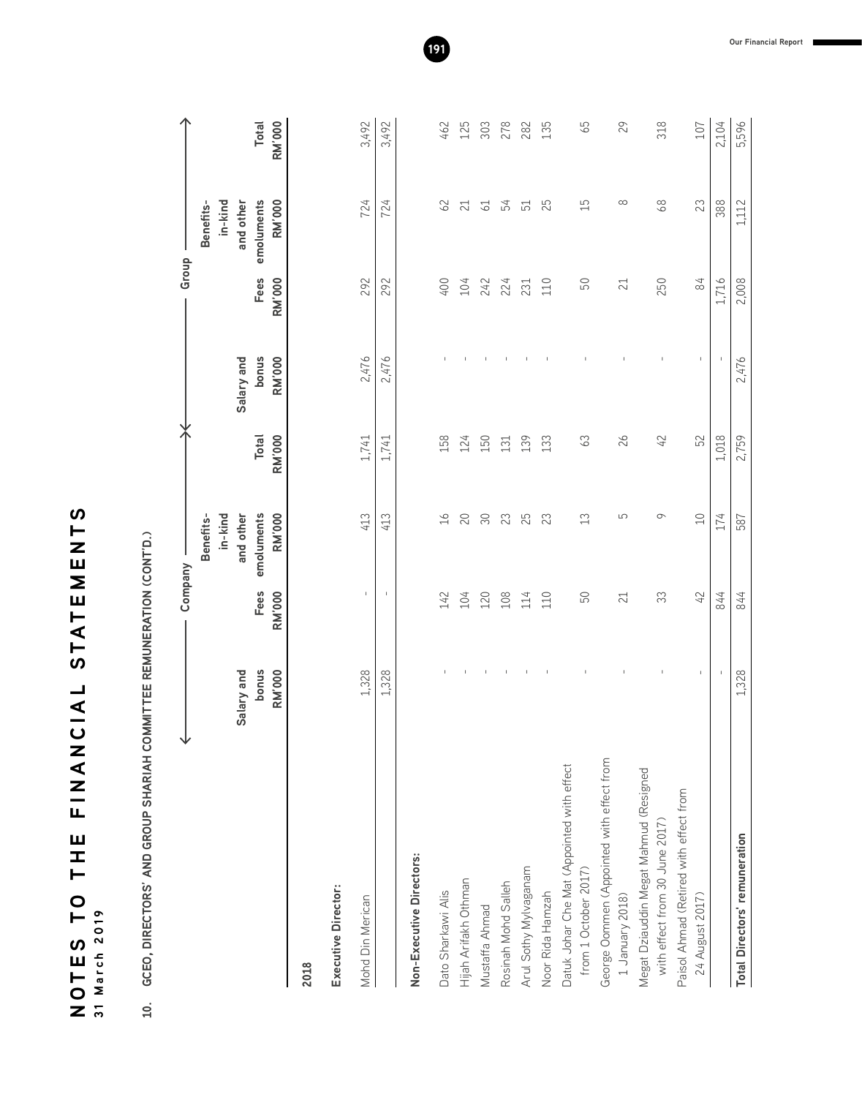| <u>(</u><br>H<br>Z<br>Ш<br>Σ<br>Ш<br>T A T |                                             |
|--------------------------------------------|---------------------------------------------|
| (၂<br><b>ANCIAL</b>                        |                                             |
| )<br>二<br> <br> <br>Ш<br>I                 |                                             |
| ⊢<br>$\bullet$<br>⊢<br>S                   | $\frac{9}{2}$<br>$\mathbf{\Omega}$<br>March |
| L<br>D<br>D<br>Z                           | $\frac{1}{2}$                               |

10. GCEO, DIRECTORS' AND GROUP SHARIAH COMMITTEE REMUNERATION (CONT'D.) **10. GCEO, DIRECTORS' AND GROUP SHARIAH COMMITTEE REMUNERATION (CONT'D.)**

|                                                                          |                               |                       | Company                     |                        |                        | Group                 |                             |                        |
|--------------------------------------------------------------------------|-------------------------------|-----------------------|-----------------------------|------------------------|------------------------|-----------------------|-----------------------------|------------------------|
|                                                                          |                               |                       | in-kind<br>Benefits-        |                        |                        |                       | in-kind<br>Benefits-        |                        |
|                                                                          | Salary and                    |                       | and other                   |                        | Salary and             |                       | and other                   |                        |
|                                                                          | <b>bonus</b><br><b>RM'000</b> | Fees<br><b>RM'000</b> | emoluments<br><b>RM'000</b> | <b>RM'000</b><br>Total | bonus<br><b>RM'000</b> | Fees<br><b>RM'000</b> | emoluments<br><b>RM'000</b> | Total<br><b>RM'000</b> |
| 2018                                                                     |                               |                       |                             |                        |                        |                       |                             |                        |
| Executive Director:                                                      |                               |                       |                             |                        |                        |                       |                             |                        |
| Mohd Din Merican                                                         | 1,328                         | $\mathsf I$           | 413                         | 1,741                  | 2,476                  | 292                   | 724                         | 3,492                  |
|                                                                          | 1,328                         | $\mathbf{I}$          | 413                         | 1,741                  | 2,476                  | 292                   | 724                         | 3,492                  |
| Non-Executive Directors:                                                 |                               |                       |                             |                        |                        |                       |                             |                        |
| Dato Sharkawi Alis                                                       |                               | 142                   | $\geq$                      | 158                    |                        | 400                   | 62                          | 462                    |
| Hijah Arifakh Othman                                                     | $\mathbf{I}$                  | 104                   | 20                          | 124                    |                        | 104                   | 21                          | 125                    |
| Mustaffa Ahmad                                                           | $\mathbf{I}$                  | 120                   | 30                          | 150                    |                        | 242                   | 61                          | 303                    |
| Rosinah Mohd Salleh                                                      | $\mathbb I$                   | 108                   | 23                          | 131                    |                        | 224                   | 54                          | 278                    |
| Arul Sothy Mylvaganam                                                    | $\mathsf I$                   | 114                   | 25                          | 139                    |                        | 231                   | 51                          | 282                    |
| Noor Rida Hamzah                                                         | -1                            | 110                   | 23                          | 133                    | $\mathbf{I}$           | 110                   | 25                          | 135                    |
| Datuk Johar Che Mat (Appointed with effect<br>from 1 October 2017)       | $\mathbb{I}$                  | 50                    | $\mathfrak{L}$              | 63                     | $\mathbb{I}$           | 50                    | 15                          | 59                     |
| George Oommen (Appointed with effect from<br>1 January 2018)             | ٠                             | 21                    | 5                           | $\delta$               | J.                     | 21                    | $\infty$                    | 29                     |
| Megat Dziauddin Megat Mahmud (Resigned<br>with effect from 30 June 2017) | $\mathbb I$                   | 33                    | ᡋ                           | 42                     | J.                     | 250                   | 89                          | 318                    |
| Paisol Ahmad (Retired with effect from<br>24 August 2017)                | Τ.                            | 42                    | $\supseteq$                 | 52                     | $\mathbf{I}$           | 84                    | 23                          | 107                    |
|                                                                          |                               | 844                   | 174                         | 1,018                  |                        | 1,716                 | 388                         | 2,104                  |
| Total Directors' remuneration                                            | 1,328                         | 844                   | 587                         | 2,759                  | 2,476                  | 2,008                 | 1,112                       | 5,596                  |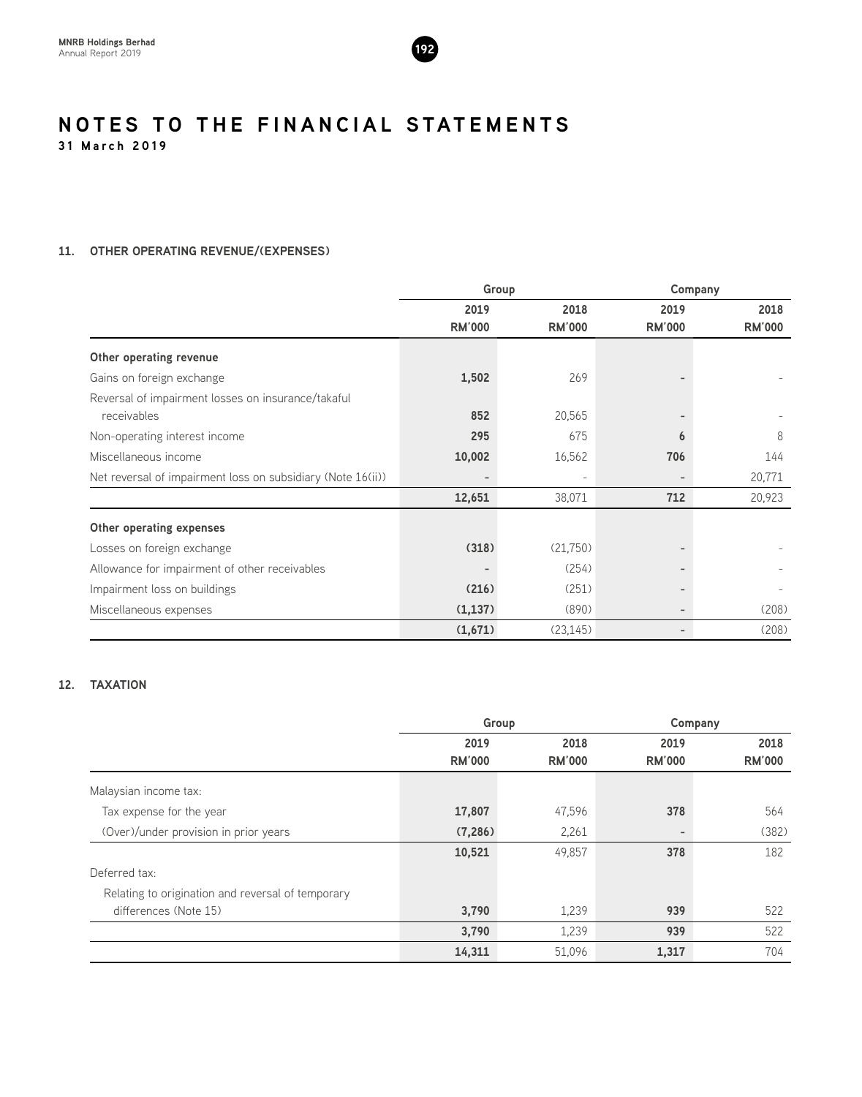

#### **11. OTHER OPERATING REVENUE/(EXPENSES)**

|                                                             |                          | Group         |               | Company       |  |
|-------------------------------------------------------------|--------------------------|---------------|---------------|---------------|--|
|                                                             | 2019                     | 2018          | 2019          | 2018          |  |
|                                                             | <b>RM'000</b>            | <b>RM'000</b> | <b>RM'000</b> | <b>RM'000</b> |  |
| Other operating revenue                                     |                          |               |               |               |  |
| Gains on foreign exchange                                   | 1,502                    | 269           |               |               |  |
| Reversal of impairment losses on insurance/takaful          |                          |               |               |               |  |
| receivables                                                 | 852                      | 20,565        |               |               |  |
| Non-operating interest income                               | 295                      | 675           | 6             | 8             |  |
| Miscellaneous income                                        | 10,002                   | 16,562        | 706           | 144           |  |
| Net reversal of impairment loss on subsidiary (Note 16(ii)) |                          |               |               | 20,771        |  |
|                                                             | 12,651                   | 38,071        | 712           | 20,923        |  |
| Other operating expenses                                    |                          |               |               |               |  |
| Losses on foreign exchange                                  | (318)                    | (21,750)      |               |               |  |
| Allowance for impairment of other receivables               | $\overline{\phantom{a}}$ | (254)         |               |               |  |
| Impairment loss on buildings                                | (216)                    | (251)         |               |               |  |
| Miscellaneous expenses                                      | (1, 137)                 | (890)         |               | (208)         |  |
|                                                             | (1,671)                  | (23, 145)     |               | (208)         |  |

### **12. TAXATION**

|                                                   |               | Group         |               | Company       |
|---------------------------------------------------|---------------|---------------|---------------|---------------|
|                                                   | 2019          | 2018          | 2019          | 2018          |
|                                                   | <b>RM'000</b> | <b>RM'000</b> | <b>RM'000</b> | <b>RM'000</b> |
| Malaysian income tax:                             |               |               |               |               |
| Tax expense for the year                          | 17,807        | 47,596        | 378           | 564           |
| (Over)/under provision in prior years             | (7, 286)      | 2,261         |               | (382)         |
|                                                   | 10,521        | 49,857        | 378           | 182           |
| Deferred tax:                                     |               |               |               |               |
| Relating to origination and reversal of temporary |               |               |               |               |
| differences (Note 15)                             | 3,790         | 1,239         | 939           | 522           |
|                                                   | 3,790         | 1,239         | 939           | 522           |
|                                                   | 14,311        | 51,096        | 1,317         | 704           |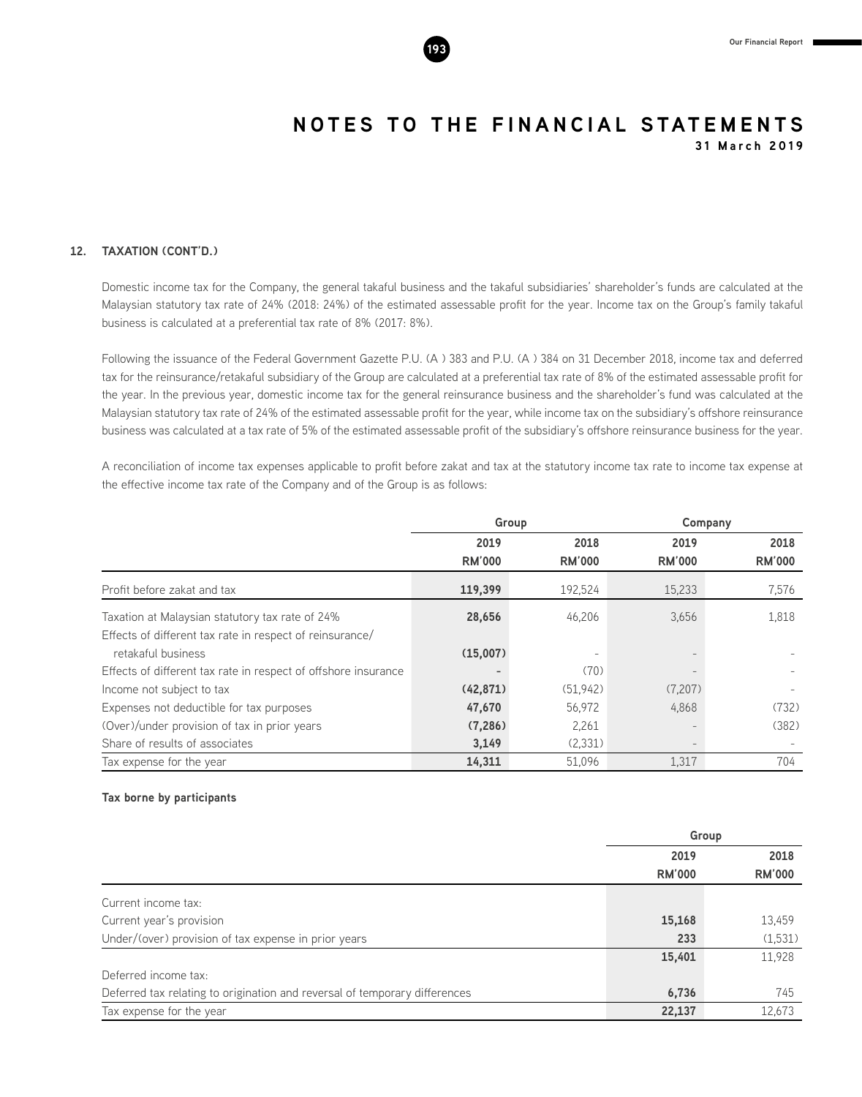

#### **12. TAXATION (CONT'D.)**

Domestic income tax for the Company, the general takaful business and the takaful subsidiaries' shareholder's funds are calculated at the Malaysian statutory tax rate of 24% (2018: 24%) of the estimated assessable profit for the year. Income tax on the Group's family takaful business is calculated at a preferential tax rate of 8% (2017: 8%).

Following the issuance of the Federal Government Gazette P.U. (A ) 383 and P.U. (A ) 384 on 31 December 2018, income tax and deferred tax for the reinsurance/retakaful subsidiary of the Group are calculated at a preferential tax rate of 8% of the estimated assessable profit for the year. In the previous year, domestic income tax for the general reinsurance business and the shareholder's fund was calculated at the Malaysian statutory tax rate of 24% of the estimated assessable profit for the year, while income tax on the subsidiary's offshore reinsurance business was calculated at a tax rate of 5% of the estimated assessable profit of the subsidiary's offshore reinsurance business for the year.

A reconciliation of income tax expenses applicable to profit before zakat and tax at the statutory income tax rate to income tax expense at the effective income tax rate of the Company and of the Group is as follows:

|                                                                                                             |                       | Group                 |                       | Company               |  |
|-------------------------------------------------------------------------------------------------------------|-----------------------|-----------------------|-----------------------|-----------------------|--|
|                                                                                                             | 2019<br><b>RM'000</b> | 2018<br><b>RM'000</b> | 2019<br><b>RM'000</b> | 2018<br><b>RM'000</b> |  |
| Profit before zakat and tax                                                                                 | 119,399               | 192,524               | 15,233                | 7,576                 |  |
| Taxation at Malaysian statutory tax rate of 24%<br>Effects of different tax rate in respect of reinsurance/ | 28,656                | 46,206                | 3,656                 | 1,818                 |  |
| retakaful business                                                                                          | (15,007)              | $\qquad \qquad -$     | $\qquad \qquad -$     |                       |  |
| Effects of different tax rate in respect of offshore insurance                                              |                       | (70)                  |                       |                       |  |
| Income not subject to tax                                                                                   | (42, 871)             | (51, 942)             | (7,207)               |                       |  |
| Expenses not deductible for tax purposes                                                                    | 47,670                | 56,972                | 4,868                 | (732)                 |  |
| (Over)/under provision of tax in prior years                                                                | (7, 286)              | 2,261                 |                       | (382)                 |  |
| Share of results of associates                                                                              | 3,149                 | (2,331)               |                       |                       |  |
| Tax expense for the year                                                                                    | 14,311                | 51,096                | 1,317                 | 704                   |  |

#### **Tax borne by participants**

|                                                                            |               | Group         |
|----------------------------------------------------------------------------|---------------|---------------|
|                                                                            | 2019          | 2018          |
|                                                                            | <b>RM'000</b> | <b>RM'000</b> |
| Current income tax:                                                        |               |               |
| Current year's provision                                                   | 15,168        | 13,459        |
| Under/(over) provision of tax expense in prior years                       | 233           | (1,531)       |
|                                                                            | 15,401        | 11,928        |
| Deferred income tax:                                                       |               |               |
| Deferred tax relating to origination and reversal of temporary differences | 6,736         | 745           |
| Tax expense for the year                                                   | 22,137        | 12,673        |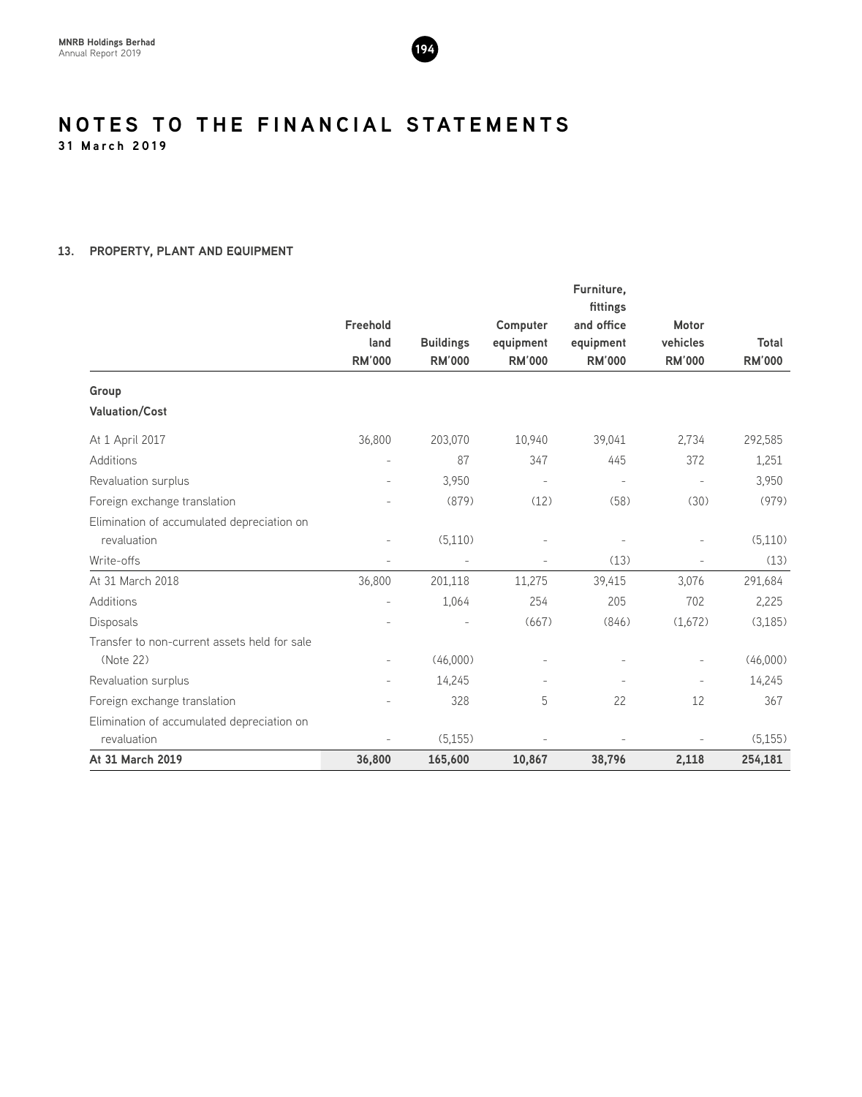

#### **13. PROPERTY, PLANT AND EQUIPMENT**

|                                              |                                   |                                   |                                        | Furniture,<br>fittings                   |                                    |                        |
|----------------------------------------------|-----------------------------------|-----------------------------------|----------------------------------------|------------------------------------------|------------------------------------|------------------------|
|                                              | Freehold<br>land<br><b>RM'000</b> | <b>Buildings</b><br><b>RM'000</b> | Computer<br>equipment<br><b>RM'000</b> | and office<br>equipment<br><b>RM'000</b> | Motor<br>vehicles<br><b>RM'000</b> | Total<br><b>RM'000</b> |
| Group                                        |                                   |                                   |                                        |                                          |                                    |                        |
| <b>Valuation/Cost</b>                        |                                   |                                   |                                        |                                          |                                    |                        |
| At 1 April 2017                              | 36,800                            | 203,070                           | 10,940                                 | 39,041                                   | 2,734                              | 292,585                |
| Additions                                    |                                   | 87                                | 347                                    | 445                                      | 372                                | 1,251                  |
| Revaluation surplus                          |                                   | 3,950                             | $\overline{\phantom{a}}$               | $\overline{\phantom{a}}$                 | $\overline{\phantom{a}}$           | 3,950                  |
| Foreign exchange translation                 |                                   | (879)                             | (12)                                   | (58)                                     | (30)                               | (979)                  |
| Elimination of accumulated depreciation on   |                                   |                                   |                                        |                                          |                                    |                        |
| revaluation                                  | $\overline{a}$                    | (5,110)                           |                                        |                                          |                                    | (5,110)                |
| Write-offs                                   | $\overline{\phantom{a}}$          |                                   | $\sim$                                 | (13)                                     | $\overline{a}$                     | (13)                   |
| At 31 March 2018                             | 36,800                            | 201,118                           | 11,275                                 | 39,415                                   | 3,076                              | 291,684                |
| Additions                                    |                                   | 1,064                             | 254                                    | 205                                      | 702                                | 2,225                  |
| <b>Disposals</b>                             |                                   |                                   | (667)                                  | (846)                                    | (1,672)                            | (3, 185)               |
| Transfer to non-current assets held for sale |                                   |                                   |                                        |                                          |                                    |                        |
| (Note 22)                                    |                                   | (46,000)                          |                                        |                                          |                                    | (46,000)               |
| Revaluation surplus                          | $\overline{a}$                    | 14,245                            |                                        |                                          | ÷                                  | 14,245                 |
| Foreign exchange translation                 |                                   | 328                               | 5                                      | 22                                       | 12                                 | 367                    |
| Elimination of accumulated depreciation on   |                                   |                                   |                                        |                                          |                                    |                        |
| revaluation                                  |                                   | (5, 155)                          |                                        |                                          | $\overline{a}$                     | (5, 155)               |
| At 31 March 2019                             | 36,800                            | 165,600                           | 10,867                                 | 38,796                                   | 2,118                              | 254,181                |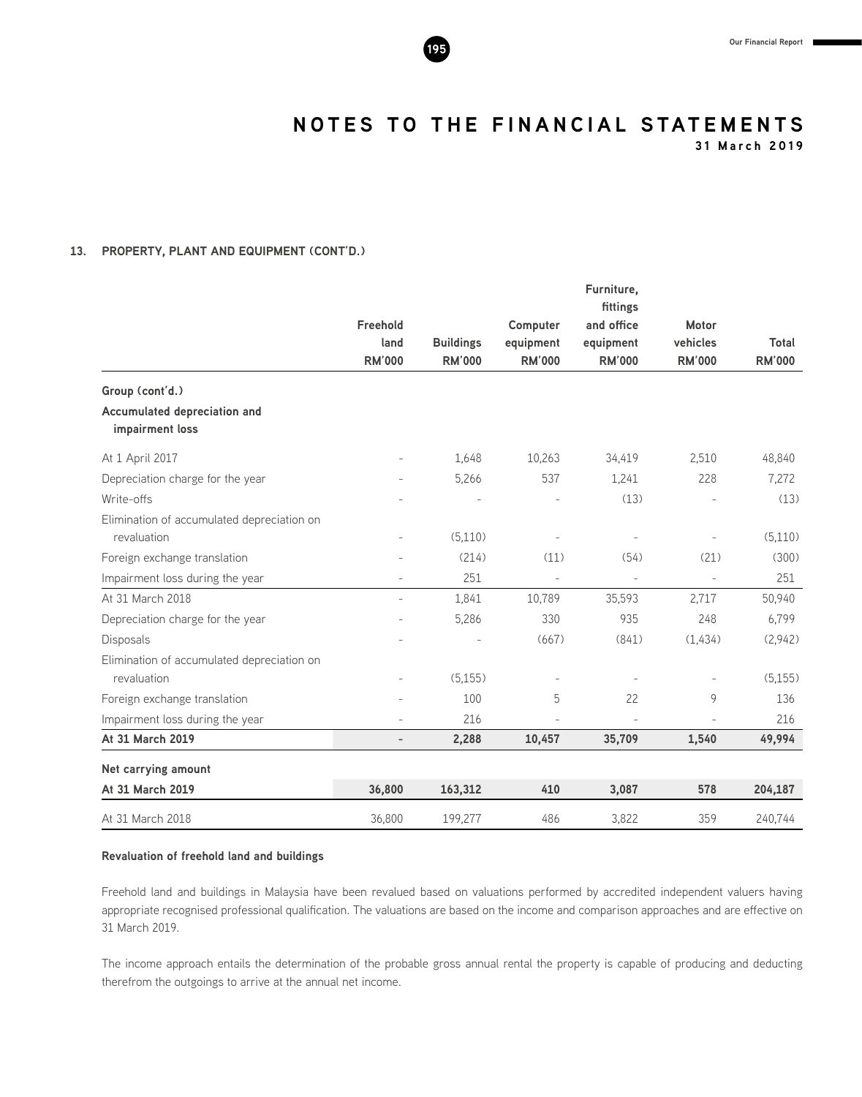

**31 March 2019**

### **13. PROPERTY, PLANT AND EQUIPMENT (CONT'D.)**

|                                                 |                          |                  |                          | Furniture,               |                          |               |
|-------------------------------------------------|--------------------------|------------------|--------------------------|--------------------------|--------------------------|---------------|
|                                                 |                          |                  |                          | fittings                 |                          |               |
|                                                 | Freehold<br>land         | <b>Buildings</b> | Computer<br>equipment    | and office<br>equipment  | Motor<br>vehicles        | Total         |
|                                                 | <b>RM'000</b>            | <b>RM'000</b>    | <b>RM'000</b>            | <b>RM'000</b>            | <b>RM'000</b>            | <b>RM'000</b> |
| Group (cont'd.)                                 |                          |                  |                          |                          |                          |               |
| Accumulated depreciation and<br>impairment loss |                          |                  |                          |                          |                          |               |
| At 1 April 2017                                 |                          | 1,648            | 10,263                   | 34,419                   | 2,510                    | 48,840        |
| Depreciation charge for the year                |                          | 5,266            | 537                      | 1,241                    | 228                      | 7,272         |
| Write-offs                                      |                          |                  |                          | (13)                     |                          | (13)          |
| Elimination of accumulated depreciation on      |                          |                  |                          |                          |                          |               |
| revaluation                                     | $\overline{\phantom{a}}$ | (5,110)          |                          |                          |                          | (5,110)       |
| Foreign exchange translation                    |                          | (214)            | (11)                     | (54)                     | (21)                     | (300)         |
| Impairment loss during the year                 | $\overline{\phantom{a}}$ | 251              | $\overline{\phantom{a}}$ | $\overline{\phantom{a}}$ | $\overline{\phantom{a}}$ | 251           |
| At 31 March 2018                                | $\overline{\phantom{0}}$ | 1,841            | 10,789                   | 35,593                   | 2,717                    | 50,940        |
| Depreciation charge for the year                |                          | 5,286            | 330                      | 935                      | 248                      | 6,799         |
| Disposals                                       |                          |                  | (667)                    | (841)                    | (1,434)                  | (2,942)       |
| Elimination of accumulated depreciation on      |                          |                  |                          |                          |                          |               |
| revaluation                                     |                          | (5, 155)         |                          |                          |                          | (5, 155)      |
| Foreign exchange translation                    |                          | 100              | 5                        | 22                       | 9                        | 136           |
| Impairment loss during the year                 | $\overline{a}$           | 216              |                          | $\overline{a}$           | $\overline{\phantom{a}}$ | 216           |
| At 31 March 2019                                | $\overline{\phantom{a}}$ | 2,288            | 10,457                   | 35,709                   | 1,540                    | 49,994        |
| Net carrying amount                             |                          |                  |                          |                          |                          |               |
| At 31 March 2019                                | 36,800                   | 163,312          | 410                      | 3,087                    | 578                      | 204,187       |
| At 31 March 2018                                | 36,800                   | 199,277          | 486                      | 3,822                    | 359                      | 240,744       |

#### **Revaluation of freehold land and buildings**

Freehold land and buildings in Malaysia have been revalued based on valuations performed by accredited independent valuers having appropriate recognised professional qualification. The valuations are based on the income and comparison approaches and are effective on 31 March 2019.

The income approach entails the determination of the probable gross annual rental the property is capable of producing and deducting therefrom the outgoings to arrive at the annual net income.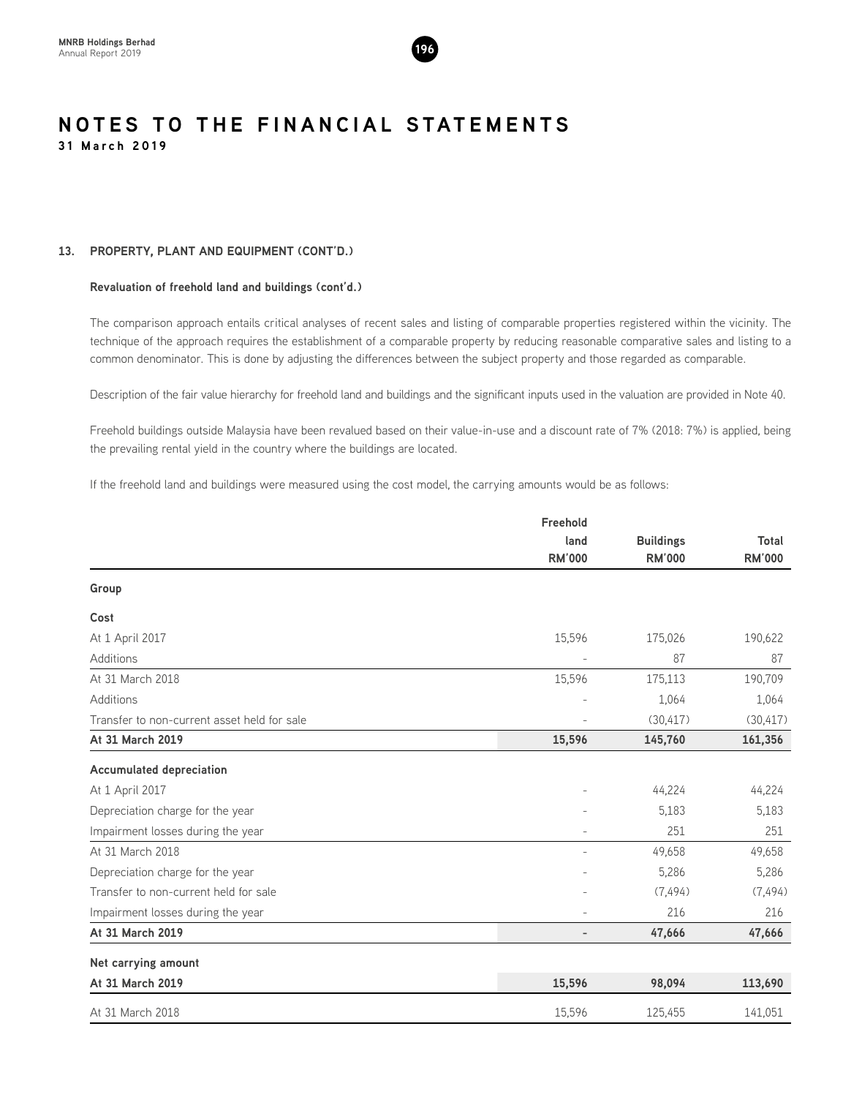

#### **13. PROPERTY, PLANT AND EQUIPMENT (CONT'D.)**

#### **Revaluation of freehold land and buildings (cont'd.)**

The comparison approach entails critical analyses of recent sales and listing of comparable properties registered within the vicinity. The technique of the approach requires the establishment of a comparable property by reducing reasonable comparative sales and listing to a common denominator. This is done by adjusting the differences between the subject property and those regarded as comparable.

Description of the fair value hierarchy for freehold land and buildings and the significant inputs used in the valuation are provided in Note 40.

Freehold buildings outside Malaysia have been revalued based on their value-in-use and a discount rate of 7% (2018: 7%) is applied, being the prevailing rental yield in the country where the buildings are located.

If the freehold land and buildings were measured using the cost model, the carrying amounts would be as follows:

|                                             | Freehold                 |                  |               |
|---------------------------------------------|--------------------------|------------------|---------------|
|                                             | land                     | <b>Buildings</b> | Total         |
|                                             | <b>RM'000</b>            | <b>RM'000</b>    | <b>RM'000</b> |
| Group                                       |                          |                  |               |
| Cost                                        |                          |                  |               |
| At 1 April 2017                             | 15,596                   | 175,026          | 190,622       |
| Additions                                   | $\overline{a}$           | 87               | 87            |
| At 31 March 2018                            | 15,596                   | 175,113          | 190,709       |
| Additions                                   |                          | 1,064            | 1,064         |
| Transfer to non-current asset held for sale |                          | (30, 417)        | (30, 417)     |
| At 31 March 2019                            | 15,596                   | 145,760          | 161,356       |
| <b>Accumulated depreciation</b>             |                          |                  |               |
| At 1 April 2017                             |                          | 44,224           | 44,224        |
| Depreciation charge for the year            |                          | 5,183            | 5,183         |
| Impairment losses during the year           | $\overline{a}$           | 251              | 251           |
| At 31 March 2018                            | $\overline{a}$           | 49,658           | 49,658        |
| Depreciation charge for the year            |                          | 5,286            | 5,286         |
| Transfer to non-current held for sale       |                          | (7, 494)         | (7, 494)      |
| Impairment losses during the year           |                          | 216              | 216           |
| At 31 March 2019                            | $\overline{\phantom{0}}$ | 47,666           | 47,666        |
| Net carrying amount                         |                          |                  |               |
| At 31 March 2019                            | 15,596                   | 98,094           | 113,690       |
| At 31 March 2018                            | 15,596                   | 125,455          | 141,051       |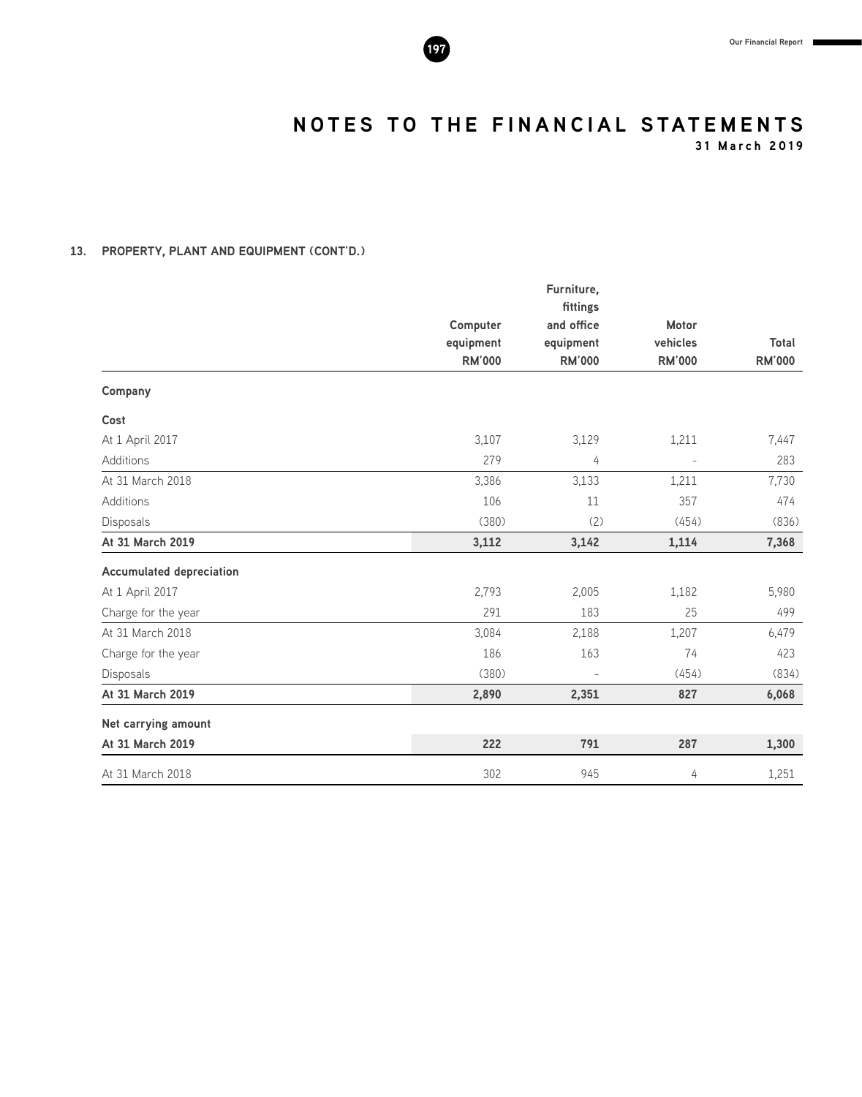

**31 March 2019**

#### **13. PROPERTY, PLANT AND EQUIPMENT (CONT'D.)**

|                                 |                       | Furniture,             |                |               |
|---------------------------------|-----------------------|------------------------|----------------|---------------|
|                                 |                       | fittings<br>and office | Motor          |               |
|                                 | Computer<br>equipment | equipment              | vehicles       | Total         |
|                                 | <b>RM'000</b>         | <b>RM'000</b>          | <b>RM'000</b>  | <b>RM'000</b> |
| Company                         |                       |                        |                |               |
| Cost                            |                       |                        |                |               |
| At 1 April 2017                 | 3,107                 | 3,129                  | 1,211          | 7,447         |
| Additions                       | 279                   | 4                      | $\overline{a}$ | 283           |
| At 31 March 2018                | 3,386                 | 3,133                  | 1,211          | 7,730         |
| Additions                       | 106                   | 11                     | 357            | 474           |
| Disposals                       | (380)                 | (2)                    | (454)          | (836)         |
| At 31 March 2019                | 3,112                 | 3,142                  | 1,114          | 7,368         |
| <b>Accumulated depreciation</b> |                       |                        |                |               |
| At 1 April 2017                 | 2,793                 | 2,005                  | 1,182          | 5,980         |
| Charge for the year             | 291                   | 183                    | 25             | 499           |
| At 31 March 2018                | 3,084                 | 2,188                  | 1,207          | 6,479         |
| Charge for the year             | 186                   | 163                    | 74             | 423           |
| Disposals                       | (380)                 |                        | (454)          | (834)         |
| At 31 March 2019                | 2,890                 | 2,351                  | 827            | 6,068         |
| Net carrying amount             |                       |                        |                |               |
| At 31 March 2019                | 222                   | 791                    | 287            | 1,300         |
| At 31 March 2018                | 302                   | 945                    | 4              | 1,251         |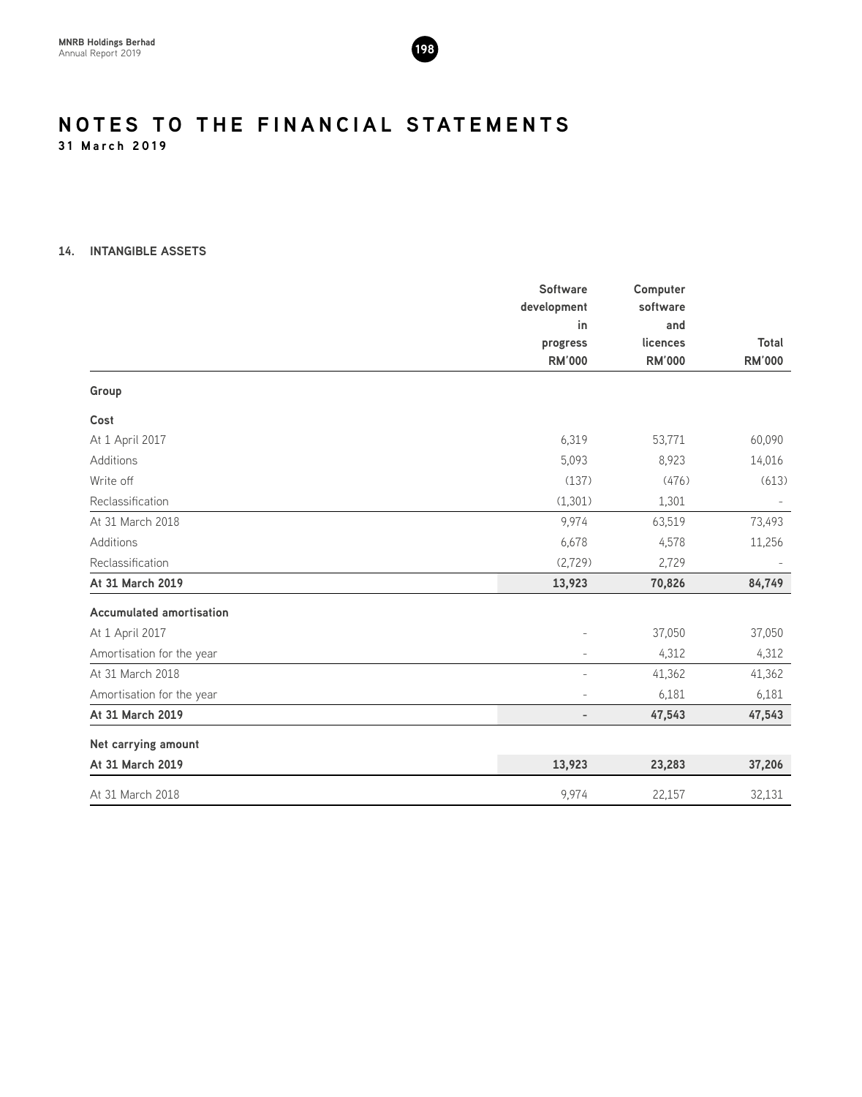

#### **14. INTANGIBLE ASSETS**

|                                 | <b>Software</b><br>development | Computer<br>software |               |
|---------------------------------|--------------------------------|----------------------|---------------|
|                                 | in                             | and                  |               |
|                                 | progress                       | licences             | Total         |
|                                 | <b>RM'000</b>                  | <b>RM'000</b>        | <b>RM'000</b> |
| Group                           |                                |                      |               |
| Cost                            |                                |                      |               |
| At 1 April 2017                 | 6,319                          | 53,771               | 60,090        |
| <b>Additions</b>                | 5,093                          | 8,923                | 14,016        |
| Write off                       | (137)                          | (476)                | (613)         |
| Reclassification                | (1, 301)                       | 1,301                |               |
| At 31 March 2018                | 9,974                          | 63,519               | 73,493        |
| Additions                       | 6,678                          | 4,578                | 11,256        |
| Reclassification                | (2,729)                        | 2,729                |               |
| At 31 March 2019                | 13,923                         | 70,826               | 84,749        |
| <b>Accumulated amortisation</b> |                                |                      |               |
| At 1 April 2017                 |                                | 37,050               | 37,050        |
| Amortisation for the year       |                                | 4,312                | 4,312         |
| At 31 March 2018                | $\overline{a}$                 | 41,362               | 41,362        |
| Amortisation for the year       |                                | 6,181                | 6,181         |
| At 31 March 2019                | $\overline{\phantom{0}}$       | 47,543               | 47,543        |
| Net carrying amount             |                                |                      |               |
| At 31 March 2019                | 13,923                         | 23,283               | 37,206        |
| At 31 March 2018                | 9,974                          | 22,157               | 32,131        |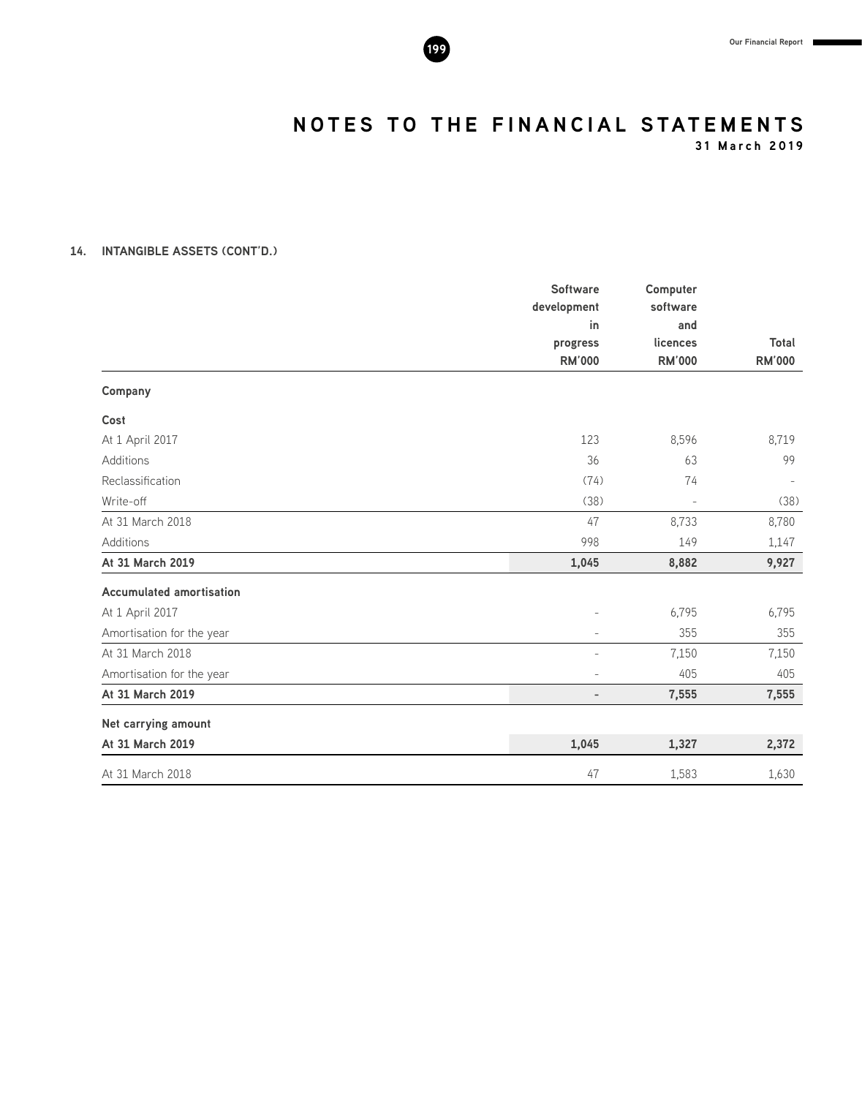

**31 March 2019**

#### **14. INTANGIBLE ASSETS (CONT'D.)**

|                                 | <b>Software</b><br>development<br>in | Computer<br>software<br>and |                        |
|---------------------------------|--------------------------------------|-----------------------------|------------------------|
|                                 | progress<br><b>RM'000</b>            | licences<br><b>RM'000</b>   | Total<br><b>RM'000</b> |
| Company                         |                                      |                             |                        |
| Cost                            |                                      |                             |                        |
| At 1 April 2017                 | 123                                  | 8,596                       | 8,719                  |
| Additions                       | 36                                   | 63                          | 99                     |
| Reclassification                | (74)                                 | 74                          | $\sim$                 |
| Write-off                       | (38)                                 | $\overline{a}$              | (38)                   |
| At 31 March 2018                | 47                                   | 8,733                       | 8,780                  |
| Additions                       | 998                                  | 149                         | 1,147                  |
| At 31 March 2019                | 1,045                                | 8,882                       | 9,927                  |
| <b>Accumulated amortisation</b> |                                      |                             |                        |
| At 1 April 2017                 |                                      | 6,795                       | 6,795                  |
| Amortisation for the year       | $\overline{\phantom{0}}$             | 355                         | 355                    |
| At 31 March 2018                |                                      | 7,150                       | 7,150                  |
| Amortisation for the year       | $\overline{a}$                       | 405                         | 405                    |
| At 31 March 2019                | $\overline{\phantom{0}}$             | 7,555                       | 7,555                  |
| Net carrying amount             |                                      |                             |                        |
| At 31 March 2019                | 1,045                                | 1,327                       | 2,372                  |
| At 31 March 2018                | 47                                   | 1,583                       | 1,630                  |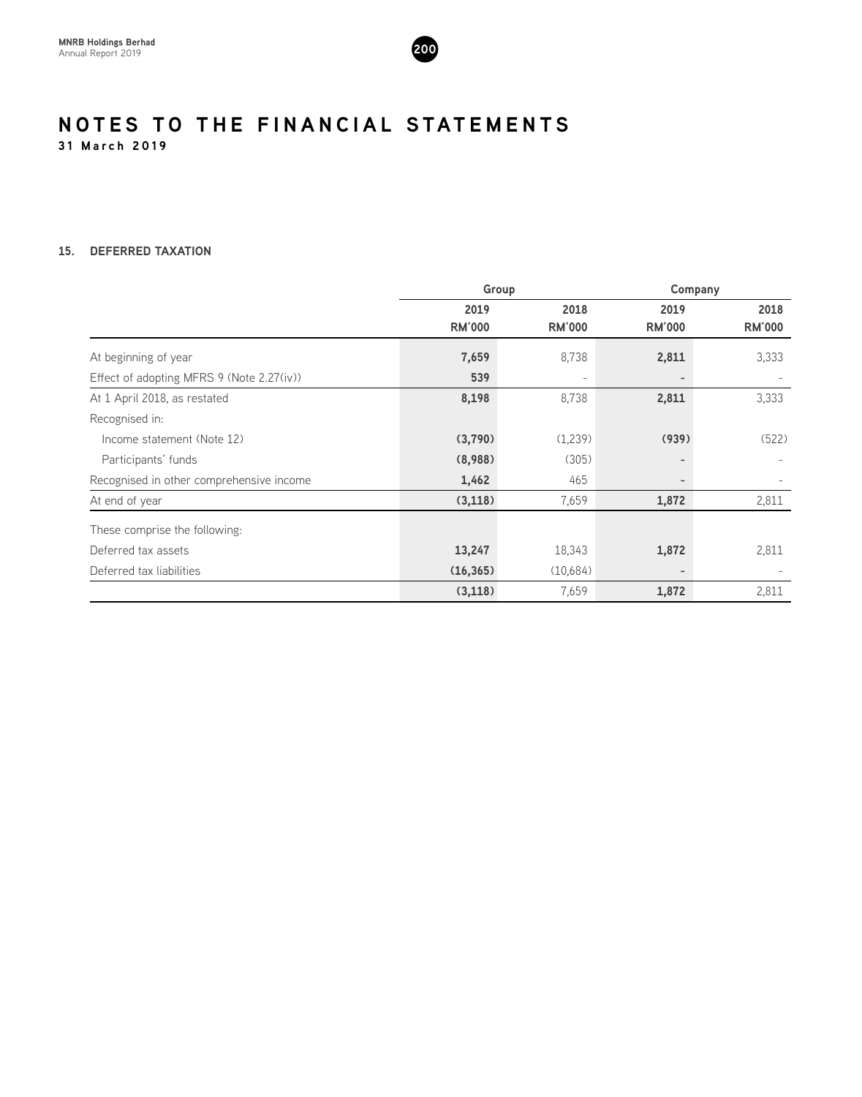

#### **15. DEFERRED TAXATION**

|                                           | Group         |                          |                          | Company       |
|-------------------------------------------|---------------|--------------------------|--------------------------|---------------|
|                                           | 2019          | 2018                     | 2019                     | 2018          |
|                                           | <b>RM'000</b> | <b>RM'000</b>            | <b>RM'000</b>            | <b>RM'000</b> |
| At beginning of year                      | 7,659         | 8,738                    | 2,811                    | 3,333         |
| Effect of adopting MFRS 9 (Note 2.27(iv)) | 539           | $\overline{\phantom{a}}$ | $\overline{\phantom{0}}$ |               |
| At 1 April 2018, as restated              | 8,198         | 8,738                    | 2,811                    | 3,333         |
| Recognised in:                            |               |                          |                          |               |
| Income statement (Note 12)                | (3,790)       | (1,239)                  | (939)                    | (522)         |
| Participants' funds                       | (8,988)       | (305)                    |                          |               |
| Recognised in other comprehensive income  | 1,462         | 465                      | $\overline{\phantom{0}}$ |               |
| At end of year                            | (3, 118)      | 7,659                    | 1,872                    | 2,811         |
| These comprise the following:             |               |                          |                          |               |
| Deferred tax assets                       | 13,247        | 18,343                   | 1,872                    | 2,811         |
| Deferred tax liabilities                  | (16, 365)     | (10,684)                 | $\overline{\phantom{0}}$ |               |
|                                           | (3, 118)      | 7,659                    | 1,872                    | 2,811         |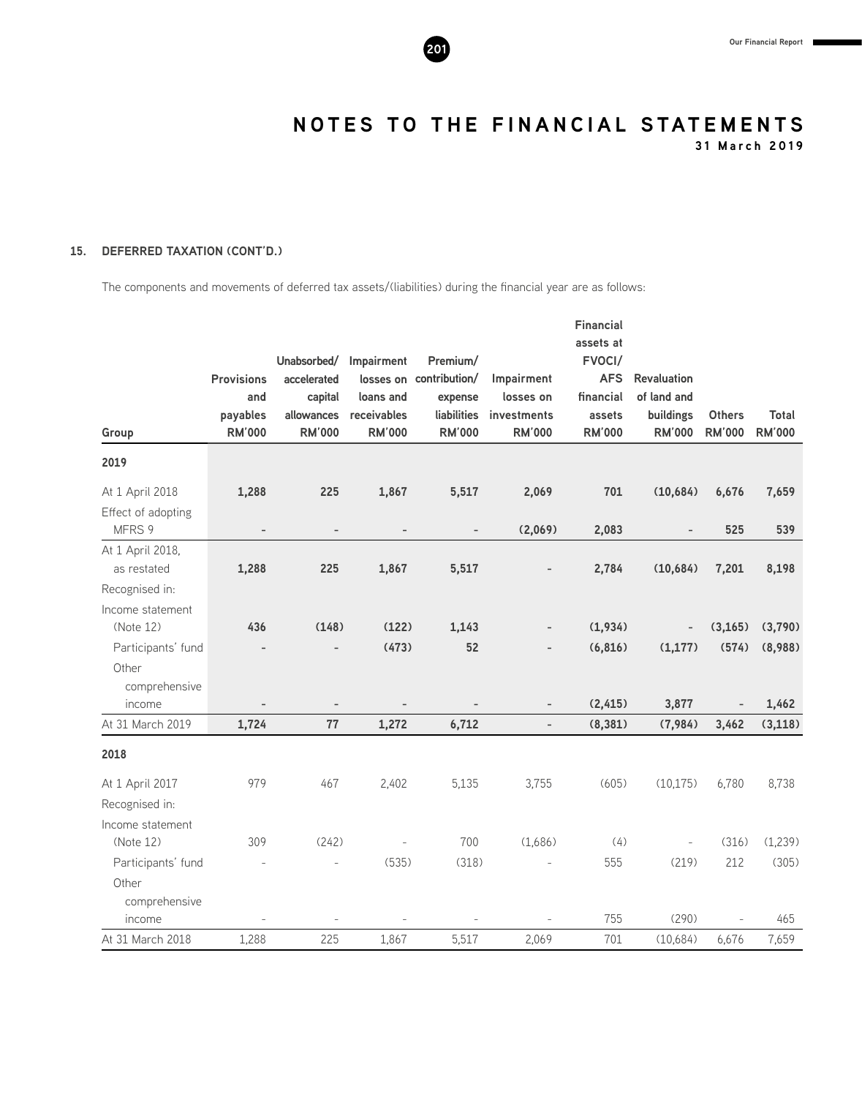

**31 March 2019**

#### **15. DEFERRED TAXATION (CONT'D.)**

The components and movements of deferred tax assets/(liabilities) during the financial year are as follows:

|                    |                   |                          |                          |                          |                          | <b>Financial</b> |                          |                |               |
|--------------------|-------------------|--------------------------|--------------------------|--------------------------|--------------------------|------------------|--------------------------|----------------|---------------|
|                    |                   |                          |                          |                          |                          | assets at        |                          |                |               |
|                    |                   | Unabsorbed/              | Impairment               | Premium/                 |                          | FVOCI/           |                          |                |               |
|                    | <b>Provisions</b> | accelerated              |                          | losses on contribution/  | Impairment               | <b>AFS</b>       | <b>Revaluation</b>       |                |               |
|                    | and               | capital                  | loans and                | expense                  | losses on                | financial        | of land and              |                |               |
|                    | payables          | allowances               | receivables              | liabilities              | investments              | assets           | buildings                | <b>Others</b>  | <b>Total</b>  |
| Group              | <b>RM'000</b>     | <b>RM'000</b>            | <b>RM'000</b>            | <b>RM'000</b>            | <b>RM'000</b>            | <b>RM'000</b>    | <b>RM'000</b>            | <b>RM'000</b>  | <b>RM'000</b> |
| 2019               |                   |                          |                          |                          |                          |                  |                          |                |               |
| At 1 April 2018    | 1,288             | 225                      | 1,867                    | 5,517                    | 2,069                    | 701              | (10,684)                 | 6,676          | 7,659         |
| Effect of adopting |                   |                          |                          |                          |                          |                  |                          |                |               |
| MFRS 9             | $\overline{a}$    | $\overline{\phantom{a}}$ | $\overline{\phantom{a}}$ | $\overline{\phantom{a}}$ | (2,069)                  | 2,083            |                          | 525            | 539           |
| At 1 April 2018,   |                   |                          |                          |                          |                          |                  |                          |                |               |
| as restated        | 1,288             | 225                      | 1,867                    | 5,517                    |                          | 2,784            | (10,684)                 | 7,201          | 8,198         |
| Recognised in:     |                   |                          |                          |                          |                          |                  |                          |                |               |
| Income statement   |                   |                          |                          |                          |                          |                  |                          |                |               |
| (Note 12)          | 436               | (148)                    | (122)                    | 1,143                    |                          | (1,934)          | $\overline{\phantom{a}}$ | (3, 165)       | (3,790)       |
| Participants' fund |                   |                          | (473)                    | 52                       |                          | (6, 816)         | (1, 177)                 | (574)          | (8,988)       |
| Other              |                   |                          |                          |                          |                          |                  |                          |                |               |
| comprehensive      |                   |                          |                          |                          |                          |                  |                          |                |               |
| income             |                   | $\overline{\phantom{a}}$ |                          |                          | $\overline{\phantom{0}}$ | (2, 415)         | 3,877                    | $\overline{a}$ | 1,462         |
| At 31 March 2019   | 1,724             | 77                       | 1,272                    | 6,712                    | $\overline{\phantom{a}}$ | (8, 381)         | (7,984)                  | 3,462          | (3, 118)      |
| 2018               |                   |                          |                          |                          |                          |                  |                          |                |               |
| At 1 April 2017    | 979               | 467                      | 2,402                    | 5,135                    | 3,755                    | (605)            | (10, 175)                | 6,780          | 8,738         |
| Recognised in:     |                   |                          |                          |                          |                          |                  |                          |                |               |
| Income statement   |                   |                          |                          |                          |                          |                  |                          |                |               |
| (Note 12)          | 309               | (242)                    |                          | 700                      | (1,686)                  | (4)              |                          | (316)          | (1,239)       |
| Participants' fund |                   | $\overline{a}$           | (535)                    | (318)                    |                          | 555              | (219)                    | 212            | (305)         |
| Other              |                   |                          |                          |                          |                          |                  |                          |                |               |
| comprehensive      |                   |                          |                          |                          |                          |                  |                          |                |               |
| income             |                   |                          |                          |                          |                          | 755              | (290)                    |                | 465           |
| At 31 March 2018   | 1,288             | 225                      | 1,867                    | 5,517                    | 2,069                    | 701              | (10,684)                 | 6,676          | 7,659         |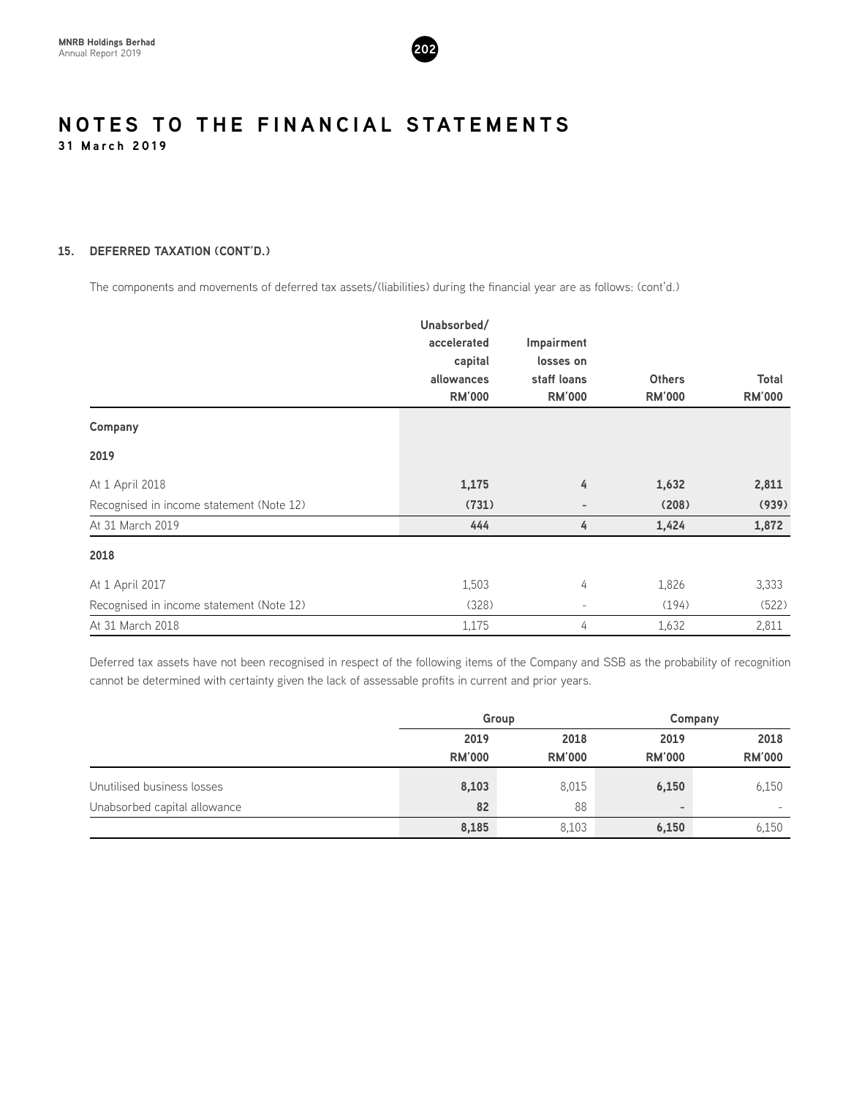

#### **15. DEFERRED TAXATION (CONT'D.)**

The components and movements of deferred tax assets/(liabilities) during the financial year are as follows: (cont'd.)

|                                          | Unabsorbed/   |                          |               |               |
|------------------------------------------|---------------|--------------------------|---------------|---------------|
|                                          | accelerated   | Impairment               |               |               |
|                                          | capital       | losses on                |               |               |
|                                          | allowances    | staff loans              | <b>Others</b> | Total         |
|                                          | <b>RM'000</b> | <b>RM'000</b>            | <b>RM'000</b> | <b>RM'000</b> |
| Company                                  |               |                          |               |               |
| 2019                                     |               |                          |               |               |
| At 1 April 2018                          | 1,175         | 4                        | 1,632         | 2,811         |
| Recognised in income statement (Note 12) | (731)         | $\overline{\phantom{a}}$ | (208)         | (939)         |
| At 31 March 2019                         | 444           | 4                        | 1,424         | 1,872         |
| 2018                                     |               |                          |               |               |
| At 1 April 2017                          | 1,503         | 4                        | 1,826         | 3,333         |
| Recognised in income statement (Note 12) | (328)         | $\overline{\phantom{a}}$ | (194)         | (522)         |
| At 31 March 2018                         | 1,175         | 4                        | 1,632         | 2,811         |

Deferred tax assets have not been recognised in respect of the following items of the Company and SSB as the probability of recognition cannot be determined with certainty given the lack of assessable profits in current and prior years.

|                              | Group         |               |                          | Company                  |
|------------------------------|---------------|---------------|--------------------------|--------------------------|
|                              | 2019          | 2018          | 2019                     | 2018                     |
|                              | <b>RM'000</b> | <b>RM'000</b> | <b>RM'000</b>            | <b>RM'000</b>            |
| Unutilised business losses   | 8,103         | 8,015         | 6,150                    | 6,150                    |
| Unabsorbed capital allowance | 82            | 88            | $\overline{\phantom{a}}$ | $\overline{\phantom{0}}$ |
|                              | 8,185         | 8,103         | 6,150                    | 6,150                    |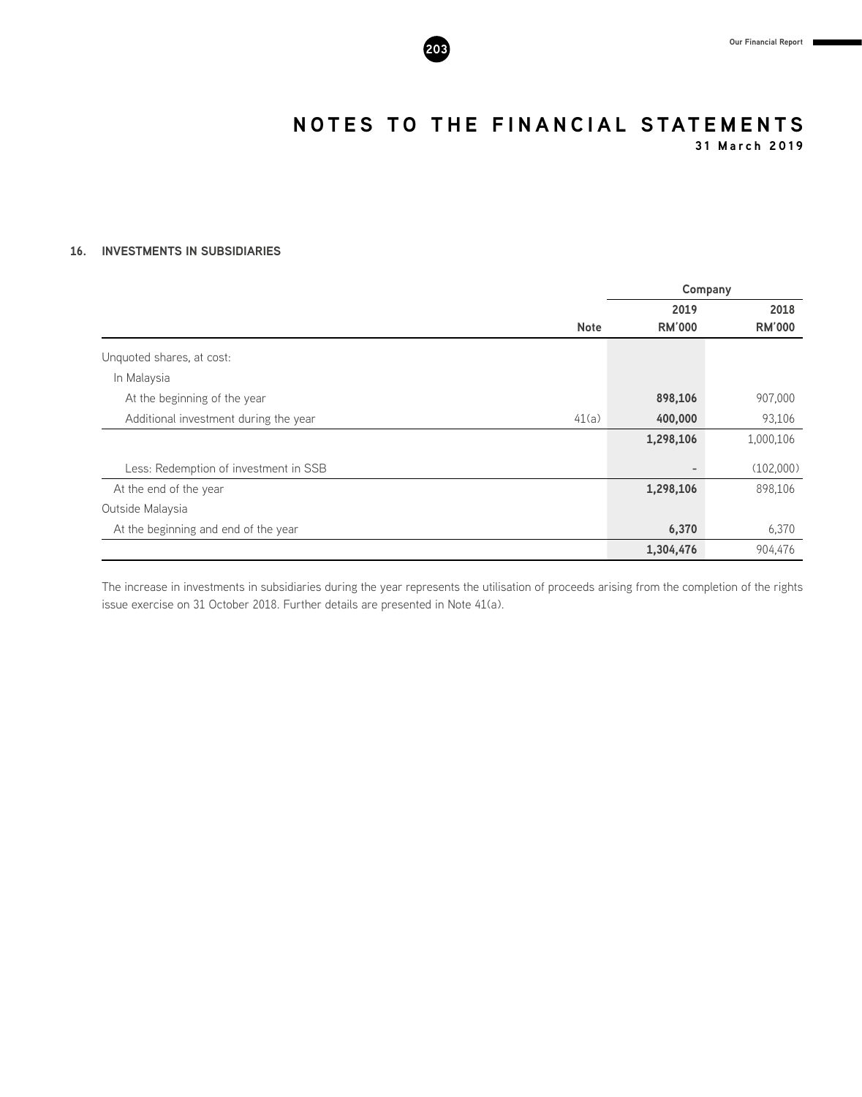

**31 March 2019**

#### **16. INVESTMENTS IN SUBSIDIARIES**

|                                                |               | Company       |
|------------------------------------------------|---------------|---------------|
|                                                | 2019          | 2018          |
| <b>Note</b>                                    | <b>RM'000</b> | <b>RM'000</b> |
| Unquoted shares, at cost:                      |               |               |
| In Malaysia                                    |               |               |
| At the beginning of the year                   | 898,106       | 907,000       |
| 41(a)<br>Additional investment during the year | 400,000       | 93,106        |
|                                                | 1,298,106     | 1,000,106     |
| Less: Redemption of investment in SSB          |               | (102,000)     |
| At the end of the year                         | 1,298,106     | 898,106       |
| Outside Malaysia                               |               |               |
| At the beginning and end of the year           | 6,370         | 6,370         |
|                                                | 1,304,476     | 904,476       |

The increase in investments in subsidiaries during the year represents the utilisation of proceeds arising from the completion of the rights issue exercise on 31 October 2018. Further details are presented in Note 41(a).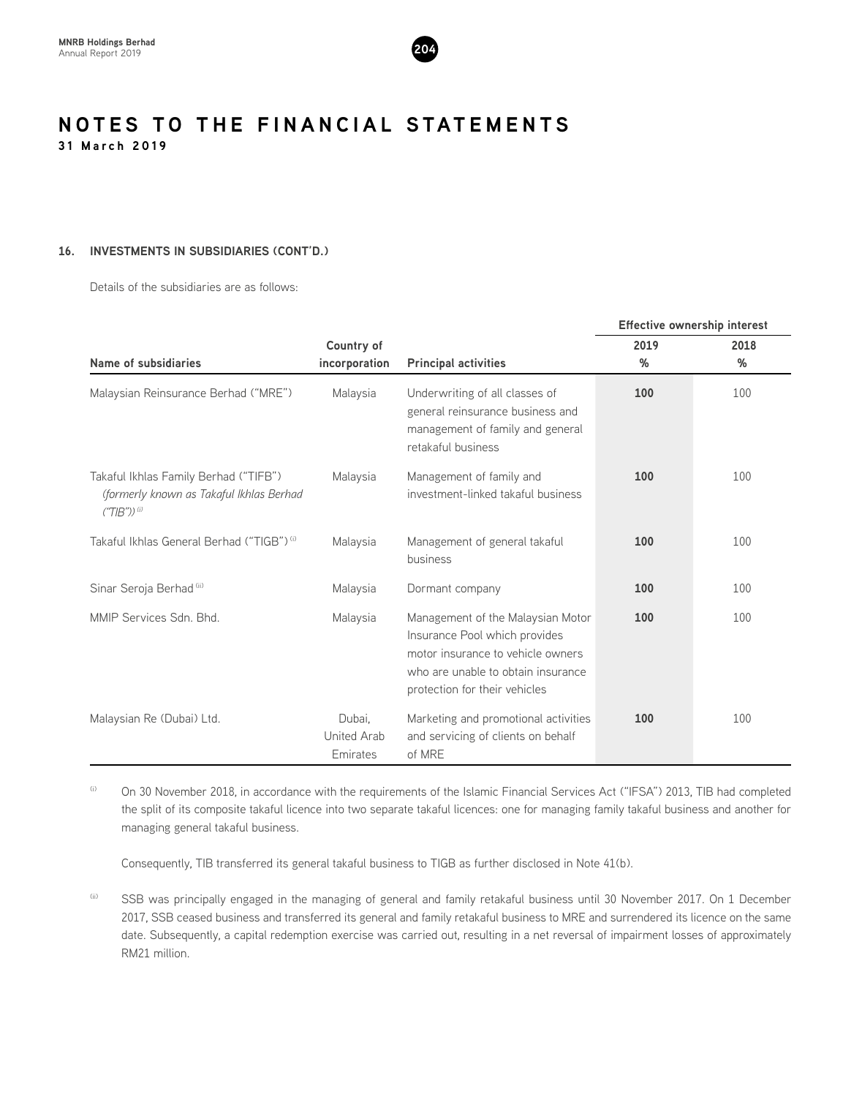

#### **16. INVESTMENTS IN SUBSIDIARIES (CONT'D.)**

Details of the subsidiaries are as follows:

|                                                                                                               |                                   |                                                                                                                                                                                |      | <b>Effective ownership interest</b> |
|---------------------------------------------------------------------------------------------------------------|-----------------------------------|--------------------------------------------------------------------------------------------------------------------------------------------------------------------------------|------|-------------------------------------|
|                                                                                                               | Country of                        |                                                                                                                                                                                | 2019 | 2018                                |
| Name of subsidiaries                                                                                          | incorporation                     | <b>Principal activities</b>                                                                                                                                                    | %    | %                                   |
| Malaysian Reinsurance Berhad ("MRE")                                                                          | Malaysia                          | Underwriting of all classes of<br>general reinsurance business and<br>management of family and general<br>retakaful business                                                   | 100  | 100                                 |
| Takaful Ikhlas Family Berhad ("TIFB")<br>(formerly known as Takaful Ikhlas Berhad<br>$("TIB")$ <sup>(i)</sup> | Malaysia                          | Management of family and<br>investment-linked takaful business                                                                                                                 | 100  | 100                                 |
| Takaful Ikhlas General Berhad ("TIGB") <sup>(i)</sup>                                                         | Malaysia                          | Management of general takaful<br>business                                                                                                                                      | 100  | 100                                 |
| Sinar Seroja Berhad (ii)                                                                                      | Malaysia                          | Dormant company                                                                                                                                                                | 100  | 100                                 |
| MMIP Services Sdn. Bhd.                                                                                       | Malaysia                          | Management of the Malaysian Motor<br>Insurance Pool which provides<br>motor insurance to vehicle owners<br>who are unable to obtain insurance<br>protection for their vehicles | 100  | 100                                 |
| Malaysian Re (Dubai) Ltd.                                                                                     | Dubai.<br>United Arab<br>Emirates | Marketing and promotional activities<br>and servicing of clients on behalf<br>of MRE                                                                                           | 100  | 100                                 |

(i) On 30 November 2018, in accordance with the requirements of the Islamic Financial Services Act ("IFSA") 2013, TIB had completed the split of its composite takaful licence into two separate takaful licences: one for managing family takaful business and another for managing general takaful business.

Consequently, TIB transferred its general takaful business to TIGB as further disclosed in Note 41(b).

(ii) SSB was principally engaged in the managing of general and family retakaful business until 30 November 2017. On 1 December 2017, SSB ceased business and transferred its general and family retakaful business to MRE and surrendered its licence on the same date. Subsequently, a capital redemption exercise was carried out, resulting in a net reversal of impairment losses of approximately RM21 million.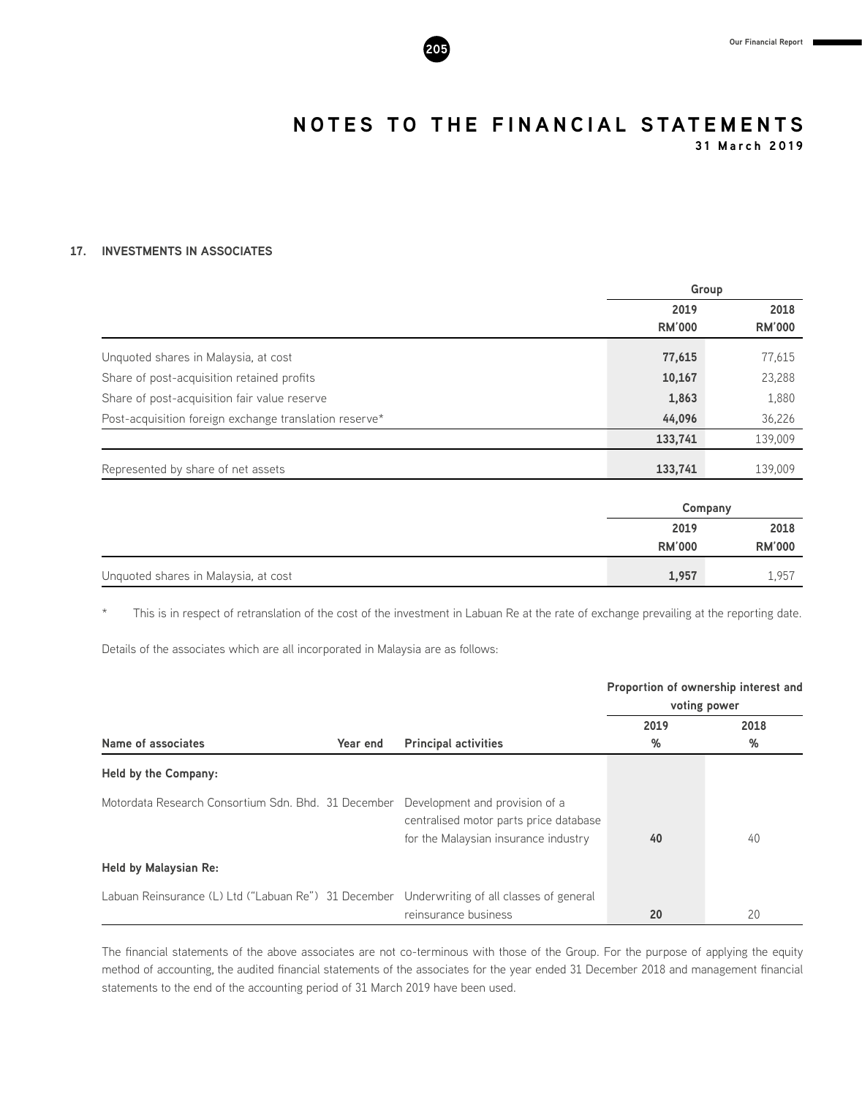

**31 March 2019**

#### **17. INVESTMENTS IN ASSOCIATES**

|                                                        | Group                 |                       |
|--------------------------------------------------------|-----------------------|-----------------------|
|                                                        | 2019<br><b>RM'000</b> | 2018<br><b>RM'000</b> |
| Unquoted shares in Malaysia, at cost                   | 77,615                | 77,615                |
| Share of post-acquisition retained profits             | 10,167                | 23,288                |
| Share of post-acquisition fair value reserve           | 1,863                 | 1,880                 |
| Post-acquisition foreign exchange translation reserve* | 44,096                | 36,226                |
|                                                        | 133,741               | 139,009               |
| Represented by share of net assets                     | 133,741               | 139,009               |

|                                      |               | Company       |
|--------------------------------------|---------------|---------------|
|                                      | 2019          | 2018          |
|                                      | <b>RM'000</b> | <b>RM'000</b> |
| Unquoted shares in Malaysia, at cost | 1,957         | 1,957         |

\* This is in respect of retranslation of the cost of the investment in Labuan Re at the rate of exchange prevailing at the reporting date.

Details of the associates which are all incorporated in Malaysia are as follows:

|                                                      |                                                                                                                  |           | Proportion of ownership interest and<br>voting power |
|------------------------------------------------------|------------------------------------------------------------------------------------------------------------------|-----------|------------------------------------------------------|
| Name of associates<br>Year end                       | <b>Principal activities</b>                                                                                      | 2019<br>% | 2018<br>%                                            |
| Held by the Company:                                 |                                                                                                                  |           |                                                      |
| Motordata Research Consortium Sdn. Bhd. 31 December  | Development and provision of a<br>centralised motor parts price database<br>for the Malaysian insurance industry | 40        | 40                                                   |
| <b>Held by Malaysian Re:</b>                         |                                                                                                                  |           |                                                      |
| Labuan Reinsurance (L) Ltd ("Labuan Re") 31 December | Underwriting of all classes of general<br>reinsurance business                                                   | 20        | 20                                                   |

The financial statements of the above associates are not co-terminous with those of the Group. For the purpose of applying the equity method of accounting, the audited financial statements of the associates for the year ended 31 December 2018 and management financial statements to the end of the accounting period of 31 March 2019 have been used.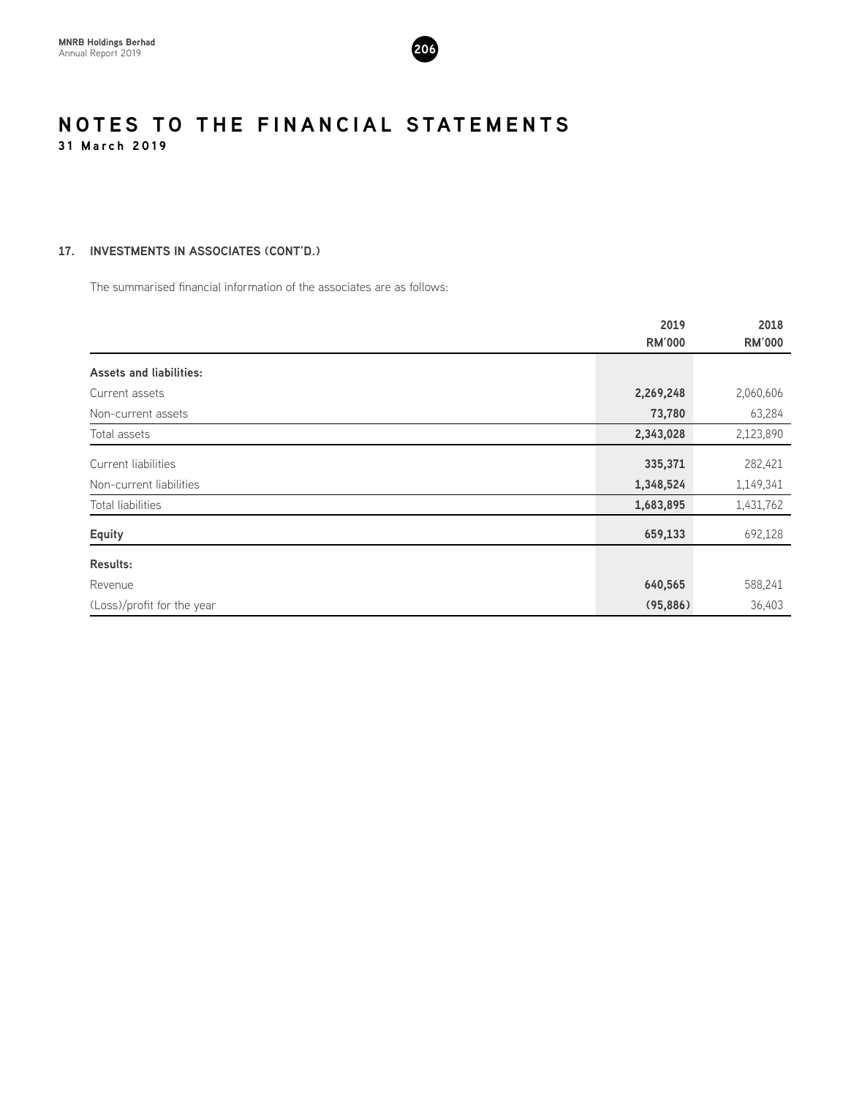

#### **17. INVESTMENTS IN ASSOCIATES (CONT'D.)**

The summarised financial information of the associates are as follows:

|                                | 2019<br><b>RM'000</b> | 2018<br><b>RM'000</b> |
|--------------------------------|-----------------------|-----------------------|
|                                |                       |                       |
| <b>Assets and liabilities:</b> |                       |                       |
| Current assets                 | 2,269,248             | 2,060,606             |
| Non-current assets             | 73,780                | 63,284                |
| Total assets                   | 2,343,028             | 2,123,890             |
| Current liabilities            | 335,371               | 282,421               |
| Non-current liabilities        | 1,348,524             | 1,149,341             |
| Total liabilities              | 1,683,895             | 1,431,762             |
| <b>Equity</b>                  | 659,133               | 692,128               |
| <b>Results:</b>                |                       |                       |
| Revenue                        | 640,565               | 588,241               |
| (Loss)/profit for the year     | (95, 886)             | 36,403                |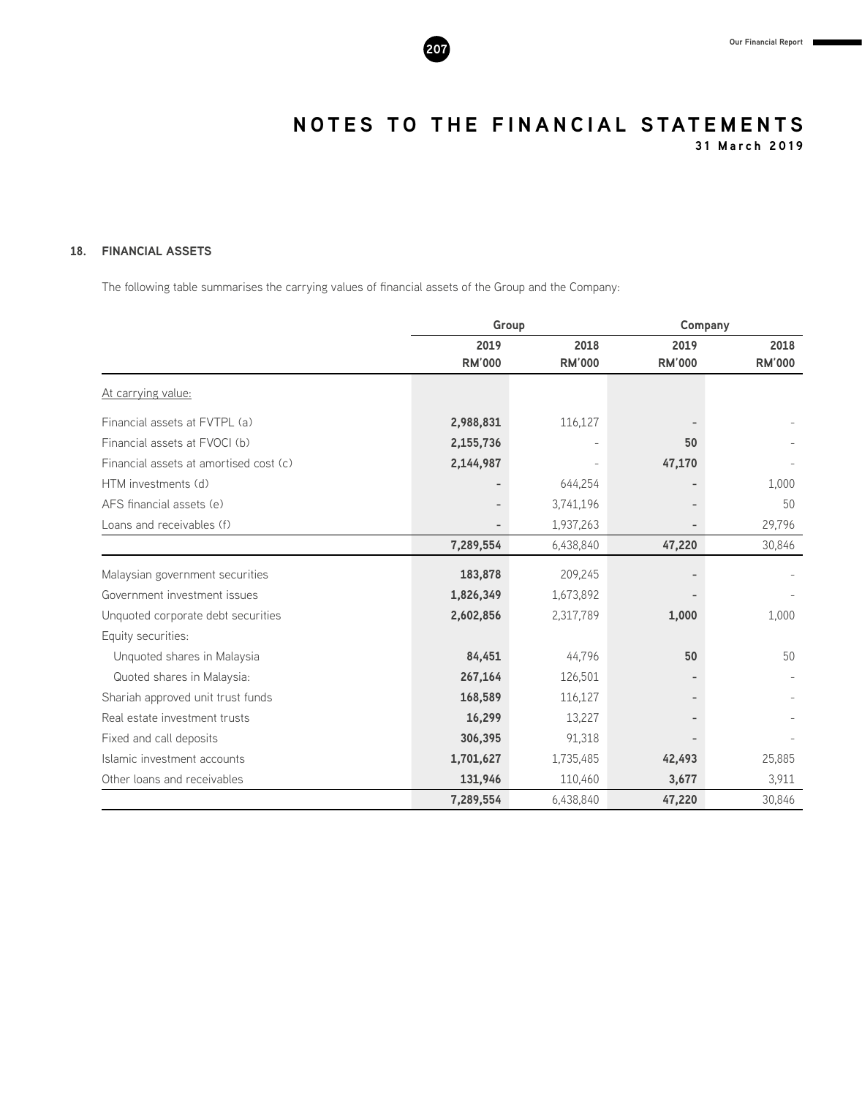

**31 March 2019**

#### **18. FINANCIAL ASSETS**

The following table summarises the carrying values of financial assets of the Group and the Company:

|                                        | Group         |               |               | Company       |
|----------------------------------------|---------------|---------------|---------------|---------------|
|                                        | 2019          | 2018          | 2019          | 2018          |
|                                        | <b>RM'000</b> | <b>RM'000</b> | <b>RM'000</b> | <b>RM'000</b> |
| At carrying value:                     |               |               |               |               |
| Financial assets at FVTPL (a)          | 2,988,831     | 116,127       |               |               |
| Financial assets at FVOCI (b)          | 2,155,736     |               | 50            |               |
| Financial assets at amortised cost (c) | 2,144,987     |               | 47,170        |               |
| HTM investments (d)                    |               | 644,254       |               | 1,000         |
| AFS financial assets (e)               |               | 3,741,196     |               | 50            |
| Loans and receivables (f)              |               | 1,937,263     |               | 29,796        |
|                                        | 7,289,554     | 6,438,840     | 47,220        | 30,846        |
| Malaysian government securities        | 183,878       | 209,245       |               |               |
| Government investment issues           | 1,826,349     | 1,673,892     |               |               |
| Unquoted corporate debt securities     | 2,602,856     | 2,317,789     | 1,000         | 1,000         |
| Equity securities:                     |               |               |               |               |
| Unquoted shares in Malaysia            | 84,451        | 44,796        | 50            | 50            |
| Quoted shares in Malaysia:             | 267,164       | 126,501       |               |               |
| Shariah approved unit trust funds      | 168,589       | 116,127       |               |               |
| Real estate investment trusts          | 16,299        | 13,227        |               |               |
| Fixed and call deposits                | 306,395       | 91,318        |               |               |
| Islamic investment accounts            | 1,701,627     | 1,735,485     | 42,493        | 25,885        |
| Other loans and receivables            | 131,946       | 110,460       | 3,677         | 3,911         |
|                                        | 7,289,554     | 6,438,840     | 47,220        | 30,846        |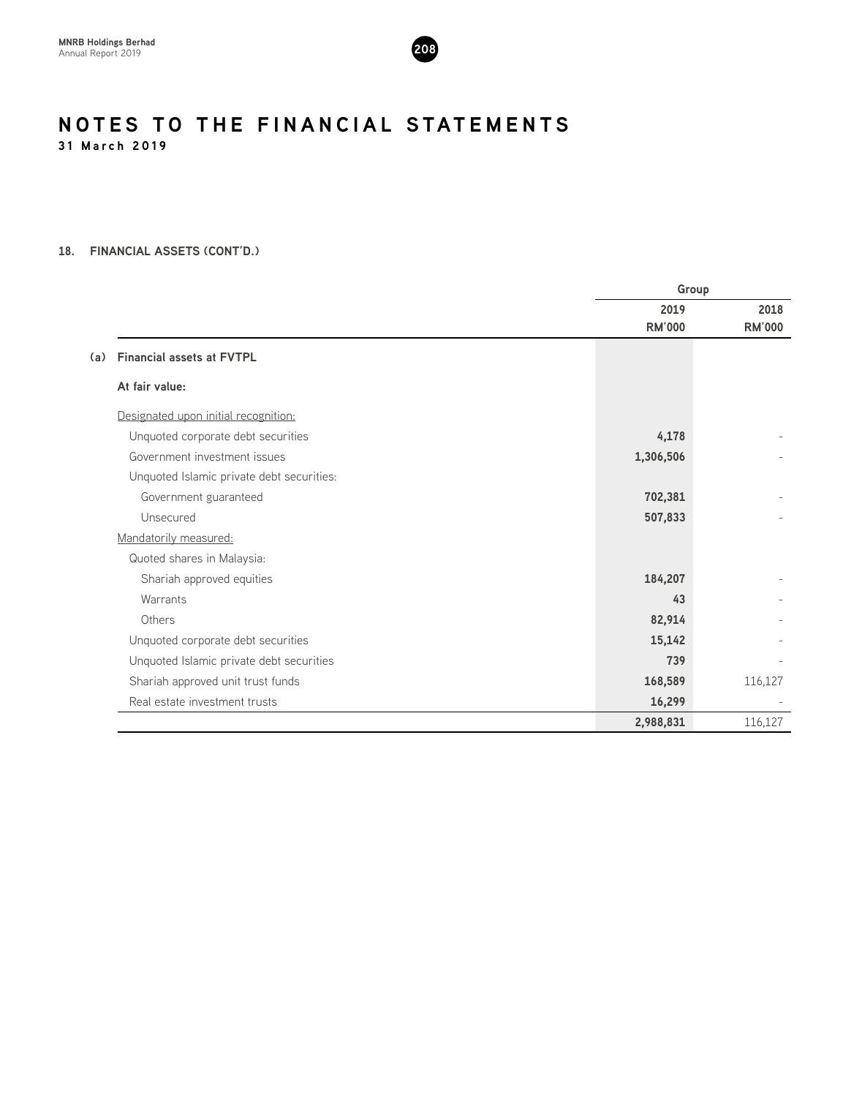

#### **18. FINANCIAL ASSETS (CONT'D.)**

|                                           |               | Group         |
|-------------------------------------------|---------------|---------------|
|                                           | 2019          | 2018          |
|                                           | <b>RM'000</b> | <b>RM'000</b> |
| <b>Financial assets at FVTPL</b><br>(a)   |               |               |
| At fair value:                            |               |               |
| Designated upon initial recognition:      |               |               |
| Unquoted corporate debt securities        | 4,178         |               |
| Government investment issues              | 1,306,506     |               |
| Unquoted Islamic private debt securities: |               |               |
| Government guaranteed                     | 702,381       |               |
| Unsecured                                 | 507,833       |               |
| Mandatorily measured:                     |               |               |
| Quoted shares in Malaysia:                |               |               |
| Shariah approved equities                 | 184,207       |               |
| Warrants                                  | 43            |               |
| Others                                    | 82,914        |               |
| Unquoted corporate debt securities        | 15,142        |               |
| Unquoted Islamic private debt securities  | 739           |               |
| Shariah approved unit trust funds         | 168,589       | 116,127       |
| Real estate investment trusts             | 16,299        |               |
|                                           | 2,988,831     | 116,127       |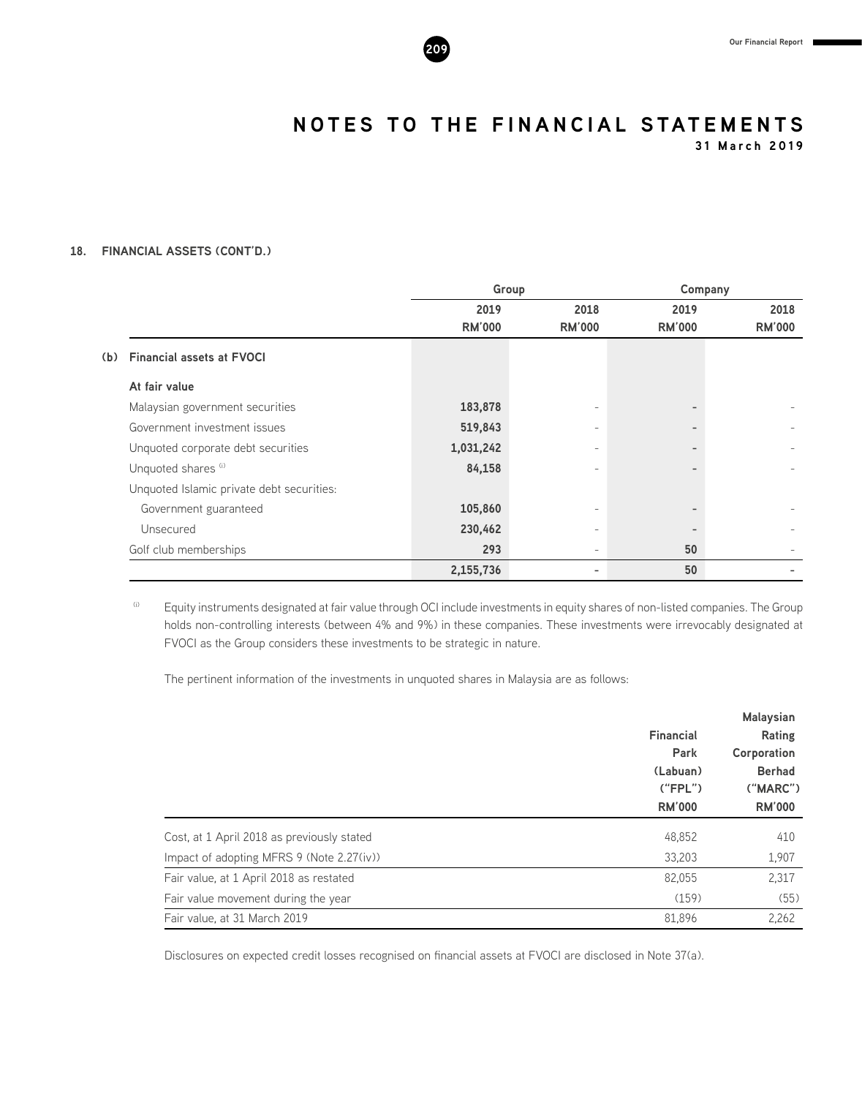

**31 March 2019**

#### **18. FINANCIAL ASSETS (CONT'D.)**

|     |                                           |               | Group                    |                          | Company       |
|-----|-------------------------------------------|---------------|--------------------------|--------------------------|---------------|
|     |                                           | 2019          | 2018                     | 2019                     | 2018          |
|     |                                           | <b>RM'000</b> | <b>RM'000</b>            | <b>RM'000</b>            | <b>RM'000</b> |
| (b) | <b>Financial assets at FVOCI</b>          |               |                          |                          |               |
|     | At fair value                             |               |                          |                          |               |
|     | Malaysian government securities           | 183,878       |                          | $\overline{\phantom{0}}$ |               |
|     | Government investment issues              | 519,843       | $\overline{\phantom{0}}$ | -                        |               |
|     | Unquoted corporate debt securities        | 1,031,242     |                          |                          |               |
|     | Unquoted shares (i)                       | 84,158        |                          |                          |               |
|     | Unquoted Islamic private debt securities: |               |                          |                          |               |
|     | Government guaranteed                     | 105,860       |                          |                          |               |
|     | Unsecured                                 | 230,462       | $\overline{\phantom{0}}$ |                          |               |
|     | Golf club memberships                     | 293           |                          | 50                       |               |
|     |                                           | 2,155,736     |                          | 50                       |               |

(i) Equity instruments designated at fair value through OCI include investments in equity shares of non-listed companies. The Group holds non-controlling interests (between 4% and 9%) in these companies. These investments were irrevocably designated at FVOCI as the Group considers these investments to be strategic in nature.

The pertinent information of the investments in unquoted shares in Malaysia are as follows:

|                                            | <b>Financial</b><br>Park<br>(Labuan)<br>("FPL")<br><b>RM'000</b> | <b>Malaysian</b><br>Rating<br>Corporation<br><b>Berhad</b><br>("MARC")<br><b>RM'000</b> |
|--------------------------------------------|------------------------------------------------------------------|-----------------------------------------------------------------------------------------|
| Cost, at 1 April 2018 as previously stated | 48,852                                                           | 410                                                                                     |
| Impact of adopting MFRS 9 (Note 2.27(iv))  | 33,203                                                           | 1,907                                                                                   |
| Fair value, at 1 April 2018 as restated    | 82,055                                                           | 2,317                                                                                   |
| Fair value movement during the year        | (159)                                                            | (55)                                                                                    |
| Fair value, at 31 March 2019               | 81.896                                                           | 2.262                                                                                   |

Disclosures on expected credit losses recognised on financial assets at FVOCI are disclosed in Note 37(a).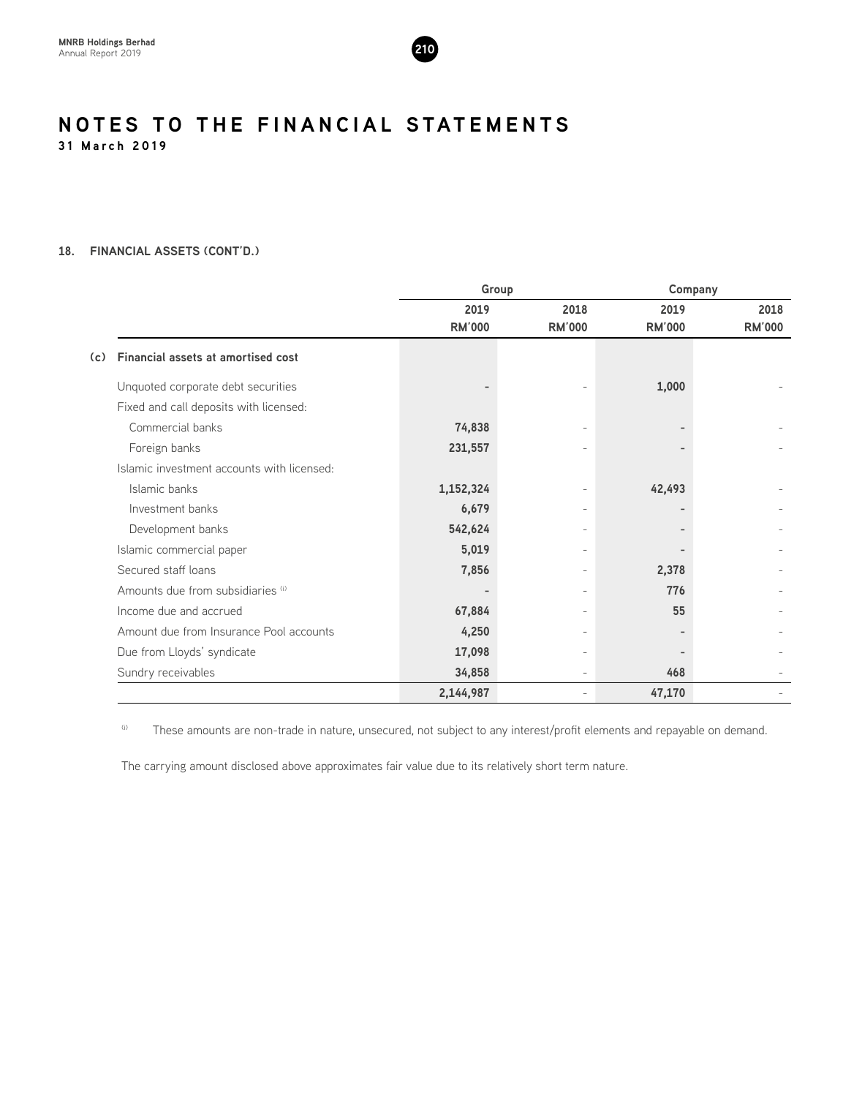

#### **18. FINANCIAL ASSETS (CONT'D.)**

|                                                  |               | Group                    |               | Company       |  |  |
|--------------------------------------------------|---------------|--------------------------|---------------|---------------|--|--|
|                                                  | 2019          | 2018                     | 2019          | 2018          |  |  |
|                                                  | <b>RM'000</b> | <b>RM'000</b>            | <b>RM'000</b> | <b>RM'000</b> |  |  |
| <b>Financial assets at amortised cost</b><br>(c) |               |                          |               |               |  |  |
| Unquoted corporate debt securities               |               |                          | 1,000         |               |  |  |
| Fixed and call deposits with licensed:           |               |                          |               |               |  |  |
| Commercial banks                                 | 74,838        |                          |               |               |  |  |
| Foreign banks                                    | 231,557       |                          |               |               |  |  |
| Islamic investment accounts with licensed:       |               |                          |               |               |  |  |
| Islamic banks                                    | 1,152,324     |                          | 42,493        |               |  |  |
| Investment banks                                 | 6,679         | $\overline{\phantom{a}}$ |               |               |  |  |
| Development banks                                | 542,624       |                          |               |               |  |  |
| Islamic commercial paper                         | 5,019         |                          |               |               |  |  |
| Secured staff loans                              | 7,856         |                          | 2,378         |               |  |  |
| Amounts due from subsidiaries (i)                |               |                          | 776           |               |  |  |
| Income due and accrued                           | 67,884        | $\overline{\phantom{a}}$ | 55            |               |  |  |
| Amount due from Insurance Pool accounts          | 4,250         | $\overline{\phantom{a}}$ |               |               |  |  |
| Due from Lloyds' syndicate                       | 17,098        |                          |               |               |  |  |
| Sundry receivables                               | 34,858        | $\overline{\phantom{a}}$ | 468           |               |  |  |
|                                                  | 2,144,987     |                          | 47,170        |               |  |  |

(i) These amounts are non-trade in nature, unsecured, not subject to any interest/profit elements and repayable on demand.

The carrying amount disclosed above approximates fair value due to its relatively short term nature.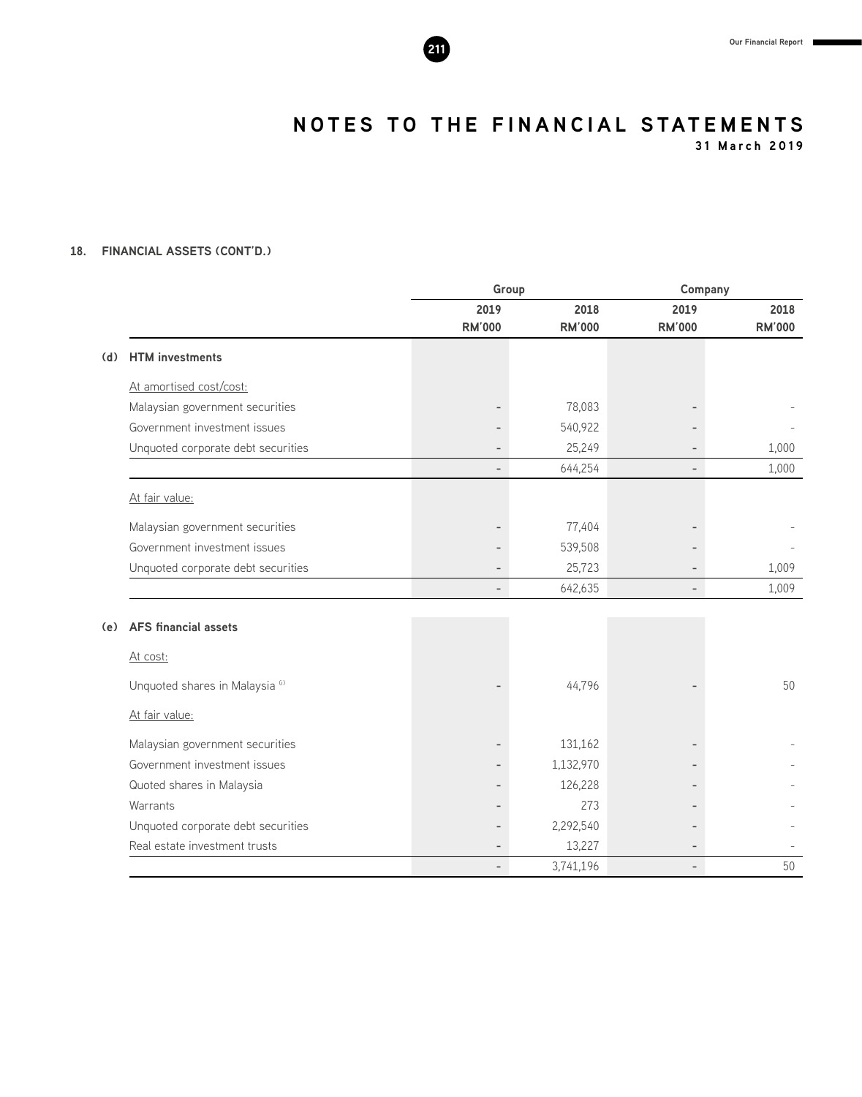**31 March 2019**

#### **18. FINANCIAL ASSETS (CONT'D.)**

|     |                                    | Group                    |               |                          | Company       |  |
|-----|------------------------------------|--------------------------|---------------|--------------------------|---------------|--|
|     |                                    | 2019                     | 2018          | 2019                     | 2018          |  |
|     |                                    | <b>RM'000</b>            | <b>RM'000</b> | <b>RM'000</b>            | <b>RM'000</b> |  |
| (d) | <b>HTM</b> investments             |                          |               |                          |               |  |
|     | At amortised cost/cost:            |                          |               |                          |               |  |
|     | Malaysian government securities    | $\qquad \qquad -$        | 78,083        |                          |               |  |
|     | Government investment issues       |                          | 540,922       |                          |               |  |
|     | Unquoted corporate debt securities | $\overline{\phantom{0}}$ | 25,249        |                          | 1,000         |  |
|     |                                    | $\overline{\phantom{0}}$ | 644,254       | $\overline{\phantom{a}}$ | 1,000         |  |
|     | At fair value:                     |                          |               |                          |               |  |
|     | Malaysian government securities    |                          | 77,404        |                          |               |  |
|     | Government investment issues       |                          | 539,508       |                          |               |  |
|     | Unquoted corporate debt securities | $\overline{\phantom{0}}$ | 25,723        |                          | 1,009         |  |
|     |                                    | $\overline{\phantom{0}}$ | 642,635       | $\overline{\phantom{0}}$ | 1,009         |  |
| (e) | <b>AFS</b> financial assets        |                          |               |                          |               |  |
|     |                                    |                          |               |                          |               |  |
|     | At cost:                           |                          |               |                          |               |  |
|     | Unquoted shares in Malaysia (i)    |                          | 44,796        |                          | 50            |  |
|     | At fair value:                     |                          |               |                          |               |  |
|     | Malaysian government securities    |                          | 131,162       |                          |               |  |
|     | Government investment issues       |                          | 1,132,970     |                          |               |  |
|     | Quoted shares in Malaysia          | $\overline{\phantom{0}}$ | 126,228       |                          |               |  |
|     | Warrants                           | -                        | 273           |                          |               |  |
|     | Unquoted corporate debt securities |                          | 2,292,540     |                          |               |  |
|     | Real estate investment trusts      | $\overline{\phantom{0}}$ | 13,227        |                          |               |  |
|     |                                    | $\overline{a}$           | 3,741,196     | $\overline{\phantom{0}}$ | 50            |  |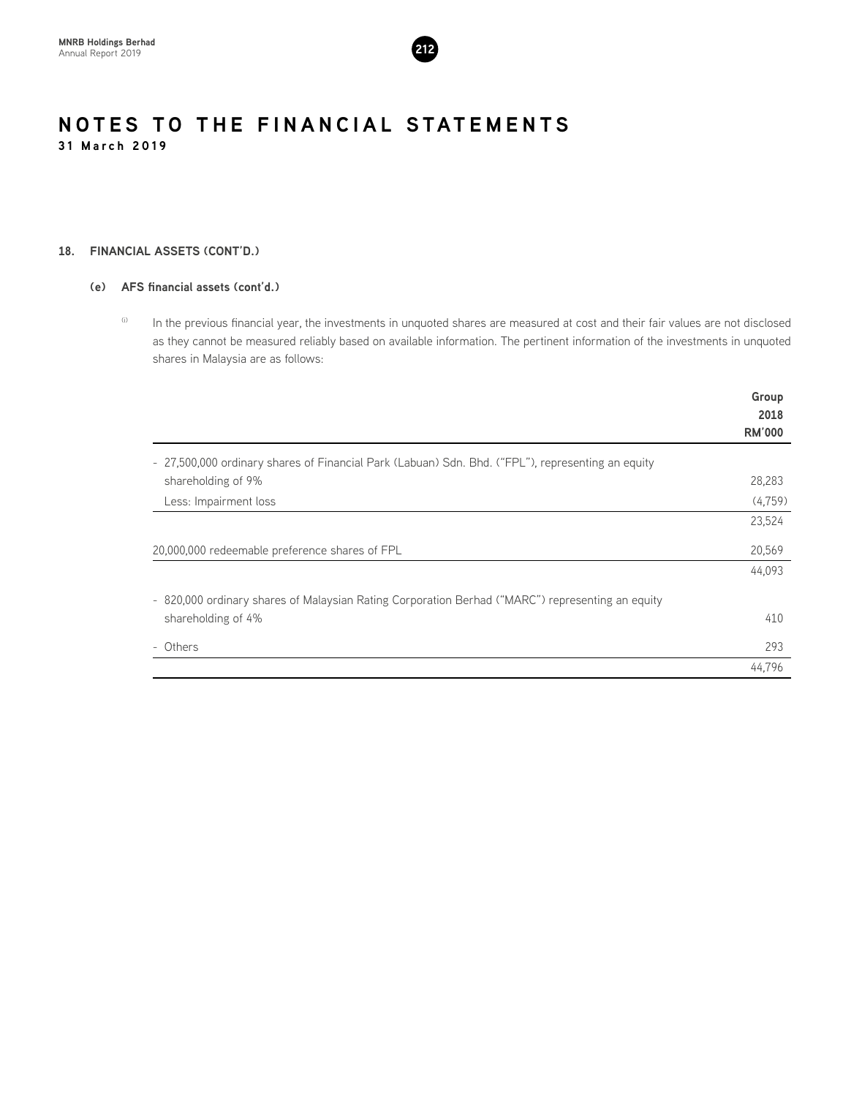

#### **18. FINANCIAL ASSETS (CONT'D.)**

#### **(e) AFS financial assets (cont'd.)**

(i) In the previous financial year, the investments in unquoted shares are measured at cost and their fair values are not disclosed as they cannot be measured reliably based on available information. The pertinent information of the investments in unquoted shares in Malaysia are as follows:

|                                                                                                   | Group         |
|---------------------------------------------------------------------------------------------------|---------------|
|                                                                                                   | 2018          |
|                                                                                                   | <b>RM'000</b> |
| - 27,500,000 ordinary shares of Financial Park (Labuan) Sdn. Bhd. ("FPL"), representing an equity |               |
| shareholding of 9%                                                                                | 28,283        |
| Less: Impairment loss                                                                             | (4, 759)      |
|                                                                                                   | 23,524        |
| 20,000,000 redeemable preference shares of FPL                                                    | 20,569        |
|                                                                                                   | 44,093        |
| - 820,000 ordinary shares of Malaysian Rating Corporation Berhad ("MARC") representing an equity  |               |
| shareholding of 4%                                                                                | 410           |
| - Others                                                                                          | 293           |
|                                                                                                   | 44,796        |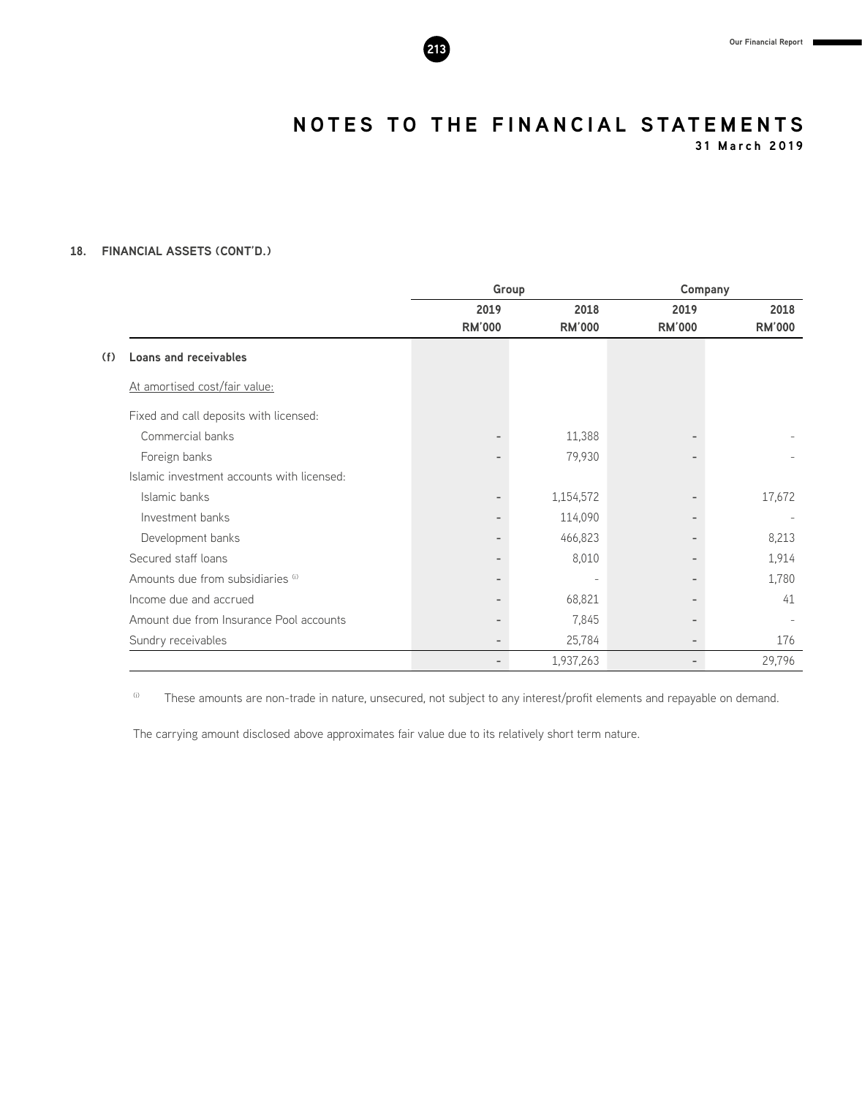**31 March 2019**

#### **18. FINANCIAL ASSETS (CONT'D.)**

|                                            |                          | Group         |                          | Company       |  |  |
|--------------------------------------------|--------------------------|---------------|--------------------------|---------------|--|--|
|                                            | 2019                     | 2018          | 2019                     | 2018          |  |  |
|                                            | <b>RM'000</b>            | <b>RM'000</b> | <b>RM'000</b>            | <b>RM'000</b> |  |  |
| <b>Loans and receivables</b><br>(f)        |                          |               |                          |               |  |  |
| At amortised cost/fair value:              |                          |               |                          |               |  |  |
| Fixed and call deposits with licensed:     |                          |               |                          |               |  |  |
| Commercial banks                           | -                        | 11,388        |                          |               |  |  |
| Foreign banks                              | $\overline{\phantom{0}}$ | 79,930        |                          |               |  |  |
| Islamic investment accounts with licensed: |                          |               |                          |               |  |  |
| Islamic banks                              | $\overline{\phantom{a}}$ | 1,154,572     |                          | 17,672        |  |  |
| Investment banks                           | $\overline{\phantom{a}}$ | 114,090       | $\overline{\phantom{0}}$ |               |  |  |
| Development banks                          | $\overline{\phantom{a}}$ | 466,823       |                          | 8,213         |  |  |
| Secured staff loans                        | -                        | 8,010         |                          | 1,914         |  |  |
| Amounts due from subsidiaries (i)          | $\overline{\phantom{a}}$ |               |                          | 1,780         |  |  |
| Income due and accrued                     | -                        | 68,821        |                          | 41            |  |  |
| Amount due from Insurance Pool accounts    | -                        | 7,845         |                          |               |  |  |
| Sundry receivables                         | -                        | 25,784        |                          | 176           |  |  |
|                                            | $\overline{\phantom{a}}$ | 1,937,263     | -                        | 29,796        |  |  |

(i) These amounts are non-trade in nature, unsecured, not subject to any interest/profit elements and repayable on demand.

The carrying amount disclosed above approximates fair value due to its relatively short term nature.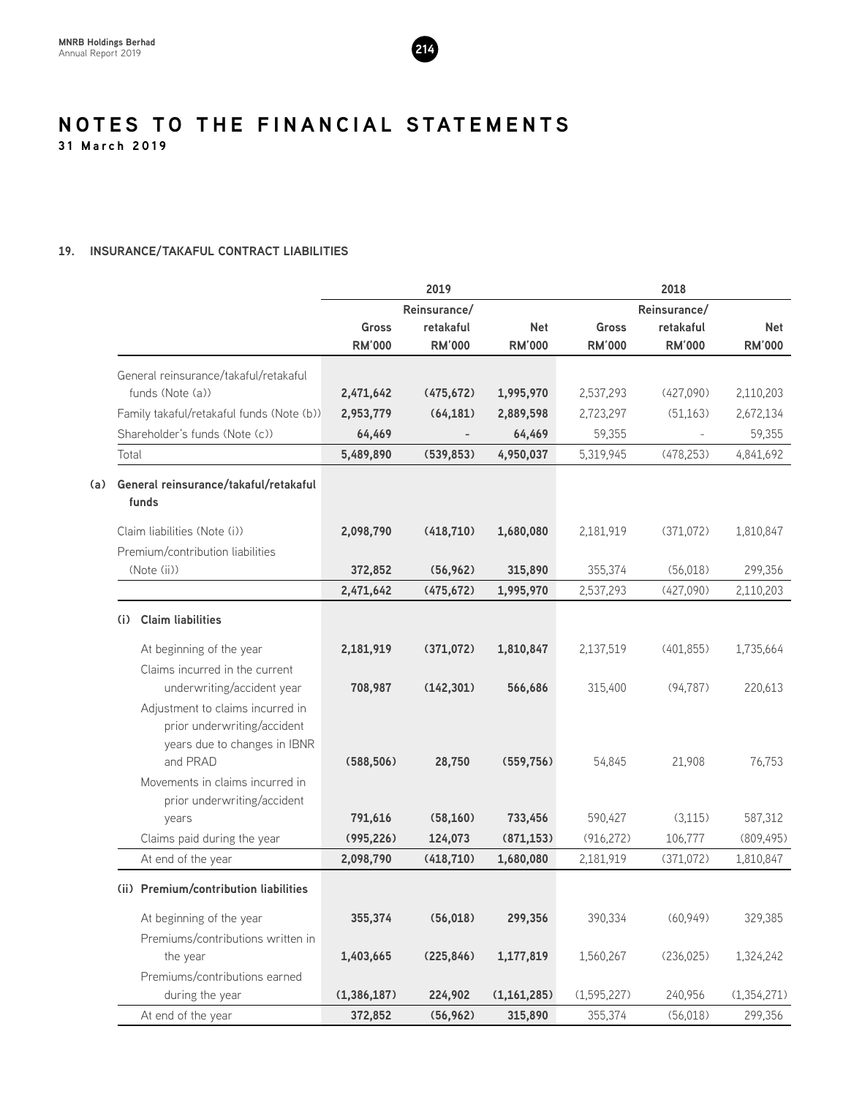

### **19. INSURANCE/TAKAFUL CONTRACT LIABILITIES**

|                                                                                                 |               | 2019          |               |               | 2018                     |               |  |  |
|-------------------------------------------------------------------------------------------------|---------------|---------------|---------------|---------------|--------------------------|---------------|--|--|
|                                                                                                 |               | Reinsurance/  |               |               | Reinsurance/             |               |  |  |
|                                                                                                 | Gross         | retakaful     | <b>Net</b>    | <b>Gross</b>  | retakaful                | <b>Net</b>    |  |  |
|                                                                                                 | <b>RM'000</b> | <b>RM'000</b> | <b>RM'000</b> | <b>RM'000</b> | <b>RM'000</b>            | <b>RM'000</b> |  |  |
| General reinsurance/takaful/retakaful                                                           |               |               |               |               |                          |               |  |  |
| funds (Note (a))                                                                                | 2,471,642     | (475, 672)    | 1,995,970     | 2,537,293     | (427,090)                | 2,110,203     |  |  |
| Family takaful/retakaful funds (Note (b))                                                       | 2,953,779     | (64, 181)     | 2,889,598     | 2,723,297     | (51, 163)                | 2,672,134     |  |  |
| Shareholder's funds (Note (c))                                                                  | 64,469        |               | 64,469        | 59,355        | $\overline{\phantom{a}}$ | 59,355        |  |  |
| Total                                                                                           | 5,489,890     | (539, 853)    | 4,950,037     | 5,319,945     | (478, 253)               | 4,841,692     |  |  |
| General reinsurance/takaful/retakaful<br>(a)<br>funds                                           |               |               |               |               |                          |               |  |  |
| Claim liabilities (Note (i))                                                                    | 2,098,790     | (418, 710)    | 1,680,080     | 2,181,919     | (371,072)                | 1,810,847     |  |  |
| Premium/contribution liabilities                                                                |               |               |               |               |                          |               |  |  |
| (Note (ii))                                                                                     | 372,852       | (56, 962)     | 315,890       | 355,374       | (56,018)                 | 299,356       |  |  |
|                                                                                                 | 2,471,642     | (475, 672)    | 1,995,970     | 2,537,293     | (427,090)                | 2,110,203     |  |  |
| <b>Claim liabilities</b><br>(i)                                                                 |               |               |               |               |                          |               |  |  |
| At beginning of the year                                                                        | 2,181,919     | (371,072)     | 1,810,847     | 2,137,519     | (401, 855)               | 1,735,664     |  |  |
| Claims incurred in the current                                                                  |               |               |               |               |                          |               |  |  |
| underwriting/accident year                                                                      | 708,987       | (142, 301)    | 566,686       | 315,400       | (94, 787)                | 220,613       |  |  |
| Adjustment to claims incurred in<br>prior underwriting/accident<br>years due to changes in IBNR |               |               |               |               |                          |               |  |  |
| and PRAD                                                                                        | (588, 506)    | 28,750        | (559, 756)    | 54,845        | 21,908                   | 76,753        |  |  |
| Movements in claims incurred in                                                                 |               |               |               |               |                          |               |  |  |
| prior underwriting/accident                                                                     |               |               |               |               |                          |               |  |  |
| years                                                                                           | 791,616       | (58, 160)     | 733,456       | 590,427       | (3, 115)                 | 587,312       |  |  |
| Claims paid during the year                                                                     | (995, 226)    | 124,073       | (871, 153)    | (916, 272)    | 106,777                  | (809, 495)    |  |  |
| At end of the year                                                                              | 2,098,790     | (418, 710)    | 1,680,080     | 2,181,919     | (371,072)                | 1,810,847     |  |  |
| (ii) Premium/contribution liabilities                                                           |               |               |               |               |                          |               |  |  |
| At beginning of the year                                                                        | 355,374       | (56, 018)     | 299,356       | 390,334       | (60, 949)                | 329,385       |  |  |
| Premiums/contributions written in                                                               |               |               |               |               |                          |               |  |  |
| the year                                                                                        | 1,403,665     | (225, 846)    | 1,177,819     | 1,560,267     | (236, 025)               | 1,324,242     |  |  |
| Premiums/contributions earned                                                                   |               |               |               |               |                          |               |  |  |
| during the year                                                                                 | (1, 386, 187) | 224,902       | (1, 161, 285) | (1,595,227)   | 240,956                  | (1, 354, 271) |  |  |
| At end of the year                                                                              | 372,852       | (56, 962)     | 315,890       | 355,374       | (56, 018)                | 299,356       |  |  |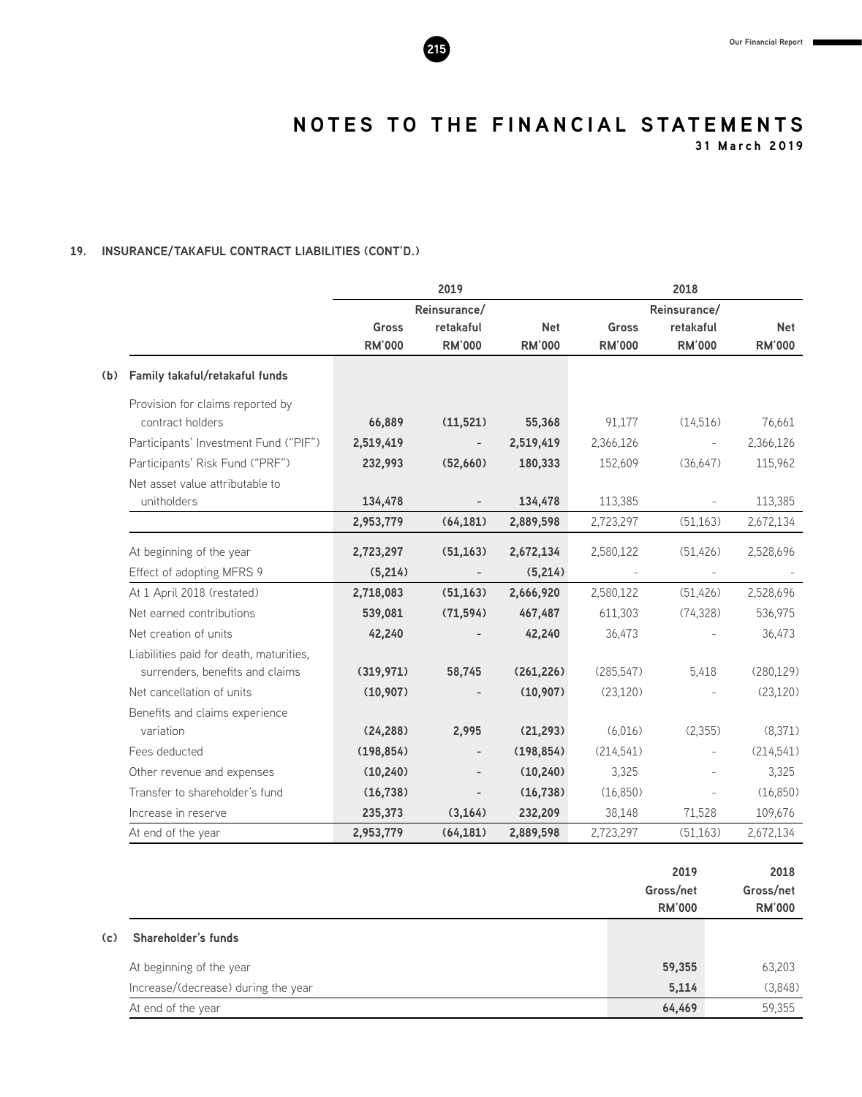**31 March 2019**

# **19. INSURANCE/TAKAFUL CONTRACT LIABILITIES (CONT'D.)**

|     |                                         |                               | 2019                       |                             |                               | 2018                       |                             |
|-----|-----------------------------------------|-------------------------------|----------------------------|-----------------------------|-------------------------------|----------------------------|-----------------------------|
|     |                                         |                               | Reinsurance/               |                             | Reinsurance/                  |                            |                             |
|     |                                         | <b>Gross</b><br><b>RM'000</b> | retakaful<br><b>RM'000</b> | <b>Net</b><br><b>RM'000</b> | <b>Gross</b><br><b>RM'000</b> | retakaful<br><b>RM'000</b> | <b>Net</b><br><b>RM'000</b> |
| (b) | Family takaful/retakaful funds          |                               |                            |                             |                               |                            |                             |
|     | Provision for claims reported by        |                               |                            |                             |                               |                            |                             |
|     | contract holders                        | 66,889                        | (11, 521)                  | 55,368                      | 91,177                        | (14,516)                   | 76,661                      |
|     | Participants' Investment Fund ("PIF")   | 2,519,419                     | $\overline{\phantom{a}}$   | 2,519,419                   | 2,366,126                     | $\bar{\phantom{a}}$        | 2,366,126                   |
|     | Participants' Risk Fund ("PRF")         | 232,993                       | (52,660)                   | 180,333                     | 152,609                       | (36, 647)                  | 115,962                     |
|     | Net asset value attributable to         |                               |                            |                             |                               |                            |                             |
|     | unitholders                             | 134,478                       | $\overline{\phantom{a}}$   | 134,478                     | 113,385                       | $\overline{\phantom{a}}$   | 113,385                     |
|     |                                         | 2,953,779                     | (64, 181)                  | 2,889,598                   | 2,723,297                     | (51, 163)                  | 2,672,134                   |
|     | At beginning of the year                | 2,723,297                     | (51, 163)                  | 2,672,134                   | 2,580,122                     | (51, 426)                  | 2,528,696                   |
|     | Effect of adopting MFRS 9               | (5,214)                       |                            | (5,214)                     |                               |                            |                             |
|     | At 1 April 2018 (restated)              | 2,718,083                     | (51, 163)                  | 2,666,920                   | 2,580,122                     | (51, 426)                  | 2,528,696                   |
|     | Net earned contributions                | 539,081                       | (71, 594)                  | 467,487                     | 611,303                       | (74, 328)                  | 536,975                     |
|     | Net creation of units                   | 42,240                        |                            | 42,240                      | 36,473                        |                            | 36,473                      |
|     | Liabilities paid for death, maturities, |                               |                            |                             |                               |                            |                             |
|     | surrenders, benefits and claims         | (319, 971)                    | 58,745                     | (261, 226)                  | (285, 547)                    | 5,418                      | (280, 129)                  |
|     | Net cancellation of units               | (10, 907)                     |                            | (10, 907)                   | (23, 120)                     |                            | (23, 120)                   |
|     | Benefits and claims experience          |                               |                            |                             |                               |                            |                             |
|     | variation                               | (24, 288)                     | 2,995                      | (21, 293)                   | (6,016)                       | (2,355)                    | (8,371)                     |
|     | Fees deducted                           | (198, 854)                    | $\overline{\phantom{a}}$   | (198, 854)                  | (214,541)                     | $\overline{\phantom{a}}$   | (214, 541)                  |
|     | Other revenue and expenses              | (10, 240)                     |                            | (10, 240)                   | 3,325                         |                            | 3,325                       |
|     | Transfer to shareholder's fund          | (16, 738)                     |                            | (16, 738)                   | (16,850)                      | $\overline{\phantom{a}}$   | (16,850)                    |
|     | Increase in reserve                     | 235,373                       | (3, 164)                   | 232,209                     | 38,148                        | 71,528                     | 109,676                     |
|     | At end of the year                      | 2,953,779                     | (64, 181)                  | 2,889,598                   | 2,723,297                     | (51, 163)                  | 2,672,134                   |

|     |                                     | 2019<br>Gross/net<br><b>RM'000</b> | 2018<br>Gross/net<br><b>RM'000</b> |
|-----|-------------------------------------|------------------------------------|------------------------------------|
| (c) | Shareholder's funds                 |                                    |                                    |
|     | At beginning of the year            | 59,355                             | 63,203                             |
|     | Increase/(decrease) during the year | 5,114                              | (3,848)                            |
|     | At end of the year                  | 64,469                             | 59,355                             |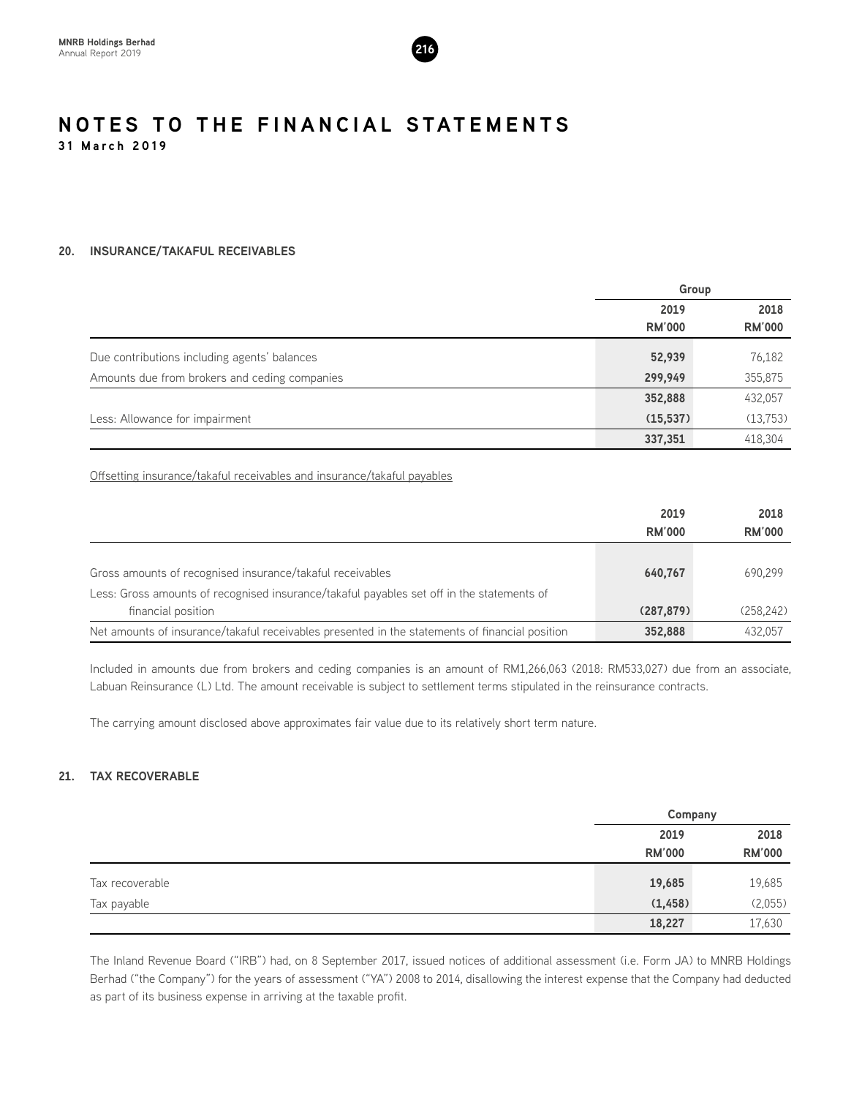

# **20. INSURANCE/TAKAFUL RECEIVABLES**

|                                               | Group         |               |
|-----------------------------------------------|---------------|---------------|
|                                               | 2019          | 2018          |
|                                               | <b>RM'000</b> | <b>RM'000</b> |
| Due contributions including agents' balances  | 52,939        | 76,182        |
| Amounts due from brokers and ceding companies | 299,949       | 355,875       |
|                                               | 352,888       | 432,057       |
| Less: Allowance for impairment                | (15, 537)     | (13,753)      |
|                                               | 337,351       | 418,304       |

Offsetting insurance/takaful receivables and insurance/takaful payables

|                                                                                                                                                        | 2019<br><b>RM'000</b> | 2018<br><b>RM'000</b> |
|--------------------------------------------------------------------------------------------------------------------------------------------------------|-----------------------|-----------------------|
| Gross amounts of recognised insurance/takaful receivables<br>Less: Gross amounts of recognised insurance/takaful payables set off in the statements of | 640.767               | 690.299               |
| financial position                                                                                                                                     | (287, 879)            | (258.242)             |
| Net amounts of insurance/takaful receivables presented in the statements of financial position                                                         | 352,888               | 432.057               |

Included in amounts due from brokers and ceding companies is an amount of RM1,266,063 (2018: RM533,027) due from an associate, Labuan Reinsurance (L) Ltd. The amount receivable is subject to settlement terms stipulated in the reinsurance contracts.

The carrying amount disclosed above approximates fair value due to its relatively short term nature.

# **21. TAX RECOVERABLE**

|                 |               | Company       |
|-----------------|---------------|---------------|
|                 | 2019          | 2018          |
|                 | <b>RM'000</b> | <b>RM'000</b> |
| Tax recoverable | 19,685        | 19,685        |
| Tax payable     | (1, 458)      | (2,055)       |
|                 | 18,227        | 17,630        |

The Inland Revenue Board ("IRB") had, on 8 September 2017, issued notices of additional assessment (i.e. Form JA) to MNRB Holdings Berhad ("the Company") for the years of assessment ("YA") 2008 to 2014, disallowing the interest expense that the Company had deducted as part of its business expense in arriving at the taxable profit.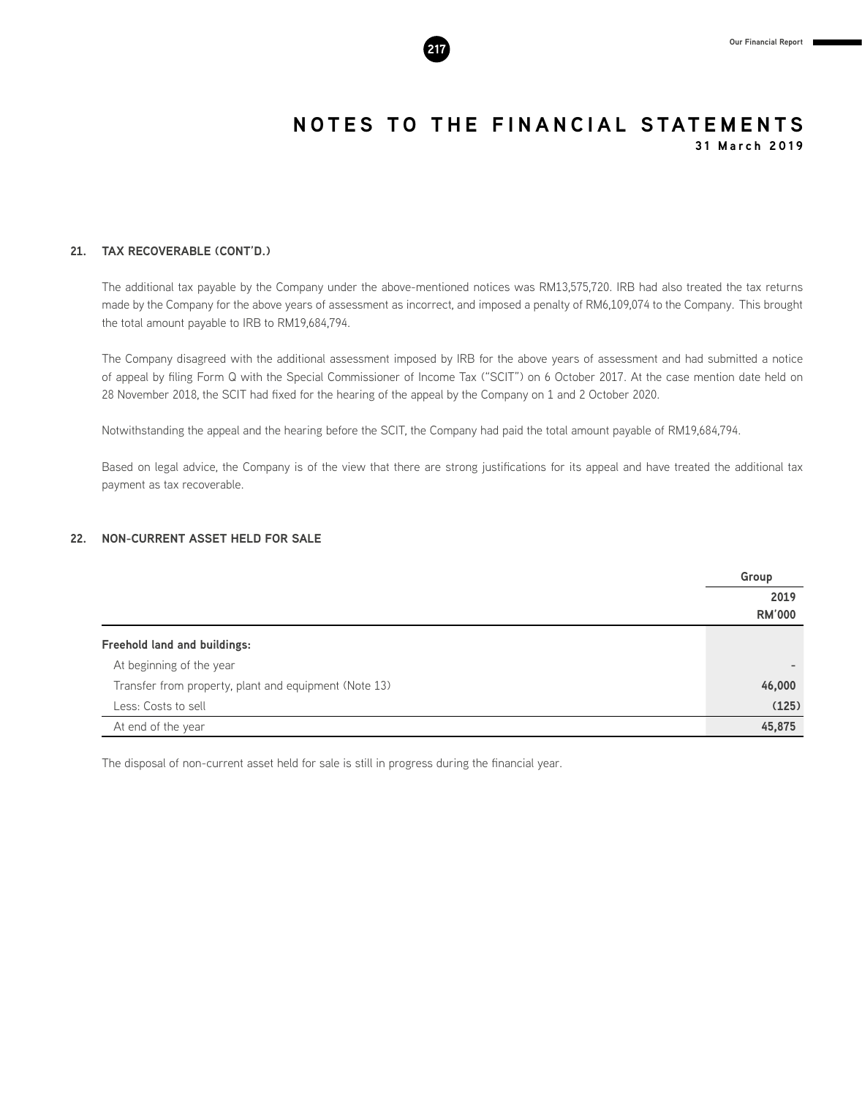

# **21. TAX RECOVERABLE (CONT'D.)**

The additional tax payable by the Company under the above-mentioned notices was RM13,575,720. IRB had also treated the tax returns made by the Company for the above years of assessment as incorrect, and imposed a penalty of RM6,109,074 to the Company. This brought the total amount payable to IRB to RM19,684,794.

The Company disagreed with the additional assessment imposed by IRB for the above years of assessment and had submitted a notice of appeal by filing Form Q with the Special Commissioner of Income Tax ("SCIT") on 6 October 2017. At the case mention date held on 28 November 2018, the SCIT had fixed for the hearing of the appeal by the Company on 1 and 2 October 2020.

Notwithstanding the appeal and the hearing before the SCIT, the Company had paid the total amount payable of RM19,684,794.

Based on legal advice, the Company is of the view that there are strong justifications for its appeal and have treated the additional tax payment as tax recoverable.

# **22. NON-CURRENT ASSET HELD FOR SALE**

|                                                       | Group         |
|-------------------------------------------------------|---------------|
|                                                       | 2019          |
|                                                       | <b>RM'000</b> |
| <b>Freehold land and buildings:</b>                   |               |
| At beginning of the year                              |               |
| Transfer from property, plant and equipment (Note 13) | 46,000        |
| Less: Costs to sell                                   | (125)         |
| At end of the year                                    | 45,875        |

The disposal of non-current asset held for sale is still in progress during the financial year.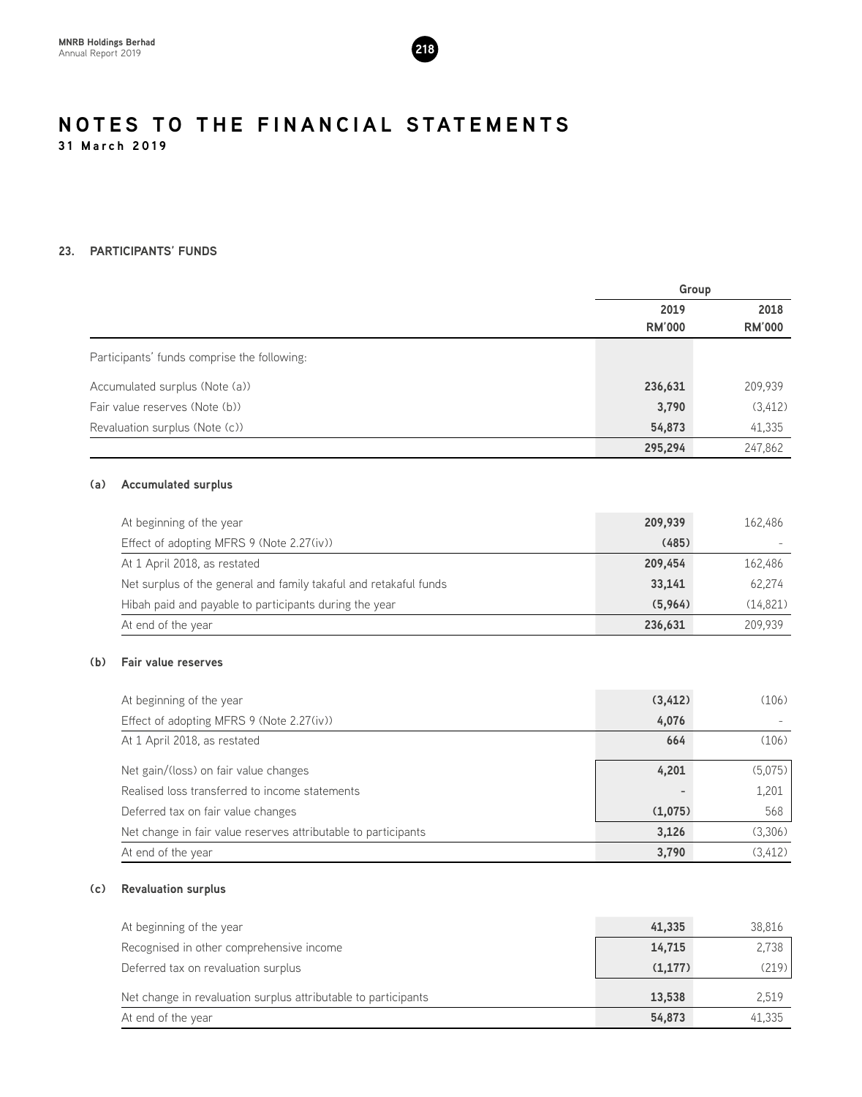

# **23. PARTICIPANTS' FUNDS**

|     |                                                                   | Group         |               |
|-----|-------------------------------------------------------------------|---------------|---------------|
|     |                                                                   | 2019          | 2018          |
|     |                                                                   | <b>RM'000</b> | <b>RM'000</b> |
|     | Participants' funds comprise the following:                       |               |               |
|     | Accumulated surplus (Note (a))                                    | 236,631       | 209,939       |
|     | Fair value reserves (Note (b))                                    | 3,790         | (3, 412)      |
|     | Revaluation surplus (Note (c))                                    | 54,873        | 41,335        |
|     |                                                                   | 295,294       | 247,862       |
| (a) | <b>Accumulated surplus</b>                                        |               |               |
|     | At beginning of the year                                          | 209,939       | 162,486       |
|     | Effect of adopting MFRS 9 (Note 2.27(iv))                         | (485)         |               |
|     | At 1 April 2018, as restated                                      | 209,454       | 162,486       |
|     | Net surplus of the general and family takaful and retakaful funds | 33,141        | 62,274        |
|     | Hibah paid and payable to participants during the year            | (5,964)       | (14, 821)     |
|     | At end of the year                                                | 236,631       | 209,939       |
| (b) | <b>Fair value reserves</b>                                        |               |               |
|     | At beginning of the year                                          | (3, 412)      | (106)         |
|     | Effect of adopting MFRS 9 (Note 2.27(iv))                         | 4,076         |               |
|     | At 1 April 2018, as restated                                      | 664           | (106)         |
|     | Net gain/(loss) on fair value changes                             | 4,201         | (5,075)       |
|     | Realised loss transferred to income statements                    |               | 1,201         |
|     | Deferred tax on fair value changes                                | (1,075)       | 568           |
|     | Net change in fair value reserves attributable to participants    | 3,126         | (3,306)       |
|     | At end of the year                                                | 3,790         | (3, 412)      |

# **(c) Revaluation surplus**

| At beginning of the year                                       | 41,335  | 38,816 |
|----------------------------------------------------------------|---------|--------|
| Recognised in other comprehensive income                       | 14,715  | 2,738  |
| Deferred tax on revaluation surplus                            | (1.177) | (219)  |
| Net change in revaluation surplus attributable to participants | 13,538  | 2.519  |
| At end of the year                                             | 54,873  | 41,335 |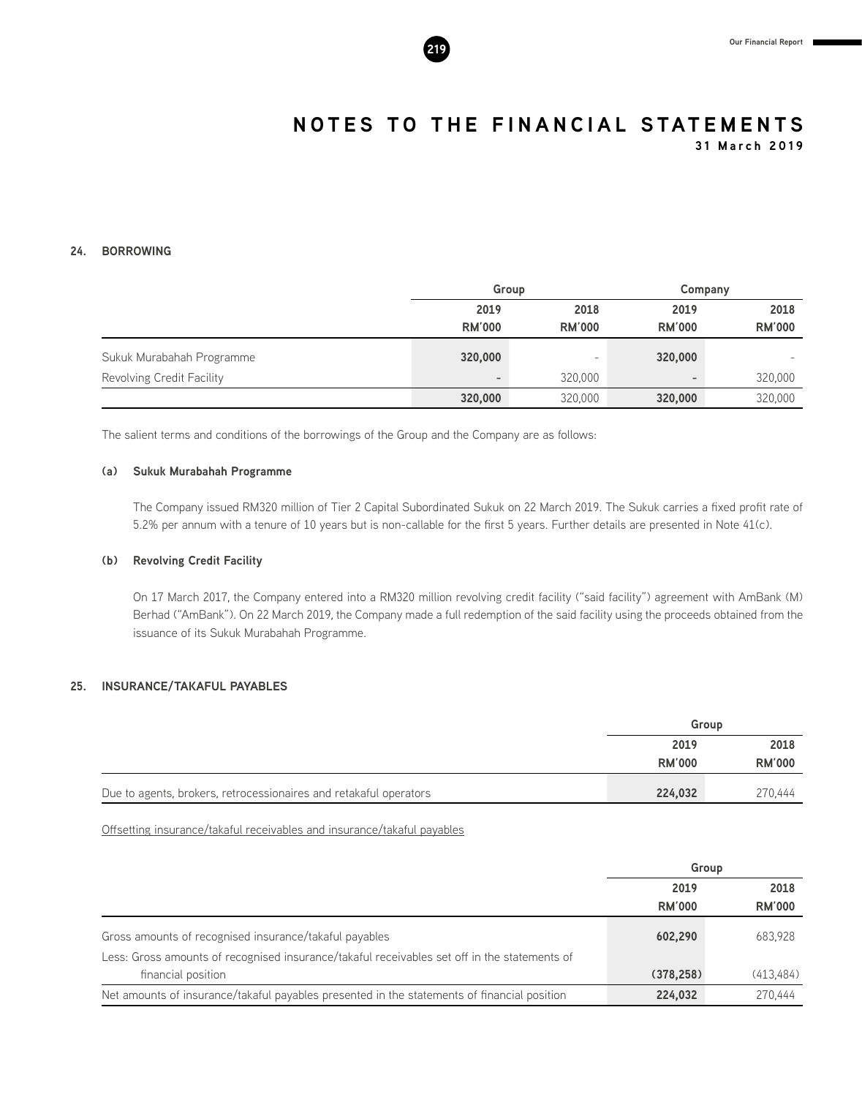

**31 March 2019**

# **24. BORROWING**

|                           | Group                    |                       |                          | Company       |  |
|---------------------------|--------------------------|-----------------------|--------------------------|---------------|--|
|                           | 2019<br><b>RM'000</b>    | 2018<br><b>RM'000</b> | 2019<br><b>RM'000</b>    | 2018          |  |
|                           |                          |                       |                          | <b>RM'000</b> |  |
| Sukuk Murabahah Programme | 320,000                  | -                     | 320,000                  |               |  |
| Revolving Credit Facility | $\overline{\phantom{a}}$ | 320,000               | $\overline{\phantom{a}}$ | 320,000       |  |
|                           | 320,000                  | 320,000               | 320,000                  | 320,000       |  |

The salient terms and conditions of the borrowings of the Group and the Company are as follows:

### **(a) Sukuk Murabahah Programme**

The Company issued RM320 million of Tier 2 Capital Subordinated Sukuk on 22 March 2019. The Sukuk carries a fixed profit rate of 5.2% per annum with a tenure of 10 years but is non-callable for the first 5 years. Further details are presented in Note 41(c).

# **(b) Revolving Credit Facility**

On 17 March 2017, the Company entered into a RM320 million revolving credit facility ("said facility") agreement with AmBank (M) Berhad ("AmBank"). On 22 March 2019, the Company made a full redemption of the said facility using the proceeds obtained from the issuance of its Sukuk Murabahah Programme.

# **25. INSURANCE/TAKAFUL PAYABLES**

|                                                                   | Group         |               |
|-------------------------------------------------------------------|---------------|---------------|
|                                                                   | 2019          | 2018          |
|                                                                   | <b>RM'000</b> | <b>RM'000</b> |
| Due to agents, brokers, retrocessionaires and retakaful operators | 224,032       | 270.444       |

Offsetting insurance/takaful receivables and insurance/takaful payables

|                                                                                              | Group         |               |
|----------------------------------------------------------------------------------------------|---------------|---------------|
|                                                                                              | 2019          | 2018          |
|                                                                                              | <b>RM'000</b> | <b>RM'000</b> |
| Gross amounts of recognised insurance/takaful payables                                       | 602,290       | 683,928       |
| Less: Gross amounts of recognised insurance/takaful receivables set off in the statements of |               |               |
| financial position                                                                           | (378, 258)    | (413.484)     |
| Net amounts of insurance/takaful payables presented in the statements of financial position  | 224.032       | 270.444       |

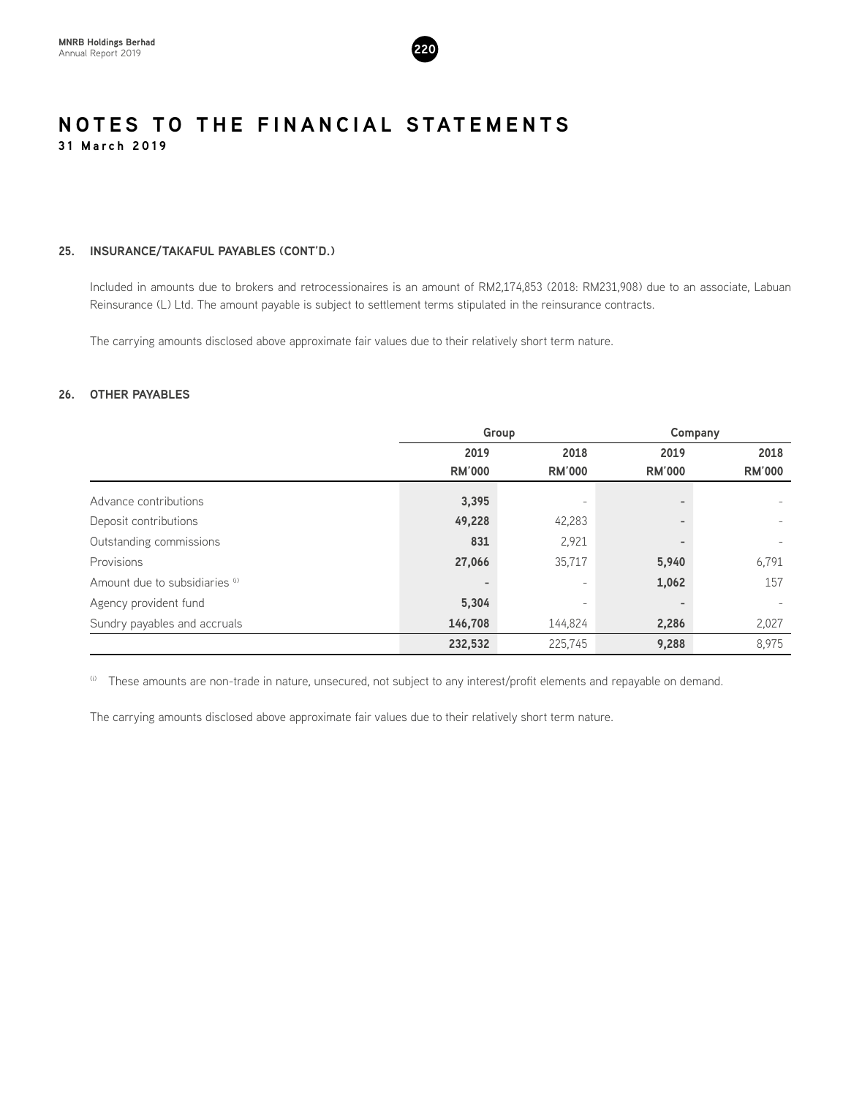

# **25. INSURANCE/TAKAFUL PAYABLES (CONT'D.)**

Included in amounts due to brokers and retrocessionaires is an amount of RM2,174,853 (2018: RM231,908) due to an associate, Labuan Reinsurance (L) Ltd. The amount payable is subject to settlement terms stipulated in the reinsurance contracts.

The carrying amounts disclosed above approximate fair values due to their relatively short term nature.

# **26. OTHER PAYABLES**

|                                | Group                    |                          |               | Company                  |  |
|--------------------------------|--------------------------|--------------------------|---------------|--------------------------|--|
|                                | 2019                     | 2018                     | 2019          | 2018                     |  |
|                                | <b>RM'000</b>            | <b>RM'000</b>            | <b>RM'000</b> | <b>RM'000</b>            |  |
| Advance contributions          | 3,395                    |                          |               |                          |  |
| Deposit contributions          | 49,228                   | 42,283                   |               |                          |  |
| Outstanding commissions        | 831                      | 2,921                    |               | $\overline{\phantom{0}}$ |  |
| Provisions                     | 27,066                   | 35,717                   | 5,940         | 6,791                    |  |
| Amount due to subsidiaries (i) | $\overline{\phantom{a}}$ | $\overline{\phantom{a}}$ | 1,062         | 157                      |  |
| Agency provident fund          | 5,304                    | $\overline{\phantom{a}}$ |               |                          |  |
| Sundry payables and accruals   | 146,708                  | 144,824                  | 2,286         | 2,027                    |  |
|                                | 232,532                  | 225.745                  | 9,288         | 8,975                    |  |

<sup>(i)</sup> These amounts are non-trade in nature, unsecured, not subject to any interest/profit elements and repayable on demand.

The carrying amounts disclosed above approximate fair values due to their relatively short term nature.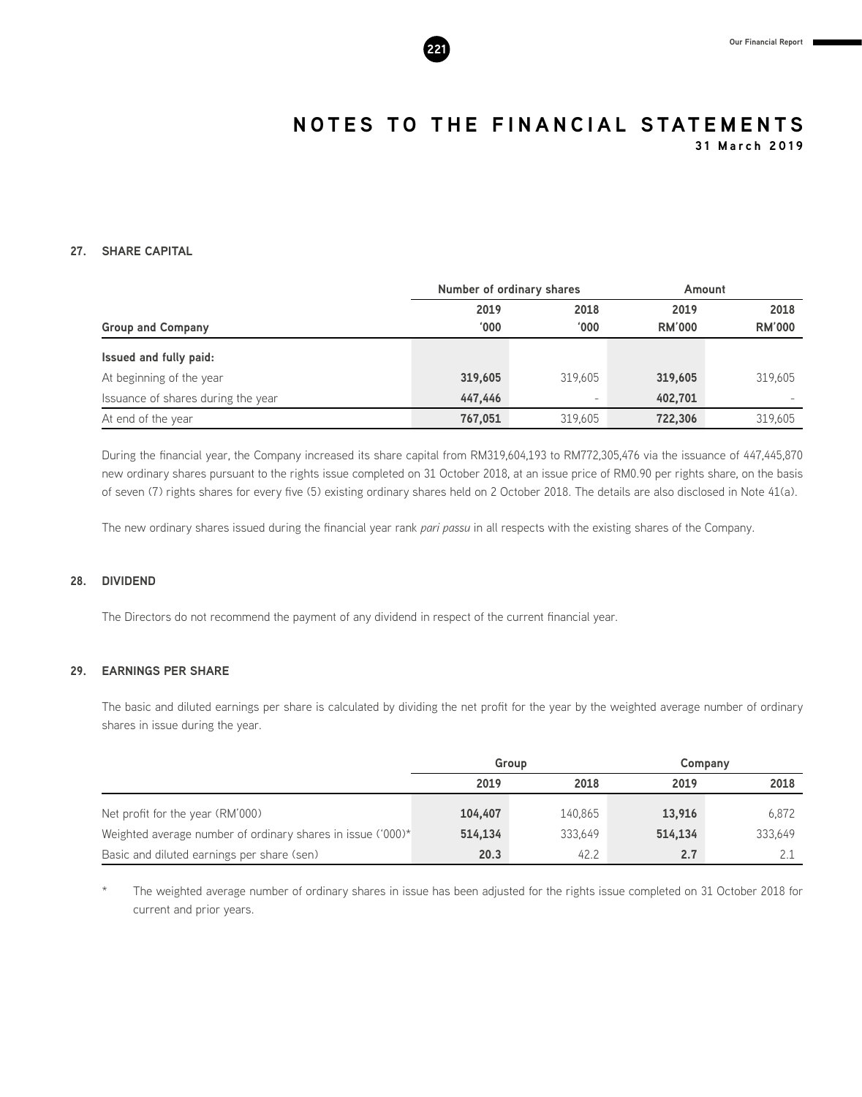

**31 March 2019**

# **27. SHARE CAPITAL**

|                                    |               | Number of ordinary shares |               | Amount        |
|------------------------------------|---------------|---------------------------|---------------|---------------|
|                                    | 2019          | 2018                      | 2019          | 2018          |
| <b>Group and Company</b>           | $000^{\circ}$ | '000                      | <b>RM'000</b> | <b>RM'000</b> |
| Issued and fully paid:             |               |                           |               |               |
| At beginning of the year           | 319,605       | 319.605                   | 319,605       | 319.605       |
| Issuance of shares during the year | 447.446       | -                         | 402,701       |               |
| At end of the year                 | 767,051       | 319.605                   | 722,306       | 319.605       |

During the financial year, the Company increased its share capital from RM319,604,193 to RM772,305,476 via the issuance of 447,445,870 new ordinary shares pursuant to the rights issue completed on 31 October 2018, at an issue price of RM0.90 per rights share, on the basis of seven (7) rights shares for every five (5) existing ordinary shares held on 2 October 2018. The details are also disclosed in Note 41(a).

The new ordinary shares issued during the financial year rank *pari passu* in all respects with the existing shares of the Company.

# **28. DIVIDEND**

The Directors do not recommend the payment of any dividend in respect of the current financial year.

# **29. EARNINGS PER SHARE**

The basic and diluted earnings per share is calculated by dividing the net profit for the year by the weighted average number of ordinary shares in issue during the year.

|                                                             |         | Group   | Company |         |  |
|-------------------------------------------------------------|---------|---------|---------|---------|--|
|                                                             | 2019    | 2018    | 2019    | 2018    |  |
| Net profit for the year (RM'000)                            | 104,407 | 140.865 | 13,916  | 6.872   |  |
| Weighted average number of ordinary shares in issue ('000)* | 514.134 | 333.649 | 514.134 | 333.649 |  |
| Basic and diluted earnings per share (sen)                  | 20.3    | 42.2    | 2.7     |         |  |

The weighted average number of ordinary shares in issue has been adjusted for the rights issue completed on 31 October 2018 for current and prior years.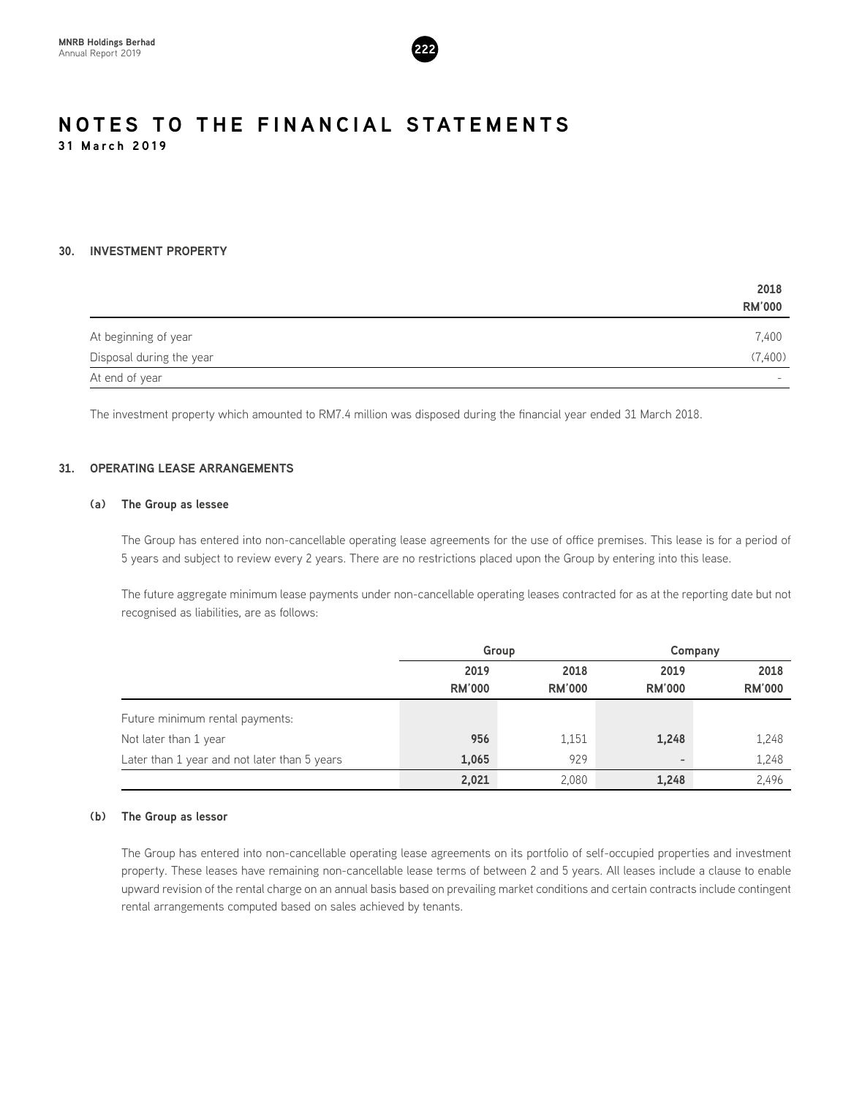

# **30. INVESTMENT PROPERTY**

|                          | 2018                     |
|--------------------------|--------------------------|
|                          | <b>RM'000</b>            |
| At beginning of year     | 7,400                    |
| Disposal during the year | (7,400)                  |
| At end of year           | $\overline{\phantom{0}}$ |

The investment property which amounted to RM7.4 million was disposed during the financial year ended 31 March 2018.

# **31. OPERATING LEASE ARRANGEMENTS**

# **(a) The Group as lessee**

The Group has entered into non-cancellable operating lease agreements for the use of office premises. This lease is for a period of 5 years and subject to review every 2 years. There are no restrictions placed upon the Group by entering into this lease.

The future aggregate minimum lease payments under non-cancellable operating leases contracted for as at the reporting date but not recognised as liabilities, are as follows:

|                                              |               | Group         |               | Company       |
|----------------------------------------------|---------------|---------------|---------------|---------------|
|                                              | 2019          | 2018          | 2019          | 2018          |
|                                              | <b>RM'000</b> | <b>RM'000</b> | <b>RM'000</b> | <b>RM'000</b> |
| Future minimum rental payments:              |               |               |               |               |
| Not later than 1 year                        | 956           | 1,151         | 1,248         | 1,248         |
| Later than 1 year and not later than 5 years | 1,065         | 929           | ٠             | 1,248         |
|                                              | 2,021         | 2,080         | 1,248         | 2,496         |

# **(b) The Group as lessor**

The Group has entered into non-cancellable operating lease agreements on its portfolio of self-occupied properties and investment property. These leases have remaining non-cancellable lease terms of between 2 and 5 years. All leases include a clause to enable upward revision of the rental charge on an annual basis based on prevailing market conditions and certain contracts include contingent rental arrangements computed based on sales achieved by tenants.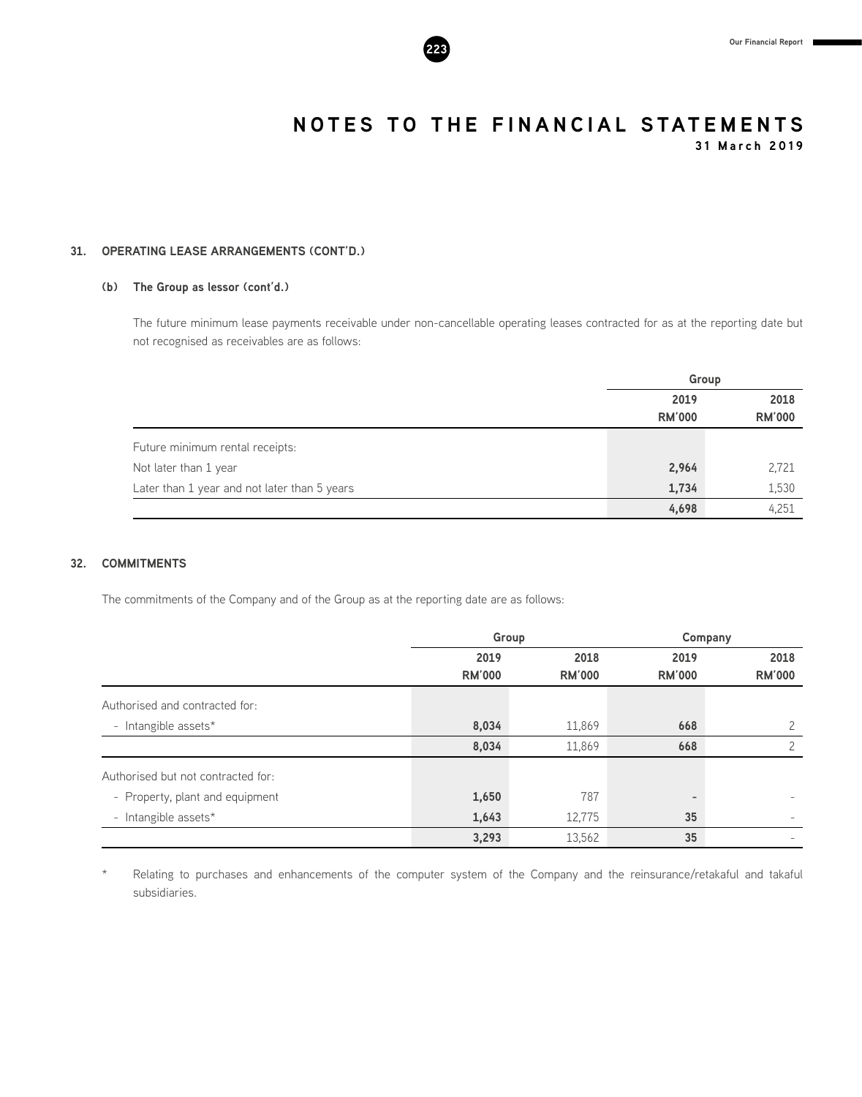**31 March 2019**

# **31. OPERATING LEASE ARRANGEMENTS (CONT'D.)**

# **(b) The Group as lessor (cont'd.)**

The future minimum lease payments receivable under non-cancellable operating leases contracted for as at the reporting date but not recognised as receivables are as follows:

|                                              | Group         |               |  |
|----------------------------------------------|---------------|---------------|--|
|                                              | 2019          | 2018          |  |
|                                              | <b>RM'000</b> | <b>RM'000</b> |  |
| Future minimum rental receipts:              |               |               |  |
| Not later than 1 year                        | 2,964         | 2,721         |  |
| Later than 1 year and not later than 5 years | 1,734         | 1,530         |  |
|                                              | 4,698         | 4,251         |  |

# **32. COMMITMENTS**

The commitments of the Company and of the Group as at the reporting date are as follows:

|                                    |               | Group         | Company       |               |  |
|------------------------------------|---------------|---------------|---------------|---------------|--|
|                                    | 2019          | 2018          | 2019          | 2018          |  |
|                                    | <b>RM'000</b> | <b>RM'000</b> | <b>RM'000</b> | <b>RM'000</b> |  |
| Authorised and contracted for:     |               |               |               |               |  |
| - Intangible assets*               | 8,034         | 11,869        | 668           | 2             |  |
|                                    | 8,034         | 11,869        | 668           | 2             |  |
| Authorised but not contracted for: |               |               |               |               |  |
| - Property, plant and equipment    | 1,650         | 787           |               |               |  |
| - Intangible assets*               | 1,643         | 12,775        | 35            |               |  |
|                                    | 3,293         | 13,562        | 35            |               |  |

Relating to purchases and enhancements of the computer system of the Company and the reinsurance/retakaful and takaful subsidiaries.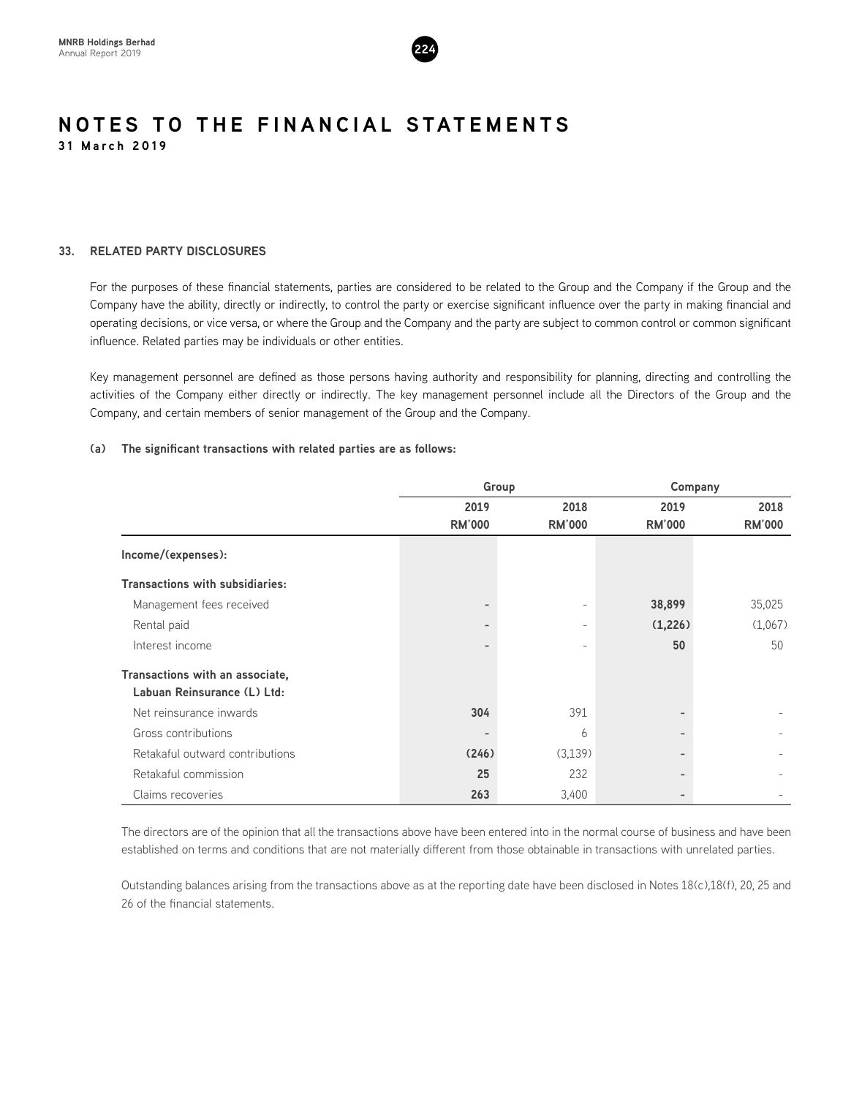

# **33. RELATED PARTY DISCLOSURES**

For the purposes of these financial statements, parties are considered to be related to the Group and the Company if the Group and the Company have the ability, directly or indirectly, to control the party or exercise significant influence over the party in making financial and operating decisions, or vice versa, or where the Group and the Company and the party are subject to common control or common significant influence. Related parties may be individuals or other entities.

Key management personnel are defined as those persons having authority and responsibility for planning, directing and controlling the activities of the Company either directly or indirectly. The key management personnel include all the Directors of the Group and the Company, and certain members of senior management of the Group and the Company.

# **(a) The significant transactions with related parties are as follows:**

|                                        |                | Group                    | Company                  |                          |  |
|----------------------------------------|----------------|--------------------------|--------------------------|--------------------------|--|
|                                        | 2019           | 2018                     | 2019                     | 2018                     |  |
|                                        | <b>RM'000</b>  | <b>RM'000</b>            | <b>RM'000</b>            | <b>RM'000</b>            |  |
| Income/(expenses):                     |                |                          |                          |                          |  |
| <b>Transactions with subsidiaries:</b> |                |                          |                          |                          |  |
| Management fees received               | $\overline{a}$ | -                        | 38,899                   | 35,025                   |  |
| Rental paid                            | -              | $\overline{\phantom{0}}$ | (1,226)                  | (1,067)                  |  |
| Interest income                        |                |                          | 50                       | 50                       |  |
| Transactions with an associate,        |                |                          |                          |                          |  |
| Labuan Reinsurance (L) Ltd:            |                |                          |                          |                          |  |
| Net reinsurance inwards                | 304            | 391                      |                          |                          |  |
| Gross contributions                    | -              | 6                        |                          | $\overline{\phantom{a}}$ |  |
| Retakaful outward contributions        | (246)          | (3,139)                  |                          |                          |  |
| Retakaful commission                   | 25             | 232                      |                          |                          |  |
| Claims recoveries                      | 263            | 3,400                    | $\overline{\phantom{a}}$ |                          |  |

The directors are of the opinion that all the transactions above have been entered into in the normal course of business and have been established on terms and conditions that are not materially different from those obtainable in transactions with unrelated parties.

Outstanding balances arising from the transactions above as at the reporting date have been disclosed in Notes 18(c),18(f), 20, 25 and 26 of the financial statements.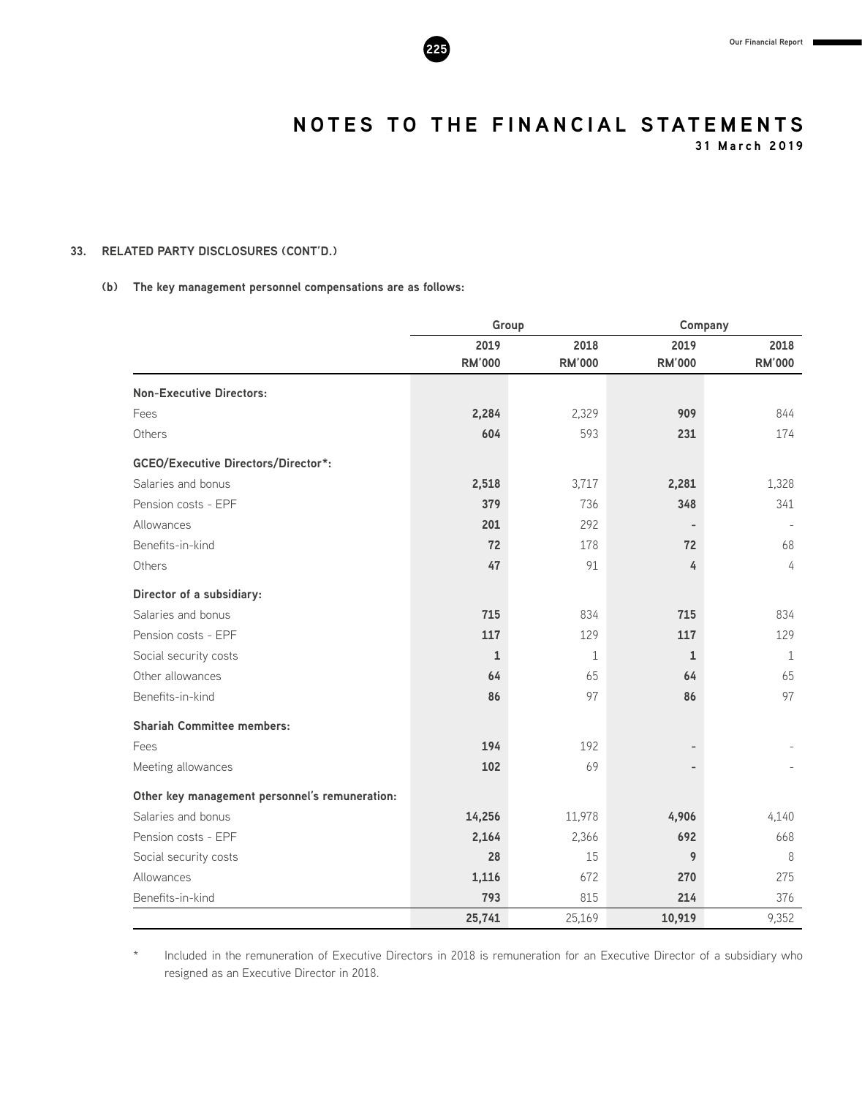**31 March 2019**

# **33. RELATED PARTY DISCLOSURES (CONT'D.)**

# **(b) The key management personnel compensations are as follows:**

|                                                | Group         |               | Company       |               |  |
|------------------------------------------------|---------------|---------------|---------------|---------------|--|
|                                                | 2019          | 2018          | 2019          | 2018          |  |
|                                                | <b>RM'000</b> | <b>RM'000</b> | <b>RM'000</b> | <b>RM'000</b> |  |
| <b>Non-Executive Directors:</b>                |               |               |               |               |  |
| Fees                                           | 2,284         | 2,329         | 909           | 844           |  |
| Others                                         | 604           | 593           | 231           | 174           |  |
| <b>GCEO/Executive Directors/Director*:</b>     |               |               |               |               |  |
| Salaries and bonus                             | 2,518         | 3,717         | 2,281         | 1,328         |  |
| Pension costs - EPF                            | 379           | 736           | 348           | 341           |  |
| Allowances                                     | 201           | 292           |               |               |  |
| Benefits-in-kind                               | 72            | 178           | 72            | 68            |  |
| Others                                         | 47            | 91            | 4             | 4             |  |
| Director of a subsidiary:                      |               |               |               |               |  |
| Salaries and bonus                             | 715           | 834           | 715           | 834           |  |
| Pension costs - EPF                            | 117           | 129           | 117           | 129           |  |
| Social security costs                          | $\mathbf{1}$  | $\mathbf{1}$  | $\mathbf{1}$  | $\mathbf{1}$  |  |
| Other allowances                               | 64            | 65            | 64            | 65            |  |
| Benefits-in-kind                               | 86            | 97            | 86            | 97            |  |
| <b>Shariah Committee members:</b>              |               |               |               |               |  |
| Fees                                           | 194           | 192           |               |               |  |
| Meeting allowances                             | 102           | 69            |               |               |  |
| Other key management personnel's remuneration: |               |               |               |               |  |
| Salaries and bonus                             | 14,256        | 11,978        | 4,906         | 4,140         |  |
| Pension costs - EPF                            | 2,164         | 2,366         | 692           | 668           |  |
| Social security costs                          | 28            | 15            | 9             | 8             |  |
| Allowances                                     | 1,116         | 672           | 270           | 275           |  |
| Benefits-in-kind                               | 793           | 815           | 214           | 376           |  |
|                                                | 25,741        | 25,169        | 10,919        | 9,352         |  |

Included in the remuneration of Executive Directors in 2018 is remuneration for an Executive Director of a subsidiary who resigned as an Executive Director in 2018.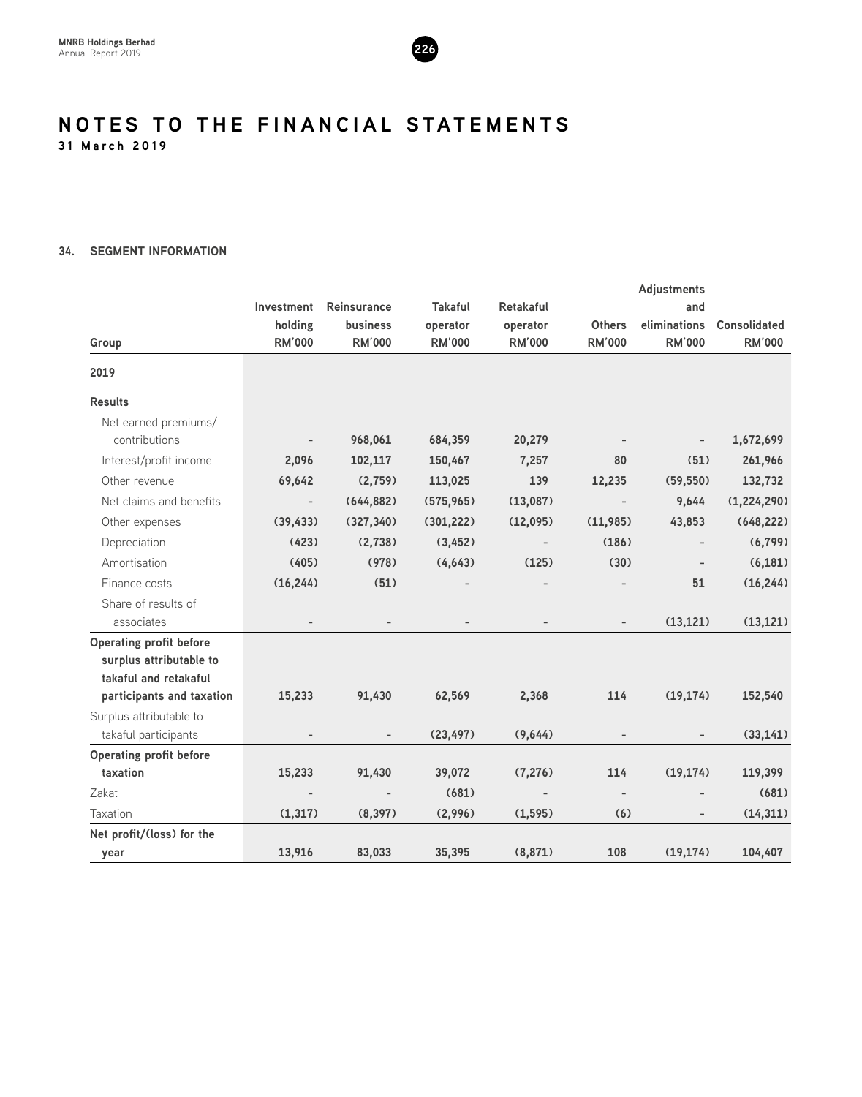

# **34. SEGMENT INFORMATION**

|                                |                          |                 |                |                          |               | <b>Adjustments</b>       |                     |
|--------------------------------|--------------------------|-----------------|----------------|--------------------------|---------------|--------------------------|---------------------|
|                                | Investment               | Reinsurance     | <b>Takaful</b> | Retakaful                |               | and                      |                     |
|                                | holding                  | <b>business</b> | operator       | operator                 | <b>Others</b> | eliminations             | <b>Consolidated</b> |
| Group                          | <b>RM'000</b>            | <b>RM'000</b>   | <b>RM'000</b>  | <b>RM'000</b>            | <b>RM'000</b> | <b>RM'000</b>            | <b>RM'000</b>       |
| 2019                           |                          |                 |                |                          |               |                          |                     |
| <b>Results</b>                 |                          |                 |                |                          |               |                          |                     |
| Net earned premiums/           |                          |                 |                |                          |               |                          |                     |
| contributions                  |                          | 968,061         | 684,359        | 20,279                   |               |                          | 1,672,699           |
| Interest/profit income         | 2,096                    | 102,117         | 150,467        | 7,257                    | 80            | (51)                     | 261,966             |
| Other revenue                  | 69,642                   | (2,759)         | 113,025        | 139                      | 12,235        | (59, 550)                | 132,732             |
| Net claims and benefits        | $\overline{\phantom{a}}$ | (644, 882)      | (575, 965)     | (13,087)                 |               | 9,644                    | (1,224,290)         |
| Other expenses                 | (39, 433)                | (327, 340)      | (301, 222)     | (12,095)                 | (11, 985)     | 43,853                   | (648, 222)          |
| Depreciation                   | (423)                    | (2,738)         | (3, 452)       | $\overline{\phantom{a}}$ | (186)         |                          | (6, 799)            |
| Amortisation                   | (405)                    | (978)           | (4, 643)       | (125)                    | (30)          | $\overline{\phantom{a}}$ | (6, 181)            |
| Finance costs                  | (16, 244)                | (51)            |                |                          |               | 51                       | (16, 244)           |
| Share of results of            |                          |                 |                |                          |               |                          |                     |
| associates                     |                          |                 |                |                          |               | (13, 121)                | (13, 121)           |
| <b>Operating profit before</b> |                          |                 |                |                          |               |                          |                     |
| surplus attributable to        |                          |                 |                |                          |               |                          |                     |
| takaful and retakaful          |                          |                 |                |                          |               |                          |                     |
| participants and taxation      | 15,233                   | 91,430          | 62,569         | 2,368                    | 114           | (19, 174)                | 152,540             |
| Surplus attributable to        |                          |                 |                |                          |               |                          |                     |
| takaful participants           |                          |                 | (23, 497)      | (9,644)                  |               |                          | (33, 141)           |
| <b>Operating profit before</b> |                          |                 |                |                          |               |                          |                     |
| taxation                       | 15,233                   | 91,430          | 39,072         | (7, 276)                 | 114           | (19, 174)                | 119,399             |
| Zakat                          |                          |                 | (681)          |                          |               |                          | (681)               |
| Taxation                       | (1, 317)                 | (8, 397)        | (2,996)        | (1, 595)                 | (6)           | $\overline{\phantom{a}}$ | (14, 311)           |
| Net profit/(loss) for the      |                          |                 |                |                          |               |                          |                     |
| year                           | 13,916                   | 83,033          | 35,395         | (8,871)                  | 108           | (19, 174)                | 104,407             |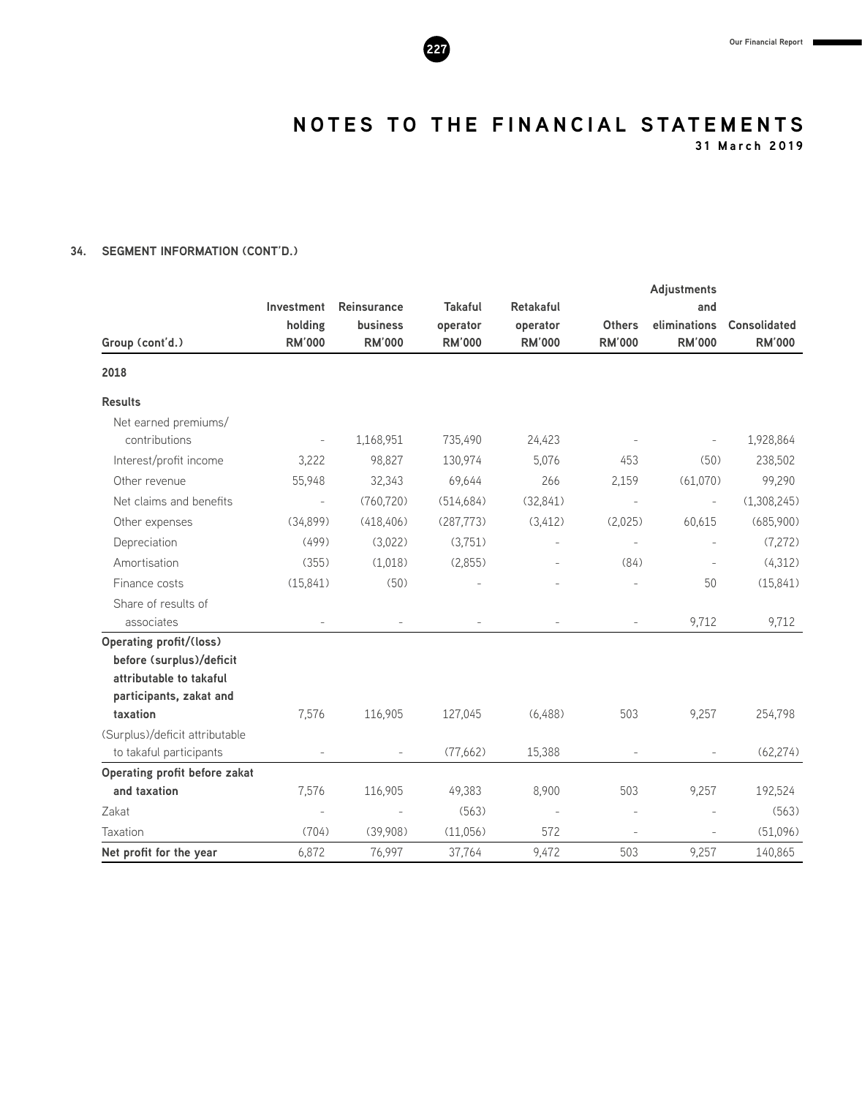

**31 March 2019**

# **34. SEGMENT INFORMATION (CONT'D.)**

|                                |                          |                                  |                           |                           |                                | <b>Adjustments</b>            |                                      |
|--------------------------------|--------------------------|----------------------------------|---------------------------|---------------------------|--------------------------------|-------------------------------|--------------------------------------|
|                                | Investment               | <b>Reinsurance</b>               | <b>Takaful</b>            | <b>Retakaful</b>          |                                | and                           |                                      |
| Group (cont'd.)                | holding<br><b>RM'000</b> | <b>business</b><br><b>RM'000</b> | operator<br><b>RM'000</b> | operator<br><b>RM'000</b> | <b>Others</b><br><b>RM'000</b> | eliminations<br><b>RM'000</b> | <b>Consolidated</b><br><b>RM'000</b> |
|                                |                          |                                  |                           |                           |                                |                               |                                      |
| 2018                           |                          |                                  |                           |                           |                                |                               |                                      |
| <b>Results</b>                 |                          |                                  |                           |                           |                                |                               |                                      |
| Net earned premiums/           |                          |                                  |                           |                           |                                |                               |                                      |
| contributions                  |                          | 1,168,951                        | 735,490                   | 24,423                    |                                | $\overline{\phantom{a}}$      | 1,928,864                            |
| Interest/profit income         | 3,222                    | 98,827                           | 130,974                   | 5,076                     | 453                            | (50)                          | 238,502                              |
| Other revenue                  | 55,948                   | 32,343                           | 69,644                    | 266                       | 2,159                          | (61,070)                      | 99,290                               |
| Net claims and benefits        | $\bar{\phantom{a}}$      | (760, 720)                       | (514, 684)                | (32, 841)                 | $\overline{\phantom{a}}$       | $\overline{\phantom{a}}$      | (1,308,245)                          |
| Other expenses                 | (34,899)                 | (418, 406)                       | (287, 773)                | (3, 412)                  | (2,025)                        | 60,615                        | (685,900)                            |
| Depreciation                   | (499)                    | (3,022)                          | (3,751)                   |                           | $\overline{\phantom{a}}$       |                               | (7,272)                              |
| Amortisation                   | (355)                    | (1,018)                          | (2,855)                   |                           | (84)                           | $\overline{\phantom{a}}$      | (4,312)                              |
| Finance costs                  | (15, 841)                | (50)                             |                           |                           | $\overline{a}$                 | 50                            | (15, 841)                            |
| Share of results of            |                          |                                  |                           |                           |                                |                               |                                      |
| associates                     |                          |                                  |                           |                           | $\overline{\phantom{a}}$       | 9,712                         | 9,712                                |
| <b>Operating profit/(loss)</b> |                          |                                  |                           |                           |                                |                               |                                      |
| before (surplus)/deficit       |                          |                                  |                           |                           |                                |                               |                                      |
| attributable to takaful        |                          |                                  |                           |                           |                                |                               |                                      |
| participants, zakat and        |                          |                                  |                           |                           |                                |                               |                                      |
| taxation                       | 7,576                    | 116,905                          | 127,045                   | (6,488)                   | 503                            | 9,257                         | 254,798                              |
| (Surplus)/deficit attributable |                          |                                  |                           |                           |                                |                               |                                      |
| to takaful participants        |                          | $\overline{\phantom{a}}$         | (77,662)                  | 15,388                    |                                | $\overline{\phantom{a}}$      | (62, 274)                            |
| Operating profit before zakat  |                          |                                  |                           |                           |                                |                               |                                      |
| and taxation                   | 7,576                    | 116,905                          | 49,383                    | 8,900                     | 503                            | 9,257                         | 192,524                              |
| Zakat                          |                          |                                  | (563)                     |                           |                                |                               | (563)                                |
| Taxation                       | (704)                    | (39,908)                         | (11,056)                  | 572                       | $\overline{a}$                 | $\overline{a}$                | (51,096)                             |
| Net profit for the year        | 6,872                    | 76,997                           | 37,764                    | 9,472                     | 503                            | 9,257                         | 140,865                              |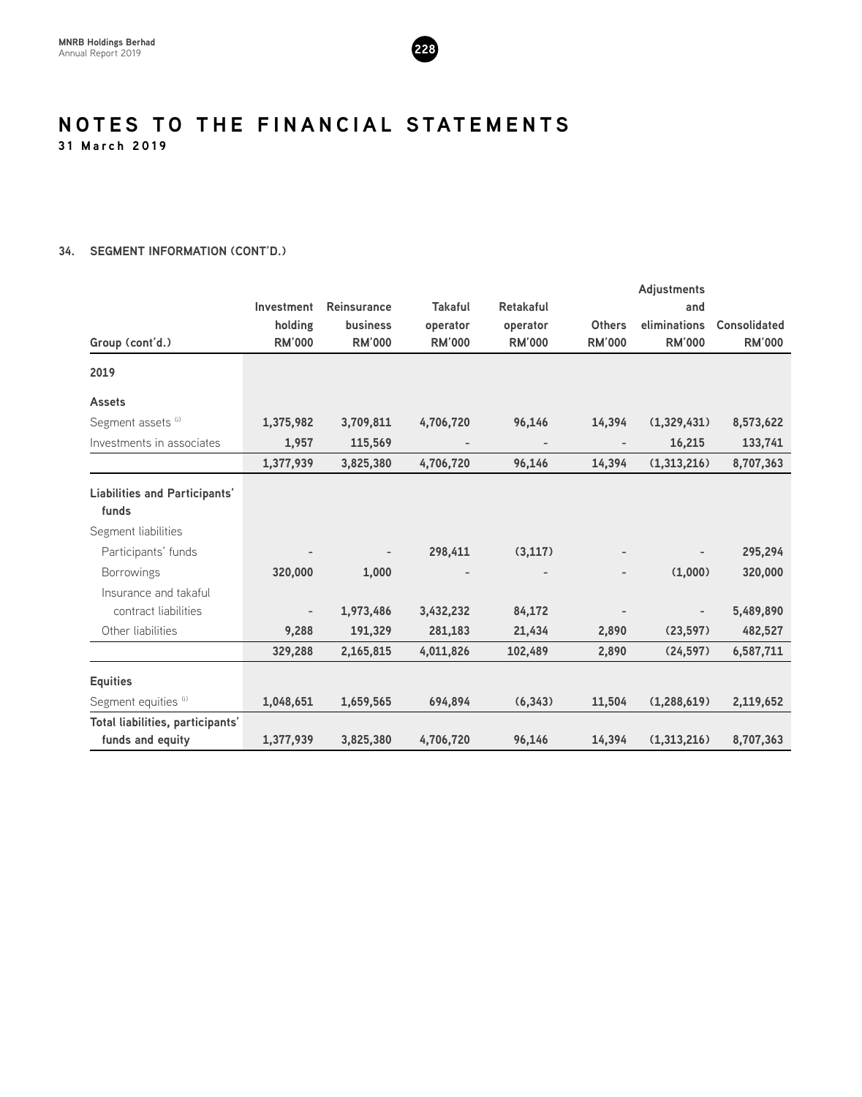

# **34. SEGMENT INFORMATION (CONT'D.)**

|                                      |               |                          |                |                          |                          | <b>Adjustments</b> |                     |
|--------------------------------------|---------------|--------------------------|----------------|--------------------------|--------------------------|--------------------|---------------------|
|                                      | Investment    | <b>Reinsurance</b>       | <b>Takaful</b> | <b>Retakaful</b>         |                          | and                |                     |
|                                      | holding       | business                 | operator       | operator                 | <b>Others</b>            | eliminations       | <b>Consolidated</b> |
| Group (cont'd.)                      | <b>RM'000</b> | <b>RM'000</b>            | <b>RM'000</b>  | <b>RM'000</b>            | <b>RM'000</b>            | <b>RM'000</b>      | <b>RM'000</b>       |
| 2019                                 |               |                          |                |                          |                          |                    |                     |
| <b>Assets</b>                        |               |                          |                |                          |                          |                    |                     |
| Segment assets (i)                   | 1,375,982     | 3,709,811                | 4,706,720      | 96,146                   | 14,394                   | (1,329,431)        | 8,573,622           |
| Investments in associates            | 1,957         | 115,569                  |                | $\overline{\phantom{a}}$ | $\overline{\phantom{a}}$ | 16,215             | 133,741             |
|                                      | 1,377,939     | 3,825,380                | 4,706,720      | 96,146                   | 14,394                   | (1,313,216)        | 8,707,363           |
| <b>Liabilities and Participants'</b> |               |                          |                |                          |                          |                    |                     |
| funds                                |               |                          |                |                          |                          |                    |                     |
| Segment liabilities                  |               |                          |                |                          |                          |                    |                     |
| Participants' funds                  |               | $\overline{\phantom{0}}$ | 298,411        | (3, 117)                 |                          |                    | 295,294             |
| <b>Borrowings</b>                    | 320,000       | 1,000                    |                |                          |                          | (1,000)            | 320,000             |
| Insurance and takaful                |               |                          |                |                          |                          |                    |                     |
| contract liabilities                 |               | 1,973,486                | 3,432,232      | 84,172                   |                          | $\qquad \qquad -$  | 5,489,890           |
| Other liabilities                    | 9,288         | 191,329                  | 281,183        | 21,434                   | 2,890                    | (23, 597)          | 482,527             |
|                                      | 329,288       | 2,165,815                | 4,011,826      | 102,489                  | 2,890                    | (24, 597)          | 6,587,711           |
| <b>Equities</b>                      |               |                          |                |                          |                          |                    |                     |
| Segment equities (i)                 | 1,048,651     | 1,659,565                | 694,894        | (6, 343)                 | 11,504                   | (1, 288, 619)      | 2,119,652           |
| Total liabilities, participants'     |               |                          |                |                          |                          |                    |                     |
| funds and equity                     | 1,377,939     | 3,825,380                | 4,706,720      | 96,146                   | 14,394                   | (1,313,216)        | 8,707,363           |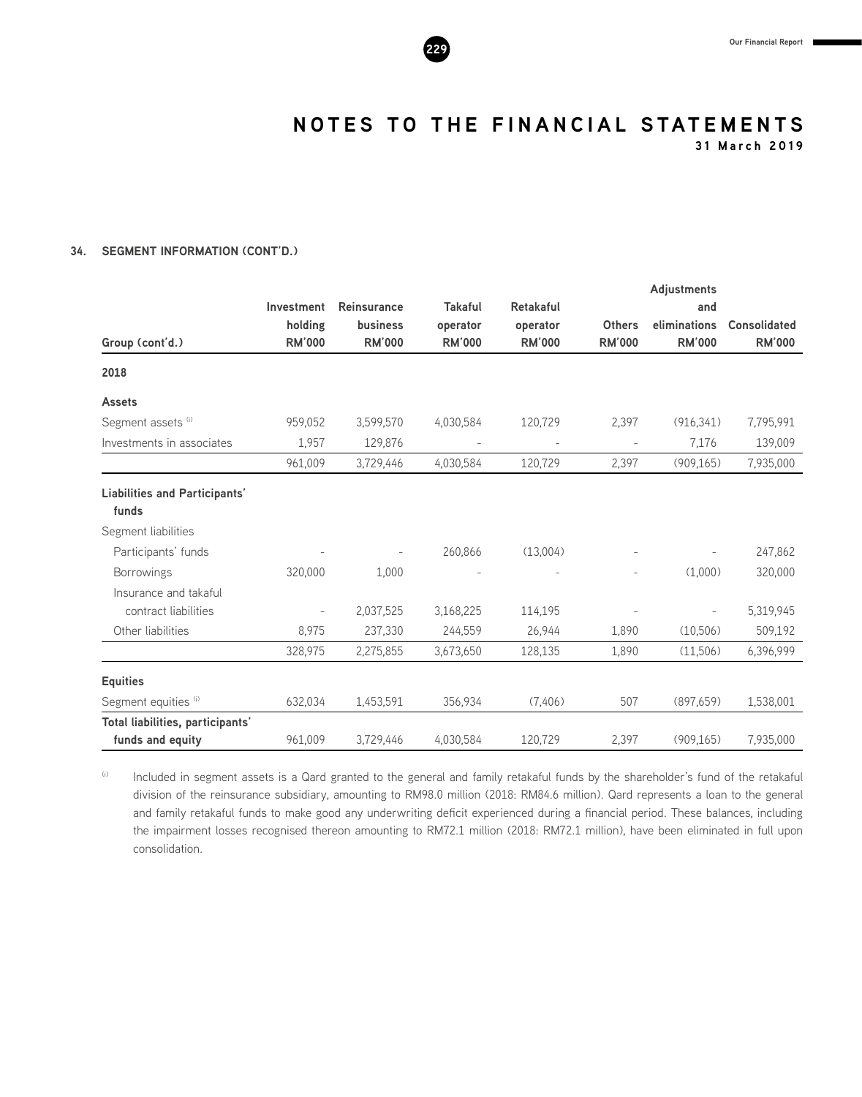

**31 March 2019**

# **34. SEGMENT INFORMATION (CONT'D.)**

|                                               |               |                          |                          |                  |                   | <b>Adjustments</b>       |                     |
|-----------------------------------------------|---------------|--------------------------|--------------------------|------------------|-------------------|--------------------------|---------------------|
|                                               | Investment    | <b>Reinsurance</b>       | <b>Takaful</b>           | <b>Retakaful</b> |                   | and                      |                     |
|                                               | holding       | <b>business</b>          | operator                 | operator         | <b>Others</b>     | eliminations             | <b>Consolidated</b> |
| Group (cont'd.)                               | <b>RM'000</b> | <b>RM'000</b>            | <b>RM'000</b>            | <b>RM'000</b>    | <b>RM'000</b>     | <b>RM'000</b>            | <b>RM'000</b>       |
| 2018                                          |               |                          |                          |                  |                   |                          |                     |
| <b>Assets</b>                                 |               |                          |                          |                  |                   |                          |                     |
| Segment assets (i)                            | 959,052       | 3,599,570                | 4,030,584                | 120,729          | 2,397             | (916, 341)               | 7,795,991           |
| Investments in associates                     | 1,957         | 129,876                  | $\overline{\phantom{0}}$ |                  | $\qquad \qquad -$ | 7,176                    | 139,009             |
|                                               | 961,009       | 3,729,446                | 4,030,584                | 120,729          | 2,397             | (909, 165)               | 7,935,000           |
| <b>Liabilities and Participants'</b><br>funds |               |                          |                          |                  |                   |                          |                     |
| Segment liabilities                           |               |                          |                          |                  |                   |                          |                     |
| Participants' funds                           |               | $\overline{\phantom{a}}$ | 260,866                  | (13,004)         |                   | $\overline{\phantom{a}}$ | 247,862             |
| <b>Borrowings</b>                             | 320,000       | 1,000                    |                          |                  | $\overline{a}$    | (1,000)                  | 320,000             |
| Insurance and takaful                         |               |                          |                          |                  |                   |                          |                     |
| contract liabilities                          |               | 2,037,525                | 3,168,225                | 114,195          |                   |                          | 5,319,945           |
| Other liabilities                             | 8,975         | 237,330                  | 244,559                  | 26,944           | 1,890             | (10,506)                 | 509,192             |
|                                               | 328,975       | 2,275,855                | 3,673,650                | 128,135          | 1,890             | (11,506)                 | 6,396,999           |
| <b>Equities</b>                               |               |                          |                          |                  |                   |                          |                     |
| Segment equities (i)                          | 632,034       | 1,453,591                | 356,934                  | (7,406)          | 507               | (897,659)                | 1,538,001           |
| Total liabilities, participants'              |               |                          |                          |                  |                   |                          |                     |
| funds and equity                              | 961,009       | 3,729,446                | 4,030,584                | 120,729          | 2,397             | (909, 165)               | 7,935,000           |

(i) Included in segment assets is a Qard granted to the general and family retakaful funds by the shareholder's fund of the retakaful division of the reinsurance subsidiary, amounting to RM98.0 million (2018: RM84.6 million). Qard represents a loan to the general and family retakaful funds to make good any underwriting deficit experienced during a financial period. These balances, including the impairment losses recognised thereon amounting to RM72.1 million (2018: RM72.1 million), have been eliminated in full upon consolidation.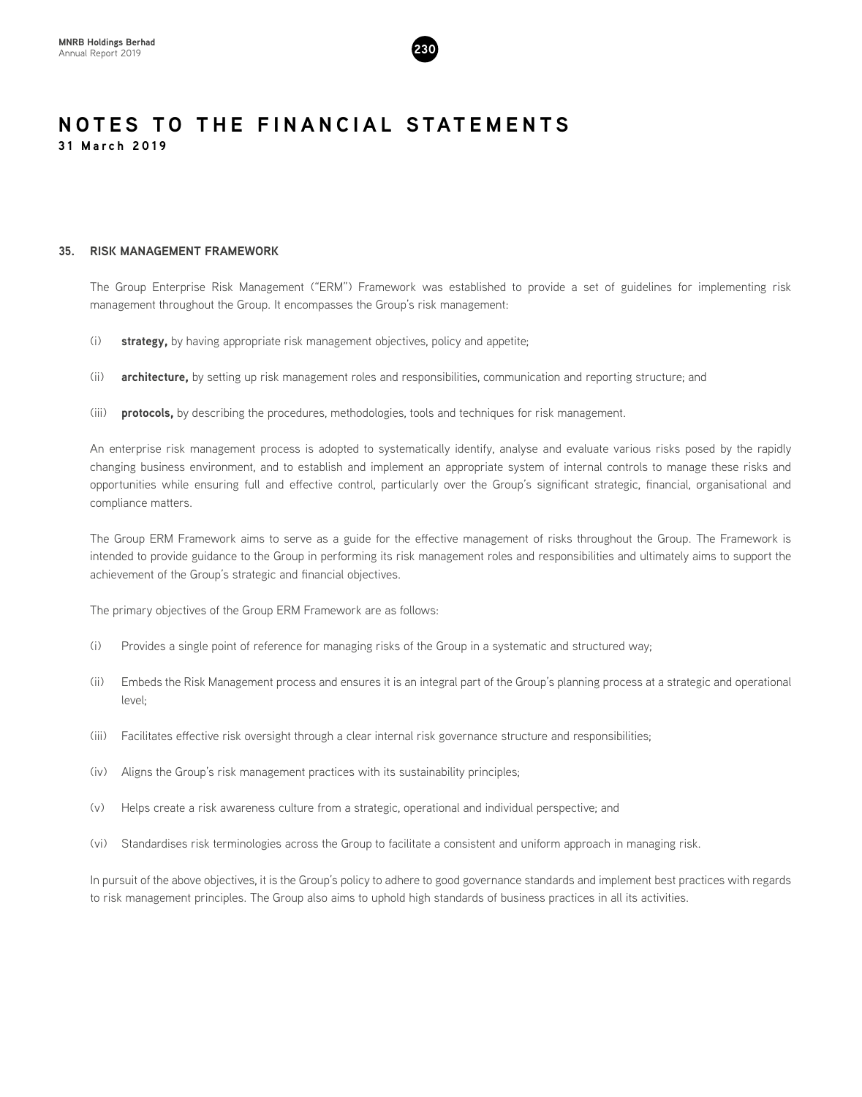

# **35. RISK MANAGEMENT FRAMEWORK**

The Group Enterprise Risk Management ("ERM") Framework was established to provide a set of guidelines for implementing risk management throughout the Group. It encompasses the Group's risk management:

- (i) **strategy,** by having appropriate risk management objectives, policy and appetite;
- (ii) **architecture,** by setting up risk management roles and responsibilities, communication and reporting structure; and
- (iii) **protocols,** by describing the procedures, methodologies, tools and techniques for risk management.

An enterprise risk management process is adopted to systematically identify, analyse and evaluate various risks posed by the rapidly changing business environment, and to establish and implement an appropriate system of internal controls to manage these risks and opportunities while ensuring full and effective control, particularly over the Group's significant strategic, financial, organisational and compliance matters.

The Group ERM Framework aims to serve as a guide for the effective management of risks throughout the Group. The Framework is intended to provide guidance to the Group in performing its risk management roles and responsibilities and ultimately aims to support the achievement of the Group's strategic and financial objectives.

The primary objectives of the Group ERM Framework are as follows:

- (i) Provides a single point of reference for managing risks of the Group in a systematic and structured way;
- (ii) Embeds the Risk Management process and ensures it is an integral part of the Group's planning process at a strategic and operational level;
- (iii) Facilitates effective risk oversight through a clear internal risk governance structure and responsibilities;
- (iv) Aligns the Group's risk management practices with its sustainability principles;
- (v) Helps create a risk awareness culture from a strategic, operational and individual perspective; and
- (vi) Standardises risk terminologies across the Group to facilitate a consistent and uniform approach in managing risk.

In pursuit of the above objectives, it is the Group's policy to adhere to good governance standards and implement best practices with regards to risk management principles. The Group also aims to uphold high standards of business practices in all its activities.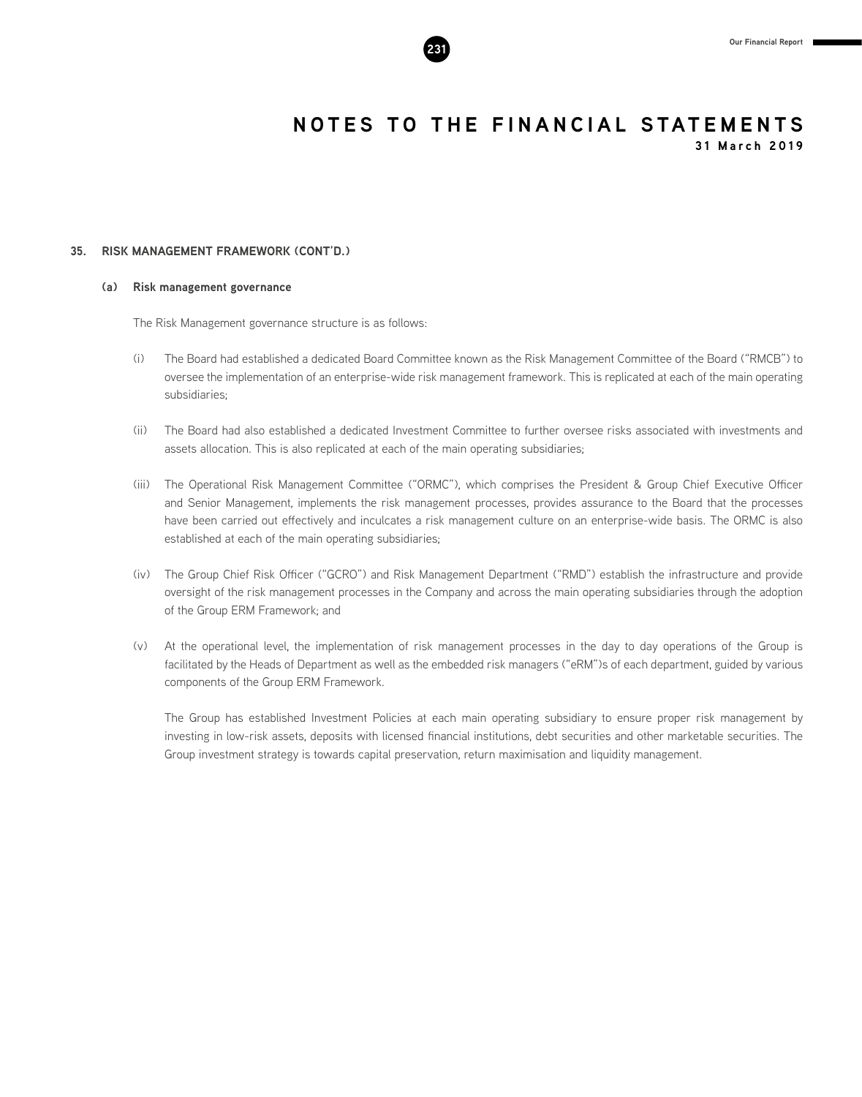

**31 March 2019**

# **35. RISK MANAGEMENT FRAMEWORK (CONT'D.)**

### **(a) Risk management governance**

The Risk Management governance structure is as follows:

- (i) The Board had established a dedicated Board Committee known as the Risk Management Committee of the Board ("RMCB") to oversee the implementation of an enterprise-wide risk management framework. This is replicated at each of the main operating subsidiaries;
- (ii) The Board had also established a dedicated Investment Committee to further oversee risks associated with investments and assets allocation. This is also replicated at each of the main operating subsidiaries;
- (iii) The Operational Risk Management Committee ("ORMC"), which comprises the President & Group Chief Executive Officer and Senior Management, implements the risk management processes, provides assurance to the Board that the processes have been carried out effectively and inculcates a risk management culture on an enterprise-wide basis. The ORMC is also established at each of the main operating subsidiaries;
- (iv) The Group Chief Risk Officer ("GCRO") and Risk Management Department ("RMD") establish the infrastructure and provide oversight of the risk management processes in the Company and across the main operating subsidiaries through the adoption of the Group ERM Framework; and
- (v) At the operational level, the implementation of risk management processes in the day to day operations of the Group is facilitated by the Heads of Department as well as the embedded risk managers ("eRM")s of each department, guided by various components of the Group ERM Framework.

The Group has established Investment Policies at each main operating subsidiary to ensure proper risk management by investing in low-risk assets, deposits with licensed financial institutions, debt securities and other marketable securities. The Group investment strategy is towards capital preservation, return maximisation and liquidity management.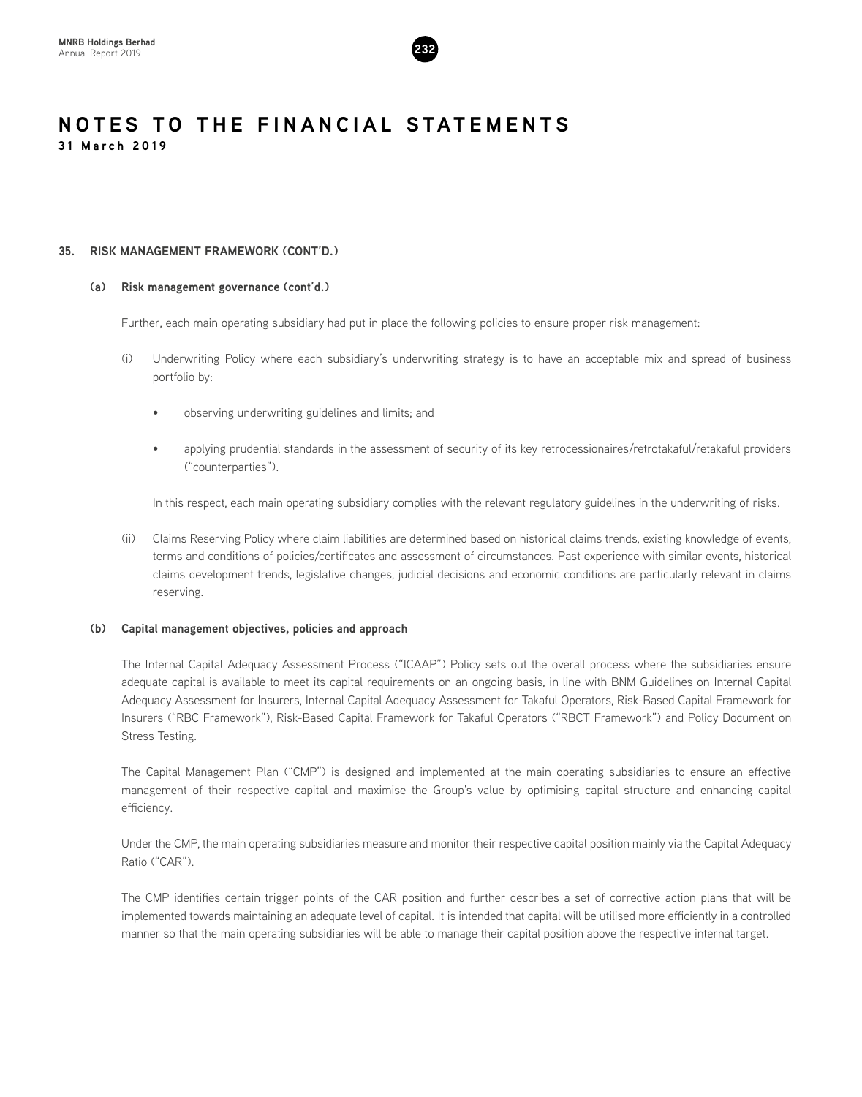

# **35. RISK MANAGEMENT FRAMEWORK (CONT'D.)**

# **(a) Risk management governance (cont'd.)**

Further, each main operating subsidiary had put in place the following policies to ensure proper risk management:

- (i) Underwriting Policy where each subsidiary's underwriting strategy is to have an acceptable mix and spread of business portfolio by:
	- observing underwriting guidelines and limits; and
	- applying prudential standards in the assessment of security of its key retrocessionaires/retrotakaful/retakaful providers ("counterparties").

In this respect, each main operating subsidiary complies with the relevant regulatory guidelines in the underwriting of risks.

(ii) Claims Reserving Policy where claim liabilities are determined based on historical claims trends, existing knowledge of events, terms and conditions of policies/certificates and assessment of circumstances. Past experience with similar events, historical claims development trends, legislative changes, judicial decisions and economic conditions are particularly relevant in claims reserving.

# **(b) Capital management objectives, policies and approach**

The Internal Capital Adequacy Assessment Process ("ICAAP") Policy sets out the overall process where the subsidiaries ensure adequate capital is available to meet its capital requirements on an ongoing basis, in line with BNM Guidelines on Internal Capital Adequacy Assessment for Insurers, Internal Capital Adequacy Assessment for Takaful Operators, Risk-Based Capital Framework for Insurers ("RBC Framework"), Risk-Based Capital Framework for Takaful Operators ("RBCT Framework") and Policy Document on Stress Testing.

The Capital Management Plan ("CMP") is designed and implemented at the main operating subsidiaries to ensure an effective management of their respective capital and maximise the Group's value by optimising capital structure and enhancing capital efficiency.

Under the CMP, the main operating subsidiaries measure and monitor their respective capital position mainly via the Capital Adequacy Ratio ("CAR").

The CMP identifies certain trigger points of the CAR position and further describes a set of corrective action plans that will be implemented towards maintaining an adequate level of capital. It is intended that capital will be utilised more efficiently in a controlled manner so that the main operating subsidiaries will be able to manage their capital position above the respective internal target.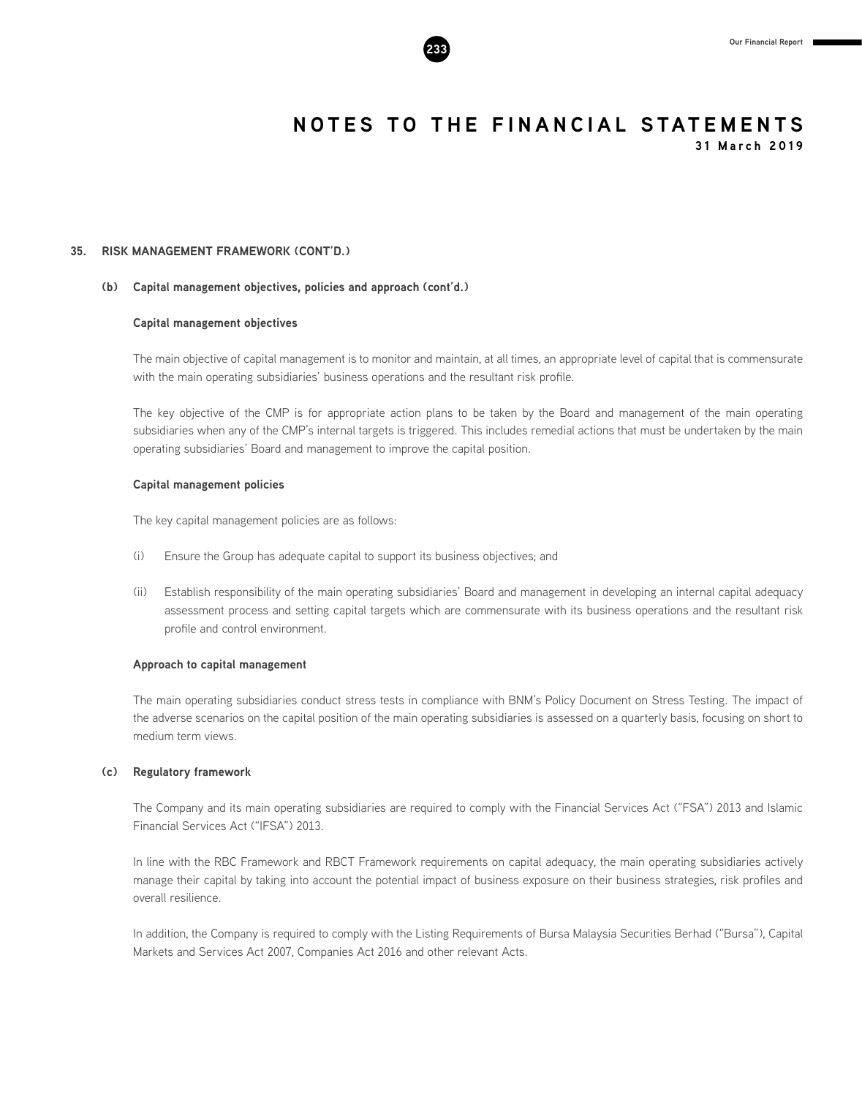

**35. RISK MANAGEMENT FRAMEWORK (CONT'D.)**

### **(b) Capital management objectives, policies and approach (cont'd.)**

### **Capital management objectives**

The main objective of capital management is to monitor and maintain, at all times, an appropriate level of capital that is commensurate with the main operating subsidiaries' business operations and the resultant risk profile.

The key objective of the CMP is for appropriate action plans to be taken by the Board and management of the main operating subsidiaries when any of the CMP's internal targets is triggered. This includes remedial actions that must be undertaken by the main operating subsidiaries' Board and management to improve the capital position.

### **Capital management policies**

The key capital management policies are as follows:

- (i) Ensure the Group has adequate capital to support its business objectives; and
- (ii) Establish responsibility of the main operating subsidiaries' Board and management in developing an internal capital adequacy assessment process and setting capital targets which are commensurate with its business operations and the resultant risk profile and control environment.

### **Approach to capital management**

The main operating subsidiaries conduct stress tests in compliance with BNM's Policy Document on Stress Testing. The impact of the adverse scenarios on the capital position of the main operating subsidiaries is assessed on a quarterly basis, focusing on short to medium term views.

### **(c) Regulatory framework**

The Company and its main operating subsidiaries are required to comply with the Financial Services Act ("FSA") 2013 and Islamic Financial Services Act ("IFSA") 2013.

In line with the RBC Framework and RBCT Framework requirements on capital adequacy, the main operating subsidiaries actively manage their capital by taking into account the potential impact of business exposure on their business strategies, risk profiles and overall resilience.

In addition, the Company is required to comply with the Listing Requirements of Bursa Malaysia Securities Berhad ("Bursa"), Capital Markets and Services Act 2007, Companies Act 2016 and other relevant Acts.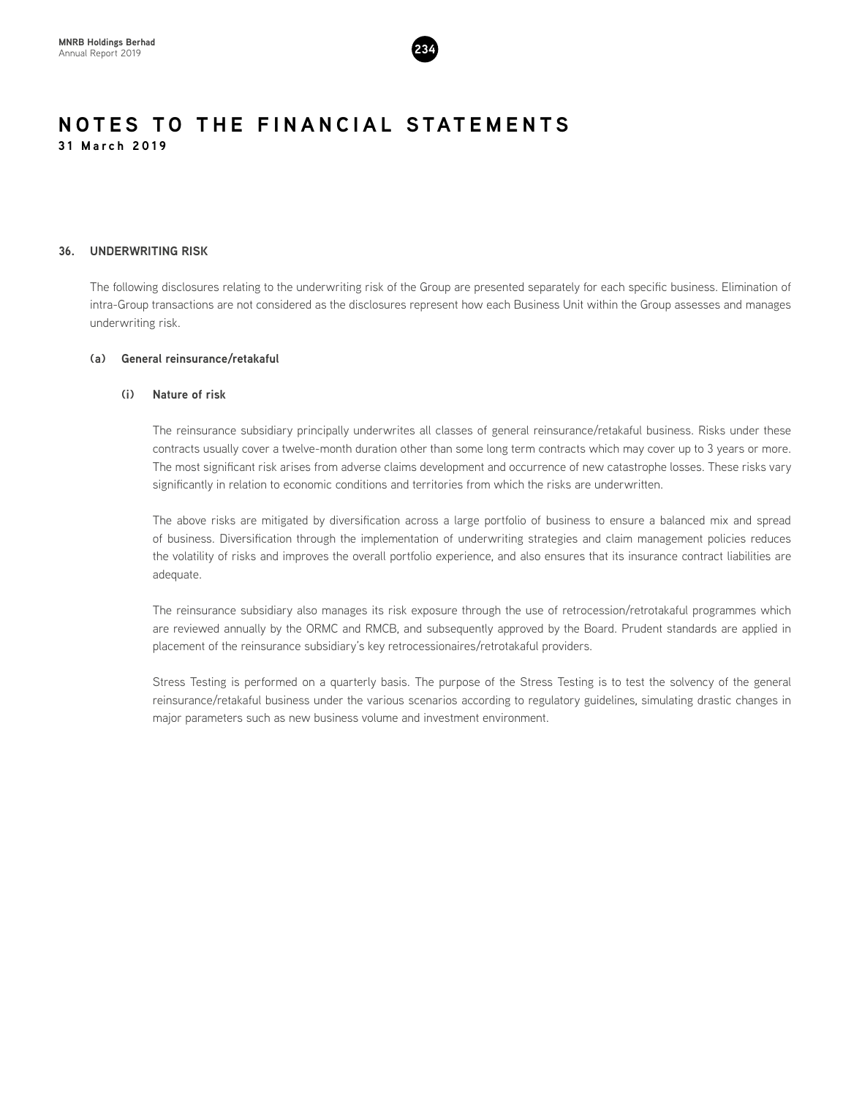

# **36. UNDERWRITING RISK**

The following disclosures relating to the underwriting risk of the Group are presented separately for each specific business. Elimination of intra-Group transactions are not considered as the disclosures represent how each Business Unit within the Group assesses and manages underwriting risk.

# **(a) General reinsurance/retakaful**

### **(i) Nature of risk**

The reinsurance subsidiary principally underwrites all classes of general reinsurance/retakaful business. Risks under these contracts usually cover a twelve-month duration other than some long term contracts which may cover up to 3 years or more. The most significant risk arises from adverse claims development and occurrence of new catastrophe losses. These risks vary significantly in relation to economic conditions and territories from which the risks are underwritten.

The above risks are mitigated by diversification across a large portfolio of business to ensure a balanced mix and spread of business. Diversification through the implementation of underwriting strategies and claim management policies reduces the volatility of risks and improves the overall portfolio experience, and also ensures that its insurance contract liabilities are adequate.

The reinsurance subsidiary also manages its risk exposure through the use of retrocession/retrotakaful programmes which are reviewed annually by the ORMC and RMCB, and subsequently approved by the Board. Prudent standards are applied in placement of the reinsurance subsidiary's key retrocessionaires/retrotakaful providers.

Stress Testing is performed on a quarterly basis. The purpose of the Stress Testing is to test the solvency of the general reinsurance/retakaful business under the various scenarios according to regulatory guidelines, simulating drastic changes in major parameters such as new business volume and investment environment.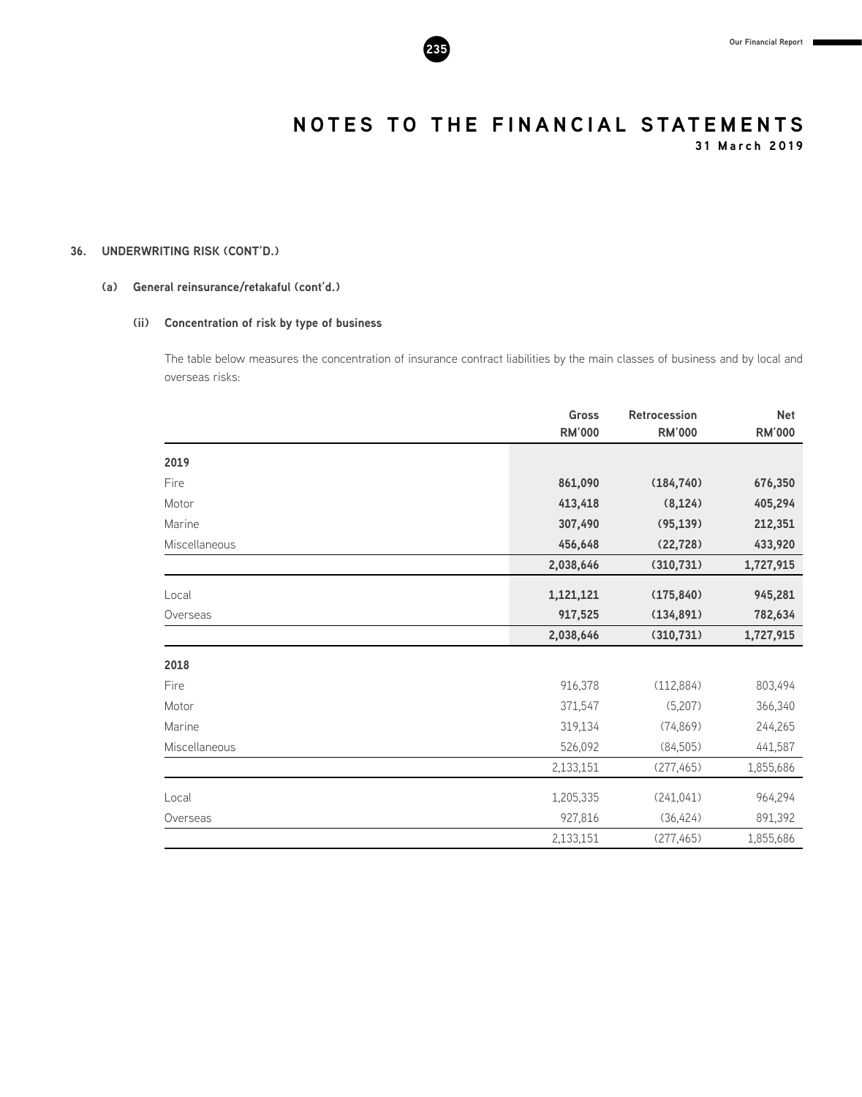**31 March 2019**

# **36. UNDERWRITING RISK (CONT'D.)**

# **(a) General reinsurance/retakaful (cont'd.)**

# **(ii) Concentration of risk by type of business**

The table below measures the concentration of insurance contract liabilities by the main classes of business and by local and overseas risks:

|               | <b>Gross</b>  | <b>Retrocession</b> | <b>Net</b>    |
|---------------|---------------|---------------------|---------------|
|               | <b>RM'000</b> | <b>RM'000</b>       | <b>RM'000</b> |
| 2019          |               |                     |               |
| Fire          | 861,090       | (184, 740)          | 676,350       |
| Motor         | 413,418       | (8, 124)            | 405,294       |
| Marine        | 307,490       | (95, 139)           | 212,351       |
| Miscellaneous | 456,648       | (22, 728)           | 433,920       |
|               | 2,038,646     | (310, 731)          | 1,727,915     |
| Local         | 1,121,121     | (175, 840)          | 945,281       |
| Overseas      | 917,525       | (134, 891)          | 782,634       |
|               | 2,038,646     | (310, 731)          | 1,727,915     |
| 2018          |               |                     |               |
| Fire          | 916,378       | (112, 884)          | 803,494       |
| Motor         | 371,547       | (5,207)             | 366,340       |
| Marine        | 319,134       | (74, 869)           | 244,265       |
| Miscellaneous | 526,092       | (84,505)            | 441,587       |
|               | 2,133,151     | (277, 465)          | 1,855,686     |
| Local         | 1,205,335     | (241, 041)          | 964,294       |
| Overseas      | 927,816       | (36, 424)           | 891,392       |
|               | 2,133,151     | (277, 465)          | 1,855,686     |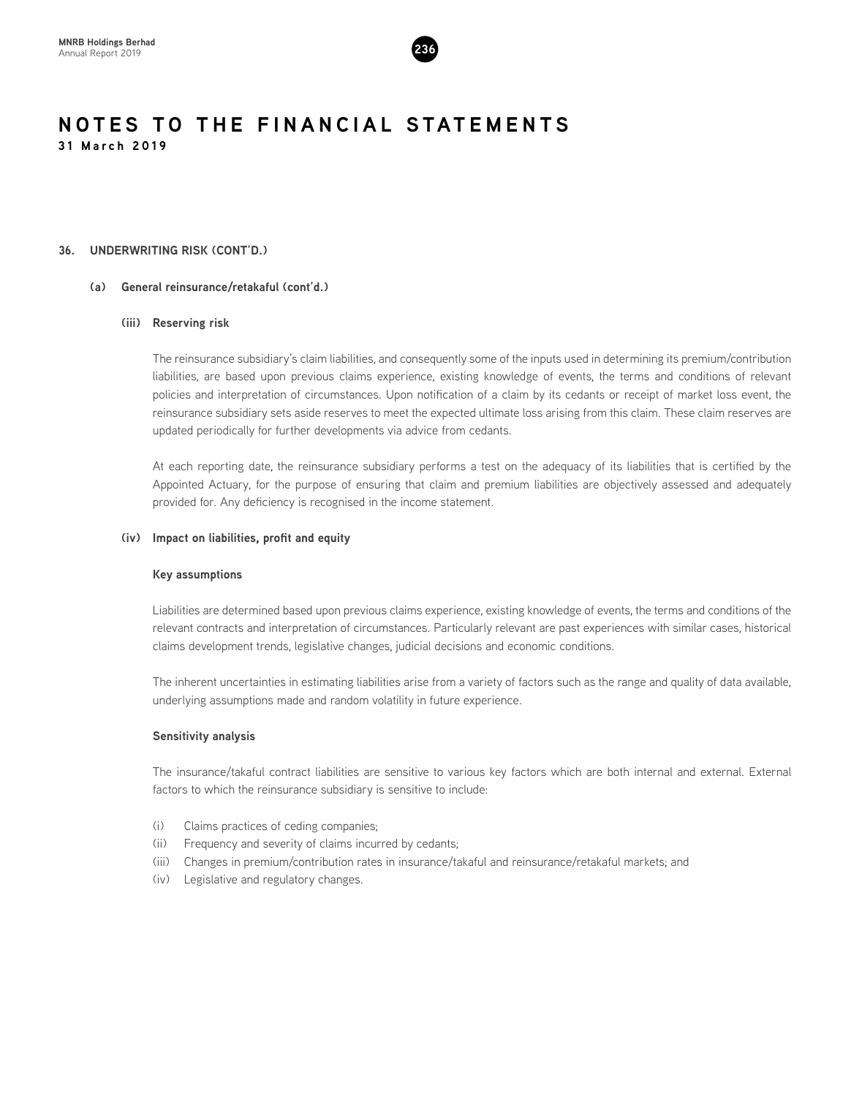

# **36. UNDERWRITING RISK (CONT'D.)**

# **(a) General reinsurance/retakaful (cont'd.)**

# **(iii) Reserving risk**

The reinsurance subsidiary's claim liabilities, and consequently some of the inputs used in determining its premium/contribution liabilities, are based upon previous claims experience, existing knowledge of events, the terms and conditions of relevant policies and interpretation of circumstances. Upon notification of a claim by its cedants or receipt of market loss event, the reinsurance subsidiary sets aside reserves to meet the expected ultimate loss arising from this claim. These claim reserves are updated periodically for further developments via advice from cedants.

At each reporting date, the reinsurance subsidiary performs a test on the adequacy of its liabilities that is certified by the Appointed Actuary, for the purpose of ensuring that claim and premium liabilities are objectively assessed and adequately provided for. Any deficiency is recognised in the income statement.

# **(iv) Impact on liabilities, profit and equity**

### **Key assumptions**

Liabilities are determined based upon previous claims experience, existing knowledge of events, the terms and conditions of the relevant contracts and interpretation of circumstances. Particularly relevant are past experiences with similar cases, historical claims development trends, legislative changes, judicial decisions and economic conditions.

The inherent uncertainties in estimating liabilities arise from a variety of factors such as the range and quality of data available, underlying assumptions made and random volatility in future experience.

# **Sensitivity analysis**

The insurance/takaful contract liabilities are sensitive to various key factors which are both internal and external. External factors to which the reinsurance subsidiary is sensitive to include:

- (i) Claims practices of ceding companies;
- (ii) Frequency and severity of claims incurred by cedants;
- (iii) Changes in premium/contribution rates in insurance/takaful and reinsurance/retakaful markets; and
- (iv) Legislative and regulatory changes.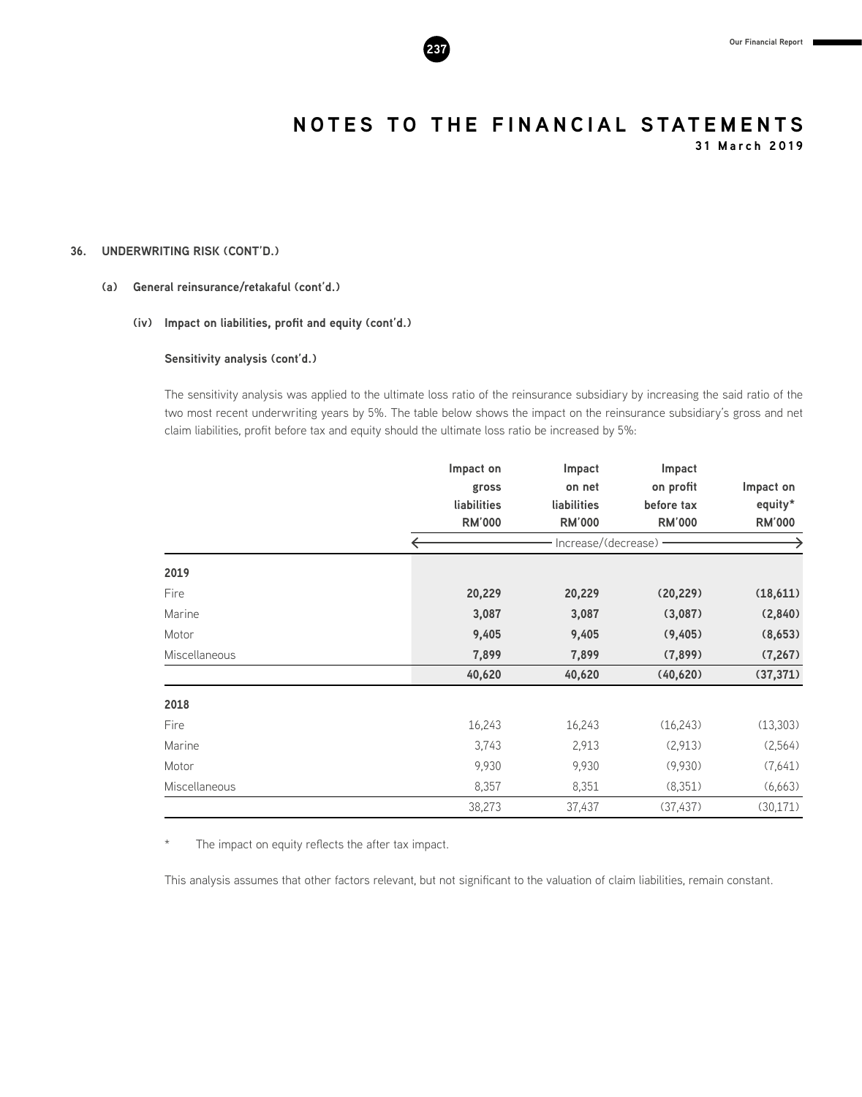

**31 March 2019**

# **36. UNDERWRITING RISK (CONT'D.)**

# **(a) General reinsurance/retakaful (cont'd.)**

# **(iv) Impact on liabilities, profit and equity (cont'd.)**

**Sensitivity analysis (cont'd.)**

The sensitivity analysis was applied to the ultimate loss ratio of the reinsurance subsidiary by increasing the said ratio of the two most recent underwriting years by 5%. The table below shows the impact on the reinsurance subsidiary's gross and net claim liabilities, profit before tax and equity should the ultimate loss ratio be increased by 5%:

|               | Impact on     | Impact                | Impact        |               |
|---------------|---------------|-----------------------|---------------|---------------|
|               | gross         | on net                | on profit     | Impact on     |
|               | liabilities   | liabilities           | before tax    | equity*       |
|               | <b>RM'000</b> | <b>RM'000</b>         | <b>RM'000</b> | <b>RM'000</b> |
|               |               | Increase/(decrease) - |               |               |
| 2019          |               |                       |               |               |
| Fire          | 20,229        | 20,229                | (20, 229)     | (18,611)      |
| Marine        | 3,087         | 3,087                 | (3,087)       | (2,840)       |
| Motor         | 9,405         | 9,405                 | (9,405)       | (8,653)       |
| Miscellaneous | 7,899         | 7,899                 | (7,899)       | (7, 267)      |
|               | 40,620        | 40,620                | (40, 620)     | (37, 371)     |
| 2018          |               |                       |               |               |
| Fire          | 16,243        | 16,243                | (16, 243)     | (13, 303)     |
| Marine        | 3,743         | 2,913                 | (2,913)       | (2,564)       |
| Motor         | 9,930         | 9,930                 | (9,930)       | (7,641)       |
| Miscellaneous | 8,357         | 8,351                 | (8,351)       | (6,663)       |
|               | 38,273        | 37,437                | (37, 437)     | (30, 171)     |

\* The impact on equity reflects the after tax impact.

This analysis assumes that other factors relevant, but not significant to the valuation of claim liabilities, remain constant.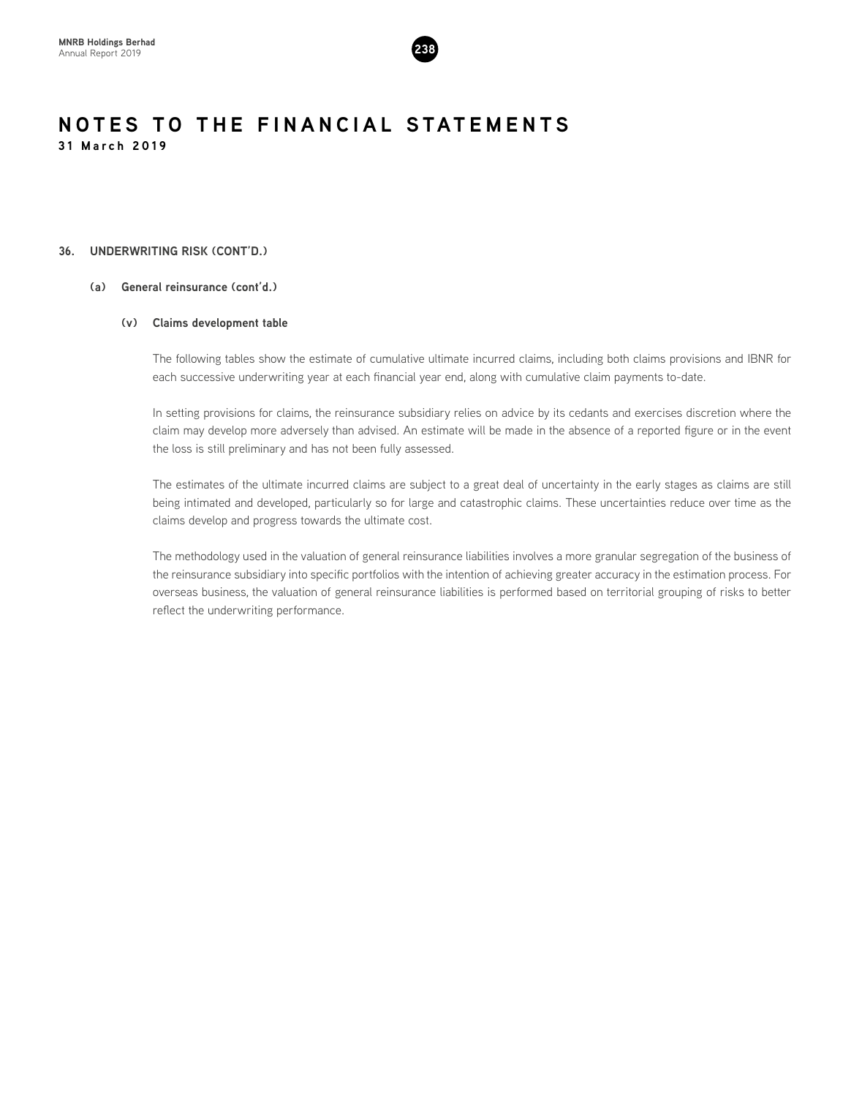

# **36. UNDERWRITING RISK (CONT'D.)**

# **(a) General reinsurance (cont'd.)**

# **(v) Claims development table**

The following tables show the estimate of cumulative ultimate incurred claims, including both claims provisions and IBNR for each successive underwriting year at each financial year end, along with cumulative claim payments to-date.

In setting provisions for claims, the reinsurance subsidiary relies on advice by its cedants and exercises discretion where the claim may develop more adversely than advised. An estimate will be made in the absence of a reported figure or in the event the loss is still preliminary and has not been fully assessed.

The estimates of the ultimate incurred claims are subject to a great deal of uncertainty in the early stages as claims are still being intimated and developed, particularly so for large and catastrophic claims. These uncertainties reduce over time as the claims develop and progress towards the ultimate cost.

The methodology used in the valuation of general reinsurance liabilities involves a more granular segregation of the business of the reinsurance subsidiary into specific portfolios with the intention of achieving greater accuracy in the estimation process. For overseas business, the valuation of general reinsurance liabilities is performed based on territorial grouping of risks to better reflect the underwriting performance.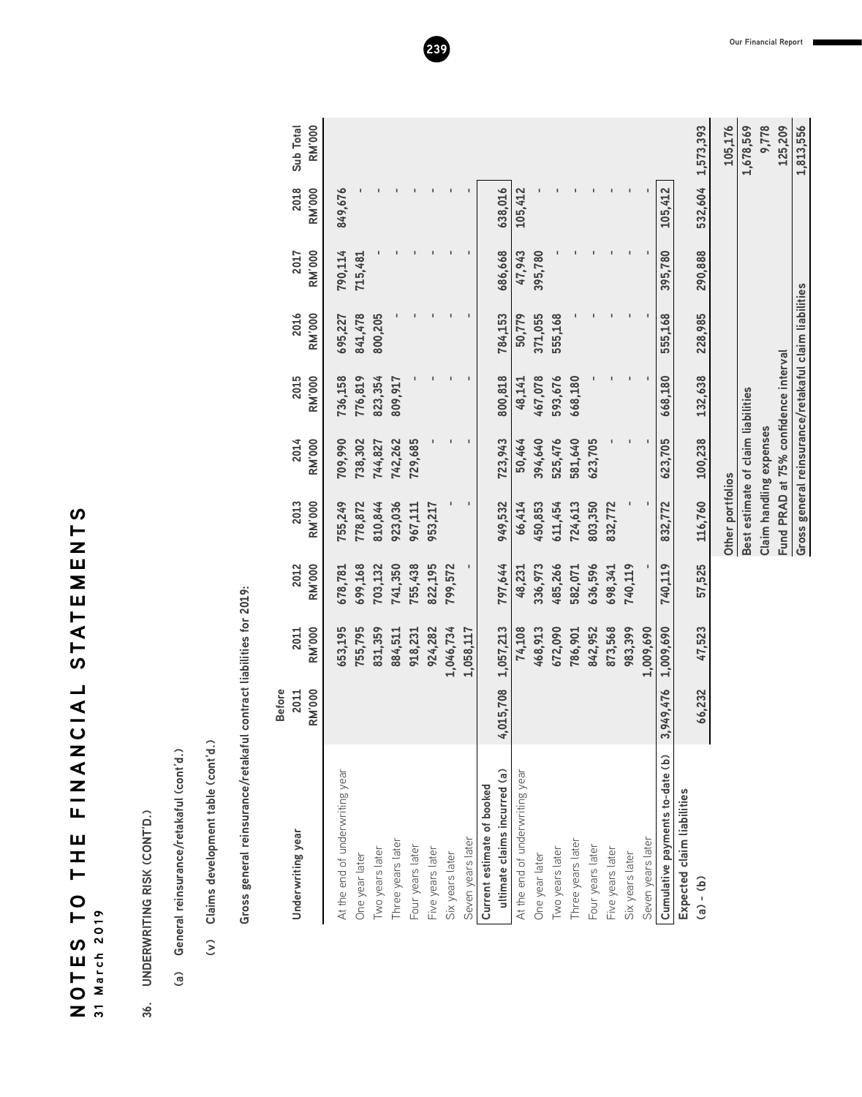NOTES TO THE FINANCIAL STATEMENTS **SLZUNIALS TATONANIL UIL OL SULON 31 March 2019**

- 36. UNDERWRITING RISK (CONT'D.) **36. UNDERWRITING RISK (CONT'D.)**
- (a) General reinsurance/retakaful (cont'd.) **(a) General reinsurance/retakaful (cont'd.)**
- (v) Claims development table (cont'd.) **(v) Claims development table (cont'd.)**

Gross general reinsurance/retakaful contract liabilities for 2019: **Gross general reinsurance/retakaful contract liabilities for 2019:**

| Underwriting year               | <b>Before</b><br><b>RM'000</b><br>2011 | <b>RM'000</b><br>2011 | 2012<br><b>RM'000</b> | 2013<br><b>RM'000</b>              | 2014<br><b>RM'000</b> | 2015<br><b>RM'000</b>                                 | 2016<br><b>RM'000</b> | <b>RM'000</b><br>2017 | 2018<br><b>RM'000</b> | <b>RM'000</b><br>Sub Total |
|---------------------------------|----------------------------------------|-----------------------|-----------------------|------------------------------------|-----------------------|-------------------------------------------------------|-----------------------|-----------------------|-----------------------|----------------------------|
| At the end of underwriting year |                                        | 653,195               | 678,781               | 755,249                            | 709,990               | 736,158                                               | 695,227               | 790,114               | 849,676               |                            |
| One year later                  |                                        | 755,795               | 699,168               | 778,872                            | 738,302               | 776,819                                               | 841,478               | 715,481               |                       |                            |
| Two years later                 |                                        | 831,359               | 703,132               | 810,844                            | 744,827               | 823,354                                               | 800,205               |                       |                       |                            |
| Three years later               |                                        | 884,511               | 741,350               | 923,036                            | 742,262               | 809,917                                               |                       |                       |                       |                            |
| Four years later                |                                        | 918,231               | 755,438               | 967,111                            | 729,685               |                                                       |                       |                       |                       |                            |
| Five years later                |                                        | 924,282               | 822,195               | 953,217                            |                       |                                                       |                       |                       |                       |                            |
| Six years later                 |                                        | 1,046,734             | 799,572               |                                    |                       |                                                       |                       |                       |                       |                            |
| Seven years later               |                                        | 1,058,117             |                       | ı                                  |                       |                                                       |                       |                       |                       |                            |
| Current estimate of booked      |                                        |                       |                       |                                    |                       |                                                       |                       |                       |                       |                            |
| ultimate claims incurred (a)    | ,015,708                               | 1,057,213             | 797,644               | 949,532                            | 723,943               | 800,818                                               | 784,153               | 686,668               | 638,016               |                            |
| At the end of underwriting year |                                        | 74,108                | 48,231                | 66,414                             | 50,464                | 48,141                                                | 50,779                | 47,943                | 105,412               |                            |
| One year later                  |                                        | 468,913               | 336,973               | 450,853                            | 394,640               | 467,078                                               | 371,055               | 395,780               |                       |                            |
| Two years later                 |                                        | 672,090               | 485,266               | 611,454                            | 525,476               | 593,676                                               | 555,168               |                       |                       |                            |
| Three years later               |                                        | 786,901               | 582,071               | 724,613                            | 581,640               | 668,180                                               |                       |                       | $\blacksquare$        |                            |
| Four years later                |                                        | 842,952               | 636,596               | 803,350                            | 623,705               |                                                       |                       |                       |                       |                            |
| Five years later                |                                        | 873,568               | 698,341               | 832,772                            |                       |                                                       |                       |                       | ı                     |                            |
| Six years later                 |                                        | 983,399               | 740,119               |                                    |                       |                                                       |                       |                       |                       |                            |
| Seven years later               |                                        | 1,009,690             |                       |                                    |                       |                                                       |                       |                       |                       |                            |
| Cumulative payments to-date (b) | 949,476<br>S                           | 1,009,690             | 740,119               | 832,772                            | 623,705               | 668,180                                               | 555,168               | 395,780               | 105,412               |                            |
| Expected claim liabilities      |                                        |                       |                       |                                    |                       |                                                       |                       |                       |                       |                            |
| $(d) - (b)$                     | 66,232                                 | 47,523                | 57,525                | 116,760                            | 100,238               | 132,638                                               | 228,985               | 290,888               | 532,604               | 1,573,393                  |
|                                 |                                        |                       |                       | Other portfolios                   |                       |                                                       |                       |                       |                       | 105,176                    |
|                                 |                                        |                       |                       | Best estimate of claim liabilities |                       |                                                       |                       |                       |                       | 1,678,569                  |
|                                 |                                        |                       |                       | Claim handling expenses            |                       |                                                       |                       |                       |                       | 9,778                      |
|                                 |                                        |                       |                       |                                    |                       | Fund PRAD at 75% confidence interval                  |                       |                       |                       | 125,209                    |
|                                 |                                        |                       |                       |                                    |                       | Gross general reinsurance/retakaful claim liabilities |                       |                       |                       | 1,813,556                  |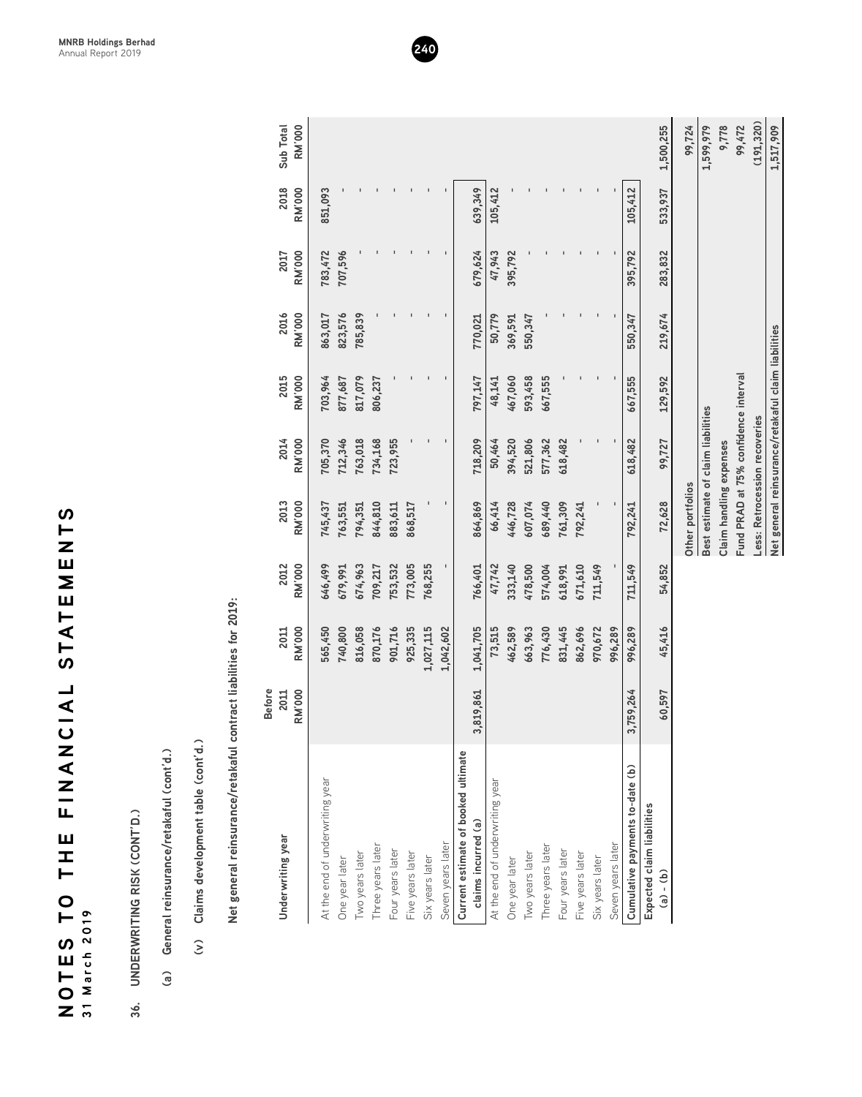| ഗ                                |                |
|----------------------------------|----------------|
| $\blacksquare$                   |                |
| TEMEN                            |                |
|                                  |                |
|                                  |                |
|                                  |                |
|                                  |                |
|                                  |                |
| -<br>⊢                           |                |
| ທ                                |                |
|                                  |                |
| ┙                                |                |
| $\overline{4}$<br>$\overline{0}$ |                |
|                                  |                |
|                                  |                |
| ⊂<br>Σ                           |                |
|                                  |                |
| $\overline{z}$                   |                |
|                                  |                |
| Ц,                               |                |
|                                  |                |
| ш<br>工                           |                |
| H                                |                |
|                                  |                |
| $\bullet$                        |                |
| $\vdash$                         |                |
|                                  | 2019           |
| <u>(</u>                         |                |
| ш<br>Н                           | March          |
|                                  |                |
| O                                |                |
| ž                                | $\overline{1}$ |

- 
- 
- 

| 36.           | <b>UNDERWRITING RISK (CONT'D.)</b>                               |                                        |                       |                       |                                      |                       |                                                     |                       |                       |                       |                            |
|---------------|------------------------------------------------------------------|----------------------------------------|-----------------------|-----------------------|--------------------------------------|-----------------------|-----------------------------------------------------|-----------------------|-----------------------|-----------------------|----------------------------|
| $\widehat{a}$ | General reinsurance/retakaful (cont'd.)                          |                                        |                       |                       |                                      |                       |                                                     |                       |                       |                       |                            |
|               | Claims development table (cont'd.)<br>$\widehat{\epsilon}$       |                                        |                       |                       |                                      |                       |                                                     |                       |                       |                       |                            |
|               | Net general reinsurance/retakaful contract liabilities for 2019: |                                        |                       |                       |                                      |                       |                                                     |                       |                       |                       |                            |
|               | Underwriting year                                                | <b>RM'000</b><br><b>Before</b><br>2011 | <b>RM'000</b><br>2011 | <b>RM'000</b><br>2012 | <b>RM'000</b><br>2013                | <b>RM'000</b><br>2014 | <b>RM'000</b><br>2015                               | 2016<br><b>RM'000</b> | <b>RM'000</b><br>2017 | 2018<br><b>RM'000</b> | <b>RM'000</b><br>Sub Total |
|               | At the end of underwriting year                                  |                                        | 565,450               | 646,499               | 745,437                              | 705,370               | 703,964                                             | 863,017               | 783,472               | 851,093               |                            |
|               | One year later                                                   |                                        | 740,800               | 679,991               | 763,551                              | 712,346               | 877,687                                             | 823,576               | 707,596               |                       |                            |
|               | Two years later                                                  |                                        | 816,058               | 674,963               | 794,351                              | 763,018               | 817,079                                             | 785,839               |                       |                       |                            |
|               | Three years later                                                |                                        | 870,176               | 709,217               | 844,810                              | 734,168               | 806,237                                             |                       |                       |                       |                            |
|               | Four years later                                                 |                                        | 901,716               | 753,532               | 883,611                              | 723,955               |                                                     |                       |                       |                       |                            |
|               | Five years later                                                 |                                        | 925,335               | 773,005               | 868,517                              |                       |                                                     |                       |                       |                       |                            |
|               | Six years later                                                  |                                        | 1,027,115             | 768,255               |                                      |                       |                                                     |                       |                       |                       |                            |
|               | Seven years later                                                |                                        | 1,042,602             | 1                     |                                      | $\blacksquare$        |                                                     |                       |                       |                       |                            |
|               | Current estimate of booked ultimate                              |                                        |                       |                       |                                      |                       |                                                     |                       |                       |                       |                            |
|               | claims incurred (a)                                              | 3,819,861                              | 1,041,705             | 766,401               | 864,869                              | 718,209               | 797,147                                             | 770,021               | 679,624               | 639,349               |                            |
|               | At the end of underwriting year                                  |                                        | 73,515                | 47,742                | 66,414                               | 50,464                | 48,141                                              | 50,779                | 47,943                | 105,412               |                            |
|               | One year later                                                   |                                        | 462,589               | 333,140               | 446,728                              | 394,520               | 467,060                                             | 369,591               | 395,792               |                       |                            |
|               | Two years later                                                  |                                        | 663,963               | 478,500               | 607,074                              | 521,806               | 593,458                                             | 550,347               |                       |                       |                            |
|               | Three years later                                                |                                        | 776,430               | 574,004               | 689,440                              | 577,362               | 667,555                                             |                       |                       |                       |                            |
|               | Four years later                                                 |                                        | 831,445               | 618,991               | 761,309                              | 618,482               |                                                     |                       |                       |                       |                            |
|               | Five years later                                                 |                                        | 862,696               | 671,610               | 792,241                              |                       |                                                     |                       |                       |                       |                            |
|               | Six years later                                                  |                                        | 970,672               | 711,549               |                                      |                       |                                                     |                       |                       |                       |                            |
|               | Seven years later                                                |                                        | 996,289               |                       |                                      |                       |                                                     |                       |                       |                       |                            |
|               | Cumulative payments to-date (b)                                  | 3,759,264                              | 996,289               | 711,549               | 792,241                              | 618,482               | 667,555                                             | 550,347               | 395,792               | 105,412               |                            |
|               | Expected claim liabilities                                       |                                        |                       |                       |                                      |                       |                                                     |                       |                       |                       |                            |
|               | $(a) - (b)$                                                      | 60,597                                 | 45,416                | 54,852                | 72,628                               | 99,727                | 129,592                                             | 219,674               | 283,832               | 533,937               | 1,500,255                  |
|               |                                                                  |                                        |                       |                       | Other portfolios                     |                       |                                                     |                       |                       |                       | 99,724                     |
|               |                                                                  |                                        |                       |                       | Best estimate of claim liabilities   |                       |                                                     |                       |                       |                       | 1,599,979                  |
|               |                                                                  |                                        |                       |                       | Claim handling expenses              |                       |                                                     |                       |                       |                       | 9,778                      |
|               |                                                                  |                                        |                       |                       | Fund PRAD at 75% confidence interval |                       |                                                     |                       |                       |                       | 99,472                     |
|               |                                                                  |                                        |                       |                       | Less: Retrocession recoveries        |                       |                                                     |                       |                       |                       | (191, 320)                 |
|               |                                                                  |                                        |                       |                       |                                      |                       | Net general reinsurance/retakaful claim liabilities |                       |                       |                       | 1,517,909                  |
|               |                                                                  |                                        |                       |                       |                                      |                       |                                                     |                       |                       |                       |                            |

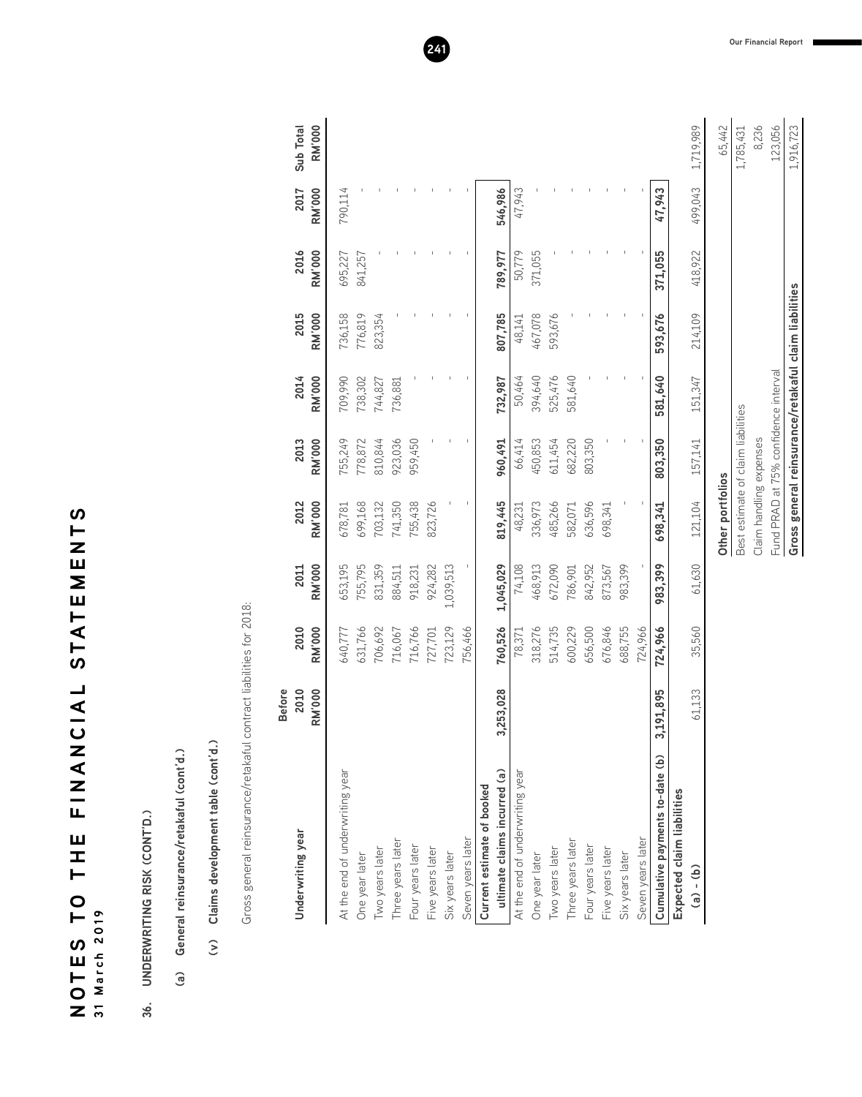| <sub>3</sub>          |          |
|-----------------------|----------|
| ⊢                     |          |
|                       |          |
|                       |          |
|                       |          |
|                       |          |
|                       |          |
|                       |          |
| STATEMEI              |          |
|                       |          |
|                       |          |
|                       |          |
| <b>UAL</b>            |          |
|                       |          |
| Σ<br>Σ                |          |
| $\overline{=}$        |          |
|                       |          |
| Щ                     |          |
| Ш                     |          |
| I                     |          |
| ⊢                     |          |
| $\bullet$             |          |
| É                     |          |
|                       | 2019     |
| $\boldsymbol{\omega}$ |          |
| <b>LIDN</b>           | 31 March |
|                       |          |
|                       |          |
|                       |          |

# 36. UNDERWRITING RISK (CONT'D.) **36. UNDERWRITING RISK (CONT'D.)**

# (a) General reinsurance/retakaful (cont'd.) **(a) General reinsurance/retakaful (cont'd.)**

# (v) Claims development table (cont'd.) **(v) Claims development table (cont'd.)**

Gross general reinsurance/retakaful contract liabilities for 2018: Gross general reinsurance/retakaful contract liabilities for 2018:

| Underwriting year               | <b>Before</b><br>2010<br><b>RM'000</b> | <b>RM'000</b><br>2010 | <b>RM'000</b><br>2011 | <b>RM'000</b><br>2012                                 | <b>RM'000</b><br>2013 | 2014<br><b>RM'000</b> | 2015<br><b>RM'000</b> | 2016<br><b>RM'000</b> | <b>RM'000</b><br>2017 | <b>RM'000</b><br>Sub Total |
|---------------------------------|----------------------------------------|-----------------------|-----------------------|-------------------------------------------------------|-----------------------|-----------------------|-----------------------|-----------------------|-----------------------|----------------------------|
| At the end of underwriting year |                                        | 640,777               | 653,195               | 678,781                                               | 755,249               | 709,990               | 736,158               | 695,227               | 790,114               |                            |
| One year later                  |                                        | 631,766               | 755,795               | 699,168                                               | 778,872               | 738,302               | 776,819               | 841,257               |                       |                            |
| Two years later                 |                                        | 706,692               | 831,359               | 703,132                                               | 810,844               | 744,827               | 823,354               |                       |                       |                            |
| Three years later               |                                        | 716,067               | 884,511               | 741,350                                               | 923,036               | 736,881               |                       |                       |                       |                            |
| Four years later                |                                        | 716,766               | 918,231               | 755,438                                               | 959,450               |                       |                       |                       |                       |                            |
| Five years later                |                                        | 727,701               | 924,282               | 823,726                                               |                       |                       |                       |                       |                       |                            |
| Six years later                 |                                        | 723,129               | 1,039,513             |                                                       |                       |                       |                       |                       |                       |                            |
| Seven years later               |                                        | 756,466               |                       |                                                       |                       |                       |                       |                       |                       |                            |
| Current estimate of booked      |                                        |                       |                       |                                                       |                       |                       |                       |                       |                       |                            |
| ultimate claims incurred (a)    | 3,253,028                              | 760,526               | 1,045,029             | 819,445                                               | 960,491               | 732,987               | 807,785               | 789,977               | 546,986               |                            |
| At the end of underwriting year |                                        | 78,371                | 74,108                | 48,231                                                | 66,414                | 50,464                | 48,141                | 50,779                | 47,943                |                            |
| One year later                  |                                        | 318,276               | 468,913               | 336,973                                               | 450,853               | 394,640               | 467,078               | 371,055               |                       |                            |
| Two years later                 |                                        | 514,735               | 672,090               | 485,266                                               | 611,454               | 525,476               | 593,676               |                       |                       |                            |
| Three years later               |                                        | 600,229               | 786,901               | 582,071                                               | 682,220               | 581,640               |                       |                       |                       |                            |
| Four years later                |                                        | 656,500               | 842,952               | 636,596                                               | 803,350               |                       |                       |                       |                       |                            |
| Five years later                |                                        | 676,846               | 873,567               | 698,341                                               |                       |                       |                       |                       |                       |                            |
| Six years later                 |                                        | 688,755               | 983,399               |                                                       |                       |                       |                       |                       |                       |                            |
| Seven years later               |                                        | 724,966               |                       |                                                       |                       |                       |                       |                       |                       |                            |
| Cumulative payments to-date (b) | 191,895                                | 724,966               | 983,399               | 698,341                                               | 803,350               | 581,640               | 593,676               | 371,055               | 47,943                |                            |
| Expected claim liabilities      |                                        |                       |                       |                                                       |                       |                       |                       |                       |                       |                            |
| $(a) - (b)$                     | 61,133                                 | 35,560                | 61,630                | 121,104                                               | 157,141               | 151,347               | 214,109               | 418,922               | 499,043               | 1,719,989                  |
|                                 |                                        |                       |                       | Other portfolios                                      |                       |                       |                       |                       |                       | 65,442                     |
|                                 |                                        |                       |                       | Best estimate of claim liabilities                    |                       |                       |                       |                       |                       | 1,785,431                  |
|                                 |                                        |                       |                       | Claim handling expenses                               |                       |                       |                       |                       |                       | 8,236                      |
|                                 |                                        |                       |                       | Fund PRAD at 75% confidence interval                  |                       |                       |                       |                       |                       | 123,056                    |
|                                 |                                        |                       |                       | Gross general reinsurance/retakaful claim liabilities |                       |                       |                       |                       |                       | 1,916,723                  |

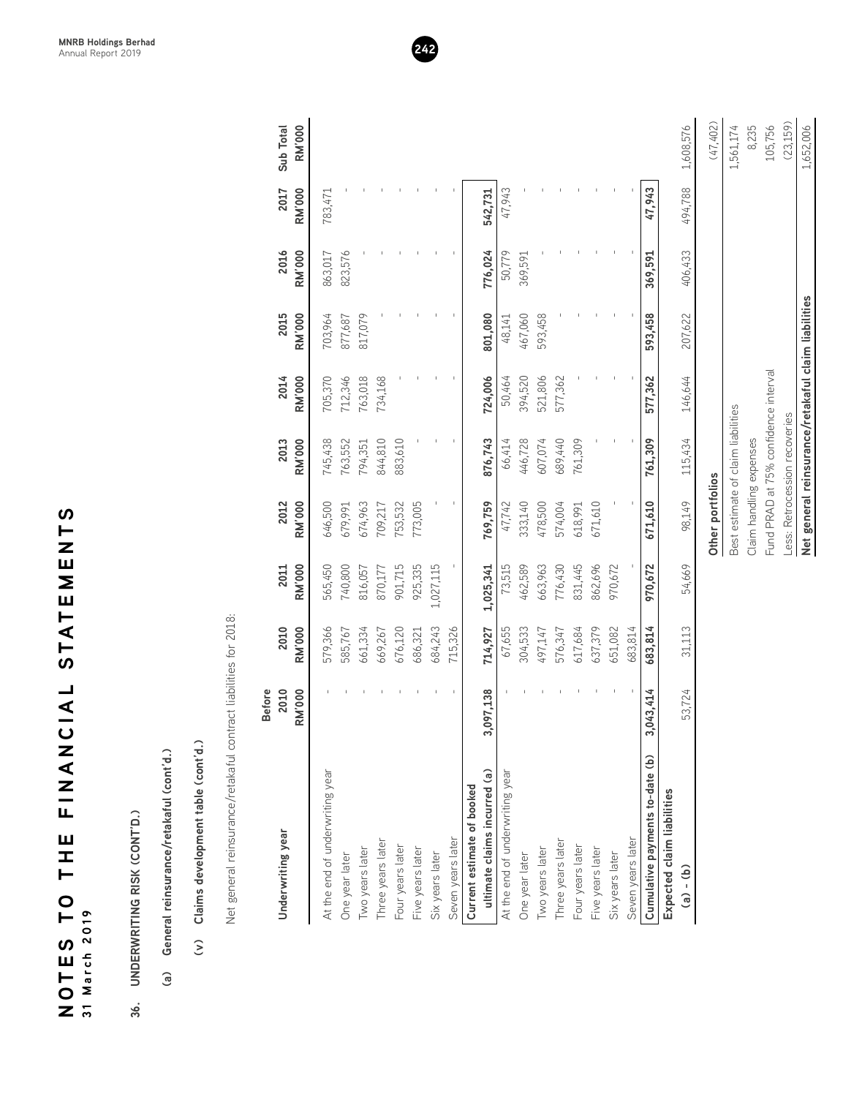| S                              |                |
|--------------------------------|----------------|
| $\vdash$                       |                |
| Z                              |                |
| Щ                              |                |
| Σ                              |                |
| Ш                              |                |
| $\vdash$                       |                |
| .<br>ব                         |                |
| Ļ                              |                |
| ທ                              |                |
|                                |                |
| コメリ                            |                |
|                                |                |
|                                |                |
|                                |                |
| ้Z<br>๔                        |                |
| Z                              |                |
| Ξ                              |                |
| Щ                              |                |
| Ш                              |                |
| I                              |                |
| ⊢                              |                |
|                                |                |
| $\bullet$                      |                |
| ظ                              | 2019           |
| $\boldsymbol{\mathsf{\Omega}}$ |                |
| Ш<br>Г<br>О                    |                |
|                                | March          |
|                                |                |
| $\overline{ }$                 | $\overline{ }$ |

- 
- 
- 
- 

| (23, 159)<br>Sub Total<br><b>RM'000</b><br>2017<br><b>RM'000</b><br>542,731<br>47,943<br>494,788<br>47,943<br>783,471<br>2016<br><b>RM'000</b><br>776,024<br>863,017<br>823,576<br>50,779<br>406,433<br>369,591<br>369,591<br>2015<br><b>RM'000</b><br>703,964<br>801,080<br>593,458<br>817,079<br>467,060<br>593,458<br>207,622<br>877,687<br>48,141<br>Fund PRAD at 75% confidence interval<br>2014<br><b>RM'000</b><br>724,006<br>577,362<br>705,370<br>712,346<br>763,018<br>734,168<br>50,464<br>394,520<br>521,806<br>577,362<br>146,644<br>Best estimate of claim liabilities<br>Less: Retrocession recoveries<br>Claim handling expenses<br>2013<br><b>RM'000</b><br>844,810<br>876,743<br>607,074<br>761,309<br>115,434<br>745,438<br>883,610<br>66,414<br>446,728<br>689,440<br>761,309<br>763,552<br>794,351<br>Other portfolios<br>671,610<br>671,610<br>98,149<br>2012<br><b>RM'000</b><br>$\,$ I<br>333,140<br>646,500<br>674,963<br>753,532<br>773,005<br>769,759<br>47,742<br>478,500<br>574,004<br>709,217<br>679,991<br>618,991<br><b>RM'000</b><br>831,445<br>862,696<br>970,672<br>970,672<br>54,669<br>565,450<br>925,335<br>1,027,115<br>462,589<br>663,963<br>776,430<br>740,800<br>901,715<br>1,025,341<br>73,515<br>2011<br>816,057<br>870,177<br>Net general reinsurance/retakaful contract liabilities for 2018.<br>2010<br>617,684<br>637,379<br><b>RM'000</b><br>579,366<br>661,334<br>684,243<br>304,533<br>651,082<br>683,814<br>683,814<br>31,113<br>585,767<br>669,267<br>676,120<br>715,326<br>714,927<br>67,655<br>497,147<br>576,347<br>686,321<br><b>RM'000</b><br>$\,$ $\,$<br><b>Before</b><br>2010<br>3,097,138<br>1,043,414<br>53,724<br>Claims development table (cont'd.)<br>General reinsurance/retakaful (cont'd.)<br>Cumulative payments to-date (b)<br>At the end of underwriting year<br>ultimate claims incurred (a)<br>At the end of underwriting year<br>Current estimate of booked<br>Expected claim liabilities<br>Underwriting year<br>Seven years later<br>Seven years later<br>Three years later<br>Three years later<br>Four years later<br>Four years later<br>Two years later<br>Two years later<br>Five years later<br>Five years later<br>Six years later<br>Six years later<br>One year later<br>One year later<br>$\overline{e}$<br>$\widehat{a}$<br>$\widehat{\epsilon}$ | UNDERWRITING RISK (CONT'D.) |  |  |  |  |           |
|------------------------------------------------------------------------------------------------------------------------------------------------------------------------------------------------------------------------------------------------------------------------------------------------------------------------------------------------------------------------------------------------------------------------------------------------------------------------------------------------------------------------------------------------------------------------------------------------------------------------------------------------------------------------------------------------------------------------------------------------------------------------------------------------------------------------------------------------------------------------------------------------------------------------------------------------------------------------------------------------------------------------------------------------------------------------------------------------------------------------------------------------------------------------------------------------------------------------------------------------------------------------------------------------------------------------------------------------------------------------------------------------------------------------------------------------------------------------------------------------------------------------------------------------------------------------------------------------------------------------------------------------------------------------------------------------------------------------------------------------------------------------------------------------------------------------------------------------------------------------------------------------------------------------------------------------------------------------------------------------------------------------------------------------------------------------------------------------------------------------------------------------------------------------------------------------------------------------------------------------------------------------------------------------------------------------------------------|-----------------------------|--|--|--|--|-----------|
|                                                                                                                                                                                                                                                                                                                                                                                                                                                                                                                                                                                                                                                                                                                                                                                                                                                                                                                                                                                                                                                                                                                                                                                                                                                                                                                                                                                                                                                                                                                                                                                                                                                                                                                                                                                                                                                                                                                                                                                                                                                                                                                                                                                                                                                                                                                                          | $\widehat{a}$               |  |  |  |  |           |
|                                                                                                                                                                                                                                                                                                                                                                                                                                                                                                                                                                                                                                                                                                                                                                                                                                                                                                                                                                                                                                                                                                                                                                                                                                                                                                                                                                                                                                                                                                                                                                                                                                                                                                                                                                                                                                                                                                                                                                                                                                                                                                                                                                                                                                                                                                                                          |                             |  |  |  |  |           |
|                                                                                                                                                                                                                                                                                                                                                                                                                                                                                                                                                                                                                                                                                                                                                                                                                                                                                                                                                                                                                                                                                                                                                                                                                                                                                                                                                                                                                                                                                                                                                                                                                                                                                                                                                                                                                                                                                                                                                                                                                                                                                                                                                                                                                                                                                                                                          |                             |  |  |  |  |           |
|                                                                                                                                                                                                                                                                                                                                                                                                                                                                                                                                                                                                                                                                                                                                                                                                                                                                                                                                                                                                                                                                                                                                                                                                                                                                                                                                                                                                                                                                                                                                                                                                                                                                                                                                                                                                                                                                                                                                                                                                                                                                                                                                                                                                                                                                                                                                          |                             |  |  |  |  |           |
|                                                                                                                                                                                                                                                                                                                                                                                                                                                                                                                                                                                                                                                                                                                                                                                                                                                                                                                                                                                                                                                                                                                                                                                                                                                                                                                                                                                                                                                                                                                                                                                                                                                                                                                                                                                                                                                                                                                                                                                                                                                                                                                                                                                                                                                                                                                                          |                             |  |  |  |  |           |
|                                                                                                                                                                                                                                                                                                                                                                                                                                                                                                                                                                                                                                                                                                                                                                                                                                                                                                                                                                                                                                                                                                                                                                                                                                                                                                                                                                                                                                                                                                                                                                                                                                                                                                                                                                                                                                                                                                                                                                                                                                                                                                                                                                                                                                                                                                                                          |                             |  |  |  |  |           |
|                                                                                                                                                                                                                                                                                                                                                                                                                                                                                                                                                                                                                                                                                                                                                                                                                                                                                                                                                                                                                                                                                                                                                                                                                                                                                                                                                                                                                                                                                                                                                                                                                                                                                                                                                                                                                                                                                                                                                                                                                                                                                                                                                                                                                                                                                                                                          |                             |  |  |  |  |           |
|                                                                                                                                                                                                                                                                                                                                                                                                                                                                                                                                                                                                                                                                                                                                                                                                                                                                                                                                                                                                                                                                                                                                                                                                                                                                                                                                                                                                                                                                                                                                                                                                                                                                                                                                                                                                                                                                                                                                                                                                                                                                                                                                                                                                                                                                                                                                          |                             |  |  |  |  |           |
|                                                                                                                                                                                                                                                                                                                                                                                                                                                                                                                                                                                                                                                                                                                                                                                                                                                                                                                                                                                                                                                                                                                                                                                                                                                                                                                                                                                                                                                                                                                                                                                                                                                                                                                                                                                                                                                                                                                                                                                                                                                                                                                                                                                                                                                                                                                                          |                             |  |  |  |  |           |
|                                                                                                                                                                                                                                                                                                                                                                                                                                                                                                                                                                                                                                                                                                                                                                                                                                                                                                                                                                                                                                                                                                                                                                                                                                                                                                                                                                                                                                                                                                                                                                                                                                                                                                                                                                                                                                                                                                                                                                                                                                                                                                                                                                                                                                                                                                                                          |                             |  |  |  |  |           |
|                                                                                                                                                                                                                                                                                                                                                                                                                                                                                                                                                                                                                                                                                                                                                                                                                                                                                                                                                                                                                                                                                                                                                                                                                                                                                                                                                                                                                                                                                                                                                                                                                                                                                                                                                                                                                                                                                                                                                                                                                                                                                                                                                                                                                                                                                                                                          |                             |  |  |  |  |           |
|                                                                                                                                                                                                                                                                                                                                                                                                                                                                                                                                                                                                                                                                                                                                                                                                                                                                                                                                                                                                                                                                                                                                                                                                                                                                                                                                                                                                                                                                                                                                                                                                                                                                                                                                                                                                                                                                                                                                                                                                                                                                                                                                                                                                                                                                                                                                          |                             |  |  |  |  |           |
|                                                                                                                                                                                                                                                                                                                                                                                                                                                                                                                                                                                                                                                                                                                                                                                                                                                                                                                                                                                                                                                                                                                                                                                                                                                                                                                                                                                                                                                                                                                                                                                                                                                                                                                                                                                                                                                                                                                                                                                                                                                                                                                                                                                                                                                                                                                                          |                             |  |  |  |  |           |
|                                                                                                                                                                                                                                                                                                                                                                                                                                                                                                                                                                                                                                                                                                                                                                                                                                                                                                                                                                                                                                                                                                                                                                                                                                                                                                                                                                                                                                                                                                                                                                                                                                                                                                                                                                                                                                                                                                                                                                                                                                                                                                                                                                                                                                                                                                                                          |                             |  |  |  |  |           |
|                                                                                                                                                                                                                                                                                                                                                                                                                                                                                                                                                                                                                                                                                                                                                                                                                                                                                                                                                                                                                                                                                                                                                                                                                                                                                                                                                                                                                                                                                                                                                                                                                                                                                                                                                                                                                                                                                                                                                                                                                                                                                                                                                                                                                                                                                                                                          |                             |  |  |  |  |           |
|                                                                                                                                                                                                                                                                                                                                                                                                                                                                                                                                                                                                                                                                                                                                                                                                                                                                                                                                                                                                                                                                                                                                                                                                                                                                                                                                                                                                                                                                                                                                                                                                                                                                                                                                                                                                                                                                                                                                                                                                                                                                                                                                                                                                                                                                                                                                          |                             |  |  |  |  |           |
|                                                                                                                                                                                                                                                                                                                                                                                                                                                                                                                                                                                                                                                                                                                                                                                                                                                                                                                                                                                                                                                                                                                                                                                                                                                                                                                                                                                                                                                                                                                                                                                                                                                                                                                                                                                                                                                                                                                                                                                                                                                                                                                                                                                                                                                                                                                                          |                             |  |  |  |  |           |
|                                                                                                                                                                                                                                                                                                                                                                                                                                                                                                                                                                                                                                                                                                                                                                                                                                                                                                                                                                                                                                                                                                                                                                                                                                                                                                                                                                                                                                                                                                                                                                                                                                                                                                                                                                                                                                                                                                                                                                                                                                                                                                                                                                                                                                                                                                                                          |                             |  |  |  |  |           |
|                                                                                                                                                                                                                                                                                                                                                                                                                                                                                                                                                                                                                                                                                                                                                                                                                                                                                                                                                                                                                                                                                                                                                                                                                                                                                                                                                                                                                                                                                                                                                                                                                                                                                                                                                                                                                                                                                                                                                                                                                                                                                                                                                                                                                                                                                                                                          |                             |  |  |  |  |           |
|                                                                                                                                                                                                                                                                                                                                                                                                                                                                                                                                                                                                                                                                                                                                                                                                                                                                                                                                                                                                                                                                                                                                                                                                                                                                                                                                                                                                                                                                                                                                                                                                                                                                                                                                                                                                                                                                                                                                                                                                                                                                                                                                                                                                                                                                                                                                          |                             |  |  |  |  |           |
|                                                                                                                                                                                                                                                                                                                                                                                                                                                                                                                                                                                                                                                                                                                                                                                                                                                                                                                                                                                                                                                                                                                                                                                                                                                                                                                                                                                                                                                                                                                                                                                                                                                                                                                                                                                                                                                                                                                                                                                                                                                                                                                                                                                                                                                                                                                                          |                             |  |  |  |  |           |
|                                                                                                                                                                                                                                                                                                                                                                                                                                                                                                                                                                                                                                                                                                                                                                                                                                                                                                                                                                                                                                                                                                                                                                                                                                                                                                                                                                                                                                                                                                                                                                                                                                                                                                                                                                                                                                                                                                                                                                                                                                                                                                                                                                                                                                                                                                                                          |                             |  |  |  |  |           |
|                                                                                                                                                                                                                                                                                                                                                                                                                                                                                                                                                                                                                                                                                                                                                                                                                                                                                                                                                                                                                                                                                                                                                                                                                                                                                                                                                                                                                                                                                                                                                                                                                                                                                                                                                                                                                                                                                                                                                                                                                                                                                                                                                                                                                                                                                                                                          |                             |  |  |  |  |           |
|                                                                                                                                                                                                                                                                                                                                                                                                                                                                                                                                                                                                                                                                                                                                                                                                                                                                                                                                                                                                                                                                                                                                                                                                                                                                                                                                                                                                                                                                                                                                                                                                                                                                                                                                                                                                                                                                                                                                                                                                                                                                                                                                                                                                                                                                                                                                          |                             |  |  |  |  |           |
|                                                                                                                                                                                                                                                                                                                                                                                                                                                                                                                                                                                                                                                                                                                                                                                                                                                                                                                                                                                                                                                                                                                                                                                                                                                                                                                                                                                                                                                                                                                                                                                                                                                                                                                                                                                                                                                                                                                                                                                                                                                                                                                                                                                                                                                                                                                                          |                             |  |  |  |  | 1,608,576 |
|                                                                                                                                                                                                                                                                                                                                                                                                                                                                                                                                                                                                                                                                                                                                                                                                                                                                                                                                                                                                                                                                                                                                                                                                                                                                                                                                                                                                                                                                                                                                                                                                                                                                                                                                                                                                                                                                                                                                                                                                                                                                                                                                                                                                                                                                                                                                          |                             |  |  |  |  | (47, 402) |
|                                                                                                                                                                                                                                                                                                                                                                                                                                                                                                                                                                                                                                                                                                                                                                                                                                                                                                                                                                                                                                                                                                                                                                                                                                                                                                                                                                                                                                                                                                                                                                                                                                                                                                                                                                                                                                                                                                                                                                                                                                                                                                                                                                                                                                                                                                                                          |                             |  |  |  |  | 1,561,174 |
|                                                                                                                                                                                                                                                                                                                                                                                                                                                                                                                                                                                                                                                                                                                                                                                                                                                                                                                                                                                                                                                                                                                                                                                                                                                                                                                                                                                                                                                                                                                                                                                                                                                                                                                                                                                                                                                                                                                                                                                                                                                                                                                                                                                                                                                                                                                                          |                             |  |  |  |  | 8,235     |
|                                                                                                                                                                                                                                                                                                                                                                                                                                                                                                                                                                                                                                                                                                                                                                                                                                                                                                                                                                                                                                                                                                                                                                                                                                                                                                                                                                                                                                                                                                                                                                                                                                                                                                                                                                                                                                                                                                                                                                                                                                                                                                                                                                                                                                                                                                                                          |                             |  |  |  |  | 105,756   |
|                                                                                                                                                                                                                                                                                                                                                                                                                                                                                                                                                                                                                                                                                                                                                                                                                                                                                                                                                                                                                                                                                                                                                                                                                                                                                                                                                                                                                                                                                                                                                                                                                                                                                                                                                                                                                                                                                                                                                                                                                                                                                                                                                                                                                                                                                                                                          |                             |  |  |  |  |           |

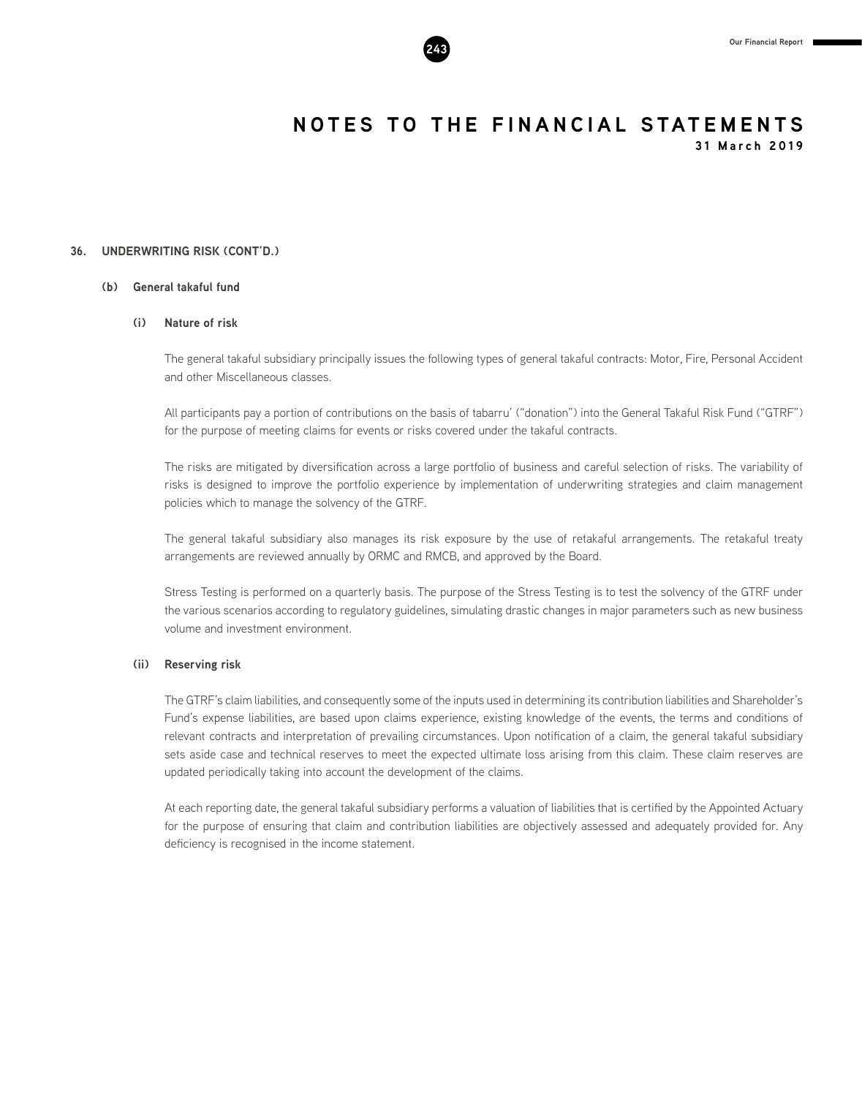

**31 March 2019**

# **36. UNDERWRITING RISK (CONT'D.)**

# **(b) General takaful fund**

# **(i) Nature of risk**

The general takaful subsidiary principally issues the following types of general takaful contracts: Motor, Fire, Personal Accident and other Miscellaneous classes.

All participants pay a portion of contributions on the basis of tabarru' ("donation") into the General Takaful Risk Fund ("GTRF") for the purpose of meeting claims for events or risks covered under the takaful contracts.

The risks are mitigated by diversification across a large portfolio of business and careful selection of risks. The variability of risks is designed to improve the portfolio experience by implementation of underwriting strategies and claim management policies which to manage the solvency of the GTRF.

The general takaful subsidiary also manages its risk exposure by the use of retakaful arrangements. The retakaful treaty arrangements are reviewed annually by ORMC and RMCB, and approved by the Board.

Stress Testing is performed on a quarterly basis. The purpose of the Stress Testing is to test the solvency of the GTRF under the various scenarios according to regulatory guidelines, simulating drastic changes in major parameters such as new business volume and investment environment.

### **(ii) Reserving risk**

The GTRF's claim liabilities, and consequently some of the inputs used in determining its contribution liabilities and Shareholder's Fund's expense liabilities, are based upon claims experience, existing knowledge of the events, the terms and conditions of relevant contracts and interpretation of prevailing circumstances. Upon notification of a claim, the general takaful subsidiary sets aside case and technical reserves to meet the expected ultimate loss arising from this claim. These claim reserves are updated periodically taking into account the development of the claims.

At each reporting date, the general takaful subsidiary performs a valuation of liabilities that is certified by the Appointed Actuary for the purpose of ensuring that claim and contribution liabilities are objectively assessed and adequately provided for. Any deficiency is recognised in the income statement.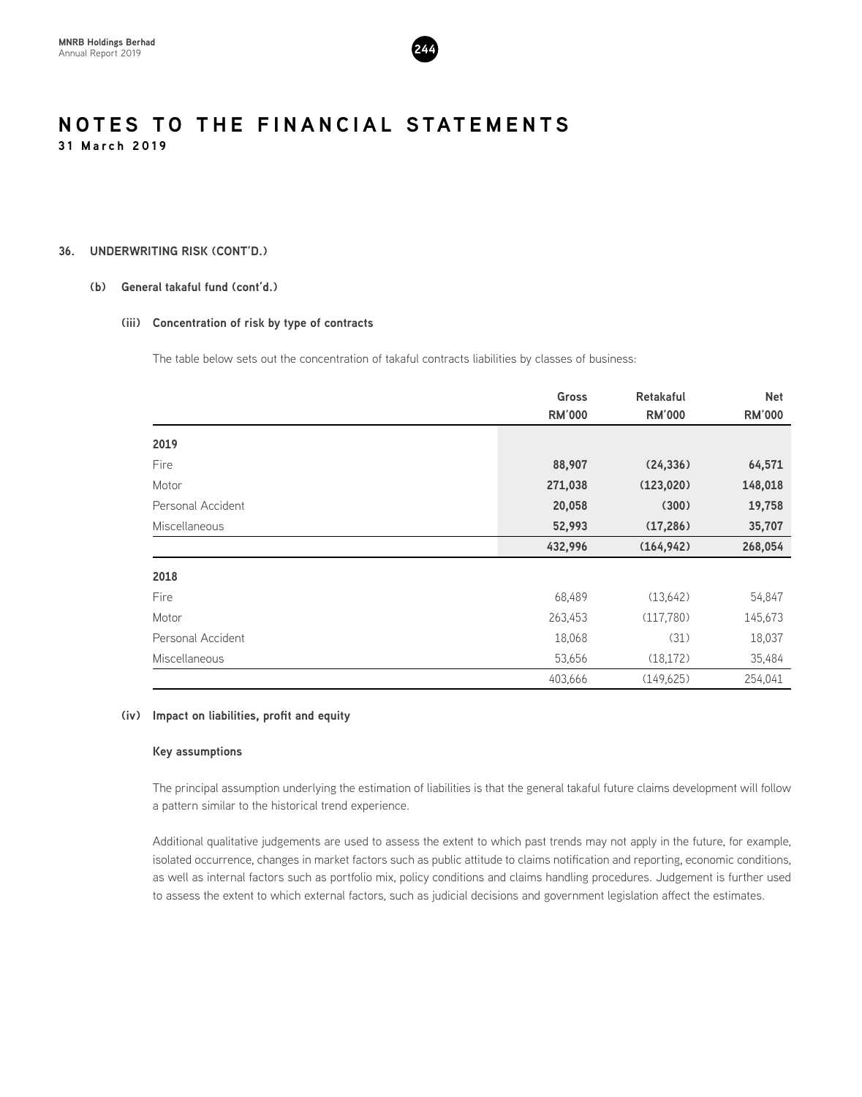

# **36. UNDERWRITING RISK (CONT'D.)**

# **(b) General takaful fund (cont'd.)**

# **(iii) Concentration of risk by type of contracts**

The table below sets out the concentration of takaful contracts liabilities by classes of business:

|                      | <b>Gross</b>  | <b>Retakaful</b> | <b>Net</b>    |
|----------------------|---------------|------------------|---------------|
|                      | <b>RM'000</b> | <b>RM'000</b>    | <b>RM'000</b> |
| 2019                 |               |                  |               |
| Fire                 | 88,907        | (24, 336)        | 64,571        |
| Motor                | 271,038       | (123, 020)       | 148,018       |
| Personal Accident    | 20,058        | (300)            | 19,758        |
| <b>Miscellaneous</b> | 52,993        | (17, 286)        | 35,707        |
|                      | 432,996       | (164, 942)       | 268,054       |
| 2018                 |               |                  |               |
| Fire                 | 68,489        | (13,642)         | 54,847        |
| Motor                | 263,453       | (117, 780)       | 145,673       |
| Personal Accident    | 18,068        | (31)             | 18,037        |
| <b>Miscellaneous</b> | 53,656        | (18, 172)        | 35,484        |
|                      | 403,666       | (149, 625)       | 254,041       |

# **(iv) Impact on liabilities, profit and equity**

### **Key assumptions**

The principal assumption underlying the estimation of liabilities is that the general takaful future claims development will follow a pattern similar to the historical trend experience.

Additional qualitative judgements are used to assess the extent to which past trends may not apply in the future, for example, isolated occurrence, changes in market factors such as public attitude to claims notification and reporting, economic conditions, as well as internal factors such as portfolio mix, policy conditions and claims handling procedures. Judgement is further used to assess the extent to which external factors, such as judicial decisions and government legislation affect the estimates.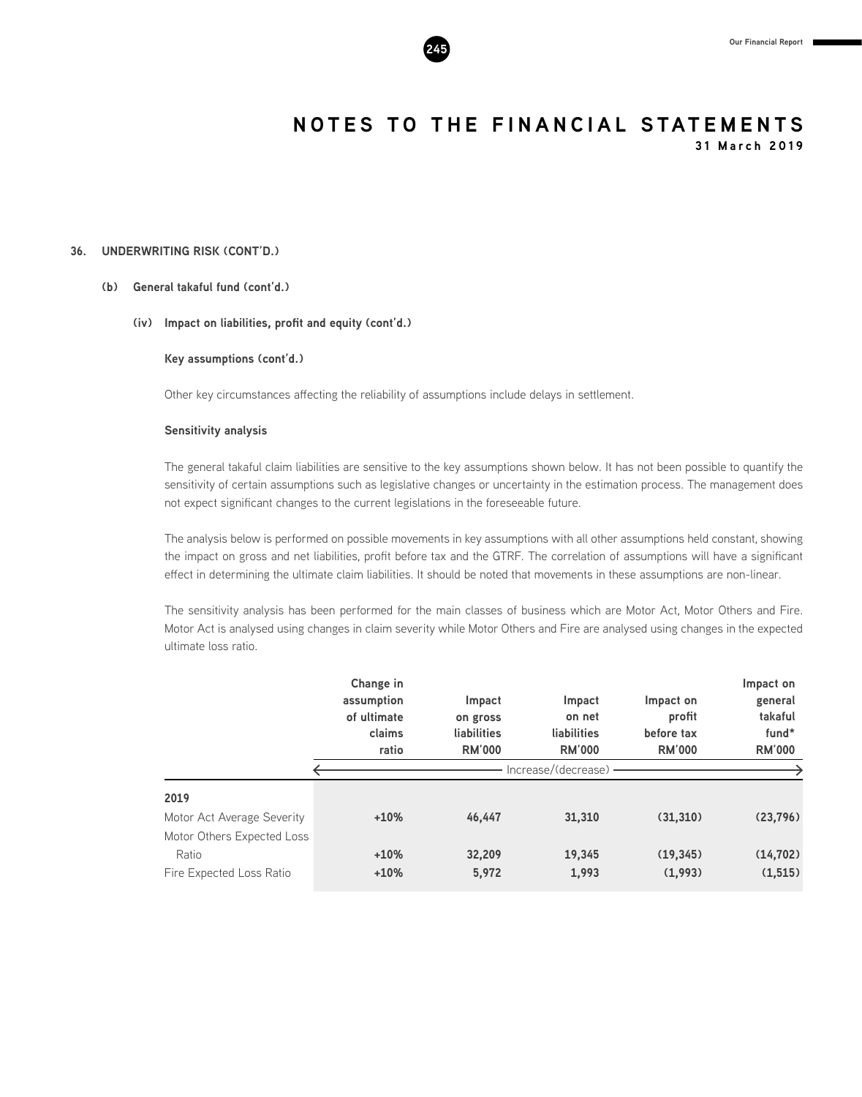

**31 March 2019**

# **36. UNDERWRITING RISK (CONT'D.)**

# **(b) General takaful fund (cont'd.)**

# **(iv) Impact on liabilities, profit and equity (cont'd.)**

**Key assumptions (cont'd.)**

Other key circumstances affecting the reliability of assumptions include delays in settlement.

# **Sensitivity analysis**

The general takaful claim liabilities are sensitive to the key assumptions shown below. It has not been possible to quantify the sensitivity of certain assumptions such as legislative changes or uncertainty in the estimation process. The management does not expect significant changes to the current legislations in the foreseeable future.

The analysis below is performed on possible movements in key assumptions with all other assumptions held constant, showing the impact on gross and net liabilities, profit before tax and the GTRF. The correlation of assumptions will have a significant effect in determining the ultimate claim liabilities. It should be noted that movements in these assumptions are non-linear.

The sensitivity analysis has been performed for the main classes of business which are Motor Act, Motor Others and Fire. Motor Act is analysed using changes in claim severity while Motor Others and Fire are analysed using changes in the expected ultimate loss ratio.

|                            | Change in<br>assumption<br>of ultimate<br>claims<br>ratio | Impact<br>on gross<br>liabilities<br><b>RM'000</b> | Impact<br>on net<br>liabilities<br><b>RM'000</b> | Impact on<br>profit<br>before tax<br><b>RM'000</b> | Impact on<br>general<br>takaful<br>fund*<br><b>RM'000</b> |
|----------------------------|-----------------------------------------------------------|----------------------------------------------------|--------------------------------------------------|----------------------------------------------------|-----------------------------------------------------------|
|                            |                                                           |                                                    | Increase/(decrease) -                            |                                                    |                                                           |
| 2019                       |                                                           |                                                    |                                                  |                                                    |                                                           |
| Motor Act Average Severity | $+10%$                                                    | 46.447                                             | 31,310                                           | (31,310)                                           | (23, 796)                                                 |
| Motor Others Expected Loss |                                                           |                                                    |                                                  |                                                    |                                                           |
| Ratio                      | $+10%$                                                    | 32,209                                             | 19,345                                           | (19, 345)                                          | (14, 702)                                                 |
| Fire Expected Loss Ratio   | $+10%$                                                    | 5,972                                              | 1,993                                            | (1,993)                                            | (1, 515)                                                  |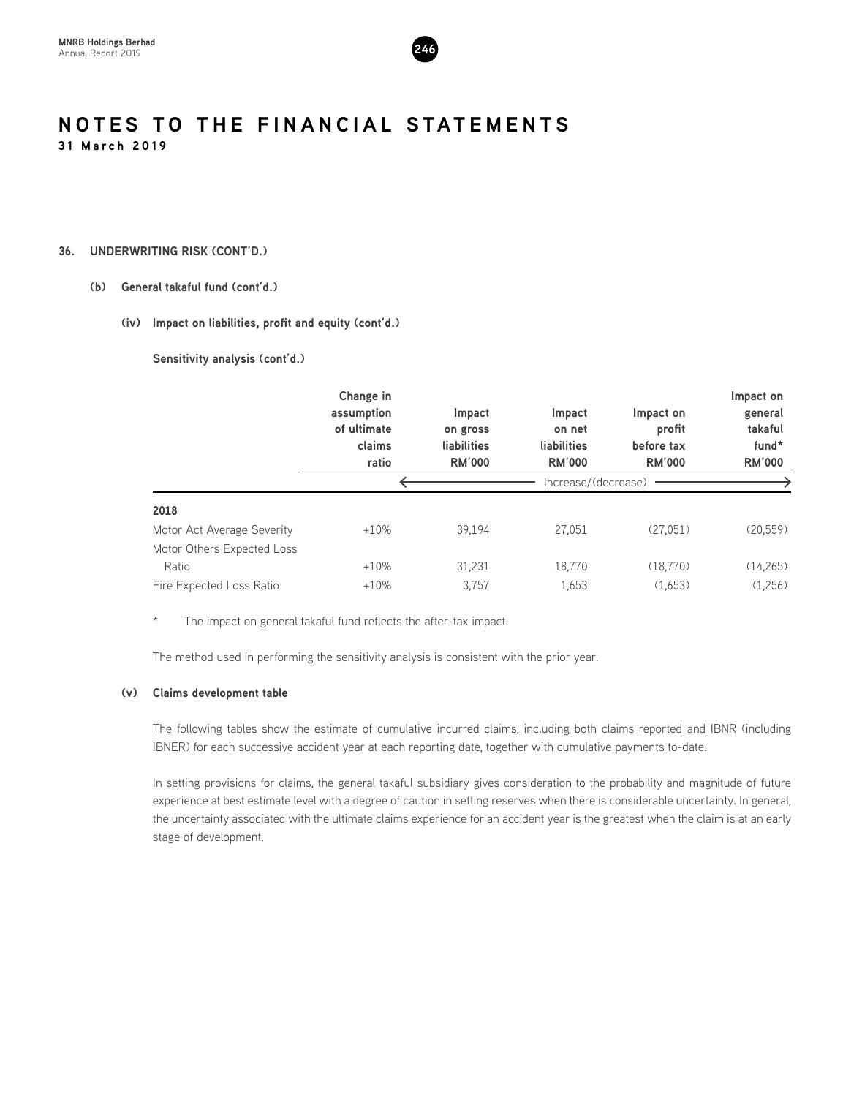

# **36. UNDERWRITING RISK (CONT'D.)**

# **(b) General takaful fund (cont'd.)**

# **(iv) Impact on liabilities, profit and equity (cont'd.)**

**Sensitivity analysis (cont'd.)**

|                                                          | Change in<br>assumption<br>of ultimate<br>claims<br>ratio | Impact<br>on gross<br>liabilities<br><b>RM'000</b> | Impact<br>on net<br>liabilities<br><b>RM'000</b> | Impact on<br>profit<br>before tax<br><b>RM'000</b> | Impact on<br>general<br>takaful<br>fund*<br><b>RM'000</b> |
|----------------------------------------------------------|-----------------------------------------------------------|----------------------------------------------------|--------------------------------------------------|----------------------------------------------------|-----------------------------------------------------------|
| 2018                                                     |                                                           |                                                    |                                                  |                                                    |                                                           |
| Motor Act Average Severity<br>Motor Others Expected Loss | $+10%$                                                    | 39.194                                             | 27,051                                           | (27,051)                                           | (20,559)                                                  |
| Ratio<br>Fire Expected Loss Ratio                        | $+10%$<br>$+10%$                                          | 31,231<br>3,757                                    | 18,770<br>1,653                                  | (18, 770)<br>(1,653)                               | (14,265)<br>(1,256)                                       |
|                                                          |                                                           |                                                    | Increase/(decrease)                              |                                                    |                                                           |

\* The impact on general takaful fund reflects the after-tax impact.

The method used in performing the sensitivity analysis is consistent with the prior year.

# **(v) Claims development table**

The following tables show the estimate of cumulative incurred claims, including both claims reported and IBNR (including IBNER) for each successive accident year at each reporting date, together with cumulative payments to-date.

In setting provisions for claims, the general takaful subsidiary gives consideration to the probability and magnitude of future experience at best estimate level with a degree of caution in setting reserves when there is considerable uncertainty. In general, the uncertainty associated with the ultimate claims experience for an accident year is the greatest when the claim is at an early stage of development.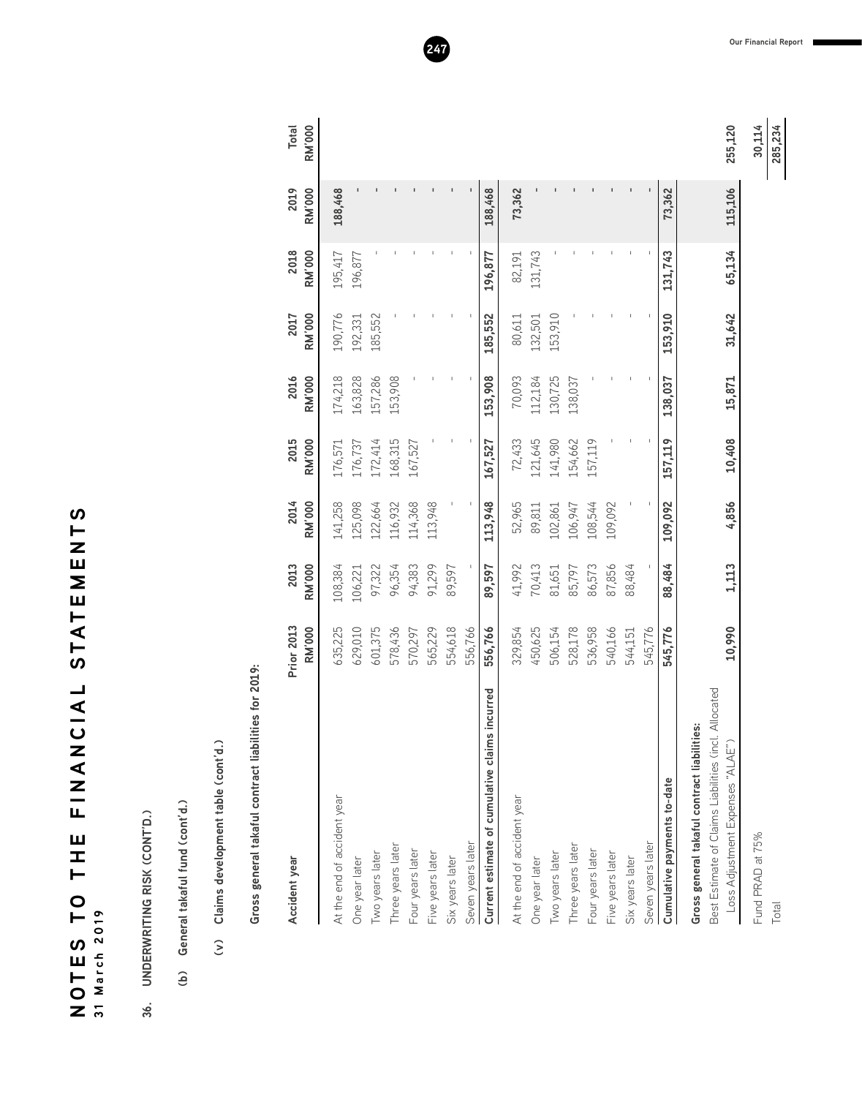NOTES TO THE FINANCIAL STATEMENTS **SLZUNIALS TATONANIL UIL OL SULON 31 March 2019**

- 36. UNDERWRITING RISK (CONT'D.) **36. UNDERWRITING RISK (CONT'D.)**
- (b) General takaful fund (cont'd.) **(b) General takaful fund (cont'd.)**
- (v) Claims development table (cont'd.) **(v) Claims development table (cont'd.)**

Gross general takaful contract liabilities for 2019: **Gross general takaful contract liabilities for 2019:**

| Accident year                                                                           | Prior 2013<br><b>RM'000</b> | 2013<br><b>RM'000</b> | 2014<br><b>RM'000</b> | 2015<br><b>RM'000</b> | 2016<br><b>RM'000</b> | <b>RM'000</b><br>2017 | 2018<br><b>RM'000</b> | 2019<br><b>RM'000</b> | <b>RM'000</b><br><b>Total</b> |
|-----------------------------------------------------------------------------------------|-----------------------------|-----------------------|-----------------------|-----------------------|-----------------------|-----------------------|-----------------------|-----------------------|-------------------------------|
| At the end of accident year                                                             | 635,225                     | 108,384               | 141,258               | 176,571               | 174,218               | 190,776               | 195,417               | 188,468               |                               |
| One year later                                                                          | 629,010                     | 106,221               | 125,098               | 176,737               | 163,828               | 192,331               | 196,877               |                       |                               |
| Two years later                                                                         | 601,375                     | 97,322                | 122,664               | 172,414               | 157,286               | 185,552               |                       |                       |                               |
| Three years later                                                                       | 578,436                     | 96,354                | 116,932               | 168,315               | 153,908               |                       |                       |                       |                               |
| Four years later                                                                        | 570,297                     | 94,383                | 114,368               | 167,527               |                       |                       |                       |                       |                               |
| Five years later                                                                        | 565,229                     | 91,299                | 113,948               |                       |                       |                       |                       |                       |                               |
| Six years later                                                                         | 554,618                     | 89,597                |                       |                       |                       |                       |                       |                       |                               |
| Seven years later                                                                       | 556,766                     | $\sf I$               |                       |                       |                       |                       |                       |                       |                               |
| <b>IS</b> incurred<br>Current estimate of cumulative clain                              | 556,766                     | 89,597                | 113,948               | 167,527               | 153,908               | 185,552               | 196,877               | 188,468               |                               |
| At the end of accident year                                                             | 329,854                     | 41,992                | 52,965                | 72,433                | 70,093                | 80,611                | 82,191                | 73,362                |                               |
| One year later                                                                          | 450,625                     | 70,413                | 89,811                | 121,645               | 112,184               | 132,501               | 131,743               |                       |                               |
| Two years later                                                                         | 506,154                     | 81,651                | 102,861               | 141,980               | 130,725               | 153,910               |                       |                       |                               |
| Three years later                                                                       | 528,178                     | 85,797                | 106,947               | 154,662               | 138,037               |                       |                       |                       |                               |
| Four years later                                                                        | 536,958                     | 86,573                | 108,544               | 157,119               |                       |                       |                       |                       |                               |
| Five years later                                                                        | 540,166                     | 87,856                | 109,092               |                       |                       |                       |                       |                       |                               |
| Six years later                                                                         | 544,151                     | 88,484                |                       |                       |                       |                       |                       |                       |                               |
| Seven years later                                                                       | 545,776                     |                       |                       |                       |                       |                       |                       |                       |                               |
| Cumulative payments to-date                                                             | 545,776                     | 88,484                | 109,092               | 157,119               | 138,037               | 153,910               | 131,743               | 73,362                |                               |
| Gross general takaful contract liabilities:                                             |                             |                       |                       |                       |                       |                       |                       |                       |                               |
| Best Estimate of Claims Liabilities (incl. Allocated<br>Loss Adjustment Expenses "ALAE" | 10,990                      | 1,113                 | 4,856                 | 10,408                | 15,871                | 31,642                | 65,134                | 115,106               | 255,120                       |
| Fund PRAD at 75%                                                                        |                             |                       |                       |                       |                       |                       |                       |                       | 30,114                        |

114 285,234 Total **285,234**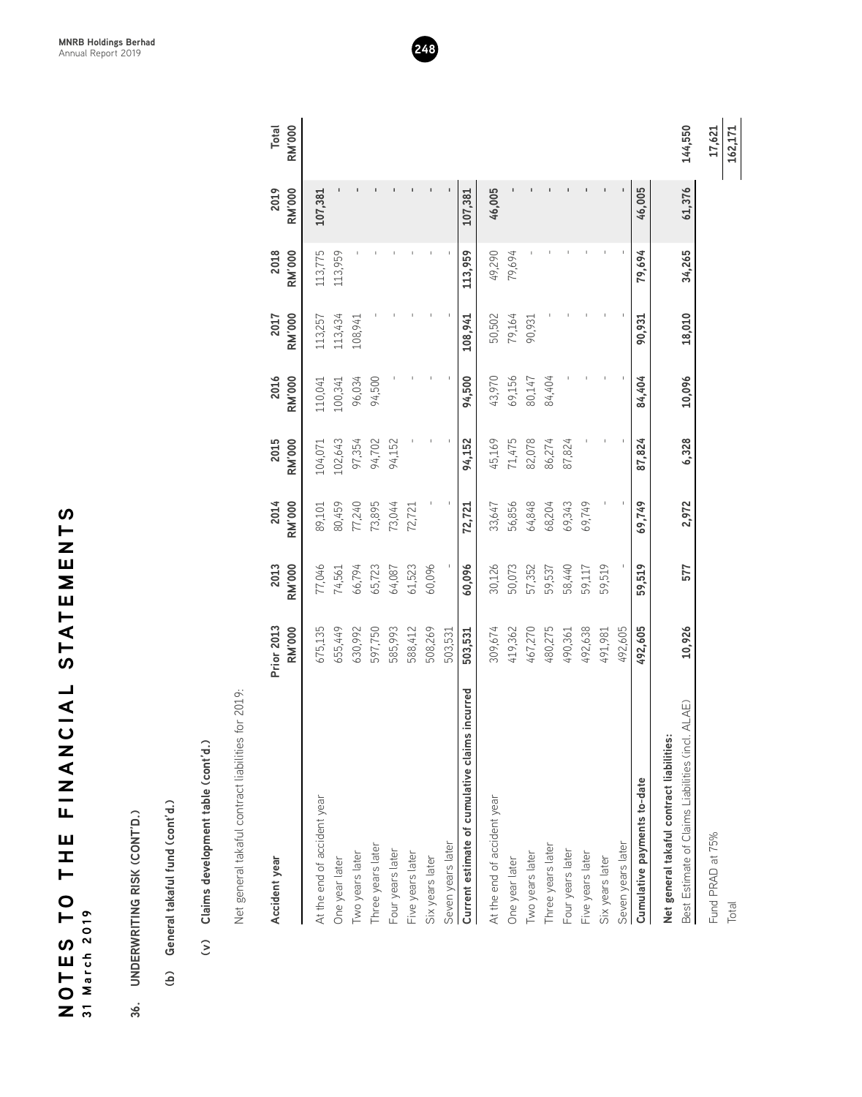| S<br>L<br>N<br>⊔<br>∑ |               |
|-----------------------|---------------|
| E<br>K<br>ြ<br>ဟ      |               |
| <b>LAIDZAZIL</b>      |               |
| Ш<br>I<br>⊢           |               |
| $\mathsf{C}$<br>OTES  | 31 March 2019 |
| Z                     |               |

- 
- 
- 

| Claims development table (cont'd.)<br>$\widehat{\epsilon}$ |                             |                       |                       |                       |                       |                       |                       |                       |
|------------------------------------------------------------|-----------------------------|-----------------------|-----------------------|-----------------------|-----------------------|-----------------------|-----------------------|-----------------------|
| for 2019:<br>Net general takaful contract liabilities      |                             |                       |                       |                       |                       |                       |                       |                       |
| Accident year                                              | Prior 2013<br><b>RM'000</b> | <b>RM'000</b><br>2013 | 2014<br><b>RM'000</b> | 2015<br><b>RM'000</b> | <b>RM'000</b><br>2016 | <b>RM'000</b><br>2017 | 2018<br><b>RM'000</b> | 2019<br><b>RM'000</b> |
| At the end of accident year                                | 675,135                     | 77,046                | 89,101                | 104,071               | 110,041               | 113,257               | 113,775               | 107,381               |
| One year later                                             | 655,449                     | 74,561                | 80,459                | 102,643               | 100,341               | 113,434               | 113,959               |                       |
| Two years later                                            | 630,992                     | 66,794                | 77,240                | 97,354                | 96,034                | 108,941               |                       |                       |
| Three years later                                          | 597,750                     | 65,723                | 73,895                | 94,702                | 94,500                |                       |                       |                       |
| Four years later                                           | 585,993                     | 64,087                | 73,044                | 94,152                |                       |                       |                       |                       |
| Five years later                                           | 588,412                     | 61,523                | 72,721                |                       |                       |                       |                       |                       |
| Six years later                                            | 508,269                     | 60,096                |                       |                       |                       | $\mathbf{I}$          |                       |                       |
| Seven years later                                          | 503,531                     |                       |                       |                       |                       |                       |                       |                       |
| incurred<br>Current estimate of cumulative claims          | 503,531                     | 60,096                | 72,721                | 94,152                | 94,500                | 108,941               | 113,959               | 107,381               |
| At the end of accident year                                | 309,674                     | 30,126                | 33,647                | 45,169                | 43,970                | 50,502                | 49,290                | 46,005                |
| One year later                                             | 419,362                     | 50,073                | 56,856                | 71,475                | 69,156                | 79,164                | 79,694                |                       |
| Two years later                                            | 467,270                     | 57,352                | 64,848                | 82,078                | 80,147                | 90,931                |                       |                       |
| Three years later                                          | 480,275                     | 59,537                | 68,204                | 86,274                | 84,404                |                       |                       |                       |
| Four years later                                           | 490,361                     | 58,440                | 69,343                | 87,824                |                       |                       |                       |                       |
| Five years later                                           | 492,638                     | 59,117                | 69,749                |                       |                       |                       |                       | $\mathsf I$           |
| Six years later                                            | 491,981                     | 59,519                |                       |                       |                       |                       |                       |                       |
| Seven years later                                          | 492,605                     |                       |                       |                       |                       |                       |                       |                       |
| Cumulative payments to-date                                | 492,605                     | 59,519                | 69,749                | 87,824                | 84,404                | 90,931                | 79,694                | 46,005                |
| Net general takaful contract liabilities:                  |                             |                       |                       |                       |                       |                       |                       |                       |
| ALAE)<br>Best Estimate of Claims Liabilities (incl.        | 10,926                      | 577                   | 2,972                 | 6,328                 | 10,096                | 18,010                | 34,265                | 61,376                |

**MNRB Holdings Berhad** Annual Report 2019 **248**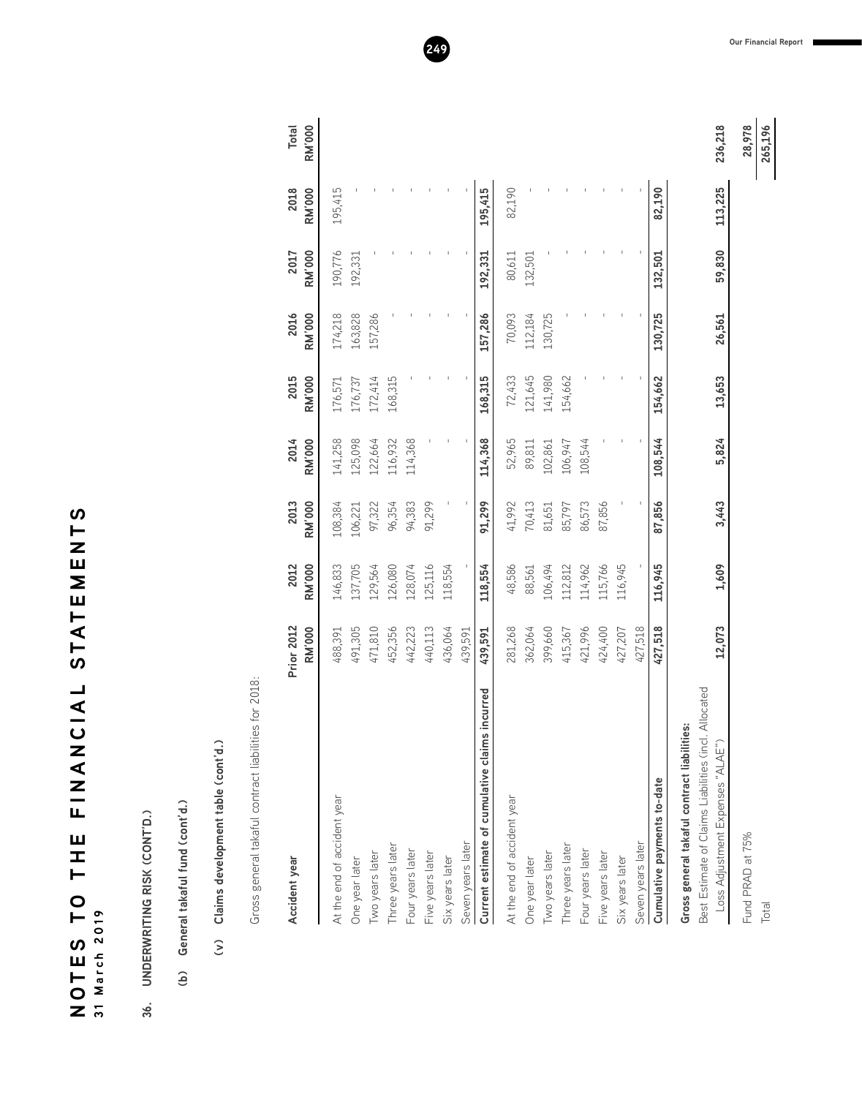| N             |          |
|---------------|----------|
|               |          |
|               |          |
|               |          |
|               |          |
|               |          |
|               |          |
| STATEMENT     |          |
|               |          |
|               |          |
| ┙             |          |
|               |          |
|               |          |
| $\frac{1}{2}$ |          |
|               |          |
| こく マニル        |          |
|               |          |
|               |          |
|               |          |
|               |          |
|               |          |
| ロエコ           |          |
|               |          |
| $\bullet$     |          |
| $\vdash$      |          |
| S             | 2019     |
|               |          |
| <b>LOVE</b>   | 31 March |
|               |          |
|               |          |
|               |          |

 $\boldsymbol{\omega}$ 

- 36. UNDERWRITING RISK (CONT'D.) **36. UNDERWRITING RISK (CONT'D.)**
- (b) General takaful fund (cont'd.) **(b) General takaful fund (cont'd.)**
- (v) Claims development table (cont'd.) **(v) Claims development table (cont'd.)**

Gross general takaful contract liabilities for 2018: Gross general takaful contract liabilities for 2018:

| Accident year                                                                               | <b>Prior 2012</b><br><b>RM'000</b> | <b>RM'000</b><br>2012 | <b>RM'000</b><br>2013 | <b>RM'000</b><br>2014 | 2015<br><b>RM'000</b> | <b>RM'000</b><br>2016 | <b>RM'000</b><br>2017 | 2018<br><b>RM'000</b> | <b>RM'000</b><br><b>Total</b> |
|---------------------------------------------------------------------------------------------|------------------------------------|-----------------------|-----------------------|-----------------------|-----------------------|-----------------------|-----------------------|-----------------------|-------------------------------|
| At the end of accident year                                                                 | 488,391                            | 146,833               | 108,384               | 141,258               | 176,571               | 174,218               | 190,776               | 195,415               |                               |
| One year later                                                                              | 491,305                            | 137,705               | 106,221               | 125,098               | 176,737               | 163,828               | 192,331               |                       |                               |
| Two years later                                                                             | 471,810                            | 129,564               | 97,322                | 122,664               | 172,414               | 157,286               |                       |                       |                               |
| Three years later                                                                           | 452,356                            | 126,080               | 96,354                | 116,932               | 168,315               |                       |                       |                       |                               |
| Four years later                                                                            | 442,223                            | 128,074               | 94,383                | 114,368               |                       |                       |                       |                       |                               |
| Five years later                                                                            | 440,113                            | 125,116               | 91,299                |                       |                       |                       |                       |                       |                               |
| Six years later                                                                             | 436,064                            | 118,554               |                       |                       |                       |                       |                       |                       |                               |
| Seven years later                                                                           | 439,591                            |                       |                       |                       |                       |                       |                       |                       |                               |
| incurred<br>Current estimate of cumulative claims                                           | 439,591                            | 118,554               | 91,299                | 114,368               | 168,315               | 157,286               | 192,331               | 195,415               |                               |
| At the end of accident year                                                                 | 281,268                            | 48,586                | 41,992                | 52,965                | 72,433                | 70,093                | 80,611                | 82,190                |                               |
| One year later                                                                              | 362,064                            | 88,561                | 70,413                | 89,811                | 121,645               | 112,184               | 132,501               |                       |                               |
| Two years later                                                                             | 399,660                            | 106,494               | 81,651                | 102,861               | 141,980               | 130,725               |                       |                       |                               |
| Three years later                                                                           | 415,367                            | 112,812               | 85,797                | 106,947               | 154,662               |                       |                       |                       |                               |
| Four years later                                                                            | 421,996                            | 114,962               | 86,573                | 108,544               |                       |                       |                       |                       |                               |
| Five years later                                                                            | 424,400                            | 115,766               | 87,856                |                       |                       |                       |                       |                       |                               |
| Six years later                                                                             | 427,207                            | 116,945               |                       |                       |                       |                       |                       |                       |                               |
| Seven years later                                                                           | 427,518                            |                       |                       |                       |                       |                       |                       |                       |                               |
| Cumulative payments to-date                                                                 | 427,518                            | 116,945               | 87,856                | 108,544               | 154,662               | 130,725               | 132,501               | 82,190                |                               |
| Gross general takaful contract liabilities:                                                 |                                    |                       |                       |                       |                       |                       |                       |                       |                               |
| Allocated<br>Best Estimate of Claims Liabilities (incl.<br>Loss Adjustment Expenses "ALAE") | 12,073                             | 1,609                 | 3,443                 | 5,824                 | 13,653                | 26,561                | 59,830                | 113,225               | 236,218                       |
|                                                                                             |                                    |                       |                       |                       |                       |                       |                       |                       |                               |
| Fund PRAD at 75%                                                                            |                                    |                       |                       |                       |                       |                       |                       |                       | 28,978                        |
| Total                                                                                       |                                    |                       |                       |                       |                       |                       |                       |                       | 265,196                       |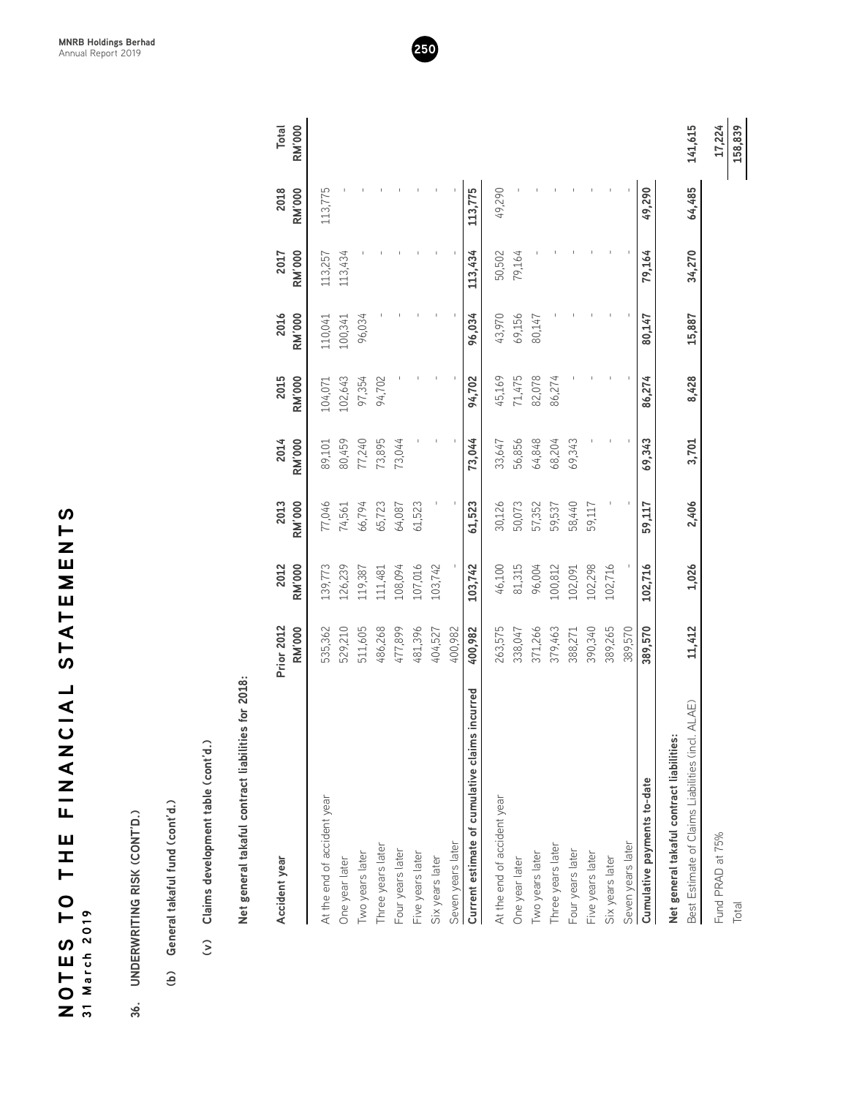| ഗ            |          |
|--------------|----------|
| $\vdash$     |          |
| Z            |          |
| ⊞<br>Σ       |          |
|              |          |
|              |          |
| <b>STATE</b> |          |
|              |          |
|              |          |
|              |          |
|              |          |
|              |          |
| コマリ          |          |
|              |          |
|              |          |
|              |          |
| Ц,           |          |
|              |          |
| Ш            |          |
| I            |          |
| ⊢            |          |
| $\bullet$    |          |
| ⊢            |          |
|              | 2019     |
| S            |          |
|              |          |
|              |          |
| ロトロ          | 31 March |
|              |          |

- 
- 
- 

| Claims development table (cont'd.)<br>$\widehat{\epsilon}$                                       |                                    |                       |                       |                       |                       |                       |                       |                       |                               |
|--------------------------------------------------------------------------------------------------|------------------------------------|-----------------------|-----------------------|-----------------------|-----------------------|-----------------------|-----------------------|-----------------------|-------------------------------|
| Net general takaful contract liabilities for 2018:                                               |                                    |                       |                       |                       |                       |                       |                       |                       |                               |
| Accident year                                                                                    | <b>Prior 2012</b><br><b>RM'000</b> | 2012<br><b>RM'000</b> | 2013<br><b>RM'000</b> | 2014<br><b>RM'000</b> | 2015<br><b>RM'000</b> | 2016<br><b>RM'000</b> | <b>RM'000</b><br>2017 | 2018<br><b>RM'000</b> | <b>RM'000</b><br><b>Total</b> |
| At the end of accident year                                                                      | 535,362                            | 139,773               | 77,046                | 89,101                | 104,071               | 110,041               | 113,257               | 113,775               |                               |
| One year later                                                                                   | 529,210                            | 126,239               | 74,561                | 80,459                | 102,643               | 100,341               | 113,434               |                       |                               |
| Two years later                                                                                  | 511,605                            | 119,387               | 66,794                | 77,240                | 97,354                | 96,034                |                       |                       |                               |
| Three years later                                                                                | 486,268                            | 111,481               | 65,723                | 73,895                | 94,702                |                       |                       |                       |                               |
| Four years later                                                                                 | 477,899                            | 108,094               | 64,087                | 73,044                |                       |                       |                       |                       |                               |
| Five years later                                                                                 | 481,396                            | 107,016               | 61,523                |                       |                       |                       |                       |                       |                               |
| Six years later                                                                                  | 404,527                            | 103,742               |                       |                       |                       |                       |                       |                       |                               |
| Seven years later                                                                                | 400,982                            |                       |                       |                       |                       |                       |                       |                       |                               |
| Current estimate of cumulative claims incurred                                                   | 400,982                            | 103,742               | 61,523                | 73,044                | 94,702                | 96,034                | 113,434               | 113,775               |                               |
| At the end of accident year                                                                      | 263,575                            | 46,100                | 30,126                | 33,647                | 45,169                | 43,970                | 50,502                | 49,290                |                               |
| One year later                                                                                   | 338,047                            | 81,315                | 50,073                | 56,856                | 71,475                | 69,156                | 79,164                |                       |                               |
| Two years later                                                                                  | 371,266                            | 96,004                | 57,352                | 64,848                | 82,078                | 80,147                |                       |                       |                               |
| Three years later                                                                                | 379,463                            | 100,812               | 59,537                | 68,204                | 86,274                |                       |                       |                       |                               |
| Four years later                                                                                 | 388,271                            | 102,091               | 58,440                | 69,343                |                       |                       |                       |                       |                               |
| Five years later                                                                                 | 390,340                            | 102,298               | 59,117                |                       |                       |                       |                       |                       |                               |
| Six years later                                                                                  | 389,265                            | 102,716               |                       |                       |                       |                       |                       |                       |                               |
| Seven years later                                                                                | 389,570                            |                       |                       |                       |                       |                       |                       |                       |                               |
| Cumulative payments to-date                                                                      | 389,570                            | 102,716               | 59,117                | 69,343                | 86,274                | 80,147                | 79,164                | 49,290                |                               |
| ALAE)<br>Net general takaful contract liabilities:<br>Best Estimate of Claims Liabilities (incl. | 11,412                             | 1,026                 | 2,406                 | 3,701                 | 8,428                 | 15,887                | 34,270                | 64,485                | 141,615                       |

**MNRB Holdings Berhad** Annual Report 2019 **250**

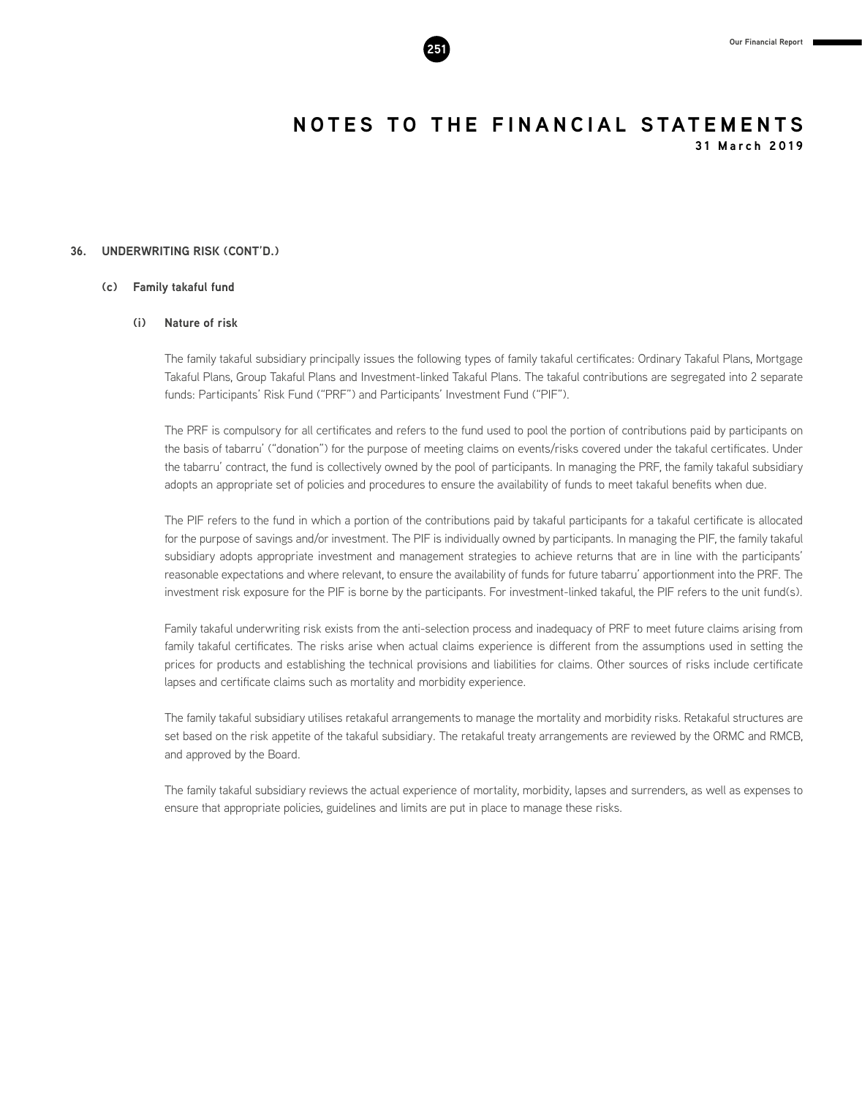#### **36. UNDERWRITING RISK (CONT'D.)**

#### **(c) Family takaful fund**

#### **(i) Nature of risk**

The family takaful subsidiary principally issues the following types of family takaful certificates: Ordinary Takaful Plans, Mortgage Takaful Plans, Group Takaful Plans and Investment-linked Takaful Plans. The takaful contributions are segregated into 2 separate funds: Participants' Risk Fund ("PRF") and Participants' Investment Fund ("PIF").

The PRF is compulsory for all certificates and refers to the fund used to pool the portion of contributions paid by participants on the basis of tabarru' ("donation") for the purpose of meeting claims on events/risks covered under the takaful certificates. Under the tabarru' contract, the fund is collectively owned by the pool of participants. In managing the PRF, the family takaful subsidiary adopts an appropriate set of policies and procedures to ensure the availability of funds to meet takaful benefits when due.

The PIF refers to the fund in which a portion of the contributions paid by takaful participants for a takaful certificate is allocated for the purpose of savings and/or investment. The PIF is individually owned by participants. In managing the PIF, the family takaful subsidiary adopts appropriate investment and management strategies to achieve returns that are in line with the participants' reasonable expectations and where relevant, to ensure the availability of funds for future tabarru' apportionment into the PRF. The investment risk exposure for the PIF is borne by the participants. For investment-linked takaful, the PIF refers to the unit fund(s).

Family takaful underwriting risk exists from the anti-selection process and inadequacy of PRF to meet future claims arising from family takaful certificates. The risks arise when actual claims experience is different from the assumptions used in setting the prices for products and establishing the technical provisions and liabilities for claims. Other sources of risks include certificate lapses and certificate claims such as mortality and morbidity experience.

The family takaful subsidiary utilises retakaful arrangements to manage the mortality and morbidity risks. Retakaful structures are set based on the risk appetite of the takaful subsidiary. The retakaful treaty arrangements are reviewed by the ORMC and RMCB, and approved by the Board.

The family takaful subsidiary reviews the actual experience of mortality, morbidity, lapses and surrenders, as well as expenses to ensure that appropriate policies, guidelines and limits are put in place to manage these risks.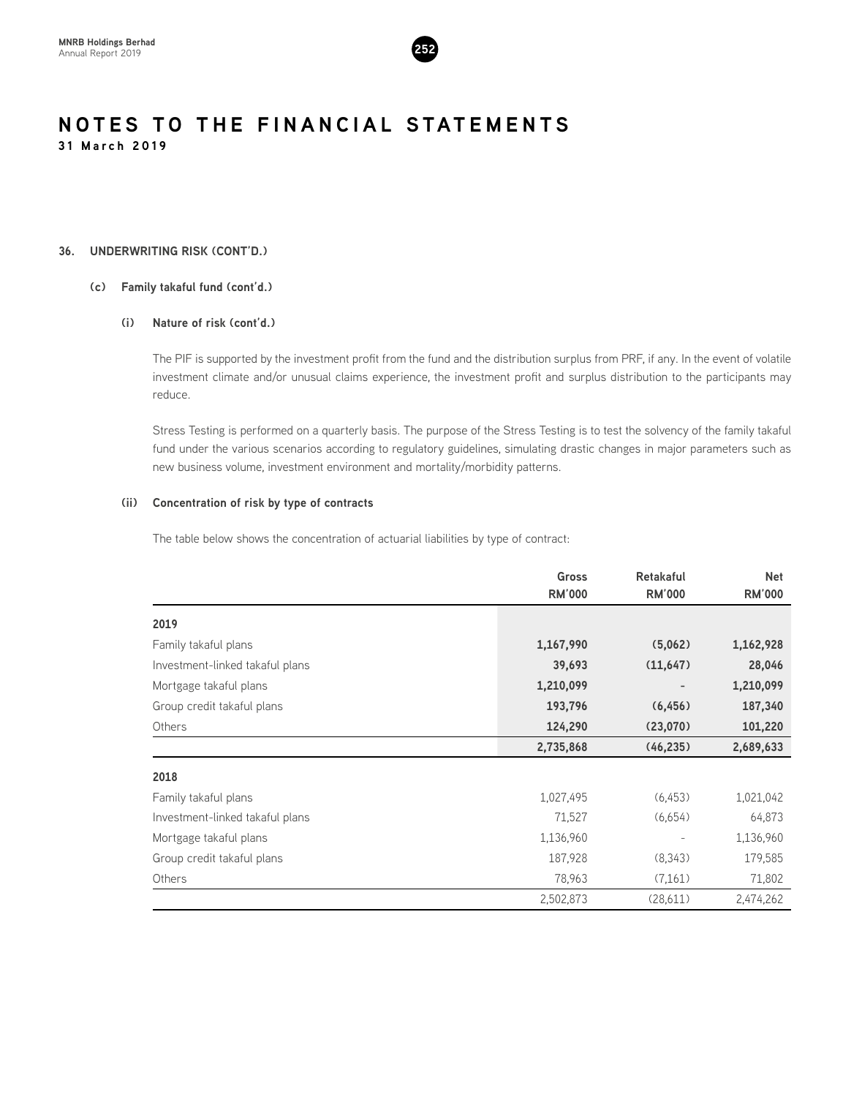

#### **36. UNDERWRITING RISK (CONT'D.)**

#### **(c) Family takaful fund (cont'd.)**

#### **(i) Nature of risk (cont'd.)**

The PIF is supported by the investment profit from the fund and the distribution surplus from PRF, if any. In the event of volatile investment climate and/or unusual claims experience, the investment profit and surplus distribution to the participants may reduce.

Stress Testing is performed on a quarterly basis. The purpose of the Stress Testing is to test the solvency of the family takaful fund under the various scenarios according to regulatory guidelines, simulating drastic changes in major parameters such as new business volume, investment environment and mortality/morbidity patterns.

#### **(ii) Concentration of risk by type of contracts**

The table below shows the concentration of actuarial liabilities by type of contract:

|                                 | <b>Gross</b>  | <b>Retakaful</b> |               |
|---------------------------------|---------------|------------------|---------------|
|                                 | <b>RM'000</b> | <b>RM'000</b>    | <b>RM'000</b> |
| 2019                            |               |                  |               |
| Family takaful plans            | 1,167,990     | (5,062)          | 1,162,928     |
| Investment-linked takaful plans | 39,693        | (11, 647)        | 28,046        |
| Mortgage takaful plans          | 1,210,099     |                  | 1,210,099     |
| Group credit takaful plans      | 193,796       | (6, 456)         | 187,340       |
| Others                          | 124,290       | (23,070)         | 101,220       |
|                                 | 2,735,868     | (46, 235)        | 2,689,633     |
| 2018                            |               |                  |               |
| Family takaful plans            | 1,027,495     | (6, 453)         | 1,021,042     |
| Investment-linked takaful plans | 71,527        | (6,654)          | 64,873        |
| Mortgage takaful plans          | 1,136,960     |                  | 1,136,960     |
| Group credit takaful plans      | 187,928       | (8, 343)         | 179,585       |
| Others                          | 78,963        | (7,161)          | 71,802        |
|                                 | 2,502,873     | (28,611)         | 2,474,262     |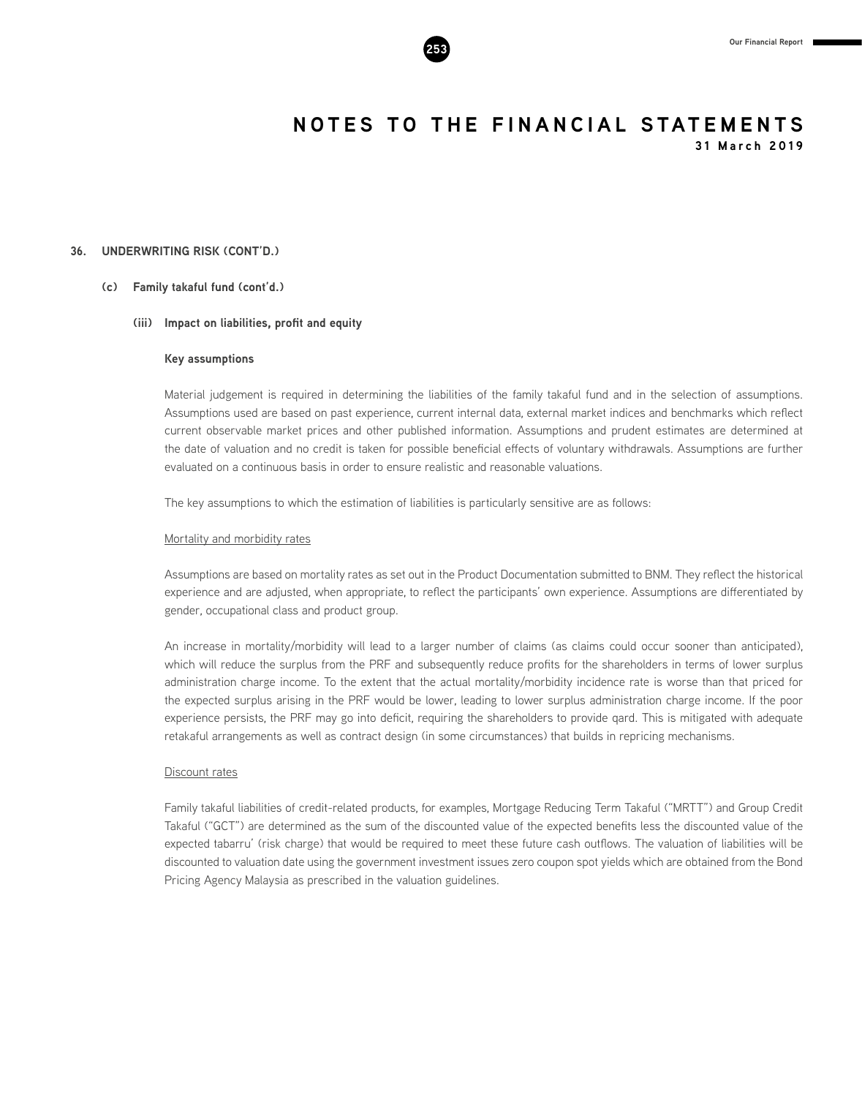

**31 March 2019**

#### **36. UNDERWRITING RISK (CONT'D.)**

#### **(c) Family takaful fund (cont'd.)**

#### **(iii) Impact on liabilities, profit and equity**

#### **Key assumptions**

Material judgement is required in determining the liabilities of the family takaful fund and in the selection of assumptions. Assumptions used are based on past experience, current internal data, external market indices and benchmarks which reflect current observable market prices and other published information. Assumptions and prudent estimates are determined at the date of valuation and no credit is taken for possible beneficial effects of voluntary withdrawals. Assumptions are further evaluated on a continuous basis in order to ensure realistic and reasonable valuations.

The key assumptions to which the estimation of liabilities is particularly sensitive are as follows:

#### Mortality and morbidity rates

Assumptions are based on mortality rates as set out in the Product Documentation submitted to BNM. They reflect the historical experience and are adjusted, when appropriate, to reflect the participants' own experience. Assumptions are differentiated by gender, occupational class and product group.

An increase in mortality/morbidity will lead to a larger number of claims (as claims could occur sooner than anticipated), which will reduce the surplus from the PRF and subsequently reduce profits for the shareholders in terms of lower surplus administration charge income. To the extent that the actual mortality/morbidity incidence rate is worse than that priced for the expected surplus arising in the PRF would be lower, leading to lower surplus administration charge income. If the poor experience persists, the PRF may go into deficit, requiring the shareholders to provide qard. This is mitigated with adequate retakaful arrangements as well as contract design (in some circumstances) that builds in repricing mechanisms.

#### Discount rates

Family takaful liabilities of credit-related products, for examples, Mortgage Reducing Term Takaful ("MRTT") and Group Credit Takaful ("GCT") are determined as the sum of the discounted value of the expected benefits less the discounted value of the expected tabarru' (risk charge) that would be required to meet these future cash outflows. The valuation of liabilities will be discounted to valuation date using the government investment issues zero coupon spot yields which are obtained from the Bond Pricing Agency Malaysia as prescribed in the valuation guidelines.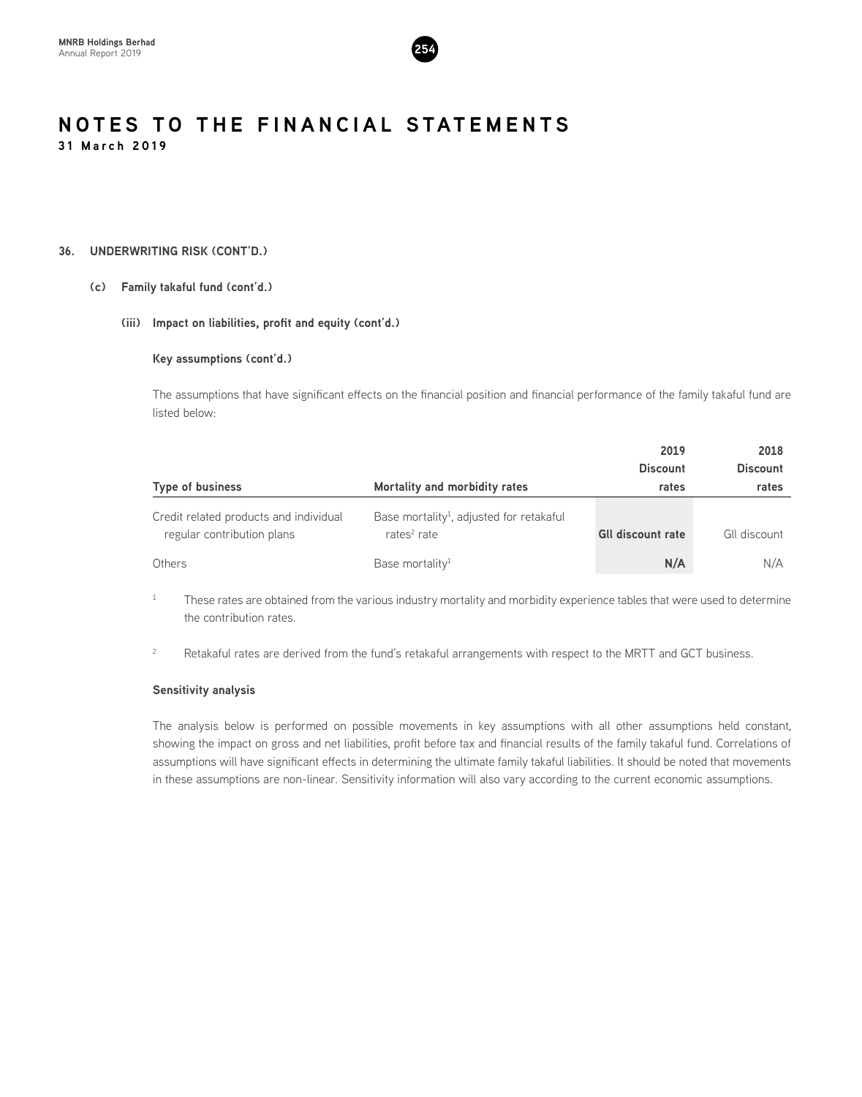

#### **36. UNDERWRITING RISK (CONT'D.)**

#### **(c) Family takaful fund (cont'd.)**

#### **(iii) Impact on liabilities, profit and equity (cont'd.)**

#### **Key assumptions (cont'd.)**

The assumptions that have significant effects on the financial position and financial performance of the family takaful fund are listed below:

|                                                                      |                                                                        | 2019<br><b>Discount</b>  | 2018<br><b>Discount</b> |
|----------------------------------------------------------------------|------------------------------------------------------------------------|--------------------------|-------------------------|
| <b>Type of business</b>                                              | Mortality and morbidity rates                                          | rates                    | rates                   |
| Credit related products and individual<br>regular contribution plans | Base mortality <sup>1</sup> , adjusted for retakaful<br>rates $2$ rate | <b>GII discount rate</b> | GII discount            |
| Others                                                               | Base mortality <sup>1</sup>                                            | N/A                      | N/A                     |

<sup>1</sup> These rates are obtained from the various industry mortality and morbidity experience tables that were used to determine the contribution rates.

<sup>2</sup> Retakaful rates are derived from the fund's retakaful arrangements with respect to the MRTT and GCT business.

#### **Sensitivity analysis**

The analysis below is performed on possible movements in key assumptions with all other assumptions held constant, showing the impact on gross and net liabilities, profit before tax and financial results of the family takaful fund. Correlations of assumptions will have significant effects in determining the ultimate family takaful liabilities. It should be noted that movements in these assumptions are non-linear. Sensitivity information will also vary according to the current economic assumptions.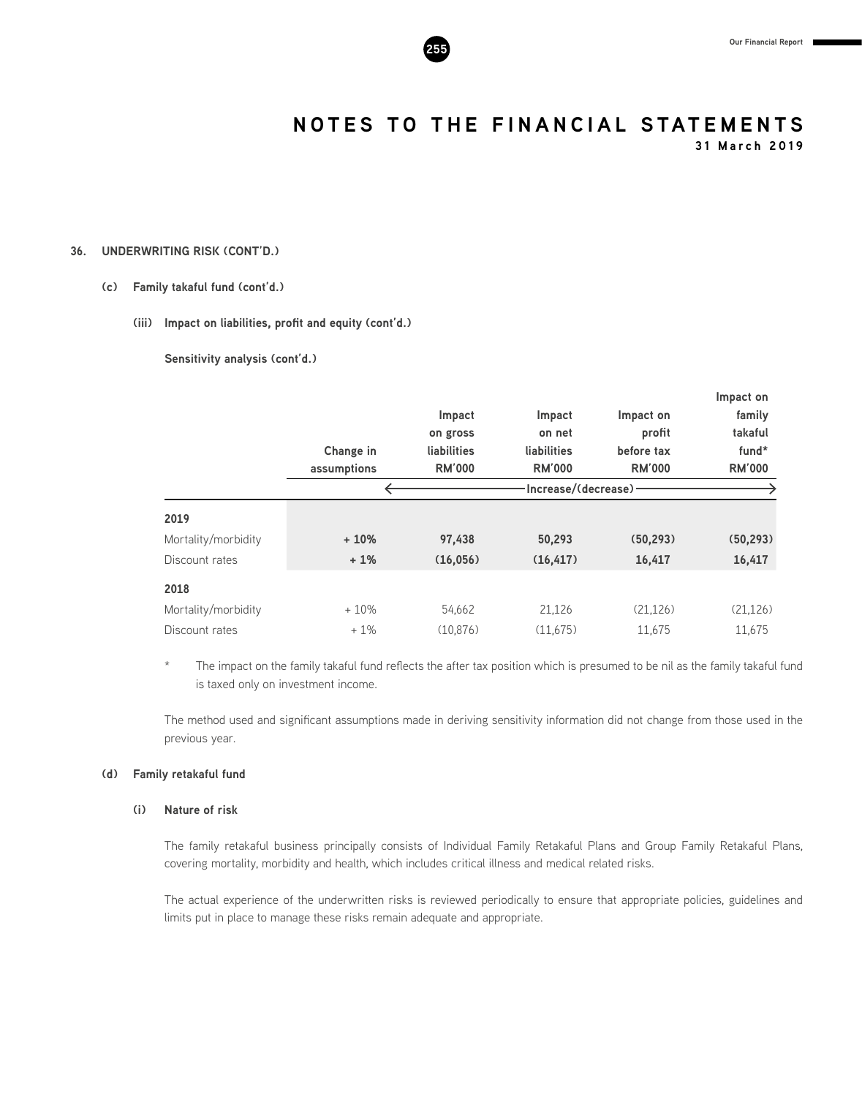

**31 March 2019**

#### **36. UNDERWRITING RISK (CONT'D.)**

#### **(c) Family takaful fund (cont'd.)**

#### **(iii) Impact on liabilities, profit and equity (cont'd.)**

**Sensitivity analysis (cont'd.)**

|                     |             |               |                      |               | Impact on     |
|---------------------|-------------|---------------|----------------------|---------------|---------------|
|                     |             | Impact        | Impact               | Impact on     | family        |
|                     |             | on gross      | on net               | profit        | takaful       |
|                     | Change in   | liabilities   | liabilities          | before tax    | fund*         |
|                     | assumptions | <b>RM'000</b> | <b>RM'000</b>        | <b>RM'000</b> | <b>RM'000</b> |
|                     |             |               | Increase/(decrease)- |               |               |
| 2019                |             |               |                      |               |               |
| Mortality/morbidity | $+10%$      | 97,438        | 50,293               | (50, 293)     | (50, 293)     |
| Discount rates      | $+1%$       | (16,056)      | (16, 417)            | 16,417        | 16,417        |
| 2018                |             |               |                      |               |               |
| Mortality/morbidity | $+10%$      | 54.662        | 21,126               | (21, 126)     | (21, 126)     |
| Discount rates      | $+1\%$      | (10.876)      | (11.675)             | 11.675        | 11.675        |

\* The impact on the family takaful fund reflects the after tax position which is presumed to be nil as the family takaful fund is taxed only on investment income.

The method used and significant assumptions made in deriving sensitivity information did not change from those used in the previous year.

#### **(d) Family retakaful fund**

#### **(i) Nature of risk**

The family retakaful business principally consists of Individual Family Retakaful Plans and Group Family Retakaful Plans, covering mortality, morbidity and health, which includes critical illness and medical related risks.

The actual experience of the underwritten risks is reviewed periodically to ensure that appropriate policies, guidelines and limits put in place to manage these risks remain adequate and appropriate.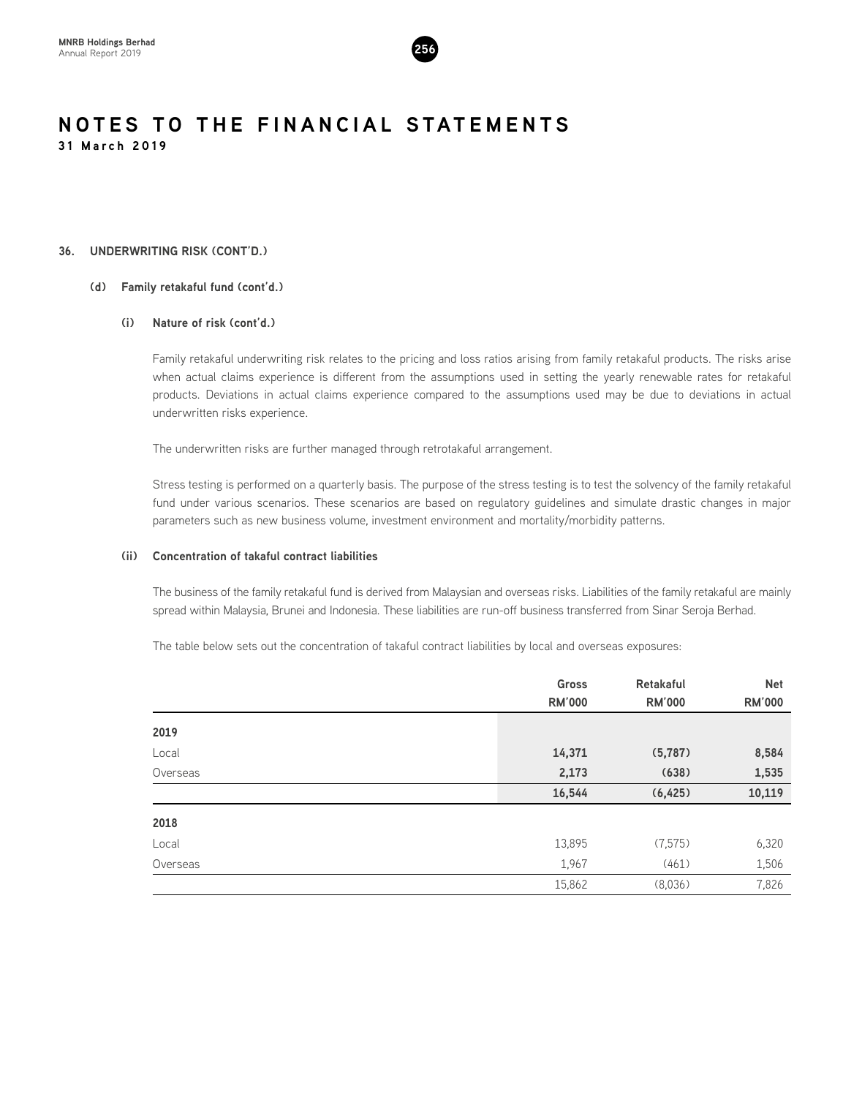

#### **36. UNDERWRITING RISK (CONT'D.)**

#### **(d) Family retakaful fund (cont'd.)**

#### **(i) Nature of risk (cont'd.)**

Family retakaful underwriting risk relates to the pricing and loss ratios arising from family retakaful products. The risks arise when actual claims experience is different from the assumptions used in setting the yearly renewable rates for retakaful products. Deviations in actual claims experience compared to the assumptions used may be due to deviations in actual underwritten risks experience.

The underwritten risks are further managed through retrotakaful arrangement.

Stress testing is performed on a quarterly basis. The purpose of the stress testing is to test the solvency of the family retakaful fund under various scenarios. These scenarios are based on regulatory guidelines and simulate drastic changes in major parameters such as new business volume, investment environment and mortality/morbidity patterns.

#### **(ii) Concentration of takaful contract liabilities**

The business of the family retakaful fund is derived from Malaysian and overseas risks. Liabilities of the family retakaful are mainly spread within Malaysia, Brunei and Indonesia. These liabilities are run-off business transferred from Sinar Seroja Berhad.

The table below sets out the concentration of takaful contract liabilities by local and overseas exposures:

| <b>Gross</b>  | <b>Retakaful</b> | <b>Net</b>    |
|---------------|------------------|---------------|
| <b>RM'000</b> | <b>RM'000</b>    | <b>RM'000</b> |
|               |                  |               |
| 14,371        | (5, 787)         | 8,584         |
| 2,173         | (638)            | 1,535         |
| 16,544        | (6, 425)         | 10,119        |
|               |                  |               |
| 13,895        | (7,575)          | 6,320         |
| 1,967         | (461)            | 1,506         |
| 15,862        | (8,036)          | 7,826         |
|               |                  |               |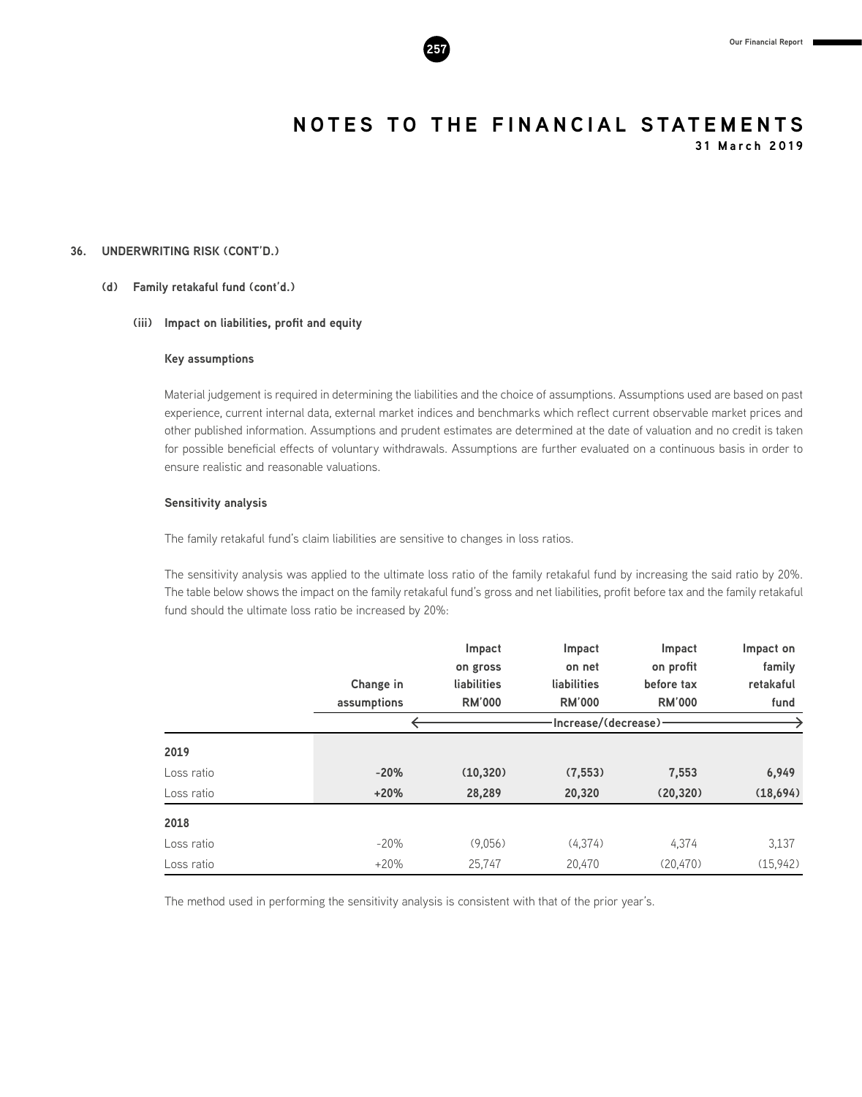

**31 March 2019**

#### **36. UNDERWRITING RISK (CONT'D.)**

#### **(d) Family retakaful fund (cont'd.)**

#### **(iii) Impact on liabilities, profit and equity**

#### **Key assumptions**

Material judgement is required in determining the liabilities and the choice of assumptions. Assumptions used are based on past experience, current internal data, external market indices and benchmarks which reflect current observable market prices and other published information. Assumptions and prudent estimates are determined at the date of valuation and no credit is taken for possible beneficial effects of voluntary withdrawals. Assumptions are further evaluated on a continuous basis in order to ensure realistic and reasonable valuations.

#### **Sensitivity analysis**

The family retakaful fund's claim liabilities are sensitive to changes in loss ratios.

The sensitivity analysis was applied to the ultimate loss ratio of the family retakaful fund by increasing the said ratio by 20%. The table below shows the impact on the family retakaful fund's gross and net liabilities, profit before tax and the family retakaful fund should the ultimate loss ratio be increased by 20%:

|            |             | Impact               | Impact        | Impact        | Impact on |  |  |
|------------|-------------|----------------------|---------------|---------------|-----------|--|--|
|            |             | on gross             | on net        | on profit     | family    |  |  |
|            | Change in   | liabilities          | liabilities   | before tax    | retakaful |  |  |
|            | assumptions | <b>RM'000</b>        | <b>RM'000</b> | <b>RM'000</b> | fund      |  |  |
|            |             | Increase/(decrease)- |               |               |           |  |  |
| 2019       |             |                      |               |               |           |  |  |
| Loss ratio | $-20%$      | (10, 320)            | (7, 553)      | 7,553         | 6,949     |  |  |
| Loss ratio | $+20%$      | 28,289               | 20,320        | (20, 320)     | (18,694)  |  |  |
| 2018       |             |                      |               |               |           |  |  |
| Loss ratio | $-20%$      | (9,056)              | (4,374)       | 4,374         | 3,137     |  |  |
| Loss ratio | $+20%$      | 25.747               | 20.470        | (20.470)      | (15.942)  |  |  |

The method used in performing the sensitivity analysis is consistent with that of the prior year's.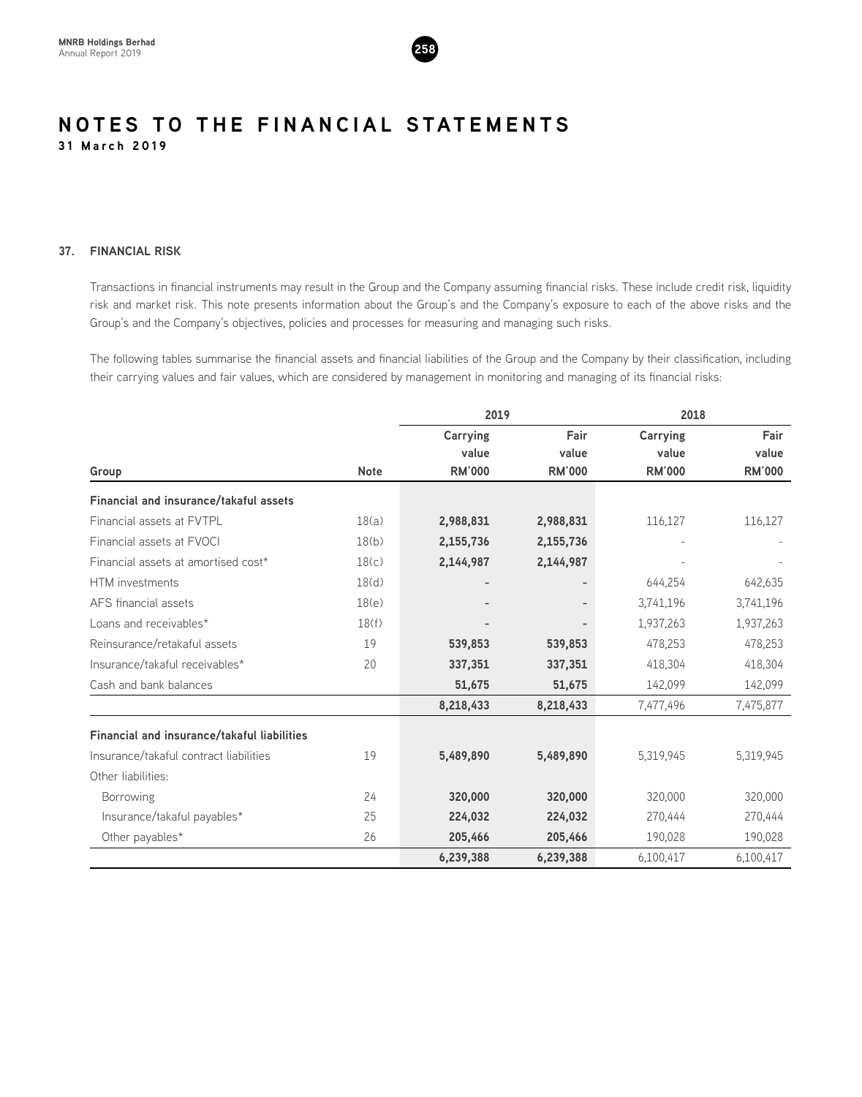

#### **37. FINANCIAL RISK**

Transactions in financial instruments may result in the Group and the Company assuming financial risks. These include credit risk, liquidity risk and market risk. This note presents information about the Group's and the Company's exposure to each of the above risks and the Group's and the Company's objectives, policies and processes for measuring and managing such risks.

The following tables summarise the financial assets and financial liabilities of the Group and the Company by their classification, including their carrying values and fair values, which are considered by management in monitoring and managing of its financial risks:

|                                               |             | 2019          |               | 2018          |               |  |
|-----------------------------------------------|-------------|---------------|---------------|---------------|---------------|--|
|                                               |             | Carrying      | Fair          | Carrying      | Fair          |  |
|                                               |             | value         | value         | value         | value         |  |
| Group                                         | <b>Note</b> | <b>RM'000</b> | <b>RM'000</b> | <b>RM'000</b> | <b>RM'000</b> |  |
| <b>Financial and insurance/takaful assets</b> |             |               |               |               |               |  |
| Financial assets at FVTPL                     | 18(a)       | 2,988,831     | 2,988,831     | 116,127       | 116,127       |  |
| Financial assets at FVOCI                     | 18(b)       | 2,155,736     | 2,155,736     |               |               |  |
| Financial assets at amortised cost*           | 18(c)       | 2,144,987     | 2,144,987     |               |               |  |
| HTM investments                               | 18(d)       |               |               | 644,254       | 642,635       |  |
| AFS financial assets                          | 18(e)       |               |               | 3,741,196     | 3,741,196     |  |
| Loans and receivables*                        | 18(f)       |               |               | 1,937,263     | 1,937,263     |  |
| Reinsurance/retakaful assets                  | 19          | 539,853       | 539,853       | 478,253       | 478,253       |  |
| Insurance/takaful receivables*                | 20          | 337,351       | 337,351       | 418,304       | 418,304       |  |
| Cash and bank balances                        |             | 51,675        | 51,675        | 142,099       | 142,099       |  |
|                                               |             | 8,218,433     | 8,218,433     | 7,477,496     | 7,475,877     |  |
| Financial and insurance/takaful liabilities   |             |               |               |               |               |  |
| Insurance/takaful contract liabilities        | 19          | 5,489,890     | 5,489,890     | 5,319,945     | 5,319,945     |  |
| Other liabilities:                            |             |               |               |               |               |  |
| Borrowing                                     | 24          | 320,000       | 320,000       | 320,000       | 320,000       |  |
| Insurance/takaful payables*                   | 25          | 224,032       | 224,032       | 270,444       | 270,444       |  |
| Other payables*                               | 26          | 205,466       | 205,466       | 190,028       | 190,028       |  |
|                                               |             | 6,239,388     | 6,239,388     | 6,100,417     | 6,100,417     |  |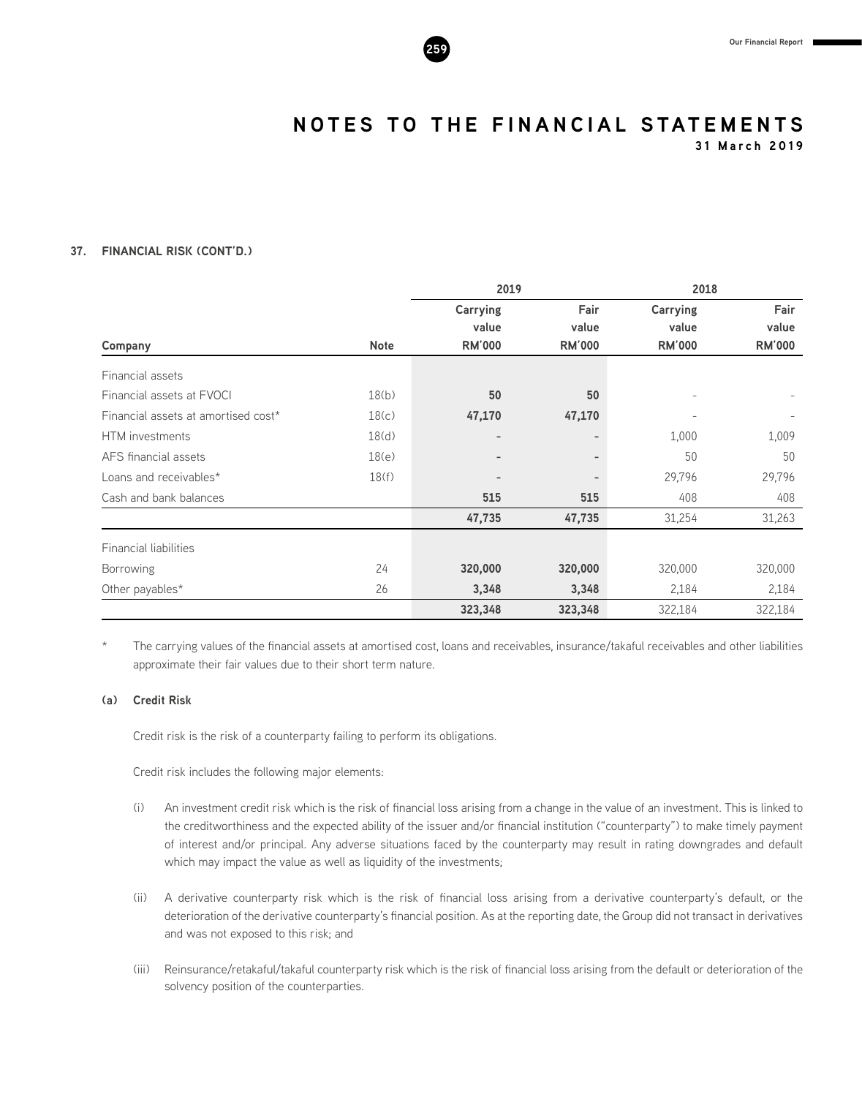**31 March 2019**

### **37. FINANCIAL RISK (CONT'D.)**

|                                     |             | 2019                     |               | 2018                     |               |  |
|-------------------------------------|-------------|--------------------------|---------------|--------------------------|---------------|--|
|                                     |             | <b>Carrying</b><br>value | Fair<br>value | <b>Carrying</b><br>value | Fair<br>value |  |
| Company                             | <b>Note</b> | <b>RM'000</b>            | <b>RM'000</b> | <b>RM'000</b>            | <b>RM'000</b> |  |
| Financial assets                    |             |                          |               |                          |               |  |
| Financial assets at FVOCI           | 18(b)       | 50                       | 50            |                          |               |  |
| Financial assets at amortised cost* | 18(c)       | 47,170                   | 47,170        |                          |               |  |
| HTM investments                     | 18(d)       | -                        |               | 1,000                    | 1,009         |  |
| AFS financial assets                | 18(e)       | $\overline{\phantom{a}}$ | -             | 50                       | 50            |  |
| Loans and receivables*              | 18(f)       | $\overline{\phantom{a}}$ |               | 29,796                   | 29,796        |  |
| Cash and bank balances              |             | 515                      | 515           | 408                      | 408           |  |
|                                     |             | 47,735                   | 47,735        | 31,254                   | 31,263        |  |
| <b>Financial liabilities</b>        |             |                          |               |                          |               |  |
| <b>Borrowing</b>                    | 24          | 320,000                  | 320,000       | 320,000                  | 320,000       |  |
| Other payables*                     | 26          | 3,348                    | 3,348         | 2,184                    | 2,184         |  |
|                                     |             | 323,348                  | 323,348       | 322,184                  | 322,184       |  |

The carrying values of the financial assets at amortised cost, loans and receivables, insurance/takaful receivables and other liabilities approximate their fair values due to their short term nature.

#### **(a) Credit Risk**

Credit risk is the risk of a counterparty failing to perform its obligations.

Credit risk includes the following major elements:

- (i) An investment credit risk which is the risk of financial loss arising from a change in the value of an investment. This is linked to the creditworthiness and the expected ability of the issuer and/or financial institution ("counterparty") to make timely payment of interest and/or principal. Any adverse situations faced by the counterparty may result in rating downgrades and default which may impact the value as well as liquidity of the investments;
- (ii) A derivative counterparty risk which is the risk of financial loss arising from a derivative counterparty's default, or the deterioration of the derivative counterparty's financial position. As at the reporting date, the Group did not transact in derivatives and was not exposed to this risk; and
- (iii) Reinsurance/retakaful/takaful counterparty risk which is the risk of financial loss arising from the default or deterioration of the solvency position of the counterparties.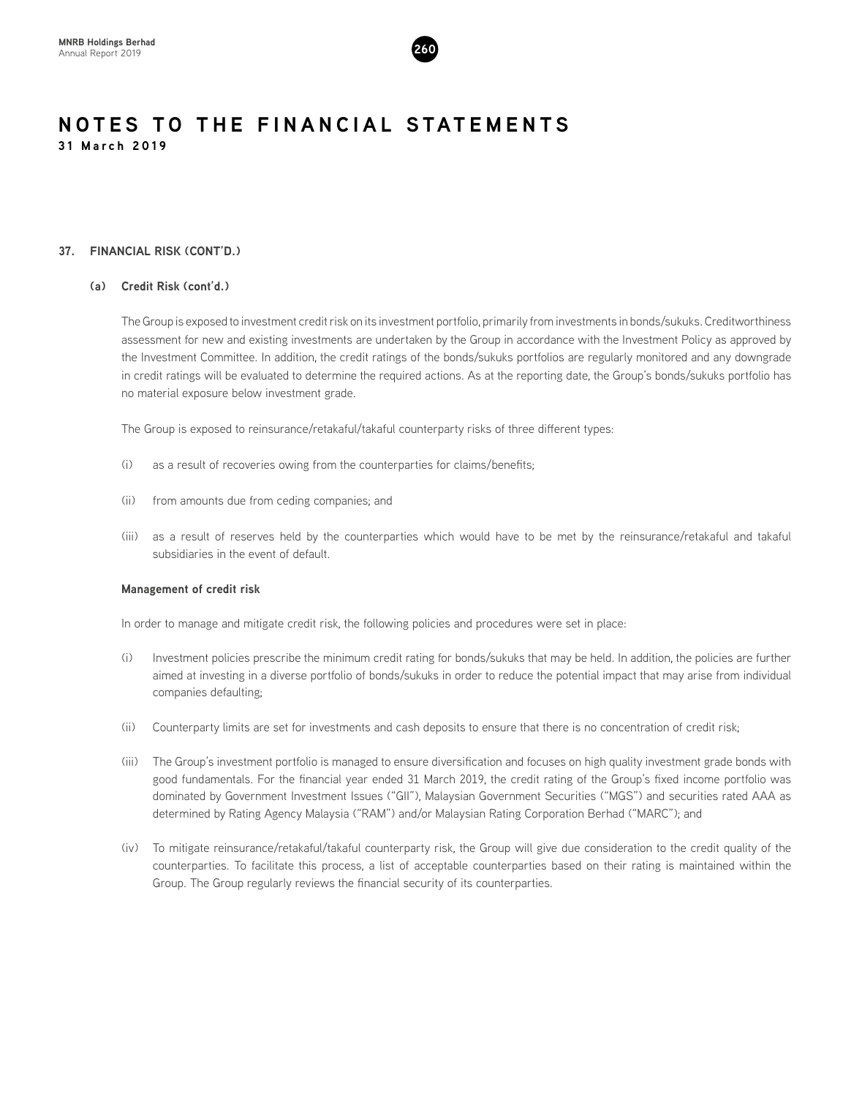

#### **37. FINANCIAL RISK (CONT'D.)**

#### **(a) Credit Risk (cont'd.)**

The Group is exposed to investment credit risk on its investment portfolio, primarily from investments in bonds/sukuks. Creditworthiness assessment for new and existing investments are undertaken by the Group in accordance with the Investment Policy as approved by the Investment Committee. In addition, the credit ratings of the bonds/sukuks portfolios are regularly monitored and any downgrade in credit ratings will be evaluated to determine the required actions. As at the reporting date, the Group's bonds/sukuks portfolio has no material exposure below investment grade.

The Group is exposed to reinsurance/retakaful/takaful counterparty risks of three different types:

- (i) as a result of recoveries owing from the counterparties for claims/benefits;
- (ii) from amounts due from ceding companies; and
- (iii) as a result of reserves held by the counterparties which would have to be met by the reinsurance/retakaful and takaful subsidiaries in the event of default.

#### **Management of credit risk**

In order to manage and mitigate credit risk, the following policies and procedures were set in place:

- (i) Investment policies prescribe the minimum credit rating for bonds/sukuks that may be held. In addition, the policies are further aimed at investing in a diverse portfolio of bonds/sukuks in order to reduce the potential impact that may arise from individual companies defaulting;
- (ii) Counterparty limits are set for investments and cash deposits to ensure that there is no concentration of credit risk;
- (iii) The Group's investment portfolio is managed to ensure diversification and focuses on high quality investment grade bonds with good fundamentals. For the financial year ended 31 March 2019, the credit rating of the Group's fixed income portfolio was dominated by Government Investment Issues ("GII"), Malaysian Government Securities ("MGS") and securities rated AAA as determined by Rating Agency Malaysia ("RAM") and/or Malaysian Rating Corporation Berhad ("MARC"); and
- (iv) To mitigate reinsurance/retakaful/takaful counterparty risk, the Group will give due consideration to the credit quality of the counterparties. To facilitate this process, a list of acceptable counterparties based on their rating is maintained within the Group. The Group regularly reviews the financial security of its counterparties.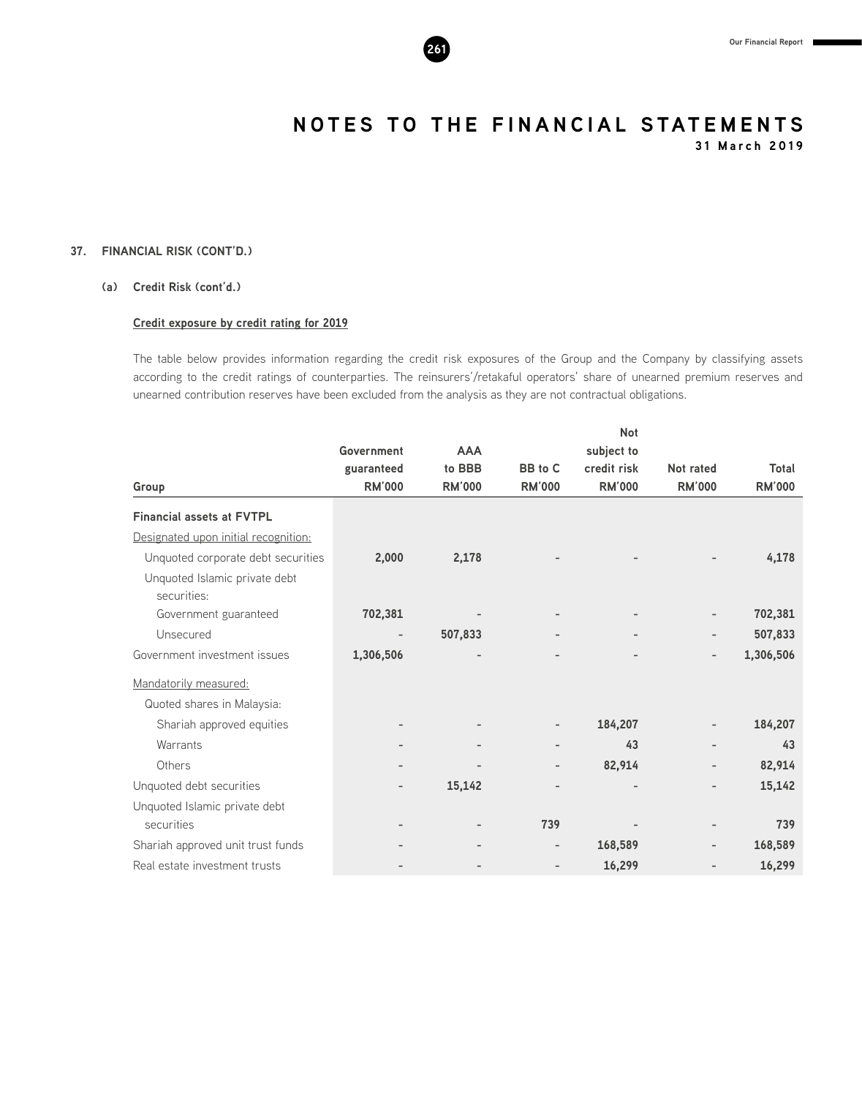

**31 March 2019**

#### **37. FINANCIAL RISK (CONT'D.)**

#### **(a) Credit Risk (cont'd.)**

#### **Credit exposure by credit rating for 2019**

The table below provides information regarding the credit risk exposures of the Group and the Company by classifying assets according to the credit ratings of counterparties. The reinsurers'/retakaful operators' share of unearned premium reserves and unearned contribution reserves have been excluded from the analysis as they are not contractual obligations.

|                                              |                              |               |                   | <b>Not</b>               |                          |               |
|----------------------------------------------|------------------------------|---------------|-------------------|--------------------------|--------------------------|---------------|
|                                              | Government                   | <b>AAA</b>    |                   | subject to               |                          |               |
|                                              | guaranteed                   | to BBB        | BB to C           | credit risk              | Not rated                | Total         |
| Group                                        | <b>RM'000</b>                | <b>RM'000</b> | <b>RM'000</b>     | <b>RM'000</b>            | <b>RM'000</b>            | <b>RM'000</b> |
| <b>Financial assets at FVTPL</b>             |                              |               |                   |                          |                          |               |
| Designated upon initial recognition:         |                              |               |                   |                          |                          |               |
| Unquoted corporate debt securities           | 2,000                        | 2,178         |                   |                          |                          | 4,178         |
| Unquoted Islamic private debt<br>securities: |                              |               |                   |                          |                          |               |
| Government guaranteed                        | 702,381                      |               |                   |                          |                          | 702,381       |
| Unsecured                                    | $\qquad \qquad \blacksquare$ | 507,833       |                   | $\overline{\phantom{a}}$ | $\overline{\phantom{0}}$ | 507,833       |
| Government investment issues                 | 1,306,506                    |               |                   |                          | $\overline{\phantom{0}}$ | 1,306,506     |
| Mandatorily measured:                        |                              |               |                   |                          |                          |               |
| Quoted shares in Malaysia:                   |                              |               |                   |                          |                          |               |
| Shariah approved equities                    |                              |               |                   | 184,207                  | -                        | 184,207       |
| Warrants                                     |                              |               |                   | 43                       | -                        | 43            |
| Others                                       | $\qquad \qquad =$            |               | $\qquad \qquad -$ | 82,914                   | -                        | 82,914        |
| Unquoted debt securities                     | $\overline{\phantom{0}}$     | 15,142        |                   |                          |                          | 15,142        |
| Unquoted Islamic private debt                |                              |               |                   |                          |                          |               |
| securities                                   |                              |               | 739               |                          | $\overline{\phantom{0}}$ | 739           |
| Shariah approved unit trust funds            |                              |               |                   | 168,589                  | $\overline{a}$           | 168,589       |
| Real estate investment trusts                |                              |               |                   | 16,299                   |                          | 16,299        |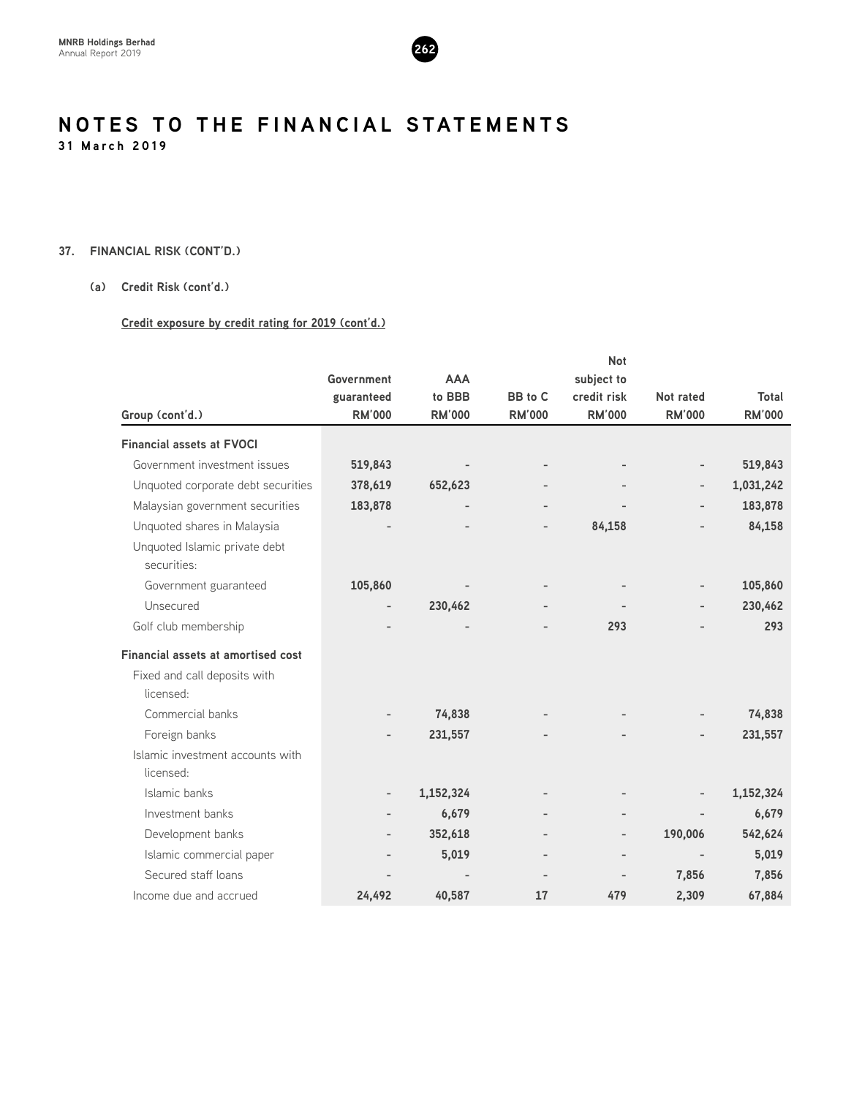

#### **37. FINANCIAL RISK (CONT'D.)**

#### **(a) Credit Risk (cont'd.)**

#### **Credit exposure by credit rating for 2019 (cont'd.)**

|                                              |                   | <b>Not</b>               |                          |                              |                          |               |  |
|----------------------------------------------|-------------------|--------------------------|--------------------------|------------------------------|--------------------------|---------------|--|
|                                              | Government        | <b>AAA</b>               |                          | subject to                   |                          |               |  |
|                                              | guaranteed        | to BBB                   | BB to C                  | credit risk                  | Not rated                | Total         |  |
| Group (cont'd.)                              | <b>RM'000</b>     | <b>RM'000</b>            | <b>RM'000</b>            | <b>RM'000</b>                | <b>RM'000</b>            | <b>RM'000</b> |  |
| <b>Financial assets at FVOCI</b>             |                   |                          |                          |                              |                          |               |  |
| Government investment issues                 | 519,843           |                          | $\overline{\phantom{a}}$ |                              |                          | 519,843       |  |
| Unquoted corporate debt securities           | 378,619           | 652,623                  |                          |                              |                          | 1,031,242     |  |
| Malaysian government securities              | 183,878           | $\overline{\phantom{a}}$ | $\overline{\phantom{a}}$ | $\qquad \qquad \blacksquare$ |                          | 183,878       |  |
| Unquoted shares in Malaysia                  |                   |                          | $\overline{\phantom{0}}$ | 84,158                       |                          | 84,158        |  |
| Unquoted Islamic private debt<br>securities: |                   |                          |                          |                              |                          |               |  |
| Government guaranteed                        | 105,860           |                          |                          |                              | $\overline{\phantom{a}}$ | 105,860       |  |
| Unsecured                                    |                   | 230,462                  |                          |                              |                          | 230,462       |  |
| Golf club membership                         |                   |                          |                          | 293                          |                          | 293           |  |
| <b>Financial assets at amortised cost</b>    |                   |                          |                          |                              |                          |               |  |
| Fixed and call deposits with                 |                   |                          |                          |                              |                          |               |  |
| licensed:                                    |                   |                          |                          |                              |                          |               |  |
| Commercial banks                             |                   | 74,838                   |                          |                              |                          | 74,838        |  |
| Foreign banks                                |                   | 231,557                  |                          |                              |                          | 231,557       |  |
| Islamic investment accounts with             |                   |                          |                          |                              |                          |               |  |
| licensed:                                    |                   |                          |                          |                              |                          |               |  |
| Islamic banks                                | $\qquad \qquad -$ | 1,152,324                |                          |                              |                          | 1,152,324     |  |
| Investment banks                             |                   | 6,679                    |                          |                              |                          | 6,679         |  |
| Development banks                            |                   | 352,618                  | $\overline{\phantom{a}}$ | $\overline{\phantom{a}}$     | 190,006                  | 542,624       |  |
| Islamic commercial paper                     |                   | 5,019                    | $\overline{\phantom{a}}$ | $\overline{\phantom{a}}$     |                          | 5,019         |  |
| Secured staff loans                          |                   |                          |                          | $\overline{\phantom{a}}$     | 7,856                    | 7,856         |  |
| Income due and accrued                       | 24,492            | 40,587                   | 17                       | 479                          | 2,309                    | 67,884        |  |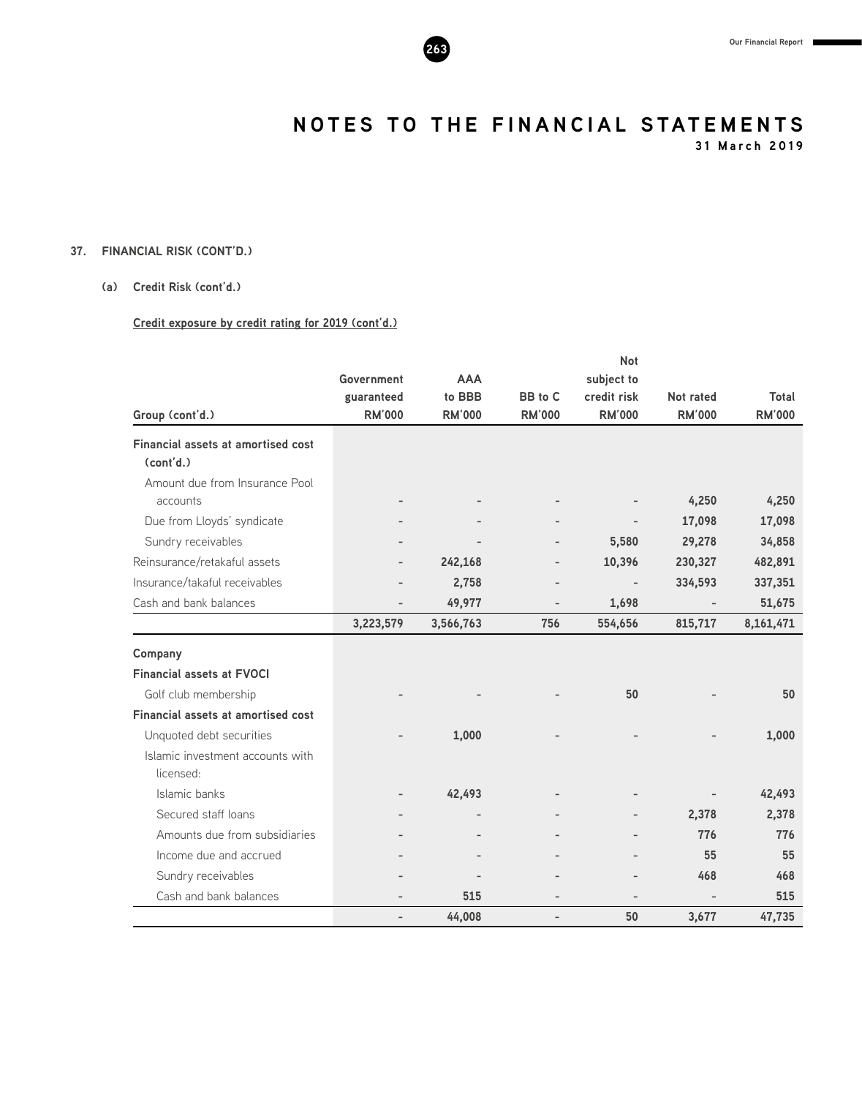

**31 March 2019**

#### **37. FINANCIAL RISK (CONT'D.)**

#### **(a) Credit Risk (cont'd.)**

#### **Credit exposure by credit rating for 2019 (cont'd.)**

|                                                 |                          |               |                | <b>Not</b>    |                          |               |
|-------------------------------------------------|--------------------------|---------------|----------------|---------------|--------------------------|---------------|
|                                                 | Government               | <b>AAA</b>    |                | subject to    |                          |               |
|                                                 | guaranteed               | to BBB        | BB to C        | credit risk   | Not rated                | Total         |
| Group (cont'd.)                                 | <b>RM'000</b>            | <b>RM'000</b> | <b>RM'000</b>  | <b>RM'000</b> | <b>RM'000</b>            | <b>RM'000</b> |
| Financial assets at amortised cost<br>(cont'd.) |                          |               |                |               |                          |               |
| Amount due from Insurance Pool<br>accounts      |                          |               |                |               | 4,250                    | 4,250         |
| Due from Lloyds' syndicate                      |                          |               |                |               | 17,098                   | 17,098        |
| Sundry receivables                              |                          |               | $\overline{a}$ | 5,580         | 29,278                   | 34,858        |
| Reinsurance/retakaful assets                    |                          | 242,168       |                | 10,396        | 230,327                  | 482,891       |
| Insurance/takaful receivables                   |                          | 2,758         |                |               | 334,593                  | 337,351       |
| Cash and bank balances                          | $\qquad \qquad -$        | 49,977        | $\overline{a}$ | 1,698         | $\overline{\phantom{a}}$ | 51,675        |
|                                                 | 3,223,579                | 3,566,763     | 756            | 554,656       | 815,717                  | 8,161,471     |
| Company                                         |                          |               |                |               |                          |               |
| <b>Financial assets at FVOCI</b>                |                          |               |                |               |                          |               |
| Golf club membership                            |                          |               |                | 50            |                          | 50            |
| <b>Financial assets at amortised cost</b>       |                          |               |                |               |                          |               |
| Unquoted debt securities                        |                          | 1,000         |                |               |                          | 1,000         |
| Islamic investment accounts with<br>licensed:   |                          |               |                |               |                          |               |
| Islamic banks                                   |                          | 42,493        |                |               |                          | 42,493        |
| Secured staff loans                             |                          |               |                |               | 2,378                    | 2,378         |
| Amounts due from subsidiaries                   |                          |               |                |               | 776                      | 776           |
| Income due and accrued                          |                          |               |                |               | 55                       | 55            |
| Sundry receivables                              |                          |               |                |               | 468                      | 468           |
| Cash and bank balances                          |                          | 515           |                |               |                          | 515           |
|                                                 | $\overline{\phantom{a}}$ | 44,008        | $\overline{a}$ | 50            | 3,677                    | 47,735        |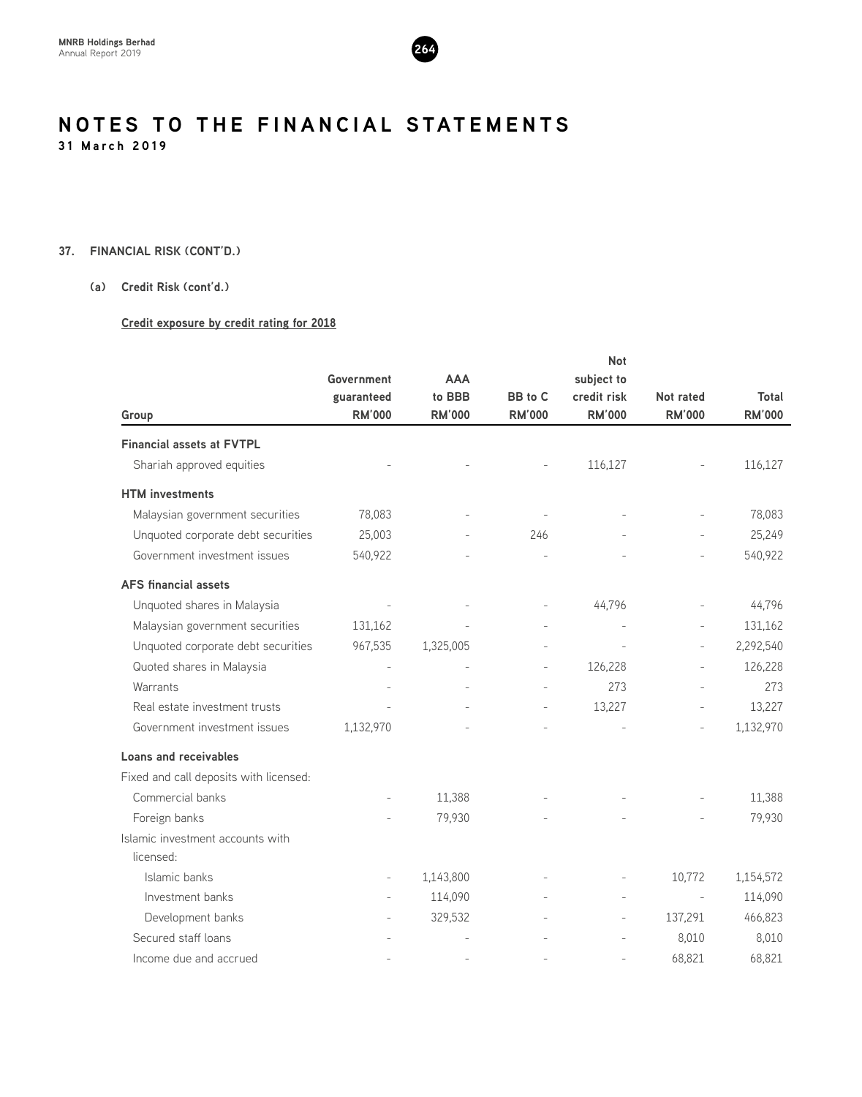

#### **37. FINANCIAL RISK (CONT'D.)**

#### **(a) Credit Risk (cont'd.)**

#### **Credit exposure by credit rating for 2018**

|                                               |               |               | Not           |                |                          |               |
|-----------------------------------------------|---------------|---------------|---------------|----------------|--------------------------|---------------|
|                                               | Government    | <b>AAA</b>    |               | subject to     |                          |               |
|                                               | guaranteed    | to BBB        | BB to C       | credit risk    | Not rated                | Total         |
| Group                                         | <b>RM'000</b> | <b>RM'000</b> | <b>RM'000</b> | <b>RM'000</b>  | <b>RM'000</b>            | <b>RM'000</b> |
| <b>Financial assets at FVTPL</b>              |               |               |               |                |                          |               |
| Shariah approved equities                     |               |               |               | 116,127        |                          | 116,127       |
| <b>HTM</b> investments                        |               |               |               |                |                          |               |
| Malaysian government securities               | 78,083        |               |               |                |                          | 78,083        |
| Unquoted corporate debt securities            | 25,003        |               | 246           |                |                          | 25,249        |
| Government investment issues                  | 540,922       |               |               |                | $\overline{a}$           | 540,922       |
| <b>AFS</b> financial assets                   |               |               |               |                |                          |               |
| Unquoted shares in Malaysia                   |               |               |               | 44,796         |                          | 44,796        |
| Malaysian government securities               | 131,162       |               |               |                | $\overline{a}$           | 131,162       |
| Unquoted corporate debt securities            | 967,535       | 1,325,005     |               |                | $\overline{\phantom{m}}$ | 2,292,540     |
| Quoted shares in Malaysia                     |               |               |               | 126,228        |                          | 126,228       |
| Warrants                                      |               |               |               | 273            |                          | 273           |
| Real estate investment trusts                 |               |               |               | 13,227         |                          | 13,227        |
| Government investment issues                  | 1,132,970     |               |               |                |                          | 1,132,970     |
| <b>Loans and receivables</b>                  |               |               |               |                |                          |               |
| Fixed and call deposits with licensed:        |               |               |               |                |                          |               |
| Commercial banks                              |               | 11,388        |               |                |                          | 11,388        |
| Foreign banks                                 |               | 79,930        |               |                |                          | 79,930        |
| Islamic investment accounts with<br>licensed: |               |               |               |                |                          |               |
| Islamic banks                                 |               | 1,143,800     |               |                | 10,772                   | 1,154,572     |
| Investment banks                              |               | 114,090       |               | $\overline{a}$ |                          | 114,090       |
| Development banks                             |               | 329,532       |               |                | 137,291                  | 466,823       |
| Secured staff loans                           |               |               |               |                | 8,010                    | 8,010         |
| Income due and accrued                        |               |               |               |                | 68,821                   | 68,821        |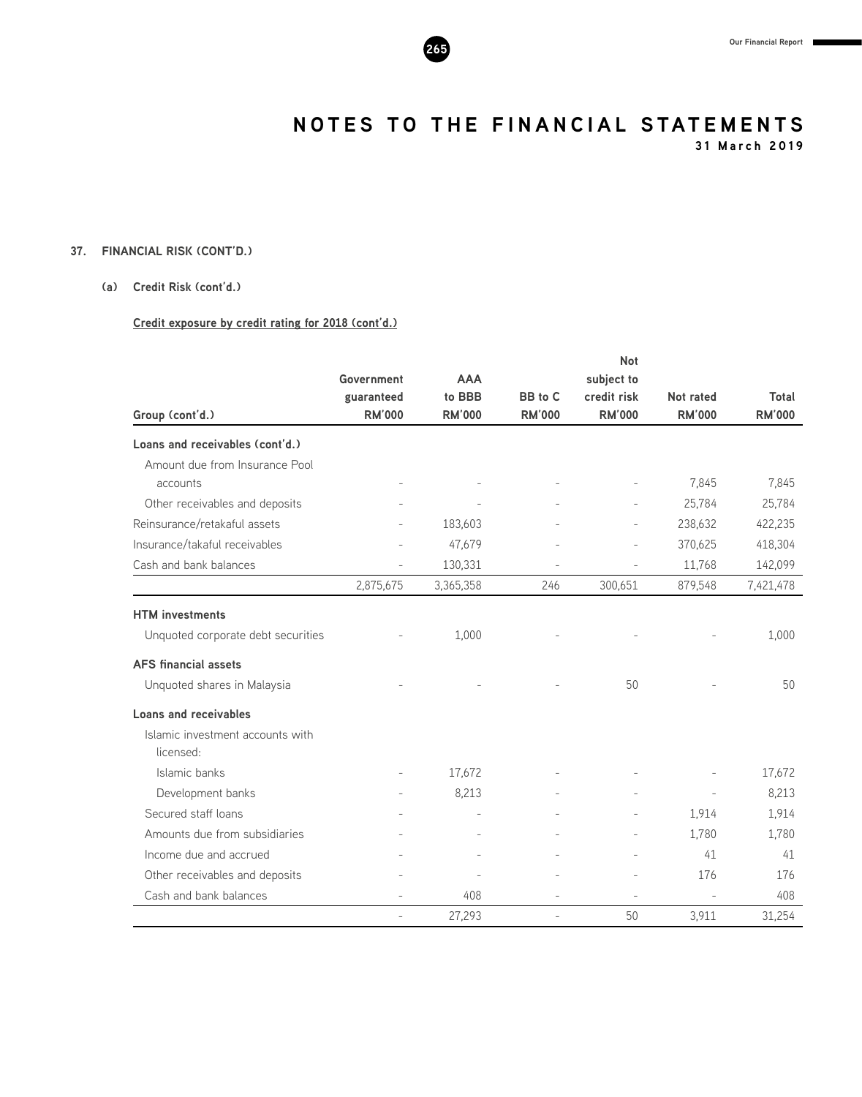

**31 March 2019**

#### **37. FINANCIAL RISK (CONT'D.)**

#### **(a) Credit Risk (cont'd.)**

#### **Credit exposure by credit rating for 2018 (cont'd.)**

|                                    |                          |               |                | <b>Not</b>               |                |               |
|------------------------------------|--------------------------|---------------|----------------|--------------------------|----------------|---------------|
|                                    | Government               | <b>AAA</b>    |                | subject to               |                |               |
|                                    | guaranteed               | to BBB        | BB to C        | credit risk              | Not rated      | Total         |
| Group (cont'd.)                    | <b>RM'000</b>            | <b>RM'000</b> | <b>RM'000</b>  | <b>RM'000</b>            | <b>RM'000</b>  | <b>RM'000</b> |
| Loans and receivables (cont'd.)    |                          |               |                |                          |                |               |
| Amount due from Insurance Pool     |                          |               |                |                          |                |               |
| accounts                           |                          |               |                |                          | 7,845          | 7,845         |
| Other receivables and deposits     |                          |               |                |                          | 25,784         | 25,784        |
| Reinsurance/retakaful assets       |                          | 183,603       |                |                          | 238,632        | 422,235       |
| Insurance/takaful receivables      |                          | 47,679        |                |                          | 370,625        | 418,304       |
| Cash and bank balances             | $\overline{\phantom{a}}$ | 130,331       |                | $\overline{a}$           | 11,768         | 142,099       |
|                                    | 2,875,675                | 3,365,358     | 246            | 300,651                  | 879,548        | 7,421,478     |
| <b>HTM</b> investments             |                          |               |                |                          |                |               |
| Unquoted corporate debt securities |                          | 1.000         |                |                          |                | 1,000         |
| <b>AFS</b> financial assets        |                          |               |                |                          |                |               |
| Unquoted shares in Malaysia        |                          |               |                | 50                       |                | 50            |
| <b>Loans and receivables</b>       |                          |               |                |                          |                |               |
| Islamic investment accounts with   |                          |               |                |                          |                |               |
| licensed:                          |                          |               |                |                          |                |               |
| Islamic banks                      |                          | 17,672        |                |                          |                | 17,672        |
| Development banks                  |                          | 8,213         |                |                          | $\overline{a}$ | 8,213         |
| Secured staff loans                |                          |               |                |                          | 1,914          | 1,914         |
| Amounts due from subsidiaries      |                          |               |                |                          | 1,780          | 1,780         |
| Income due and accrued             |                          |               |                |                          | 41             | 41            |
| Other receivables and deposits     |                          |               |                | $\overline{\phantom{a}}$ | 176            | 176           |
| Cash and bank balances             |                          | 408           | $\overline{a}$ |                          |                | 408           |
|                                    | $\overline{a}$           | 27,293        |                | 50                       | 3,911          | 31,254        |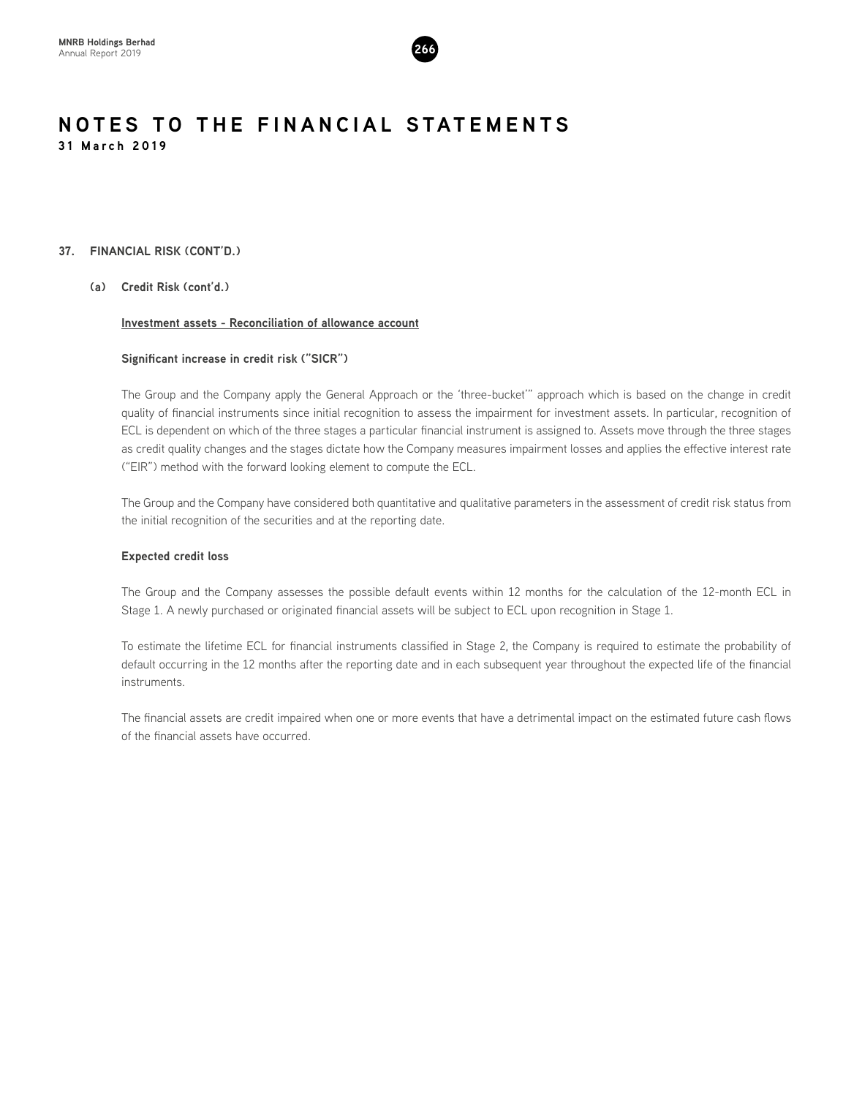

#### **37. FINANCIAL RISK (CONT'D.)**

**(a) Credit Risk (cont'd.)**

#### **Investment assets - Reconciliation of allowance account**

#### **Significant increase in credit risk ("SICR")**

The Group and the Company apply the General Approach or the 'three-bucket'" approach which is based on the change in credit quality of financial instruments since initial recognition to assess the impairment for investment assets. In particular, recognition of ECL is dependent on which of the three stages a particular financial instrument is assigned to. Assets move through the three stages as credit quality changes and the stages dictate how the Company measures impairment losses and applies the effective interest rate ("EIR") method with the forward looking element to compute the ECL.

The Group and the Company have considered both quantitative and qualitative parameters in the assessment of credit risk status from the initial recognition of the securities and at the reporting date.

#### **Expected credit loss**

The Group and the Company assesses the possible default events within 12 months for the calculation of the 12-month ECL in Stage 1. A newly purchased or originated financial assets will be subject to ECL upon recognition in Stage 1.

To estimate the lifetime ECL for financial instruments classified in Stage 2, the Company is required to estimate the probability of default occurring in the 12 months after the reporting date and in each subsequent year throughout the expected life of the financial instruments.

The financial assets are credit impaired when one or more events that have a detrimental impact on the estimated future cash flows of the financial assets have occurred.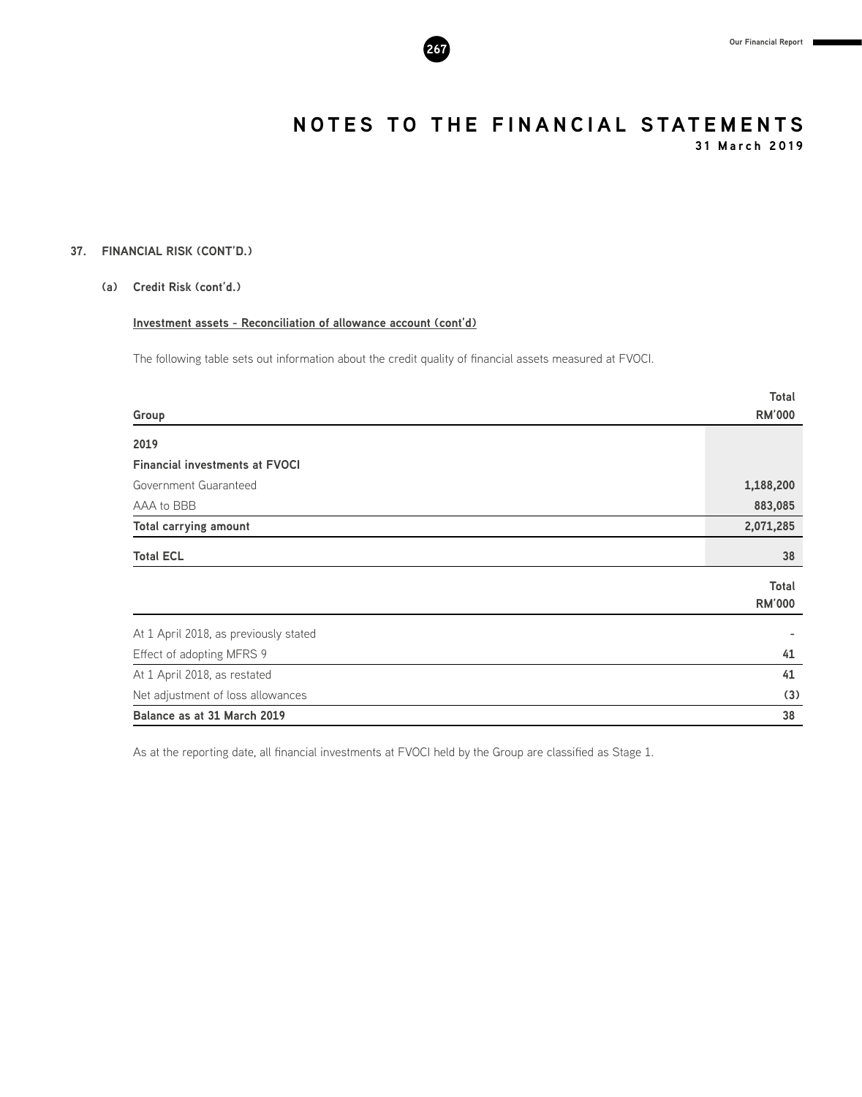

**31 March 2019**

#### **37. FINANCIAL RISK (CONT'D.)**

#### **(a) Credit Risk (cont'd.)**

#### **Investment assets - Reconciliation of allowance account (cont'd)**

The following table sets out information about the credit quality of financial assets measured at FVOCI.

|                                       | <b>Total</b>  |
|---------------------------------------|---------------|
| Group                                 | <b>RM'000</b> |
| 2019                                  |               |
| <b>Financial investments at FVOCI</b> |               |
| Government Guaranteed                 | 1,188,200     |
| AAA to BBB                            | 883,085       |
| <b>Total carrying amount</b>          | 2,071,285     |
| <b>Total ECL</b>                      | 38            |
|                                       | Total         |
|                                       | <b>RM'000</b> |
| At 1 April 2018, as previously stated |               |
| Effect of adopting MFRS 9             | 41            |
| At 1 April 2018, as restated          | 41            |
| Net adjustment of loss allowances     | (3)           |
| Balance as at 31 March 2019           | 38            |

As at the reporting date, all financial investments at FVOCI held by the Group are classified as Stage 1.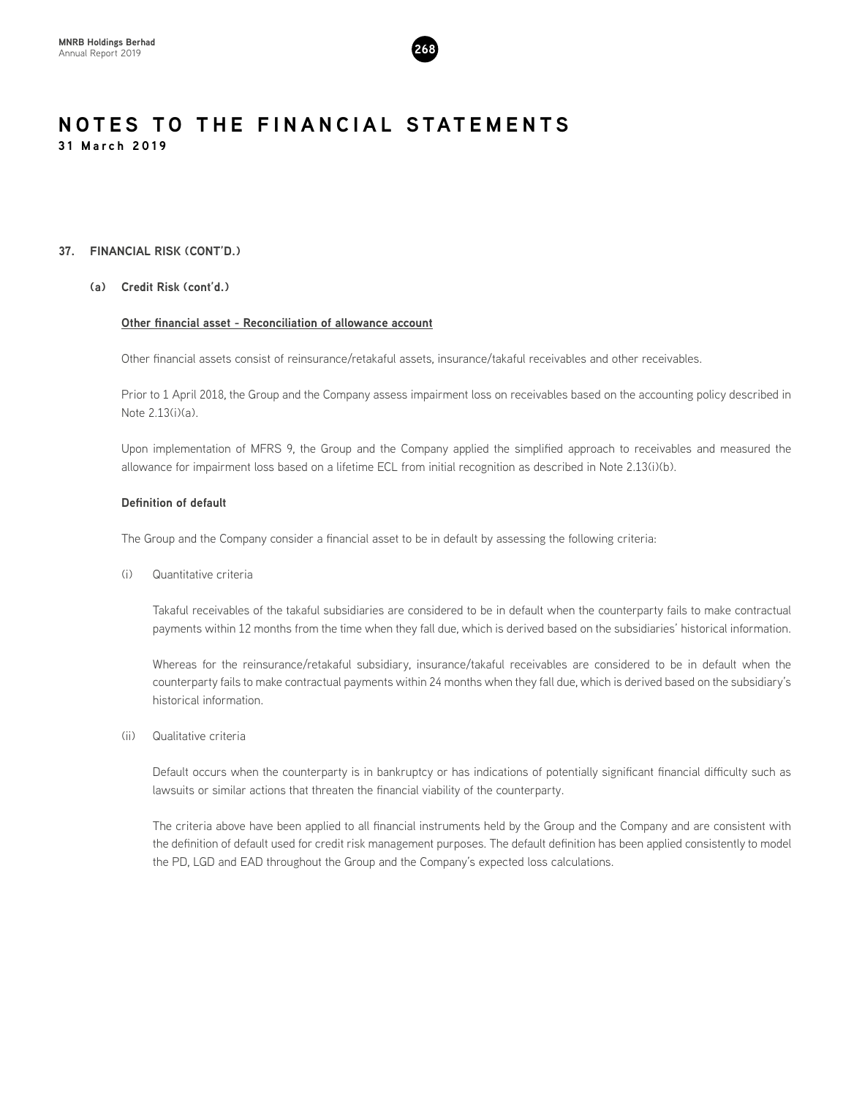

#### **37. FINANCIAL RISK (CONT'D.)**

#### **(a) Credit Risk (cont'd.)**

#### **Other financial asset - Reconciliation of allowance account**

Other financial assets consist of reinsurance/retakaful assets, insurance/takaful receivables and other receivables.

Prior to 1 April 2018, the Group and the Company assess impairment loss on receivables based on the accounting policy described in Note 2.13(i)(a).

Upon implementation of MFRS 9, the Group and the Company applied the simplified approach to receivables and measured the allowance for impairment loss based on a lifetime ECL from initial recognition as described in Note 2.13(i)(b).

#### **Definition of default**

The Group and the Company consider a financial asset to be in default by assessing the following criteria:

(i) Quantitative criteria

Takaful receivables of the takaful subsidiaries are considered to be in default when the counterparty fails to make contractual payments within 12 months from the time when they fall due, which is derived based on the subsidiaries' historical information.

Whereas for the reinsurance/retakaful subsidiary, insurance/takaful receivables are considered to be in default when the counterparty fails to make contractual payments within 24 months when they fall due, which is derived based on the subsidiary's historical information.

(ii) Qualitative criteria

Default occurs when the counterparty is in bankruptcy or has indications of potentially significant financial difficulty such as lawsuits or similar actions that threaten the financial viability of the counterparty.

The criteria above have been applied to all financial instruments held by the Group and the Company and are consistent with the definition of default used for credit risk management purposes. The default definition has been applied consistently to model the PD, LGD and EAD throughout the Group and the Company's expected loss calculations.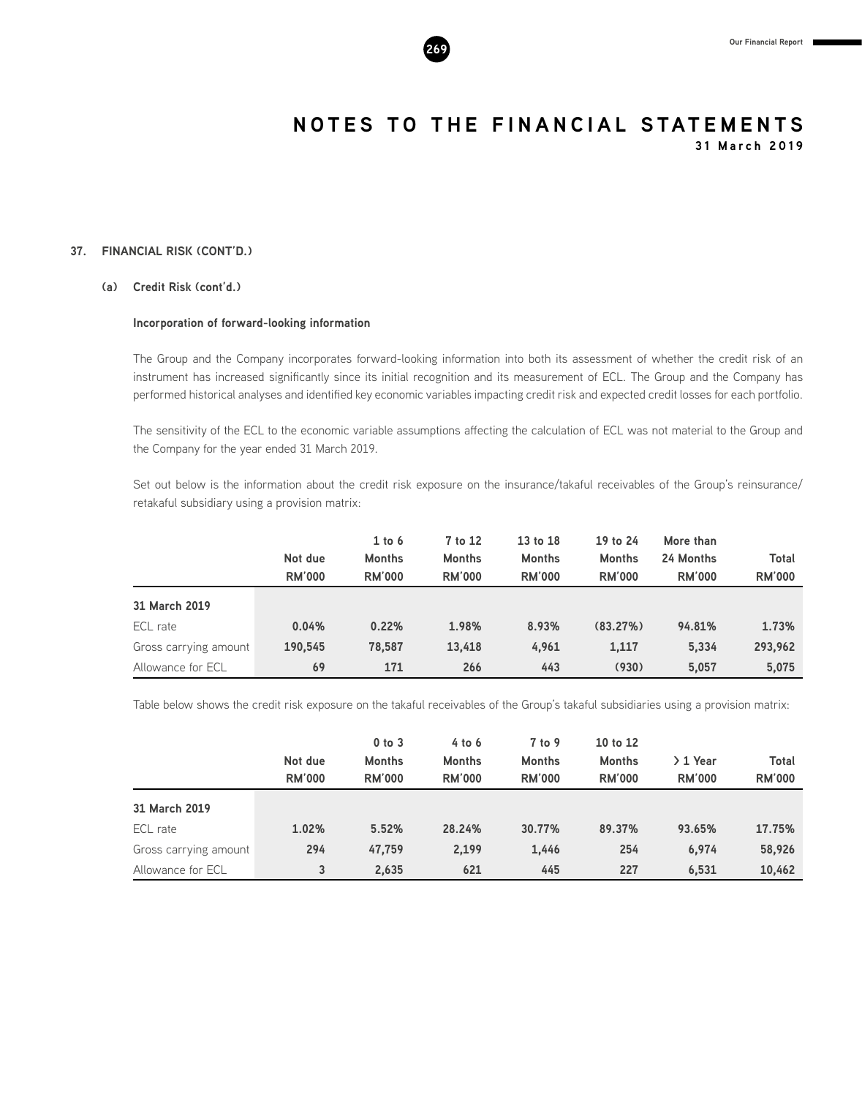

**31 March 2019**

#### **37. FINANCIAL RISK (CONT'D.)**

#### **(a) Credit Risk (cont'd.)**

#### **Incorporation of forward-looking information**

The Group and the Company incorporates forward-looking information into both its assessment of whether the credit risk of an instrument has increased significantly since its initial recognition and its measurement of ECL. The Group and the Company has performed historical analyses and identified key economic variables impacting credit risk and expected credit losses for each portfolio.

The sensitivity of the ECL to the economic variable assumptions affecting the calculation of ECL was not material to the Group and the Company for the year ended 31 March 2019.

Set out below is the information about the credit risk exposure on the insurance/takaful receivables of the Group's reinsurance/ retakaful subsidiary using a provision matrix:

|                       | Not due<br><b>RM'000</b> | $1$ to $6$<br><b>Months</b><br><b>RM'000</b> | 7 to 12<br><b>Months</b><br><b>RM'000</b> | 13 to 18<br><b>Months</b><br><b>RM'000</b> | 19 to 24<br><b>Months</b><br><b>RM'000</b> | More than<br>24 Months<br><b>RM'000</b> | Total<br><b>RM'000</b> |
|-----------------------|--------------------------|----------------------------------------------|-------------------------------------------|--------------------------------------------|--------------------------------------------|-----------------------------------------|------------------------|
| 31 March 2019         |                          |                                              |                                           |                                            |                                            |                                         |                        |
| ECL rate              | 0.04%                    | 0.22%                                        | 1.98%                                     | 8.93%                                      | (83.27%)                                   | 94.81%                                  | 1.73%                  |
| Gross carrying amount | 190.545                  | 78,587                                       | 13,418                                    | 4,961                                      | 1,117                                      | 5.334                                   | 293,962                |
| Allowance for ECL     | 69                       | 171                                          | 266                                       | 443                                        | (930)                                      | 5.057                                   | 5,075                  |

Table below shows the credit risk exposure on the takaful receivables of the Group's takaful subsidiaries using a provision matrix:

|                       | Not due<br><b>RM'000</b> | $0$ to $3$<br><b>Months</b><br><b>RM'000</b> | $4$ to $6$<br><b>Months</b><br><b>RM'000</b> | 7 to 9<br><b>Months</b><br><b>RM'000</b> | 10 to 12<br><b>Months</b><br><b>RM'000</b> | $2$ 1 Year<br><b>RM'000</b> | Total<br><b>RM'000</b> |
|-----------------------|--------------------------|----------------------------------------------|----------------------------------------------|------------------------------------------|--------------------------------------------|-----------------------------|------------------------|
| 31 March 2019         |                          |                                              |                                              |                                          |                                            |                             |                        |
| ECL rate              | 1.02%                    | 5.52%                                        | 28.24%                                       | 30.77%                                   | 89.37%                                     | 93.65%                      | 17.75%                 |
| Gross carrying amount | 294                      | 47,759                                       | 2,199                                        | 1,446                                    | 254                                        | 6,974                       | 58,926                 |
| Allowance for ECL     | 3                        | 2,635                                        | 621                                          | 445                                      | 227                                        | 6,531                       | 10,462                 |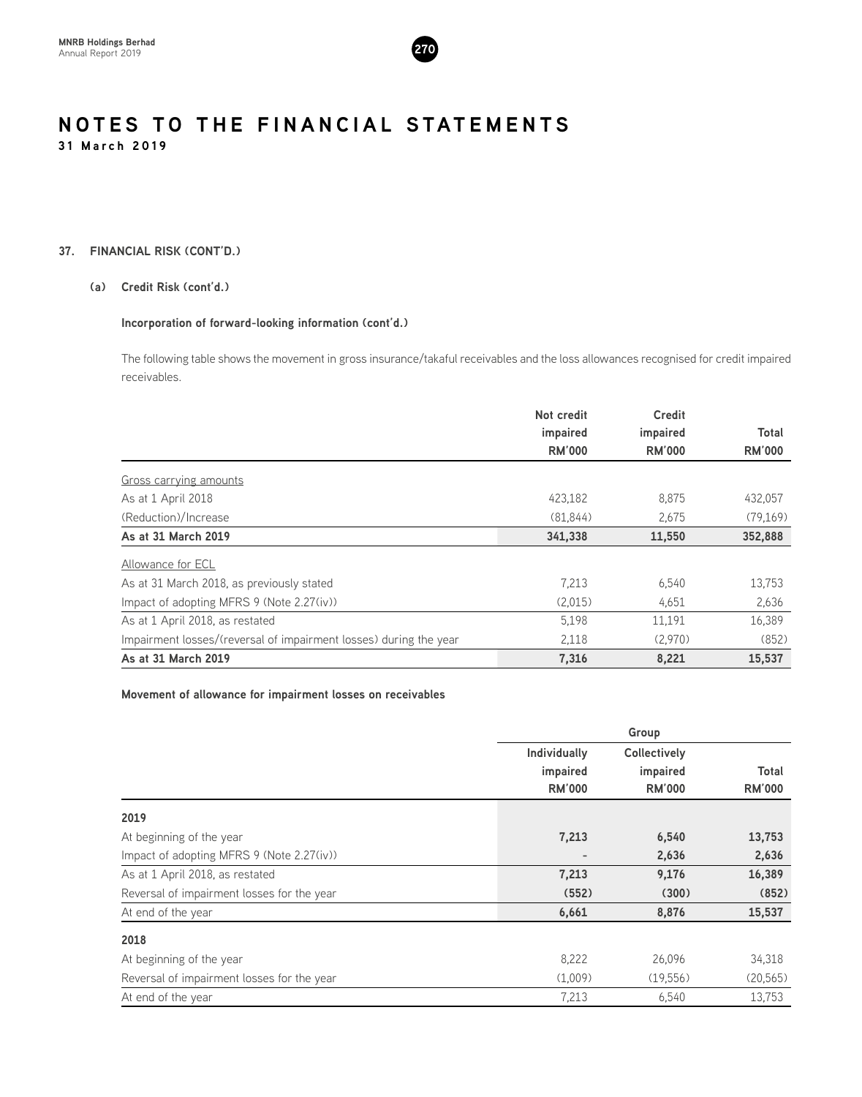

#### **37. FINANCIAL RISK (CONT'D.)**

#### **(a) Credit Risk (cont'd.)**

#### **Incorporation of forward-looking information (cont'd.)**

The following table shows the movement in gross insurance/takaful receivables and the loss allowances recognised for credit impaired receivables.

|                                                                   | Not credit    | <b>Credit</b> |               |
|-------------------------------------------------------------------|---------------|---------------|---------------|
|                                                                   | impaired      | impaired      | Total         |
|                                                                   | <b>RM'000</b> | <b>RM'000</b> | <b>RM'000</b> |
| Gross carrying amounts                                            |               |               |               |
| As at 1 April 2018                                                | 423.182       | 8,875         | 432,057       |
| (Reduction)/Increase                                              | (81.844)      | 2.675         | (79,169)      |
| As at 31 March 2019                                               | 341,338       | 11,550        | 352,888       |
| Allowance for ECL                                                 |               |               |               |
| As at 31 March 2018, as previously stated                         | 7.213         | 6,540         | 13,753        |
| Impact of adopting MFRS 9 (Note 2.27(iv))                         | (2,015)       | 4,651         | 2,636         |
| As at 1 April 2018, as restated                                   | 5,198         | 11,191        | 16,389        |
| Impairment losses/(reversal of impairment losses) during the year | 2,118         | (2,970)       | (852)         |
| As at 31 March 2019                                               | 7,316         | 8,221         | 15,537        |

#### **Movement of allowance for impairment losses on receivables**

|                                            | Individually  | <b>Collectively</b> |               |
|--------------------------------------------|---------------|---------------------|---------------|
|                                            | impaired      | impaired            | Total         |
|                                            | <b>RM'000</b> | <b>RM'000</b>       | <b>RM'000</b> |
| 2019                                       |               |                     |               |
| At beginning of the year                   | 7,213         | 6,540               | 13,753        |
| Impact of adopting MFRS 9 (Note 2.27(iv))  |               | 2,636               | 2,636         |
| As at 1 April 2018, as restated            | 7,213         | 9,176               | 16,389        |
| Reversal of impairment losses for the year | (552)         | (300)               | (852)         |
| At end of the year                         | 6,661         | 8,876               | 15,537        |
| 2018                                       |               |                     |               |
| At beginning of the year                   | 8,222         | 26,096              | 34,318        |
| Reversal of impairment losses for the year | (1,009)       | (19,556)            | (20, 565)     |
| At end of the year                         | 7,213         | 6,540               | 13,753        |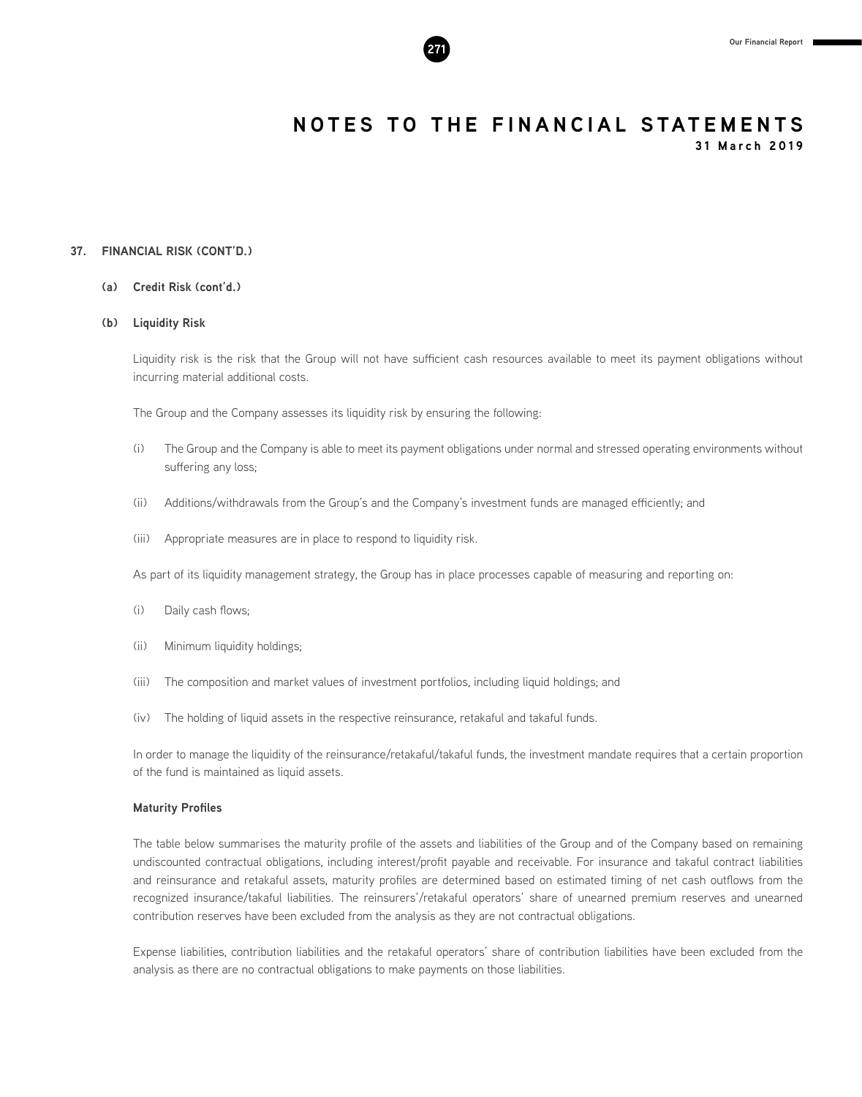**31 March 2019**

#### **37. FINANCIAL RISK (CONT'D.)**

#### **(a) Credit Risk (cont'd.)**

#### **(b) Liquidity Risk**

Liquidity risk is the risk that the Group will not have sufficient cash resources available to meet its payment obligations without incurring material additional costs.

The Group and the Company assesses its liquidity risk by ensuring the following:

- (i) The Group and the Company is able to meet its payment obligations under normal and stressed operating environments without suffering any loss;
- (ii) Additions/withdrawals from the Group's and the Company's investment funds are managed efficiently; and
- (iii) Appropriate measures are in place to respond to liquidity risk.

As part of its liquidity management strategy, the Group has in place processes capable of measuring and reporting on:

- (i) Daily cash flows;
- (ii) Minimum liquidity holdings;
- (iii) The composition and market values of investment portfolios, including liquid holdings; and
- (iv) The holding of liquid assets in the respective reinsurance, retakaful and takaful funds.

In order to manage the liquidity of the reinsurance/retakaful/takaful funds, the investment mandate requires that a certain proportion of the fund is maintained as liquid assets.

#### **Maturity Profiles**

The table below summarises the maturity profile of the assets and liabilities of the Group and of the Company based on remaining undiscounted contractual obligations, including interest/profit payable and receivable. For insurance and takaful contract liabilities and reinsurance and retakaful assets, maturity profiles are determined based on estimated timing of net cash outflows from the recognized insurance/takaful liabilities. The reinsurers'/retakaful operators' share of unearned premium reserves and unearned contribution reserves have been excluded from the analysis as they are not contractual obligations.

Expense liabilities, contribution liabilities and the retakaful operators' share of contribution liabilities have been excluded from the analysis as there are no contractual obligations to make payments on those liabilities.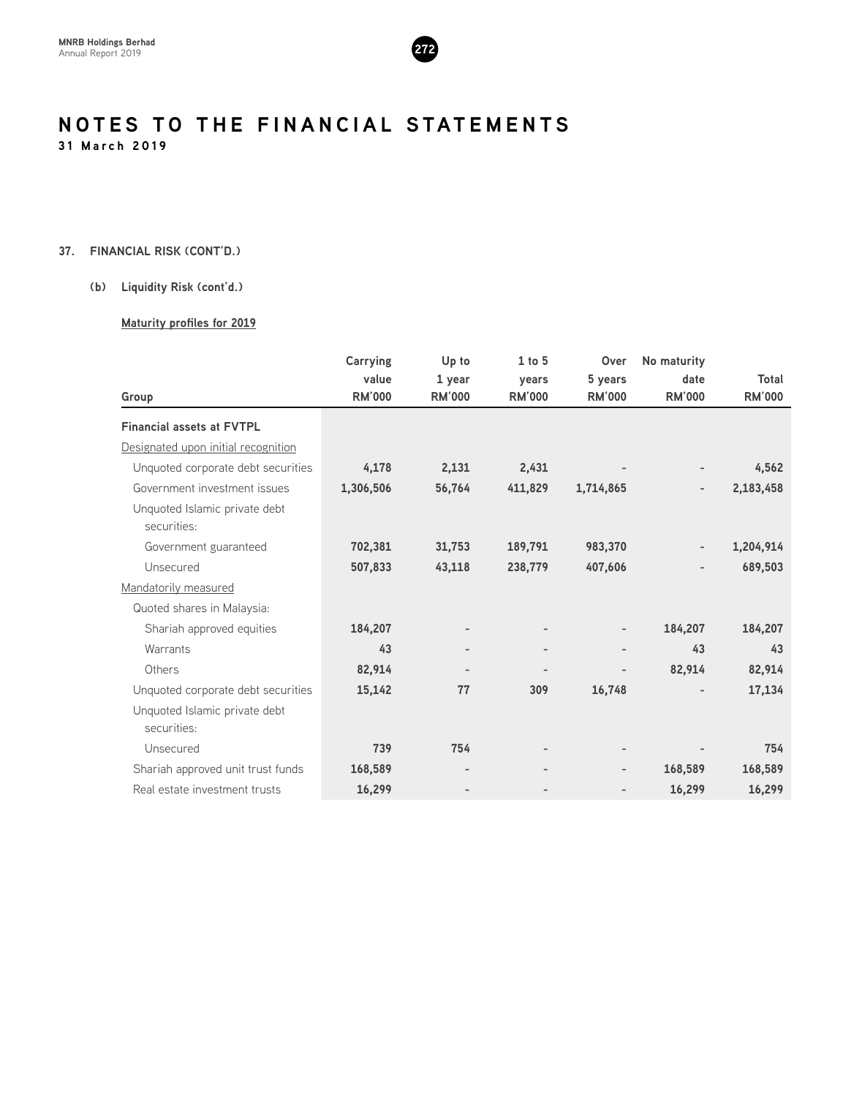

#### **37. FINANCIAL RISK (CONT'D.)**

#### **(b) Liquidity Risk (cont'd.)**

#### **Maturity profiles for 2019**

|                                              | Carrying      | Up to         | $1$ to $5$                   | Over                     | No maturity              |               |
|----------------------------------------------|---------------|---------------|------------------------------|--------------------------|--------------------------|---------------|
|                                              | value         | 1 year        | years                        | 5 years                  | date                     | Total         |
| Group                                        | <b>RM'000</b> | <b>RM'000</b> | <b>RM'000</b>                | <b>RM'000</b>            | <b>RM'000</b>            | <b>RM'000</b> |
| <b>Financial assets at FVTPL</b>             |               |               |                              |                          |                          |               |
| Designated upon initial recognition          |               |               |                              |                          |                          |               |
| Unquoted corporate debt securities           | 4,178         | 2,131         | 2,431                        |                          |                          | 4,562         |
| Government investment issues                 | 1,306,506     | 56,764        | 411,829                      | 1,714,865                | $\overline{\phantom{a}}$ | 2,183,458     |
| Unquoted Islamic private debt<br>securities: |               |               |                              |                          |                          |               |
| Government guaranteed                        | 702,381       | 31,753        | 189,791                      | 983,370                  |                          | 1,204,914     |
| Unsecured                                    | 507,833       | 43,118        | 238,779                      | 407,606                  |                          | 689,503       |
| Mandatorily measured                         |               |               |                              |                          |                          |               |
| Quoted shares in Malaysia:                   |               |               |                              |                          |                          |               |
| Shariah approved equities                    | 184,207       |               |                              | $\overline{\phantom{a}}$ | 184,207                  | 184,207       |
| Warrants                                     | 43            |               |                              |                          | 43                       | 43            |
| Others                                       | 82,914        |               | $\qquad \qquad \blacksquare$ | $\overline{\phantom{0}}$ | 82,914                   | 82,914        |
| Unquoted corporate debt securities           | 15,142        | 77            | 309                          | 16,748                   |                          | 17,134        |
| Unquoted Islamic private debt<br>securities: |               |               |                              |                          |                          |               |
| Unsecured                                    | 739           | 754           | $\overline{\phantom{a}}$     | $\overline{\phantom{a}}$ |                          | 754           |
| Shariah approved unit trust funds            | 168,589       |               |                              | -                        | 168,589                  | 168,589       |
| Real estate investment trusts                | 16,299        |               |                              |                          | 16,299                   | 16,299        |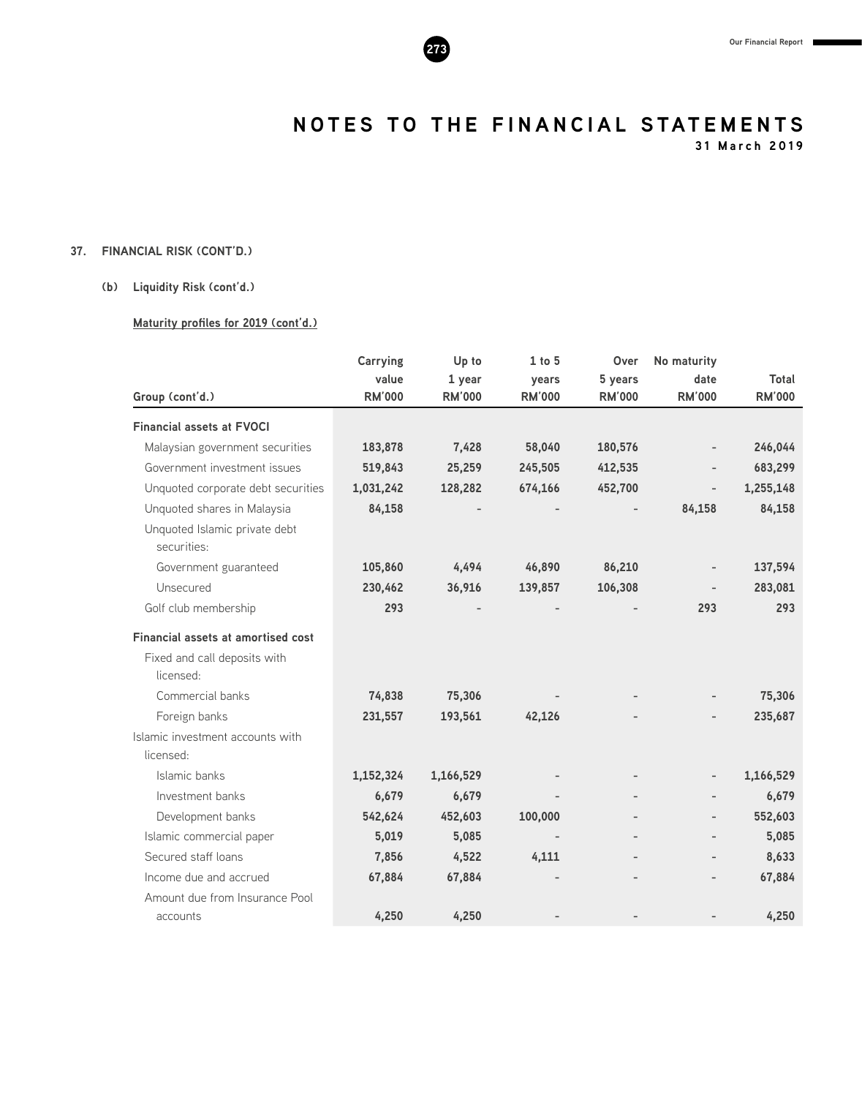**31 March 2019**

### **37. FINANCIAL RISK (CONT'D.)**

#### **(b) Liquidity Risk (cont'd.)**

#### **Maturity profiles for 2019 (cont'd.)**

|                                               | Carrying      | Up to         | $1$ to $5$     | Over          | No maturity              |               |
|-----------------------------------------------|---------------|---------------|----------------|---------------|--------------------------|---------------|
|                                               | value         | 1 year        | years          | 5 years       | date                     | Total         |
| Group (cont'd.)                               | <b>RM'000</b> | <b>RM'000</b> | <b>RM'000</b>  | <b>RM'000</b> | <b>RM'000</b>            | <b>RM'000</b> |
| <b>Financial assets at FVOCI</b>              |               |               |                |               |                          |               |
| Malaysian government securities               | 183,878       | 7,428         | 58,040         | 180,576       |                          | 246,044       |
| Government investment issues                  | 519,843       | 25,259        | 245,505        | 412,535       |                          | 683,299       |
| Unquoted corporate debt securities            | 1,031,242     | 128,282       | 674,166        | 452,700       |                          | 1,255,148     |
| Unquoted shares in Malaysia                   | 84,158        |               |                |               | 84,158                   | 84,158        |
| Unquoted Islamic private debt<br>securities:  |               |               |                |               |                          |               |
| Government guaranteed                         | 105,860       | 4,494         | 46,890         | 86,210        |                          | 137,594       |
| Unsecured                                     | 230,462       | 36,916        | 139,857        | 106,308       |                          | 283,081       |
| Golf club membership                          | 293           |               |                |               | 293                      | 293           |
| <b>Financial assets at amortised cost</b>     |               |               |                |               |                          |               |
| Fixed and call deposits with                  |               |               |                |               |                          |               |
| licensed:                                     |               |               |                |               |                          |               |
| Commercial banks                              | 74,838        | 75,306        |                |               |                          | 75,306        |
| Foreign banks                                 | 231,557       | 193,561       | 42,126         |               |                          | 235,687       |
| Islamic investment accounts with<br>licensed: |               |               |                |               |                          |               |
| Islamic banks                                 | 1,152,324     | 1,166,529     |                |               | $\overline{\phantom{0}}$ | 1,166,529     |
| Investment banks                              | 6,679         | 6,679         |                |               | $\overline{\phantom{0}}$ | 6,679         |
| Development banks                             | 542,624       | 452,603       | 100,000        |               | $\overline{\phantom{0}}$ | 552,603       |
| Islamic commercial paper                      | 5,019         | 5,085         |                |               | $\overline{\phantom{0}}$ | 5,085         |
| Secured staff loans                           | 7,856         | 4,522         | 4,111          |               |                          | 8,633         |
| Income due and accrued                        | 67,884        | 67,884        | $\overline{a}$ |               | $\overline{\phantom{0}}$ | 67,884        |
| Amount due from Insurance Pool                |               |               |                |               |                          |               |
| accounts                                      | 4,250         | 4,250         |                |               |                          | 4,250         |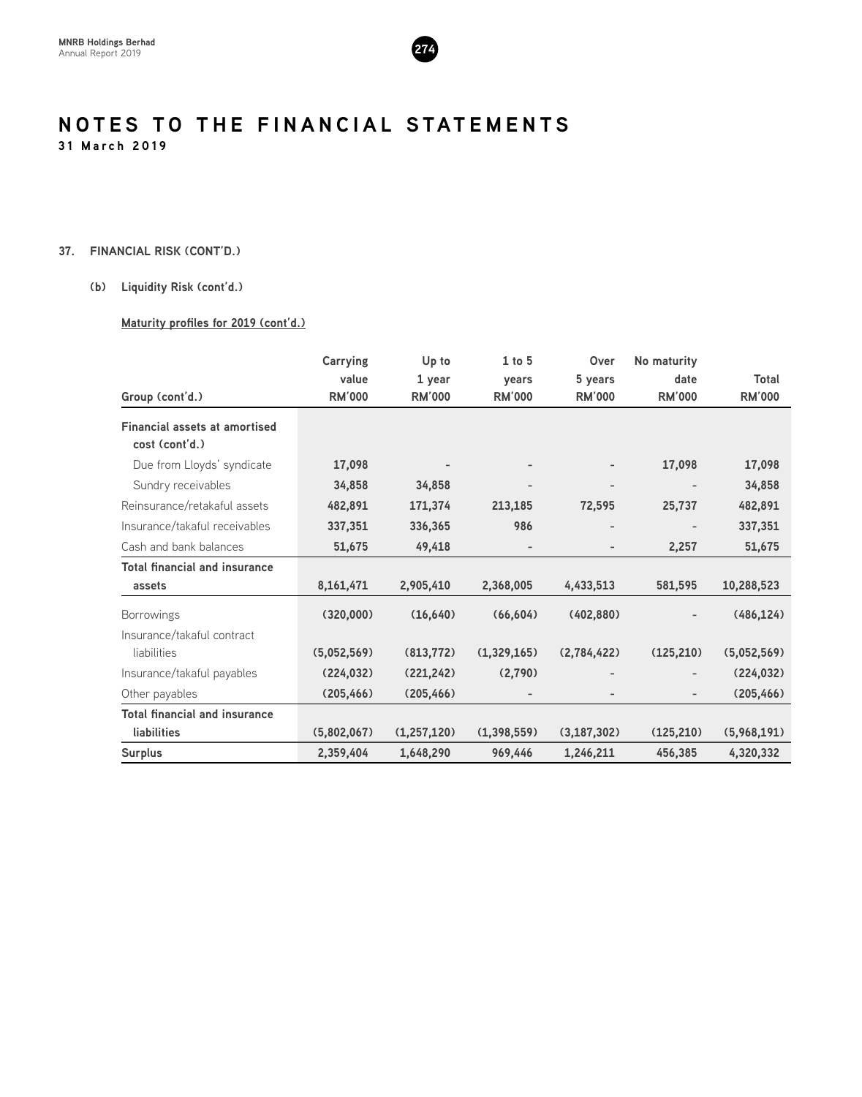

#### **37. FINANCIAL RISK (CONT'D.)**

#### **(b) Liquidity Risk (cont'd.)**

#### **Maturity profiles for 2019 (cont'd.)**

|                                                        | <b>Carrying</b> | Up to         | $1$ to $5$    | Over          | No maturity                  |               |
|--------------------------------------------------------|-----------------|---------------|---------------|---------------|------------------------------|---------------|
|                                                        | value           | 1 year        | years         | 5 years       | date                         | Total         |
| Group (cont'd.)                                        | <b>RM'000</b>   | <b>RM'000</b> | <b>RM'000</b> | <b>RM'000</b> | <b>RM'000</b>                | <b>RM'000</b> |
| <b>Financial assets at amortised</b><br>cost (cont'd.) |                 |               |               |               |                              |               |
| Due from Lloyds' syndicate                             | 17,098          |               |               |               | 17,098                       | 17,098        |
| Sundry receivables                                     | 34,858          | 34,858        |               | -             | $\overline{\phantom{a}}$     | 34,858        |
| Reinsurance/retakaful assets                           | 482,891         | 171,374       | 213,185       | 72,595        | 25,737                       | 482,891       |
| Insurance/takaful receivables                          | 337,351         | 336,365       | 986           |               |                              | 337,351       |
| Cash and bank balances                                 | 51,675          | 49,418        |               |               | 2,257                        | 51,675        |
| <b>Total financial and insurance</b>                   |                 |               |               |               |                              |               |
| assets                                                 | 8,161,471       | 2,905,410     | 2,368,005     | 4,433,513     | 581,595                      | 10,288,523    |
| <b>Borrowings</b>                                      | (320,000)       | (16, 640)     | (66, 604)     | (402,880)     |                              | (486, 124)    |
| Insurance/takaful contract                             |                 |               |               |               |                              |               |
| liabilities                                            | (5,052,569)     | (813, 772)    | (1,329,165)   | (2,784,422)   | (125, 210)                   | (5,052,569)   |
| Insurance/takaful payables                             | (224, 032)      | (221, 242)    | (2,790)       |               | $\overline{\phantom{a}}$     | (224, 032)    |
| Other payables                                         | (205, 466)      | (205, 466)    |               |               | $\qquad \qquad \blacksquare$ | (205, 466)    |
| <b>Total financial and insurance</b>                   |                 |               |               |               |                              |               |
| <b>liabilities</b>                                     | (5,802,067)     | (1, 257, 120) | (1,398,559)   | (3, 187, 302) | (125, 210)                   | (5,968,191)   |
| <b>Surplus</b>                                         | 2,359,404       | 1,648,290     | 969,446       | 1,246,211     | 456,385                      | 4,320,332     |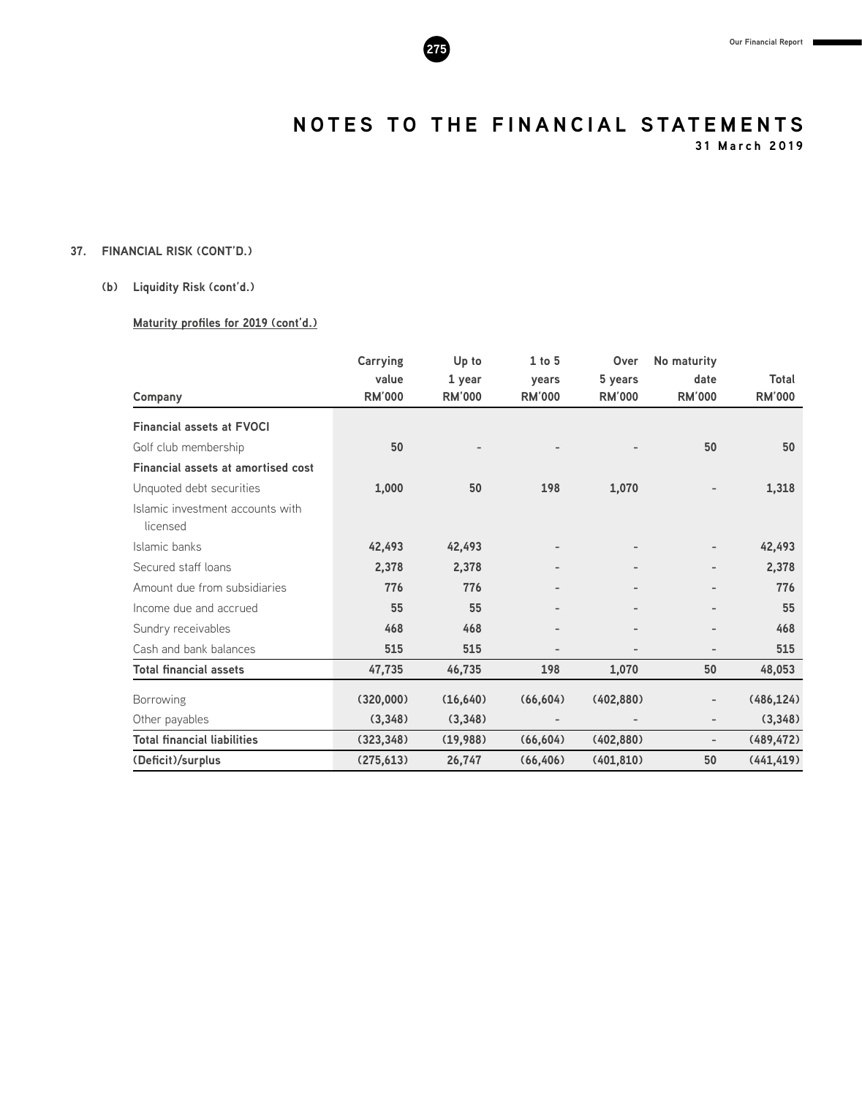

**31 March 2019**

### **37. FINANCIAL RISK (CONT'D.)**

#### **(b) Liquidity Risk (cont'd.)**

#### **Maturity profiles for 2019 (cont'd.)**

|                                              | <b>Carrying</b><br>value | Up to<br>1 year | $1$ to $5$<br>years      | Over<br>5 years              | No maturity<br>date          | Total         |
|----------------------------------------------|--------------------------|-----------------|--------------------------|------------------------------|------------------------------|---------------|
| Company                                      | <b>RM'000</b>            | <b>RM'000</b>   | <b>RM'000</b>            | <b>RM'000</b>                | <b>RM'000</b>                | <b>RM'000</b> |
| <b>Financial assets at FVOCI</b>             |                          |                 |                          |                              |                              |               |
| Golf club membership                         | 50                       |                 |                          |                              | 50                           | 50            |
| <b>Financial assets at amortised cost</b>    |                          |                 |                          |                              |                              |               |
| Unquoted debt securities                     | 1,000                    | 50              | 198                      | 1,070                        |                              | 1,318         |
| Islamic investment accounts with<br>licensed |                          |                 |                          |                              |                              |               |
| Islamic banks                                | 42,493                   | 42,493          |                          |                              |                              | 42,493        |
| Secured staff loans                          | 2,378                    | 2,378           | $\overline{\phantom{0}}$ |                              |                              | 2,378         |
| Amount due from subsidiaries                 | 776                      | 776             | $\overline{\phantom{0}}$ | $\qquad \qquad \blacksquare$ |                              | 776           |
| Income due and accrued                       | 55                       | 55              |                          |                              |                              | 55            |
| Sundry receivables                           | 468                      | 468             | $\overline{\phantom{0}}$ |                              |                              | 468           |
| Cash and bank balances                       | 515                      | 515             | $\overline{a}$           |                              |                              | 515           |
| <b>Total financial assets</b>                | 47,735                   | 46,735          | 198                      | 1,070                        | 50                           | 48,053        |
| <b>Borrowing</b>                             | (320,000)                | (16, 640)       | (66, 604)                | (402,880)                    |                              | (486, 124)    |
| Other payables                               | (3,348)                  | (3,348)         | $\overline{\phantom{a}}$ | $\overline{\phantom{a}}$     |                              | (3, 348)      |
| <b>Total financial liabilities</b>           | (323, 348)               | (19,988)        | (66, 604)                | (402, 880)                   | $\qquad \qquad \blacksquare$ | (489, 472)    |
| (Deficit)/surplus                            | (275, 613)               | 26,747          | (66, 406)                | (401, 810)                   | 50                           | (441, 419)    |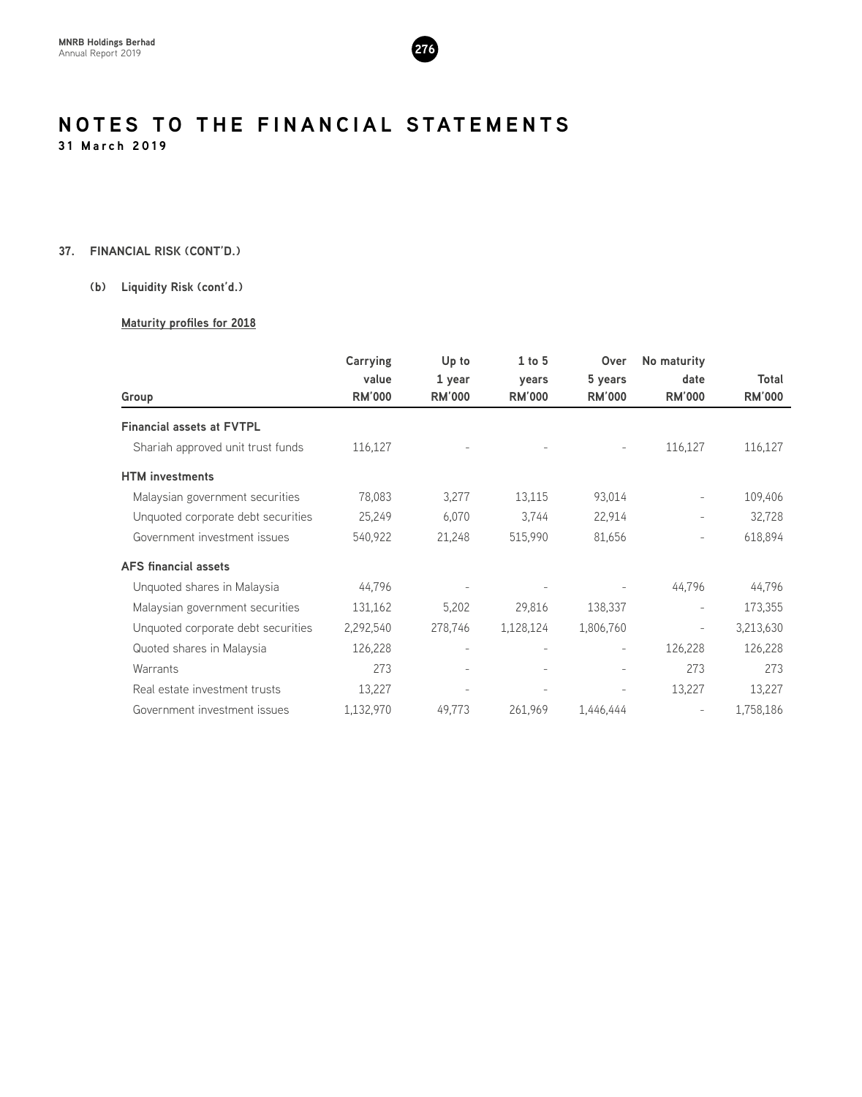

#### **37. FINANCIAL RISK (CONT'D.)**

#### **(b) Liquidity Risk (cont'd.)**

#### **Maturity profiles for 2018**

|                                    | <b>Carrying</b> | Up to         | $1$ to $5$               | Over                     | No maturity              |               |
|------------------------------------|-----------------|---------------|--------------------------|--------------------------|--------------------------|---------------|
|                                    | value           | 1 year        | years                    | 5 years                  | date                     | Total         |
| Group                              | <b>RM'000</b>   | <b>RM'000</b> | <b>RM'000</b>            | <b>RM'000</b>            | <b>RM'000</b>            | <b>RM'000</b> |
| <b>Financial assets at FVTPL</b>   |                 |               |                          |                          |                          |               |
| Shariah approved unit trust funds  | 116,127         |               |                          | $\overline{\phantom{a}}$ | 116,127                  | 116,127       |
| <b>HTM</b> investments             |                 |               |                          |                          |                          |               |
| Malaysian government securities    | 78,083          | 3,277         | 13,115                   | 93,014                   | $\overline{\phantom{a}}$ | 109,406       |
| Unquoted corporate debt securities | 25,249          | 6,070         | 3,744                    | 22,914                   |                          | 32,728        |
| Government investment issues       | 540,922         | 21,248        | 515,990                  | 81,656                   |                          | 618,894       |
| <b>AFS financial assets</b>        |                 |               |                          |                          |                          |               |
| Unquoted shares in Malaysia        | 44,796          |               |                          |                          | 44,796                   | 44,796        |
| Malaysian government securities    | 131,162         | 5,202         | 29,816                   | 138,337                  |                          | 173,355       |
| Unquoted corporate debt securities | 2,292,540       | 278,746       | 1,128,124                | 1,806,760                |                          | 3,213,630     |
| Quoted shares in Malaysia          | 126,228         |               | $\overline{\phantom{a}}$ | $\overline{\phantom{a}}$ | 126,228                  | 126,228       |
| Warrants                           | 273             |               |                          | $\overline{a}$           | 273                      | 273           |
| Real estate investment trusts      | 13,227          |               |                          |                          | 13,227                   | 13,227        |
| Government investment issues       | 1,132,970       | 49,773        | 261,969                  | 1.446.444                |                          | 1,758,186     |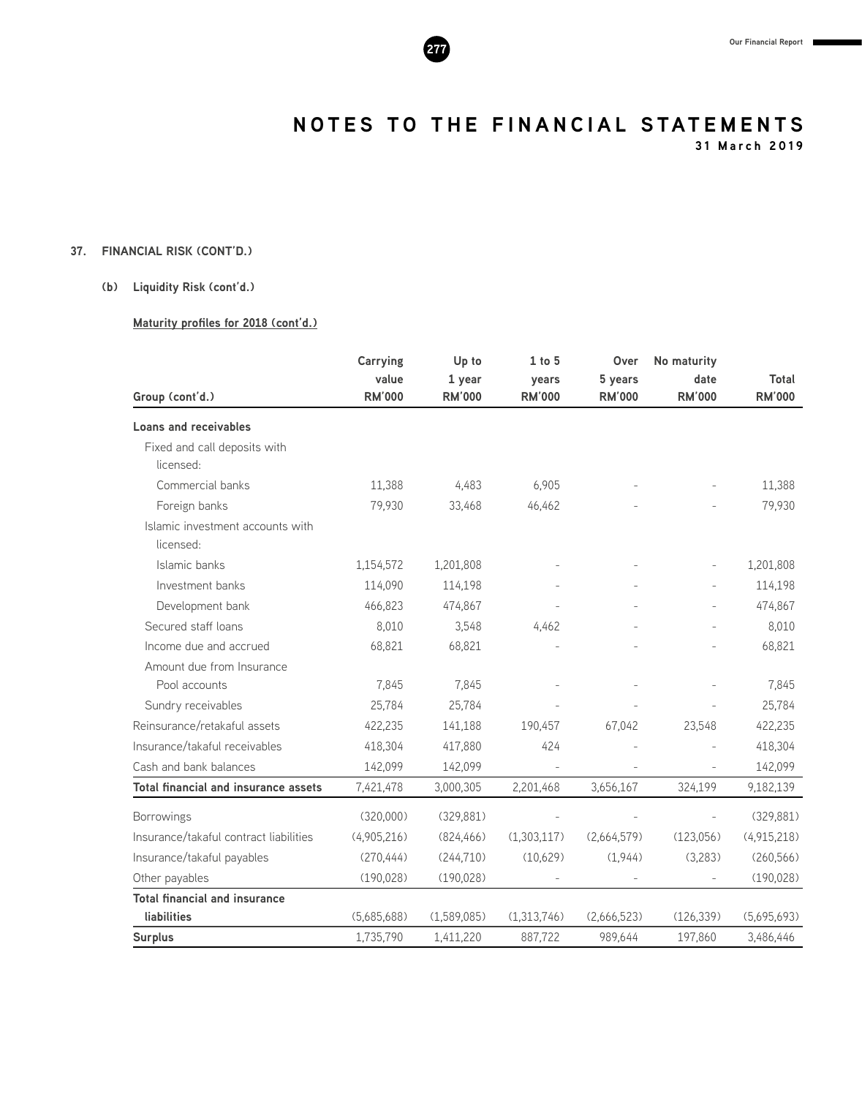

**31 March 2019**

### **37. FINANCIAL RISK (CONT'D.)**

#### **(b) Liquidity Risk (cont'd.)**

#### **Maturity profiles for 2018 (cont'd.)**

|                                               | <b>Carrying</b>        | Up to                   | $1$ to $5$             | Over                     | No maturity              |                        |
|-----------------------------------------------|------------------------|-------------------------|------------------------|--------------------------|--------------------------|------------------------|
| Group (cont'd.)                               | value<br><b>RM'000</b> | 1 year<br><b>RM'000</b> | years<br><b>RM'000</b> | 5 years<br><b>RM'000</b> | date<br><b>RM'000</b>    | Total<br><b>RM'000</b> |
| <b>Loans and receivables</b>                  |                        |                         |                        |                          |                          |                        |
| Fixed and call deposits with<br>licensed:     |                        |                         |                        |                          |                          |                        |
| Commercial banks                              | 11,388                 | 4,483                   | 6,905                  |                          |                          | 11,388                 |
| Foreign banks                                 | 79,930                 | 33,468                  | 46,462                 |                          |                          | 79,930                 |
| Islamic investment accounts with<br>licensed: |                        |                         |                        |                          |                          |                        |
| Islamic banks                                 | 1,154,572              | 1,201,808               |                        |                          |                          | 1,201,808              |
| Investment banks                              | 114.090                | 114,198                 |                        |                          |                          | 114,198                |
| Development bank                              | 466,823                | 474,867                 |                        |                          |                          | 474,867                |
| Secured staff loans                           | 8,010                  | 3,548                   | 4,462                  |                          |                          | 8,010                  |
| Income due and accrued                        | 68,821                 | 68,821                  |                        |                          |                          | 68,821                 |
| Amount due from Insurance                     |                        |                         |                        |                          |                          |                        |
| Pool accounts                                 | 7,845                  | 7,845                   |                        |                          |                          | 7,845                  |
| Sundry receivables                            | 25,784                 | 25,784                  |                        |                          |                          | 25,784                 |
| Reinsurance/retakaful assets                  | 422,235                | 141,188                 | 190,457                | 67,042                   | 23,548                   | 422,235                |
| Insurance/takaful receivables                 | 418,304                | 417,880                 | 424                    |                          |                          | 418,304                |
| Cash and bank balances                        | 142,099                | 142,099                 |                        |                          | $\overline{\phantom{a}}$ | 142,099                |
| Total financial and insurance assets          | 7,421,478              | 3,000,305               | 2,201,468              | 3,656,167                | 324,199                  | 9,182,139              |
| <b>Borrowings</b>                             | (320,000)              | (329, 881)              |                        |                          |                          | (329, 881)             |
| Insurance/takaful contract liabilities        | (4,905,216)            | (824, 466)              | (1,303,117)            | (2,664,579)              | (123,056)                | (4,915,218)            |
| Insurance/takaful payables                    | (270, 444)             | (244, 710)              | (10,629)               | (1,944)                  | (3,283)                  | (260, 566)             |
| Other payables                                | (190, 028)             | (190, 028)              |                        |                          |                          | (190, 028)             |
| <b>Total financial and insurance</b>          |                        |                         |                        |                          |                          |                        |
| liabilities                                   | (5,685,688)            | (1,589,085)             | (1,313,746)            | (2,666,523)              | (126, 339)               | (5,695,693)            |
| <b>Surplus</b>                                | 1,735,790              | 1,411,220               | 887,722                | 989,644                  | 197,860                  | 3,486,446              |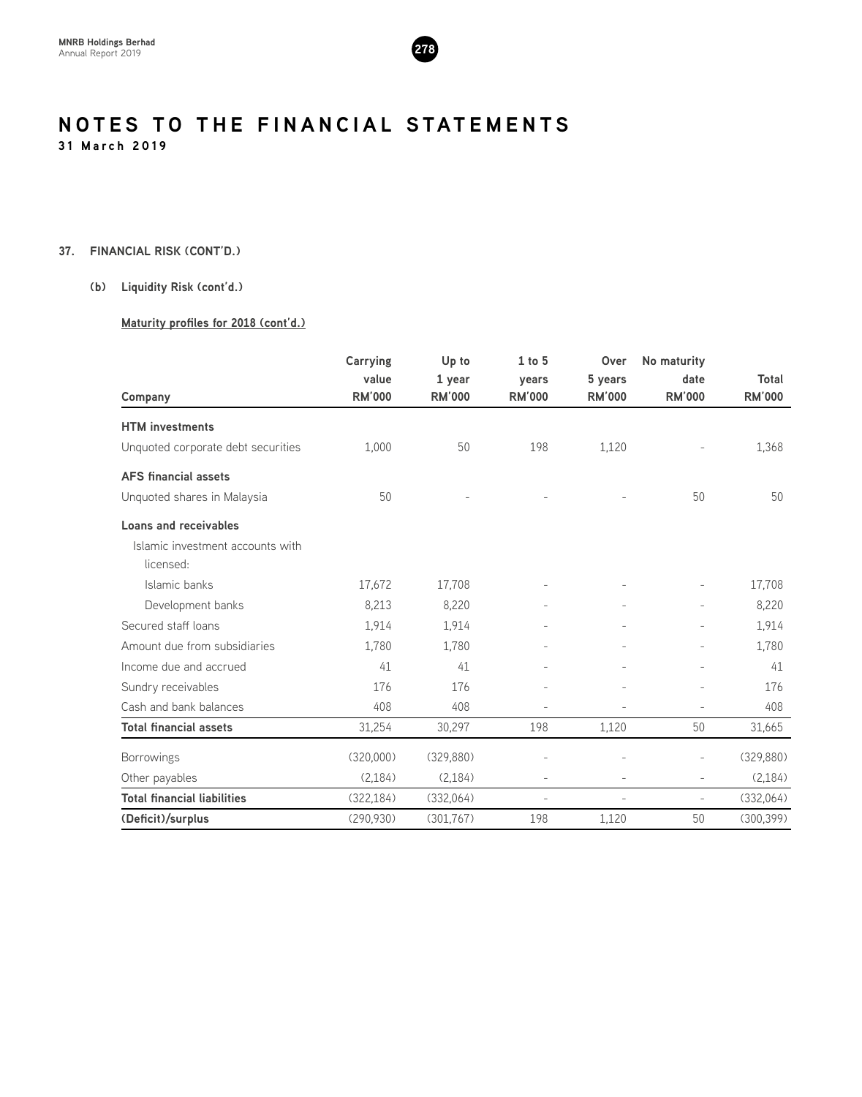

#### **37. FINANCIAL RISK (CONT'D.)**

#### **(b) Liquidity Risk (cont'd.)**

#### **Maturity profiles for 2018 (cont'd.)**

|                                    | <b>Carrying</b> | Up to         | $1$ to $5$               | Over           | No maturity              |               |
|------------------------------------|-----------------|---------------|--------------------------|----------------|--------------------------|---------------|
|                                    | value           | 1 year        | years                    | 5 years        | date                     | Total         |
| Company                            | <b>RM'000</b>   | <b>RM'000</b> | <b>RM'000</b>            | <b>RM'000</b>  | <b>RM'000</b>            | <b>RM'000</b> |
| <b>HTM</b> investments             |                 |               |                          |                |                          |               |
| Unquoted corporate debt securities | 1,000           | 50            | 198                      | 1,120          |                          | 1,368         |
| <b>AFS</b> financial assets        |                 |               |                          |                |                          |               |
| Unquoted shares in Malaysia        | 50              |               |                          |                | 50                       | 50            |
| Loans and receivables              |                 |               |                          |                |                          |               |
| Islamic investment accounts with   |                 |               |                          |                |                          |               |
| licensed:                          |                 |               |                          |                |                          |               |
| Islamic banks                      | 17,672          | 17,708        |                          |                |                          | 17,708        |
| Development banks                  | 8,213           | 8,220         |                          |                |                          | 8,220         |
| Secured staff loans                | 1,914           | 1,914         |                          |                |                          | 1,914         |
| Amount due from subsidiaries       | 1,780           | 1,780         |                          |                |                          | 1,780         |
| Income due and accrued             | 41              | 41            |                          |                |                          | 41            |
| Sundry receivables                 | 176             | 176           |                          |                |                          | 176           |
| Cash and bank balances             | 408             | 408           |                          |                |                          | 408           |
| <b>Total financial assets</b>      | 31,254          | 30,297        | 198                      | 1,120          | 50                       | 31,665        |
| <b>Borrowings</b>                  | (320,000)       | (329, 880)    |                          |                | $\overline{a}$           | (329, 880)    |
| Other payables                     | (2, 184)        | (2, 184)      | $\overline{\phantom{a}}$ | $\overline{a}$ | $\overline{\phantom{0}}$ | (2, 184)      |
| <b>Total financial liabilities</b> | (322, 184)      | (332,064)     | $\overline{a}$           | $\overline{a}$ | $\overline{\phantom{a}}$ | (332,064)     |
| (Deficit)/surplus                  | (290, 930)      | (301, 767)    | 198                      | 1,120          | 50                       | (300, 399)    |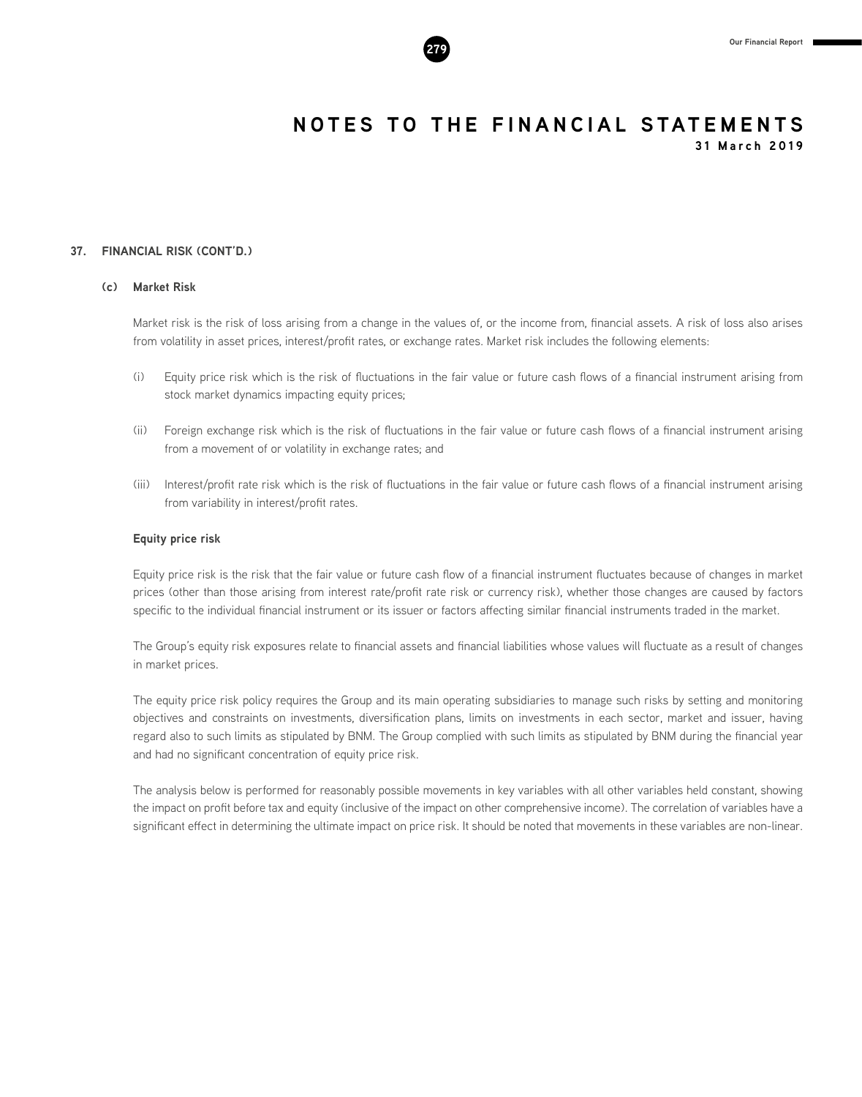#### **37. FINANCIAL RISK (CONT'D.)**

#### **(c) Market Risk**

Market risk is the risk of loss arising from a change in the values of, or the income from, financial assets. A risk of loss also arises from volatility in asset prices, interest/profit rates, or exchange rates. Market risk includes the following elements:

- (i) Equity price risk which is the risk of fluctuations in the fair value or future cash flows of a financial instrument arising from stock market dynamics impacting equity prices;
- (ii) Foreign exchange risk which is the risk of fluctuations in the fair value or future cash flows of a financial instrument arising from a movement of or volatility in exchange rates; and
- (iii) Interest/profit rate risk which is the risk of fluctuations in the fair value or future cash flows of a financial instrument arising from variability in interest/profit rates.

#### **Equity price risk**

Equity price risk is the risk that the fair value or future cash flow of a financial instrument fluctuates because of changes in market prices (other than those arising from interest rate/profit rate risk or currency risk), whether those changes are caused by factors specific to the individual financial instrument or its issuer or factors affecting similar financial instruments traded in the market.

The Group's equity risk exposures relate to financial assets and financial liabilities whose values will fluctuate as a result of changes in market prices.

The equity price risk policy requires the Group and its main operating subsidiaries to manage such risks by setting and monitoring objectives and constraints on investments, diversification plans, limits on investments in each sector, market and issuer, having regard also to such limits as stipulated by BNM. The Group complied with such limits as stipulated by BNM during the financial year and had no significant concentration of equity price risk.

The analysis below is performed for reasonably possible movements in key variables with all other variables held constant, showing the impact on profit before tax and equity (inclusive of the impact on other comprehensive income). The correlation of variables have a significant effect in determining the ultimate impact on price risk. It should be noted that movements in these variables are non-linear.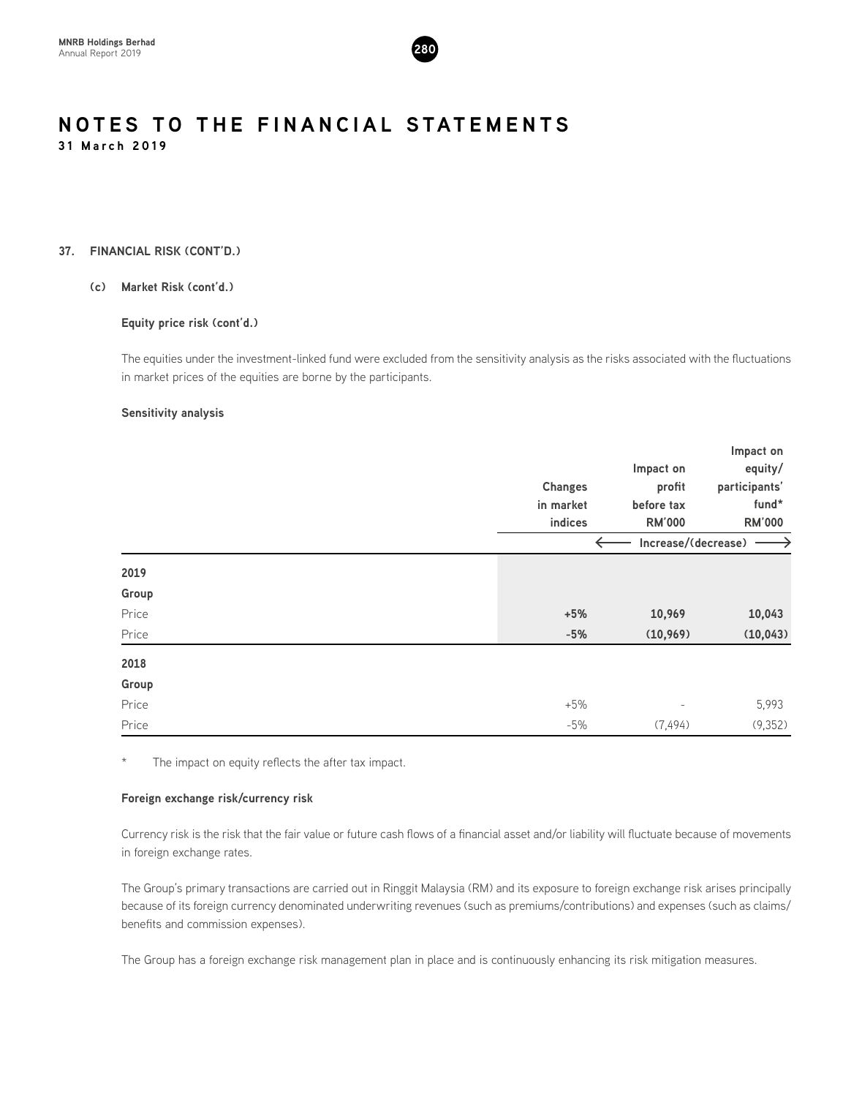

#### **37. FINANCIAL RISK (CONT'D.)**

#### **(c) Market Risk (cont'd.)**

#### **Equity price risk (cont'd.)**

The equities under the investment-linked fund were excluded from the sensitivity analysis as the risks associated with the fluctuations in market prices of the equities are borne by the participants.

#### **Sensitivity analysis**

|       |                |                                     | Impact on     |
|-------|----------------|-------------------------------------|---------------|
|       |                | Impact on                           | equity/       |
|       | <b>Changes</b> | profit                              | participants' |
|       | in market      | before tax                          | fund*         |
|       | indices        | <b>RM'000</b>                       | <b>RM'000</b> |
|       |                | $\leftarrow$<br>Increase/(decrease) |               |
| 2019  |                |                                     |               |
| Group |                |                                     |               |
| Price | $+5%$          | 10,969                              | 10,043        |
| Price | $-5%$          | (10, 969)                           | (10, 043)     |
| 2018  |                |                                     |               |
| Group |                |                                     |               |
| Price | $+5%$          | $\overline{\phantom{0}}$            | 5,993         |
| Price | $-5%$          | (7, 494)                            | (9,352)       |

The impact on equity reflects the after tax impact.

#### **Foreign exchange risk/currency risk**

Currency risk is the risk that the fair value or future cash flows of a financial asset and/or liability will fluctuate because of movements in foreign exchange rates.

The Group's primary transactions are carried out in Ringgit Malaysia (RM) and its exposure to foreign exchange risk arises principally because of its foreign currency denominated underwriting revenues (such as premiums/contributions) and expenses (such as claims/ benefits and commission expenses).

The Group has a foreign exchange risk management plan in place and is continuously enhancing its risk mitigation measures.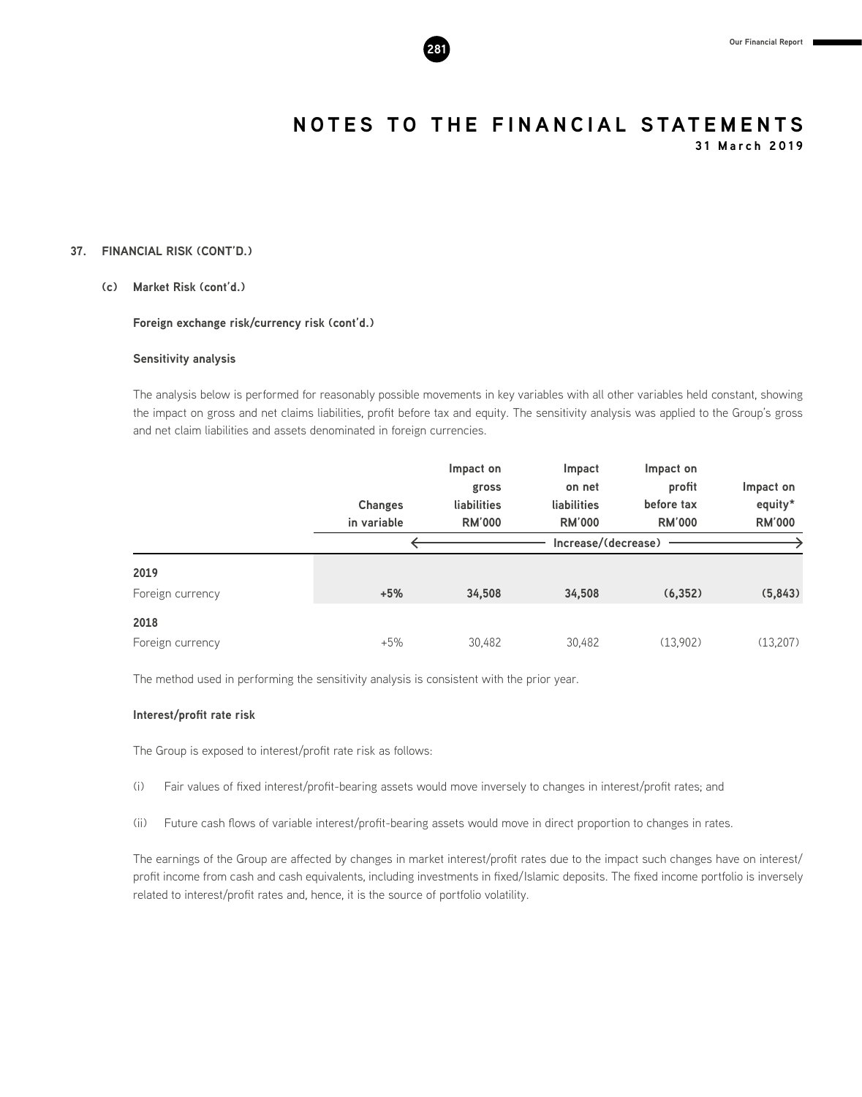

**31 March 2019**

#### **37. FINANCIAL RISK (CONT'D.)**

#### **(c) Market Risk (cont'd.)**

**Foreign exchange risk/currency risk (cont'd.)**

#### **Sensitivity analysis**

The analysis below is performed for reasonably possible movements in key variables with all other variables held constant, showing the impact on gross and net claims liabilities, profit before tax and equity. The sensitivity analysis was applied to the Group's gross and net claim liabilities and assets denominated in foreign currencies.

|                  |                | Impact on     | Impact              | Impact on     |               |
|------------------|----------------|---------------|---------------------|---------------|---------------|
|                  |                | gross         | on net              | profit        | Impact on     |
|                  | <b>Changes</b> | liabilities   | liabilities         | before tax    | equity*       |
|                  | in variable    | <b>RM'000</b> | <b>RM'000</b>       | <b>RM'000</b> | <b>RM'000</b> |
|                  |                |               | Increase/(decrease) |               |               |
| 2019             |                |               |                     |               |               |
| Foreign currency | $+5%$          | 34,508        | 34,508              | (6, 352)      | (5,843)       |
| 2018             |                |               |                     |               |               |
| Foreign currency | $+5%$          | 30,482        | 30,482              | (13,902)      | (13,207)      |

The method used in performing the sensitivity analysis is consistent with the prior year.

#### **Interest/profit rate risk**

The Group is exposed to interest/profit rate risk as follows:

- (i) Fair values of fixed interest/profit-bearing assets would move inversely to changes in interest/profit rates; and
- (ii) Future cash flows of variable interest/profit-bearing assets would move in direct proportion to changes in rates.

The earnings of the Group are affected by changes in market interest/profit rates due to the impact such changes have on interest/ profit income from cash and cash equivalents, including investments in fixed/Islamic deposits. The fixed income portfolio is inversely related to interest/profit rates and, hence, it is the source of portfolio volatility.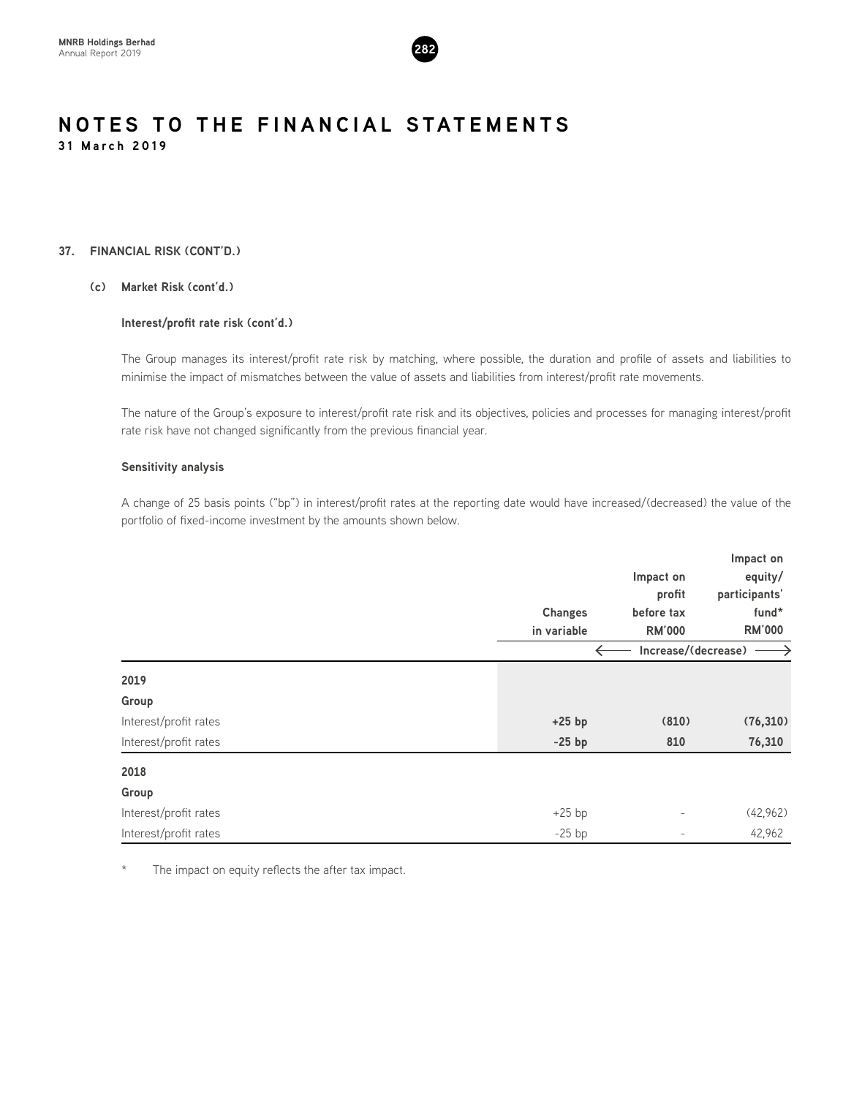

#### **37. FINANCIAL RISK (CONT'D.)**

#### **(c) Market Risk (cont'd.)**

#### **Interest/profit rate risk (cont'd.)**

The Group manages its interest/profit rate risk by matching, where possible, the duration and profile of assets and liabilities to minimise the impact of mismatches between the value of assets and liabilities from interest/profit rate movements.

The nature of the Group's exposure to interest/profit rate risk and its objectives, policies and processes for managing interest/profit rate risk have not changed significantly from the previous financial year.

#### **Sensitivity analysis**

A change of 25 basis points ("bp") in interest/profit rates at the reporting date would have increased/(decreased) the value of the portfolio of fixed-income investment by the amounts shown below.

|                       |                |                          | Impact on     |  |
|-----------------------|----------------|--------------------------|---------------|--|
|                       |                | Impact on                | equity/       |  |
|                       |                | profit                   | participants' |  |
|                       | <b>Changes</b> | before tax               | fund*         |  |
|                       | in variable    | <b>RM'000</b>            | <b>RM'000</b> |  |
|                       |                | Increase/(decrease)      |               |  |
| 2019                  |                |                          |               |  |
| Group                 |                |                          |               |  |
| Interest/profit rates | $+25$ bp       | (810)                    | (76, 310)     |  |
| Interest/profit rates | $-25$ bp       | 810                      | 76,310        |  |
| 2018                  |                |                          |               |  |
| Group                 |                |                          |               |  |
| Interest/profit rates | $+25$ bp       | $\qquad \qquad -$        | (42,962)      |  |
| Interest/profit rates | $-25$ bp       | $\overline{\phantom{0}}$ | 42,962        |  |

\* The impact on equity reflects the after tax impact.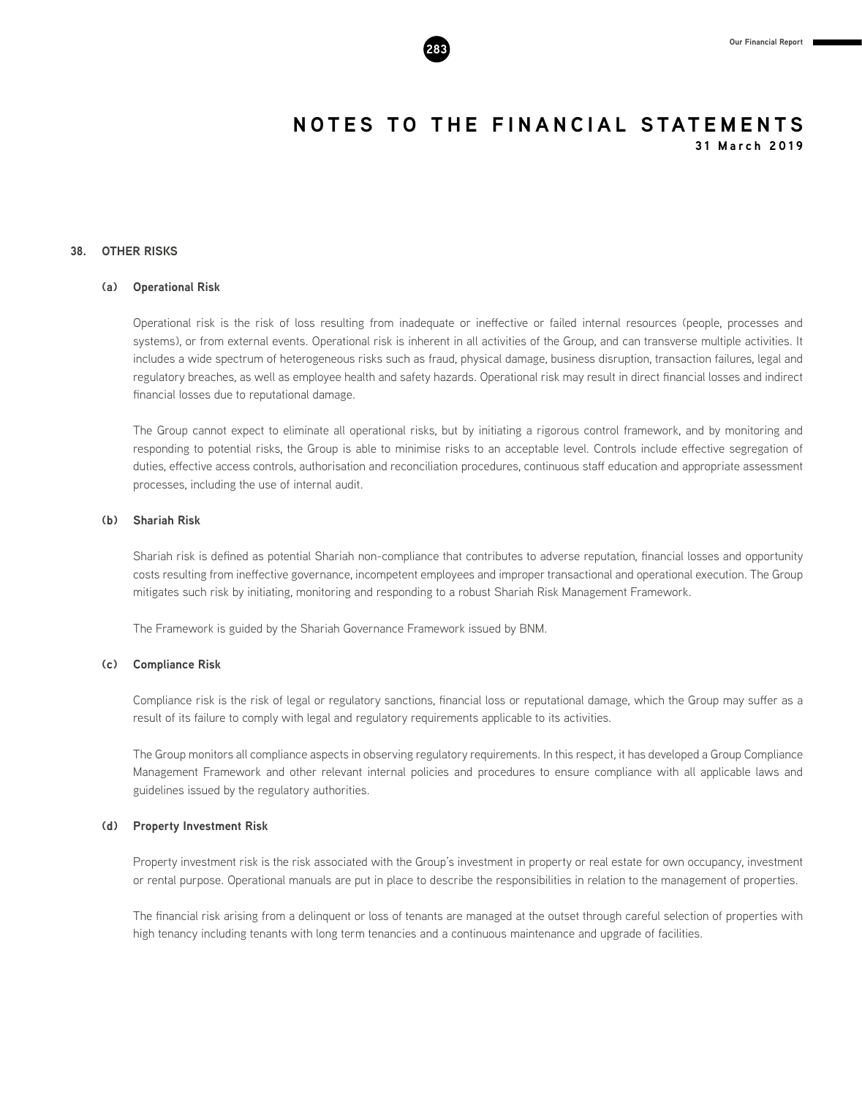

#### **38. OTHER RISKS**

#### **(a) Operational Risk**

Operational risk is the risk of loss resulting from inadequate or ineffective or failed internal resources (people, processes and systems), or from external events. Operational risk is inherent in all activities of the Group, and can transverse multiple activities. It includes a wide spectrum of heterogeneous risks such as fraud, physical damage, business disruption, transaction failures, legal and regulatory breaches, as well as employee health and safety hazards. Operational risk may result in direct financial losses and indirect financial losses due to reputational damage.

The Group cannot expect to eliminate all operational risks, but by initiating a rigorous control framework, and by monitoring and responding to potential risks, the Group is able to minimise risks to an acceptable level. Controls include effective segregation of duties, effective access controls, authorisation and reconciliation procedures, continuous staff education and appropriate assessment processes, including the use of internal audit.

#### **(b) Shariah Risk**

Shariah risk is defined as potential Shariah non-compliance that contributes to adverse reputation, financial losses and opportunity costs resulting from ineffective governance, incompetent employees and improper transactional and operational execution. The Group mitigates such risk by initiating, monitoring and responding to a robust Shariah Risk Management Framework.

The Framework is guided by the Shariah Governance Framework issued by BNM.

#### **(c) Compliance Risk**

Compliance risk is the risk of legal or regulatory sanctions, financial loss or reputational damage, which the Group may suffer as a result of its failure to comply with legal and regulatory requirements applicable to its activities.

The Group monitors all compliance aspects in observing regulatory requirements. In this respect, it has developed a Group Compliance Management Framework and other relevant internal policies and procedures to ensure compliance with all applicable laws and guidelines issued by the regulatory authorities.

#### **(d) Property Investment Risk**

Property investment risk is the risk associated with the Group's investment in property or real estate for own occupancy, investment or rental purpose. Operational manuals are put in place to describe the responsibilities in relation to the management of properties.

The financial risk arising from a delinquent or loss of tenants are managed at the outset through careful selection of properties with high tenancy including tenants with long term tenancies and a continuous maintenance and upgrade of facilities.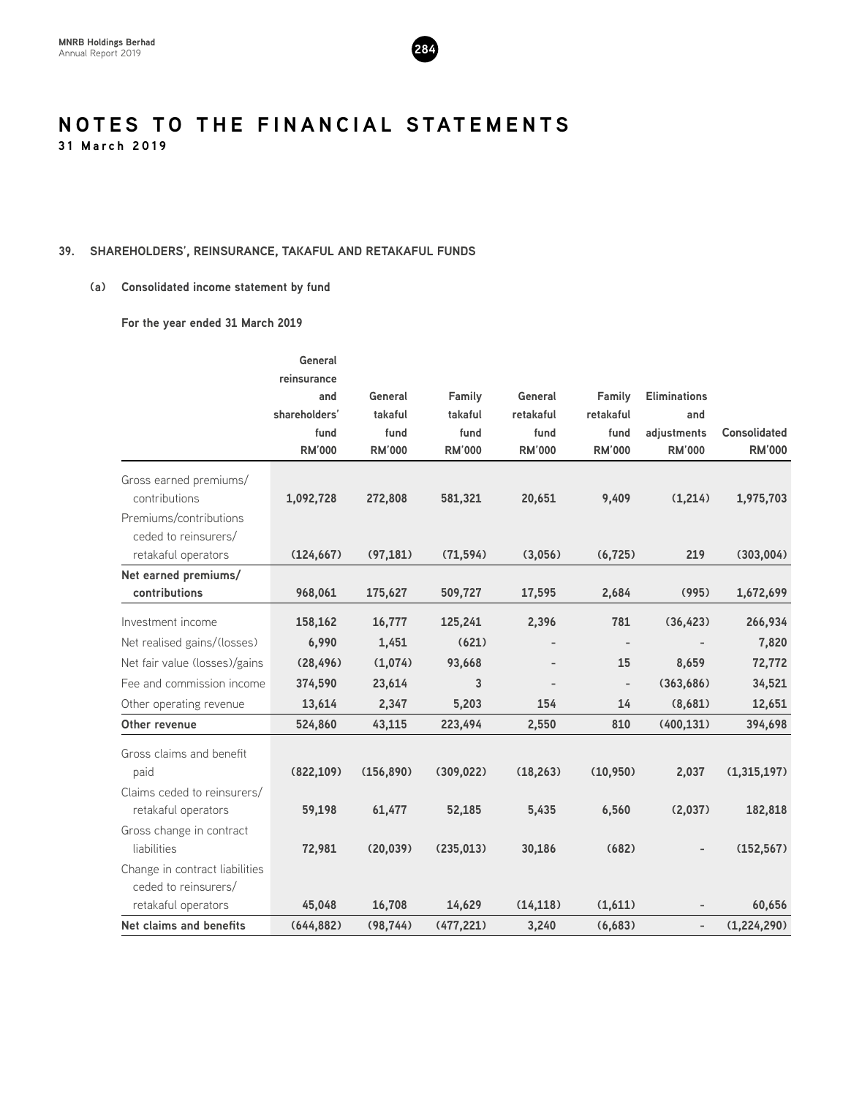

#### **39. SHAREHOLDERS', REINSURANCE, TAKAFUL AND RETAKAFUL FUNDS**

#### **(a) Consolidated income statement by fund**

**For the year ended 31 March 2019**

|                                                                   | General                             |                       |                       |                       |                          |                              |                                      |
|-------------------------------------------------------------------|-------------------------------------|-----------------------|-----------------------|-----------------------|--------------------------|------------------------------|--------------------------------------|
|                                                                   | reinsurance<br>and<br>shareholders' | General<br>takaful    | Family<br>takaful     | General<br>retakaful  | Family<br>retakaful      | <b>Eliminations</b><br>and   |                                      |
|                                                                   | fund<br><b>RM'000</b>               | fund<br><b>RM'000</b> | fund<br><b>RM'000</b> | fund<br><b>RM'000</b> | fund<br><b>RM'000</b>    | adjustments<br><b>RM'000</b> | <b>Consolidated</b><br><b>RM'000</b> |
| Gross earned premiums/<br>contributions<br>Premiums/contributions | 1,092,728                           | 272,808               | 581,321               | 20,651                | 9,409                    | (1,214)                      | 1,975,703                            |
| ceded to reinsurers/<br>retakaful operators                       | (124, 667)                          | (97, 181)             | (71, 594)             | (3,056)               | (6, 725)                 | 219                          | (303,004)                            |
| Net earned premiums/<br>contributions                             | 968,061                             | 175,627               | 509,727               | 17,595                | 2,684                    | (995)                        | 1,672,699                            |
| Investment income                                                 | 158,162                             | 16,777                | 125,241               | 2,396                 | 781                      | (36, 423)                    | 266,934                              |
| Net realised gains/(losses)                                       | 6,990                               | 1,451                 | (621)                 |                       | $\overline{\phantom{a}}$ |                              | 7,820                                |
| Net fair value (losses)/gains                                     | (28, 496)                           | (1,074)               | 93,668                |                       | 15                       | 8,659                        | 72,772                               |
| Fee and commission income                                         | 374,590                             | 23,614                | 3                     |                       | $\overline{\phantom{a}}$ | (363, 686)                   | 34,521                               |
| Other operating revenue                                           | 13,614                              | 2,347                 | 5,203                 | 154                   | 14                       | (8,681)                      | 12,651                               |
| Other revenue                                                     | 524,860                             | 43,115                | 223,494               | 2,550                 | 810                      | (400, 131)                   | 394,698                              |
| Gross claims and benefit<br>paid                                  | (822, 109)                          | (156, 890)            | (309, 022)            | (18, 263)             | (10, 950)                | 2,037                        | (1,315,197)                          |
| Claims ceded to reinsurers/<br>retakaful operators                | 59,198                              | 61,477                | 52,185                | 5,435                 | 6,560                    | (2,037)                      | 182,818                              |
| Gross change in contract<br>liabilities                           | 72,981                              | (20, 039)             | (235, 013)            | 30,186                | (682)                    |                              | (152, 567)                           |
| Change in contract liabilities<br>ceded to reinsurers/            |                                     |                       |                       |                       |                          |                              |                                      |
| retakaful operators                                               | 45,048                              | 16,708                | 14,629                | (14, 118)             | (1,611)                  |                              | 60,656                               |
| Net claims and benefits                                           | (644, 882)                          | (98, 744)             | (477, 221)            | 3,240                 | (6,683)                  |                              | (1,224,290)                          |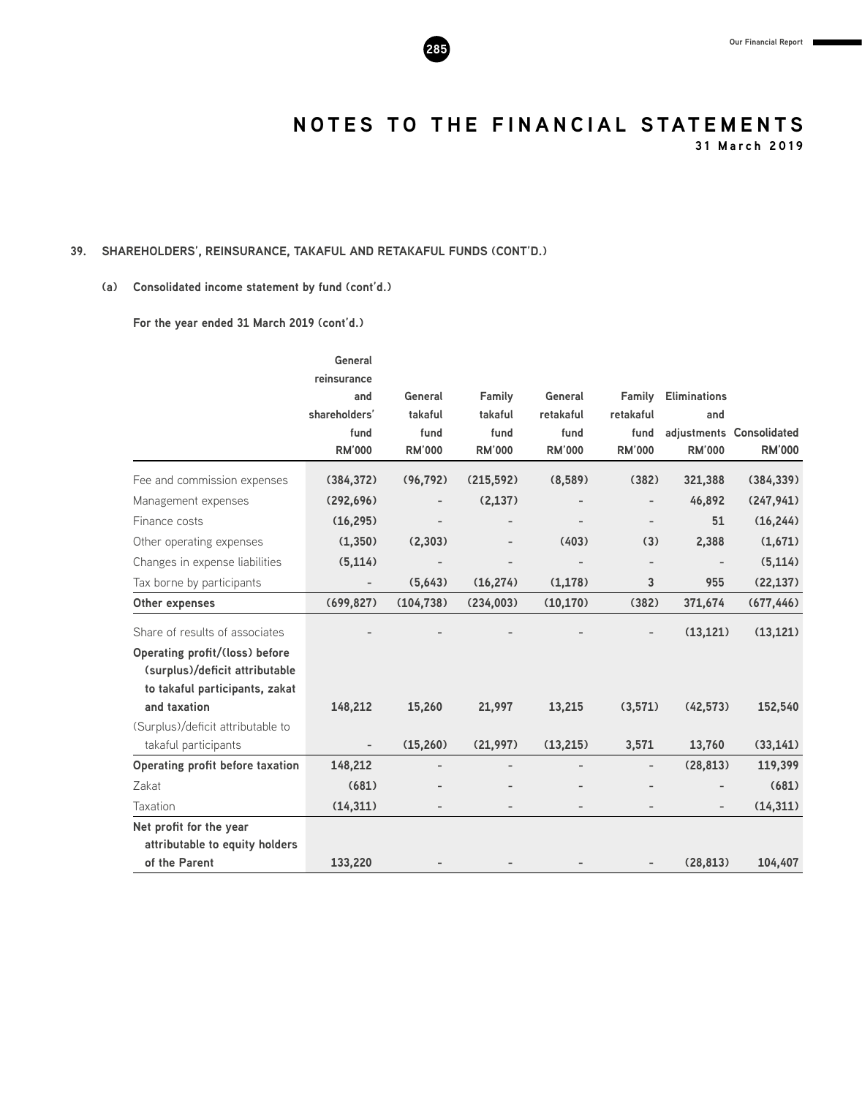

**31 March 2019**

#### **39. SHAREHOLDERS', REINSURANCE, TAKAFUL AND RETAKAFUL FUNDS (CONT'D.)**

#### **(a) Consolidated income statement by fund (cont'd.)**

**For the year ended 31 March 2019 (cont'd.)**

|                                   | General                  |                          |                 |                   |                          |                     |                          |
|-----------------------------------|--------------------------|--------------------------|-----------------|-------------------|--------------------------|---------------------|--------------------------|
|                                   | reinsurance              |                          |                 |                   |                          |                     |                          |
|                                   | and                      | General                  | Family          | General           | Family                   | <b>Eliminations</b> |                          |
|                                   | shareholders'<br>fund    | takaful<br>fund          | takaful<br>fund | retakaful<br>fund | retakaful<br>fund        | and                 | adjustments Consolidated |
|                                   | <b>RM'000</b>            | <b>RM'000</b>            | <b>RM'000</b>   | <b>RM'000</b>     | <b>RM'000</b>            | <b>RM'000</b>       | <b>RM'000</b>            |
| Fee and commission expenses       | (384, 372)               | (96, 792)                | (215, 592)      | (8,589)           | (382)                    | 321,388             | (384, 339)               |
| Management expenses               | (292, 696)               |                          | (2, 137)        |                   |                          | 46,892              | (247, 941)               |
| Finance costs                     | (16, 295)                |                          |                 |                   |                          | 51                  | (16, 244)                |
| Other operating expenses          | (1, 350)                 | (2,303)                  |                 | (403)             | (3)                      | 2,388               | (1,671)                  |
| Changes in expense liabilities    | (5, 114)                 |                          |                 |                   | $\overline{\phantom{0}}$ |                     | (5, 114)                 |
| Tax borne by participants         | $\overline{\phantom{m}}$ | (5,643)                  | (16, 274)       | (1, 178)          | 3                        | 955                 | (22, 137)                |
| Other expenses                    | (699, 827)               | (104, 738)               | (234,003)       | (10, 170)         | (382)                    | 371,674             | (677, 446)               |
| Share of results of associates    |                          |                          |                 |                   |                          | (13, 121)           | (13, 121)                |
| Operating profit/(loss) before    |                          |                          |                 |                   |                          |                     |                          |
| (surplus)/deficit attributable    |                          |                          |                 |                   |                          |                     |                          |
| to takaful participants, zakat    |                          |                          |                 |                   |                          |                     |                          |
| and taxation                      | 148,212                  | 15,260                   | 21,997          | 13,215            | (3,571)                  | (42, 573)           | 152,540                  |
| (Surplus)/deficit attributable to |                          |                          |                 |                   |                          |                     |                          |
| takaful participants              |                          | (15,260)                 | (21,997)        | (13, 215)         | 3,571                    | 13,760              | (33, 141)                |
| Operating profit before taxation  | 148,212                  |                          |                 |                   |                          | (28, 813)           | 119,399                  |
| Zakat                             | (681)                    |                          |                 |                   |                          |                     | (681)                    |
| Taxation                          | (14, 311)                | $\overline{\phantom{0}}$ |                 |                   |                          |                     | (14, 311)                |
| Net profit for the year           |                          |                          |                 |                   |                          |                     |                          |
| attributable to equity holders    |                          |                          |                 |                   |                          |                     |                          |
| of the Parent                     | 133,220                  |                          |                 |                   |                          | (28, 813)           | 104,407                  |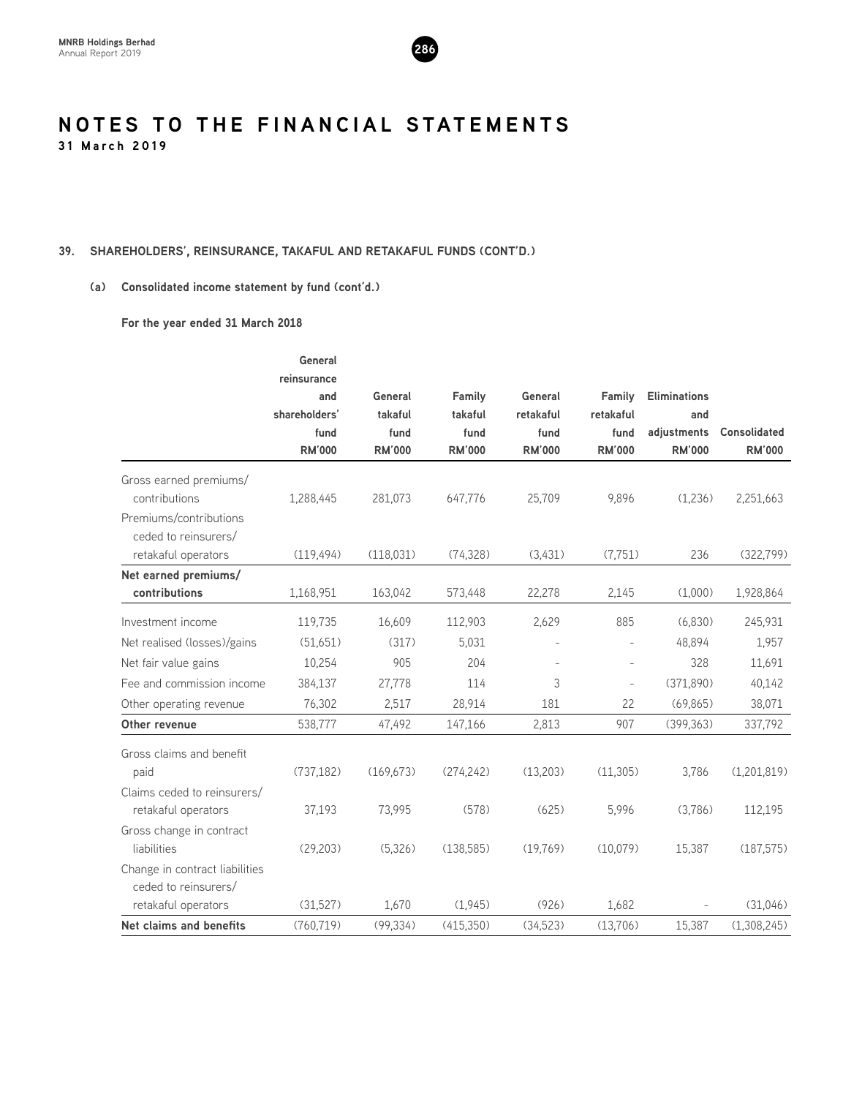

#### **39. SHAREHOLDERS', REINSURANCE, TAKAFUL AND RETAKAFUL FUNDS (CONT'D.)**

#### **(a) Consolidated income statement by fund (cont'd.)**

**For the year ended 31 March 2018**

|                                | General       |               |               |               |                   |                     |                     |
|--------------------------------|---------------|---------------|---------------|---------------|-------------------|---------------------|---------------------|
|                                | reinsurance   |               |               |               |                   |                     |                     |
|                                | and           | General       | Family        | General       | Family            | <b>Eliminations</b> |                     |
|                                | shareholders' | takaful       | takaful       | retakaful     | retakaful         | and                 |                     |
|                                | fund          | fund          | fund          | fund          | fund              | adjustments         | <b>Consolidated</b> |
|                                | <b>RM'000</b> | <b>RM'000</b> | <b>RM'000</b> | <b>RM'000</b> | <b>RM'000</b>     | <b>RM'000</b>       | <b>RM'000</b>       |
| Gross earned premiums/         |               |               |               |               |                   |                     |                     |
| contributions                  | 1,288,445     | 281,073       | 647,776       | 25,709        | 9,896             | (1,236)             | 2,251,663           |
| Premiums/contributions         |               |               |               |               |                   |                     |                     |
| ceded to reinsurers/           |               |               |               |               |                   |                     |                     |
| retakaful operators            | (119, 494)    | (118, 031)    | (74, 328)     | (3,431)       | (7, 751)          | 236                 | (322, 799)          |
| Net earned premiums/           |               |               |               |               |                   |                     |                     |
| contributions                  | 1,168,951     | 163,042       | 573,448       | 22,278        | 2,145             | (1,000)             | 1,928,864           |
| Investment income              | 119,735       | 16,609        | 112,903       | 2,629         | 885               | (6,830)             | 245,931             |
| Net realised (losses)/gains    | (51,651)      | (317)         | 5,031         |               |                   | 48.894              | 1,957               |
| Net fair value gains           | 10,254        | 905           | 204           |               |                   | 328                 | 11,691              |
| Fee and commission income      | 384,137       | 27,778        | 114           | 3             | $\qquad \qquad -$ | (371,890)           | 40,142              |
| Other operating revenue        | 76,302        | 2,517         | 28,914        | 181           | 22                | (69,865)            | 38,071              |
| Other revenue                  | 538,777       | 47,492        | 147,166       | 2,813         | 907               | (399, 363)          | 337,792             |
| Gross claims and benefit       |               |               |               |               |                   |                     |                     |
| paid                           | (737, 182)    | (169, 673)    | (274, 242)    | (13,203)      | (11, 305)         | 3,786               | (1,201,819)         |
| Claims ceded to reinsurers/    |               |               |               |               |                   |                     |                     |
| retakaful operators            | 37,193        | 73,995        | (578)         | (625)         | 5,996             | (3,786)             | 112,195             |
| Gross change in contract       |               |               |               |               |                   |                     |                     |
| liabilities                    | (29, 203)     | (5,326)       | (138,585)     | (19,769)      | (10,079)          | 15,387              | (187, 575)          |
| Change in contract liabilities |               |               |               |               |                   |                     |                     |
| ceded to reinsurers/           |               |               |               |               |                   |                     |                     |
| retakaful operators            | (31,527)      | 1,670         | (1,945)       | (926)         | 1,682             |                     | (31,046)            |
| Net claims and benefits        | (760, 719)    | (99, 334)     | (415,350)     | (34,523)      | (13,706)          | 15,387              | (1,308,245)         |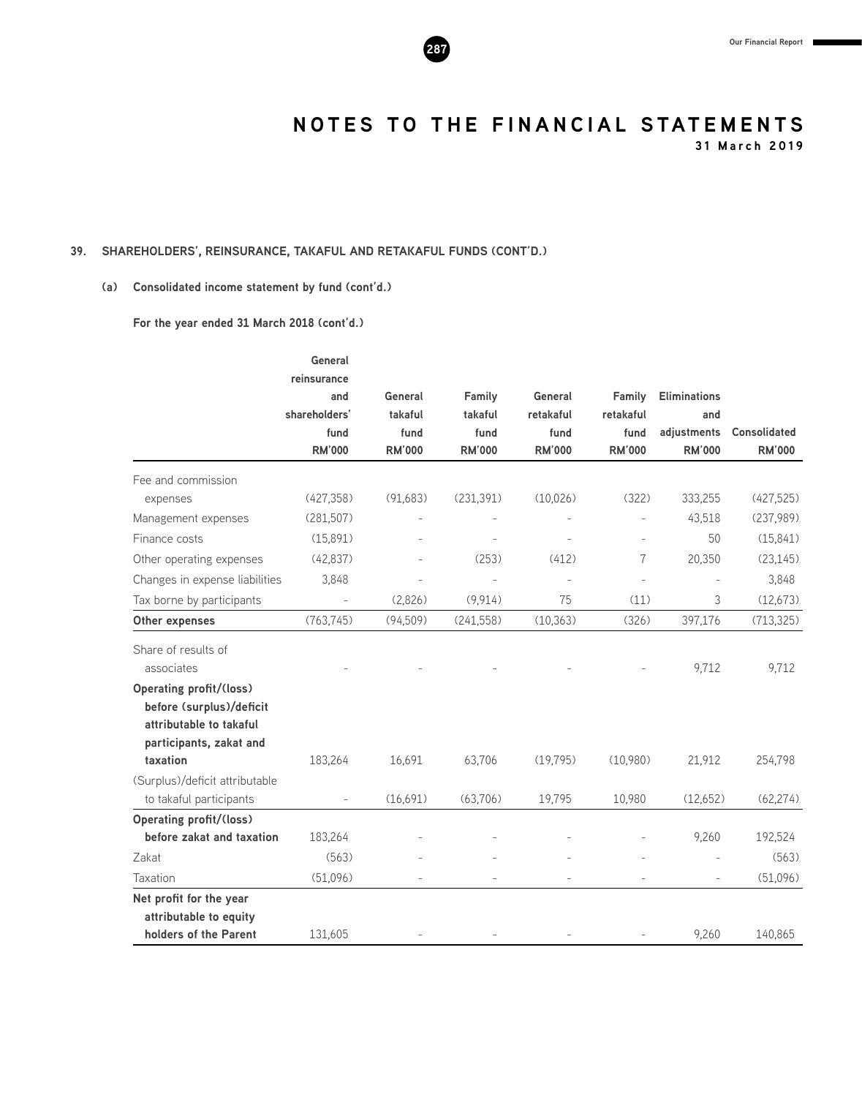

**31 March 2019**

#### **39. SHAREHOLDERS', REINSURANCE, TAKAFUL AND RETAKAFUL FUNDS (CONT'D.)**

#### **(a) Consolidated income statement by fund (cont'd.)**

**For the year ended 31 March 2018 (cont'd.)**

|                                | deneral<br>reinsurance |               |               |               |                |                     |               |
|--------------------------------|------------------------|---------------|---------------|---------------|----------------|---------------------|---------------|
|                                | and                    | General       | Family        | General       | Family         | <b>Eliminations</b> |               |
|                                | shareholders'          | takaful       | takaful       | retakaful     | retakaful      | and                 |               |
|                                | fund                   | fund          | fund          | fund          | fund           | adjustments         | Consolidated  |
|                                | <b>RM'000</b>          | <b>RM'000</b> | <b>RM'000</b> | <b>RM'000</b> | <b>RM'000</b>  | <b>RM'000</b>       | <b>RM'000</b> |
| Fee and commission             |                        |               |               |               |                |                     |               |
| expenses                       | (427, 358)             | (91,683)      | (231, 391)    | (10,026)      | (322)          | 333,255             | (427, 525)    |
| Management expenses            | (281, 507)             |               |               |               | $\overline{a}$ | 43,518              | (237,989)     |
| Finance costs                  | (15,891)               |               |               |               | $\equiv$       | 50                  | (15, 841)     |
| Other operating expenses       | (42, 837)              |               | (253)         | (412)         | 7              | 20,350              | (23, 145)     |
| Changes in expense liabilities | 3,848                  |               |               |               |                |                     | 3,848         |
| Tax borne by participants      | $\bar{\phantom{a}}$    | (2,826)       | (9, 914)      | 75            | (11)           | 3                   | (12,673)      |
| Other expenses                 | (763, 745)             | (94, 509)     | (241, 558)    | (10, 363)     | (326)          | 397,176             | (713, 325)    |
| Share of results of            |                        |               |               |               |                |                     |               |
| associates                     |                        |               |               |               |                | 9,712               | 9,712         |
| <b>Operating profit/(loss)</b> |                        |               |               |               |                |                     |               |
| before (surplus)/deficit       |                        |               |               |               |                |                     |               |
| attributable to takaful        |                        |               |               |               |                |                     |               |
| participants, zakat and        |                        |               |               |               |                |                     |               |
| taxation                       | 183,264                | 16,691        | 63,706        | (19, 795)     | (10,980)       | 21,912              | 254,798       |
| (Surplus)/deficit attributable |                        |               |               |               |                |                     |               |
| to takaful participants        |                        | (16,691)      | (63,706)      | 19,795        | 10,980         | (12,652)            | (62, 274)     |
| <b>Operating profit/(loss)</b> |                        |               |               |               |                |                     |               |
| before zakat and taxation      | 183,264                |               |               |               |                | 9,260               | 192,524       |
| Zakat                          | (563)                  |               |               |               |                |                     | (563)         |
| Taxation                       | (51,096)               |               |               |               |                |                     | (51,096)      |
| Net profit for the year        |                        |               |               |               |                |                     |               |
| attributable to equity         |                        |               |               |               |                |                     |               |
| holders of the Parent          | 131,605                |               |               |               |                | 9,260               | 140,865       |

 **General** 

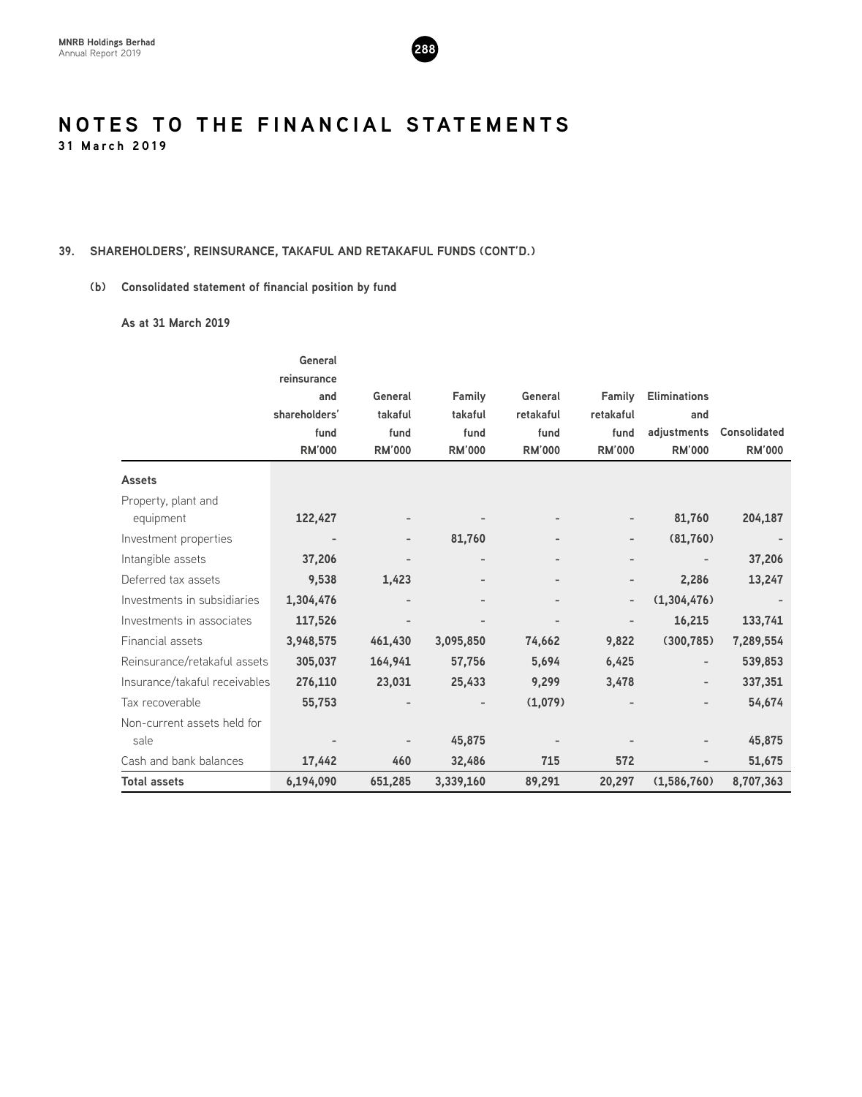

#### **39. SHAREHOLDERS', REINSURANCE, TAKAFUL AND RETAKAFUL FUNDS (CONT'D.)**

#### **(b) Consolidated statement of financial position by fund**

#### **As at 31 March 2019**

|                               | General       |                          |                   |               |                              |                          |                     |
|-------------------------------|---------------|--------------------------|-------------------|---------------|------------------------------|--------------------------|---------------------|
|                               | reinsurance   |                          |                   |               |                              |                          |                     |
|                               | and           | General                  | Family            | General       | Family                       | <b>Eliminations</b>      |                     |
|                               | shareholders' | takaful                  | takaful           | retakaful     | retakaful                    | and                      |                     |
|                               | fund          | fund                     | fund              | fund          | fund                         | adjustments              | <b>Consolidated</b> |
|                               | <b>RM'000</b> | <b>RM'000</b>            | <b>RM'000</b>     | <b>RM'000</b> | <b>RM'000</b>                | <b>RM'000</b>            | <b>RM'000</b>       |
| <b>Assets</b>                 |               |                          |                   |               |                              |                          |                     |
| Property, plant and           |               |                          |                   |               |                              |                          |                     |
| equipment                     | 122,427       |                          |                   |               |                              | 81,760                   | 204,187             |
| Investment properties         |               | $\overline{\phantom{0}}$ | 81,760            |               | $\overline{\phantom{a}}$     | (81,760)                 |                     |
| Intangible assets             | 37,206        |                          | $\qquad \qquad$   |               | $\qquad \qquad \blacksquare$ |                          | 37,206              |
| Deferred tax assets           | 9,538         | 1,423                    | $\qquad \qquad -$ |               | $\overline{\phantom{a}}$     | 2,286                    | 13,247              |
| Investments in subsidiaries   | 1,304,476     |                          |                   |               |                              | (1,304,476)              |                     |
| Investments in associates     | 117,526       |                          |                   |               | $\overline{\phantom{a}}$     | 16,215                   | 133,741             |
| Financial assets              | 3,948,575     | 461,430                  | 3,095,850         | 74,662        | 9,822                        | (300, 785)               | 7,289,554           |
| Reinsurance/retakaful assets  | 305,037       | 164,941                  | 57,756            | 5,694         | 6,425                        | $\overline{\phantom{a}}$ | 539,853             |
| Insurance/takaful receivables | 276,110       | 23,031                   | 25,433            | 9,299         | 3,478                        | $\overline{\phantom{a}}$ | 337,351             |
| Tax recoverable               | 55,753        |                          |                   | (1,079)       |                              |                          | 54,674              |
| Non-current assets held for   |               |                          |                   |               |                              |                          |                     |
| sale                          |               |                          | 45,875            |               |                              |                          | 45,875              |
| Cash and bank balances        | 17,442        | 460                      | 32,486            | 715           | 572                          |                          | 51,675              |
| <b>Total assets</b>           | 6,194,090     | 651,285                  | 3,339,160         | 89,291        | 20,297                       | (1,586,760)              | 8,707,363           |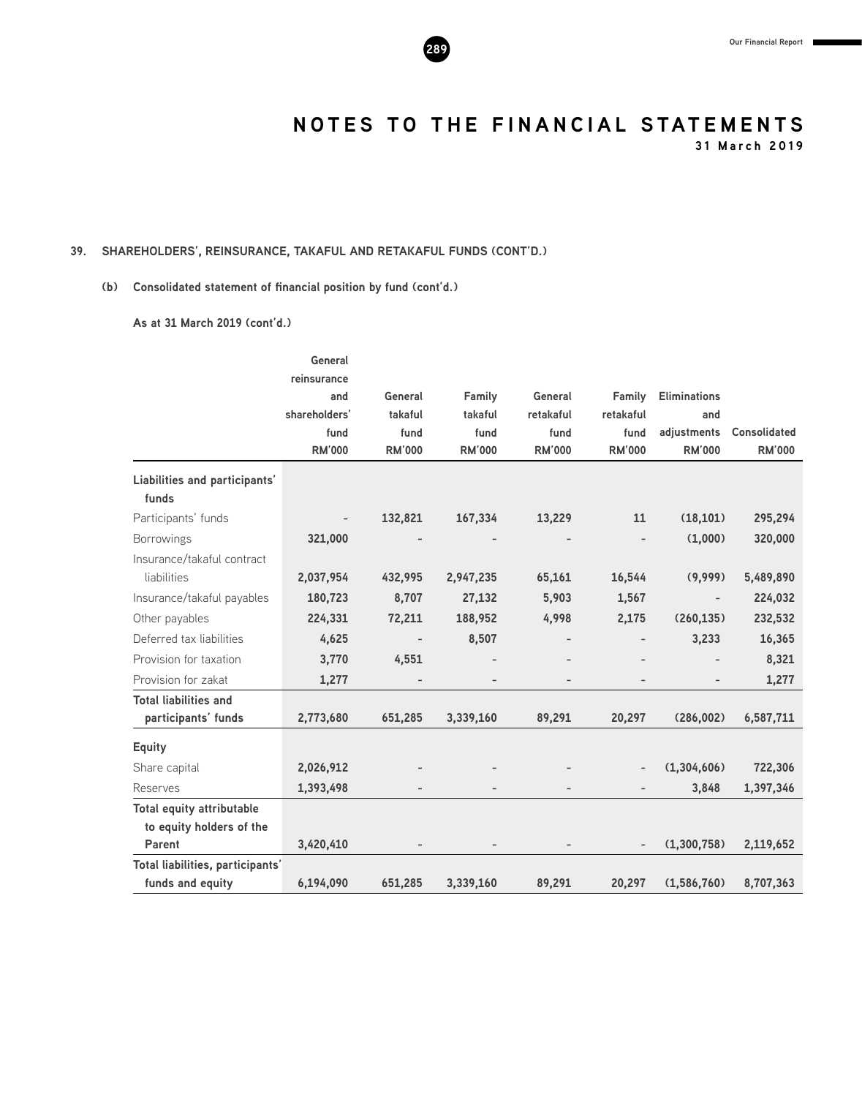**31 March 2019**

#### **39. SHAREHOLDERS', REINSURANCE, TAKAFUL AND RETAKAFUL FUNDS (CONT'D.)**

#### **(b) Consolidated statement of financial position by fund (cont'd.)**

**As at 31 March 2019 (cont'd.)**

|                                  | General       |                          |               |               |               |                          |               |
|----------------------------------|---------------|--------------------------|---------------|---------------|---------------|--------------------------|---------------|
|                                  | reinsurance   |                          |               |               |               |                          |               |
|                                  | and           | General                  | Family        | General       | Family        | <b>Eliminations</b>      |               |
|                                  | shareholders' | takaful                  | takaful       | retakaful     | retakaful     | and                      |               |
|                                  | fund          | fund                     | fund          | fund          | fund          | adjustments              | Consolidated  |
|                                  | <b>RM'000</b> | <b>RM'000</b>            | <b>RM'000</b> | <b>RM'000</b> | <b>RM'000</b> | <b>RM'000</b>            | <b>RM'000</b> |
| Liabilities and participants'    |               |                          |               |               |               |                          |               |
| funds                            |               |                          |               |               |               |                          |               |
| Participants' funds              | -             | 132,821                  | 167,334       | 13,229        | 11            | (18, 101)                | 295,294       |
| <b>Borrowings</b>                | 321,000       |                          |               |               |               | (1,000)                  | 320,000       |
| Insurance/takaful contract       |               |                          |               |               |               |                          |               |
| liabilities                      | 2,037,954     | 432,995                  | 2,947,235     | 65,161        | 16,544        | (9,999)                  | 5,489,890     |
| Insurance/takaful payables       | 180,723       | 8,707                    | 27,132        | 5,903         | 1,567         | $\overline{\phantom{a}}$ | 224,032       |
| Other payables                   | 224,331       | 72,211                   | 188,952       | 4,998         | 2,175         | (260, 135)               | 232,532       |
| Deferred tax liabilities         | 4,625         | $\overline{\phantom{a}}$ | 8,507         |               |               | 3,233                    | 16,365        |
| Provision for taxation           | 3,770         | 4,551                    |               |               |               |                          | 8,321         |
| Provision for zakat              | 1,277         |                          |               |               |               |                          | 1,277         |
| <b>Total liabilities and</b>     |               |                          |               |               |               |                          |               |
| participants' funds              | 2,773,680     | 651,285                  | 3,339,160     | 89,291        | 20,297        | (286,002)                | 6,587,711     |
| <b>Equity</b>                    |               |                          |               |               |               |                          |               |
| Share capital                    | 2,026,912     |                          |               |               |               | (1,304,606)              | 722,306       |
| Reserves                         | 1,393,498     |                          |               |               |               | 3,848                    | 1,397,346     |
| <b>Total equity attributable</b> |               |                          |               |               |               |                          |               |
| to equity holders of the         |               |                          |               |               |               |                          |               |
| Parent                           | 3,420,410     |                          |               |               |               | (1,300,758)              | 2,119,652     |
| Total liabilities, participants' |               |                          |               |               |               |                          |               |
| funds and equity                 | 6,194,090     | 651,285                  | 3,339,160     | 89,291        | 20,297        | (1,586,760)              | 8,707,363     |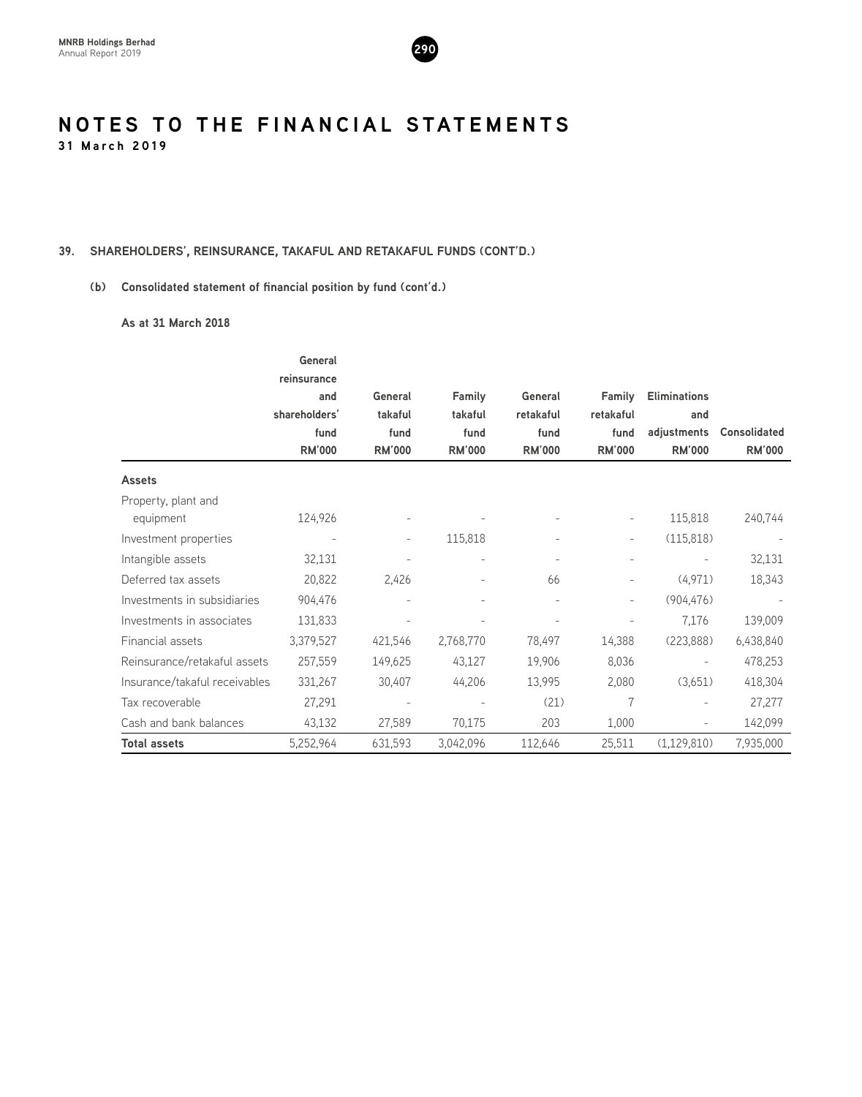

#### **39. SHAREHOLDERS', REINSURANCE, TAKAFUL AND RETAKAFUL FUNDS (CONT'D.)**

#### **(b) Consolidated statement of financial position by fund (cont'd.)**

#### **As at 31 March 2018**

|                               | General                  |                          |                          |               |                          |                          |                     |
|-------------------------------|--------------------------|--------------------------|--------------------------|---------------|--------------------------|--------------------------|---------------------|
|                               | reinsurance              |                          |                          |               |                          |                          |                     |
|                               | and                      | General                  | Family                   | General       | Family                   | <b>Eliminations</b>      |                     |
|                               | shareholders'            | takaful                  | takaful                  | retakaful     | retakaful                | and                      |                     |
|                               | fund                     | fund                     | fund                     | fund          | fund                     | adjustments              | <b>Consolidated</b> |
|                               | <b>RM'000</b>            | <b>RM'000</b>            | <b>RM'000</b>            | <b>RM'000</b> | <b>RM'000</b>            | <b>RM'000</b>            | <b>RM'000</b>       |
| <b>Assets</b>                 |                          |                          |                          |               |                          |                          |                     |
| Property, plant and           |                          |                          |                          |               |                          |                          |                     |
| equipment                     | 124,926                  |                          |                          |               | $\overline{\phantom{a}}$ | 115,818                  | 240,744             |
| Investment properties         | $\overline{\phantom{a}}$ | $\overline{\phantom{a}}$ | 115,818                  |               | $\overline{\phantom{a}}$ | (115, 818)               |                     |
| Intangible assets             | 32,131                   |                          | $\overline{\phantom{a}}$ |               |                          | $\overline{\phantom{a}}$ | 32,131              |
| Deferred tax assets           | 20,822                   | 2,426                    |                          | 66            |                          | (4,971)                  | 18,343              |
| Investments in subsidiaries   | 904,476                  |                          |                          |               |                          | (904, 476)               |                     |
| Investments in associates     | 131,833                  |                          |                          |               |                          | 7,176                    | 139,009             |
| Financial assets              | 3,379,527                | 421,546                  | 2,768,770                | 78,497        | 14,388                   | (223, 888)               | 6,438,840           |
| Reinsurance/retakaful assets  | 257,559                  | 149,625                  | 43,127                   | 19,906        | 8,036                    | $\overline{\phantom{a}}$ | 478,253             |
| Insurance/takaful receivables | 331,267                  | 30,407                   | 44,206                   | 13,995        | 2,080                    | (3,651)                  | 418,304             |
| Tax recoverable               | 27,291                   | $\overline{\phantom{a}}$ |                          | (21)          |                          | $\overline{\phantom{a}}$ | 27,277              |
| Cash and bank balances        | 43,132                   | 27,589                   | 70,175                   | 203           | 1,000                    | $\overline{\phantom{a}}$ | 142,099             |
| <b>Total assets</b>           | 5,252,964                | 631,593                  | 3,042,096                | 112,646       | 25,511                   | (1,129,810)              | 7,935,000           |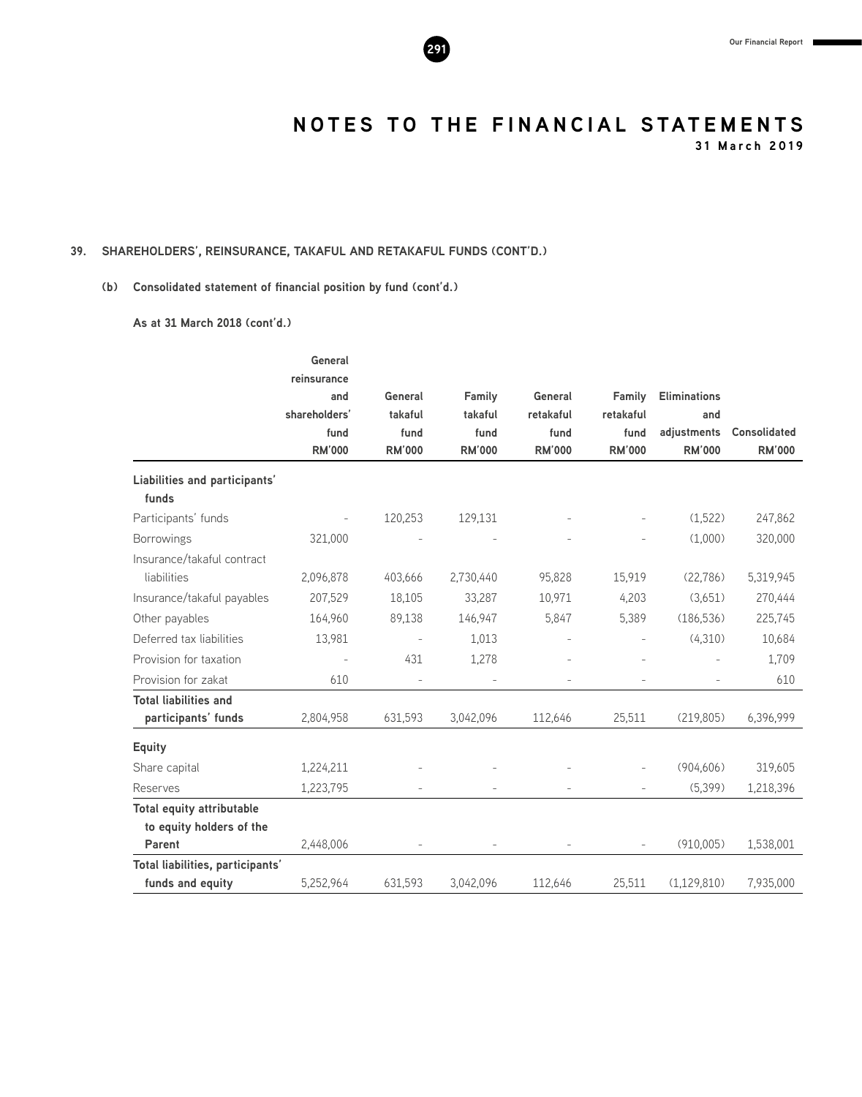

**31 March 2019**

#### **39. SHAREHOLDERS', REINSURANCE, TAKAFUL AND RETAKAFUL FUNDS (CONT'D.)**

#### **(b) Consolidated statement of financial position by fund (cont'd.)**

**As at 31 March 2018 (cont'd.)**

|                                  | General       |                          |               |               |                |                     |                     |
|----------------------------------|---------------|--------------------------|---------------|---------------|----------------|---------------------|---------------------|
|                                  | reinsurance   |                          |               |               |                |                     |                     |
|                                  | and           | General                  | Family        | General       | Family         | <b>Eliminations</b> |                     |
|                                  | shareholders' | takaful                  | takaful       | retakaful     | retakaful      | and                 |                     |
|                                  | fund          | fund                     | fund          | fund          | fund           | adjustments         | <b>Consolidated</b> |
|                                  | <b>RM'000</b> | <b>RM'000</b>            | <b>RM'000</b> | <b>RM'000</b> | <b>RM'000</b>  | <b>RM'000</b>       | <b>RM'000</b>       |
| Liabilities and participants'    |               |                          |               |               |                |                     |                     |
| funds                            |               |                          |               |               |                |                     |                     |
| Participants' funds              |               | 120,253                  | 129,131       |               |                | (1,522)             | 247,862             |
| <b>Borrowings</b>                | 321,000       |                          |               |               |                | (1,000)             | 320,000             |
| Insurance/takaful contract       |               |                          |               |               |                |                     |                     |
| liabilities                      | 2,096,878     | 403,666                  | 2,730,440     | 95,828        | 15,919         | (22, 786)           | 5,319,945           |
| Insurance/takaful payables       | 207,529       | 18,105                   | 33,287        | 10,971        | 4,203          | (3,651)             | 270,444             |
| Other payables                   | 164,960       | 89,138                   | 146,947       | 5,847         | 5,389          | (186, 536)          | 225,745             |
| Deferred tax liabilities         | 13,981        | $\overline{\phantom{a}}$ | 1,013         |               |                | (4,310)             | 10,684              |
| Provision for taxation           |               | 431                      | 1,278         |               |                |                     | 1,709               |
| Provision for zakat              | 610           |                          |               |               |                |                     | 610                 |
| <b>Total liabilities and</b>     |               |                          |               |               |                |                     |                     |
| participants' funds              | 2,804,958     | 631,593                  | 3,042,096     | 112,646       | 25,511         | (219, 805)          | 6,396,999           |
| <b>Equity</b>                    |               |                          |               |               |                |                     |                     |
| Share capital                    | 1,224,211     |                          |               |               |                | (904, 606)          | 319,605             |
| Reserves                         | 1,223,795     |                          |               |               | $\overline{a}$ | (5,399)             | 1,218,396           |
| <b>Total equity attributable</b> |               |                          |               |               |                |                     |                     |
| to equity holders of the         |               |                          |               |               |                |                     |                     |
| Parent                           | 2,448,006     |                          |               |               |                | (910,005)           | 1,538,001           |
| Total liabilities, participants' |               |                          |               |               |                |                     |                     |
| funds and equity                 | 5,252,964     | 631,593                  | 3,042,096     | 112,646       | 25,511         | (1,129,810)         | 7,935,000           |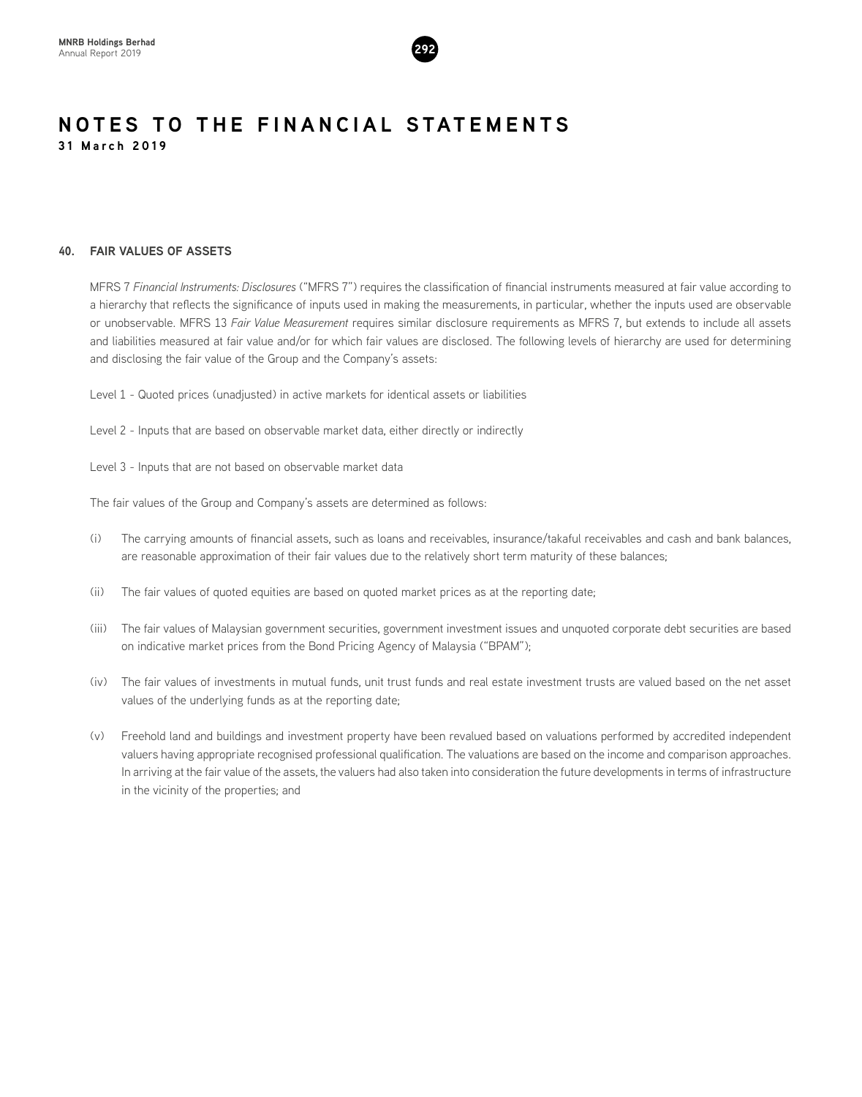

#### **40. FAIR VALUES OF ASSETS**

MFRS 7 *Financial Instruments: Disclosures* ("MFRS 7") requires the classification of financial instruments measured at fair value according to a hierarchy that reflects the significance of inputs used in making the measurements, in particular, whether the inputs used are observable or unobservable. MFRS 13 *Fair Value Measurement* requires similar disclosure requirements as MFRS 7, but extends to include all assets and liabilities measured at fair value and/or for which fair values are disclosed. The following levels of hierarchy are used for determining and disclosing the fair value of the Group and the Company's assets:

Level 1 - Quoted prices (unadjusted) in active markets for identical assets or liabilities

Level 2 - Inputs that are based on observable market data, either directly or indirectly

Level 3 - Inputs that are not based on observable market data

The fair values of the Group and Company's assets are determined as follows:

- (i) The carrying amounts of financial assets, such as loans and receivables, insurance/takaful receivables and cash and bank balances, are reasonable approximation of their fair values due to the relatively short term maturity of these balances;
- (ii) The fair values of quoted equities are based on quoted market prices as at the reporting date;
- (iii) The fair values of Malaysian government securities, government investment issues and unquoted corporate debt securities are based on indicative market prices from the Bond Pricing Agency of Malaysia ("BPAM");
- (iv) The fair values of investments in mutual funds, unit trust funds and real estate investment trusts are valued based on the net asset values of the underlying funds as at the reporting date;
- (v) Freehold land and buildings and investment property have been revalued based on valuations performed by accredited independent valuers having appropriate recognised professional qualification. The valuations are based on the income and comparison approaches. In arriving at the fair value of the assets, the valuers had also taken into consideration the future developments in terms of infrastructure in the vicinity of the properties; and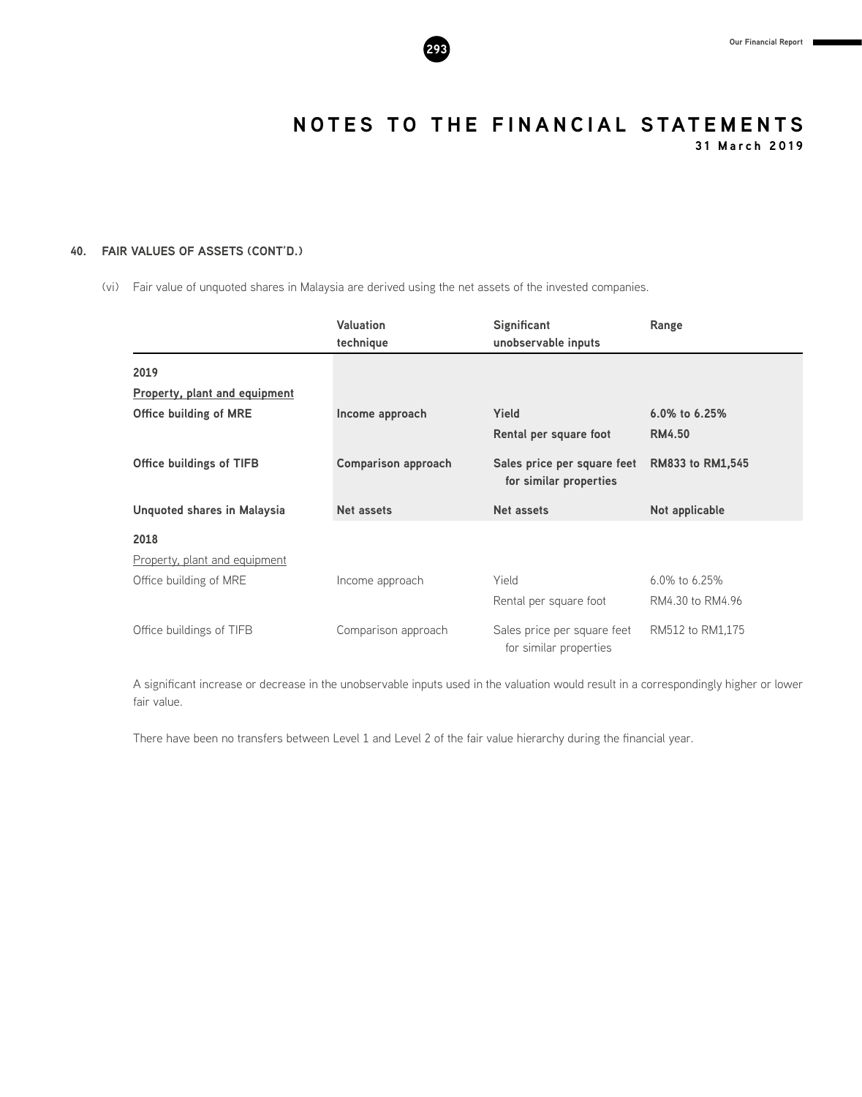

**31 March 2019**

#### **40. FAIR VALUES OF ASSETS (CONT'D.)**

(vi) Fair value of unquoted shares in Malaysia are derived using the net assets of the invested companies.

|                                 | <b>Valuation</b><br>technique | Significant<br>unobservable inputs                    | Range            |
|---------------------------------|-------------------------------|-------------------------------------------------------|------------------|
| 2019                            |                               |                                                       |                  |
| Property, plant and equipment   |                               |                                                       |                  |
| <b>Office building of MRE</b>   | Income approach               | Yield                                                 | 6.0% to 6.25%    |
|                                 |                               | Rental per square foot                                | <b>RM4.50</b>    |
| <b>Office buildings of TIFB</b> | <b>Comparison approach</b>    | Sales price per square feet<br>for similar properties | RM833 to RM1,545 |
| Unquoted shares in Malaysia     | Net assets                    | <b>Net assets</b>                                     | Not applicable   |
| 2018                            |                               |                                                       |                  |
| Property, plant and equipment   |                               |                                                       |                  |
| Office building of MRE          | Income approach               | Yield                                                 | 6.0% to 6.25%    |
|                                 |                               | Rental per square foot                                | RM4.30 to RM4.96 |
| Office buildings of TIFB        | Comparison approach           | Sales price per square feet<br>for similar properties | RM512 to RM1,175 |

A significant increase or decrease in the unobservable inputs used in the valuation would result in a correspondingly higher or lower fair value.

There have been no transfers between Level 1 and Level 2 of the fair value hierarchy during the financial year.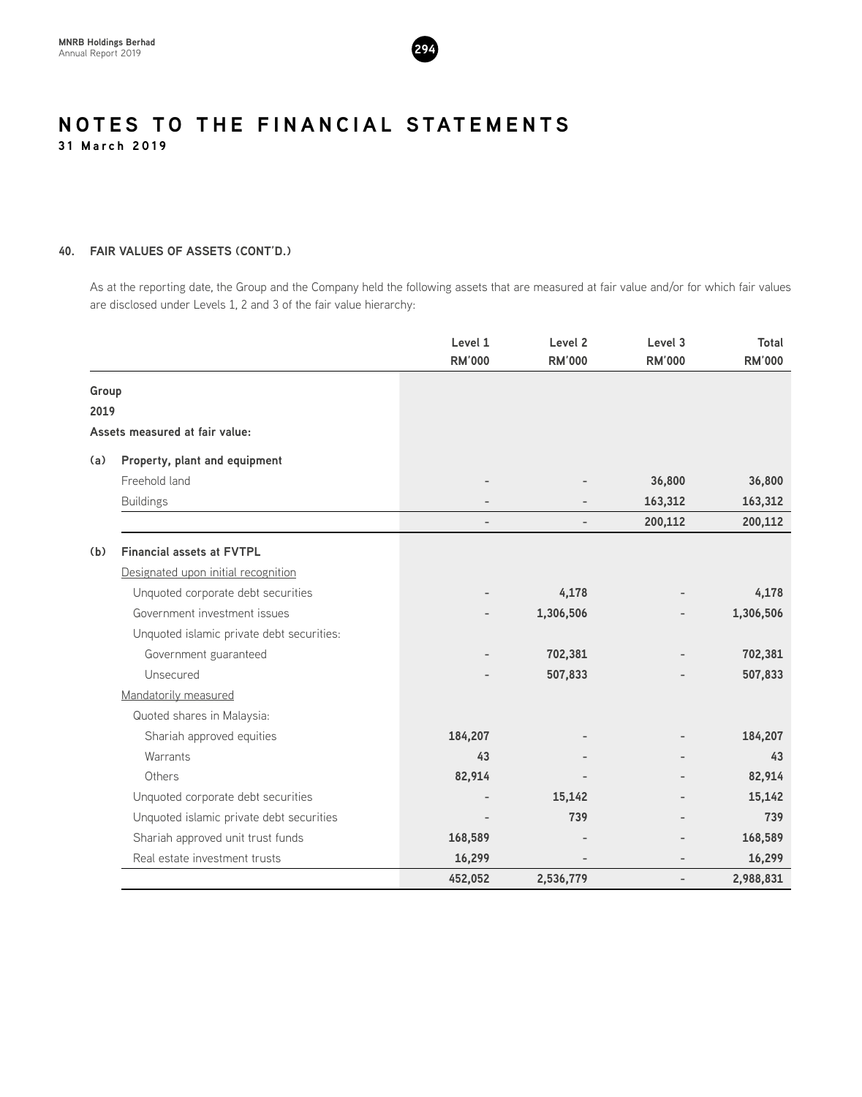

#### **40. FAIR VALUES OF ASSETS (CONT'D.)**

As at the reporting date, the Group and the Company held the following assets that are measured at fair value and/or for which fair values are disclosed under Levels 1, 2 and 3 of the fair value hierarchy:

|       |                                           | Level 1                  | Level <sub>2</sub> | Level 3       | Total         |
|-------|-------------------------------------------|--------------------------|--------------------|---------------|---------------|
|       |                                           | <b>RM'000</b>            | <b>RM'000</b>      | <b>RM'000</b> | <b>RM'000</b> |
| Group |                                           |                          |                    |               |               |
| 2019  |                                           |                          |                    |               |               |
|       | Assets measured at fair value:            |                          |                    |               |               |
| (a)   | Property, plant and equipment             |                          |                    |               |               |
|       | Freehold land                             |                          |                    | 36,800        | 36,800        |
|       | <b>Buildings</b>                          | $\overline{\phantom{0}}$ |                    | 163,312       | 163,312       |
|       |                                           | $\overline{\phantom{0}}$ |                    | 200,112       | 200,112       |
| (b)   | <b>Financial assets at FVTPL</b>          |                          |                    |               |               |
|       | Designated upon initial recognition       |                          |                    |               |               |
|       | Unquoted corporate debt securities        |                          | 4,178              |               | 4,178         |
|       | Government investment issues              |                          | 1,306,506          |               | 1,306,506     |
|       | Unquoted islamic private debt securities: |                          |                    |               |               |
|       | Government guaranteed                     |                          | 702,381            |               | 702,381       |
|       | Unsecured                                 |                          | 507,833            |               | 507,833       |
|       | Mandatorily measured                      |                          |                    |               |               |
|       | Quoted shares in Malaysia:                |                          |                    |               |               |
|       | Shariah approved equities                 | 184,207                  |                    |               | 184,207       |
|       | Warrants                                  | 43                       |                    |               | 43            |
|       | Others                                    | 82,914                   |                    |               | 82,914        |
|       | Unquoted corporate debt securities        |                          | 15,142             |               | 15,142        |
|       | Unquoted islamic private debt securities  |                          | 739                |               | 739           |
|       | Shariah approved unit trust funds         | 168,589                  |                    |               | 168,589       |
|       | Real estate investment trusts             | 16,299                   |                    |               | 16,299        |
|       |                                           | 452,052                  | 2,536,779          | Ĭ.            | 2,988,831     |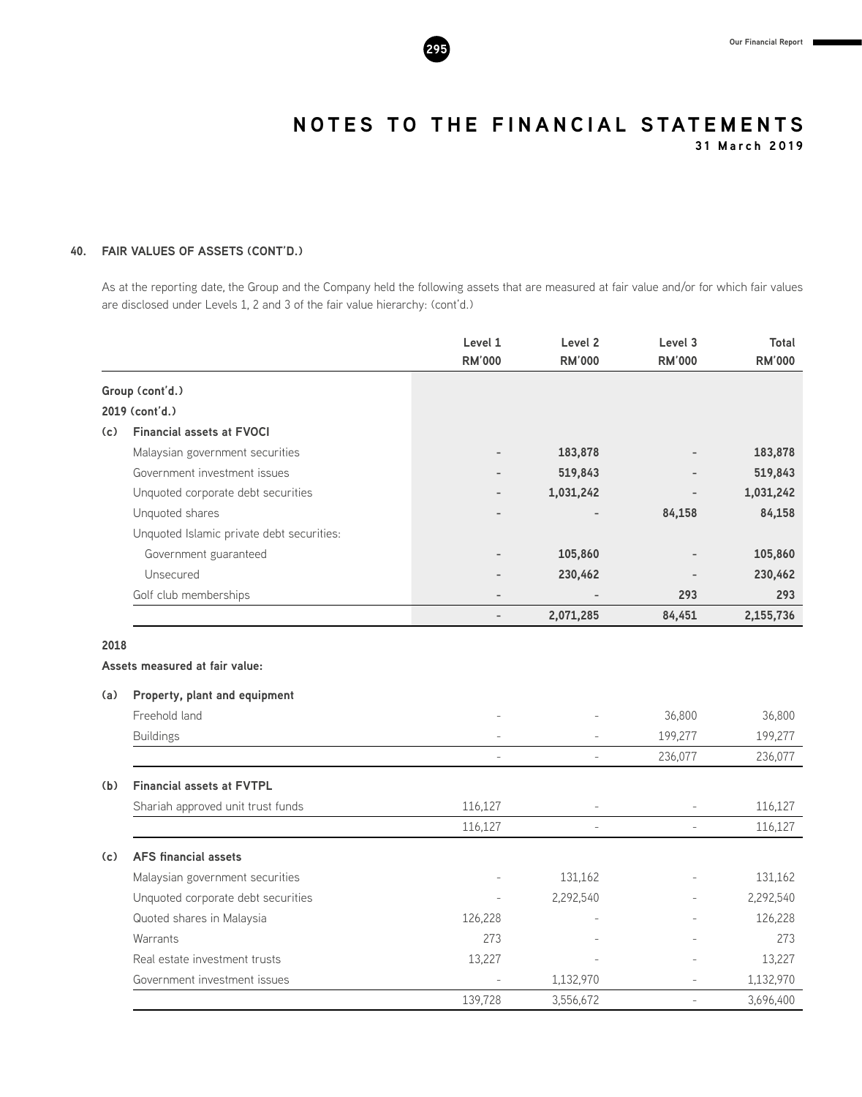

**31 March 2019**

#### **40. FAIR VALUES OF ASSETS (CONT'D.)**

As at the reporting date, the Group and the Company held the following assets that are measured at fair value and/or for which fair values are disclosed under Levels 1, 2 and 3 of the fair value hierarchy: (cont'd.)

|     |                                           | Level 1<br><b>RM'000</b> | Level <sub>2</sub><br><b>RM'000</b> | Level 3<br><b>RM'000</b> | Total<br><b>RM'000</b> |
|-----|-------------------------------------------|--------------------------|-------------------------------------|--------------------------|------------------------|
|     | Group (cont'd.)                           |                          |                                     |                          |                        |
|     | 2019 (cont'd.)                            |                          |                                     |                          |                        |
| (c) | <b>Financial assets at FVOCI</b>          |                          |                                     |                          |                        |
|     | Malaysian government securities           |                          | 183,878                             |                          | 183,878                |
|     | Government investment issues              |                          | 519,843                             |                          | 519,843                |
|     | Unquoted corporate debt securities        |                          | 1,031,242                           |                          | 1,031,242              |
|     | Unquoted shares                           |                          |                                     | 84,158                   | 84,158                 |
|     | Unquoted Islamic private debt securities: |                          |                                     |                          |                        |
|     | Government guaranteed                     |                          | 105,860                             |                          | 105,860                |
|     | Unsecured                                 |                          | 230,462                             |                          | 230,462                |
|     | Golf club memberships                     | $\overline{a}$           |                                     | 293                      | 293                    |
|     |                                           |                          | 2,071,285                           | 84,451                   | 2,155,736              |
| (a) | Property, plant and equipment             |                          |                                     |                          |                        |
|     |                                           |                          |                                     |                          |                        |
|     | Freehold land                             |                          |                                     | 36,800                   | 36,800                 |
|     | <b>Buildings</b>                          |                          |                                     | 199,277                  | 199,277                |
|     |                                           | $\overline{a}$           | $\overline{a}$                      | 236,077                  | 236,077                |
| (b) | <b>Financial assets at FVTPL</b>          |                          |                                     |                          |                        |
|     | Shariah approved unit trust funds         | 116,127                  | $\overline{\phantom{a}}$            | $\overline{a}$           | 116,127                |
|     |                                           | 116,127                  |                                     |                          | 116,127                |
| (c) | <b>AFS</b> financial assets               |                          |                                     |                          |                        |
|     | Malaysian government securities           |                          | 131,162                             |                          | 131,162                |
|     | Unquoted corporate debt securities        |                          | 2,292,540                           |                          | 2,292,540              |
|     | Quoted shares in Malaysia                 | 126,228                  |                                     |                          | 126,228                |
|     | Warrants                                  | 273                      |                                     |                          | 273                    |
|     | Real estate investment trusts             | 13,227                   |                                     |                          | 13,227                 |
|     | Government investment issues              |                          | 1,132,970                           |                          | 1,132,970              |
|     |                                           | 139,728                  | 3,556,672                           | $\overline{a}$           | 3,696,400              |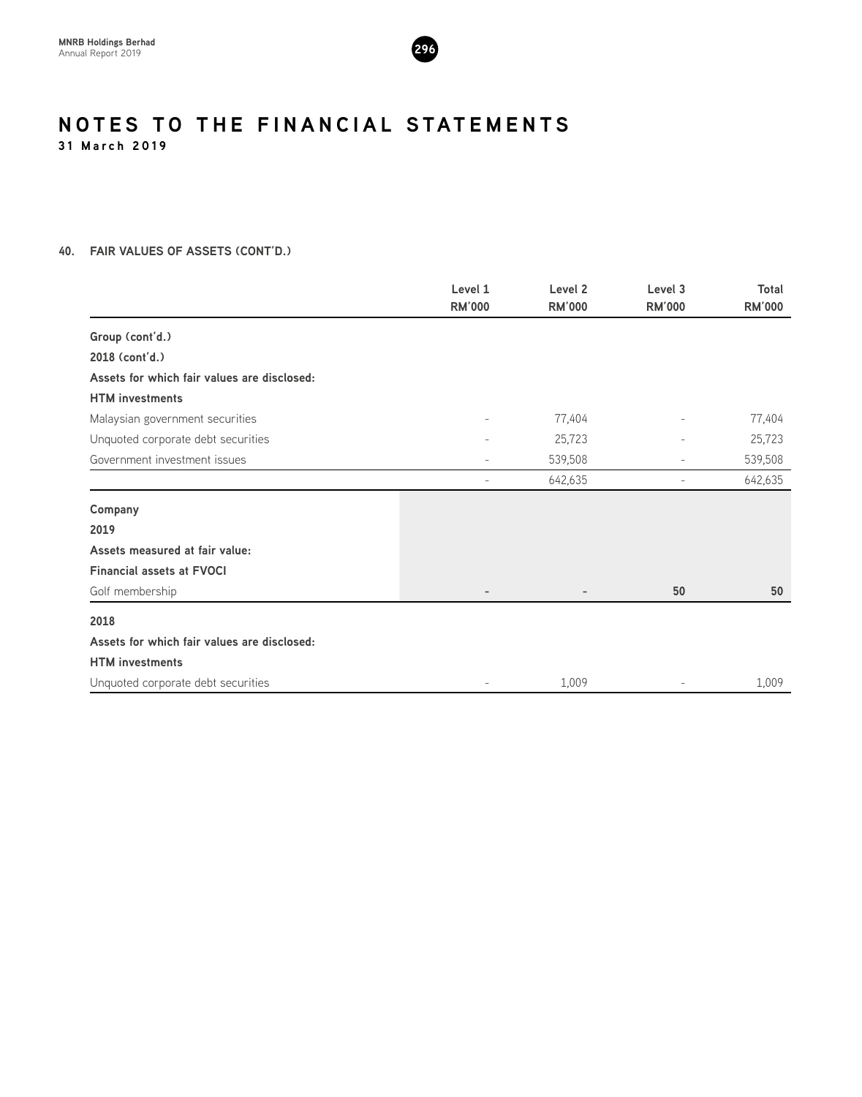

**31 March 2019**

#### **40. FAIR VALUES OF ASSETS (CONT'D.)**

|                                             | Level 1                  | Level 2       | Level 3                  | <b>Total</b>  |
|---------------------------------------------|--------------------------|---------------|--------------------------|---------------|
|                                             | <b>RM'000</b>            | <b>RM'000</b> | <b>RM'000</b>            | <b>RM'000</b> |
| Group (cont'd.)                             |                          |               |                          |               |
| 2018 (cont'd.)                              |                          |               |                          |               |
| Assets for which fair values are disclosed: |                          |               |                          |               |
| <b>HTM</b> investments                      |                          |               |                          |               |
| Malaysian government securities             | $\overline{\phantom{a}}$ | 77,404        | $\overline{\phantom{m}}$ | 77,404        |
| Unquoted corporate debt securities          | $\overline{\phantom{a}}$ | 25,723        | $\overline{\phantom{a}}$ | 25,723        |
| Government investment issues                | $\overline{\phantom{a}}$ | 539,508       | $\overline{\phantom{a}}$ | 539,508       |
|                                             | $\overline{\phantom{m}}$ | 642,635       | $\overline{\phantom{m}}$ | 642,635       |
| Company                                     |                          |               |                          |               |
| 2019                                        |                          |               |                          |               |
| Assets measured at fair value:              |                          |               |                          |               |
| <b>Financial assets at FVOCI</b>            |                          |               |                          |               |
| Golf membership                             | $\overline{\phantom{0}}$ |               | 50                       | 50            |
| 2018                                        |                          |               |                          |               |
| Assets for which fair values are disclosed: |                          |               |                          |               |
| <b>HTM</b> investments                      |                          |               |                          |               |
| Unquoted corporate debt securities          | $\overline{\phantom{a}}$ | 1,009         |                          | 1,009         |